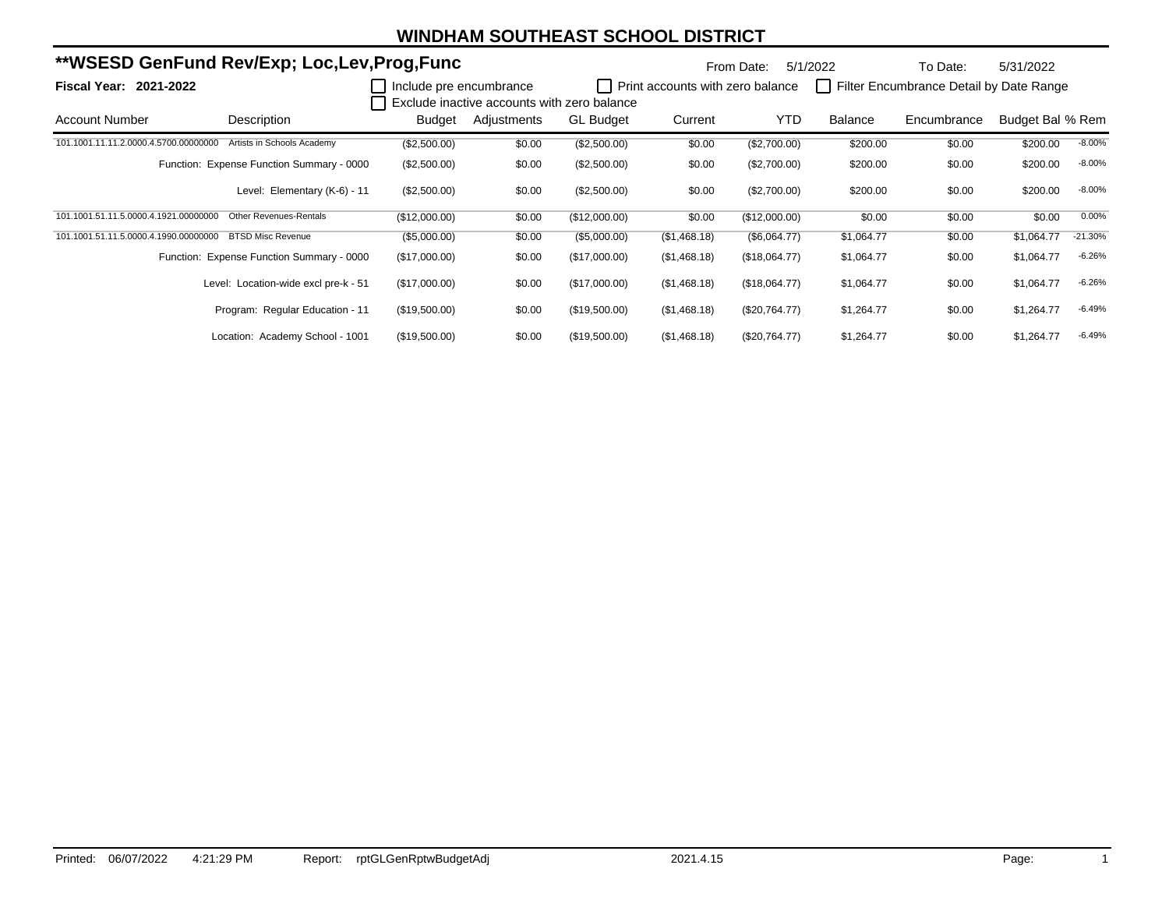|                                       | **WSESD GenFund Rev/Exp; Loc,Lev,Prog,Func |                         |                                             |                  |                                  |                 | 5/1/2022   | To Date:                                | 5/31/2022        |           |
|---------------------------------------|--------------------------------------------|-------------------------|---------------------------------------------|------------------|----------------------------------|-----------------|------------|-----------------------------------------|------------------|-----------|
| Fiscal Year: 2021-2022                |                                            | Include pre encumbrance | Exclude inactive accounts with zero balance |                  | Print accounts with zero balance |                 |            | Filter Encumbrance Detail by Date Range |                  |           |
| Account Number                        | Description                                | Budget                  | Adjustments                                 | <b>GL Budget</b> | Current                          | <b>YTD</b>      | Balance    | Encumbrance                             | Budget Bal % Rem |           |
| 101.1001.11.11.2.0000.4.5700.00000000 | Artists in Schools Academy                 | (\$2,500.00)            | \$0.00                                      | (\$2,500.00)     | \$0.00                           | (\$2,700.00)    | \$200.00   | \$0.00                                  | \$200.00         | $-8.00%$  |
|                                       | Function: Expense Function Summary - 0000  | (\$2,500.00)            | \$0.00                                      | (\$2,500.00)     | \$0.00                           | (\$2,700.00)    | \$200.00   | \$0.00                                  | \$200.00         | $-8.00%$  |
|                                       | Level: Elementary (K-6) - 11               | (\$2,500.00)            | \$0.00                                      | (\$2,500.00)     | \$0.00                           | (\$2,700.00)    | \$200.00   | \$0.00                                  | \$200.00         | $-8.00%$  |
| 101.1001.51.11.5.0000.4.1921.00000000 | <b>Other Revenues-Rentals</b>              | (\$12,000.00)           | \$0.00                                      | (\$12,000.00)    | \$0.00                           | (\$12,000.00)   | \$0.00     | \$0.00                                  | \$0.00           | 0.00%     |
| 101.1001.51.11.5.0000.4.1990.00000000 | <b>BTSD Misc Revenue</b>                   | (\$5,000.00)            | \$0.00                                      | (\$5,000.00)     | (\$1,468.18)                     | (\$6,064.77)    | \$1,064.77 | \$0.00                                  | \$1,064.77       | $-21.30%$ |
|                                       | Function: Expense Function Summary - 0000  | (\$17,000.00)           | \$0.00                                      | (\$17,000.00)    | (\$1,468.18)                     | (\$18,064.77)   | \$1,064.77 | \$0.00                                  | \$1,064.77       | $-6.26%$  |
|                                       | Level: Location-wide excl pre-k - 51       | (\$17,000.00)           | \$0.00                                      | (\$17,000.00)    | (\$1,468.18)                     | (\$18,064.77)   | \$1,064.77 | \$0.00                                  | \$1,064.77       | $-6.26%$  |
|                                       | Program: Regular Education - 11            | (\$19,500.00)           | \$0.00                                      | (\$19,500.00)    | (\$1,468.18)                     | $(\$20,764.77)$ | \$1,264.77 | \$0.00                                  | \$1,264.77       | $-6.49%$  |
|                                       | Location: Academy School - 1001            | (\$19,500.00)           | \$0.00                                      | (\$19,500.00)    | (\$1,468.18)                     | (\$20,764.77)   | \$1,264.77 | \$0.00                                  | \$1,264.77       | $-6.49%$  |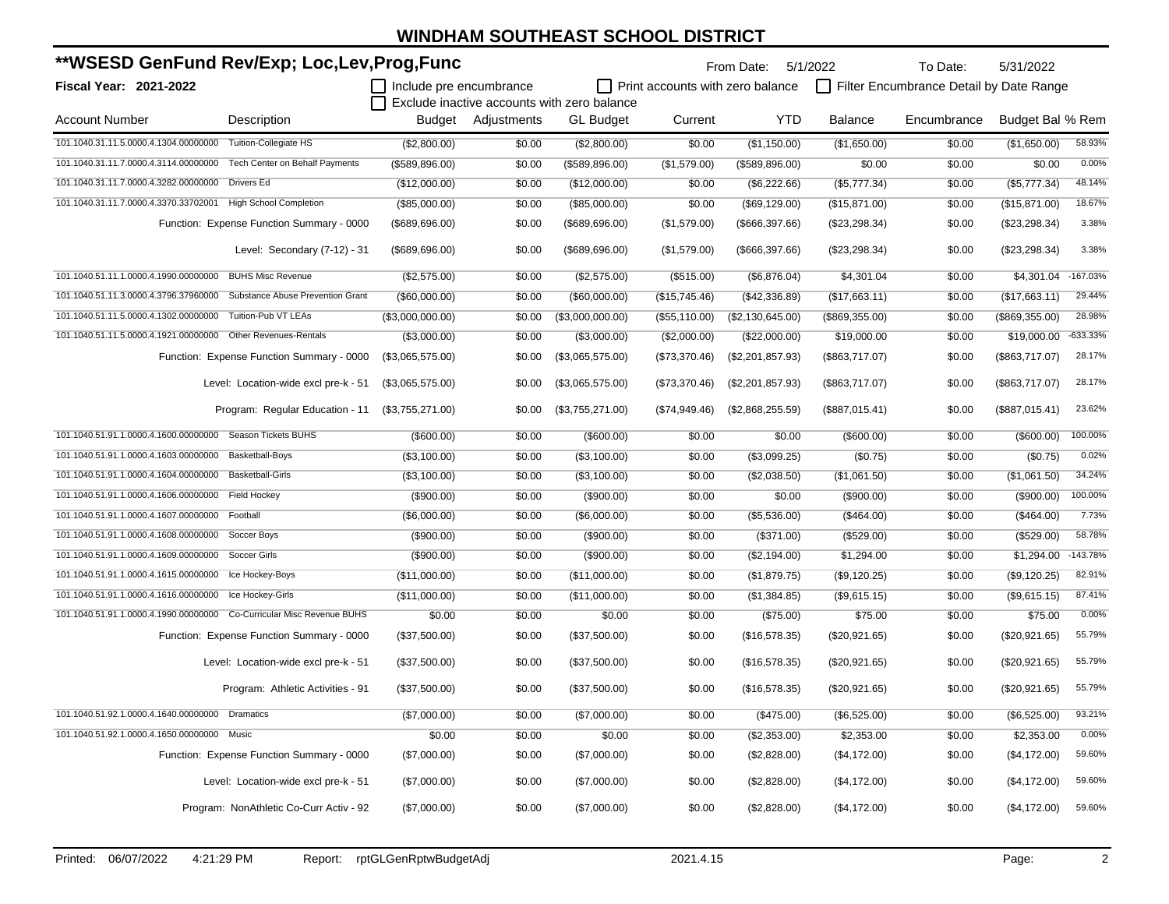| **WSESD GenFund Rev/Exp; Loc,Lev,Prog,Func                            |                                           |                         |                    |                                             |                                  | From Date:        | 5/1/2022        | To Date:                                | 5/31/2022        |            |
|-----------------------------------------------------------------------|-------------------------------------------|-------------------------|--------------------|---------------------------------------------|----------------------------------|-------------------|-----------------|-----------------------------------------|------------------|------------|
| Fiscal Year: 2021-2022                                                |                                           | Include pre encumbrance |                    |                                             | Print accounts with zero balance |                   |                 | Filter Encumbrance Detail by Date Range |                  |            |
|                                                                       |                                           |                         |                    | Exclude inactive accounts with zero balance |                                  |                   |                 |                                         |                  |            |
| <b>Account Number</b>                                                 | Description                               |                         | Budget Adjustments | <b>GL</b> Budget                            | Current                          | <b>YTD</b>        | <b>Balance</b>  | Encumbrance                             | Budget Bal % Rem |            |
| 101.1040.31.11.5.0000.4.1304.00000000                                 | Tuition-Collegiate HS                     | (\$2,800.00)            | \$0.00             | (\$2,800.00)                                | \$0.00                           | (\$1,150.00)      | (\$1,650.00)    | \$0.00                                  | (\$1,650.00)     | 58.93%     |
| 101.1040.31.11.7.0000.4.3114.00000000                                 | Tech Center on Behalf Payments            | (\$589, 896.00)         | \$0.00             | (\$589, 896.00)                             | (\$1,579.00)                     | (\$589, 896.00)   | \$0.00          | \$0.00                                  | \$0.00           | 0.00%      |
| 101.1040.31.11.7.0000.4.3282.00000000                                 | Drivers Ed                                | (\$12,000.00)           | \$0.00             | (\$12,000.00)                               | \$0.00                           | (\$6,222.66)      | (\$5,777.34)    | \$0.00                                  | (\$5,777.34)     | 48.14%     |
| 101.1040.31.11.7.0000.4.3370.33702001                                 | <b>High School Completion</b>             | (\$85,000.00)           | \$0.00             | (\$85,000.00)                               | \$0.00                           | (\$69,129.00)     | (\$15,871.00)   | \$0.00                                  | (\$15,871.00)    | 18.67%     |
|                                                                       | Function: Expense Function Summary - 0000 | (\$689,696.00)          | \$0.00             | (\$689,696.00)                              | (\$1,579.00)                     | $($ \$666,397.66) | $(\$23,298.34)$ | \$0.00                                  | (\$23,298.34)    | 3.38%      |
|                                                                       | Level: Secondary (7-12) - 31              | (\$689,696.00)          | \$0.00             | (\$689,696.00)                              | (\$1,579.00)                     | $($ \$666,397.66) | (\$23,298.34)   | \$0.00                                  | (\$23,298.34)    | 3.38%      |
| 101.1040.51.11.1.0000.4.1990.00000000                                 | <b>BUHS Misc Revenue</b>                  | (\$2,575.00)            | \$0.00             | (\$2,575.00)                                | (\$515.00)                       | (\$6,876.04)      | \$4,301.04      | \$0.00                                  | \$4,301.04       | $-167.03%$ |
| 101.1040.51.11.3.0000.4.3796.37960000                                 | Substance Abuse Prevention Grant          | (\$60,000.00)           | \$0.00             | (\$60,000.00)                               | (\$15,745.46)                    | (\$42,336.89)     | (\$17,663.11)   | \$0.00                                  | (\$17,663.11)    | 29.44%     |
| 101.1040.51.11.5.0000.4.1302.00000000 Tuition-Pub VT LEAs             |                                           | (\$3,000,000.00)        | \$0.00             | (\$3,000,000.00)                            | (\$55,110.00)                    | (\$2,130,645.00)  | (\$869,355.00)  | \$0.00                                  | (\$869,355.00)   | 28.98%     |
| 101.1040.51.11.5.0000.4.1921.00000000 Other Revenues-Rentals          |                                           | (\$3,000.00)            | \$0.00             | (\$3,000.00)                                | (\$2,000.00)                     | (\$22,000.00)     | \$19,000.00     | \$0.00                                  | \$19,000.00      | $-633.33%$ |
|                                                                       | Function: Expense Function Summary - 0000 | (\$3,065,575.00)        | \$0.00             | (\$3,065,575.00)                            | (\$73,370.46)                    | (\$2,201,857.93)  | (\$863,717.07)  | \$0.00                                  | (\$863,717.07)   | 28.17%     |
|                                                                       | Level: Location-wide excl pre-k - 51      | (\$3,065,575.00)        | \$0.00             | (\$3,065,575.00)                            | (\$73,370.46)                    | (\$2,201,857.93)  | (\$863,717.07)  | \$0.00                                  | (\$863,717.07)   | 28.17%     |
|                                                                       | Program: Regular Education - 11           | $(\$3,755,271.00)$      | \$0.00             | (\$3,755,271.00)                            | (\$74,949.46)                    | (\$2,868,255.59)  | (\$887,015.41)  | \$0.00                                  | (\$887,015.41)   | 23.62%     |
| 101.1040.51.91.1.0000.4.1600.00000000 Season Tickets BUHS             |                                           | $($ \$600.00)           | \$0.00             | (\$600.00)                                  | \$0.00                           | \$0.00            | (\$600.00)      | \$0.00                                  | (\$600.00)       | 100.00%    |
| 101.1040.51.91.1.0000.4.1603.00000000                                 | Basketball-Boys                           | (\$3,100.00)            | \$0.00             | (\$3,100.00)                                | \$0.00                           | (\$3,099.25)      | (\$0.75)        | \$0.00                                  | (\$0.75)         | 0.02%      |
| 101.1040.51.91.1.0000.4.1604.00000000                                 | <b>Basketball-Girls</b>                   | (\$3,100.00)            | \$0.00             | (\$3,100.00)                                | \$0.00                           | (\$2,038.50)      | (\$1,061.50)    | \$0.00                                  | (\$1,061.50)     | 34.24%     |
| 101.1040.51.91.1.0000.4.1606.00000000                                 | Field Hockey                              | (\$900.00)              | \$0.00             | (\$900.00)                                  | \$0.00                           | \$0.00            | $(\$900.00)$    | \$0.00                                  | (\$900.00)       | 100.00%    |
| 101.1040.51.91.1.0000.4.1607.00000000 Football                        |                                           | (\$6,000.00)            | \$0.00             | (\$6,000.00)                                | \$0.00                           | (\$5,536.00)      | (\$464.00)      | \$0.00                                  | (\$464.00)       | 7.73%      |
| 101.1040.51.91.1.0000.4.1608.00000000                                 | Soccer Boys                               | (\$900.00)              | \$0.00             | (\$900.00)                                  | \$0.00                           | (\$371.00)        | (\$529.00)      | \$0.00                                  | (\$529.00)       | 58.78%     |
| 101.1040.51.91.1.0000.4.1609.00000000                                 | Soccer Girls                              | $($ \$900.00)           | \$0.00             | (\$900.00)                                  | \$0.00                           | (\$2,194.00)      | \$1,294.00      | \$0.00                                  | \$1,294.00       | $-143.78%$ |
| 101.1040.51.91.1.0000.4.1615.00000000 Ice Hockey-Boys                 |                                           | (\$11,000.00)           | \$0.00             | (\$11,000.00)                               | \$0.00                           | (\$1,879.75)      | (\$9,120.25)    | \$0.00                                  | (\$9,120.25)     | 82.91%     |
| 101.1040.51.91.1.0000.4.1616.00000000 Ice Hockey-Girls                |                                           | (\$11,000.00)           | \$0.00             | (\$11,000.00)                               | \$0.00                           | (\$1,384.85)      | (\$9,615.15)    | \$0.00                                  | (\$9,615.15)     | 87.41%     |
| 101.1040.51.91.1.0000.4.1990.00000000 Co-Curricular Misc Revenue BUHS |                                           | \$0.00                  | \$0.00             | \$0.00                                      | \$0.00                           | (\$75.00)         | \$75.00         | \$0.00                                  | \$75.00          | 0.00%      |
|                                                                       | Function: Expense Function Summary - 0000 | (\$37,500.00)           | \$0.00             | (\$37,500.00)                               | \$0.00                           | (\$16,578.35)     | (\$20,921.65)   | \$0.00                                  | (\$20,921.65)    | 55.79%     |
|                                                                       | Level: Location-wide excl pre-k - 51      | (\$37,500.00)           | \$0.00             | (\$37,500.00)                               | \$0.00                           | (\$16,578.35)     | (\$20,921.65)   | \$0.00                                  | (\$20,921.65)    | 55.79%     |
|                                                                       | Program: Athletic Activities - 91         | (\$37,500.00)           | \$0.00             | (\$37,500.00)                               | \$0.00                           | (\$16,578.35)     | (\$20,921.65)   | \$0.00                                  | (\$20,921.65)    | 55.79%     |
| 101.1040.51.92.1.0000.4.1640.00000000 Dramatics                       |                                           | (\$7,000.00)            | \$0.00             | (\$7,000.00)                                | \$0.00                           | (\$475.00)        | (\$6,525.00)    | \$0.00                                  | (\$6,525.00)     | 93.21%     |
| 101.1040.51.92.1.0000.4.1650.00000000 Music                           |                                           | \$0.00                  | \$0.00             | \$0.00                                      | \$0.00                           | (\$2,353.00)      | \$2,353.00      | \$0.00                                  | \$2,353.00       | 0.00%      |
|                                                                       | Function: Expense Function Summary - 0000 | (\$7,000.00)            | \$0.00             | (\$7,000.00)                                | \$0.00                           | (\$2,828.00)      | (\$4,172.00)    | \$0.00                                  | (\$4,172.00)     | 59.60%     |
|                                                                       | Level: Location-wide excl pre-k - 51      | (\$7,000.00)            | \$0.00             | (\$7,000.00)                                | \$0.00                           | (\$2,828.00)      | (\$4,172.00)    | \$0.00                                  | (\$4,172.00)     | 59.60%     |
|                                                                       | Program: NonAthletic Co-Curr Activ - 92   | (\$7,000.00)            | \$0.00             | (\$7,000.00)                                | \$0.00                           | (\$2,828.00)      | (\$4,172.00)    | \$0.00                                  | (\$4,172.00)     | 59.60%     |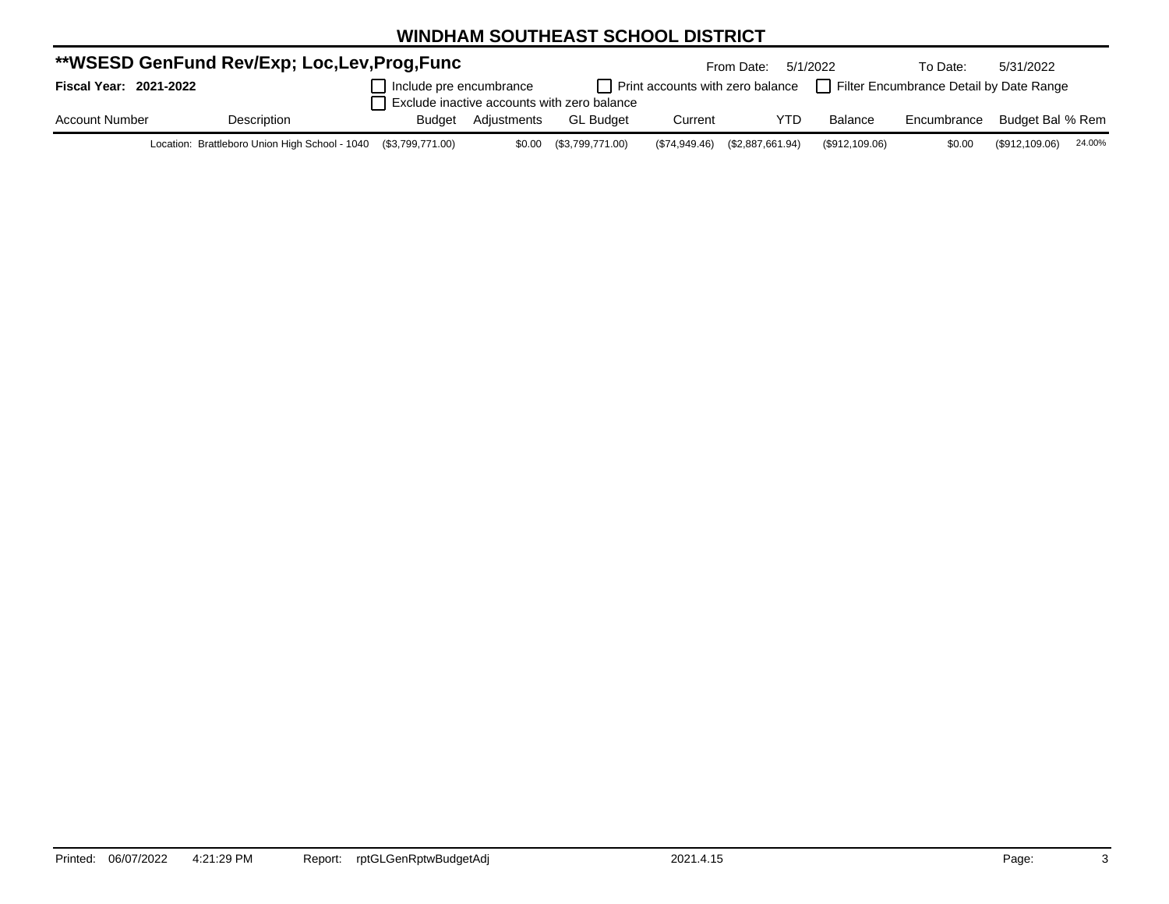|                        | **WSESD GenFund Rev/Exp; Loc,Lev,Prog,Func                      |                         |                    |                                             |         | From Date:                       | 5/1/2022                                | To Date:    | 5/31/2022        |        |
|------------------------|-----------------------------------------------------------------|-------------------------|--------------------|---------------------------------------------|---------|----------------------------------|-----------------------------------------|-------------|------------------|--------|
| Fiscal Year: 2021-2022 |                                                                 | Include pre encumbrance |                    |                                             |         | Print accounts with zero balance | Filter Encumbrance Detail by Date Range |             |                  |        |
|                        |                                                                 |                         |                    | Exclude inactive accounts with zero balance |         |                                  |                                         |             |                  |        |
| <b>Account Number</b>  | Description                                                     |                         | Budget Adjustments | <b>GL Budget</b>                            | Current | YTD                              | <b>Balance</b>                          | Encumbrance | Budget Bal % Rem |        |
|                        | Location: Brattleboro Union High School - 1040 (\$3,799,771.00) |                         |                    | \$0.00 (\$3,799,771.00)                     |         | (\$74,949.46) (\$2,887,661.94)   | (\$912,109.06)                          | \$0.00      | (\$912,109.06)   | 24.00% |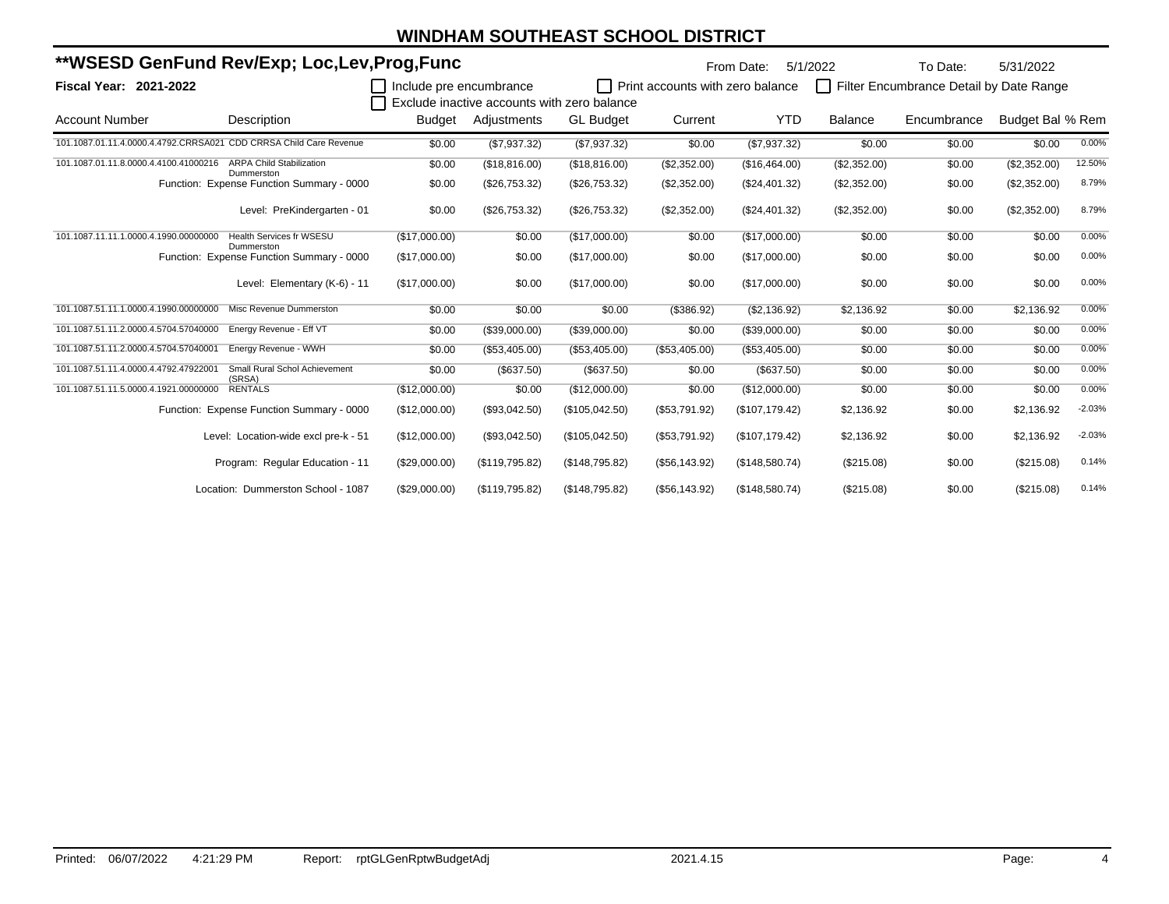| **WSESD GenFund Rev/Exp; Loc,Lev,Prog,Func                         |                                               |                         |                |                                             |                                  | From Date:      | 5/1/2022       | To Date:                                | 5/31/2022        |          |
|--------------------------------------------------------------------|-----------------------------------------------|-------------------------|----------------|---------------------------------------------|----------------------------------|-----------------|----------------|-----------------------------------------|------------------|----------|
| <b>Fiscal Year: 2021-2022</b>                                      |                                               | Include pre encumbrance |                | Exclude inactive accounts with zero balance | Print accounts with zero balance |                 | $\Box$         | Filter Encumbrance Detail by Date Range |                  |          |
| <b>Account Number</b>                                              | Description                                   | <b>Budget</b>           | Adjustments    | <b>GL Budget</b>                            | Current                          | <b>YTD</b>      | <b>Balance</b> | Encumbrance                             | Budget Bal % Rem |          |
| 101.1087.01.11.4.0000.4.4792.CRRSA021 CDD CRRSA Child Care Revenue |                                               | \$0.00                  | (\$7,937.32)   | (\$7,937.32)                                | \$0.00                           | (\$7,937.32)    | \$0.00         | \$0.00                                  | \$0.00           | 0.00%    |
| 101.1087.01.11.8.0000.4.4100.41000216                              | <b>ARPA Child Stabilization</b><br>Dummerston | \$0.00                  | (\$18,816.00)  | (\$18,816.00)                               | (\$2,352.00)                     | (\$16,464.00)   | (\$2,352.00)   | \$0.00                                  | (\$2,352.00)     | 12.50%   |
|                                                                    | Function: Expense Function Summary - 0000     | \$0.00                  | (\$26,753.32)  | (\$26,753.32)                               | (\$2,352.00)                     | (\$24,401.32)   | (\$2,352.00)   | \$0.00                                  | (\$2,352.00)     | 8.79%    |
|                                                                    | Level: PreKindergarten - 01                   | \$0.00                  | (\$26,753.32)  | (\$26,753.32)                               | (\$2,352.00)                     | (\$24,401.32)   | (\$2,352.00)   | \$0.00                                  | (\$2,352.00)     | 8.79%    |
| 101.1087.11.11.1.0000.4.1990.00000000                              | <b>Health Services fr WSESU</b><br>Dummerston | (\$17,000.00)           | \$0.00         | (\$17,000.00)                               | \$0.00                           | (\$17,000.00)   | \$0.00         | \$0.00                                  | \$0.00           | 0.00%    |
|                                                                    | Function: Expense Function Summary - 0000     | (\$17,000.00)           | \$0.00         | (\$17,000.00)                               | \$0.00                           | (\$17,000.00)   | \$0.00         | \$0.00                                  | \$0.00           | 0.00%    |
|                                                                    | Level: Elementary (K-6) - 11                  | (\$17,000.00)           | \$0.00         | (\$17,000.00)                               | \$0.00                           | (\$17,000.00)   | \$0.00         | \$0.00                                  | \$0.00           | 0.00%    |
| 101.1087.51.11.1.0000.4.1990.00000000                              | Misc Revenue Dummerston                       | \$0.00                  | \$0.00         | \$0.00                                      | (\$386.92)                       | (\$2,136.92)    | \$2,136.92     | \$0.00                                  | \$2,136.92       | 0.00%    |
| 101.1087.51.11.2.0000.4.5704.57040000                              | Energy Revenue - Eff VT                       | \$0.00                  | (\$39,000.00)  | (\$39,000.00)                               | \$0.00                           | (\$39,000.00)   | \$0.00         | \$0.00                                  | \$0.00           | 0.00%    |
| 101.1087.51.11.2.0000.4.5704.57040001                              | Energy Revenue - WWH                          | \$0.00                  | (\$53,405.00)  | (\$53,405.00)                               | (\$53,405.00)                    | (\$53,405.00)   | \$0.00         | \$0.00                                  | \$0.00           | 0.00%    |
| 101.1087.51.11.4.0000.4.4792.47922001                              | Small Rural Schol Achievement<br>(SRSA)       | \$0.00                  | (\$637.50)     | (\$637.50)                                  | \$0.00                           | (\$637.50)      | \$0.00         | \$0.00                                  | \$0.00           | 0.00%    |
| 101.1087.51.11.5.0000.4.1921.00000000                              | <b>RENTALS</b>                                | (\$12,000.00)           | \$0.00         | (\$12,000.00)                               | \$0.00                           | (\$12,000.00)   | \$0.00         | \$0.00                                  | \$0.00           | 0.00%    |
|                                                                    | Function: Expense Function Summary - 0000     | (\$12,000.00)           | (\$93,042.50)  | (\$105,042.50)                              | (\$53,791.92)                    | (\$107, 179.42) | \$2,136.92     | \$0.00                                  | \$2,136.92       | $-2.03%$ |
|                                                                    | Level: Location-wide excl pre-k - 51          | (\$12,000.00)           | (\$93,042.50)  | (\$105,042.50)                              | (\$53,791.92)                    | (\$107, 179.42) | \$2,136.92     | \$0.00                                  | \$2,136.92       | $-2.03%$ |
|                                                                    | Program: Regular Education - 11               | (\$29,000.00)           | (\$119,795.82) | (\$148,795.82)                              | (\$56,143.92)                    | (\$148,580.74)  | (\$215.08)     | \$0.00                                  | (\$215.08)       | 0.14%    |
|                                                                    | Location: Dummerston School - 1087            | (\$29,000.00)           | (\$119,795.82) | (\$148,795.82)                              | (\$56,143.92)                    | (\$148,580.74)  | (\$215.08)     | \$0.00                                  | (\$215.08)       | 0.14%    |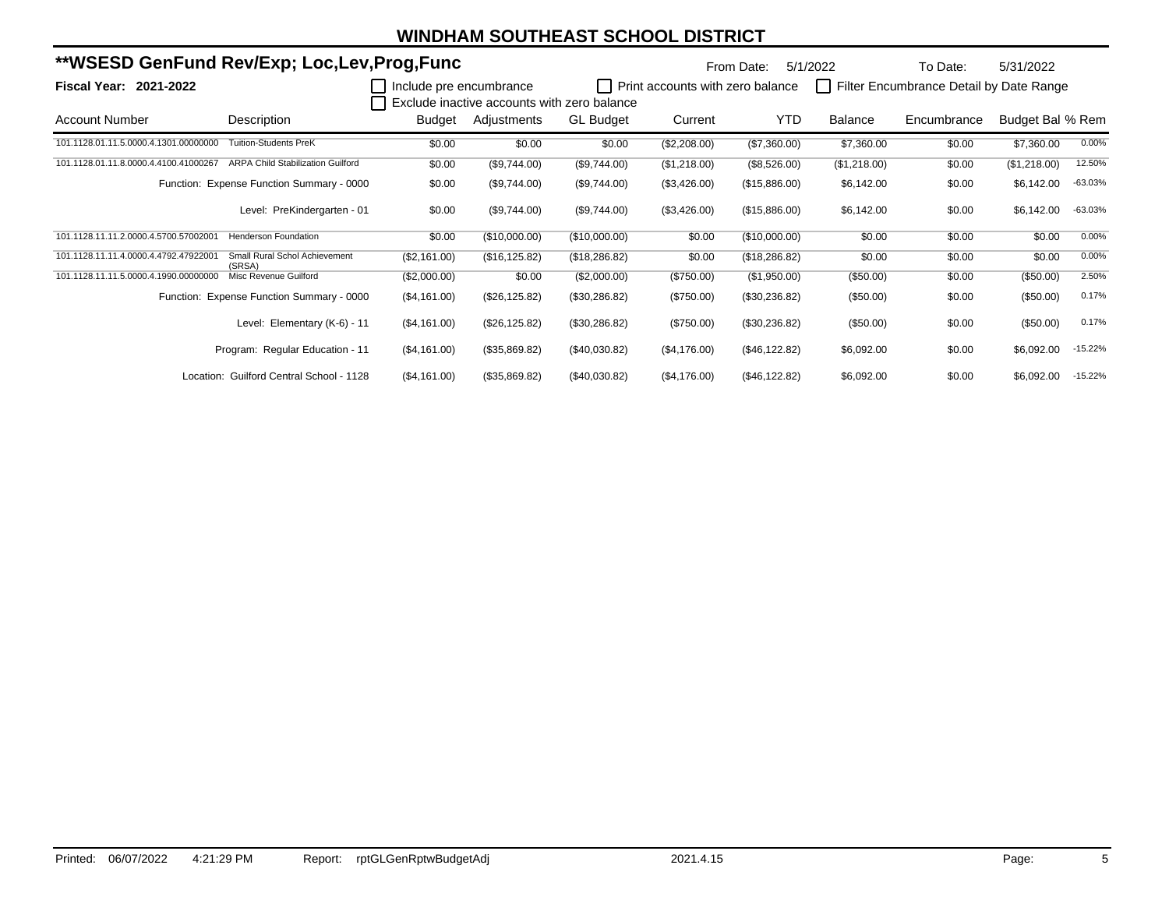| **WSESD GenFund Rev/Exp; Loc,Lev,Prog,Func |                                           |                         |                                             |                  | From Date:                       | 5/1/2022       | To Date:     | 5/31/2022                               |                  |           |
|--------------------------------------------|-------------------------------------------|-------------------------|---------------------------------------------|------------------|----------------------------------|----------------|--------------|-----------------------------------------|------------------|-----------|
| <b>Fiscal Year: 2021-2022</b>              |                                           | Include pre encumbrance | Exclude inactive accounts with zero balance |                  | Print accounts with zero balance |                | $\perp$      | Filter Encumbrance Detail by Date Range |                  |           |
| Account Number                             | Description                               | Budget                  | Adjustments                                 | <b>GL Budget</b> | Current                          | <b>YTD</b>     | Balance      | Encumbrance                             | Budget Bal % Rem |           |
| 101.1128.01.11.5.0000.4.1301.00000000      | <b>Tuition-Students PreK</b>              | \$0.00                  | \$0.00                                      | \$0.00           | (\$2,208.00)                     | (\$7,360.00)   | \$7,360.00   | \$0.00                                  | \$7,360.00       | 0.00%     |
| 101.1128.01.11.8.0000.4.4100.41000267      | <b>ARPA Child Stabilization Guilford</b>  | \$0.00                  | (\$9,744.00)                                | (\$9,744.00)     | (\$1,218.00)                     | (\$8,526.00)   | (\$1,218.00) | \$0.00                                  | (\$1,218.00)     | 12.50%    |
|                                            | Function: Expense Function Summary - 0000 | \$0.00                  | (\$9,744.00)                                | (\$9,744.00)     | (\$3,426.00)                     | (\$15,886.00)  | \$6,142.00   | \$0.00                                  | \$6,142.00       | $-63.03%$ |
|                                            | Level: PreKindergarten - 01               | \$0.00                  | (\$9,744.00)                                | (\$9,744.00)     | (\$3,426.00)                     | (\$15,886.00)  | \$6,142.00   | \$0.00                                  | \$6,142.00       | $-63.03%$ |
| 101.1128.11.11.2.0000.4.5700.57002001      | <b>Henderson Foundation</b>               | \$0.00                  | (\$10,000.00)                               | (\$10,000.00)    | \$0.00                           | (\$10,000.00)  | \$0.00       | \$0.00                                  | \$0.00           | 0.00%     |
| 101.1128.11.11.4.0000.4.4792.47922001      | Small Rural Schol Achievement<br>(SRSA)   | (\$2,161.00)            | (\$16, 125.82)                              | (\$18,286.82)    | \$0.00                           | (\$18,286.82)  | \$0.00       | \$0.00                                  | \$0.00           | 0.00%     |
| 101.1128.11.11.5.0000.4.1990.00000000      | Misc Revenue Guilford                     | (\$2,000.00)            | \$0.00                                      | (\$2,000.00)     | $(\$750.00)$                     | (\$1,950.00)   | (\$50.00)    | \$0.00                                  | (\$50.00)        | 2.50%     |
|                                            | Function: Expense Function Summary - 0000 | (\$4,161.00)            | (\$26,125.82)                               | (\$30,286.82)    | $(\$750.00)$                     | (\$30,236.82)  | (\$50.00)    | \$0.00                                  | (\$50.00)        | 0.17%     |
|                                            | Level: Elementary (K-6) - 11              | (\$4,161.00)            | (\$26,125.82)                               | (\$30,286.82)    | $(\$750.00)$                     | (\$30,236.82)  | (\$50.00)    | \$0.00                                  | (\$50.00)        | 0.17%     |
|                                            | Program: Regular Education - 11           | (\$4,161.00)            | (\$35,869.82)                               | (\$40,030.82)    | (\$4,176.00)                     | (\$46,122.82)  | \$6,092.00   | \$0.00                                  | \$6,092.00       | $-15.22%$ |
|                                            | Location: Guilford Central School - 1128  | (\$4,161.00)            | (\$35,869.82)                               | (\$40,030.82)    | (\$4,176.00)                     | (\$46, 122.82) | \$6,092.00   | \$0.00                                  | \$6,092.00       | $-15.22%$ |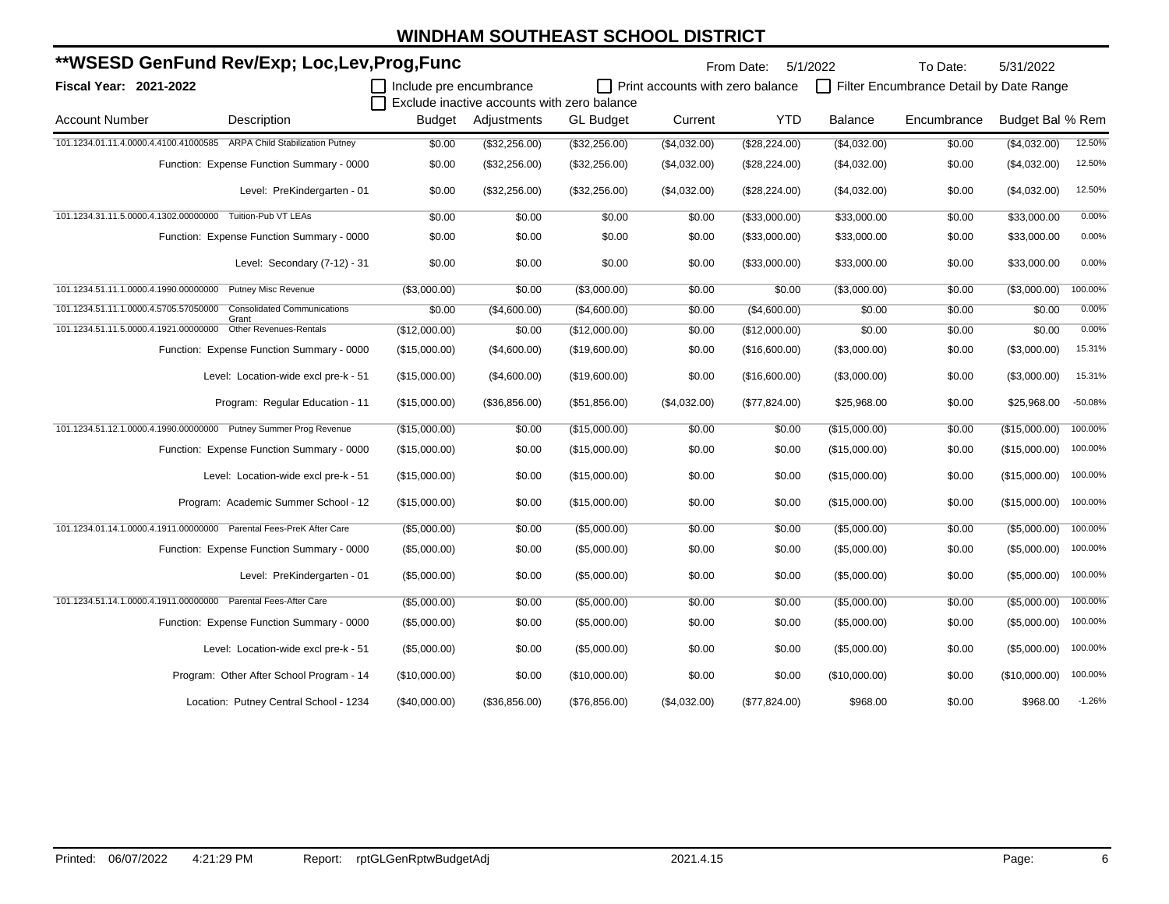|                                                           | **WSESD GenFund Rev/Exp; Loc,Lev,Prog,Func                                 |                         |                                             |                  |                                         | From Date:    | 5/1/2022      | To Date:                                | 5/31/2022        |           |
|-----------------------------------------------------------|----------------------------------------------------------------------------|-------------------------|---------------------------------------------|------------------|-----------------------------------------|---------------|---------------|-----------------------------------------|------------------|-----------|
| Fiscal Year: 2021-2022                                    |                                                                            | Include pre encumbrance |                                             |                  | $\Box$ Print accounts with zero balance |               |               | Filter Encumbrance Detail by Date Range |                  |           |
|                                                           |                                                                            |                         | Exclude inactive accounts with zero balance |                  |                                         |               |               |                                         |                  |           |
| <b>Account Number</b>                                     | Description                                                                |                         | Budget Adjustments                          | <b>GL Budget</b> | Current                                 | <b>YTD</b>    | Balance       | Encumbrance                             | Budget Bal % Rem |           |
|                                                           | 101.1234.01.11.4.0000.4.4100.41000585 ARPA Child Stabilization Putney      | \$0.00                  | (\$32,256.00)                               | (\$32,256.00)    | (\$4,032.00)                            | (\$28,224.00) | (\$4,032.00)  | \$0.00                                  | (\$4,032.00)     | 12.50%    |
|                                                           | Function: Expense Function Summary - 0000                                  | \$0.00                  | (\$32,256.00)                               | (\$32,256.00)    | (\$4,032.00)                            | (\$28,224.00) | (\$4,032.00)  | \$0.00                                  | (\$4,032.00)     | 12.50%    |
|                                                           | Level: PreKindergarten - 01                                                | \$0.00                  | (\$32,256.00)                               | (\$32,256.00)    | (\$4,032.00)                            | (\$28,224.00) | (\$4,032.00)  | \$0.00                                  | (\$4,032.00)     | 12.50%    |
| 101.1234.31.11.5.0000.4.1302.00000000                     | Tuition-Pub VT LEAs                                                        | \$0.00                  | \$0.00                                      | \$0.00           | \$0.00                                  | (\$33,000.00) | \$33,000.00   | \$0.00                                  | \$33,000.00      | 0.00%     |
|                                                           | Function: Expense Function Summary - 0000                                  | \$0.00                  | \$0.00                                      | \$0.00           | \$0.00                                  | (\$33,000.00) | \$33,000.00   | \$0.00                                  | \$33,000.00      | 0.00%     |
|                                                           | Level: Secondary (7-12) - 31                                               | \$0.00                  | \$0.00                                      | \$0.00           | \$0.00                                  | (\$33,000.00) | \$33,000.00   | \$0.00                                  | \$33,000.00      | 0.00%     |
| 101.1234.51.11.1.0000.4.1990.00000000 Putney Misc Revenue |                                                                            | (\$3,000.00)            | \$0.00                                      | (\$3,000.00)     | \$0.00                                  | \$0.00        | (\$3,000.00)  | \$0.00                                  | (\$3,000.00)     | 100.00%   |
|                                                           | 101.1234.51.11.1.0000.4.5705.57050000 Consolidated Communications<br>Grant | \$0.00                  | (\$4,600.00)                                | (\$4,600.00)     | \$0.00                                  | (\$4,600.00)  | \$0.00        | \$0.00                                  | \$0.00           | 0.00%     |
|                                                           | 101.1234.51.11.5.0000.4.1921.00000000 Other Revenues-Rentals               | (\$12,000.00)           | \$0.00                                      | (\$12,000.00)    | \$0.00                                  | (\$12,000.00) | \$0.00        | \$0.00                                  | \$0.00           | 0.00%     |
|                                                           | Function: Expense Function Summary - 0000                                  | (\$15,000.00)           | (\$4,600.00)                                | (\$19,600.00)    | \$0.00                                  | (\$16,600.00) | (\$3,000.00)  | \$0.00                                  | (\$3,000.00)     | 15.31%    |
|                                                           | Level: Location-wide excl pre-k - 51                                       | (\$15,000.00)           | (\$4,600.00)                                | (\$19,600.00)    | \$0.00                                  | (\$16,600.00) | (\$3,000.00)  | \$0.00                                  | (\$3,000.00)     | 15.31%    |
|                                                           | Program: Regular Education - 11                                            | (\$15,000.00)           | (\$36,856.00)                               | (\$51,856.00)    | (\$4,032.00)                            | (\$77,824.00) | \$25,968.00   | \$0.00                                  | \$25,968.00      | $-50.08%$ |
|                                                           | 101.1234.51.12.1.0000.4.1990.00000000 Putney Summer Prog Revenue           | (\$15,000.00)           | \$0.00                                      | (\$15,000.00)    | \$0.00                                  | \$0.00        | (\$15,000.00) | \$0.00                                  | (\$15,000.00)    | 100.00%   |
|                                                           | Function: Expense Function Summary - 0000                                  | (\$15,000.00)           | \$0.00                                      | (\$15,000.00)    | \$0.00                                  | \$0.00        | (\$15,000.00) | \$0.00                                  | (\$15,000.00)    | 100.00%   |
|                                                           | Level: Location-wide excl pre-k - 51                                       | (\$15,000.00)           | \$0.00                                      | (\$15,000.00)    | \$0.00                                  | \$0.00        | (\$15,000.00) | \$0.00                                  | (\$15,000.00)    | 100.00%   |
|                                                           | Program: Academic Summer School - 12                                       | (\$15,000.00)           | \$0.00                                      | (\$15,000.00)    | \$0.00                                  | \$0.00        | (\$15,000.00) | \$0.00                                  | (\$15,000.00)    | 100.00%   |
|                                                           | 101.1234.01.14.1.0000.4.1911.00000000 Parental Fees-PreK After Care        | (\$5,000.00)            | \$0.00                                      | (\$5,000.00)     | \$0.00                                  | \$0.00        | (\$5,000.00)  | \$0.00                                  | (\$5,000.00)     | 100.00%   |
|                                                           | Function: Expense Function Summary - 0000                                  | (\$5,000.00)            | \$0.00                                      | (\$5,000.00)     | \$0.00                                  | \$0.00        | (\$5,000.00)  | \$0.00                                  | (\$5,000.00)     | 100.00%   |
|                                                           | Level: PreKindergarten - 01                                                | (\$5,000.00)            | \$0.00                                      | (\$5,000.00)     | \$0.00                                  | \$0.00        | (\$5,000.00)  | \$0.00                                  | (\$5,000.00)     | 100.00%   |
|                                                           | 101.1234.51.14.1.0000.4.1911.00000000 Parental Fees-After Care             | (\$5,000.00)            | \$0.00                                      | (\$5,000.00)     | \$0.00                                  | \$0.00        | (\$5,000.00)  | \$0.00                                  | (\$5,000.00)     | 100.00%   |
|                                                           | Function: Expense Function Summary - 0000                                  | (\$5,000.00)            | \$0.00                                      | (\$5,000.00)     | \$0.00                                  | \$0.00        | (\$5,000.00)  | \$0.00                                  | (\$5,000.00)     | 100.00%   |
|                                                           | Level: Location-wide excl pre-k - 51                                       | (\$5,000.00)            | \$0.00                                      | (\$5,000.00)     | \$0.00                                  | \$0.00        | (\$5,000.00)  | \$0.00                                  | (\$5,000.00)     | 100.00%   |
|                                                           | Program: Other After School Program - 14                                   | (\$10,000.00)           | \$0.00                                      | (\$10,000.00)    | \$0.00                                  | \$0.00        | (\$10,000.00) | \$0.00                                  | (\$10,000.00)    | 100.00%   |
|                                                           | Location: Putney Central School - 1234                                     | (\$40,000.00)           | (\$36,856.00)                               | (\$76,856.00)    | (\$4,032.00)                            | (\$77,824.00) | \$968.00      | \$0.00                                  | \$968.00         | $-1.26%$  |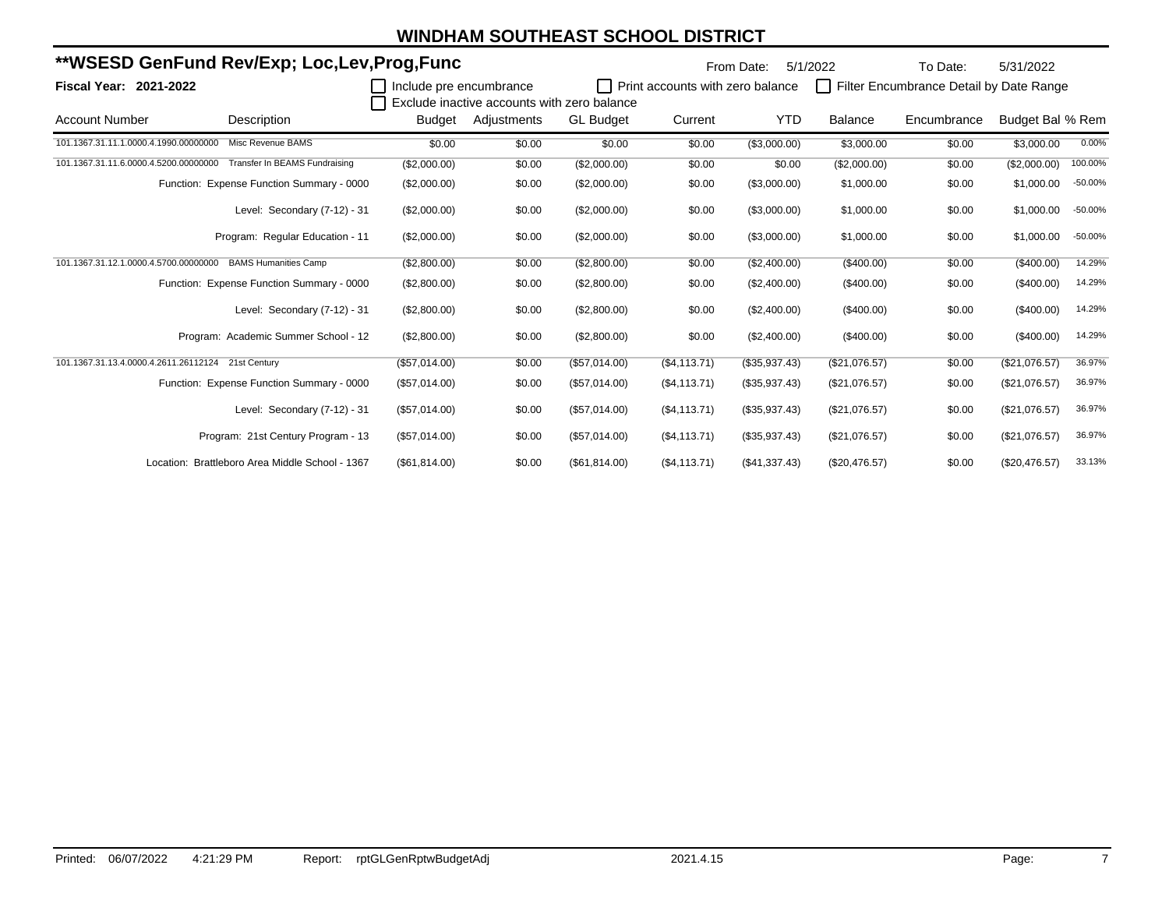|                                                    | **WSESD GenFund Rev/Exp; Loc,Lev,Prog,Func      |                         |                                                            |                  |                                  | From Date:    | 5/1/2022      | To Date:                                | 5/31/2022        |           |
|----------------------------------------------------|-------------------------------------------------|-------------------------|------------------------------------------------------------|------------------|----------------------------------|---------------|---------------|-----------------------------------------|------------------|-----------|
| <b>Fiscal Year: 2021-2022</b>                      |                                                 | Include pre encumbrance |                                                            |                  | Print accounts with zero balance |               | $\Box$        | Filter Encumbrance Detail by Date Range |                  |           |
| <b>Account Number</b>                              | Description                                     | Budget                  | Exclude inactive accounts with zero balance<br>Adjustments | <b>GL Budget</b> | Current                          | <b>YTD</b>    | Balance       | Encumbrance                             | Budget Bal % Rem |           |
| 101.1367.31.11.1.0000.4.1990.00000000              | Misc Revenue BAMS                               | \$0.00                  | \$0.00                                                     | \$0.00           | \$0.00                           | (\$3,000.00)  | \$3,000.00    | \$0.00                                  | \$3,000.00       | 0.00%     |
| 101.1367.31.11.6.0000.4.5200.00000000              | Transfer In BEAMS Fundraising                   | (\$2,000.00)            | \$0.00                                                     | (\$2,000.00)     | \$0.00                           | \$0.00        | (\$2,000.00)  | \$0.00                                  | (\$2,000.00)     | 100.00%   |
|                                                    | Function: Expense Function Summary - 0000       | (\$2,000.00)            | \$0.00                                                     | (\$2,000.00)     | \$0.00                           | (\$3,000.00)  | \$1,000.00    | \$0.00                                  | \$1,000.00       | $-50.00%$ |
|                                                    | Level: Secondary (7-12) - 31                    | (\$2,000.00)            | \$0.00                                                     | (\$2,000.00)     | \$0.00                           | (\$3,000.00)  | \$1,000.00    | \$0.00                                  | \$1,000.00       | $-50.00%$ |
|                                                    | Program: Regular Education - 11                 | (\$2,000.00)            | \$0.00                                                     | (\$2,000.00)     | \$0.00                           | (\$3,000.00)  | \$1,000.00    | \$0.00                                  | \$1,000.00       | -50.00%   |
| 101.1367.31.12.1.0000.4.5700.00000000              | <b>BAMS Humanities Camp</b>                     | (\$2,800.00)            | \$0.00                                                     | (\$2,800.00)     | \$0.00                           | (\$2,400.00)  | (\$400.00)    | \$0.00                                  | (\$400.00)       | 14.29%    |
|                                                    | Function: Expense Function Summary - 0000       | (\$2,800.00)            | \$0.00                                                     | (\$2,800.00)     | \$0.00                           | (\$2,400.00)  | $(\$400.00)$  | \$0.00                                  | $(\$400.00)$     | 14.29%    |
|                                                    | Level: Secondary (7-12) - 31                    | (\$2,800.00)            | \$0.00                                                     | (\$2,800.00)     | \$0.00                           | (\$2,400.00)  | $(\$400.00)$  | \$0.00                                  | $(\$400.00)$     | 14.29%    |
|                                                    | Program: Academic Summer School - 12            | (\$2,800.00)            | \$0.00                                                     | (\$2,800.00)     | \$0.00                           | (\$2,400.00)  | (\$400.00)    | \$0.00                                  | $(\$400.00)$     | 14.29%    |
| 101.1367.31.13.4.0000.4.2611.26112124 21st Century |                                                 | (\$57,014.00)           | \$0.00                                                     | (\$57,014.00)    | (\$4, 113.71)                    | (\$35,937.43) | (\$21,076.57) | \$0.00                                  | (\$21,076.57)    | 36.97%    |
|                                                    | Function: Expense Function Summary - 0000       | (\$57,014.00)           | \$0.00                                                     | (\$57,014.00)    | (\$4,113.71)                     | (\$35,937.43) | (\$21,076.57) | \$0.00                                  | (\$21,076.57)    | 36.97%    |
|                                                    | Level: Secondary (7-12) - 31                    | (\$57,014.00)           | \$0.00                                                     | (\$57,014.00)    | (\$4,113.71)                     | (\$35,937.43) | (\$21,076.57) | \$0.00                                  | (\$21,076.57)    | 36.97%    |
|                                                    | Program: 21st Century Program - 13              | (\$57,014.00)           | \$0.00                                                     | (\$57,014.00)    | (\$4,113.71)                     | (\$35,937.43) | (\$21,076.57) | \$0.00                                  | (\$21,076.57)    | 36.97%    |
|                                                    | Location: Brattleboro Area Middle School - 1367 | (\$61,814.00)           | \$0.00                                                     | (\$61,814.00)    | (\$4,113.71)                     | (\$41,337.43) | (\$20,476.57) | \$0.00                                  | (\$20,476.57)    | 33.13%    |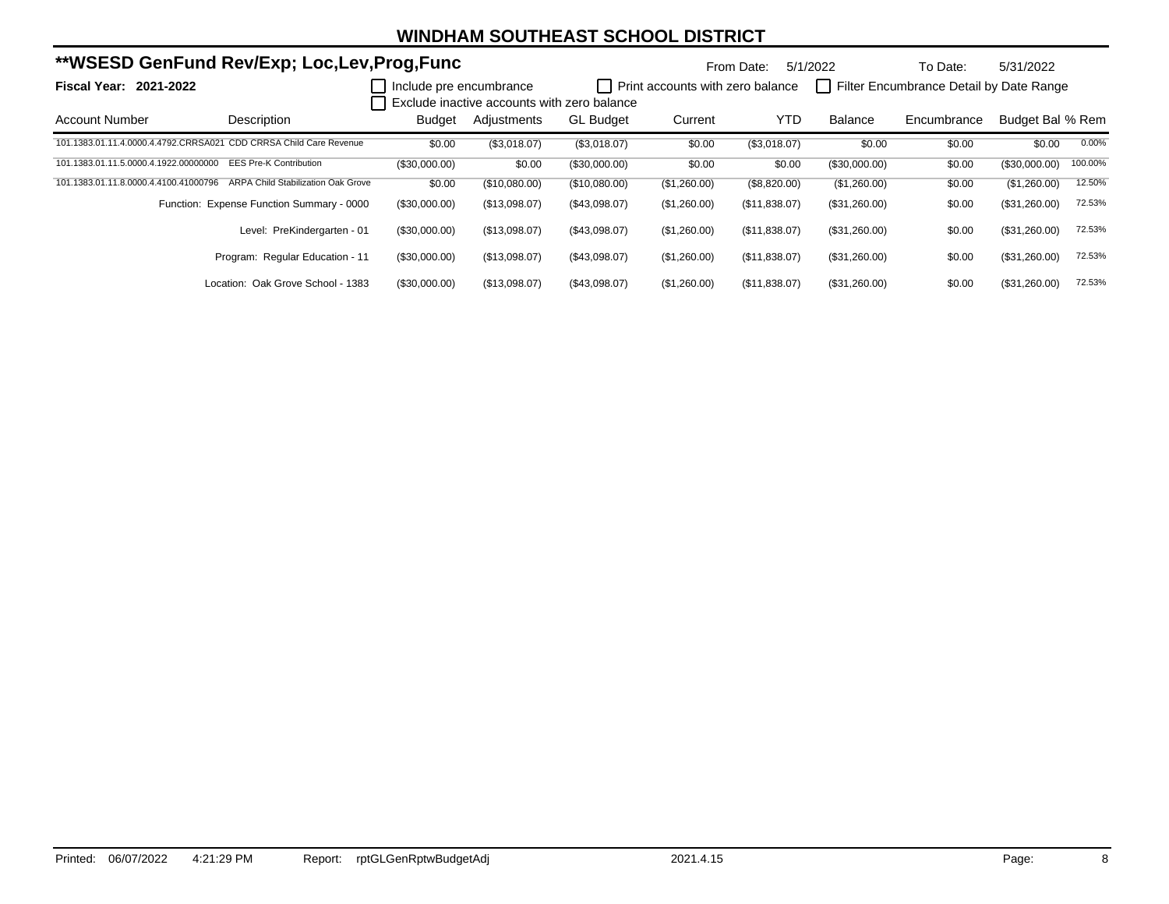|                                                                    | **WSESD GenFund Rev/Exp; Loc,Lev,Prog,Func |                         |                                             |                  |                                         | From Date:    | 5/1/2022      | To Date:                                | 5/31/2022        |         |
|--------------------------------------------------------------------|--------------------------------------------|-------------------------|---------------------------------------------|------------------|-----------------------------------------|---------------|---------------|-----------------------------------------|------------------|---------|
| <b>Fiscal Year: 2021-2022</b>                                      |                                            | Include pre encumbrance | Exclude inactive accounts with zero balance |                  | <b>Print accounts with zero balance</b> |               |               | Filter Encumbrance Detail by Date Range |                  |         |
| Account Number                                                     | Description                                | <b>Budget</b>           | Adjustments                                 | <b>GL Budget</b> | Current                                 | <b>YTD</b>    | Balance       | Encumbrance                             | Budget Bal % Rem |         |
| 101.1383.01.11.4.0000.4.4792.CRRSA021 CDD CRRSA Child Care Revenue |                                            | \$0.00                  | (\$3,018.07)                                | (\$3,018.07)     | \$0.00                                  | (\$3,018.07)  | \$0.00        | \$0.00                                  | \$0.00           | 0.00%   |
| 101.1383.01.11.5.0000.4.1922.00000000                              | <b>EES Pre-K Contribution</b>              | (\$30,000.00)           | \$0.00                                      | (\$30,000.00)    | \$0.00                                  | \$0.00        | (\$30,000.00) | \$0.00                                  | $(\$30,000.00)$  | 100.00% |
| 101.1383.01.11.8.0000.4.4100.41000796                              | <b>ARPA Child Stabilization Oak Grove</b>  | \$0.00                  | (\$10,080.00)                               | (\$10,080.00)    | (\$1,260.00)                            | (\$8,820.00)  | (\$1,260.00)  | \$0.00                                  | (\$1,260.00)     | 12.50%  |
|                                                                    | Function: Expense Function Summary - 0000  | (\$30,000.00)           | (\$13,098.07)                               | (\$43,098.07)    | (\$1,260.00)                            | (\$11,838.07) | (\$31,260.00) | \$0.00                                  | (\$31,260.00)    | 72.53%  |
|                                                                    | Level: PreKindergarten - 01                | (\$30,000.00)           | (\$13,098.07)                               | (\$43,098.07)    | (\$1,260.00)                            | (\$11,838.07) | (\$31,260.00) | \$0.00                                  | (\$31,260.00)    | 72.53%  |
|                                                                    | Program: Regular Education - 11            | (\$30,000.00)           | (\$13,098.07)                               | (\$43,098.07)    | (\$1,260.00)                            | (\$11,838.07) | (\$31,260.00) | \$0.00                                  | (\$31,260.00)    | 72.53%  |
|                                                                    | Location: Oak Grove School - 1383          | (\$30,000.00)           | (\$13,098.07)                               | (\$43,098.07)    | (\$1,260.00)                            | (\$11,838.07) | (\$31,260.00) | \$0.00                                  | (\$31,260.00)    | 72.53%  |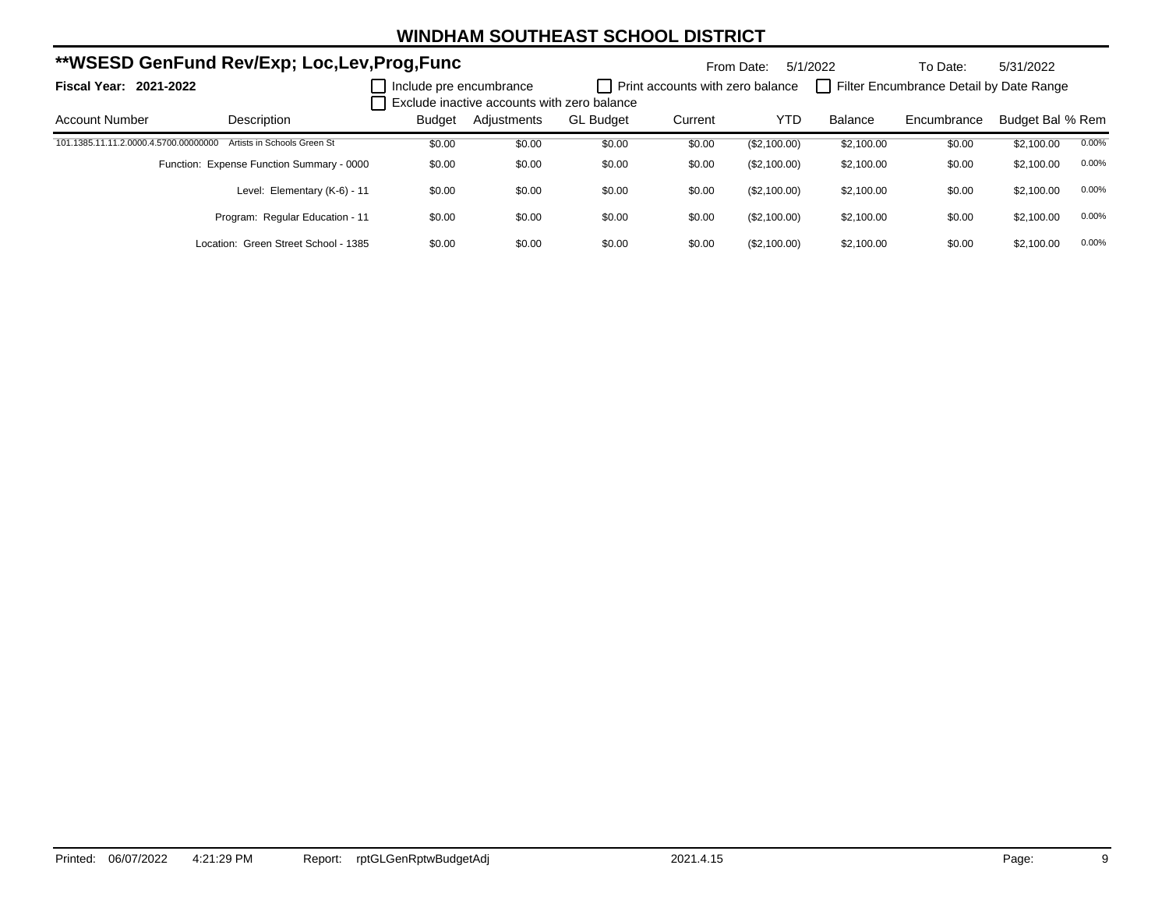| **WSESD GenFund Rev/Exp; Loc,Lev,Prog,Func |                                           |                         |                                             |                  | 5/1/2022<br>From Date:           |              | To Date:       | 5/31/2022                               |                  |       |
|--------------------------------------------|-------------------------------------------|-------------------------|---------------------------------------------|------------------|----------------------------------|--------------|----------------|-----------------------------------------|------------------|-------|
| <b>Fiscal Year: 2021-2022</b>              |                                           | Include pre encumbrance | Exclude inactive accounts with zero balance |                  | Print accounts with zero balance |              |                | Filter Encumbrance Detail by Date Range |                  |       |
| <b>Account Number</b>                      | Description                               | Budget                  | Adjustments                                 | <b>GL Budget</b> | Current                          | YTD          | <b>Balance</b> | Encumbrance                             | Budget Bal % Rem |       |
| 101.1385.11.11.2.0000.4.5700.00000000      | Artists in Schools Green St               | \$0.00                  | \$0.00                                      | \$0.00           | \$0.00                           | (\$2,100.00) | \$2,100.00     | \$0.00                                  | \$2,100.00       | 0.00% |
|                                            | Function: Expense Function Summary - 0000 | \$0.00                  | \$0.00                                      | \$0.00           | \$0.00                           | (\$2,100.00) | \$2.100.00     | \$0.00                                  | \$2,100.00       | 0.00% |
|                                            | Level: Elementary (K-6) - 11              | \$0.00                  | \$0.00                                      | \$0.00           | \$0.00                           | (\$2,100.00) | \$2,100.00     | \$0.00                                  | \$2,100.00       | 0.00% |
|                                            | Program: Regular Education - 11           | \$0.00                  | \$0.00                                      | \$0.00           | \$0.00                           | (\$2,100.00) | \$2.100.00     | \$0.00                                  | \$2,100.00       | 0.00% |
|                                            | Location: Green Street School - 1385      | \$0.00                  | \$0.00                                      | \$0.00           | \$0.00                           | (\$2,100.00) | \$2.100.00     | \$0.00                                  | \$2,100.00       | 0.00% |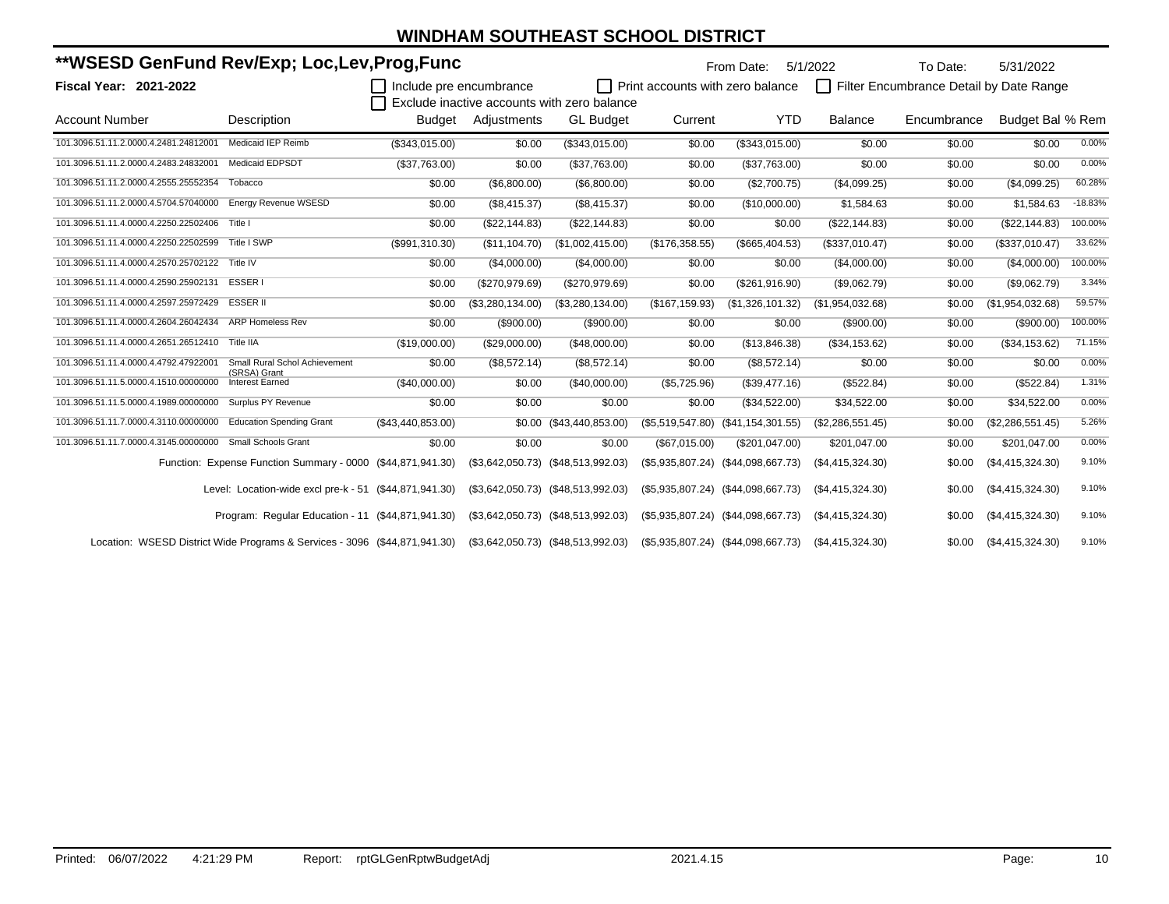|                                       | **WSESD GenFund Rev/Exp; Loc,Lev,Prog,Func                                 |                         |                  |                                             |                                  |                                        | 5/1/2022           | To Date:                                | 5/31/2022          |           |
|---------------------------------------|----------------------------------------------------------------------------|-------------------------|------------------|---------------------------------------------|----------------------------------|----------------------------------------|--------------------|-----------------------------------------|--------------------|-----------|
| <b>Fiscal Year: 2021-2022</b>         |                                                                            | Include pre encumbrance |                  |                                             | Print accounts with zero balance |                                        |                    | Filter Encumbrance Detail by Date Range |                    |           |
|                                       |                                                                            |                         |                  | Exclude inactive accounts with zero balance |                                  |                                        |                    |                                         |                    |           |
| <b>Account Number</b>                 | Description                                                                | Budget                  | Adjustments      | <b>GL Budget</b>                            | Current                          | <b>YTD</b>                             | <b>Balance</b>     | Encumbrance                             | Budget Bal % Rem   |           |
| 101.3096.51.11.2.0000.4.2481.24812001 | Medicaid IEP Reimb                                                         | (\$343,015.00)          | \$0.00           | (\$343,015.00)                              | \$0.00                           | (\$343,015.00)                         | \$0.00             | \$0.00                                  | \$0.00             | 0.00%     |
| 101.3096.51.11.2.0000.4.2483.24832001 | Medicaid EDPSDT                                                            | (\$37,763.00)           | \$0.00           | (\$37,763.00)                               | \$0.00                           | (\$37,763.00)                          | \$0.00             | \$0.00                                  | \$0.00             | 0.00%     |
| 101.3096.51.11.2.0000.4.2555.25552354 | Tobacco                                                                    | \$0.00                  | (\$6,800.00)     | (\$6,800.00)                                | \$0.00                           | (\$2,700.75)                           | (\$4,099.25)       | \$0.00                                  | (\$4,099.25)       | 60.28%    |
| 101.3096.51.11.2.0000.4.5704.57040000 | <b>Energy Revenue WSESD</b>                                                | \$0.00                  | (\$8,415.37)     | (\$8,415.37)                                | \$0.00                           | (\$10,000.00)                          | \$1,584.63         | \$0.00                                  | \$1,584.63         | $-18.83%$ |
| 101.3096.51.11.4.0000.4.2250.22502406 | Title I                                                                    | \$0.00                  | (\$22,144.83)    | (\$22,144.83)                               | \$0.00                           | \$0.00                                 | (\$22,144.83)      | \$0.00                                  | (\$22,144.83)      | 100.00%   |
| 101.3096.51.11.4.0000.4.2250.22502599 | Title I SWP                                                                | (\$991,310.30)          | (\$11,104.70)    | (\$1,002,415.00)                            | (\$176,358.55)                   | (\$665,404.53)                         | (\$337,010.47)     | \$0.00                                  | (\$337,010.47)     | 33.62%    |
| 101.3096.51.11.4.0000.4.2570.25702122 | Title IV                                                                   | \$0.00                  | (\$4,000.00)     | (\$4,000.00)                                | \$0.00                           | \$0.00                                 | (\$4,000.00)       | \$0.00                                  | (\$4,000.00)       | 100.00%   |
| 101.3096.51.11.4.0000.4.2590.25902131 | <b>ESSER1</b>                                                              | \$0.00                  | (\$270,979.69)   | (\$270,979.69)                              | \$0.00                           | (\$261,916.90)                         | (\$9,062.79)       | \$0.00                                  | (\$9,062.79)       | 3.34%     |
| 101.3096.51.11.4.0000.4.2597.25972429 | <b>ESSER II</b>                                                            | \$0.00                  | (\$3,280,134.00) | (\$3,280,134.00)                            | (\$167, 159.93)                  | (\$1,326,101.32)                       | (\$1,954,032.68)   | \$0.00                                  | (\$1,954,032.68)   | 59.57%    |
| 101.3096.51.11.4.0000.4.2604.26042434 | <b>ARP Homeless Rev</b>                                                    | \$0.00                  | (\$900.00)       | $(\$900.00)$                                | \$0.00                           | \$0.00                                 | (\$900.00)         | \$0.00                                  | (\$900.00)         | 100.00%   |
| 101.3096.51.11.4.0000.4.2651.26512410 | Title IIA                                                                  | (\$19,000.00)           | (\$29,000.00)    | (\$48,000.00)                               | \$0.00                           | (\$13,846.38)                          | (\$34,153.62)      | \$0.00                                  | (\$34,153.62)      | 71.15%    |
| 101.3096.51.11.4.0000.4.4792.47922001 | Small Rural Schol Achievement<br>(SRSA) Grant                              | \$0.00                  | (\$8,572.14)     | (\$8,572.14)                                | \$0.00                           | (\$8,572.14)                           | \$0.00             | \$0.00                                  | \$0.00             | 0.00%     |
| 101.3096.51.11.5.0000.4.1510.00000000 | <b>Interest Earned</b>                                                     | (\$40,000.00)           | \$0.00           | (\$40,000.00)                               | (\$5,725.96)                     | (\$39,477.16)                          | (\$522.84)         | \$0.00                                  | (\$522.84)         | 1.31%     |
| 101.3096.51.11.5.0000.4.1989.00000000 | Surplus PY Revenue                                                         | \$0.00                  | \$0.00           | \$0.00                                      | \$0.00                           | (\$34,522.00)                          | \$34,522.00        | \$0.00                                  | \$34,522.00        | 0.00%     |
| 101.3096.51.11.7.0000.4.3110.00000000 | <b>Education Spending Grant</b>                                            | $(\$43,440,853.00)$     |                  | \$0.00 (\$43,440,853.00)                    | $(\$5,519,547.80)$               | $(\$41,154,301.55)$                    | (\$2,286,551.45)   | \$0.00                                  | (\$2,286,551.45)   | 5.26%     |
| 101.3096.51.11.7.0000.4.3145.00000000 | <b>Small Schools Grant</b>                                                 | \$0.00                  | \$0.00           | \$0.00                                      | (\$67,015.00)                    | (\$201,047.00)                         | \$201,047.00       | \$0.00                                  | \$201,047.00       | 0.00%     |
|                                       | Function: Expense Function Summary - 0000 (\$44,871,941.30)                |                         |                  | $($3,642,050.73)$ $($48,513,992.03)$        |                                  | (\$5,935,807.24) (\$44,098,667.73)     | $(\$4,415,324.30)$ | \$0.00                                  | (\$4,415,324.30)   | 9.10%     |
|                                       | Level: Location-wide excl pre-k - 51 (\$44,871,941.30)                     |                         |                  | $($3,642,050.73)$ $($48,513,992.03)$        |                                  | $(\$5,935,807.24)$ $(\$44,098,667.73)$ | (\$4,415,324.30)   | \$0.00                                  | (\$4,415,324.30)   | 9.10%     |
|                                       | Program: Regular Education - 11 (\$44,871,941.30)                          |                         |                  | $($3,642,050.73)$ $($48,513,992.03)$        |                                  | $(\$5,935,807.24)$ $(\$44,098,667.73)$ | (\$4,415,324.30)   | \$0.00                                  | (\$4,415,324.30)   | 9.10%     |
|                                       | Location: WSESD District Wide Programs & Services - 3096 (\$44,871,941.30) |                         |                  | $(S3, 642, 050.73)$ $(S48, 513, 992.03)$    |                                  | $(\$5,935,807.24)$ $(\$44,098,667.73)$ | (\$4,415,324.30)   | \$0.00                                  | $(\$4,415,324.30)$ | 9.10%     |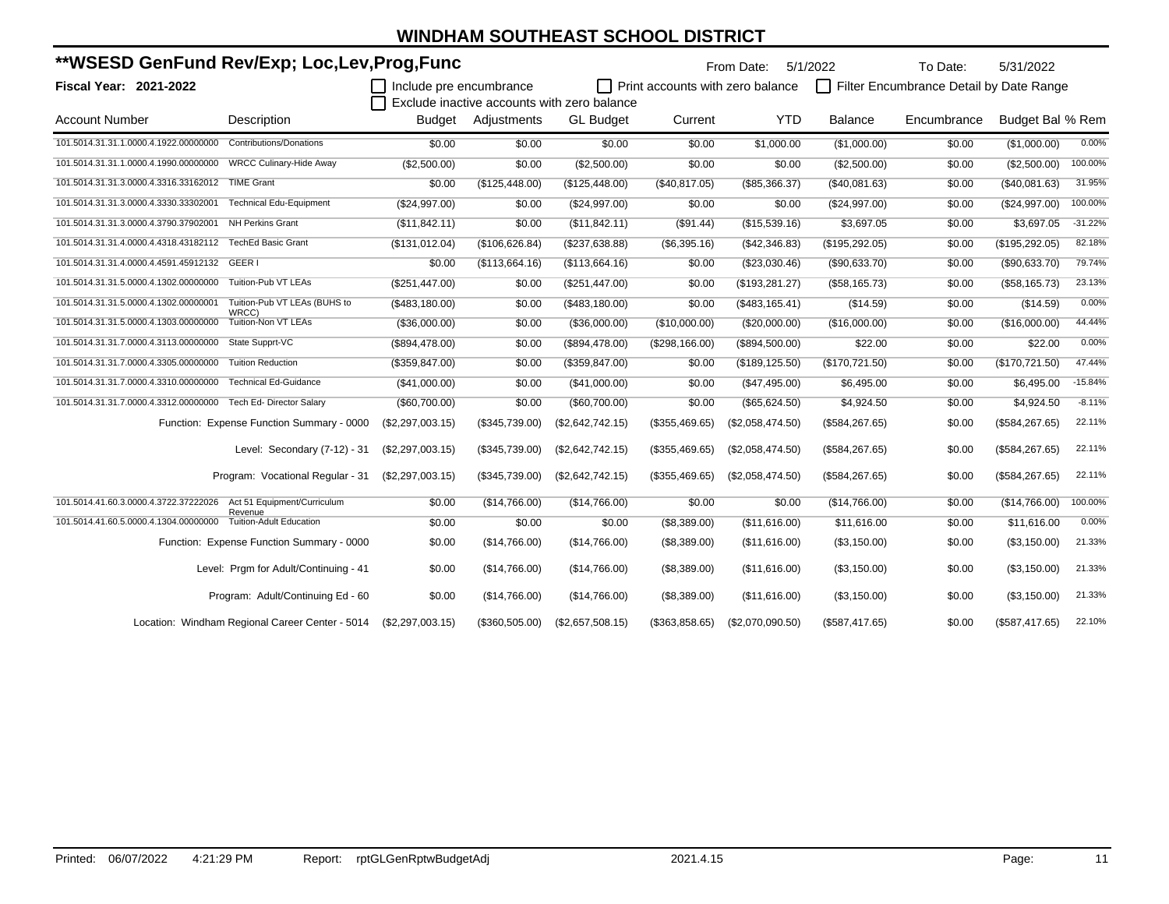| **WSESD GenFund Rev/Exp; Loc,Lev,Prog,Func                        |                                                 |                         |                |                                             |                                         | From Date:       | 5/1/2022        | To Date:                                | 5/31/2022        |           |
|-------------------------------------------------------------------|-------------------------------------------------|-------------------------|----------------|---------------------------------------------|-----------------------------------------|------------------|-----------------|-----------------------------------------|------------------|-----------|
| <b>Fiscal Year: 2021-2022</b>                                     |                                                 | Include pre encumbrance |                | Exclude inactive accounts with zero balance | $\Box$ Print accounts with zero balance |                  |                 | Filter Encumbrance Detail by Date Range |                  |           |
| <b>Account Number</b>                                             | Description                                     | Budget                  | Adjustments    | <b>GL Budget</b>                            | Current                                 | <b>YTD</b>       | <b>Balance</b>  | Encumbrance                             | Budget Bal % Rem |           |
| 101.5014.31.31.1.0000.4.1922.00000000                             | <b>Contributions/Donations</b>                  | \$0.00                  | \$0.00         | \$0.00                                      | \$0.00                                  | \$1,000.00       | (\$1,000.00)    | \$0.00                                  | (\$1,000.00)     | 0.00%     |
| 101.5014.31.31.1.0000.4.1990.00000000                             | <b>WRCC Culinary-Hide Away</b>                  | (\$2,500.00)            | \$0.00         | (\$2,500.00)                                | \$0.00                                  | \$0.00           | (\$2,500.00)    | \$0.00                                  | (\$2,500.00)     | 100.00%   |
| 101.5014.31.31.3.0000.4.3316.33162012 TIME Grant                  |                                                 | \$0.00                  | (\$125,448.00) | (\$125,448.00)                              | (\$40,817.05)                           | $(\$85,366.37)$  | (\$40,081.63)   | \$0.00                                  | (\$40,081.63)    | 31.95%    |
| 101.5014.31.31.3.0000.4.3330.33302001                             | <b>Technical Edu-Equipment</b>                  | (\$24,997.00)           | \$0.00         | (\$24,997.00)                               | \$0.00                                  | \$0.00           | (\$24,997.00)   | \$0.00                                  | (\$24,997.00)    | 100.00%   |
| 101.5014.31.31.3.0000.4.3790.37902001                             | <b>NH Perkins Grant</b>                         | (\$11,842.11)           | \$0.00         | (\$11,842.11)                               | (\$91.44)                               | (\$15,539.16)    | \$3,697.05      | \$0.00                                  | \$3,697.05       | $-31.22%$ |
| 101.5014.31.31.4.0000.4.4318.43182112 TechEd Basic Grant          |                                                 | (\$131,012.04)          | (\$106,626.84) | (\$237,638.88)                              | (\$6,395.16)                            | (\$42,346.83)    | (\$195,292.05)  | \$0.00                                  | (\$195,292.05)   | 82.18%    |
| 101.5014.31.31.4.0000.4.4591.45912132 GEER I                      |                                                 | \$0.00                  | (\$113,664.16) | (\$113,664.16)                              | \$0.00                                  | (\$23,030.46)    | (\$90,633.70)   | \$0.00                                  | (\$90,633.70)    | 79.74%    |
| 101.5014.31.31.5.0000.4.1302.00000000                             | Tuition-Pub VT LEAs                             | (\$251,447.00)          | \$0.00         | (\$251,447.00)                              | \$0.00                                  | (\$193,281.27)   | (\$58,165.73)   | \$0.00                                  | (\$58,165.73)    | 23.13%    |
| 101.5014.31.31.5.0000.4.1302.00000001                             | Tuition-Pub VT LEAs (BUHS to                    | (\$483,180.00)          | \$0.00         | (\$483,180.00)                              | \$0.00                                  | (\$483, 165.41)  | (\$14.59)       | \$0.00                                  | (\$14.59)        | 0.00%     |
| 101.5014.31.31.5.0000.4.1303.00000000                             | WRCC)<br><b>Tuition-Non VT LEAs</b>             | (\$36,000.00)           | \$0.00         | (\$36,000.00)                               | (\$10,000.00)                           | (\$20,000.00)    | (\$16,000.00)   | \$0.00                                  | (\$16,000.00)    | 44.44%    |
| 101.5014.31.31.7.0000.4.3113.00000000                             | State Supprt-VC                                 | (\$894,478.00)          | \$0.00         | (\$894,478.00)                              | (\$298, 166.00)                         | (\$894,500.00)   | \$22.00         | \$0.00                                  | \$22.00          | 0.00%     |
| 101.5014.31.31.7.0000.4.3305.00000000                             | <b>Tuition Reduction</b>                        | (\$359, 847.00)         | \$0.00         | (\$359, 847.00)                             | \$0.00                                  | (\$189, 125.50)  | (\$170, 721.50) | \$0.00                                  | (\$170, 721.50)  | 47.44%    |
| 101.5014.31.31.7.0000.4.3310.00000000                             | <b>Technical Ed-Guidance</b>                    | (\$41,000.00)           | \$0.00         | (\$41,000.00)                               | \$0.00                                  | (\$47,495.00)    | \$6,495.00      | \$0.00                                  | \$6,495.00       | $-15.84%$ |
| 101.5014.31.31.7.0000.4.3312.00000000 Tech Ed- Director Salary    |                                                 | (\$60,700.00)           | \$0.00         | (\$60,700.00)                               | \$0.00                                  | (\$65,624.50)    | \$4,924.50      | \$0.00                                  | \$4,924.50       | $-8.11%$  |
|                                                                   | Function: Expense Function Summary - 0000       | (\$2,297,003.15)        | (\$345,739.00) | (\$2,642,742.15)                            | (\$355,469.65)                          | (\$2,058,474.50) | (\$584, 267.65) | \$0.00                                  | (\$584, 267.65)  | 22.11%    |
|                                                                   | Level: Secondary (7-12) - 31                    | (\$2,297,003.15)        | (\$345,739.00) | (\$2,642,742.15)                            | (\$355,469.65)                          | (\$2,058,474.50) | (\$584, 267.65) | \$0.00                                  | (\$584, 267.65)  | 22.11%    |
|                                                                   | Program: Vocational Regular - 31                | (\$2,297,003.15)        | (\$345,739.00) | (\$2,642,742.15)                            | (\$355,469.65)                          | (\$2,058,474.50) | (\$584, 267.65) | \$0.00                                  | (\$584, 267.65)  | 22.11%    |
| 101.5014.41.60.3.0000.4.3722.37222026 Act 51 Equipment/Curriculum |                                                 | \$0.00                  | (\$14,766.00)  | (\$14,766.00)                               | \$0.00                                  | \$0.00           | (\$14,766.00)   | \$0.00                                  | (\$14,766.00)    | 100.00%   |
| 101.5014.41.60.5.0000.4.1304.00000000                             | Revenue<br><b>Tuition-Adult Education</b>       | \$0.00                  | \$0.00         | \$0.00                                      | (\$8,389.00)                            | (\$11,616.00)    | \$11,616.00     | \$0.00                                  | \$11,616.00      | 0.00%     |
|                                                                   | Function: Expense Function Summary - 0000       | \$0.00                  | (\$14,766.00)  | (\$14,766.00)                               | (S8, 389.00)                            | (S11, 616.00)    | (\$3,150.00)    | \$0.00                                  | (S3, 150.00)     | 21.33%    |
|                                                                   | Level: Prgm for Adult/Continuing - 41           | \$0.00                  | (\$14,766.00)  | (\$14,766.00)                               | (S8, 389.00)                            | (S11, 616.00)    | (S3, 150.00)    | \$0.00                                  | (\$3,150.00)     | 21.33%    |
|                                                                   | Program: Adult/Continuing Ed - 60               | \$0.00                  | (\$14,766.00)  | (\$14,766.00)                               | (\$8,389.00)                            | (S11, 616.00)    | (S3, 150.00)    | \$0.00                                  | (\$3,150.00)     | 21.33%    |
|                                                                   | Location: Windham Regional Career Center - 5014 | (\$2,297,003.15)        | (\$360,505.00) | (\$2,657,508.15)                            | (\$363,858.65)                          | (\$2,070,090.50) | (\$587,417.65)  | \$0.00                                  | (\$587,417.65)   | 22.10%    |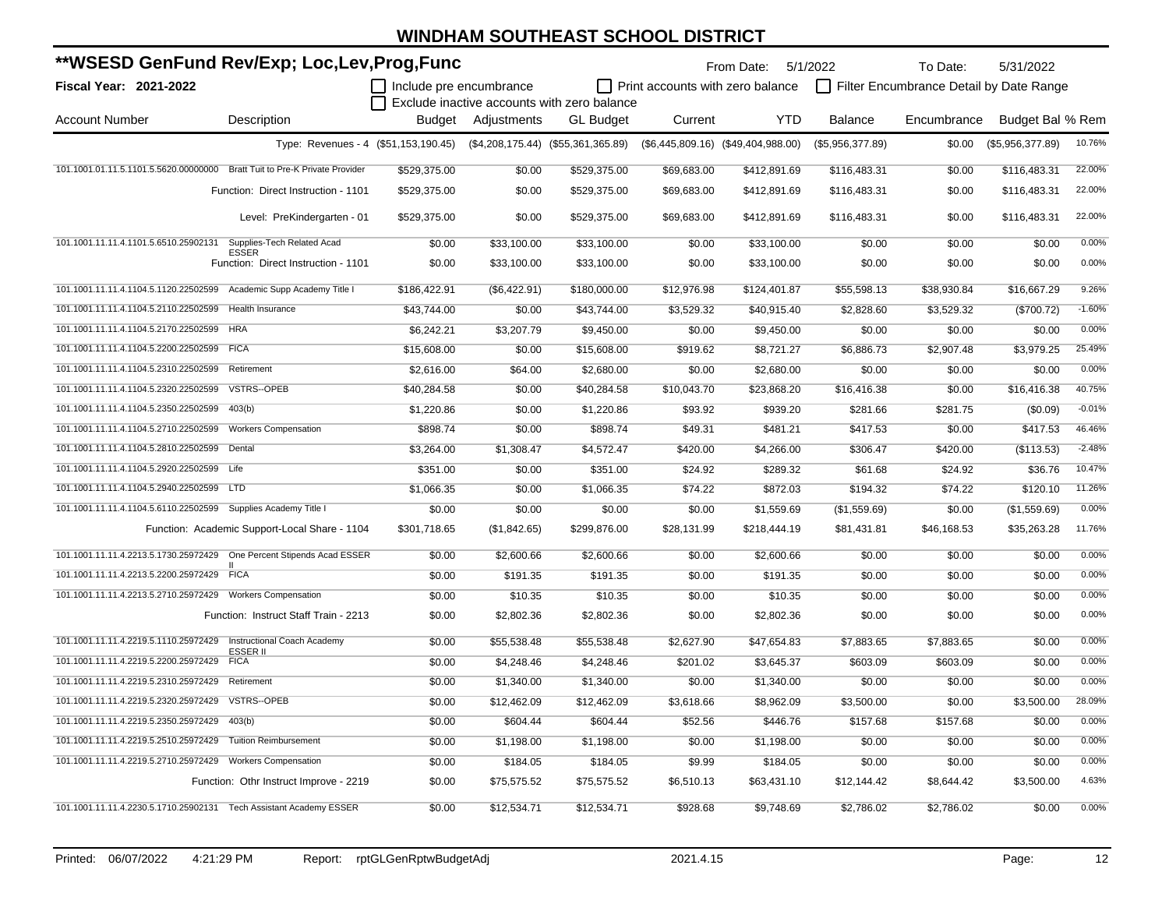| **WSESD GenFund Rev/Exp; Loc,Lev,Prog,Func                                 |                                                |                         |              |                                             |                                  | From Date: 5/1/2022                  |                  | To Date:                                | 5/31/2022        |          |
|----------------------------------------------------------------------------|------------------------------------------------|-------------------------|--------------|---------------------------------------------|----------------------------------|--------------------------------------|------------------|-----------------------------------------|------------------|----------|
| Fiscal Year: 2021-2022                                                     |                                                | Include pre encumbrance |              |                                             | Print accounts with zero balance |                                      |                  | Filter Encumbrance Detail by Date Range |                  |          |
|                                                                            |                                                |                         |              | Exclude inactive accounts with zero balance |                                  |                                      |                  |                                         |                  |          |
| <b>Account Number</b>                                                      | Description                                    | Budget                  | Adjustments  | <b>GL Budget</b>                            | Current                          | <b>YTD</b>                           | <b>Balance</b>   | Encumbrance                             | Budget Bal % Rem |          |
|                                                                            | Type: Revenues - 4 (\$51,153,190.45)           |                         |              | $($4,208,175.44)$ $($55,361,365.89)$        |                                  | $($6,445,809.16)$ $($49,404,988.00)$ | (\$5,956,377.89) | \$0.00                                  | (\$5,956,377.89) | 10.76%   |
| 101.1001.01.11.5.1101.5.5620.00000000 Bratt Tuit to Pre-K Private Provider |                                                | \$529,375.00            | \$0.00       | \$529,375.00                                | \$69,683.00                      | \$412,891.69                         | \$116,483.31     | \$0.00                                  | \$116,483.31     | 22.00%   |
|                                                                            | Function: Direct Instruction - 1101            | \$529,375.00            | \$0.00       | \$529,375.00                                | \$69,683.00                      | \$412,891.69                         | \$116,483.31     | \$0.00                                  | \$116,483.31     | 22.00%   |
|                                                                            | Level: PreKindergarten - 01                    | \$529,375.00            | \$0.00       | \$529,375.00                                | \$69,683.00                      | \$412,891.69                         | \$116,483.31     | \$0.00                                  | \$116,483.31     | 22.00%   |
| 101.1001.11.11.4.1101.5.6510.25902131                                      | Supplies-Tech Related Acad<br>ESSER            | \$0.00                  | \$33,100.00  | \$33,100.00                                 | \$0.00                           | \$33,100.00                          | \$0.00           | \$0.00                                  | \$0.00           | 0.00%    |
|                                                                            | Function: Direct Instruction - 1101            | \$0.00                  | \$33,100.00  | \$33,100.00                                 | \$0.00                           | \$33,100.00                          | \$0.00           | \$0.00                                  | \$0.00           | 0.00%    |
| 101.1001.11.11.4.1104.5.1120.22502599 Academic Supp Academy Title I        |                                                | \$186,422.91            | (\$6,422.91) | \$180,000.00                                | \$12,976.98                      | \$124,401.87                         | \$55,598.13      | \$38,930.84                             | \$16,667.29      | 9.26%    |
| 101.1001.11.11.4.1104.5.2110.22502599                                      | Health Insurance                               | \$43,744.00             | \$0.00       | \$43,744.00                                 | \$3,529.32                       | \$40,915.40                          | \$2,828.60       | \$3,529.32                              | (\$700.72)       | $-1.60%$ |
| 101.1001.11.11.4.1104.5.2170.22502599 HRA                                  |                                                | \$6,242.21              | \$3,207.79   | \$9,450.00                                  | \$0.00                           | \$9,450.00                           | \$0.00           | \$0.00                                  | \$0.00           | 0.00%    |
| 101.1001.11.11.4.1104.5.2200.22502599 FICA                                 |                                                | \$15,608.00             | \$0.00       | \$15,608.00                                 | \$919.62                         | \$8,721.27                           | \$6,886.73       | \$2,907.48                              | \$3,979.25       | 25.49%   |
| 101.1001.11.11.4.1104.5.2310.22502599                                      | Retirement                                     | \$2,616.00              | \$64.00      | \$2,680.00                                  | \$0.00                           | \$2,680.00                           | \$0.00           | \$0.00                                  | \$0.00           | 0.00%    |
| 101.1001.11.11.4.1104.5.2320.22502599                                      | <b>VSTRS--OPEB</b>                             | \$40,284.58             | \$0.00       | \$40,284.58                                 | \$10,043.70                      | \$23,868.20                          | \$16,416.38      | \$0.00                                  | \$16,416.38      | 40.75%   |
| 101.1001.11.11.4.1104.5.2350.22502599                                      | 403(b)                                         | \$1,220.86              | \$0.00       | \$1,220.86                                  | \$93.92                          | \$939.20                             | \$281.66         | \$281.75                                | (\$0.09)         | $-0.01%$ |
| 101.1001.11.11.4.1104.5.2710.22502599                                      | <b>Workers Compensation</b>                    | \$898.74                | \$0.00       | \$898.74                                    | \$49.31                          | \$481.21                             | \$417.53         | \$0.00                                  | \$417.53         | 46.46%   |
| 101.1001.11.11.4.1104.5.2810.22502599                                      | Dental                                         | \$3,264.00              | \$1,308.47   | \$4,572.47                                  | \$420.00                         | \$4,266.00                           | \$306.47         | \$420.00                                | (\$113.53)       | $-2.48%$ |
| 101.1001.11.11.4.1104.5.2920.22502599 Life                                 |                                                | \$351.00                | \$0.00       | \$351.00                                    | \$24.92                          | \$289.32                             | \$61.68          | \$24.92                                 | \$36.76          | 10.47%   |
| 101.1001.11.11.4.1104.5.2940.22502599 LTD                                  |                                                | \$1,066.35              | \$0.00       | \$1,066.35                                  | \$74.22                          | \$872.03                             | \$194.32         | \$74.22                                 | \$120.10         | 11.26%   |
| 101.1001.11.11.4.1104.5.6110.22502599 Supplies Academy Title I             |                                                | \$0.00                  | \$0.00       | \$0.00                                      | \$0.00                           | \$1,559.69                           | (\$1,559.69)     | \$0.00                                  | (\$1,559.69)     | 0.00%    |
|                                                                            | Function: Academic Support-Local Share - 1104  | \$301,718.65            | (\$1,842.65) | \$299,876.00                                | \$28,131.99                      | \$218,444.19                         | \$81,431.81      | \$46,168.53                             | \$35,263.28      | 11.76%   |
| 101.1001.11.11.4.2213.5.1730.25972429  One Percent Stipends Acad ESSER     |                                                | \$0.00                  | \$2,600.66   | \$2,600.66                                  | \$0.00                           | \$2,600.66                           | \$0.00           | \$0.00                                  | \$0.00           | 0.00%    |
| 101.1001.11.11.4.2213.5.2200.25972429 FICA                                 |                                                | \$0.00                  | \$191.35     | \$191.35                                    | \$0.00                           | \$191.35                             | \$0.00           | \$0.00                                  | \$0.00           | 0.00%    |
| 101.1001.11.11.4.2213.5.2710.25972429 Workers Compensation                 |                                                | \$0.00                  | \$10.35      | \$10.35                                     | \$0.00                           | \$10.35                              | \$0.00           | \$0.00                                  | \$0.00           | 0.00%    |
|                                                                            | Function: Instruct Staff Train - 2213          | \$0.00                  | \$2,802.36   | \$2,802.36                                  | \$0.00                           | \$2,802.36                           | \$0.00           | \$0.00                                  | \$0.00           | 0.00%    |
| 101.1001.11.11.4.2219.5.1110.25972429                                      | Instructional Coach Academy<br><b>ESSER II</b> | \$0.00                  | \$55,538.48  | \$55,538.48                                 | \$2,627.90                       | \$47,654.83                          | \$7,883.65       | \$7,883.65                              | \$0.00           | 0.00%    |
| 101.1001.11.11.4.2219.5.2200.25972429                                      | <b>FICA</b>                                    | \$0.00                  | \$4,248.46   | \$4,248.46                                  | \$201.02                         | \$3,645.37                           | \$603.09         | \$603.09                                | \$0.00           | 0.00%    |
| 101.1001.11.11.4.2219.5.2310.25972429                                      | Retirement                                     | \$0.00                  | \$1,340.00   | \$1,340.00                                  | \$0.00                           | \$1,340.00                           | \$0.00           | \$0.00                                  | \$0.00           | 0.00%    |
| 101.1001.11.11.4.2219.5.2320.25972429                                      | VSTRS--OPEB                                    | \$0.00                  | \$12,462.09  | \$12,462.09                                 | \$3,618.66                       | \$8,962.09                           | \$3,500.00       | \$0.00                                  | \$3,500.00       | 28.09%   |
| 101.1001.11.11.4.2219.5.2350.25972429                                      | 403(b)                                         | \$0.00                  | \$604.44     | \$604.44                                    | \$52.56                          | \$446.76                             | \$157.68         | \$157.68                                | \$0.00           | 0.00%    |
| 101.1001.11.11.4.2219.5.2510.25972429                                      | <b>Tuition Reimbursement</b>                   | \$0.00                  | \$1,198.00   | \$1,198.00                                  | \$0.00                           | \$1,198.00                           | \$0.00           | \$0.00                                  | \$0.00           | 0.00%    |
| 101.1001.11.11.4.2219.5.2710.25972429                                      | <b>Workers Compensation</b>                    | \$0.00                  | \$184.05     | \$184.05                                    | \$9.99                           | \$184.05                             | \$0.00           | \$0.00                                  | \$0.00           | 0.00%    |
|                                                                            | Function: Othr Instruct Improve - 2219         | \$0.00                  | \$75,575.52  | \$75,575.52                                 | \$6,510.13                       | \$63,431.10                          | \$12,144.42      | \$8,644.42                              | \$3,500.00       | 4.63%    |
| 101.1001.11.11.4.2230.5.1710.25902131 Tech Assistant Academy ESSER         |                                                | \$0.00                  | \$12,534.71  | \$12,534.71                                 | \$928.68                         | \$9,748.69                           | \$2,786.02       | \$2,786.02                              | \$0.00           | 0.00%    |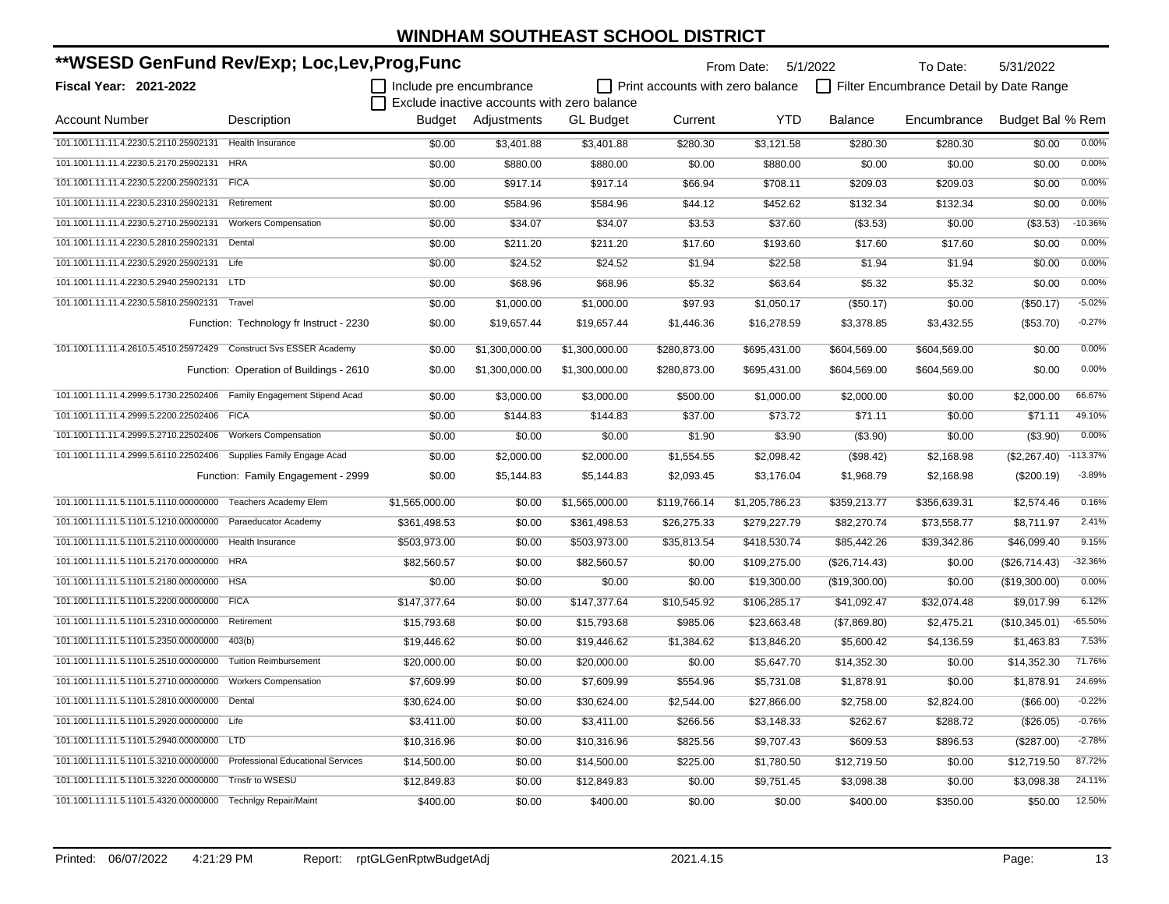| **WSESD GenFund Rev/Exp; Loc,Lev,Prog,Func                              |                                         |                         |                    |                                             | From Date: 5/1/2022              |                | To Date:       | 5/31/2022                               |                  |            |
|-------------------------------------------------------------------------|-----------------------------------------|-------------------------|--------------------|---------------------------------------------|----------------------------------|----------------|----------------|-----------------------------------------|------------------|------------|
| <b>Fiscal Year: 2021-2022</b>                                           |                                         | Include pre encumbrance |                    |                                             | Print accounts with zero balance |                |                | Filter Encumbrance Detail by Date Range |                  |            |
|                                                                         |                                         |                         |                    | Exclude inactive accounts with zero balance |                                  |                |                |                                         |                  |            |
| <b>Account Number</b>                                                   | Description                             |                         | Budget Adjustments | <b>GL Budget</b>                            | Current                          | <b>YTD</b>     | <b>Balance</b> | Encumbrance                             | Budget Bal % Rem |            |
| 101.1001.11.11.4.2230.5.2110.25902131                                   | Health Insurance                        | \$0.00                  | \$3,401.88         | \$3,401.88                                  | \$280.30                         | \$3,121.58     | \$280.30       | \$280.30                                | \$0.00           | 0.00%      |
| 101.1001.11.11.4.2230.5.2170.25902131                                   | <b>HRA</b>                              | \$0.00                  | \$880.00           | \$880.00                                    | \$0.00                           | \$880.00       | \$0.00         | \$0.00                                  | \$0.00           | 0.00%      |
| 101.1001.11.11.4.2230.5.2200.25902131 FICA                              |                                         | \$0.00                  | \$917.14           | \$917.14                                    | \$66.94                          | \$708.11       | \$209.03       | \$209.03                                | \$0.00           | 0.00%      |
| 101.1001.11.11.4.2230.5.2310.25902131                                   | Retirement                              | \$0.00                  | \$584.96           | \$584.96                                    | \$44.12                          | \$452.62       | \$132.34       | \$132.34                                | \$0.00           | 0.00%      |
| 101.1001.11.11.4.2230.5.2710.25902131                                   | <b>Workers Compensation</b>             | \$0.00                  | \$34.07            | \$34.07                                     | \$3.53                           | \$37.60        | (\$3.53)       | \$0.00                                  | (\$3.53)         | $-10.36%$  |
| 101.1001.11.11.4.2230.5.2810.25902131                                   | Dental                                  | \$0.00                  | \$211.20           | \$211.20                                    | \$17.60                          | \$193.60       | \$17.60        | \$17.60                                 | \$0.00           | 0.00%      |
| 101.1001.11.11.4.2230.5.2920.25902131 Life                              |                                         | \$0.00                  | \$24.52            | \$24.52                                     | \$1.94                           | \$22.58        | \$1.94         | \$1.94                                  | \$0.00           | 0.00%      |
| 101.1001.11.11.4.2230.5.2940.25902131 LTD                               |                                         | \$0.00                  | \$68.96            | \$68.96                                     | \$5.32                           | \$63.64        | \$5.32         | \$5.32                                  | \$0.00           | 0.00%      |
| 101.1001.11.11.4.2230.5.5810.25902131                                   | Travel                                  | \$0.00                  | \$1,000.00         | \$1,000.00                                  | \$97.93                          | \$1,050.17     | (\$50.17)      | \$0.00                                  | (\$50.17)        | $-5.02%$   |
|                                                                         | Function: Technology fr Instruct - 2230 | \$0.00                  | \$19,657.44        | \$19,657.44                                 | \$1,446.36                       | \$16,278.59    | \$3,378.85     | \$3,432.55                              | (\$53.70)        | $-0.27%$   |
| 101.1001.11.11.4.2610.5.4510.25972429 Construct Svs ESSER Academy       |                                         | \$0.00                  | \$1,300,000.00     | \$1,300,000.00                              | \$280,873.00                     | \$695,431.00   | \$604,569.00   | \$604,569.00                            | \$0.00           | 0.00%      |
|                                                                         | Function: Operation of Buildings - 2610 | \$0.00                  | \$1,300,000.00     | \$1,300,000.00                              | \$280,873.00                     | \$695,431.00   | \$604,569.00   | \$604,569.00                            | \$0.00           | 0.00%      |
| 101.1001.11.11.4.2999.5.1730.22502406 Family Engagement Stipend Acad    |                                         | \$0.00                  | \$3,000.00         | \$3,000.00                                  | \$500.00                         | \$1,000.00     | \$2,000.00     | \$0.00                                  | \$2,000.00       | 66.67%     |
| 101.1001.11.11.4.2999.5.2200.22502406 FICA                              |                                         | \$0.00                  | \$144.83           | \$144.83                                    | \$37.00                          | \$73.72        | \$71.11        | \$0.00                                  | \$71.11          | 49.10%     |
|                                                                         |                                         | \$0.00                  | \$0.00             | \$0.00                                      | \$1.90                           | \$3.90         | (\$3.90)       | \$0.00                                  | (\$3.90)         | 0.00%      |
| 101.1001.11.11.4.2999.5.6110.22502406 Supplies Family Engage Acad       |                                         | \$0.00                  | \$2,000.00         | \$2,000.00                                  | \$1,554.55                       | \$2,098.42     | (\$98.42)      | \$2,168.98                              | (\$2,267.40)     | $-113.37%$ |
|                                                                         | Function: Family Engagement - 2999      | \$0.00                  | \$5,144.83         | \$5,144.83                                  | \$2,093.45                       | \$3,176.04     | \$1,968.79     | \$2,168.98                              | (\$200.19)       | $-3.89%$   |
| 101.1001.11.11.5.1101.5.1110.00000000 Teachers Academy Elem             |                                         | \$1,565,000.00          | \$0.00             | \$1,565,000.00                              | \$119,766.14                     | \$1,205,786.23 | \$359,213.77   | \$356,639.31                            | \$2,574.46       | 0.16%      |
| 101.1001.11.11.5.1101.5.1210.00000000 Paraeducator Academy              |                                         | \$361,498.53            | \$0.00             | \$361,498.53                                | \$26,275.33                      | \$279,227.79   | \$82,270.74    | \$73,558.77                             | \$8,711.97       | 2.41%      |
| 101.1001.11.11.5.1101.5.2110.00000000 Health Insurance                  |                                         | \$503,973.00            | \$0.00             | \$503,973.00                                | \$35,813.54                      | \$418,530.74   | \$85,442.26    | \$39,342.86                             | \$46,099.40      | 9.15%      |
| 101.1001.11.11.5.1101.5.2170.00000000 HRA                               |                                         | \$82,560.57             | \$0.00             | \$82,560.57                                 | \$0.00                           | \$109,275.00   | (\$26,714.43)  | \$0.00                                  | (\$26,714.43)    | -32.36%    |
| 101.1001.11.11.5.1101.5.2180.00000000 HSA                               |                                         | \$0.00                  | \$0.00             | \$0.00                                      | \$0.00                           | \$19,300.00    | (\$19,300.00)  | \$0.00                                  | (\$19,300.00)    | 0.00%      |
| 101.1001.11.11.5.1101.5.2200.00000000 FICA                              |                                         | \$147,377.64            | \$0.00             | \$147,377.64                                | \$10,545.92                      | \$106,285.17   | \$41,092.47    | \$32,074.48                             | \$9,017.99       | 6.12%      |
| 101.1001.11.11.5.1101.5.2310.00000000                                   | Retirement                              | \$15,793.68             | \$0.00             | \$15,793.68                                 | \$985.06                         | \$23,663.48    | (\$7,869.80)   | \$2,475.21                              | (\$10,345.01)    | $-65.50%$  |
| 101.1001.11.11.5.1101.5.2350.00000000                                   | 403(b)                                  | \$19,446.62             | \$0.00             | \$19,446.62                                 | \$1,384.62                       | \$13,846.20    | \$5,600.42     | \$4,136.59                              | \$1,463.83       | 7.53%      |
| 101.1001.11.11.5.1101.5.2510.00000000                                   | <b>Tuition Reimbursement</b>            | \$20,000.00             | \$0.00             | \$20,000.00                                 | \$0.00                           | \$5,647.70     | \$14,352.30    | \$0.00                                  | \$14,352.30      | 71.76%     |
| 101.1001.11.11.5.1101.5.2710.00000000                                   | <b>Workers Compensation</b>             | \$7,609.99              | \$0.00             | \$7,609.99                                  | \$554.96                         | \$5,731.08     | \$1,878.91     | \$0.00                                  | \$1,878.91       | 24.69%     |
| 101.1001.11.11.5.1101.5.2810.00000000 Dental                            |                                         | \$30,624.00             | \$0.00             | \$30,624.00                                 | \$2,544.00                       | \$27,866.00    | \$2,758.00     | \$2,824.00                              | (\$66.00)        | $-0.22%$   |
| 101.1001.11.11.5.1101.5.2920.00000000 Life                              |                                         | \$3,411.00              | \$0.00             | \$3,411.00                                  | \$266.56                         | \$3,148.33     | \$262.67       | \$288.72                                | (\$26.05)        | $-0.76%$   |
| 101.1001.11.11.5.1101.5.2940.00000000 LTD                               |                                         | \$10,316.96             | \$0.00             | \$10,316.96                                 | \$825.56                         | \$9,707.43     | \$609.53       | \$896.53                                | (\$287.00)       | $-2.78%$   |
| 101.1001.11.11.5.1101.5.3210.00000000 Professional Educational Services |                                         | \$14,500.00             | \$0.00             | \$14,500.00                                 | \$225.00                         | \$1,780.50     | \$12,719.50    | \$0.00                                  | \$12,719.50      | 87.72%     |
| 101.1001.11.11.5.1101.5.3220.00000000 Trnsfr to WSESU                   |                                         | \$12,849.83             | \$0.00             | \$12,849.83                                 | \$0.00                           | \$9,751.45     | \$3,098.38     | \$0.00                                  | \$3,098.38       | 24.11%     |
| 101.1001.11.11.5.1101.5.4320.00000000 Technlgy Repair/Maint             |                                         | \$400.00                | \$0.00             | \$400.00                                    | \$0.00                           | \$0.00         | \$400.00       | \$350.00                                | \$50.00          | 12.50%     |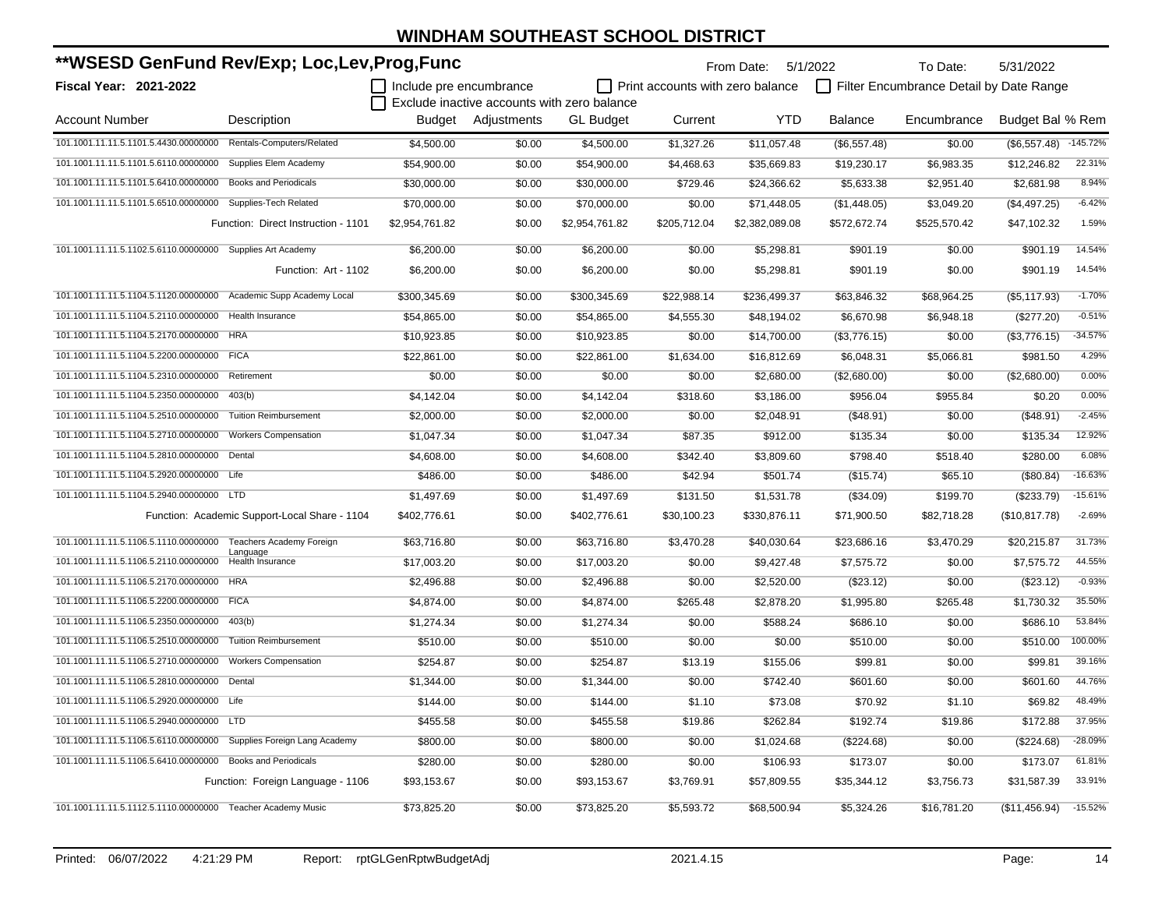| **WSESD GenFund Rev/Exp; Loc,Lev,Prog,Func                          |                                               |                         |                                             |                  |                                         | From Date: 5/1/2022 |              | To Date:                                | 5/31/2022        |            |
|---------------------------------------------------------------------|-----------------------------------------------|-------------------------|---------------------------------------------|------------------|-----------------------------------------|---------------------|--------------|-----------------------------------------|------------------|------------|
| Fiscal Year: 2021-2022                                              |                                               | Include pre encumbrance |                                             |                  | $\Box$ Print accounts with zero balance |                     |              | Filter Encumbrance Detail by Date Range |                  |            |
|                                                                     |                                               |                         | Exclude inactive accounts with zero balance |                  |                                         |                     |              |                                         |                  |            |
| <b>Account Number</b>                                               | Description                                   |                         | Budget Adjustments                          | <b>GL Budget</b> | Current                                 | <b>YTD</b>          | Balance      | Encumbrance                             | Budget Bal % Rem |            |
| 101.1001.11.11.5.1101.5.4430.00000000 Rentals-Computers/Related     |                                               | \$4,500.00              | \$0.00                                      | \$4,500.00       | \$1,327.26                              | \$11,057.48         | (\$6,557.48) | \$0.00                                  | (\$6,557.48)     | $-145.72%$ |
| 101.1001.11.11.5.1101.5.6110.00000000                               | Supplies Elem Academy                         | \$54,900.00             | \$0.00                                      | \$54,900.00      | \$4,468.63                              | \$35,669.83         | \$19,230.17  | \$6,983.35                              | \$12,246.82      | 22.31%     |
| 101.1001.11.11.5.1101.5.6410.00000000                               | <b>Books and Periodicals</b>                  | \$30,000.00             | \$0.00                                      | \$30,000.00      | \$729.46                                | \$24,366.62         | \$5,633.38   | \$2,951.40                              | \$2,681.98       | 8.94%      |
| 101.1001.11.11.5.1101.5.6510.00000000                               | Supplies-Tech Related                         | \$70,000.00             | \$0.00                                      | \$70,000.00      | \$0.00                                  | \$71,448.05         | (\$1,448.05) | \$3,049.20                              | (\$4,497.25)     | $-6.42%$   |
|                                                                     | Function: Direct Instruction - 1101           | \$2,954,761.82          | \$0.00                                      | \$2,954,761.82   | \$205,712.04                            | \$2,382,089.08      | \$572,672.74 | \$525,570.42                            | \$47,102.32      | 1.59%      |
| 101.1001.11.11.5.1102.5.6110.00000000 Supplies Art Academy          |                                               | \$6,200.00              | \$0.00                                      | \$6,200.00       | \$0.00                                  | \$5,298.81          | \$901.19     | \$0.00                                  | \$901.19         | 14.54%     |
|                                                                     | Function: Art - 1102                          | \$6,200.00              | \$0.00                                      | \$6,200.00       | \$0.00                                  | \$5,298.81          | \$901.19     | \$0.00                                  | \$901.19         | 14.54%     |
| 101.1001.11.11.5.1104.5.1120.00000000                               | Academic Supp Academy Local                   | \$300,345.69            | \$0.00                                      | \$300,345.69     | \$22,988.14                             | \$236,499.37        | \$63,846.32  | \$68,964.25                             | (\$5,117.93)     | $-1.70%$   |
| 101.1001.11.11.5.1104.5.2110.00000000                               | <b>Health Insurance</b>                       | \$54,865.00             | \$0.00                                      | \$54,865.00      | \$4,555.30                              | \$48,194.02         | \$6,670.98   | \$6,948.18                              | (\$277.20)       | $-0.51%$   |
| 101.1001.11.11.5.1104.5.2170.00000000                               | <b>HRA</b>                                    | \$10,923.85             | \$0.00                                      | \$10,923.85      | \$0.00                                  | \$14,700.00         | (\$3,776.15) | \$0.00                                  | (\$3,776.15)     | $-34.57%$  |
| 101.1001.11.11.5.1104.5.2200.00000000 FICA                          |                                               | \$22.861.00             | \$0.00                                      | \$22.861.00      | \$1,634.00                              | \$16,812.69         | \$6.048.31   | \$5,066.81                              | \$981.50         | 4.29%      |
| 101.1001.11.11.5.1104.5.2310.00000000                               | Retirement                                    | \$0.00                  | \$0.00                                      | \$0.00           | \$0.00                                  | \$2,680.00          | (\$2,680.00) | \$0.00                                  | (\$2,680.00)     | 0.00%      |
| 101.1001.11.11.5.1104.5.2350.00000000                               | 403(b)                                        | \$4,142.04              | \$0.00                                      | \$4,142.04       | \$318.60                                | \$3,186.00          | \$956.04     | \$955.84                                | \$0.20           | 0.00%      |
| 101.1001.11.11.5.1104.5.2510.00000000                               | <b>Tuition Reimbursement</b>                  | \$2,000.00              | \$0.00                                      | \$2,000.00       | \$0.00                                  | \$2,048.91          | (\$48.91)    | \$0.00                                  | (\$48.91)        | $-2.45%$   |
| 101.1001.11.11.5.1104.5.2710.00000000                               | <b>Workers Compensation</b>                   | \$1,047.34              | \$0.00                                      | \$1,047.34       | \$87.35                                 | \$912.00            | \$135.34     | \$0.00                                  | \$135.34         | 12.92%     |
| 101.1001.11.11.5.1104.5.2810.00000000                               | Dental                                        | \$4,608.00              | \$0.00                                      | \$4,608.00       | \$342.40                                | \$3,809.60          | \$798.40     | \$518.40                                | \$280.00         | 6.08%      |
| 101.1001.11.11.5.1104.5.2920.00000000 Life                          |                                               | \$486.00                | \$0.00                                      | \$486.00         | \$42.94                                 | \$501.74            | (\$15.74)    | \$65.10                                 | (\$80.84)        | $-16.63%$  |
| 101.1001.11.11.5.1104.5.2940.00000000 LTD                           |                                               | \$1,497.69              | \$0.00                                      | \$1,497.69       | \$131.50                                | \$1,531.78          | (\$34.09)    | \$199.70                                | (\$233.79)       | $-15.61%$  |
|                                                                     | Function: Academic Support-Local Share - 1104 | \$402,776.61            | \$0.00                                      | \$402,776.61     | \$30,100.23                             | \$330,876.11        | \$71,900.50  | \$82,718.28                             | (\$10,817.78)    | $-2.69%$   |
| 101.1001.11.11.5.1106.5.1110.00000000 Teachers Academy Foreign      | Language                                      | \$63,716.80             | \$0.00                                      | \$63,716.80      | \$3,470.28                              | \$40,030.64         | \$23,686.16  | \$3,470.29                              | \$20,215.87      | 31.73%     |
| 101.1001.11.11.5.1106.5.2110.00000000                               | Health Insurance                              | \$17,003.20             | \$0.00                                      | \$17,003.20      | \$0.00                                  | \$9,427.48          | \$7,575.72   | \$0.00                                  | \$7,575.72       | 44.55%     |
| 101.1001.11.11.5.1106.5.2170.00000000 HRA                           |                                               | \$2,496.88              | \$0.00                                      | \$2,496.88       | \$0.00                                  | \$2,520.00          | (\$23.12)    | \$0.00                                  | (\$23.12)        | $-0.93%$   |
| 101.1001.11.11.5.1106.5.2200.00000000 FICA                          |                                               | \$4,874.00              | \$0.00                                      | \$4,874.00       | \$265.48                                | \$2,878.20          | \$1,995.80   | \$265.48                                | \$1.730.32       | 35.50%     |
| 101.1001.11.11.5.1106.5.2350.00000000 403(b)                        |                                               | \$1,274.34              | \$0.00                                      | \$1,274.34       | \$0.00                                  | \$588.24            | \$686.10     | \$0.00                                  | \$686.10         | 53.84%     |
| 101.1001.11.11.5.1106.5.2510.00000000                               | <b>Tuition Reimbursement</b>                  | \$510.00                | \$0.00                                      | \$510.00         | \$0.00                                  | \$0.00              | \$510.00     | \$0.00                                  | \$510.00         | 100.00%    |
| 101.1001.11.11.5.1106.5.2710.00000000                               | <b>Workers Compensation</b>                   | \$254.87                | \$0.00                                      | \$254.87         | \$13.19                                 | \$155.06            | \$99.81      | \$0.00                                  | \$99.81          | 39.16%     |
| 101.1001.11.11.5.1106.5.2810.00000000                               | Dental                                        | \$1,344.00              | \$0.00                                      | \$1,344.00       | \$0.00                                  | \$742.40            | \$601.60     | \$0.00                                  | \$601.60         | 44.76%     |
| 101.1001.11.11.5.1106.5.2920.00000000 Life                          |                                               | \$144.00                | \$0.00                                      | \$144.00         | \$1.10                                  | \$73.08             | \$70.92      | \$1.10                                  | \$69.82          | 48.49%     |
| 101.1001.11.11.5.1106.5.2940.00000000 LTD                           |                                               | \$455.58                | \$0.00                                      | \$455.58         | \$19.86                                 | \$262.84            | \$192.74     | \$19.86                                 | \$172.88         | 37.95%     |
| 101.1001.11.11.5.1106.5.6110.00000000 Supplies Foreign Lang Academy |                                               | \$800.00                | \$0.00                                      | \$800.00         | \$0.00                                  | \$1,024.68          | (\$224.68)   | \$0.00                                  | (\$224.68)       | $-28.09%$  |
| 101.1001.11.11.5.1106.5.6410.00000000 Books and Periodicals         |                                               | \$280.00                | \$0.00                                      | \$280.00         | \$0.00                                  | \$106.93            | \$173.07     | \$0.00                                  | \$173.07         | 61.81%     |
|                                                                     | Function: Foreign Language - 1106             | \$93,153.67             | \$0.00                                      | \$93,153.67      | \$3,769.91                              | \$57,809.55         | \$35,344.12  | \$3,756.73                              | \$31,587.39      | 33.91%     |
| 101.1001.11.11.5.1112.5.1110.00000000 Teacher Academy Music         |                                               | \$73,825.20             | \$0.00                                      | \$73.825.20      | \$5,593.72                              | \$68,500.94         | \$5,324.26   | \$16,781.20                             | (\$11,456.94)    | $-15.52%$  |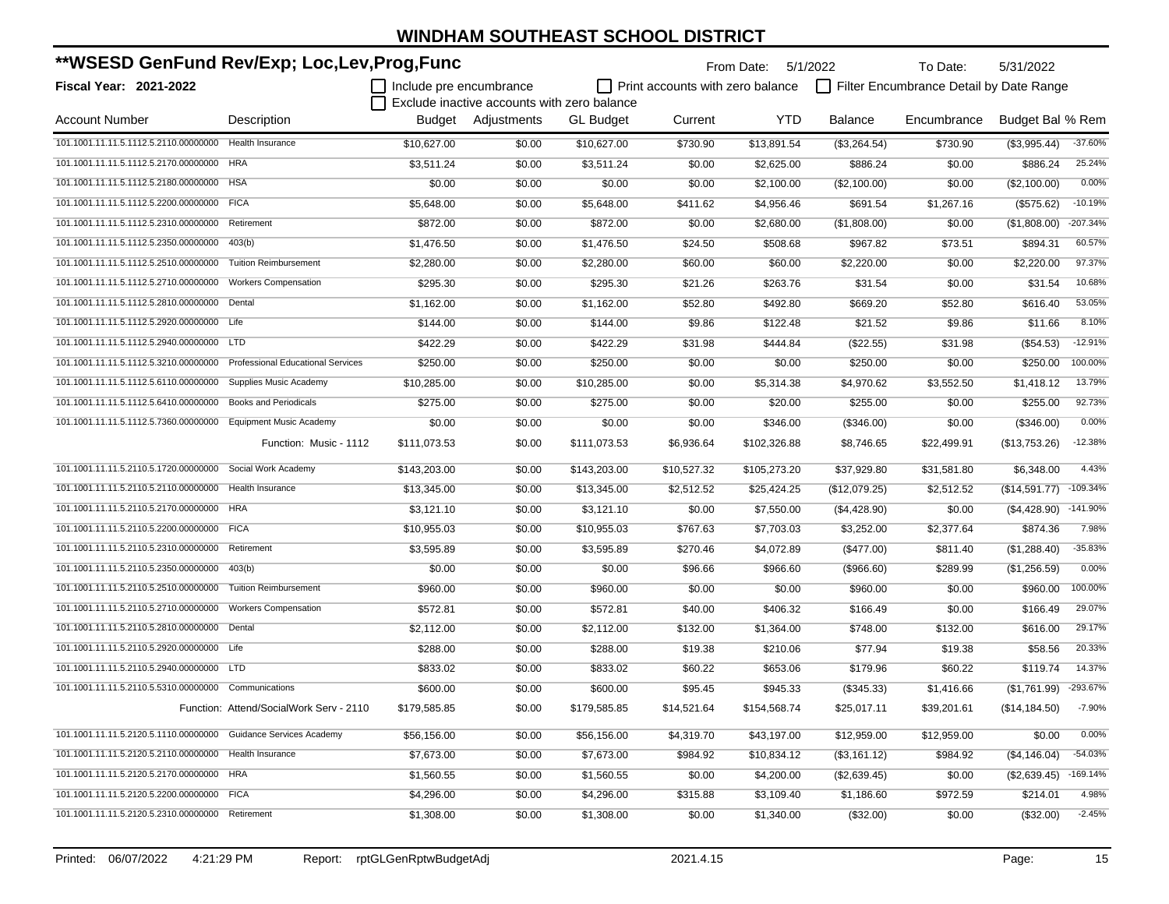| **WSESD GenFund Rev/Exp; Loc,Lev,Prog,Func |                                          |                           |                                             |                  | From Date: 5/1/2022                     |              | To Date:       | 5/31/2022                               |                  |            |
|--------------------------------------------|------------------------------------------|---------------------------|---------------------------------------------|------------------|-----------------------------------------|--------------|----------------|-----------------------------------------|------------------|------------|
| <b>Fiscal Year: 2021-2022</b>              |                                          | I Include pre encumbrance |                                             |                  | $\Box$ Print accounts with zero balance |              |                | Filter Encumbrance Detail by Date Range |                  |            |
|                                            |                                          |                           | Exclude inactive accounts with zero balance |                  |                                         |              |                |                                         |                  |            |
| <b>Account Number</b>                      | Description                              |                           | Budget Adjustments                          | <b>GL</b> Budget | Current                                 | YTD          | <b>Balance</b> | Encumbrance                             | Budget Bal % Rem |            |
| 101.1001.11.11.5.1112.5.2110.00000000      | <b>Health Insurance</b>                  | \$10,627.00               | \$0.00                                      | \$10,627.00      | \$730.90                                | \$13,891.54  | (\$3,264.54)   | \$730.90                                | (\$3,995.44)     | $-37.60%$  |
| 101.1001.11.11.5.1112.5.2170.00000000      | <b>HRA</b>                               | \$3,511.24                | \$0.00                                      | \$3,511.24       | \$0.00                                  | \$2,625.00   | \$886.24       | \$0.00                                  | \$886.24         | 25.24%     |
| 101.1001.11.11.5.1112.5.2180.00000000      | <b>HSA</b>                               | \$0.00                    | \$0.00                                      | \$0.00           | \$0.00                                  | \$2,100.00   | (\$2,100.00)   | \$0.00                                  | (\$2,100.00)     | 0.00%      |
| 101.1001.11.11.5.1112.5.2200.00000000      | <b>FICA</b>                              | \$5,648.00                | \$0.00                                      | \$5,648.00       | \$411.62                                | \$4,956.46   | \$691.54       | \$1,267.16                              | (\$575.62)       | $-10.19%$  |
| 101.1001.11.11.5.1112.5.2310.00000000      | Retirement                               | \$872.00                  | \$0.00                                      | \$872.00         | \$0.00                                  | \$2,680.00   | (\$1,808.00)   | \$0.00                                  | (\$1,808.00)     | $-207.34%$ |
| 101.1001.11.11.5.1112.5.2350.00000000      | 403(b)                                   | \$1,476.50                | \$0.00                                      | \$1,476.50       | \$24.50                                 | \$508.68     | \$967.82       | \$73.51                                 | \$894.31         | 60.57%     |
| 101.1001.11.11.5.1112.5.2510.00000000      | <b>Tuition Reimbursement</b>             | \$2,280.00                | \$0.00                                      | \$2,280.00       | \$60.00                                 | \$60.00      | \$2,220.00     | \$0.00                                  | \$2,220.00       | 97.37%     |
| 101.1001.11.11.5.1112.5.2710.00000000      | <b>Workers Compensation</b>              | \$295.30                  | \$0.00                                      | \$295.30         | \$21.26                                 | \$263.76     | \$31.54        | \$0.00                                  | \$31.54          | 10.68%     |
| 101.1001.11.11.5.1112.5.2810.00000000      | Dental                                   | \$1,162.00                | \$0.00                                      | \$1,162.00       | \$52.80                                 | \$492.80     | \$669.20       | \$52.80                                 | \$616.40         | 53.05%     |
| 101.1001.11.11.5.1112.5.2920.00000000      | Life                                     | \$144.00                  | \$0.00                                      | \$144.00         | \$9.86                                  | \$122.48     | \$21.52        | \$9.86                                  | \$11.66          | 8.10%      |
| 101.1001.11.11.5.1112.5.2940.00000000      | <b>LTD</b>                               | \$422.29                  | \$0.00                                      | \$422.29         | \$31.98                                 | \$444.84     | (\$22.55)      | \$31.98                                 | $(\$54.53)$      | $-12.91%$  |
| 101.1001.11.11.5.1112.5.3210.00000000      | <b>Professional Educational Services</b> | \$250.00                  | \$0.00                                      | \$250.00         | \$0.00                                  | \$0.00       | \$250.00       | \$0.00                                  | \$250.00         | 100.00%    |
| 101.1001.11.11.5.1112.5.6110.00000000      | Supplies Music Academy                   | \$10,285.00               | \$0.00                                      | \$10,285.00      | \$0.00                                  | \$5,314.38   | \$4.970.62     | \$3,552.50                              | \$1,418.12       | 13.79%     |
| 101.1001.11.11.5.1112.5.6410.00000000      | <b>Books and Periodicals</b>             | \$275.00                  | \$0.00                                      | \$275.00         | \$0.00                                  | \$20.00      | \$255.00       | \$0.00                                  | \$255.00         | 92.73%     |
| 101.1001.11.11.5.1112.5.7360.00000000      | <b>Equipment Music Academy</b>           | \$0.00                    | \$0.00                                      | \$0.00           | \$0.00                                  | \$346.00     | (\$346.00)     | \$0.00                                  | (\$346.00)       | 0.00%      |
|                                            | Function: Music - 1112                   | \$111,073.53              | \$0.00                                      | \$111,073.53     | \$6,936.64                              | \$102,326.88 | \$8,746.65     | \$22,499.91                             | (\$13,753.26)    | $-12.38%$  |
| 101.1001.11.11.5.2110.5.1720.00000000      | Social Work Academy                      | \$143.203.00              | \$0.00                                      | \$143,203.00     | \$10,527.32                             | \$105,273.20 | \$37,929.80    | \$31,581.80                             | \$6,348.00       | 4.43%      |
| 101.1001.11.11.5.2110.5.2110.00000000      | Health Insurance                         | \$13,345.00               | \$0.00                                      | \$13,345.00      | \$2,512.52                              | \$25,424.25  | (\$12,079.25)  | \$2,512.52                              | (\$14,591.77)    | $-109.34%$ |
| 101.1001.11.11.5.2110.5.2170.00000000      | <b>HRA</b>                               | \$3,121.10                | \$0.00                                      | \$3,121.10       | \$0.00                                  | \$7,550.00   | (\$4,428.90)   | \$0.00                                  | (\$4,428.90)     | $-141.90%$ |
| 101.1001.11.11.5.2110.5.2200.00000000      | <b>FICA</b>                              | \$10,955.03               | \$0.00                                      | \$10,955.03      | \$767.63                                | \$7,703.03   | \$3,252.00     | \$2,377.64                              | \$874.36         | 7.98%      |
| 101.1001.11.11.5.2110.5.2310.00000000      | Retirement                               | \$3,595.89                | \$0.00                                      | \$3,595.89       | \$270.46                                | \$4,072.89   | (\$477.00)     | \$811.40                                | (\$1,288.40)     | $-35.83%$  |
| 101.1001.11.11.5.2110.5.2350.00000000      | 403(b)                                   | \$0.00                    | \$0.00                                      | \$0.00           | \$96.66                                 | \$966.60     | (\$966.60)     | \$289.99                                | (\$1,256.59)     | 0.00%      |
| 101.1001.11.11.5.2110.5.2510.00000000      | <b>Tuition Reimbursement</b>             | \$960.00                  | \$0.00                                      | \$960.00         | \$0.00                                  | \$0.00       | \$960.00       | \$0.00                                  | \$960.00         | 100.00%    |
| 101.1001.11.11.5.2110.5.2710.00000000      | <b>Workers Compensation</b>              | \$572.81                  | \$0.00                                      | \$572.81         | \$40.00                                 | \$406.32     | \$166.49       | \$0.00                                  | \$166.49         | 29.07%     |
| 101.1001.11.11.5.2110.5.2810.00000000      | Dental                                   | \$2,112.00                | \$0.00                                      | \$2,112.00       | \$132.00                                | \$1,364.00   | \$748.00       | \$132.00                                | \$616.00         | 29.17%     |
| 101.1001.11.11.5.2110.5.2920.00000000 Life |                                          | \$288.00                  | \$0.00                                      | \$288.00         | \$19.38                                 | \$210.06     | \$77.94        | \$19.38                                 | \$58.56          | 20.33%     |
| 101.1001.11.11.5.2110.5.2940.00000000      | <b>LTD</b>                               | \$833.02                  | \$0.00                                      | \$833.02         | \$60.22                                 | \$653.06     | \$179.96       | \$60.22                                 | \$119.74         | 14.37%     |
| 101.1001.11.11.5.2110.5.5310.00000000      | Communications                           | \$600.00                  | \$0.00                                      | \$600.00         | \$95.45                                 | \$945.33     | (\$345.33)     | \$1,416.66                              | (\$1,761.99)     | -293.67%   |
|                                            | Function: Attend/SocialWork Serv - 2110  | \$179,585.85              | \$0.00                                      | \$179,585.85     | \$14,521.64                             | \$154,568.74 | \$25,017.11    | \$39,201.61                             | (\$14, 184.50)   | $-7.90%$   |
| 101.1001.11.11.5.2120.5.1110.00000000      | Guidance Services Academy                | \$56,156.00               | \$0.00                                      | \$56,156.00      | \$4,319.70                              | \$43,197.00  | \$12,959.00    | \$12,959.00                             | \$0.00           | 0.00%      |
| 101.1001.11.11.5.2120.5.2110.00000000      | Health Insurance                         | \$7,673.00                | \$0.00                                      | \$7,673.00       | \$984.92                                | \$10,834.12  | (\$3,161.12)   | \$984.92                                | (\$4,146.04)     | $-54.03%$  |
| 101.1001.11.11.5.2120.5.2170.00000000 HRA  |                                          | \$1,560.55                | \$0.00                                      | \$1,560.55       | \$0.00                                  | \$4,200.00   | (\$2,639.45)   | \$0.00                                  | (\$2,639.45)     | $-169.14%$ |
| 101.1001.11.11.5.2120.5.2200.00000000 FICA |                                          | \$4,296.00                | \$0.00                                      | \$4,296.00       | \$315.88                                | \$3,109.40   | \$1,186.60     | \$972.59                                | \$214.01         | 4.98%      |
| 101.1001.11.11.5.2120.5.2310.00000000      | Retirement                               | \$1,308.00                | \$0.00                                      | \$1,308.00       | \$0.00                                  | \$1,340.00   | (\$32.00)      | \$0.00                                  | (\$32.00)        | $-2.45%$   |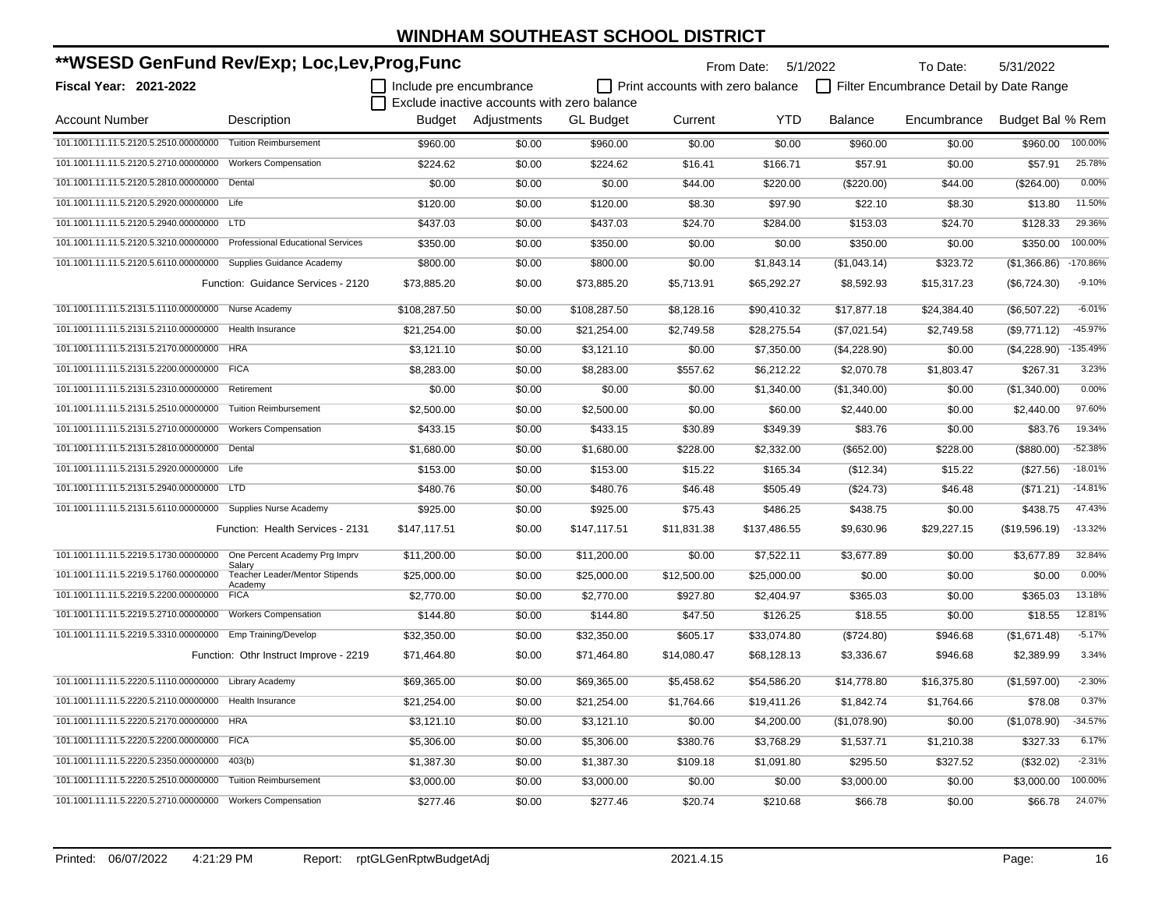| **WSESD GenFund Rev/Exp; Loc,Lev,Prog,Func                              |                                                  |                         |                                             |                  |                                         | From Date: 5/1/2022 |                | To Date:                                | 5/31/2022        |            |
|-------------------------------------------------------------------------|--------------------------------------------------|-------------------------|---------------------------------------------|------------------|-----------------------------------------|---------------------|----------------|-----------------------------------------|------------------|------------|
| <b>Fiscal Year: 2021-2022</b>                                           |                                                  | Include pre encumbrance |                                             |                  | $\Box$ Print accounts with zero balance |                     |                | Filter Encumbrance Detail by Date Range |                  |            |
|                                                                         |                                                  |                         | Exclude inactive accounts with zero balance |                  |                                         |                     |                |                                         |                  |            |
| <b>Account Number</b>                                                   | Description                                      |                         | Budget Adjustments                          | <b>GL Budget</b> | Current                                 | <b>YTD</b>          | <b>Balance</b> | Encumbrance                             | Budget Bal % Rem |            |
| 101.1001.11.11.5.2120.5.2510.00000000 Tuition Reimbursement             |                                                  | \$960.00                | \$0.00                                      | \$960.00         | \$0.00                                  | \$0.00              | \$960.00       | \$0.00                                  | \$960.00         | 100.00%    |
| 101.1001.11.11.5.2120.5.2710.00000000 Workers Compensation              |                                                  | \$224.62                | \$0.00                                      | \$224.62         | \$16.41                                 | \$166.71            | \$57.91        | \$0.00                                  | \$57.91          | 25.78%     |
| 101.1001.11.11.5.2120.5.2810.00000000 Dental                            |                                                  | \$0.00                  | \$0.00                                      | \$0.00           | \$44.00                                 | \$220.00            | (\$220.00)     | \$44.00                                 | (\$264.00)       | 0.00%      |
| 101.1001.11.11.5.2120.5.2920.00000000 Life                              |                                                  | \$120.00                | \$0.00                                      | \$120.00         | \$8.30                                  | \$97.90             | \$22.10        | \$8.30                                  | \$13.80          | 11.50%     |
| 101.1001.11.11.5.2120.5.2940.00000000 LTD                               |                                                  | \$437.03                | \$0.00                                      | \$437.03         | \$24.70                                 | \$284.00            | \$153.03       | \$24.70                                 | \$128.33         | 29.36%     |
| 101.1001.11.11.5.2120.5.3210.00000000 Professional Educational Services |                                                  | \$350.00                | \$0.00                                      | \$350.00         | \$0.00                                  | \$0.00              | \$350.00       | \$0.00                                  | \$350.00         | 100.00%    |
| 101.1001.11.11.5.2120.5.6110.00000000 Supplies Guidance Academy         |                                                  | \$800.00                | \$0.00                                      | \$800.00         | \$0.00                                  | \$1,843.14          | (\$1,043.14)   | \$323.72                                | (\$1,366.86)     | $-170.86%$ |
|                                                                         | Function: Guidance Services - 2120               | \$73,885.20             | \$0.00                                      | \$73,885.20      | \$5,713.91                              | \$65,292.27         | \$8,592.93     | \$15,317.23                             | (\$6,724.30)     | $-9.10%$   |
| 101.1001.11.11.5.2131.5.1110.00000000 Nurse Academy                     |                                                  | \$108,287.50            | \$0.00                                      | \$108,287.50     | \$8,128.16                              | \$90,410.32         | \$17,877.18    | \$24,384.40                             | (\$6,507.22)     | $-6.01%$   |
| 101.1001.11.11.5.2131.5.2110.00000000 Health Insurance                  |                                                  | \$21.254.00             | \$0.00                                      | \$21,254.00      | \$2,749.58                              | \$28,275.54         | (\$7,021.54)   | \$2,749.58                              | (\$9,771.12)     | -45.97%    |
| 101.1001.11.11.5.2131.5.2170.00000000 HRA                               |                                                  | \$3,121.10              | \$0.00                                      | \$3,121.10       | \$0.00                                  | \$7,350.00          | (\$4,228.90)   | \$0.00                                  | $(\$4,228.90)$   | $-135.49%$ |
| 101.1001.11.11.5.2131.5.2200.00000000 FICA                              |                                                  | \$8,283.00              | \$0.00                                      | \$8,283.00       | \$557.62                                | \$6,212.22          | \$2,070.78     | \$1,803.47                              | \$267.31         | 3.23%      |
| 101.1001.11.11.5.2131.5.2310.00000000 Retirement                        |                                                  | \$0.00                  | \$0.00                                      | \$0.00           | \$0.00                                  | \$1,340.00          | (\$1,340.00)   | \$0.00                                  | (\$1,340.00)     | 0.00%      |
| 101.1001.11.11.5.2131.5.2510.00000000                                   | <b>Tuition Reimbursement</b>                     | \$2,500.00              | \$0.00                                      | \$2,500.00       | \$0.00                                  | \$60.00             | \$2,440.00     | \$0.00                                  | \$2,440.00       | 97.60%     |
| 101.1001.11.11.5.2131.5.2710.00000000                                   | <b>Workers Compensation</b>                      | \$433.15                | \$0.00                                      | \$433.15         | \$30.89                                 | \$349.39            | \$83.76        | \$0.00                                  | \$83.76          | 19.34%     |
| 101.1001.11.11.5.2131.5.2810.00000000 Dental                            |                                                  | \$1,680.00              | \$0.00                                      | \$1,680.00       | \$228.00                                | \$2,332.00          | (\$652.00)     | \$228.00                                | (\$880.00)       | $-52.38%$  |
| 101.1001.11.11.5.2131.5.2920.00000000 Life                              |                                                  | \$153.00                | \$0.00                                      | \$153.00         | \$15.22                                 | \$165.34            | (\$12.34)      | \$15.22                                 | (\$27.56)        | $-18.01%$  |
| 101.1001.11.11.5.2131.5.2940.00000000 LTD                               |                                                  | \$480.76                | \$0.00                                      | \$480.76         | \$46.48                                 | \$505.49            | (\$24.73)      | \$46.48                                 | (\$71.21)        | $-14.81%$  |
| 101.1001.11.11.5.2131.5.6110.00000000 Supplies Nurse Academy            |                                                  | \$925.00                | \$0.00                                      | \$925.00         | \$75.43                                 | \$486.25            | \$438.75       | \$0.00                                  | \$438.75         | 47.43%     |
|                                                                         | Function: Health Services - 2131                 | \$147,117.51            | \$0.00                                      | \$147,117.51     | \$11,831.38                             | \$137,486.55        | \$9,630.96     | \$29,227.15                             | (\$19,596.19)    | $-13.32%$  |
| 101.1001.11.11.5.2219.5.1730.00000000                                   | One Percent Academy Prg Imprv<br>Salary          | \$11,200.00             | \$0.00                                      | \$11,200.00      | \$0.00                                  | \$7,522.11          | \$3,677.89     | \$0.00                                  | \$3,677.89       | 32.84%     |
| 101.1001.11.11.5.2219.5.1760.00000000                                   | <b>Teacher Leader/Mentor Stipends</b><br>Academy | \$25,000.00             | \$0.00                                      | \$25,000.00      | \$12,500.00                             | \$25,000.00         | \$0.00         | \$0.00                                  | \$0.00           | 0.00%      |
| 101.1001.11.11.5.2219.5.2200.00000000                                   | <b>FICA</b>                                      | \$2,770.00              | \$0.00                                      | \$2,770.00       | \$927.80                                | \$2,404.97          | \$365.03       | \$0.00                                  | \$365.03         | 13.18%     |
| 101.1001.11.11.5.2219.5.2710.00000000                                   | <b>Workers Compensation</b>                      | \$144.80                | \$0.00                                      | \$144.80         | \$47.50                                 | \$126.25            | \$18.55        | \$0.00                                  | \$18.55          | 12.81%     |
| 101.1001.11.11.5.2219.5.3310.00000000 Emp Training/Develop              |                                                  | \$32,350.00             | \$0.00                                      | \$32,350.00      | \$605.17                                | \$33,074.80         | (\$724.80)     | \$946.68                                | (\$1,671.48)     | $-5.17%$   |
|                                                                         | Function: Othr Instruct Improve - 2219           | \$71,464.80             | \$0.00                                      | \$71,464.80      | \$14,080.47                             | \$68,128.13         | \$3,336.67     | \$946.68                                | \$2,389.99       | 3.34%      |
| 101.1001.11.11.5.2220.5.1110.00000000 Library Academy                   |                                                  | \$69,365.00             | \$0.00                                      | \$69,365.00      | \$5,458.62                              | \$54,586.20         | \$14,778.80    | \$16,375.80                             | (\$1,597.00)     | $-2.30%$   |
| 101.1001.11.11.5.2220.5.2110.00000000 Health Insurance                  |                                                  | \$21,254.00             | \$0.00                                      | \$21,254.00      | \$1,764.66                              | \$19,411.26         | \$1,842.74     | \$1,764.66                              | \$78.08          | 0.37%      |
| 101.1001.11.11.5.2220.5.2170.00000000 HRA                               |                                                  | \$3,121.10              | \$0.00                                      | \$3,121.10       | \$0.00                                  | \$4,200.00          | (\$1,078.90)   | \$0.00                                  | (\$1,078.90)     | $-34.57%$  |
| 101.1001.11.11.5.2220.5.2200.00000000 FICA                              |                                                  | \$5,306.00              | \$0.00                                      | \$5,306.00       | \$380.76                                | \$3,768.29          | \$1,537.71     | \$1,210.38                              | \$327.33         | 6.17%      |
| 101.1001.11.11.5.2220.5.2350.00000000 403(b)                            |                                                  | \$1,387.30              | \$0.00                                      | \$1,387.30       | \$109.18                                | \$1,091.80          | \$295.50       | \$327.52                                | (\$32.02)        | $-2.31%$   |
| 101.1001.11.11.5.2220.5.2510.00000000 Tuition Reimbursement             |                                                  | \$3,000.00              | \$0.00                                      | \$3,000.00       | \$0.00                                  | \$0.00              | \$3,000.00     | \$0.00                                  | \$3,000.00       | 100.00%    |
| 101.1001.11.11.5.2220.5.2710.00000000 Workers Compensation              |                                                  | \$277.46                | \$0.00                                      | \$277.46         | \$20.74                                 | \$210.68            | \$66.78        | \$0.00                                  | \$66.78          | 24.07%     |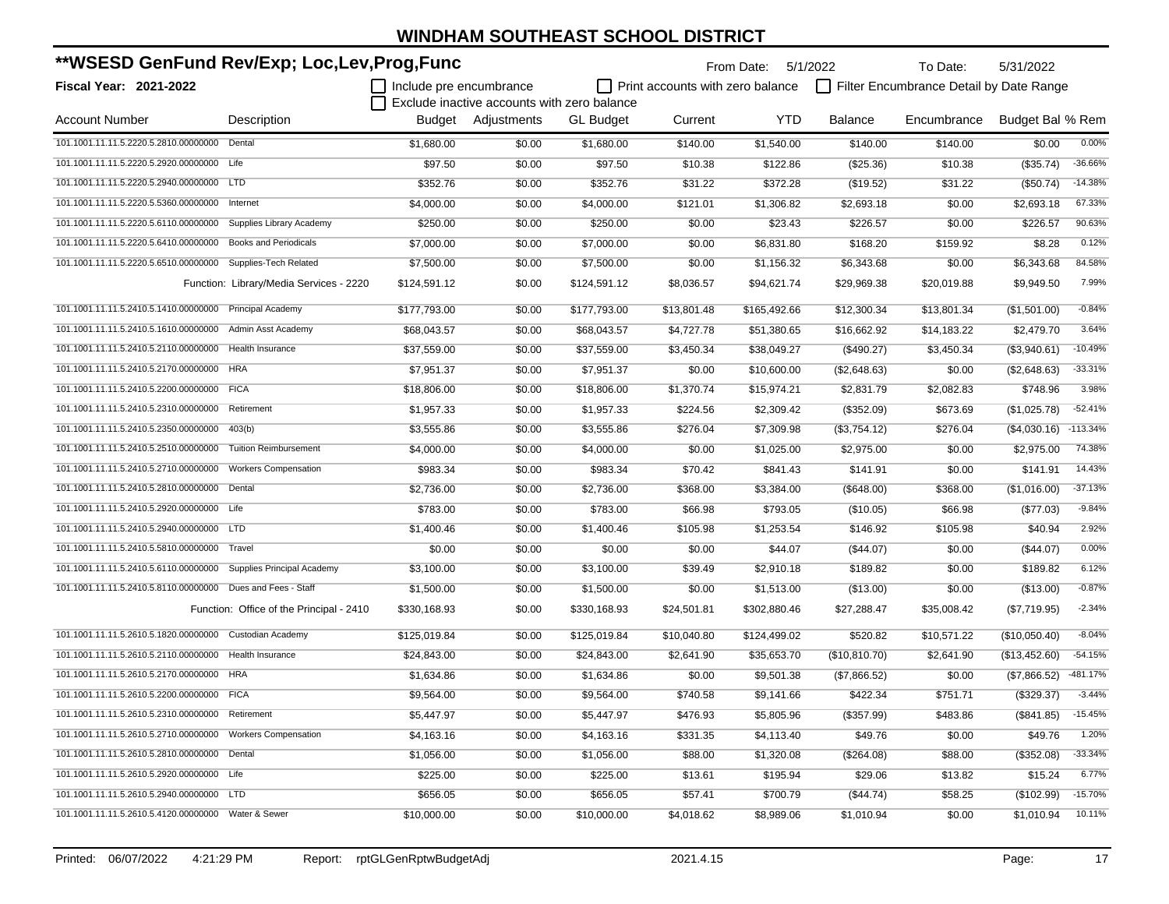| **WSESD GenFund Rev/Exp; Loc,Lev,Prog,Func                 |                                          |                         |                                             |                  |                                         | From Date:   | 5/1/2022       | To Date:                                | 5/31/2022        |            |
|------------------------------------------------------------|------------------------------------------|-------------------------|---------------------------------------------|------------------|-----------------------------------------|--------------|----------------|-----------------------------------------|------------------|------------|
| Fiscal Year: 2021-2022                                     |                                          | Include pre encumbrance |                                             |                  | $\Box$ Print accounts with zero balance |              |                | Filter Encumbrance Detail by Date Range |                  |            |
|                                                            |                                          |                         | Exclude inactive accounts with zero balance |                  |                                         |              |                |                                         |                  |            |
| <b>Account Number</b>                                      | Description                              |                         | Budget Adjustments                          | <b>GL Budget</b> | Current                                 | <b>YTD</b>   | <b>Balance</b> | Encumbrance                             | Budget Bal % Rem |            |
| 101.1001.11.11.5.2220.5.2810.00000000                      | Dental                                   | \$1,680.00              | \$0.00                                      | \$1,680.00       | \$140.00                                | \$1,540.00   | \$140.00       | \$140.00                                | \$0.00           | 0.00%      |
| 101.1001.11.11.5.2220.5.2920.00000000                      | Life                                     | \$97.50                 | \$0.00                                      | \$97.50          | \$10.38                                 | \$122.86     | $(\$25.36)$    | \$10.38                                 | (\$35.74)        | $-36.66%$  |
| 101.1001.11.11.5.2220.5.2940.00000000                      | <b>LTD</b>                               | \$352.76                | \$0.00                                      | \$352.76         | \$31.22                                 | \$372.28     | (\$19.52)      | \$31.22                                 | (\$50.74)        | $-14.38%$  |
| 101.1001.11.11.5.2220.5.5360.00000000                      | Internet                                 | \$4,000.00              | \$0.00                                      | \$4,000.00       | \$121.01                                | \$1,306.82   | \$2,693.18     | \$0.00                                  | \$2,693.18       | 67.33%     |
| 101.1001.11.11.5.2220.5.6110.00000000                      | Supplies Library Academy                 | \$250.00                | \$0.00                                      | \$250.00         | \$0.00                                  | \$23.43      | \$226.57       | \$0.00                                  | \$226.57         | 90.63%     |
| 101.1001.11.11.5.2220.5.6410.00000000                      | <b>Books and Periodicals</b>             | \$7,000.00              | \$0.00                                      | \$7,000.00       | \$0.00                                  | \$6,831.80   | \$168.20       | \$159.92                                | \$8.28           | 0.12%      |
| 101.1001.11.11.5.2220.5.6510.00000000                      | Supplies-Tech Related                    | \$7,500.00              | \$0.00                                      | \$7,500.00       | \$0.00                                  | \$1,156.32   | \$6,343.68     | \$0.00                                  | \$6,343.68       | 84.58%     |
|                                                            | Function: Library/Media Services - 2220  | \$124,591.12            | \$0.00                                      | \$124,591.12     | \$8,036.57                              | \$94,621.74  | \$29,969.38    | \$20,019.88                             | \$9,949.50       | 7.99%      |
| 101.1001.11.11.5.2410.5.1410.00000000                      | <b>Principal Academy</b>                 | \$177,793.00            | \$0.00                                      | \$177,793.00     | \$13,801.48                             | \$165,492.66 | \$12,300.34    | \$13,801.34                             | (\$1,501.00)     | $-0.84%$   |
| 101.1001.11.11.5.2410.5.1610.00000000                      | Admin Asst Academy                       | \$68,043.57             | \$0.00                                      | \$68,043.57      | \$4,727.78                              | \$51,380.65  | \$16,662.92    | \$14,183.22                             | \$2,479.70       | 3.64%      |
| 101.1001.11.11.5.2410.5.2110.00000000                      | Health Insurance                         | \$37,559.00             | \$0.00                                      | \$37,559.00      | \$3,450.34                              | \$38,049.27  | (\$490.27)     | \$3,450.34                              | (\$3,940.61)     | $-10.49%$  |
| 101.1001.11.11.5.2410.5.2170.00000000                      | <b>HRA</b>                               | \$7,951.37              | \$0.00                                      | \$7,951.37       | \$0.00                                  | \$10,600.00  | (\$2,648.63)   | \$0.00                                  | (\$2,648.63)     | $-33.31%$  |
| 101.1001.11.11.5.2410.5.2200.00000000                      | <b>FICA</b>                              | \$18,806.00             | \$0.00                                      | \$18,806.00      | \$1,370.74                              | \$15,974.21  | \$2,831.79     | \$2,082.83                              | \$748.96         | 3.98%      |
| 101.1001.11.11.5.2410.5.2310.00000000                      | Retirement                               | \$1,957.33              | \$0.00                                      | \$1,957.33       | \$224.56                                | \$2,309.42   | (\$352.09)     | \$673.69                                | (\$1,025.78)     | $-52.41%$  |
| 101.1001.11.11.5.2410.5.2350.00000000                      | 403(b)                                   | \$3,555.86              | \$0.00                                      | \$3,555.86       | \$276.04                                | \$7,309.98   | (\$3,754.12)   | \$276.04                                | (\$4,030.16)     | $-113.34%$ |
| 101.1001.11.11.5.2410.5.2510.00000000                      | <b>Tuition Reimbursement</b>             | \$4,000.00              | \$0.00                                      | \$4,000.00       | \$0.00                                  | \$1,025.00   | \$2,975.00     | \$0.00                                  | \$2,975.00       | 74.38%     |
| 101.1001.11.11.5.2410.5.2710.00000000                      | <b>Workers Compensation</b>              | \$983.34                | \$0.00                                      | \$983.34         | \$70.42                                 | \$841.43     | \$141.91       | \$0.00                                  | \$141.91         | 14.43%     |
| 101.1001.11.11.5.2410.5.2810.00000000                      | Dental                                   | \$2,736.00              | \$0.00                                      | \$2,736.00       | \$368.00                                | \$3,384.00   | (\$648.00)     | \$368.00                                | (\$1,016.00)     | $-37.13%$  |
| 101.1001.11.11.5.2410.5.2920.00000000                      | Life                                     | \$783.00                | \$0.00                                      | \$783.00         | \$66.98                                 | \$793.05     | (\$10.05)      | \$66.98                                 | $(\$77.03)$      | $-9.84%$   |
| 101.1001.11.11.5.2410.5.2940.00000000                      | <b>LTD</b>                               | \$1,400.46              | \$0.00                                      | \$1,400.46       | \$105.98                                | \$1,253.54   | \$146.92       | \$105.98                                | \$40.94          | 2.92%      |
| 101.1001.11.11.5.2410.5.5810.00000000                      | Travel                                   | \$0.00                  | \$0.00                                      | \$0.00           | \$0.00                                  | \$44.07      | (\$44.07)      | \$0.00                                  | (\$44.07)        | 0.00%      |
| 101.1001.11.11.5.2410.5.6110.00000000                      | Supplies Principal Academy               | \$3,100.00              | \$0.00                                      | \$3,100.00       | \$39.49                                 | \$2,910.18   | \$189.82       | \$0.00                                  | \$189.82         | 6.12%      |
| 101.1001.11.11.5.2410.5.8110.00000000                      | Dues and Fees - Staff                    | \$1,500.00              | \$0.00                                      | \$1,500.00       | \$0.00                                  | \$1,513.00   | (\$13.00)      | \$0.00                                  | (\$13.00)        | $-0.87%$   |
|                                                            | Function: Office of the Principal - 2410 | \$330,168.93            | \$0.00                                      | \$330,168.93     | \$24,501.81                             | \$302,880.46 | \$27,288.47    | \$35,008.42                             | (\$7,719.95)     | $-2.34%$   |
| 101.1001.11.11.5.2610.5.1820.00000000                      | Custodian Academy                        | \$125,019.84            | \$0.00                                      | \$125,019.84     | \$10,040.80                             | \$124,499.02 | \$520.82       | \$10,571.22                             | (\$10,050.40)    | $-8.04%$   |
| 101.1001.11.11.5.2610.5.2110.00000000                      | <b>Health Insurance</b>                  | \$24,843.00             | \$0.00                                      | \$24,843.00      | \$2,641.90                              | \$35,653.70  | (\$10,810.70)  | \$2,641.90                              | (\$13,452.60)    | $-54.15%$  |
| 101.1001.11.11.5.2610.5.2170.00000000 HRA                  |                                          | \$1,634.86              | \$0.00                                      | \$1,634.86       | \$0.00                                  | \$9,501.38   | (\$7,866.52)   | \$0.00                                  | (\$7,866.52)     | -481.17%   |
| 101.1001.11.11.5.2610.5.2200.00000000 FICA                 |                                          | \$9,564.00              | \$0.00                                      | \$9,564.00       | \$740.58                                | \$9,141.66   | \$422.34       | \$751.71                                | (\$329.37)       | $-3.44%$   |
| 101.1001.11.11.5.2610.5.2310.00000000 Retirement           |                                          | \$5,447.97              | \$0.00                                      | \$5,447.97       | \$476.93                                | \$5,805.96   | (\$357.99)     | \$483.86                                | (\$841.85)       | $-15.45%$  |
| 101.1001.11.11.5.2610.5.2710.00000000 Workers Compensation |                                          | \$4,163.16              | \$0.00                                      | \$4,163.16       | \$331.35                                | \$4,113.40   | \$49.76        | \$0.00                                  | \$49.76          | 1.20%      |
| 101.1001.11.11.5.2610.5.2810.00000000 Dental               |                                          | \$1,056.00              | \$0.00                                      | \$1,056.00       | \$88.00                                 | \$1,320.08   | (\$264.08)     | \$88.00                                 | (\$352.08)       | $-33.34%$  |
| 101.1001.11.11.5.2610.5.2920.00000000 Life                 |                                          | \$225.00                | \$0.00                                      | \$225.00         | \$13.61                                 | \$195.94     | \$29.06        | \$13.82                                 | \$15.24          | 6.77%      |
| 101.1001.11.11.5.2610.5.2940.00000000 LTD                  |                                          | \$656.05                | \$0.00                                      | \$656.05         | \$57.41                                 | \$700.79     | (\$44.74)      | \$58.25                                 | (\$102.99)       | $-15.70%$  |
| 101.1001.11.11.5.2610.5.4120.00000000 Water & Sewer        |                                          | \$10,000.00             | \$0.00                                      | \$10,000.00      | \$4,018.62                              | \$8,989.06   | \$1,010.94     | \$0.00                                  | \$1.010.94       | 10.11%     |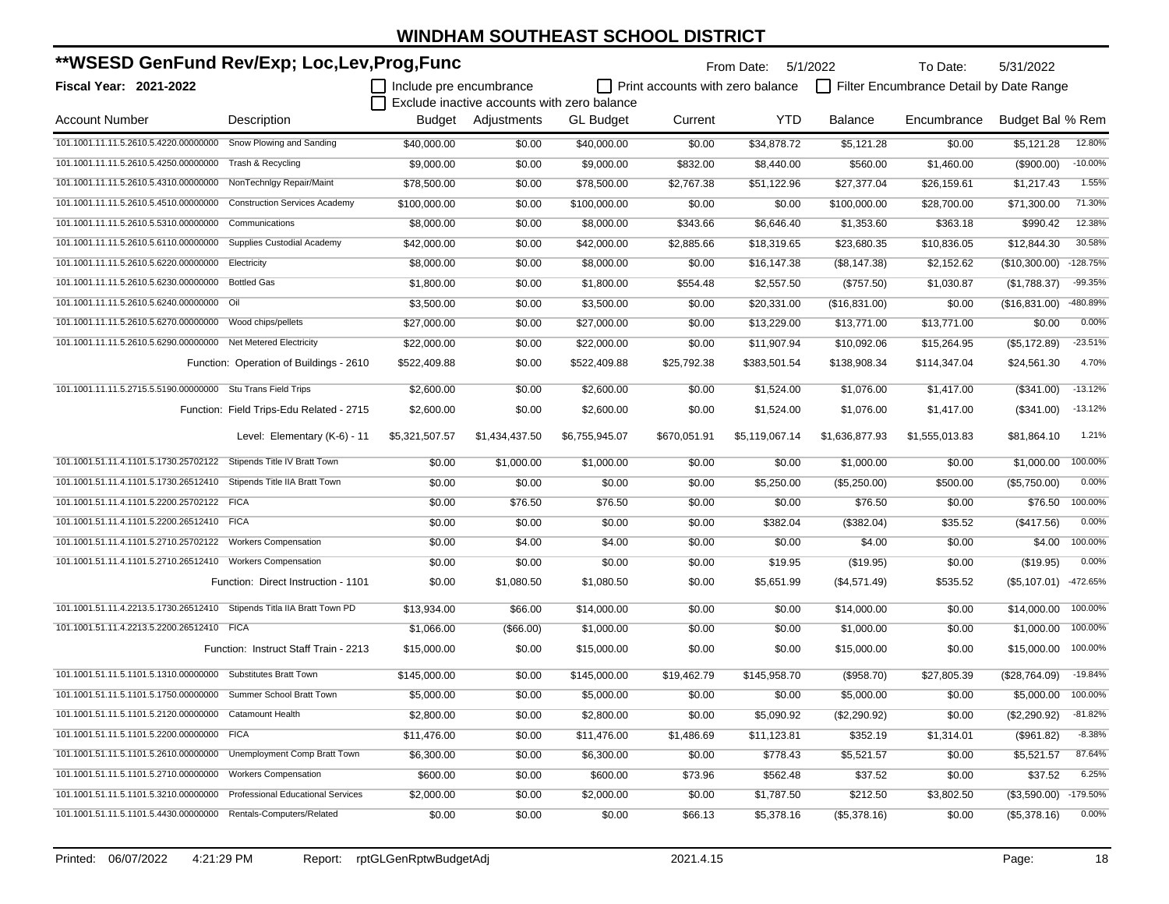| **WSESD GenFund Rev/Exp; Loc,Lev,Prog,Func                              |                                          |                         |                                             |                  |                                         | From Date: 5/1/2022 |                | To Date:                                | 5/31/2022        |            |
|-------------------------------------------------------------------------|------------------------------------------|-------------------------|---------------------------------------------|------------------|-----------------------------------------|---------------------|----------------|-----------------------------------------|------------------|------------|
| Fiscal Year: 2021-2022                                                  |                                          | Include pre encumbrance |                                             |                  | $\Box$ Print accounts with zero balance |                     |                | Filter Encumbrance Detail by Date Range |                  |            |
|                                                                         |                                          |                         | Exclude inactive accounts with zero balance |                  |                                         |                     |                |                                         |                  |            |
| <b>Account Number</b>                                                   | Description                              |                         | Budget Adjustments                          | <b>GL Budget</b> | Current                                 | YTD                 | <b>Balance</b> | Encumbrance                             | Budget Bal % Rem |            |
| 101.1001.11.11.5.2610.5.4220.00000000                                   | Snow Plowing and Sanding                 | \$40,000.00             | \$0.00                                      | \$40,000.00      | \$0.00                                  | \$34,878.72         | \$5,121.28     | \$0.00                                  | \$5,121.28       | 12.80%     |
| 101.1001.11.11.5.2610.5.4250.00000000                                   | Trash & Recycling                        | \$9,000.00              | \$0.00                                      | \$9,000.00       | \$832.00                                | \$8,440.00          | \$560.00       | \$1,460.00                              | (\$900.00)       | $-10.00%$  |
| 101.1001.11.11.5.2610.5.4310.00000000                                   | NonTechnlgy Repair/Maint                 | \$78,500.00             | \$0.00                                      | \$78,500.00      | \$2,767.38                              | \$51,122.96         | \$27,377.04    | \$26,159.61                             | \$1,217.43       | 1.55%      |
| 101.1001.11.11.5.2610.5.4510.00000000                                   | <b>Construction Services Academy</b>     | \$100,000.00            | \$0.00                                      | \$100,000.00     | \$0.00                                  | \$0.00              | \$100,000.00   | \$28,700.00                             | \$71,300.00      | 71.30%     |
| 101.1001.11.11.5.2610.5.5310.00000000                                   | Communications                           | \$8,000.00              | \$0.00                                      | \$8,000.00       | \$343.66                                | \$6,646.40          | \$1,353.60     | \$363.18                                | \$990.42         | 12.38%     |
| 101.1001.11.11.5.2610.5.6110.00000000                                   | Supplies Custodial Academy               | \$42,000.00             | \$0.00                                      | \$42,000.00      | \$2,885.66                              | \$18,319.65         | \$23,680.35    | \$10,836.05                             | \$12,844.30      | 30.58%     |
| 101.1001.11.11.5.2610.5.6220.00000000                                   | Electricity                              | \$8,000.00              | \$0.00                                      | \$8,000.00       | \$0.00                                  | \$16,147.38         | (\$8,147.38)   | \$2,152.62                              | (\$10,300.00)    | $-128.75%$ |
| 101.1001.11.11.5.2610.5.6230.00000000 Bottled Gas                       |                                          | \$1,800.00              | \$0.00                                      | \$1,800.00       | \$554.48                                | \$2,557.50          | (\$757.50)     | \$1,030.87                              | (\$1,788.37)     | $-99.35%$  |
| 101.1001.11.11.5.2610.5.6240.00000000 Oil                               |                                          | \$3,500.00              | \$0.00                                      | \$3,500.00       | \$0.00                                  | \$20,331.00         | (\$16,831.00)  | \$0.00                                  | (\$16,831.00)    | -480.89%   |
| 101.1001.11.11.5.2610.5.6270.00000000 Wood chips/pellets                |                                          | \$27,000.00             | \$0.00                                      | \$27,000.00      | \$0.00                                  | \$13,229.00         | \$13,771.00    | \$13,771.00                             | \$0.00           | 0.00%      |
| 101.1001.11.11.5.2610.5.6290.00000000 Net Metered Electricity           |                                          | \$22,000.00             | \$0.00                                      | \$22,000.00      | \$0.00                                  | \$11,907.94         | \$10,092.06    | \$15,264.95                             | (\$5,172.89)     | $-23.51%$  |
|                                                                         | Function: Operation of Buildings - 2610  | \$522,409.88            | \$0.00                                      | \$522,409.88     | \$25,792.38                             | \$383,501.54        | \$138,908.34   | \$114,347.04                            | \$24,561.30      | 4.70%      |
| 101.1001.11.11.5.2715.5.5190.00000000 Stu Trans Field Trips             |                                          | \$2,600.00              | \$0.00                                      | \$2,600.00       | \$0.00                                  | \$1,524.00          | \$1,076.00     | \$1,417.00                              | (\$341.00)       | $-13.12%$  |
|                                                                         | Function: Field Trips-Edu Related - 2715 | \$2,600.00              | \$0.00                                      | \$2,600.00       | \$0.00                                  | \$1,524.00          | \$1,076.00     | \$1,417.00                              | (\$341.00)       | $-13.12%$  |
|                                                                         | Level: Elementary (K-6) - 11             | \$5,321,507.57          | \$1,434,437.50                              | \$6,755,945.07   | \$670,051.91                            | \$5,119,067.14      | \$1,636,877.93 | \$1,555,013.83                          | \$81,864.10      | 1.21%      |
| 101.1001.51.11.4.1101.5.1730.25702122                                   | Stipends Title IV Bratt Town             | \$0.00                  | \$1,000.00                                  | \$1,000.00       | \$0.00                                  | \$0.00              | \$1,000.00     | \$0.00                                  | \$1,000.00       | 100.00%    |
| 101.1001.51.11.4.1101.5.1730.26512410 Stipends Title IIA Bratt Town     |                                          | \$0.00                  | \$0.00                                      | \$0.00           | \$0.00                                  | \$5,250.00          | (\$5,250.00)   | \$500.00                                | (\$5,750.00)     | 0.00%      |
| 101.1001.51.11.4.1101.5.2200.25702122 FICA                              |                                          | \$0.00                  | \$76.50                                     | \$76.50          | \$0.00                                  | \$0.00              | \$76.50        | \$0.00                                  | \$76.50          | 100.00%    |
| 101.1001.51.11.4.1101.5.2200.26512410 FICA                              |                                          | \$0.00                  | \$0.00                                      | \$0.00           | \$0.00                                  | \$382.04            | (\$382.04)     | \$35.52                                 | (\$417.56)       | 0.00%      |
| 101.1001.51.11.4.1101.5.2710.25702122 Workers Compensation              |                                          | \$0.00                  | \$4.00                                      | \$4.00           | \$0.00                                  | \$0.00              | \$4.00         | \$0.00                                  | \$4.00           | 100.00%    |
| 101.1001.51.11.4.1101.5.2710.26512410 Workers Compensation              |                                          | \$0.00                  | \$0.00                                      | \$0.00           | \$0.00                                  | \$19.95             | (\$19.95)      | \$0.00                                  | (\$19.95)        | 0.00%      |
|                                                                         | Function: Direct Instruction - 1101      | \$0.00                  | \$1,080.50                                  | \$1,080.50       | \$0.00                                  | \$5,651.99          | (\$4,571.49)   | \$535.52                                | (\$5,107.01)     | -472.65%   |
| 101.1001.51.11.4.2213.5.1730.26512410 Stipends Titla IIA Bratt Town PD  |                                          | \$13,934.00             | \$66.00                                     | \$14,000.00      | \$0.00                                  | \$0.00              | \$14,000.00    | \$0.00                                  | \$14,000.00      | 100.00%    |
| 101.1001.51.11.4.2213.5.2200.26512410 FICA                              |                                          | \$1,066.00              | (\$66.00)                                   | \$1,000.00       | \$0.00                                  | \$0.00              | \$1,000.00     | \$0.00                                  | \$1,000.00       | 100.00%    |
|                                                                         | Function: Instruct Staff Train - 2213    | \$15,000.00             | \$0.00                                      | \$15,000.00      | \$0.00                                  | \$0.00              | \$15,000.00    | \$0.00                                  | \$15,000.00      | 100.00%    |
| 101.1001.51.11.5.1101.5.1310.00000000 Substitutes Bratt Town            |                                          | \$145,000.00            | \$0.00                                      | \$145,000.00     | \$19,462.79                             | \$145,958.70        | (\$958.70)     | \$27,805.39                             | (\$28,764.09)    | $-19.84%$  |
| 101.1001.51.11.5.1101.5.1750.00000000 Summer School Bratt Town          |                                          | \$5,000.00              | \$0.00                                      | \$5,000.00       | \$0.00                                  | \$0.00              | \$5,000.00     | \$0.00                                  | \$5,000.00       | 100.00%    |
| 101.1001.51.11.5.1101.5.2120.00000000 Catamount Health                  |                                          | \$2,800.00              | \$0.00                                      | \$2,800.00       | \$0.00                                  | \$5,090.92          | (\$2,290.92)   | \$0.00                                  | (\$2,290.92)     | $-81.82%$  |
| 101.1001.51.11.5.1101.5.2200.00000000 FICA                              |                                          | \$11,476.00             | \$0.00                                      | \$11,476.00      | \$1,486.69                              | \$11,123.81         | \$352.19       | \$1,314.01                              | (\$961.82)       | $-8.38%$   |
| 101.1001.51.11.5.1101.5.2610.00000000 Unemployment Comp Bratt Town      |                                          | \$6,300.00              | \$0.00                                      | \$6,300.00       | \$0.00                                  | \$778.43            | \$5,521.57     | \$0.00                                  | \$5,521.57       | 87.64%     |
| 101.1001.51.11.5.1101.5.2710.00000000 Workers Compensation              |                                          | \$600.00                | \$0.00                                      | \$600.00         | \$73.96                                 | \$562.48            | \$37.52        | \$0.00                                  | \$37.52          | 6.25%      |
| 101.1001.51.11.5.1101.5.3210.00000000 Professional Educational Services |                                          | \$2,000.00              | \$0.00                                      | \$2,000.00       | \$0.00                                  | \$1,787.50          | \$212.50       | \$3,802.50                              | (\$3,590.00)     | -179.50%   |
| 101.1001.51.11.5.1101.5.4430.00000000 Rentals-Computers/Related         |                                          | \$0.00                  | \$0.00                                      | \$0.00           | \$66.13                                 | \$5,378.16          | (\$5,378.16)   | \$0.00                                  | (\$5,378.16)     | 0.00%      |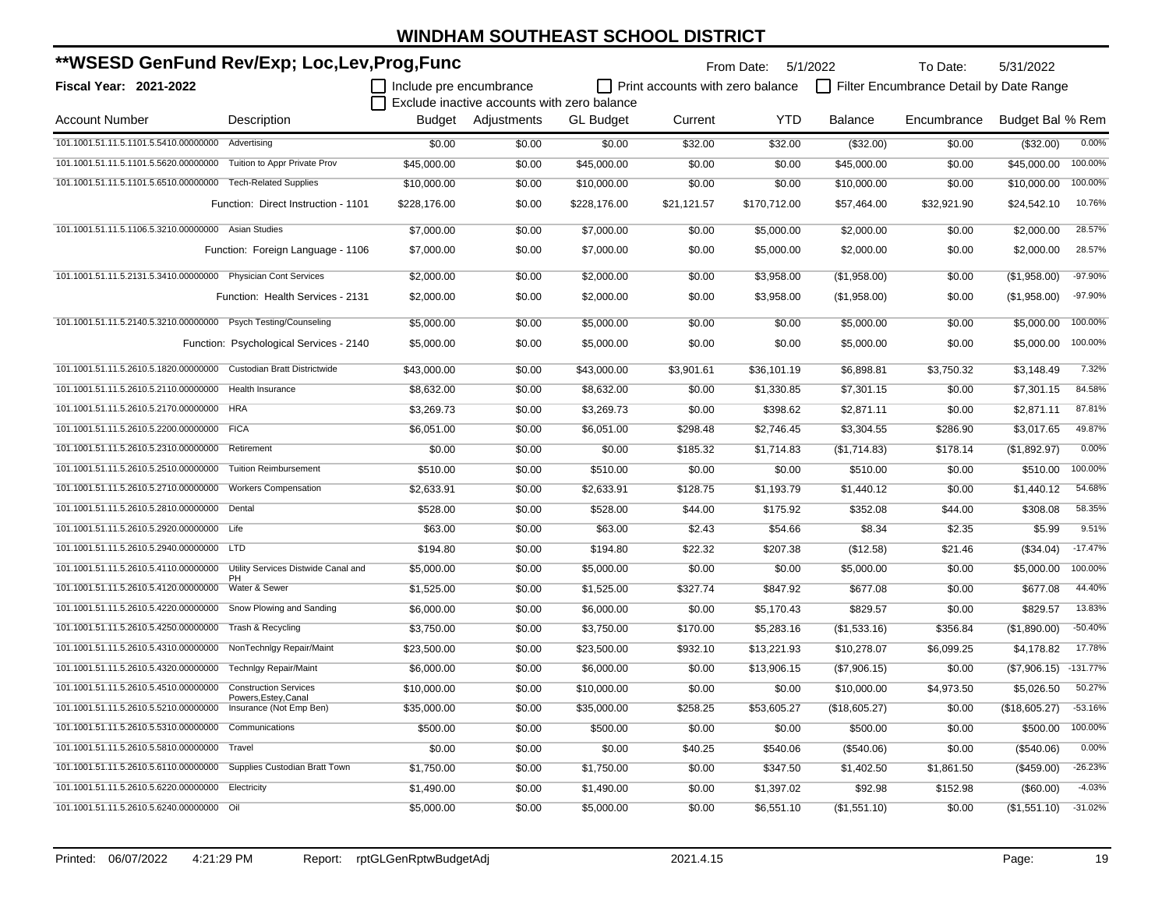| **WSESD GenFund Rev/Exp; Loc,Lev,Prog,Func                     |                                                      |                         |                                             |                  | From Date: 5/1/2022                     |              | To Date:      | 5/31/2022                               |                  |            |
|----------------------------------------------------------------|------------------------------------------------------|-------------------------|---------------------------------------------|------------------|-----------------------------------------|--------------|---------------|-----------------------------------------|------------------|------------|
| Fiscal Year: 2021-2022                                         |                                                      | Include pre encumbrance |                                             |                  | $\Box$ Print accounts with zero balance |              |               | Filter Encumbrance Detail by Date Range |                  |            |
|                                                                |                                                      |                         | Exclude inactive accounts with zero balance |                  |                                         |              |               |                                         |                  |            |
| <b>Account Number</b>                                          | Description                                          | Budget                  | Adjustments                                 | <b>GL Budget</b> | Current                                 | <b>YTD</b>   | Balance       | Encumbrance                             | Budget Bal % Rem |            |
| 101.1001.51.11.5.1101.5.5410.00000000                          | Advertising                                          | \$0.00                  | \$0.00                                      | \$0.00           | \$32.00                                 | \$32.00      | (\$32.00)     | \$0.00                                  | (\$32.00)        | 0.00%      |
| 101.1001.51.11.5.1101.5.5620.00000000                          | Tuition to Appr Private Prov                         | \$45,000.00             | \$0.00                                      | \$45,000.00      | \$0.00                                  | \$0.00       | \$45,000.00   | \$0.00                                  | \$45,000.00      | 100.00%    |
| 101.1001.51.11.5.1101.5.6510.00000000                          | <b>Tech-Related Supplies</b>                         | \$10,000.00             | \$0.00                                      | \$10,000.00      | \$0.00                                  | \$0.00       | \$10,000.00   | \$0.00                                  | \$10,000.00      | 100.00%    |
|                                                                | Function: Direct Instruction - 1101                  | \$228,176.00            | \$0.00                                      | \$228,176.00     | \$21,121.57                             | \$170,712.00 | \$57,464.00   | \$32,921.90                             | \$24,542.10      | 10.76%     |
| 101.1001.51.11.5.1106.5.3210.00000000 Asian Studies            |                                                      | \$7,000.00              | \$0.00                                      | \$7,000.00       | \$0.00                                  | \$5,000.00   | \$2,000.00    | \$0.00                                  | \$2,000.00       | 28.57%     |
|                                                                | Function: Foreign Language - 1106                    | \$7,000.00              | \$0.00                                      | \$7,000.00       | \$0.00                                  | \$5,000.00   | \$2,000.00    | \$0.00                                  | \$2,000.00       | 28.57%     |
| 101.1001.51.11.5.2131.5.3410.00000000 Physician Cont Services  |                                                      | \$2,000.00              | \$0.00                                      | \$2,000.00       | \$0.00                                  | \$3,958.00   | (\$1,958.00)  | \$0.00                                  | (\$1,958.00)     | -97.90%    |
|                                                                | Function: Health Services - 2131                     | \$2,000.00              | \$0.00                                      | \$2,000.00       | \$0.00                                  | \$3,958.00   | (\$1,958.00)  | \$0.00                                  | (\$1,958.00)     | -97.90%    |
| 101.1001.51.11.5.2140.5.3210.00000000 Psych Testing/Counseling |                                                      | \$5,000.00              | \$0.00                                      | \$5,000.00       | \$0.00                                  | \$0.00       | \$5,000.00    | \$0.00                                  | \$5,000.00       | 100.00%    |
|                                                                | Function: Psychological Services - 2140              | \$5,000.00              | \$0.00                                      | \$5,000.00       | \$0.00                                  | \$0.00       | \$5,000.00    | \$0.00                                  | \$5,000.00       | 100.00%    |
| 101.1001.51.11.5.2610.5.1820.00000000                          | Custodian Bratt Districtwide                         | \$43,000.00             | \$0.00                                      | \$43,000.00      | \$3,901.61                              | \$36,101.19  | \$6,898.81    | \$3,750.32                              | \$3,148.49       | 7.32%      |
| 101.1001.51.11.5.2610.5.2110.00000000                          | <b>Health Insurance</b>                              | \$8,632.00              | \$0.00                                      | \$8,632.00       | \$0.00                                  | \$1,330.85   | \$7,301.15    | \$0.00                                  | \$7,301.15       | 84.58%     |
| 101.1001.51.11.5.2610.5.2170.00000000                          | <b>HRA</b>                                           | \$3,269.73              | \$0.00                                      | \$3,269.73       | \$0.00                                  | \$398.62     | \$2,871.11    | \$0.00                                  | \$2,871.11       | 87.81%     |
| 101.1001.51.11.5.2610.5.2200.00000000                          | <b>FICA</b>                                          | \$6,051.00              | \$0.00                                      | \$6,051.00       | \$298.48                                | \$2,746.45   | \$3,304.55    | \$286.90                                | \$3,017.65       | 49.87%     |
| 101.1001.51.11.5.2610.5.2310.00000000                          | Retirement                                           | \$0.00                  | \$0.00                                      | \$0.00           | \$185.32                                | \$1,714.83   | (\$1,714.83)  | \$178.14                                | (\$1,892.97)     | 0.00%      |
| 101.1001.51.11.5.2610.5.2510.00000000                          | <b>Tuition Reimbursement</b>                         | \$510.00                | \$0.00                                      | \$510.00         | \$0.00                                  | \$0.00       | \$510.00      | \$0.00                                  | \$510.00         | 100.00%    |
| 101.1001.51.11.5.2610.5.2710.00000000                          | <b>Workers Compensation</b>                          | \$2.633.91              | \$0.00                                      | \$2,633.91       | \$128.75                                | \$1,193.79   | \$1,440.12    | \$0.00                                  | \$1,440.12       | 54.68%     |
| 101.1001.51.11.5.2610.5.2810.00000000 Dental                   |                                                      | \$528.00                | \$0.00                                      | \$528.00         | \$44.00                                 | \$175.92     | \$352.08      | \$44.00                                 | \$308.08         | 58.35%     |
| 101.1001.51.11.5.2610.5.2920.00000000 Life                     |                                                      | \$63.00                 | \$0.00                                      | \$63.00          | \$2.43                                  | \$54.66      | \$8.34        | \$2.35                                  | \$5.99           | 9.51%      |
| 101.1001.51.11.5.2610.5.2940.00000000 LTD                      |                                                      | \$194.80                | \$0.00                                      | \$194.80         | \$22.32                                 | \$207.38     | (\$12.58)     | \$21.46                                 | (\$34.04)        | $-17.47%$  |
| 101.1001.51.11.5.2610.5.4110.00000000                          | Utility Services Distwide Canal and<br>PH            | \$5,000.00              | \$0.00                                      | \$5,000.00       | \$0.00                                  | \$0.00       | \$5,000.00    | \$0.00                                  | \$5,000.00       | 100.00%    |
| 101.1001.51.11.5.2610.5.4120.00000000                          | Water & Sewer                                        | \$1,525.00              | \$0.00                                      | \$1,525.00       | \$327.74                                | \$847.92     | \$677.08      | \$0.00                                  | \$677.08         | 44.40%     |
| 101.1001.51.11.5.2610.5.4220.00000000                          | Snow Plowing and Sanding                             | \$6,000.00              | \$0.00                                      | \$6,000.00       | \$0.00                                  | \$5,170.43   | \$829.57      | \$0.00                                  | \$829.57         | 13.83%     |
| 101.1001.51.11.5.2610.5.4250.00000000                          | Trash & Recycling                                    | \$3,750.00              | \$0.00                                      | \$3,750.00       | \$170.00                                | \$5,283.16   | (\$1,533.16)  | \$356.84                                | (\$1,890.00)     | $-50.40%$  |
| 101.1001.51.11.5.2610.5.4310.00000000                          | NonTechnlgy Repair/Maint                             | \$23,500.00             | \$0.00                                      | \$23,500.00      | \$932.10                                | \$13,221.93  | \$10,278.07   | \$6,099.25                              | \$4,178.82       | 17.78%     |
| 101.1001.51.11.5.2610.5.4320.00000000                          | <b>Technigy Repair/Maint</b>                         | \$6.000.00              | \$0.00                                      | \$6,000.00       | \$0.00                                  | \$13,906.15  | (\$7,906.15)  | \$0.00                                  | (\$7,906.15)     | $-131.77%$ |
| 101.1001.51.11.5.2610.5.4510.00000000                          | <b>Construction Services</b><br>Powers, Estey, Canal | \$10,000.00             | \$0.00                                      | \$10,000.00      | \$0.00                                  | \$0.00       | \$10,000.00   | \$4,973.50                              | \$5,026.50       | 50.27%     |
| 101.1001.51.11.5.2610.5.5210.00000000                          | Insurance (Not Emp Ben)                              | \$35,000.00             | \$0.00                                      | \$35,000.00      | \$258.25                                | \$53,605.27  | (\$18,605.27) | \$0.00                                  | (\$18,605.27)    | $-53.16%$  |
| 101.1001.51.11.5.2610.5.5310.00000000                          | Communications                                       | \$500.00                | \$0.00                                      | \$500.00         | \$0.00                                  | \$0.00       | \$500.00      | \$0.00                                  | \$500.00         | 100.00%    |
| 101.1001.51.11.5.2610.5.5810.00000000                          | Travel                                               | \$0.00                  | \$0.00                                      | \$0.00           | \$40.25                                 | \$540.06     | (\$540.06)    | \$0.00                                  | (\$540.06)       | 0.00%      |
| 101.1001.51.11.5.2610.5.6110.00000000                          | Supplies Custodian Bratt Town                        | \$1,750.00              | \$0.00                                      | \$1,750.00       | \$0.00                                  | \$347.50     | \$1,402.50    | \$1,861.50                              | (\$459.00)       | $-26.23%$  |
| 101.1001.51.11.5.2610.5.6220.00000000                          | Electricity                                          | \$1,490.00              | \$0.00                                      | \$1,490.00       | \$0.00                                  | \$1,397.02   | \$92.98       | \$152.98                                | $($ \$60.00)     | $-4.03%$   |
| 101.1001.51.11.5.2610.5.6240.00000000 Oil                      |                                                      | \$5,000.00              | \$0.00                                      | \$5,000.00       | \$0.00                                  | \$6,551.10   | (\$1,551.10)  | \$0.00                                  | (\$1,551.10)     | $-31.02%$  |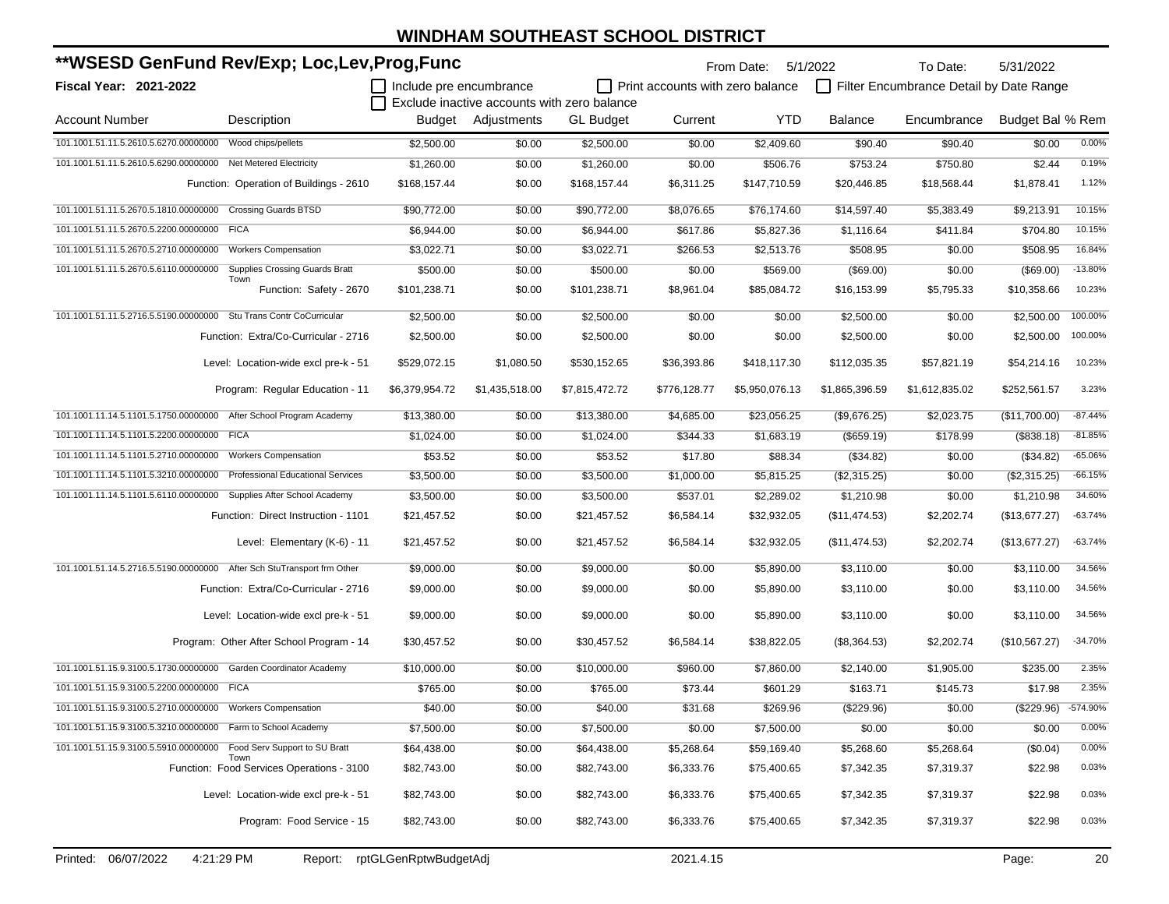| **WSESD GenFund Rev/Exp; Loc,Lev,Prog,Func                             |                                                   |                         |                    |                                             |                                  | 5/1/2022<br>From Date: |                | To Date:                                | 5/31/2022        |           |
|------------------------------------------------------------------------|---------------------------------------------------|-------------------------|--------------------|---------------------------------------------|----------------------------------|------------------------|----------------|-----------------------------------------|------------------|-----------|
| Fiscal Year: 2021-2022                                                 |                                                   | Include pre encumbrance |                    | Exclude inactive accounts with zero balance | Print accounts with zero balance |                        |                | Filter Encumbrance Detail by Date Range |                  |           |
| <b>Account Number</b>                                                  | Description                                       |                         | Budget Adjustments | <b>GL Budget</b>                            | Current                          | <b>YTD</b>             | <b>Balance</b> | Encumbrance                             | Budget Bal % Rem |           |
| 101.1001.51.11.5.2610.5.6270.00000000                                  | Wood chips/pellets                                | \$2,500.00              | \$0.00             | \$2,500.00                                  | \$0.00                           | \$2,409.60             | \$90.40        | \$90.40                                 | \$0.00           | 0.00%     |
| 101.1001.51.11.5.2610.5.6290.00000000 Net Metered Electricity          |                                                   | \$1,260.00              | \$0.00             | \$1,260.00                                  | \$0.00                           | \$506.76               | \$753.24       | \$750.80                                | \$2.44           | 0.19%     |
|                                                                        | Function: Operation of Buildings - 2610           | \$168,157.44            | \$0.00             | \$168,157.44                                | \$6,311.25                       | \$147,710.59           | \$20,446.85    | \$18,568.44                             | \$1,878.41       | 1.12%     |
| 101.1001.51.11.5.2670.5.1810.00000000                                  | <b>Crossing Guards BTSD</b>                       | \$90,772.00             | \$0.00             | \$90,772.00                                 | \$8,076.65                       | \$76,174.60            | \$14,597.40    | \$5,383.49                              | \$9,213.91       | 10.15%    |
| 101.1001.51.11.5.2670.5.2200.00000000 FICA                             |                                                   | \$6,944.00              | \$0.00             | \$6,944.00                                  | \$617.86                         | \$5,827.36             | \$1,116.64     | \$411.84                                | \$704.80         | 10.15%    |
| 101.1001.51.11.5.2670.5.2710.00000000                                  | <b>Workers Compensation</b>                       | \$3,022.71              | \$0.00             | \$3,022.71                                  | \$266.53                         | \$2,513.76             | \$508.95       | \$0.00                                  | \$508.95         | 16.84%    |
| 101.1001.51.11.5.2670.5.6110.00000000                                  | <b>Supplies Crossing Guards Bratt</b>             | \$500.00                | \$0.00             | \$500.00                                    | \$0.00                           | \$569.00               | (\$69.00)      | \$0.00                                  | (\$69.00)        | $-13.80%$ |
|                                                                        | Town<br>Function: Safety - 2670                   | \$101,238.71            | \$0.00             | \$101,238.71                                | \$8,961.04                       | \$85,084.72            | \$16,153.99    | \$5,795.33                              | \$10,358.66      | 10.23%    |
| 101.1001.51.11.5.2716.5.5190.00000000 Stu Trans Contr CoCurricular     |                                                   | \$2,500.00              | \$0.00             | \$2,500.00                                  | \$0.00                           | \$0.00                 | \$2,500.00     | \$0.00                                  | \$2,500.00       | 100.00%   |
|                                                                        | Function: Extra/Co-Curricular - 2716              | \$2,500.00              | \$0.00             | \$2,500.00                                  | \$0.00                           | \$0.00                 | \$2,500.00     | \$0.00                                  | \$2,500.00       | 100.00%   |
|                                                                        | Level: Location-wide excl pre-k - 51              | \$529,072.15            | \$1,080.50         | \$530,152.65                                | \$36,393.86                      | \$418,117.30           | \$112,035.35   | \$57,821.19                             | \$54,214.16      | 10.23%    |
|                                                                        | Program: Regular Education - 11                   | \$6,379,954.72          | \$1,435,518.00     | \$7,815,472.72                              | \$776,128.77                     | \$5,950,076.13         | \$1,865,396.59 | \$1,612,835.02                          | \$252,561.57     | 3.23%     |
| 101.1001.11.14.5.1101.5.1750.00000000 After School Program Academy     |                                                   | \$13,380.00             | \$0.00             | \$13,380.00                                 | \$4,685.00                       | \$23,056.25            | (\$9,676.25)   | \$2,023.75                              | (\$11,700.00)    | $-87.44%$ |
| 101.1001.11.14.5.1101.5.2200.00000000 FICA                             |                                                   | \$1,024.00              | \$0.00             | \$1,024.00                                  | \$344.33                         | \$1,683.19             | (\$659.19)     | \$178.99                                | (\$838.18)       | $-81.85%$ |
| 101.1001.11.14.5.1101.5.2710.00000000                                  | <b>Workers Compensation</b>                       | \$53.52                 | \$0.00             | \$53.52                                     | \$17.80                          | \$88.34                | (\$34.82)      | \$0.00                                  | (\$34.82)        | $-65.06%$ |
| 101.1001.11.14.5.1101.5.3210.00000000                                  | <b>Professional Educational Services</b>          | \$3,500.00              | \$0.00             | \$3,500.00                                  | \$1,000.00                       | \$5,815.25             | (\$2,315.25)   | \$0.00                                  | (\$2,315.25)     | $-66.15%$ |
| 101.1001.11.14.5.1101.5.6110.00000000 Supplies After School Academy    |                                                   | \$3,500.00              | \$0.00             | \$3,500.00                                  | \$537.01                         | \$2,289.02             | \$1,210.98     | \$0.00                                  | \$1,210.98       | 34.60%    |
|                                                                        | Function: Direct Instruction - 1101               | \$21,457.52             | \$0.00             | \$21,457.52                                 | \$6,584.14                       | \$32,932.05            | (\$11,474.53)  | \$2,202.74                              | (\$13,677.27)    | $-63.74%$ |
|                                                                        | Level: Elementary (K-6) - 11                      | \$21,457.52             | \$0.00             | \$21,457.52                                 | \$6,584.14                       | \$32,932.05            | (\$11,474.53)  | \$2,202.74                              | (\$13,677.27)    | $-63.74%$ |
| 101.1001.51.14.5.2716.5.5190.00000000 After Sch StuTransport frm Other |                                                   | \$9,000.00              | \$0.00             | \$9,000.00                                  | \$0.00                           | \$5,890.00             | \$3,110.00     | \$0.00                                  | \$3,110.00       | 34.56%    |
|                                                                        | Function: Extra/Co-Curricular - 2716              | \$9,000.00              | \$0.00             | \$9,000.00                                  | \$0.00                           | \$5,890.00             | \$3,110.00     | \$0.00                                  | \$3,110.00       | 34.56%    |
|                                                                        | Level: Location-wide excl pre-k - 51              | \$9,000.00              | \$0.00             | \$9,000.00                                  | \$0.00                           | \$5,890.00             | \$3,110.00     | \$0.00                                  | \$3,110.00       | 34.56%    |
|                                                                        | Program: Other After School Program - 14          | \$30,457.52             | \$0.00             | \$30,457.52                                 | \$6,584.14                       | \$38,822.05            | $(\$8,364.53)$ | \$2,202.74                              | (\$10,567.27)    | $-34.70%$ |
| 101.1001.51.15.9.3100.5.1730.00000000 Garden Coordinator Academy       |                                                   | \$10,000.00             | \$0.00             | \$10,000.00                                 | \$960.00                         | \$7,860.00             | \$2,140.00     | \$1,905.00                              | \$235.00         | 2.35%     |
| 101.1001.51.15.9.3100.5.2200.00000000                                  | <b>FICA</b>                                       | \$765.00                | \$0.00             | \$765.00                                    | \$73.44                          | \$601.29               | \$163.71       | \$145.73                                | \$17.98          | 2.35%     |
| 101.1001.51.15.9.3100.5.2710.00000000 Workers Compensation             |                                                   | \$40.00                 | \$0.00             | \$40.00                                     | \$31.68                          | \$269.96               | (\$229.96)     | \$0.00                                  | (\$229.96)       | -574.90%  |
| 101.1001.51.15.9.3100.5.3210.00000000 Farm to School Academy           |                                                   | \$7,500.00              | \$0.00             | \$7,500.00                                  | \$0.00                           | \$7,500.00             | \$0.00         | \$0.00                                  | \$0.00           | 0.00%     |
| 101.1001.51.15.9.3100.5.5910.00000000 Food Serv Support to SU Bratt    |                                                   | \$64,438.00             | \$0.00             | \$64,438.00                                 | \$5,268.64                       | \$59,169.40            | \$5,268.60     | \$5,268.64                              | (\$0.04)         | 0.00%     |
|                                                                        | Town<br>Function: Food Services Operations - 3100 | \$82,743.00             | \$0.00             | \$82,743.00                                 | \$6,333.76                       | \$75,400.65            | \$7,342.35     | \$7,319.37                              | \$22.98          | 0.03%     |
|                                                                        | Level: Location-wide excl pre-k - 51              | \$82,743.00             | \$0.00             | \$82,743.00                                 | \$6,333.76                       | \$75,400.65            | \$7,342.35     | \$7,319.37                              | \$22.98          | 0.03%     |
|                                                                        | Program: Food Service - 15                        | \$82,743.00             | \$0.00             | \$82,743.00                                 | \$6,333.76                       | \$75,400.65            | \$7,342.35     | \$7,319.37                              | \$22.98          | 0.03%     |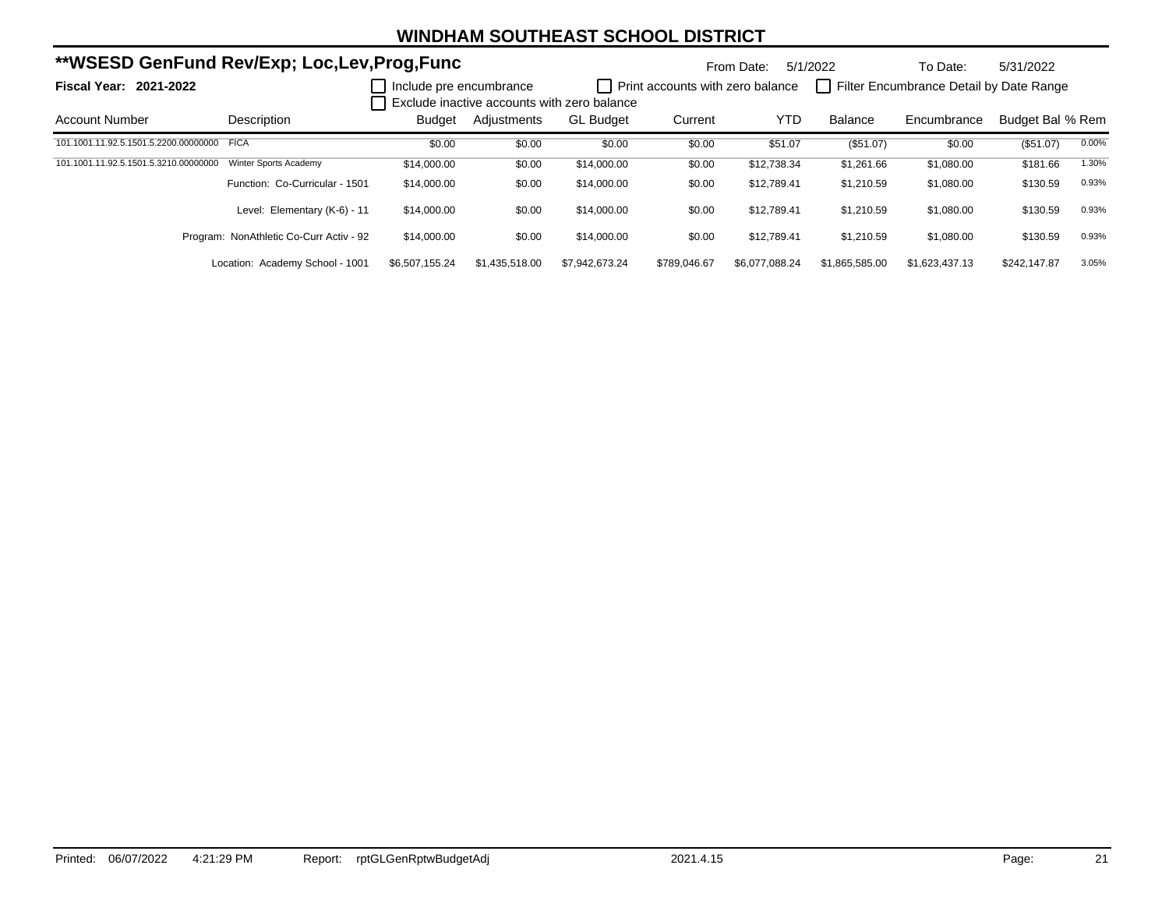|                                            | **WSESD GenFund Rev/Exp; Loc,Lev,Prog,Func |                         |                |                                             |                                  | From Date:     | 5/1/2022       | To Date:                                | 5/31/2022        |       |
|--------------------------------------------|--------------------------------------------|-------------------------|----------------|---------------------------------------------|----------------------------------|----------------|----------------|-----------------------------------------|------------------|-------|
| <b>Fiscal Year: 2021-2022</b>              |                                            | Include pre encumbrance |                | Exclude inactive accounts with zero balance | Print accounts with zero balance |                |                | Filter Encumbrance Detail by Date Range |                  |       |
| <b>Account Number</b>                      | Description                                | <b>Budget</b>           | Adiustments    | <b>GL Budget</b>                            | Current                          | <b>YTD</b>     | <b>Balance</b> | Encumbrance                             | Budget Bal % Rem |       |
| 101.1001.11.92.5.1501.5.2200.00000000 FICA |                                            | \$0.00                  | \$0.00         | \$0.00                                      | \$0.00                           | \$51.07        | (\$51.07)      | \$0.00                                  | (\$51.07)        | 0.00% |
| 101.1001.11.92.5.1501.5.3210.00000000      | Winter Sports Academy                      | \$14,000.00             | \$0.00         | \$14,000.00                                 | \$0.00                           | \$12,738.34    | \$1,261.66     | \$1,080.00                              | \$181.66         | 1.30% |
|                                            | Function: Co-Curricular - 1501             | \$14,000.00             | \$0.00         | \$14,000.00                                 | \$0.00                           | \$12,789.41    | \$1,210.59     | \$1,080.00                              | \$130.59         | 0.93% |
|                                            | Level: Elementary (K-6) - 11               | \$14,000.00             | \$0.00         | \$14,000.00                                 | \$0.00                           | \$12.789.41    | \$1,210.59     | \$1.080.00                              | \$130.59         | 0.93% |
|                                            | Program: NonAthletic Co-Curr Activ - 92    | \$14,000.00             | \$0.00         | \$14,000.00                                 | \$0.00                           | \$12.789.41    | \$1,210.59     | \$1,080.00                              | \$130.59         | 0.93% |
|                                            | Location: Academy School - 1001            | \$6.507.155.24          | \$1.435.518.00 | \$7.942.673.24                              | \$789.046.67                     | \$6.077.088.24 | \$1.865.585.00 | \$1.623.437.13                          | \$242.147.87     | 3.05% |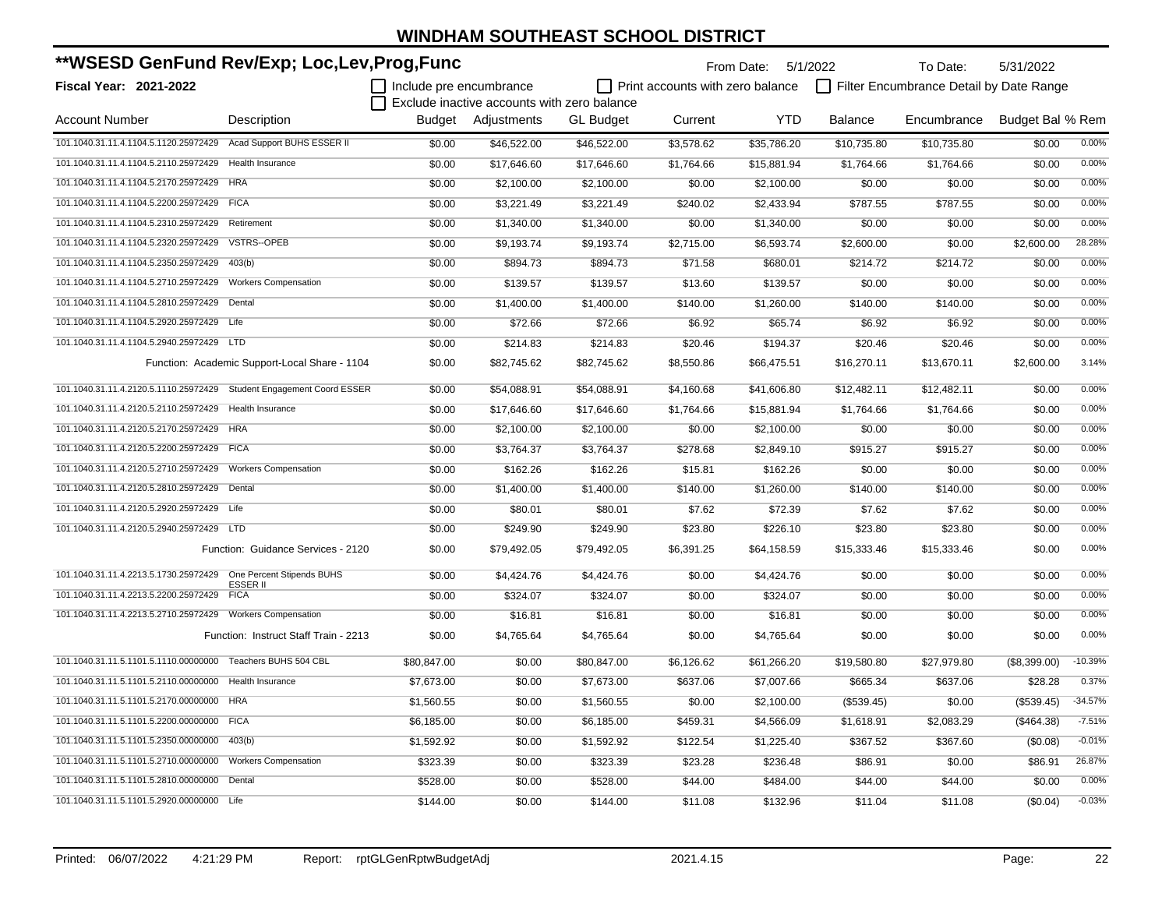| **WSESD GenFund Rev/Exp; Loc,Lev,Prog,Func                           |                                               |                         |                                             |                  |                                  | From Date: 5/1/2022 |                | To Date:                                | 5/31/2022        |           |
|----------------------------------------------------------------------|-----------------------------------------------|-------------------------|---------------------------------------------|------------------|----------------------------------|---------------------|----------------|-----------------------------------------|------------------|-----------|
| <b>Fiscal Year: 2021-2022</b>                                        |                                               | Include pre encumbrance |                                             |                  | Print accounts with zero balance |                     |                | Filter Encumbrance Detail by Date Range |                  |           |
|                                                                      |                                               |                         | Exclude inactive accounts with zero balance |                  |                                  |                     |                |                                         |                  |           |
| <b>Account Number</b>                                                | Description                                   |                         | Budget Adjustments                          | <b>GL Budget</b> | Current                          | <b>YTD</b>          | <b>Balance</b> | Encumbrance                             | Budget Bal % Rem |           |
| 101.1040.31.11.4.1104.5.1120.25972429 Acad Support BUHS ESSER II     |                                               | \$0.00                  | \$46,522.00                                 | \$46,522.00      | \$3,578.62                       | \$35,786.20         | \$10,735.80    | \$10,735.80                             | \$0.00           | 0.00%     |
| 101.1040.31.11.4.1104.5.2110.25972429 Health Insurance               |                                               | \$0.00                  | \$17,646.60                                 | \$17,646.60      | \$1,764.66                       | \$15,881.94         | \$1,764.66     | \$1,764.66                              | \$0.00           | 0.00%     |
| 101.1040.31.11.4.1104.5.2170.25972429 HRA                            |                                               | \$0.00                  | \$2,100.00                                  | \$2,100.00       | \$0.00                           | \$2,100.00          | \$0.00         | \$0.00                                  | \$0.00           | 0.00%     |
| 101.1040.31.11.4.1104.5.2200.25972429 FICA                           |                                               | \$0.00                  | \$3,221.49                                  | \$3,221.49       | \$240.02                         | \$2,433.94          | \$787.55       | \$787.55                                | \$0.00           | 0.00%     |
| 101.1040.31.11.4.1104.5.2310.25972429 Retirement                     |                                               | \$0.00                  | \$1,340.00                                  | \$1,340.00       | \$0.00                           | \$1,340.00          | \$0.00         | \$0.00                                  | \$0.00           | 0.00%     |
| 101.1040.31.11.4.1104.5.2320.25972429                                | VSTRS--OPEB                                   | \$0.00                  | \$9,193.74                                  | \$9,193.74       | \$2,715.00                       | \$6,593.74          | \$2,600.00     | \$0.00                                  | \$2,600.00       | 28.28%    |
| 101.1040.31.11.4.1104.5.2350.25972429                                | 403(b)                                        | \$0.00                  | \$894.73                                    | \$894.73         | \$71.58                          | \$680.01            | \$214.72       | \$214.72                                | \$0.00           | 0.00%     |
| 101.1040.31.11.4.1104.5.2710.25972429                                | <b>Workers Compensation</b>                   | \$0.00                  | \$139.57                                    | \$139.57         | \$13.60                          | \$139.57            | \$0.00         | \$0.00                                  | \$0.00           | 0.00%     |
| 101.1040.31.11.4.1104.5.2810.25972429                                | Dental                                        | \$0.00                  | \$1,400.00                                  | \$1,400.00       | \$140.00                         | \$1,260.00          | \$140.00       | \$140.00                                | \$0.00           | 0.00%     |
| 101.1040.31.11.4.1104.5.2920.25972429                                | Life                                          | \$0.00                  | \$72.66                                     | \$72.66          | \$6.92                           | \$65.74             | \$6.92         | \$6.92                                  | \$0.00           | 0.00%     |
| 101.1040.31.11.4.1104.5.2940.25972429 LTD                            |                                               | \$0.00                  | \$214.83                                    | \$214.83         | \$20.46                          | \$194.37            | \$20.46        | \$20.46                                 | \$0.00           | 0.00%     |
|                                                                      | Function: Academic Support-Local Share - 1104 | \$0.00                  | \$82,745.62                                 | \$82,745.62      | \$8,550.86                       | \$66,475.51         | \$16,270.11    | \$13,670.11                             | \$2,600.00       | 3.14%     |
| 101.1040.31.11.4.2120.5.1110.25972429 Student Engagement Coord ESSER |                                               | \$0.00                  | \$54,088.91                                 | \$54,088.91      | \$4,160.68                       | \$41,606.80         | \$12,482.11    | \$12,482.11                             | \$0.00           | 0.00%     |
| 101.1040.31.11.4.2120.5.2110.25972429 Health Insurance               |                                               | \$0.00                  | \$17,646.60                                 | \$17,646.60      | \$1,764.66                       | \$15,881.94         | \$1,764.66     | \$1,764.66                              | \$0.00           | 0.00%     |
| 101.1040.31.11.4.2120.5.2170.25972429 HRA                            |                                               | \$0.00                  | \$2,100.00                                  | \$2,100.00       | \$0.00                           | \$2,100.00          | \$0.00         | \$0.00                                  | \$0.00           | 0.00%     |
| 101.1040.31.11.4.2120.5.2200.25972429 FICA                           |                                               | \$0.00                  | \$3,764.37                                  | \$3,764.37       | \$278.68                         | \$2,849.10          | \$915.27       | \$915.27                                | \$0.00           | 0.00%     |
| 101.1040.31.11.4.2120.5.2710.25972429                                | <b>Workers Compensation</b>                   | \$0.00                  | \$162.26                                    | \$162.26         | \$15.81                          | \$162.26            | \$0.00         | \$0.00                                  | \$0.00           | 0.00%     |
| 101.1040.31.11.4.2120.5.2810.25972429                                | Dental                                        | \$0.00                  | \$1,400.00                                  | \$1,400.00       | \$140.00                         | \$1,260.00          | \$140.00       | \$140.00                                | \$0.00           | 0.00%     |
| 101.1040.31.11.4.2120.5.2920.25972429 Life                           |                                               | \$0.00                  | \$80.01                                     | \$80.01          | \$7.62                           | \$72.39             | \$7.62         | \$7.62                                  | \$0.00           | 0.00%     |
| 101.1040.31.11.4.2120.5.2940.25972429 LTD                            |                                               | \$0.00                  | \$249.90                                    | \$249.90         | \$23.80                          | \$226.10            | \$23.80        | \$23.80                                 | \$0.00           | 0.00%     |
|                                                                      | Function: Guidance Services - 2120            | \$0.00                  | \$79,492.05                                 | \$79,492.05      | \$6,391.25                       | \$64,158.59         | \$15,333.46    | \$15,333.46                             | \$0.00           | 0.00%     |
| 101.1040.31.11.4.2213.5.1730.25972429    One Percent Stipends BUHS   | ESSER II                                      | \$0.00                  | \$4,424.76                                  | \$4,424.76       | \$0.00                           | \$4,424.76          | \$0.00         | \$0.00                                  | \$0.00           | 0.00%     |
| 101.1040.31.11.4.2213.5.2200.25972429                                | <b>FICA</b>                                   | \$0.00                  | \$324.07                                    | \$324.07         | \$0.00                           | \$324.07            | \$0.00         | \$0.00                                  | \$0.00           | 0.00%     |
|                                                                      |                                               | \$0.00                  | \$16.81                                     | \$16.81          | \$0.00                           | \$16.81             | \$0.00         | \$0.00                                  | \$0.00           | 0.00%     |
|                                                                      | Function: Instruct Staff Train - 2213         | \$0.00                  | \$4,765.64                                  | \$4,765.64       | \$0.00                           | \$4,765.64          | \$0.00         | \$0.00                                  | \$0.00           | 0.00%     |
| 101.1040.31.11.5.1101.5.1110.00000000 Teachers BUHS 504 CBL          |                                               | \$80,847.00             | \$0.00                                      | \$80,847.00      | \$6,126.62                       | \$61,266.20         | \$19,580.80    | \$27,979.80                             | (\$8,399.00)     | $-10.39%$ |
| 101.1040.31.11.5.1101.5.2110.00000000 Health Insurance               |                                               | \$7,673.00              | \$0.00                                      | \$7,673.00       | \$637.06                         | \$7,007.66          | \$665.34       | \$637.06                                | \$28.28          | 0.37%     |
| 101.1040.31.11.5.1101.5.2170.00000000 HRA                            |                                               | \$1,560.55              | \$0.00                                      | \$1,560.55       | \$0.00                           | \$2,100.00          | (\$539.45)     | \$0.00                                  | (\$539.45)       | $-34.57%$ |
| 101.1040.31.11.5.1101.5.2200.00000000 FICA                           |                                               | \$6,185.00              | \$0.00                                      | \$6,185.00       | \$459.31                         | \$4,566.09          | \$1,618.91     | \$2,083.29                              | ( \$464.38)      | $-7.51%$  |
| 101.1040.31.11.5.1101.5.2350.00000000 403(b)                         |                                               | \$1,592.92              | \$0.00                                      | \$1,592.92       | \$122.54                         | \$1,225.40          | \$367.52       | \$367.60                                | (\$0.08)         | $-0.01%$  |
| 101.1040.31.11.5.1101.5.2710.00000000 Workers Compensation           |                                               | \$323.39                | \$0.00                                      | \$323.39         | \$23.28                          | \$236.48            | \$86.91        | \$0.00                                  | \$86.91          | 26.87%    |
| 101.1040.31.11.5.1101.5.2810.00000000                                | Dental                                        | \$528.00                | \$0.00                                      | \$528.00         | \$44.00                          | \$484.00            | \$44.00        | \$44.00                                 | \$0.00           | 0.00%     |
| 101.1040.31.11.5.1101.5.2920.00000000 Life                           |                                               | \$144.00                | \$0.00                                      | \$144.00         | \$11.08                          | \$132.96            | \$11.04        | \$11.08                                 | (\$0.04)         | $-0.03%$  |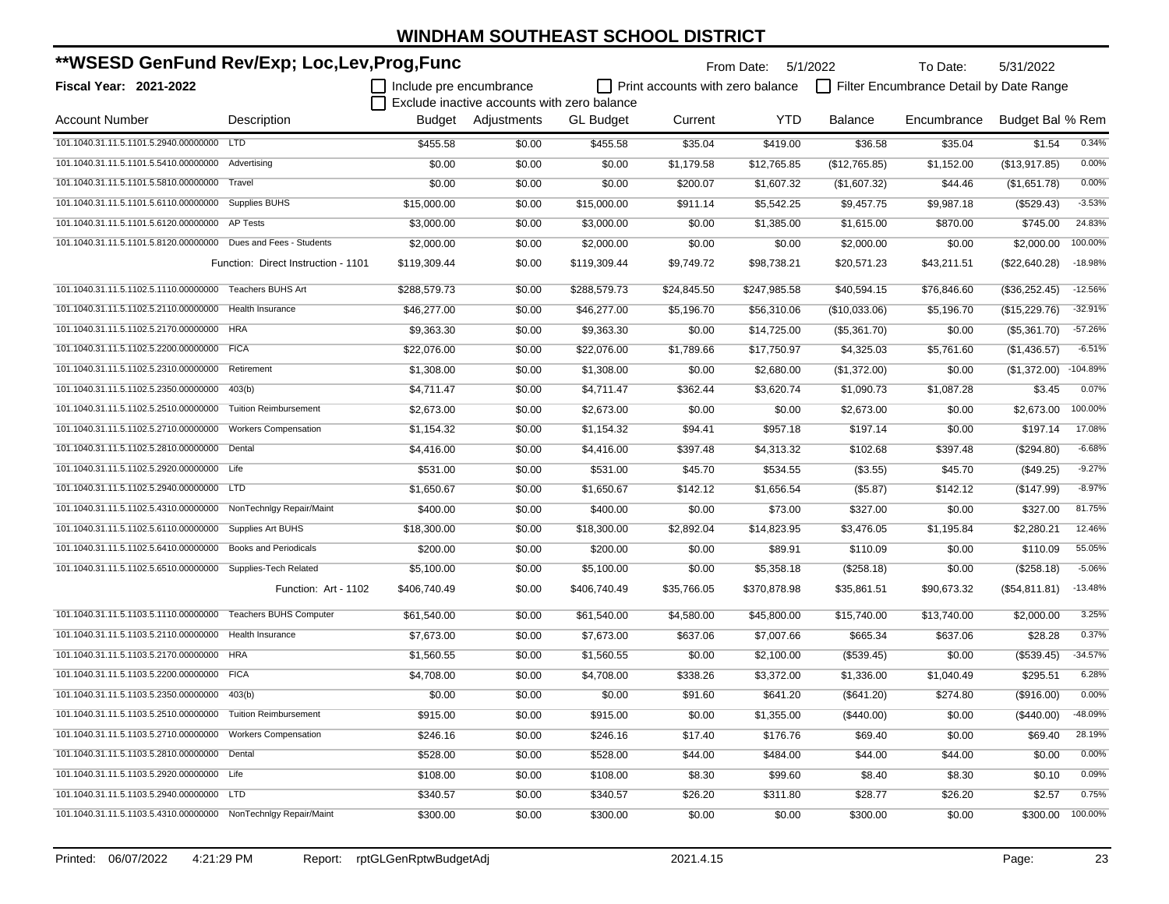| **WSESD GenFund Rev/Exp; Loc,Lev,Prog,Func                     |                                     |                         |                                             |                  | From Date: 5/1/2022                     |              | To Date:       | 5/31/2022                               |                  |            |
|----------------------------------------------------------------|-------------------------------------|-------------------------|---------------------------------------------|------------------|-----------------------------------------|--------------|----------------|-----------------------------------------|------------------|------------|
| Fiscal Year: 2021-2022                                         |                                     | Include pre encumbrance |                                             |                  | $\Box$ Print accounts with zero balance |              |                | Filter Encumbrance Detail by Date Range |                  |            |
|                                                                |                                     |                         | Exclude inactive accounts with zero balance |                  |                                         |              |                |                                         |                  |            |
| <b>Account Number</b>                                          | Description                         |                         | Budget Adjustments                          | <b>GL Budget</b> | Current                                 | <b>YTD</b>   | <b>Balance</b> | Encumbrance                             | Budget Bal % Rem |            |
| 101.1040.31.11.5.1101.5.2940.00000000 LTD                      |                                     | \$455.58                | \$0.00                                      | \$455.58         | \$35.04                                 | \$419.00     | \$36.58        | \$35.04                                 | \$1.54           | 0.34%      |
| 101.1040.31.11.5.1101.5.5410.00000000 Advertising              |                                     | \$0.00                  | \$0.00                                      | \$0.00           | \$1,179.58                              | \$12,765.85  | (\$12,765.85)  | \$1,152.00                              | (\$13,917.85)    | 0.00%      |
| 101.1040.31.11.5.1101.5.5810.00000000                          | Travel                              | \$0.00                  | \$0.00                                      | \$0.00           | \$200.07                                | \$1,607.32   | (\$1,607.32)   | \$44.46                                 | (\$1,651.78)     | 0.00%      |
| 101.1040.31.11.5.1101.5.6110.00000000 Supplies BUHS            |                                     | \$15,000.00             | \$0.00                                      | \$15,000.00      | \$911.14                                | \$5,542.25   | \$9,457.75     | \$9,987.18                              | (\$529.43)       | $-3.53%$   |
| 101.1040.31.11.5.1101.5.6120.00000000 AP Tests                 |                                     | \$3,000.00              | \$0.00                                      | \$3,000.00       | \$0.00                                  | \$1,385.00   | \$1,615.00     | \$870.00                                | \$745.00         | 24.83%     |
| 101.1040.31.11.5.1101.5.8120.00000000 Dues and Fees - Students |                                     | \$2,000.00              | \$0.00                                      | \$2,000.00       | \$0.00                                  | \$0.00       | \$2,000.00     | \$0.00                                  | \$2,000.00       | 100.00%    |
|                                                                | Function: Direct Instruction - 1101 | \$119,309.44            | \$0.00                                      | \$119,309.44     | \$9,749.72                              | \$98,738.21  | \$20,571.23    | \$43,211.51                             | (\$22,640.28)    | $-18.98%$  |
| 101.1040.31.11.5.1102.5.1110.00000000                          | <b>Teachers BUHS Art</b>            | \$288,579.73            | \$0.00                                      | \$288,579.73     | \$24,845.50                             | \$247,985.58 | \$40,594.15    | \$76,846.60                             | (\$36,252.45)    | $-12.56%$  |
| 101.1040.31.11.5.1102.5.2110.00000000 Health Insurance         |                                     | \$46,277.00             | \$0.00                                      | \$46,277.00      | \$5,196.70                              | \$56,310.06  | (\$10,033.06)  | \$5,196.70                              | (\$15,229.76)    | $-32.91%$  |
| 101.1040.31.11.5.1102.5.2170.00000000 HRA                      |                                     | \$9,363.30              | \$0.00                                      | \$9,363.30       | \$0.00                                  | \$14,725.00  | (\$5,361.70)   | \$0.00                                  | (\$5,361.70)     | $-57.26%$  |
| 101.1040.31.11.5.1102.5.2200.00000000 FICA                     |                                     | \$22,076.00             | \$0.00                                      | \$22,076.00      | \$1,789.66                              | \$17,750.97  | \$4,325.03     | \$5,761.60                              | (\$1,436.57)     | $-6.51%$   |
| 101.1040.31.11.5.1102.5.2310.00000000                          | Retirement                          | \$1,308.00              | \$0.00                                      | \$1,308.00       | \$0.00                                  | \$2,680.00   | (\$1,372.00)   | \$0.00                                  | (\$1,372.00)     | $-104.89%$ |
| 101.1040.31.11.5.1102.5.2350.00000000                          | 403(b)                              | \$4,711.47              | \$0.00                                      | \$4,711.47       | \$362.44                                | \$3,620.74   | \$1,090.73     | \$1,087.28                              | \$3.45           | 0.07%      |
| 101.1040.31.11.5.1102.5.2510.00000000                          | <b>Tuition Reimbursement</b>        | \$2,673.00              | \$0.00                                      | \$2,673.00       | \$0.00                                  | \$0.00       | \$2,673.00     | \$0.00                                  | \$2,673.00       | 100.00%    |
| 101.1040.31.11.5.1102.5.2710.00000000                          | <b>Workers Compensation</b>         | \$1,154.32              | \$0.00                                      | \$1,154.32       | \$94.41                                 | \$957.18     | \$197.14       | \$0.00                                  | \$197.14         | 17.08%     |
| 101.1040.31.11.5.1102.5.2810.00000000                          | Dental                              | \$4,416.00              | \$0.00                                      | \$4,416.00       | \$397.48                                | \$4,313.32   | \$102.68       | \$397.48                                | (\$294.80)       | $-6.68%$   |
| 101.1040.31.11.5.1102.5.2920.00000000 Life                     |                                     | \$531.00                | \$0.00                                      | \$531.00         | \$45.70                                 | \$534.55     | (\$3.55)       | \$45.70                                 | (\$49.25)        | $-9.27%$   |
| 101.1040.31.11.5.1102.5.2940.00000000 LTD                      |                                     | \$1,650.67              | \$0.00                                      | \$1,650.67       | \$142.12                                | \$1,656.54   | (\$5.87)       | \$142.12                                | (\$147.99)       | $-8.97%$   |
| 101.1040.31.11.5.1102.5.4310.00000000 NonTechnIgy Repair/Maint |                                     | \$400.00                | \$0.00                                      | \$400.00         | \$0.00                                  | \$73.00      | \$327.00       | \$0.00                                  | \$327.00         | 81.75%     |
| 101.1040.31.11.5.1102.5.6110.00000000                          | <b>Supplies Art BUHS</b>            | \$18,300.00             | \$0.00                                      | \$18,300.00      | \$2,892.04                              | \$14,823.95  | \$3,476.05     | \$1,195.84                              | \$2,280.21       | 12.46%     |
| 101.1040.31.11.5.1102.5.6410.00000000                          | <b>Books and Periodicals</b>        | \$200.00                | \$0.00                                      | \$200.00         | \$0.00                                  | \$89.91      | \$110.09       | \$0.00                                  | \$110.09         | 55.05%     |
| 101.1040.31.11.5.1102.5.6510.00000000 Supplies-Tech Related    |                                     | \$5,100.00              | \$0.00                                      | \$5,100.00       | \$0.00                                  | \$5,358.18   | (\$258.18)     | \$0.00                                  | (\$258.18)       | $-5.06%$   |
|                                                                | Function: Art - 1102                | \$406,740.49            | \$0.00                                      | \$406,740.49     | \$35,766.05                             | \$370,878.98 | \$35,861.51    | \$90,673.32                             | (\$54,811.81)    | $-13.48%$  |
| 101.1040.31.11.5.1103.5.1110.00000000 Teachers BUHS Computer   |                                     | \$61,540.00             | \$0.00                                      | \$61,540.00      | \$4,580.00                              | \$45,800.00  | \$15,740.00    | \$13,740.00                             | \$2,000.00       | 3.25%      |
| 101.1040.31.11.5.1103.5.2110.00000000                          | Health Insurance                    | \$7,673.00              | \$0.00                                      | \$7,673.00       | \$637.06                                | \$7,007.66   | \$665.34       | \$637.06                                | \$28.28          | 0.37%      |
| 101.1040.31.11.5.1103.5.2170.00000000 HRA                      |                                     | \$1,560.55              | \$0.00                                      | \$1,560.55       | \$0.00                                  | \$2,100.00   | (\$539.45)     | \$0.00                                  | (\$539.45)       | $-34.57%$  |
| 101.1040.31.11.5.1103.5.2200.00000000 FICA                     |                                     | \$4,708.00              | \$0.00                                      | \$4,708.00       | \$338.26                                | \$3,372.00   | \$1,336.00     | \$1,040.49                              | \$295.51         | 6.28%      |
| 101.1040.31.11.5.1103.5.2350.00000000 403(b)                   |                                     | \$0.00                  | \$0.00                                      | \$0.00           | \$91.60                                 | \$641.20     | (\$641.20)     | \$274.80                                | (\$916.00)       | 0.00%      |
| 101.1040.31.11.5.1103.5.2510.00000000 Tuition Reimbursement    |                                     | \$915.00                | \$0.00                                      | \$915.00         | \$0.00                                  | \$1,355.00   | (\$440.00)     | \$0.00                                  | (\$440.00)       | -48.09%    |
| 101.1040.31.11.5.1103.5.2710.00000000 Workers Compensation     |                                     | \$246.16                | \$0.00                                      | \$246.16         | \$17.40                                 | \$176.76     | \$69.40        | \$0.00                                  | \$69.40          | 28.19%     |
| 101.1040.31.11.5.1103.5.2810.00000000 Dental                   |                                     | \$528.00                | \$0.00                                      | \$528.00         | \$44.00                                 | \$484.00     | \$44.00        | \$44.00                                 | \$0.00           | 0.00%      |
| 101.1040.31.11.5.1103.5.2920.00000000 Life                     |                                     | \$108.00                | \$0.00                                      | \$108.00         | \$8.30                                  | \$99.60      | \$8.40         | \$8.30                                  | \$0.10           | 0.09%      |
| 101.1040.31.11.5.1103.5.2940.00000000 LTD                      |                                     | \$340.57                | \$0.00                                      | \$340.57         | \$26.20                                 | \$311.80     | \$28.77        | \$26.20                                 | \$2.57           | 0.75%      |
| 101.1040.31.11.5.1103.5.4310.00000000 NonTechnIgy Repair/Maint |                                     | \$300.00                | \$0.00                                      | \$300.00         | \$0.00                                  | \$0.00       | \$300.00       | \$0.00                                  | \$300.00         | 100.00%    |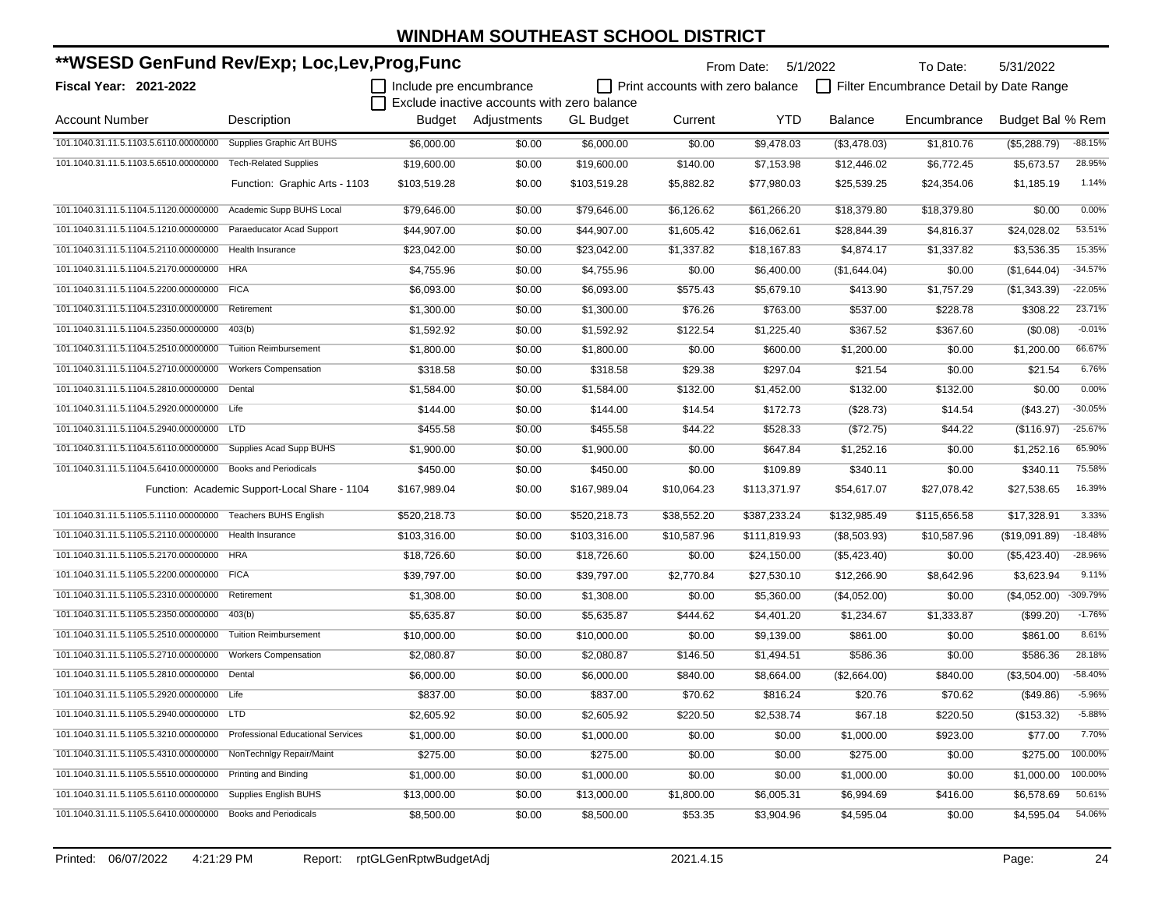| **WSESD GenFund Rev/Exp; Loc,Lev,Prog,Func                              |                                               |                         |                                             |                  | From Date: 5/1/2022              |              | To Date:       | 5/31/2022                               |                  |           |
|-------------------------------------------------------------------------|-----------------------------------------------|-------------------------|---------------------------------------------|------------------|----------------------------------|--------------|----------------|-----------------------------------------|------------------|-----------|
| Fiscal Year: 2021-2022                                                  |                                               | Include pre encumbrance |                                             |                  | Print accounts with zero balance |              |                | Filter Encumbrance Detail by Date Range |                  |           |
|                                                                         |                                               |                         | Exclude inactive accounts with zero balance |                  |                                  |              |                |                                         |                  |           |
| <b>Account Number</b>                                                   | Description                                   |                         | Budget Adjustments                          | <b>GL Budget</b> | Current                          | <b>YTD</b>   | <b>Balance</b> | Encumbrance                             | Budget Bal % Rem |           |
| 101.1040.31.11.5.1103.5.6110.00000000                                   | Supplies Graphic Art BUHS                     | \$6,000.00              | \$0.00                                      | \$6,000.00       | \$0.00                           | \$9,478.03   | (\$3,478.03)   | \$1,810.76                              | (\$5,288.79)     | $-88.15%$ |
| 101.1040.31.11.5.1103.5.6510.00000000                                   | <b>Tech-Related Supplies</b>                  | \$19,600.00             | \$0.00                                      | \$19,600.00      | \$140.00                         | \$7,153.98   | \$12,446.02    | \$6,772.45                              | \$5,673.57       | 28.95%    |
|                                                                         | Function: Graphic Arts - 1103                 | \$103,519.28            | \$0.00                                      | \$103,519.28     | \$5,882.82                       | \$77,980.03  | \$25,539.25    | \$24,354.06                             | \$1,185.19       | 1.14%     |
| 101.1040.31.11.5.1104.5.1120.00000000                                   | Academic Supp BUHS Local                      | \$79,646.00             | \$0.00                                      | \$79,646.00      | \$6,126.62                       | \$61,266.20  | \$18,379.80    | \$18,379.80                             | \$0.00           | 0.00%     |
| 101.1040.31.11.5.1104.5.1210.00000000 Paraeducator Acad Support         |                                               | \$44,907.00             | \$0.00                                      | \$44,907.00      | \$1,605.42                       | \$16,062.61  | \$28,844.39    | \$4,816.37                              | \$24,028.02      | 53.51%    |
| 101.1040.31.11.5.1104.5.2110.00000000 Health Insurance                  |                                               | \$23,042.00             | \$0.00                                      | \$23,042.00      | \$1,337.82                       | \$18,167.83  | \$4,874.17     | \$1,337.82                              | \$3,536.35       | 15.35%    |
| 101.1040.31.11.5.1104.5.2170.00000000 HRA                               |                                               | \$4,755.96              | \$0.00                                      | \$4,755.96       | \$0.00                           | \$6,400.00   | (\$1,644.04)   | \$0.00                                  | (\$1,644.04)     | $-34.57%$ |
| 101.1040.31.11.5.1104.5.2200.00000000 FICA                              |                                               | \$6,093.00              | \$0.00                                      | \$6,093.00       | \$575.43                         | \$5,679.10   | \$413.90       | \$1,757.29                              | (\$1,343.39)     | $-22.05%$ |
| 101.1040.31.11.5.1104.5.2310.00000000                                   | Retirement                                    | \$1,300.00              | \$0.00                                      | \$1,300.00       | \$76.26                          | \$763.00     | \$537.00       | \$228.78                                | \$308.22         | 23.71%    |
| 101.1040.31.11.5.1104.5.2350.00000000                                   | 403(b)                                        | \$1,592.92              | \$0.00                                      | \$1,592.92       | \$122.54                         | \$1,225.40   | \$367.52       | \$367.60                                | (\$0.08)         | $-0.01%$  |
| 101.1040.31.11.5.1104.5.2510.00000000                                   | <b>Tuition Reimbursement</b>                  | \$1,800.00              | \$0.00                                      | \$1,800.00       | \$0.00                           | \$600.00     | \$1,200.00     | \$0.00                                  | \$1,200.00       | 66.67%    |
| 101.1040.31.11.5.1104.5.2710.00000000                                   | <b>Workers Compensation</b>                   | \$318.58                | \$0.00                                      | \$318.58         | \$29.38                          | \$297.04     | \$21.54        | \$0.00                                  | \$21.54          | 6.76%     |
| 101.1040.31.11.5.1104.5.2810.00000000 Dental                            |                                               | \$1,584.00              | \$0.00                                      | \$1,584.00       | \$132.00                         | \$1,452.00   | \$132.00       | \$132.00                                | \$0.00           | 0.00%     |
| 101.1040.31.11.5.1104.5.2920.00000000 Life                              |                                               | \$144.00                | \$0.00                                      | \$144.00         | \$14.54                          | \$172.73     | (\$28.73)      | \$14.54                                 | (\$43.27)        | $-30.05%$ |
| 101.1040.31.11.5.1104.5.2940.00000000 LTD                               |                                               | \$455.58                | \$0.00                                      | \$455.58         | \$44.22                          | \$528.33     | (\$72.75)      | \$44.22                                 | (\$116.97)       | $-25.67%$ |
| 101.1040.31.11.5.1104.5.6110.00000000                                   | Supplies Acad Supp BUHS                       | \$1,900.00              | \$0.00                                      | \$1,900.00       | \$0.00                           | \$647.84     | \$1,252.16     | \$0.00                                  | \$1,252.16       | 65.90%    |
| 101.1040.31.11.5.1104.5.6410.00000000 Books and Periodicals             |                                               | \$450.00                | \$0.00                                      | \$450.00         | \$0.00                           | \$109.89     | \$340.11       | \$0.00                                  | \$340.11         | 75.58%    |
|                                                                         | Function: Academic Support-Local Share - 1104 | \$167,989.04            | \$0.00                                      | \$167,989.04     | \$10,064.23                      | \$113,371.97 | \$54,617.07    | \$27,078.42                             | \$27,538.65      | 16.39%    |
| 101.1040.31.11.5.1105.5.1110.00000000                                   | <b>Teachers BUHS English</b>                  | \$520,218.73            | \$0.00                                      | \$520,218.73     | \$38,552.20                      | \$387,233.24 | \$132,985.49   | \$115,656.58                            | \$17,328.91      | 3.33%     |
| 101.1040.31.11.5.1105.5.2110.00000000                                   | <b>Health Insurance</b>                       | \$103,316.00            | \$0.00                                      | \$103,316.00     | \$10,587.96                      | \$111,819.93 | (\$8,503.93)   | \$10,587.96                             | (\$19,091.89)    | $-18.48%$ |
| 101.1040.31.11.5.1105.5.2170.00000000 HRA                               |                                               | \$18,726.60             | \$0.00                                      | \$18,726.60      | \$0.00                           | \$24,150.00  | (\$5,423.40)   | \$0.00                                  | (\$5,423.40)     | $-28.96%$ |
| 101.1040.31.11.5.1105.5.2200.00000000 FICA                              |                                               | \$39,797.00             | \$0.00                                      | \$39,797.00      | \$2,770.84                       | \$27,530.10  | \$12,266.90    | \$8,642.96                              | \$3,623.94       | 9.11%     |
| 101.1040.31.11.5.1105.5.2310.00000000 Retirement                        |                                               | \$1,308.00              | \$0.00                                      | \$1,308.00       | \$0.00                           | \$5,360.00   | (\$4,052.00)   | \$0.00                                  | (\$4,052.00)     | -309.79%  |
| 101.1040.31.11.5.1105.5.2350.00000000                                   | 403(b)                                        | \$5,635.87              | \$0.00                                      | \$5,635.87       | \$444.62                         | \$4,401.20   | \$1,234.67     | \$1,333.87                              | (\$99.20)        | $-1.76%$  |
| 101.1040.31.11.5.1105.5.2510.00000000                                   | <b>Tuition Reimbursement</b>                  | \$10,000.00             | \$0.00                                      | \$10,000.00      | \$0.00                           | \$9,139.00   | \$861.00       | \$0.00                                  | \$861.00         | 8.61%     |
| 101.1040.31.11.5.1105.5.2710.00000000                                   | <b>Workers Compensation</b>                   | \$2,080.87              | \$0.00                                      | \$2,080.87       | \$146.50                         | \$1,494.51   | \$586.36       | \$0.00                                  | \$586.36         | 28.18%    |
| 101.1040.31.11.5.1105.5.2810.00000000                                   | Dental                                        | \$6,000.00              | \$0.00                                      | \$6,000.00       | \$840.00                         | \$8,664.00   | (\$2,664.00)   | \$840.00                                | (\$3,504.00)     | $-58.40%$ |
| 101.1040.31.11.5.1105.5.2920.00000000 Life                              |                                               | \$837.00                | \$0.00                                      | \$837.00         | \$70.62                          | \$816.24     | \$20.76        | \$70.62                                 | (\$49.86)        | $-5.96%$  |
| 101.1040.31.11.5.1105.5.2940.00000000 LTD                               |                                               | \$2,605.92              | \$0.00                                      | \$2,605.92       | \$220.50                         | \$2,538.74   | \$67.18        | \$220.50                                | (\$153.32)       | $-5.88%$  |
| 101.1040.31.11.5.1105.5.3210.00000000 Professional Educational Services |                                               | \$1,000.00              | \$0.00                                      | \$1,000.00       | \$0.00                           | \$0.00       | \$1,000.00     | \$923.00                                | \$77.00          | 7.70%     |
| 101.1040.31.11.5.1105.5.4310.00000000 NonTechnIgy Repair/Maint          |                                               | \$275.00                | \$0.00                                      | \$275.00         | \$0.00                           | \$0.00       | \$275.00       | \$0.00                                  | \$275.00         | 100.00%   |
| 101.1040.31.11.5.1105.5.5510.00000000 Printing and Binding              |                                               | \$1,000.00              | \$0.00                                      | \$1,000.00       | \$0.00                           | \$0.00       | \$1,000.00     | \$0.00                                  | \$1,000.00       | 100.00%   |
| 101.1040.31.11.5.1105.5.6110.00000000                                   | <b>Supplies English BUHS</b>                  | \$13,000.00             | \$0.00                                      | \$13,000.00      | \$1,800.00                       | \$6,005.31   | \$6,994.69     | \$416.00                                | \$6,578.69       | 50.61%    |
| 101.1040.31.11.5.1105.5.6410.00000000 Books and Periodicals             |                                               | \$8,500.00              | \$0.00                                      | \$8,500.00       | \$53.35                          | \$3,904.96   | \$4,595.04     | \$0.00                                  | \$4,595.04       | 54.06%    |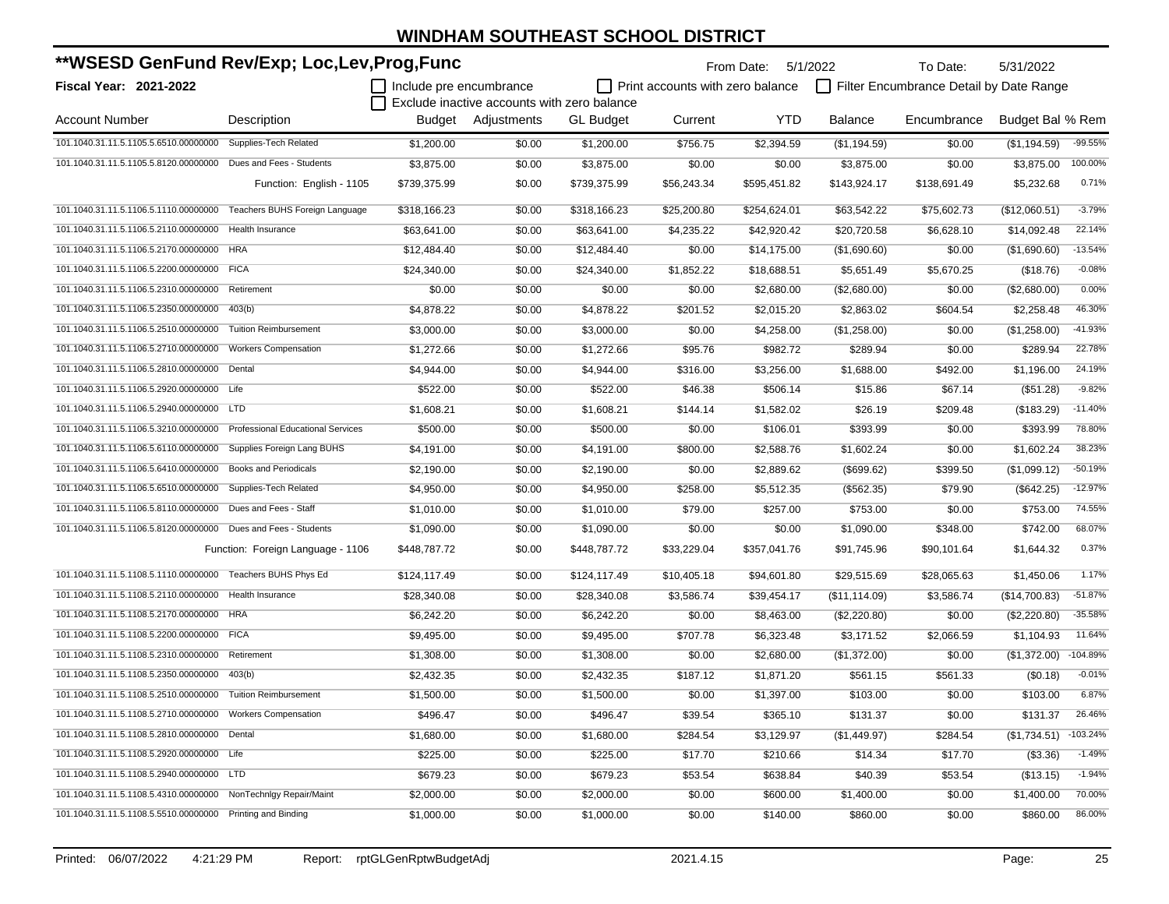| **WSESD GenFund Rev/Exp; Loc,Lev,Prog,Func                              |                                   |                         |                                             |                  | From Date:                       | 5/1/2022     | To Date:      | 5/31/2022                               |                        |            |
|-------------------------------------------------------------------------|-----------------------------------|-------------------------|---------------------------------------------|------------------|----------------------------------|--------------|---------------|-----------------------------------------|------------------------|------------|
| Fiscal Year: 2021-2022                                                  |                                   | Include pre encumbrance |                                             |                  | Print accounts with zero balance |              |               | Filter Encumbrance Detail by Date Range |                        |            |
|                                                                         |                                   |                         | Exclude inactive accounts with zero balance |                  |                                  |              |               |                                         |                        |            |
| <b>Account Number</b>                                                   | Description                       |                         | Budget Adjustments                          | <b>GL Budget</b> | Current                          | <b>YTD</b>   | Balance       | Encumbrance                             | Budget Bal % Rem       |            |
| 101.1040.31.11.5.1105.5.6510.00000000                                   | Supplies-Tech Related             | \$1,200.00              | \$0.00                                      | \$1,200.00       | \$756.75                         | \$2,394.59   | (\$1,194.59)  | \$0.00                                  | (\$1,194.59)           | $-99.55%$  |
| 101.1040.31.11.5.1105.5.8120.00000000 Dues and Fees - Students          |                                   | \$3,875.00              | \$0.00                                      | \$3,875.00       | \$0.00                           | \$0.00       | \$3,875.00    | \$0.00                                  | \$3,875.00             | 100.00%    |
|                                                                         | Function: English - 1105          | \$739,375.99            | \$0.00                                      | \$739,375.99     | \$56,243.34                      | \$595,451.82 | \$143,924.17  | \$138,691.49                            | \$5,232.68             | 0.71%      |
| 101.1040.31.11.5.1106.5.1110.00000000                                   | Teachers BUHS Foreign Language    | \$318.166.23            | \$0.00                                      | \$318,166.23     | \$25,200.80                      | \$254,624.01 | \$63,542.22   | \$75,602.73                             | (\$12,060.51)          | $-3.79%$   |
| 101.1040.31.11.5.1106.5.2110.00000000 Health Insurance                  |                                   | \$63,641.00             | \$0.00                                      | \$63,641.00      | \$4,235.22                       | \$42,920.42  | \$20,720.58   | \$6,628.10                              | \$14,092.48            | 22.14%     |
| 101.1040.31.11.5.1106.5.2170.00000000 HRA                               |                                   | \$12,484.40             | \$0.00                                      | \$12,484.40      | \$0.00                           | \$14,175.00  | (\$1,690.60)  | \$0.00                                  | (\$1,690.60)           | $-13.54%$  |
| 101.1040.31.11.5.1106.5.2200.00000000 FICA                              |                                   | \$24,340.00             | \$0.00                                      | \$24,340.00      | \$1,852.22                       | \$18,688.51  | \$5,651.49    | \$5,670.25                              | (\$18.76)              | $-0.08%$   |
| 101.1040.31.11.5.1106.5.2310.00000000                                   | Retirement                        | \$0.00                  | \$0.00                                      | \$0.00           | \$0.00                           | \$2,680.00   | (\$2,680.00)  | \$0.00                                  | (\$2,680.00)           | 0.00%      |
| 101.1040.31.11.5.1106.5.2350.00000000                                   | 403(b)                            | \$4,878.22              | \$0.00                                      | \$4,878.22       | \$201.52                         | \$2,015.20   | \$2,863.02    | \$604.54                                | \$2,258.48             | 46.30%     |
| 101.1040.31.11.5.1106.5.2510.00000000                                   | <b>Tuition Reimbursement</b>      | \$3,000.00              | \$0.00                                      | \$3,000.00       | \$0.00                           | \$4,258.00   | (\$1,258.00)  | \$0.00                                  | (\$1,258.00)           | $-41.93%$  |
| 101.1040.31.11.5.1106.5.2710.00000000                                   | <b>Workers Compensation</b>       | \$1,272.66              | \$0.00                                      | \$1,272.66       | \$95.76                          | \$982.72     | \$289.94      | \$0.00                                  | \$289.94               | 22.78%     |
| 101.1040.31.11.5.1106.5.2810.00000000                                   | Dental                            | \$4,944.00              | \$0.00                                      | \$4,944.00       | \$316.00                         | \$3,256.00   | \$1,688.00    | \$492.00                                | \$1,196.00             | 24.19%     |
| 101.1040.31.11.5.1106.5.2920.00000000 Life                              |                                   | \$522.00                | \$0.00                                      | \$522.00         | \$46.38                          | \$506.14     | \$15.86       | \$67.14                                 | (\$51.28)              | $-9.82%$   |
| 101.1040.31.11.5.1106.5.2940.00000000 LTD                               |                                   | \$1,608.21              | \$0.00                                      | \$1,608.21       | \$144.14                         | \$1,582.02   | \$26.19       | \$209.48                                | (\$183.29)             | $-11.40%$  |
| 101.1040.31.11.5.1106.5.3210.00000000 Professional Educational Services |                                   | \$500.00                | \$0.00                                      | \$500.00         | \$0.00                           | \$106.01     | \$393.99      | \$0.00                                  | \$393.99               | 78.80%     |
| 101.1040.31.11.5.1106.5.6110.00000000                                   | Supplies Foreign Lang BUHS        | \$4,191.00              | \$0.00                                      | \$4,191.00       | \$800.00                         | \$2,588.76   | \$1,602.24    | \$0.00                                  | \$1,602.24             | 38.23%     |
| 101.1040.31.11.5.1106.5.6410.00000000                                   | <b>Books and Periodicals</b>      | \$2,190.00              | \$0.00                                      | \$2,190.00       | \$0.00                           | \$2,889.62   | (\$699.62)    | \$399.50                                | (\$1,099.12)           | $-50.19%$  |
| 101.1040.31.11.5.1106.5.6510.00000000                                   | Supplies-Tech Related             | \$4,950.00              | \$0.00                                      | \$4,950.00       | \$258.00                         | \$5,512.35   | (\$562.35)    | \$79.90                                 | (\$642.25)             | $-12.97%$  |
| 101.1040.31.11.5.1106.5.8110.00000000 Dues and Fees - Staff             |                                   | \$1,010.00              | \$0.00                                      | \$1,010.00       | \$79.00                          | \$257.00     | \$753.00      | \$0.00                                  | \$753.00               | 74.55%     |
| 101.1040.31.11.5.1106.5.8120.00000000 Dues and Fees - Students          |                                   | \$1,090.00              | \$0.00                                      | \$1,090.00       | \$0.00                           | \$0.00       | \$1,090.00    | \$348.00                                | \$742.00               | 68.07%     |
|                                                                         | Function: Foreign Language - 1106 | \$448,787.72            | \$0.00                                      | \$448,787.72     | \$33,229.04                      | \$357,041.76 | \$91,745.96   | \$90,101.64                             | \$1,644.32             | 0.37%      |
| 101.1040.31.11.5.1108.5.1110.00000000 Teachers BUHS Phys Ed             |                                   | \$124,117.49            | \$0.00                                      | \$124,117.49     | \$10,405.18                      | \$94,601.80  | \$29,515.69   | \$28,065.63                             | \$1,450.06             | 1.17%      |
| 101.1040.31.11.5.1108.5.2110.00000000                                   | Health Insurance                  | \$28,340.08             | \$0.00                                      | \$28,340.08      | \$3,586.74                       | \$39,454.17  | (\$11,114.09) | \$3,586.74                              | (\$14,700.83)          | $-51.87%$  |
| 101.1040.31.11.5.1108.5.2170.00000000 HRA                               |                                   | \$6,242.20              | \$0.00                                      | \$6,242.20       | \$0.00                           | \$8,463.00   | (\$2,220.80)  | \$0.00                                  | (\$2,220.80)           | $-35.58%$  |
| 101.1040.31.11.5.1108.5.2200.00000000 FICA                              |                                   | \$9,495.00              | \$0.00                                      | \$9,495.00       | \$707.78                         | \$6,323.48   | \$3,171.52    | \$2,066.59                              | \$1,104.93             | 11.64%     |
| 101.1040.31.11.5.1108.5.2310.00000000                                   | Retirement                        | \$1,308.00              | \$0.00                                      | \$1,308.00       | \$0.00                           | \$2,680.00   | (\$1,372.00)  | \$0.00                                  | (\$1,372.00)           | $-104.89%$ |
| 101.1040.31.11.5.1108.5.2350.00000000                                   | 403(b)                            | \$2,432.35              | \$0.00                                      | \$2,432.35       | \$187.12                         | \$1,871.20   | \$561.15      | \$561.33                                | (\$0.18)               | $-0.01%$   |
| 101.1040.31.11.5.1108.5.2510.00000000 Tuition Reimbursement             |                                   | \$1,500.00              | \$0.00                                      | \$1,500.00       | \$0.00                           | \$1,397.00   | \$103.00      | \$0.00                                  | \$103.00               | 6.87%      |
| 101.1040.31.11.5.1108.5.2710.00000000 Workers Compensation              |                                   | \$496.47                | \$0.00                                      | \$496.47         | \$39.54                          | \$365.10     | \$131.37      | \$0.00                                  | \$131.37               | 26.46%     |
| 101.1040.31.11.5.1108.5.2810.00000000 Dental                            |                                   | \$1,680.00              | \$0.00                                      | \$1,680.00       | \$284.54                         | \$3,129.97   | (\$1,449.97)  | \$284.54                                | $($1,734.51)$ -103.24% |            |
| 101.1040.31.11.5.1108.5.2920.00000000 Life                              |                                   | \$225.00                | \$0.00                                      | \$225.00         | \$17.70                          | \$210.66     | \$14.34       | \$17.70                                 | (\$3.36)               | $-1.49%$   |
| 101.1040.31.11.5.1108.5.2940.00000000 LTD                               |                                   | \$679.23                | \$0.00                                      | \$679.23         | \$53.54                          | \$638.84     | \$40.39       | \$53.54                                 | (\$13.15)              | $-1.94%$   |
| 101.1040.31.11.5.1108.5.4310.00000000 NonTechnIgy Repair/Maint          |                                   | \$2,000.00              | \$0.00                                      | \$2,000.00       | \$0.00                           | \$600.00     | \$1,400.00    | \$0.00                                  | \$1,400.00             | 70.00%     |
| 101.1040.31.11.5.1108.5.5510.00000000 Printing and Binding              |                                   | \$1,000.00              | \$0.00                                      | \$1,000.00       | \$0.00                           | \$140.00     | \$860.00      | \$0.00                                  | \$860.00               | 86.00%     |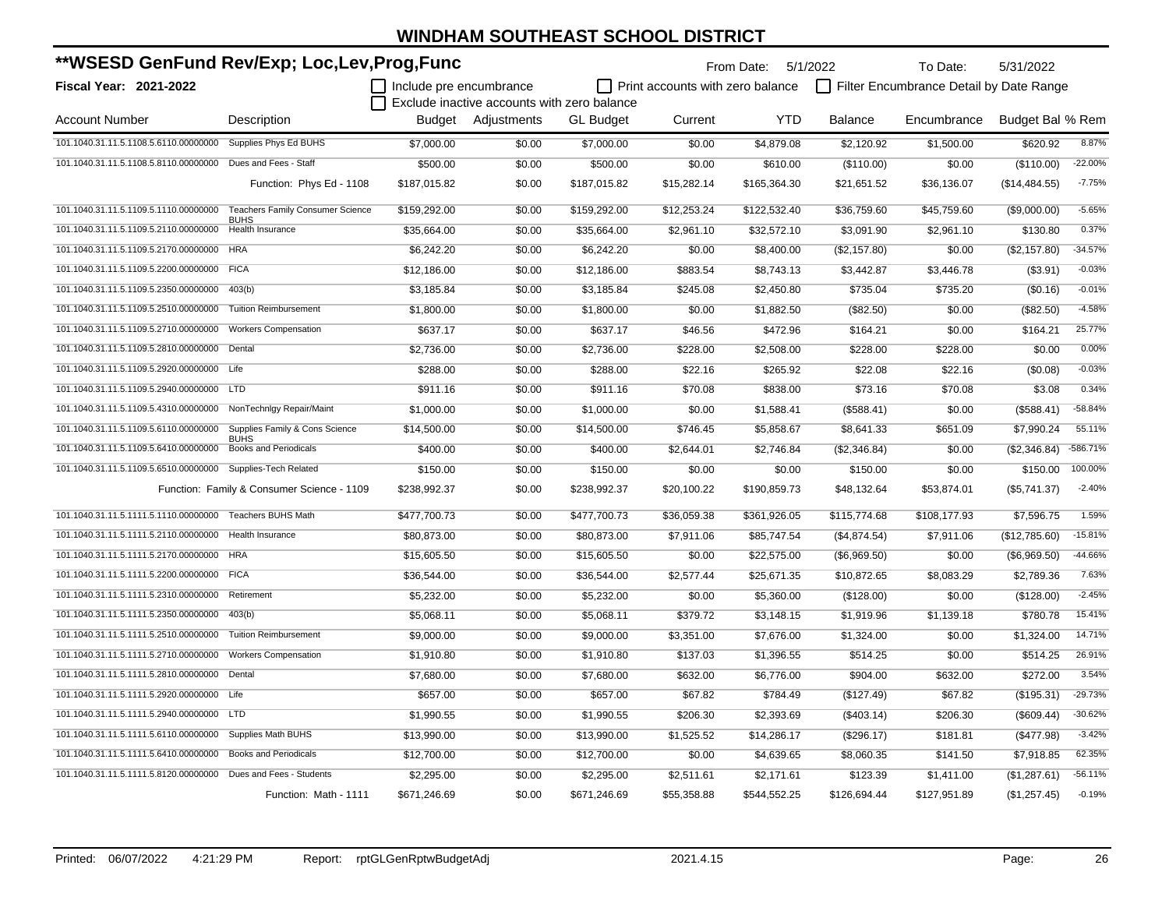| **WSESD GenFund Rev/Exp; Loc,Lev,Prog,Func                           |                                            |                                |                                             |                  |                                         | From Date: 5/1/2022 |                | To Date:                                | 5/31/2022        |           |
|----------------------------------------------------------------------|--------------------------------------------|--------------------------------|---------------------------------------------|------------------|-----------------------------------------|---------------------|----------------|-----------------------------------------|------------------|-----------|
| <b>Fiscal Year: 2021-2022</b>                                        |                                            | $\Box$ Include pre encumbrance |                                             |                  | $\Box$ Print accounts with zero balance |                     |                | Filter Encumbrance Detail by Date Range |                  |           |
|                                                                      |                                            |                                | Exclude inactive accounts with zero balance |                  |                                         |                     |                |                                         |                  |           |
| <b>Account Number</b>                                                | Description                                |                                | Budget Adjustments                          | <b>GL Budget</b> | Current                                 | <b>YTD</b>          | <b>Balance</b> | Encumbrance                             | Budget Bal % Rem |           |
| 101.1040.31.11.5.1108.5.6110.00000000 Supplies Phys Ed BUHS          |                                            | \$7,000.00                     | \$0.00                                      | \$7,000.00       | \$0.00                                  | \$4,879.08          | \$2,120.92     | \$1,500.00                              | \$620.92         | 8.87%     |
| 101.1040.31.11.5.1108.5.8110.00000000 Dues and Fees - Staff          |                                            | \$500.00                       | \$0.00                                      | \$500.00         | \$0.00                                  | \$610.00            | (\$110.00)     | \$0.00                                  | (\$110.00)       | $-22.00%$ |
|                                                                      | Function: Phys Ed - 1108                   | \$187,015.82                   | \$0.00                                      | \$187,015.82     | \$15,282.14                             | \$165,364.30        | \$21,651.52    | \$36,136.07                             | (\$14,484.55)    | $-7.75%$  |
| 101.1040.31.11.5.1109.5.1110.00000000                                | <b>Teachers Family Consumer Science</b>    | \$159,292.00                   | \$0.00                                      | \$159,292.00     | \$12,253.24                             | \$122,532.40        | \$36,759.60    | \$45,759.60                             | (\$9,000.00)     | $-5.65%$  |
| 101.1040.31.11.5.1109.5.2110.00000000                                | <b>BUHS</b><br><b>Health Insurance</b>     | \$35.664.00                    | \$0.00                                      | \$35,664.00      | \$2,961.10                              | \$32,572.10         | \$3,091.90     | \$2,961.10                              | \$130.80         | 0.37%     |
| 101.1040.31.11.5.1109.5.2170.00000000 HRA                            |                                            | \$6,242.20                     | \$0.00                                      | \$6,242.20       | \$0.00                                  | \$8,400.00          | (\$2,157.80)   | \$0.00                                  | (\$2,157.80)     | $-34.57%$ |
| 101.1040.31.11.5.1109.5.2200.00000000 FICA                           |                                            | \$12,186.00                    | \$0.00                                      | \$12,186.00      | \$883.54                                | \$8,743.13          | \$3,442.87     | \$3,446.78                              | (\$3.91)         | $-0.03%$  |
| 101.1040.31.11.5.1109.5.2350.00000000 403(b)                         |                                            | \$3,185.84                     | \$0.00                                      | \$3,185.84       | \$245.08                                | \$2,450.80          | \$735.04       | \$735.20                                | (\$0.16)         | $-0.01%$  |
| 101.1040.31.11.5.1109.5.2510.00000000 Tuition Reimbursement          |                                            | \$1,800.00                     | \$0.00                                      | \$1,800.00       | \$0.00                                  | \$1,882.50          | (\$82.50)      | \$0.00                                  | (\$82.50)        | $-4.58%$  |
| 101.1040.31.11.5.1109.5.2710.00000000 Workers Compensation           |                                            | \$637.17                       | \$0.00                                      | \$637.17         | \$46.56                                 | \$472.96            | \$164.21       | \$0.00                                  | \$164.21         | 25.77%    |
| 101.1040.31.11.5.1109.5.2810.00000000 Dental                         |                                            | \$2,736.00                     | \$0.00                                      | \$2,736.00       | \$228.00                                | \$2,508.00          | \$228.00       | \$228.00                                | \$0.00           | 0.00%     |
| 101.1040.31.11.5.1109.5.2920.00000000 Life                           |                                            | \$288.00                       | \$0.00                                      | \$288.00         | \$22.16                                 | \$265.92            | \$22.08        | \$22.16                                 | (\$0.08)         | $-0.03%$  |
| 101.1040.31.11.5.1109.5.2940.00000000 LTD                            |                                            | \$911.16                       | \$0.00                                      | \$911.16         | \$70.08                                 | \$838.00            | \$73.16        | \$70.08                                 | \$3.08           | 0.34%     |
| 101.1040.31.11.5.1109.5.4310.00000000 NonTechnIgy Repair/Maint       |                                            | \$1,000.00                     | \$0.00                                      | \$1,000.00       | \$0.00                                  | \$1,588.41          | (\$588.41)     | \$0.00                                  | (\$588.41)       | $-58.84%$ |
| 101.1040.31.11.5.1109.5.6110.00000000 Supplies Family & Cons Science |                                            | \$14,500.00                    | \$0.00                                      | \$14,500.00      | \$746.45                                | \$5,858.67          | \$8,641.33     | \$651.09                                | \$7,990.24       | 55.11%    |
| 101.1040.31.11.5.1109.5.6410.00000000 Books and Periodicals          | <b>BUHS</b>                                | \$400.00                       | \$0.00                                      | \$400.00         | \$2,644.01                              | \$2,746.84          | (\$2,346.84)   | \$0.00                                  | (\$2,346.84)     | -586.71%  |
| 101.1040.31.11.5.1109.5.6510.00000000 Supplies-Tech Related          |                                            | \$150.00                       | \$0.00                                      | \$150.00         | \$0.00                                  | \$0.00              | \$150.00       | \$0.00                                  | \$150.00         | 100.00%   |
|                                                                      | Function: Family & Consumer Science - 1109 | \$238,992.37                   | \$0.00                                      | \$238,992.37     | \$20,100.22                             | \$190,859.73        | \$48,132.64    | \$53,874.01                             | (\$5,741.37)     | $-2.40%$  |
| 101.1040.31.11.5.1111.5.1110.00000000 Teachers BUHS Math             |                                            | \$477,700.73                   | \$0.00                                      | \$477,700.73     | \$36,059.38                             | \$361,926.05        | \$115,774.68   | \$108,177.93                            | \$7,596.75       | 1.59%     |
| 101.1040.31.11.5.1111.5.2110.00000000 Health Insurance               |                                            | \$80,873.00                    | \$0.00                                      | \$80,873.00      | \$7,911.06                              | \$85,747.54         | (\$4,874.54)   | \$7,911.06                              | (\$12,785.60)    | $-15.81%$ |
| 101.1040.31.11.5.1111.5.2170.00000000 HRA                            |                                            | \$15,605.50                    | \$0.00                                      | \$15,605.50      | \$0.00                                  | \$22,575.00         | (\$6,969.50)   | \$0.00                                  | (\$6,969.50)     | -44.66%   |
| 101.1040.31.11.5.1111.5.2200.00000000 FICA                           |                                            | \$36,544.00                    | \$0.00                                      | \$36,544.00      | \$2,577.44                              | \$25,671.35         | \$10,872.65    | \$8,083.29                              | \$2,789.36       | 7.63%     |
| 101.1040.31.11.5.1111.5.2310.00000000 Retirement                     |                                            | \$5,232.00                     | \$0.00                                      | \$5,232.00       | \$0.00                                  | \$5,360.00          | (\$128.00)     | \$0.00                                  | (\$128.00)       | $-2.45%$  |
| 101.1040.31.11.5.1111.5.2350.00000000 403(b)                         |                                            | \$5,068.11                     | \$0.00                                      | \$5,068.11       | \$379.72                                | \$3,148.15          | \$1,919.96     | \$1,139.18                              | \$780.78         | 15.41%    |
| 101.1040.31.11.5.1111.5.2510.00000000 Tuition Reimbursement          |                                            | \$9,000.00                     | \$0.00                                      | \$9,000.00       | \$3,351.00                              | \$7,676.00          | \$1,324.00     | \$0.00                                  | \$1,324.00       | 14.71%    |
| 101.1040.31.11.5.1111.5.2710.00000000 Workers Compensation           |                                            | \$1,910.80                     | \$0.00                                      | \$1,910.80       | \$137.03                                | \$1,396.55          | \$514.25       | \$0.00                                  | \$514.25         | 26.91%    |
| 101.1040.31.11.5.1111.5.2810.00000000 Dental                         |                                            | \$7,680.00                     | \$0.00                                      | \$7,680.00       | \$632.00                                | \$6,776.00          | \$904.00       | \$632.00                                | \$272.00         | 3.54%     |
| 101.1040.31.11.5.1111.5.2920.00000000 Life                           |                                            | \$657.00                       | \$0.00                                      | \$657.00         | \$67.82                                 | \$784.49            | (\$127.49)     | \$67.82                                 | (\$195.31)       | $-29.73%$ |
| 101.1040.31.11.5.1111.5.2940.00000000 LTD                            |                                            | \$1,990.55                     | \$0.00                                      | \$1,990.55       | \$206.30                                | \$2,393.69          | (\$403.14)     | \$206.30                                | (\$609.44)       | $-30.62%$ |
| 101.1040.31.11.5.1111.5.6110.00000000 Supplies Math BUHS             |                                            | \$13,990.00                    | \$0.00                                      | \$13,990.00      | \$1,525.52                              | \$14,286.17         | (\$296.17)     | \$181.81                                | (\$477.98)       | $-3.42%$  |
| 101.1040.31.11.5.1111.5.6410.00000000 Books and Periodicals          |                                            | \$12,700.00                    | \$0.00                                      | \$12,700.00      | \$0.00                                  | \$4,639.65          | \$8,060.35     | \$141.50                                | \$7,918.85       | 62.35%    |
| 101.1040.31.11.5.1111.5.8120.00000000 Dues and Fees - Students       |                                            | \$2,295.00                     | \$0.00                                      | \$2,295.00       | \$2,511.61                              | \$2,171.61          | \$123.39       | \$1,411.00                              | (\$1,287.61)     | $-56.11%$ |
|                                                                      | Function: Math - 1111                      | \$671,246.69                   | \$0.00                                      | \$671,246.69     | \$55,358.88                             | \$544,552.25        | \$126,694.44   | \$127,951.89                            | (\$1,257.45)     | $-0.19%$  |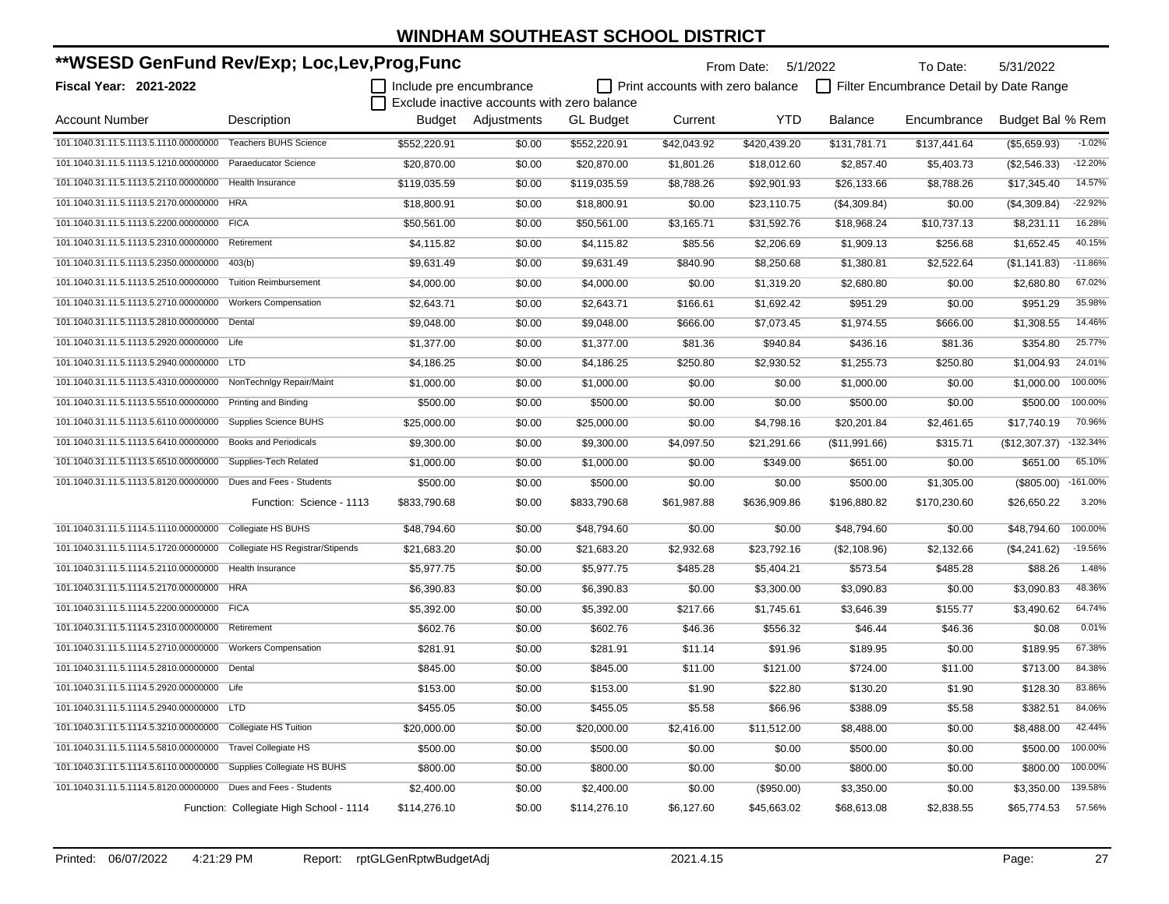| **WSESD GenFund Rev/Exp; Loc,Lev,Prog,Func                  |                                         |                         |                                             |                  |                                         | From Date: 5/1/2022 |                | To Date:                                | 5/31/2022        |            |
|-------------------------------------------------------------|-----------------------------------------|-------------------------|---------------------------------------------|------------------|-----------------------------------------|---------------------|----------------|-----------------------------------------|------------------|------------|
| <b>Fiscal Year: 2021-2022</b>                               |                                         | Include pre encumbrance |                                             |                  | $\Box$ Print accounts with zero balance |                     |                | Filter Encumbrance Detail by Date Range |                  |            |
|                                                             |                                         |                         | Exclude inactive accounts with zero balance |                  |                                         |                     |                |                                         |                  |            |
| <b>Account Number</b>                                       | Description                             | Budget                  | Adjustments                                 | <b>GL Budget</b> | Current                                 | <b>YTD</b>          | <b>Balance</b> | Encumbrance                             | Budget Bal % Rem |            |
| 101.1040.31.11.5.1113.5.1110.00000000                       | <b>Teachers BUHS Science</b>            | \$552,220.91            | \$0.00                                      | \$552,220.91     | \$42,043.92                             | \$420,439.20        | \$131,781.71   | \$137,441.64                            | (\$5,659.93)     | $-1.02%$   |
| 101.1040.31.11.5.1113.5.1210.00000000                       | Paraeducator Science                    | \$20,870.00             | \$0.00                                      | \$20,870.00      | \$1,801.26                              | \$18,012.60         | \$2,857.40     | \$5,403.73                              | (\$2,546.33)     | $-12.20%$  |
| 101.1040.31.11.5.1113.5.2110.00000000                       | <b>Health Insurance</b>                 | \$119,035.59            | \$0.00                                      | \$119,035.59     | \$8,788.26                              | \$92,901.93         | \$26,133.66    | \$8,788.26                              | \$17,345.40      | 14.57%     |
| 101.1040.31.11.5.1113.5.2170.00000000                       | <b>HRA</b>                              | \$18,800.91             | \$0.00                                      | \$18,800.91      | \$0.00                                  | \$23,110.75         | (\$4,309.84)   | \$0.00                                  | (\$4,309.84)     | $-22.92%$  |
| 101.1040.31.11.5.1113.5.2200.00000000                       | <b>FICA</b>                             | \$50,561.00             | \$0.00                                      | \$50,561.00      | \$3,165.71                              | \$31,592.76         | \$18,968.24    | \$10,737.13                             | \$8,231.11       | 16.28%     |
| 101.1040.31.11.5.1113.5.2310.00000000                       | Retirement                              | \$4,115.82              | \$0.00                                      | \$4,115.82       | \$85.56                                 | \$2,206.69          | \$1,909.13     | \$256.68                                | \$1,652.45       | 40.15%     |
| 101.1040.31.11.5.1113.5.2350.00000000 403(b)                |                                         | \$9,631.49              | \$0.00                                      | \$9,631.49       | \$840.90                                | \$8,250.68          | \$1,380.81     | \$2,522.64                              | (\$1,141.83)     | $-11.86%$  |
| 101.1040.31.11.5.1113.5.2510.00000000                       | <b>Tuition Reimbursement</b>            | \$4,000.00              | \$0.00                                      | \$4,000.00       | \$0.00                                  | \$1.319.20          | \$2,680.80     | \$0.00                                  | \$2,680.80       | 67.02%     |
| 101.1040.31.11.5.1113.5.2710.00000000                       | <b>Workers Compensation</b>             | \$2,643.71              | \$0.00                                      | \$2,643.71       | \$166.61                                | \$1,692.42          | \$951.29       | \$0.00                                  | \$951.29         | 35.98%     |
| 101.1040.31.11.5.1113.5.2810.00000000                       | Dental                                  | \$9,048.00              | \$0.00                                      | \$9,048.00       | \$666.00                                | \$7,073.45          | \$1,974.55     | \$666.00                                | \$1,308.55       | 14.46%     |
| 101.1040.31.11.5.1113.5.2920.00000000 Life                  |                                         | \$1,377.00              | \$0.00                                      | \$1,377.00       | \$81.36                                 | \$940.84            | \$436.16       | \$81.36                                 | \$354.80         | 25.77%     |
| 101.1040.31.11.5.1113.5.2940.00000000                       | <b>LTD</b>                              | \$4,186.25              | \$0.00                                      | \$4,186.25       | \$250.80                                | \$2,930.52          | \$1,255.73     | \$250.80                                | \$1,004.93       | 24.01%     |
| 101.1040.31.11.5.1113.5.4310.00000000                       | NonTechnlgy Repair/Maint                | \$1,000.00              | \$0.00                                      | \$1,000.00       | \$0.00                                  | \$0.00              | \$1,000.00     | \$0.00                                  | \$1,000.00       | 100.00%    |
| 101.1040.31.11.5.1113.5.5510.00000000                       | <b>Printing and Binding</b>             | \$500.00                | \$0.00                                      | \$500.00         | \$0.00                                  | \$0.00              | \$500.00       | \$0.00                                  | \$500.00         | 100.00%    |
| 101.1040.31.11.5.1113.5.6110.00000000                       | <b>Supplies Science BUHS</b>            | \$25,000.00             | \$0.00                                      | \$25,000.00      | \$0.00                                  | \$4,798.16          | \$20,201.84    | \$2,461.65                              | \$17,740.19      | 70.96%     |
| 101.1040.31.11.5.1113.5.6410.00000000                       | <b>Books and Periodicals</b>            | \$9,300.00              | \$0.00                                      | \$9,300.00       | \$4,097.50                              | \$21,291.66         | (\$11,991.66)  | \$315.71                                | (\$12,307.37)    | $-132.34%$ |
| 101.1040.31.11.5.1113.5.6510.00000000                       | Supplies-Tech Related                   | \$1,000.00              | \$0.00                                      | \$1,000.00       | \$0.00                                  | \$349.00            | \$651.00       | \$0.00                                  | \$651.00         | 65.10%     |
| 101.1040.31.11.5.1113.5.8120.00000000                       | Dues and Fees - Students                | \$500.00                | \$0.00                                      | \$500.00         | \$0.00                                  | \$0.00              | \$500.00       | \$1,305.00                              | (\$805.00)       | $-161.00%$ |
|                                                             | Function: Science - 1113                | \$833,790.68            | \$0.00                                      | \$833,790.68     | \$61,987.88                             | \$636,909.86        | \$196,880.82   | \$170,230.60                            | \$26,650.22      | 3.20%      |
| 101.1040.31.11.5.1114.5.1110.00000000 Collegiate HS BUHS    |                                         | \$48,794.60             | \$0.00                                      | \$48,794.60      | \$0.00                                  | \$0.00              | \$48,794.60    | \$0.00                                  | \$48,794.60      | 100.00%    |
| 101.1040.31.11.5.1114.5.1720.00000000                       | Collegiate HS Registrar/Stipends        | \$21,683.20             | \$0.00                                      | \$21,683.20      | \$2,932.68                              | \$23,792.16         | (\$2,108.96)   | \$2,132.66                              | (\$4,241.62)     | $-19.56%$  |
| 101.1040.31.11.5.1114.5.2110.00000000                       | Health Insurance                        | \$5,977.75              | \$0.00                                      | \$5,977.75       | \$485.28                                | \$5,404.21          | \$573.54       | \$485.28                                | \$88.26          | 1.48%      |
| 101.1040.31.11.5.1114.5.2170.00000000 HRA                   |                                         | \$6,390.83              | \$0.00                                      | \$6,390.83       | \$0.00                                  | \$3,300.00          | \$3,090.83     | \$0.00                                  | \$3,090.83       | 48.36%     |
| 101.1040.31.11.5.1114.5.2200.00000000 FICA                  |                                         | \$5,392.00              | \$0.00                                      | \$5,392.00       | \$217.66                                | \$1,745.61          | \$3,646.39     | \$155.77                                | \$3,490.62       | 64.74%     |
| 101.1040.31.11.5.1114.5.2310.00000000                       | Retirement                              | \$602.76                | \$0.00                                      | \$602.76         | \$46.36                                 | \$556.32            | \$46.44        | \$46.36                                 | \$0.08           | 0.01%      |
| 101.1040.31.11.5.1114.5.2710.00000000                       | <b>Workers Compensation</b>             | \$281.91                | \$0.00                                      | \$281.91         | \$11.14                                 | \$91.96             | \$189.95       | \$0.00                                  | \$189.95         | 67.38%     |
| 101.1040.31.11.5.1114.5.2810.00000000                       | Dental                                  | \$845.00                | \$0.00                                      | \$845.00         | \$11.00                                 | \$121.00            | \$724.00       | \$11.00                                 | \$713.00         | 84.38%     |
| 101.1040.31.11.5.1114.5.2920.00000000 Life                  |                                         | \$153.00                | \$0.00                                      | \$153.00         | \$1.90                                  | \$22.80             | \$130.20       | \$1.90                                  | \$128.30         | 83.86%     |
| 101.1040.31.11.5.1114.5.2940.00000000 LTD                   |                                         | \$455.05                | \$0.00                                      | \$455.05         | \$5.58                                  | \$66.96             | \$388.09       | \$5.58                                  | \$382.51         | 84.06%     |
| 101.1040.31.11.5.1114.5.3210.00000000 Collegiate HS Tuition |                                         | \$20,000.00             | \$0.00                                      | \$20,000.00      | \$2,416.00                              | \$11,512.00         | \$8,488.00     | \$0.00                                  | \$8,488.00       | 42.44%     |
| 101.1040.31.11.5.1114.5.5810.00000000                       | <b>Travel Collegiate HS</b>             | \$500.00                | \$0.00                                      | \$500.00         | \$0.00                                  | \$0.00              | \$500.00       | \$0.00                                  | \$500.00         | 100.00%    |
| 101.1040.31.11.5.1114.5.6110.00000000                       | Supplies Collegiate HS BUHS             | \$800.00                | \$0.00                                      | \$800.00         | \$0.00                                  | \$0.00              | \$800.00       | \$0.00                                  | \$800.00         | 100.00%    |
| 101.1040.31.11.5.1114.5.8120.00000000                       | Dues and Fees - Students                | \$2,400.00              | \$0.00                                      | \$2,400.00       | \$0.00                                  | (\$950.00)          | \$3,350.00     | \$0.00                                  | \$3,350.00       | 139.58%    |
|                                                             | Function: Collegiate High School - 1114 | \$114,276.10            | \$0.00                                      | \$114,276.10     | \$6,127.60                              | \$45,663.02         | \$68,613.08    | \$2,838.55                              | \$65,774.53      | 57.56%     |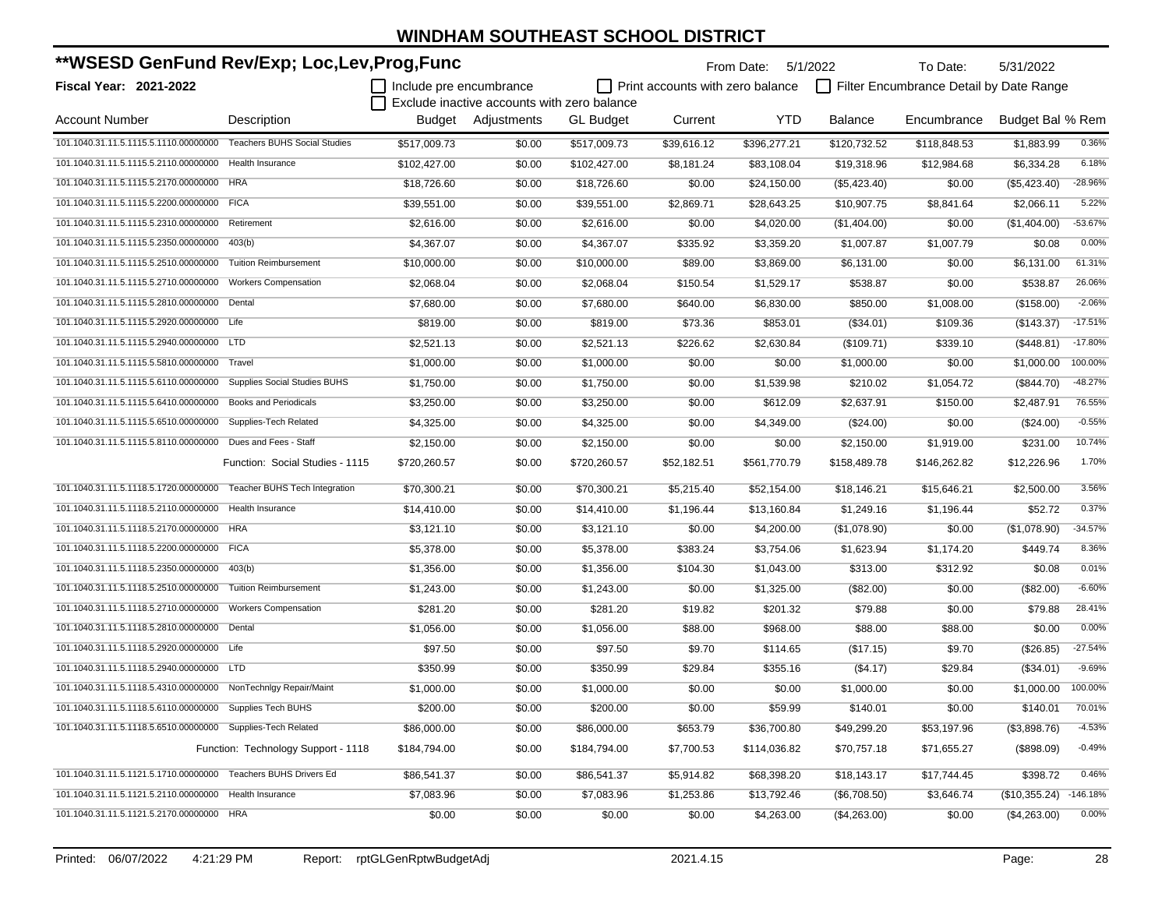| **WSESD GenFund Rev/Exp; Loc,Lev,Prog,Func                     |                                     |                         |                                             |                  | From Date:                       | 5/1/2022     | To Date:       | 5/31/2022                               |                  |            |
|----------------------------------------------------------------|-------------------------------------|-------------------------|---------------------------------------------|------------------|----------------------------------|--------------|----------------|-----------------------------------------|------------------|------------|
| <b>Fiscal Year: 2021-2022</b>                                  |                                     | Include pre encumbrance |                                             |                  | Print accounts with zero balance |              |                | Filter Encumbrance Detail by Date Range |                  |            |
|                                                                |                                     |                         | Exclude inactive accounts with zero balance |                  |                                  |              |                |                                         |                  |            |
| <b>Account Number</b>                                          | Description                         |                         | Budget Adjustments                          | <b>GL Budget</b> | Current                          | <b>YTD</b>   | <b>Balance</b> | Encumbrance                             | Budget Bal % Rem |            |
| 101.1040.31.11.5.1115.5.1110.00000000                          | <b>Teachers BUHS Social Studies</b> | \$517,009.73            | \$0.00                                      | \$517.009.73     | \$39,616.12                      | \$396,277.21 | \$120,732.52   | \$118,848.53                            | \$1,883.99       | 0.36%      |
| 101.1040.31.11.5.1115.5.2110.00000000                          | Health Insurance                    | \$102,427.00            | \$0.00                                      | \$102,427.00     | \$8,181.24                       | \$83,108.04  | \$19,318.96    | \$12,984.68                             | \$6,334.28       | 6.18%      |
| 101.1040.31.11.5.1115.5.2170.00000000                          | <b>HRA</b>                          | \$18,726.60             | \$0.00                                      | \$18,726.60      | \$0.00                           | \$24,150.00  | (\$5,423.40)   | \$0.00                                  | (\$5,423.40)     | $-28.96%$  |
| 101.1040.31.11.5.1115.5.2200.00000000                          | <b>FICA</b>                         | \$39,551.00             | \$0.00                                      | \$39,551.00      | \$2,869.71                       | \$28,643.25  | \$10,907.75    | \$8,841.64                              | \$2,066.11       | 5.22%      |
| 101.1040.31.11.5.1115.5.2310.00000000                          | Retirement                          | \$2,616.00              | \$0.00                                      | \$2,616.00       | \$0.00                           | \$4.020.00   | (\$1,404.00)   | \$0.00                                  | (\$1,404.00)     | -53.67%    |
| 101.1040.31.11.5.1115.5.2350.00000000                          | 403(b)                              | \$4,367.07              | \$0.00                                      | \$4,367.07       | \$335.92                         | \$3,359.20   | \$1,007.87     | \$1,007.79                              | \$0.08           | 0.00%      |
| 101.1040.31.11.5.1115.5.2510.00000000                          | <b>Tuition Reimbursement</b>        | \$10,000.00             | \$0.00                                      | \$10,000.00      | \$89.00                          | \$3,869.00   | \$6,131.00     | \$0.00                                  | \$6.131.00       | 61.31%     |
| 101.1040.31.11.5.1115.5.2710.00000000                          | <b>Workers Compensation</b>         | \$2,068.04              | \$0.00                                      | \$2,068.04       | \$150.54                         | \$1,529.17   | \$538.87       | \$0.00                                  | \$538.87         | 26.06%     |
| 101.1040.31.11.5.1115.5.2810.00000000                          | Dental                              | \$7,680.00              | \$0.00                                      | \$7,680.00       | \$640.00                         | \$6,830.00   | \$850.00       | \$1,008.00                              | (\$158.00)       | $-2.06%$   |
| 101.1040.31.11.5.1115.5.2920.00000000                          | Life                                | \$819.00                | \$0.00                                      | \$819.00         | \$73.36                          | \$853.01     | (\$34.01)      | \$109.36                                | (\$143.37)       | $-17.51%$  |
| 101.1040.31.11.5.1115.5.2940.00000000                          | <b>LTD</b>                          | \$2,521.13              | \$0.00                                      | \$2,521.13       | \$226.62                         | \$2,630.84   | (\$109.71)     | \$339.10                                | (\$448.81)       | $-17.80%$  |
| 101.1040.31.11.5.1115.5.5810.00000000                          | Travel                              | \$1,000.00              | \$0.00                                      | \$1,000.00       | \$0.00                           | \$0.00       | \$1,000.00     | \$0.00                                  | \$1,000.00       | 100.00%    |
| 101.1040.31.11.5.1115.5.6110.00000000                          | Supplies Social Studies BUHS        | \$1,750.00              | \$0.00                                      | \$1,750.00       | \$0.00                           | \$1,539.98   | \$210.02       | \$1,054.72                              | (\$844.70)       | $-48.27%$  |
| 101.1040.31.11.5.1115.5.6410.00000000                          | <b>Books and Periodicals</b>        | \$3,250.00              | \$0.00                                      | \$3,250.00       | \$0.00                           | \$612.09     | \$2,637.91     | \$150.00                                | \$2.487.91       | 76.55%     |
| 101.1040.31.11.5.1115.5.6510.00000000                          | Supplies-Tech Related               | \$4,325.00              | \$0.00                                      | \$4,325.00       | \$0.00                           | \$4,349.00   | (\$24.00)      | \$0.00                                  | $(\$24.00)$      | $-0.55%$   |
| 101.1040.31.11.5.1115.5.8110.00000000                          | Dues and Fees - Staff               | \$2,150.00              | \$0.00                                      | \$2,150.00       | \$0.00                           | \$0.00       | \$2,150.00     | \$1,919.00                              | \$231.00         | 10.74%     |
|                                                                | Function: Social Studies - 1115     | \$720,260.57            | \$0.00                                      | \$720,260.57     | \$52,182.51                      | \$561,770.79 | \$158,489.78   | \$146,262.82                            | \$12,226.96      | 1.70%      |
| 101.1040.31.11.5.1118.5.1720.00000000                          | Teacher BUHS Tech Integration       | \$70,300.21             | \$0.00                                      | \$70,300.21      | \$5,215.40                       | \$52,154.00  | \$18,146.21    | \$15,646.21                             | \$2,500.00       | 3.56%      |
| 101.1040.31.11.5.1118.5.2110.00000000                          | Health Insurance                    | \$14,410.00             | \$0.00                                      | \$14,410.00      | \$1,196.44                       | \$13,160.84  | \$1,249.16     | \$1,196.44                              | \$52.72          | 0.37%      |
| 101.1040.31.11.5.1118.5.2170.00000000                          | <b>HRA</b>                          | \$3,121.10              | \$0.00                                      | \$3,121.10       | \$0.00                           | \$4,200.00   | (\$1,078.90)   | \$0.00                                  | (\$1,078.90)     | $-34.57%$  |
| 101.1040.31.11.5.1118.5.2200.00000000                          | <b>FICA</b>                         | \$5,378.00              | \$0.00                                      | \$5,378.00       | \$383.24                         | \$3,754.06   | \$1,623.94     | \$1,174.20                              | \$449.74         | 8.36%      |
| 101.1040.31.11.5.1118.5.2350.00000000                          | 403(b)                              | \$1,356.00              | \$0.00                                      | \$1,356.00       | \$104.30                         | \$1,043.00   | \$313.00       | \$312.92                                | \$0.08           | 0.01%      |
| 101.1040.31.11.5.1118.5.2510.00000000                          | <b>Tuition Reimbursement</b>        | \$1,243.00              | \$0.00                                      | \$1,243.00       | \$0.00                           | \$1,325.00   | (\$82.00)      | \$0.00                                  | (\$82.00)        | $-6.60%$   |
| 101.1040.31.11.5.1118.5.2710.00000000                          | <b>Workers Compensation</b>         | \$281.20                | \$0.00                                      | \$281.20         | \$19.82                          | \$201.32     | \$79.88        | \$0.00                                  | \$79.88          | 28.41%     |
| 101.1040.31.11.5.1118.5.2810.00000000                          | Dental                              | \$1,056.00              | \$0.00                                      | \$1,056.00       | \$88.00                          | \$968.00     | \$88.00        | \$88.00                                 | \$0.00           | 0.00%      |
| 101.1040.31.11.5.1118.5.2920.00000000 Life                     |                                     | \$97.50                 | \$0.00                                      | \$97.50          | \$9.70                           | \$114.65     | (\$17.15)      | \$9.70                                  | (\$26.85)        | $-27.54%$  |
| 101.1040.31.11.5.1118.5.2940.00000000                          | <b>LTD</b>                          | \$350.99                | \$0.00                                      | \$350.99         | \$29.84                          | \$355.16     | (\$4.17)       | \$29.84                                 | (\$34.01)        | $-9.69%$   |
| 101.1040.31.11.5.1118.5.4310.00000000 NonTechnIgy Repair/Maint |                                     | \$1,000.00              | \$0.00                                      | \$1,000.00       | \$0.00                           | \$0.00       | \$1,000.00     | \$0.00                                  | \$1,000.00       | 100.00%    |
| 101.1040.31.11.5.1118.5.6110.00000000 Supplies Tech BUHS       |                                     | \$200.00                | \$0.00                                      | \$200.00         | \$0.00                           | \$59.99      | \$140.01       | \$0.00                                  | \$140.01         | 70.01%     |
| 101.1040.31.11.5.1118.5.6510.00000000 Supplies-Tech Related    |                                     | \$86,000.00             | \$0.00                                      | \$86,000.00      | \$653.79                         | \$36,700.80  | \$49,299.20    | \$53,197.96                             | (\$3,898.76)     | $-4.53%$   |
|                                                                | Function: Technology Support - 1118 | \$184,794.00            | \$0.00                                      | \$184,794.00     | \$7,700.53                       | \$114,036.82 | \$70,757.18    | \$71,655.27                             | (\$898.09)       | $-0.49%$   |
| 101.1040.31.11.5.1121.5.1710.00000000 Teachers BUHS Drivers Ed |                                     | \$86,541.37             | \$0.00                                      | \$86,541.37      | \$5,914.82                       | \$68,398.20  | \$18,143.17    | \$17,744.45                             | \$398.72         | 0.46%      |
| 101.1040.31.11.5.1121.5.2110.00000000                          | Health Insurance                    | \$7,083.96              | \$0.00                                      | \$7,083.96       | \$1,253.86                       | \$13,792.46  | (\$6,708.50)   | \$3,646.74                              | (\$10,355.24)    | $-146.18%$ |
| 101.1040.31.11.5.1121.5.2170.00000000 HRA                      |                                     | \$0.00                  | \$0.00                                      | \$0.00           | \$0.00                           | \$4,263.00   | (\$4,263.00)   | \$0.00                                  | (\$4,263.00)     | 0.00%      |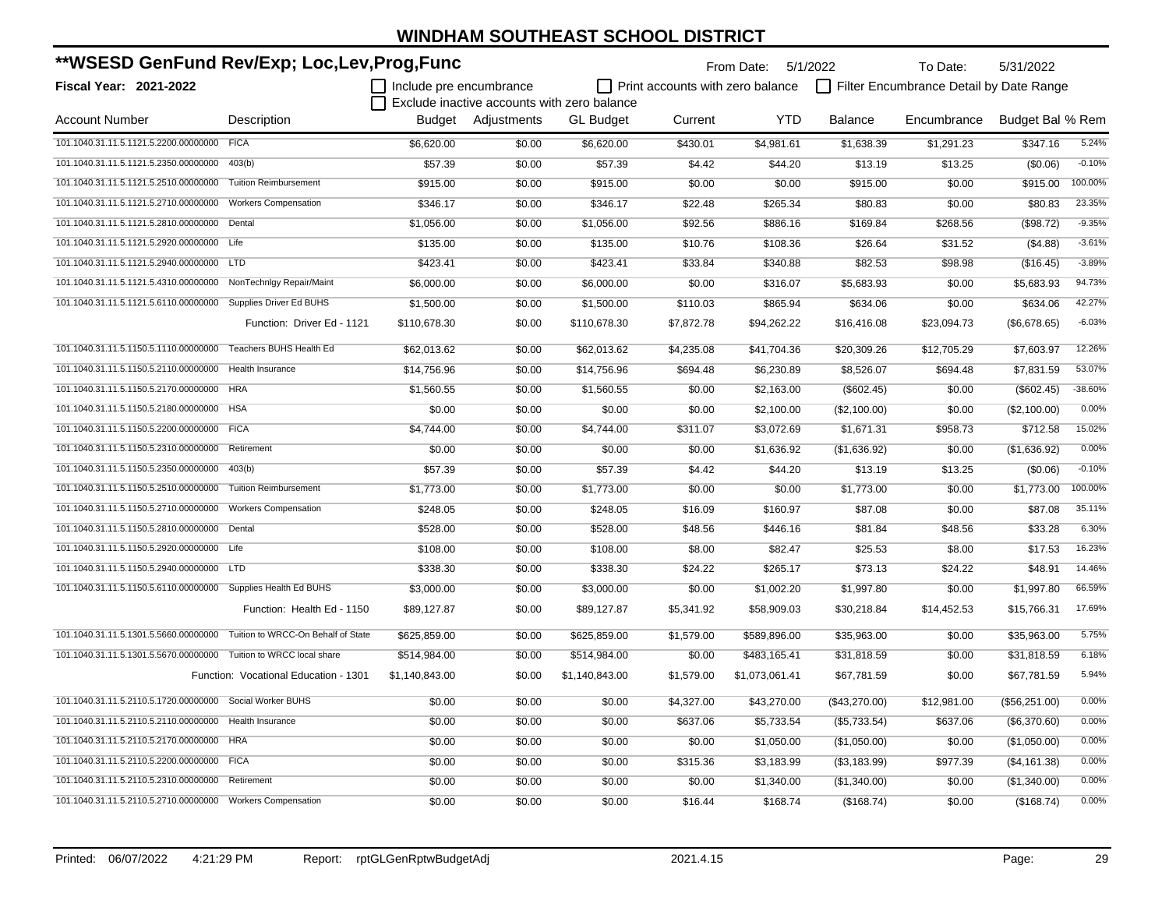| **WSESD GenFund Rev/Exp; Loc,Lev,Prog,Func                        |                                       |                         |                                             |                  |                                         | From Date: 5/1/2022 |                | To Date:                                | 5/31/2022        |           |
|-------------------------------------------------------------------|---------------------------------------|-------------------------|---------------------------------------------|------------------|-----------------------------------------|---------------------|----------------|-----------------------------------------|------------------|-----------|
| <b>Fiscal Year: 2021-2022</b>                                     |                                       | Include pre encumbrance |                                             |                  | $\Box$ Print accounts with zero balance |                     |                | Filter Encumbrance Detail by Date Range |                  |           |
|                                                                   |                                       |                         | Exclude inactive accounts with zero balance |                  |                                         |                     |                |                                         |                  |           |
| <b>Account Number</b>                                             | Description                           |                         | Budget Adjustments                          | <b>GL Budget</b> | Current                                 | <b>YTD</b>          | <b>Balance</b> | Encumbrance                             | Budget Bal % Rem |           |
| 101.1040.31.11.5.1121.5.2200.00000000 FICA                        |                                       | \$6,620.00              | \$0.00                                      | \$6,620.00       | \$430.01                                | \$4,981.61          | \$1,638.39     | \$1,291.23                              | \$347.16         | 5.24%     |
| 101.1040.31.11.5.1121.5.2350.00000000 403(b)                      |                                       | \$57.39                 | \$0.00                                      | \$57.39          | \$4.42                                  | \$44.20             | \$13.19        | \$13.25                                 | (\$0.06)         | $-0.10%$  |
| 101.1040.31.11.5.1121.5.2510.00000000 Tuition Reimbursement       |                                       | \$915.00                | \$0.00                                      | \$915.00         | \$0.00                                  | \$0.00              | \$915.00       | \$0.00                                  | \$915.00         | 100.00%   |
| 101.1040.31.11.5.1121.5.2710.00000000                             | <b>Workers Compensation</b>           | \$346.17                | \$0.00                                      | \$346.17         | \$22.48                                 | \$265.34            | \$80.83        | \$0.00                                  | \$80.83          | 23.35%    |
| 101.1040.31.11.5.1121.5.2810.00000000 Dental                      |                                       | \$1,056.00              | \$0.00                                      | \$1,056.00       | \$92.56                                 | \$886.16            | \$169.84       | \$268.56                                | (\$98.72)        | $-9.35%$  |
| 101.1040.31.11.5.1121.5.2920.00000000 Life                        |                                       | \$135.00                | \$0.00                                      | \$135.00         | \$10.76                                 | \$108.36            | \$26.64        | \$31.52                                 | (\$4.88)         | $-3.61%$  |
| 101.1040.31.11.5.1121.5.2940.00000000 LTD                         |                                       | \$423.41                | \$0.00                                      | \$423.41         | \$33.84                                 | \$340.88            | \$82.53        | \$98.98                                 | (\$16.45)        | $-3.89%$  |
| 101.1040.31.11.5.1121.5.4310.00000000                             | NonTechnlgy Repair/Maint              | \$6,000.00              | \$0.00                                      | \$6,000.00       | \$0.00                                  | \$316.07            | \$5,683.93     | \$0.00                                  | \$5,683.93       | 94.73%    |
| 101.1040.31.11.5.1121.5.6110.00000000 Supplies Driver Ed BUHS     |                                       | \$1,500.00              | \$0.00                                      | \$1,500.00       | \$110.03                                | \$865.94            | \$634.06       | \$0.00                                  | \$634.06         | 42.27%    |
|                                                                   | Function: Driver Ed - 1121            | \$110,678.30            | \$0.00                                      | \$110,678.30     | \$7,872.78                              | \$94,262.22         | \$16,416.08    | \$23,094.73                             | (\$6,678.65)     | $-6.03%$  |
| 101.1040.31.11.5.1150.5.1110.00000000 Teachers BUHS Health Ed     |                                       | \$62.013.62             | \$0.00                                      | \$62,013.62      | \$4,235.08                              | \$41,704.36         | \$20,309.26    | \$12,705.29                             | \$7,603.97       | 12.26%    |
| 101.1040.31.11.5.1150.5.2110.00000000                             | Health Insurance                      | \$14,756.96             | \$0.00                                      | \$14,756.96      | \$694.48                                | \$6,230.89          | \$8,526.07     | \$694.48                                | \$7,831.59       | 53.07%    |
| 101.1040.31.11.5.1150.5.2170.00000000 HRA                         |                                       | \$1,560.55              | \$0.00                                      | \$1,560.55       | \$0.00                                  | \$2,163.00          | (\$602.45)     | \$0.00                                  | (\$602.45)       | $-38.60%$ |
| 101.1040.31.11.5.1150.5.2180.00000000 HSA                         |                                       | \$0.00                  | \$0.00                                      | \$0.00           | \$0.00                                  | \$2,100.00          | (\$2,100.00)   | \$0.00                                  | (\$2,100.00)     | 0.00%     |
| 101.1040.31.11.5.1150.5.2200.00000000 FICA                        |                                       | \$4,744.00              | \$0.00                                      | \$4,744.00       | \$311.07                                | \$3,072.69          | \$1,671.31     | \$958.73                                | \$712.58         | 15.02%    |
| 101.1040.31.11.5.1150.5.2310.00000000                             | Retirement                            | \$0.00                  | \$0.00                                      | \$0.00           | \$0.00                                  | \$1,636.92          | (\$1,636.92)   | \$0.00                                  | (\$1,636.92)     | 0.00%     |
| 101.1040.31.11.5.1150.5.2350.00000000                             | 403(b)                                | \$57.39                 | \$0.00                                      | \$57.39          | \$4.42                                  | \$44.20             | \$13.19        | \$13.25                                 | (\$0.06)         | $-0.10%$  |
| 101.1040.31.11.5.1150.5.2510.00000000                             | <b>Tuition Reimbursement</b>          | \$1,773.00              | \$0.00                                      | \$1,773.00       | \$0.00                                  | \$0.00              | \$1,773.00     | \$0.00                                  | \$1,773.00       | 100.00%   |
| 101.1040.31.11.5.1150.5.2710.00000000                             | <b>Workers Compensation</b>           | \$248.05                | \$0.00                                      | \$248.05         | \$16.09                                 | \$160.97            | \$87.08        | \$0.00                                  | \$87.08          | 35.11%    |
| 101.1040.31.11.5.1150.5.2810.00000000                             | Dental                                | \$528.00                | \$0.00                                      | \$528.00         | \$48.56                                 | \$446.16            | \$81.84        | \$48.56                                 | \$33.28          | 6.30%     |
| 101.1040.31.11.5.1150.5.2920.00000000 Life                        |                                       | \$108.00                | \$0.00                                      | \$108.00         | \$8.00                                  | \$82.47             | \$25.53        | \$8.00                                  | \$17.53          | 16.23%    |
| 101.1040.31.11.5.1150.5.2940.00000000 LTD                         |                                       | \$338.30                | \$0.00                                      | \$338.30         | \$24.22                                 | \$265.17            | \$73.13        | \$24.22                                 | \$48.91          | 14.46%    |
| 101.1040.31.11.5.1150.5.6110.00000000 Supplies Health Ed BUHS     |                                       | \$3,000.00              | \$0.00                                      | \$3,000.00       | \$0.00                                  | \$1,002.20          | \$1,997.80     | \$0.00                                  | \$1,997.80       | 66.59%    |
|                                                                   | Function: Health Ed - 1150            | \$89,127.87             | \$0.00                                      | \$89,127.87      | \$5,341.92                              | \$58,909.03         | \$30,218.84    | \$14,452.53                             | \$15,766.31      | 17.69%    |
| 101.1040.31.11.5.1301.5.5660.00000000                             | Tuition to WRCC-On Behalf of State    | \$625,859.00            | \$0.00                                      | \$625,859.00     | \$1,579.00                              | \$589,896.00        | \$35,963.00    | \$0.00                                  | \$35,963.00      | 5.75%     |
| 101.1040.31.11.5.1301.5.5670.00000000 Tuition to WRCC local share |                                       | \$514,984.00            | \$0.00                                      | \$514,984.00     | \$0.00                                  | \$483,165.41        | \$31,818.59    | \$0.00                                  | \$31,818.59      | 6.18%     |
|                                                                   | Function: Vocational Education - 1301 | \$1,140,843.00          | \$0.00                                      | \$1,140,843.00   | \$1,579.00                              | \$1,073,061.41      | \$67,781.59    | \$0.00                                  | \$67,781.59      | 5.94%     |
| 101.1040.31.11.5.2110.5.1720.00000000 Social Worker BUHS          |                                       | \$0.00                  | \$0.00                                      | \$0.00           | \$4,327.00                              | \$43,270.00         | (\$43,270.00)  | \$12,981.00                             | (\$56,251.00)    | 0.00%     |
| 101.1040.31.11.5.2110.5.2110.00000000                             | <b>Health Insurance</b>               | \$0.00                  | \$0.00                                      | \$0.00           | \$637.06                                | \$5,733.54          | (\$5,733.54)   | \$637.06                                | (\$6,370.60)     | 0.00%     |
| 101.1040.31.11.5.2110.5.2170.00000000 HRA                         |                                       | \$0.00                  | \$0.00                                      | \$0.00           | \$0.00                                  | \$1,050.00          | (\$1,050.00)   | \$0.00                                  | (\$1,050.00)     | 0.00%     |
| 101.1040.31.11.5.2110.5.2200.00000000 FICA                        |                                       | \$0.00                  | \$0.00                                      | \$0.00           | \$315.36                                | \$3,183.99          | (\$3,183.99)   | \$977.39                                | (\$4,161.38)     | 0.00%     |
| 101.1040.31.11.5.2110.5.2310.00000000 Retirement                  |                                       | \$0.00                  | \$0.00                                      | \$0.00           | \$0.00                                  | \$1,340.00          | (\$1,340.00)   | \$0.00                                  | (\$1,340.00)     | 0.00%     |
| 101.1040.31.11.5.2110.5.2710.00000000 Workers Compensation        |                                       | \$0.00                  | \$0.00                                      | \$0.00           | \$16.44                                 | \$168.74            | (\$168.74)     | \$0.00                                  | (\$168.74)       | 0.00%     |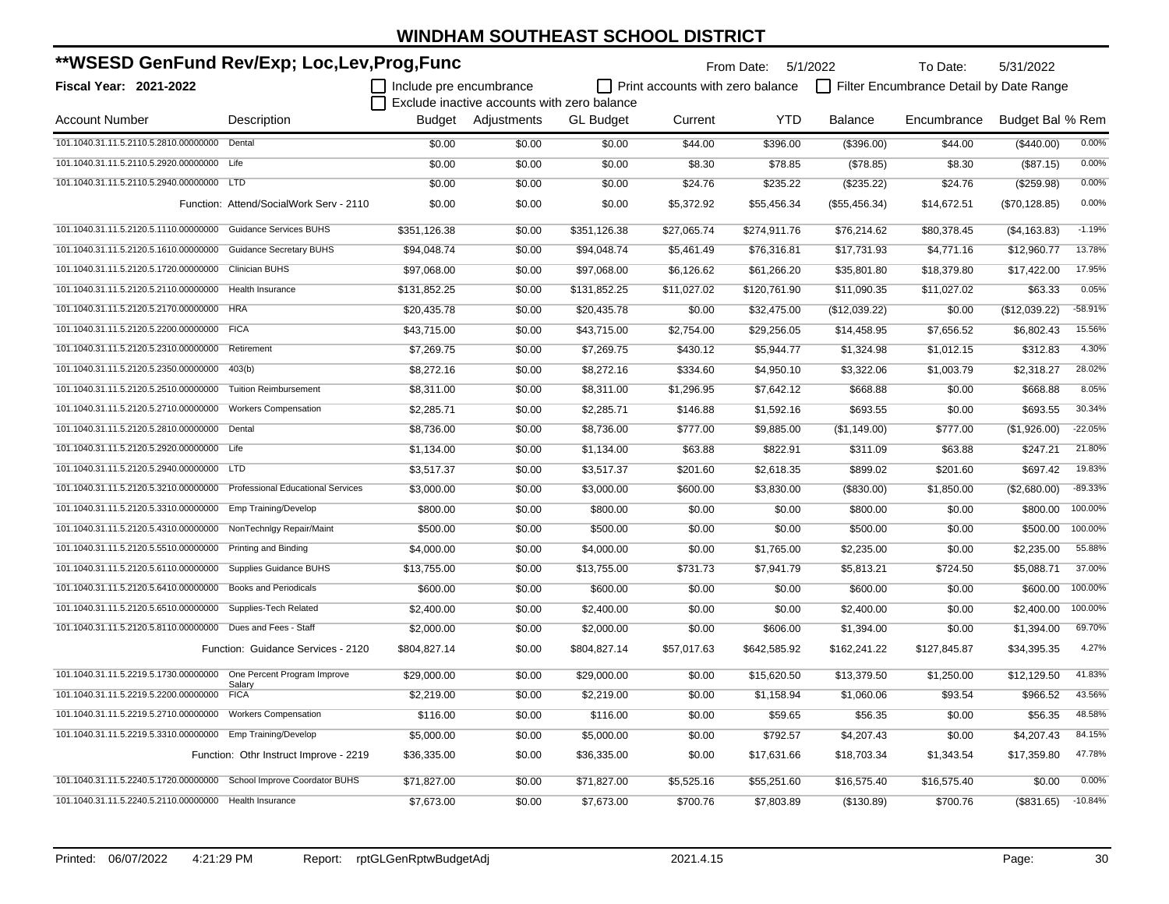| **WSESD GenFund Rev/Exp; Loc,Lev,Prog,Func                              |                                         |                         |                                             |                  |                                         | From Date: 5/1/2022 |                | To Date:                                | 5/31/2022        |           |
|-------------------------------------------------------------------------|-----------------------------------------|-------------------------|---------------------------------------------|------------------|-----------------------------------------|---------------------|----------------|-----------------------------------------|------------------|-----------|
| <b>Fiscal Year: 2021-2022</b>                                           |                                         | Include pre encumbrance |                                             |                  | $\Box$ Print accounts with zero balance |                     |                | Filter Encumbrance Detail by Date Range |                  |           |
|                                                                         |                                         |                         | Exclude inactive accounts with zero balance |                  |                                         |                     |                |                                         |                  |           |
| <b>Account Number</b>                                                   | Description                             |                         | Budget Adjustments                          | <b>GL</b> Budget | Current                                 | <b>YTD</b>          | <b>Balance</b> | Encumbrance                             | Budget Bal % Rem |           |
| 101.1040.31.11.5.2110.5.2810.00000000 Dental                            |                                         | \$0.00                  | \$0.00                                      | \$0.00           | \$44.00                                 | \$396.00            | (\$396.00)     | \$44.00                                 | (\$440.00)       | 0.00%     |
| 101.1040.31.11.5.2110.5.2920.00000000 Life                              |                                         | \$0.00                  | \$0.00                                      | \$0.00           | \$8.30                                  | \$78.85             | (\$78.85)      | \$8.30                                  | (\$87.15)        | 0.00%     |
| 101.1040.31.11.5.2110.5.2940.00000000 LTD                               |                                         | \$0.00                  | \$0.00                                      | \$0.00           | \$24.76                                 | \$235.22            | (\$235.22)     | \$24.76                                 | (\$259.98)       | 0.00%     |
|                                                                         | Function: Attend/SocialWork Serv - 2110 | \$0.00                  | \$0.00                                      | \$0.00           | \$5,372.92                              | \$55,456.34         | (\$55,456.34)  | \$14,672.51                             | (\$70,128.85)    | 0.00%     |
| 101.1040.31.11.5.2120.5.1110.00000000 Guidance Services BUHS            |                                         | \$351,126.38            | \$0.00                                      | \$351,126.38     | \$27,065.74                             | \$274,911.76        | \$76,214.62    | \$80,378.45                             | (\$4,163.83)     | $-1.19%$  |
| 101.1040.31.11.5.2120.5.1610.00000000 Guidance Secretary BUHS           |                                         | \$94.048.74             | \$0.00                                      | \$94.048.74      | \$5,461.49                              | \$76,316.81         | \$17.731.93    | \$4,771.16                              | \$12,960.77      | 13.78%    |
| 101.1040.31.11.5.2120.5.1720.00000000 Clinician BUHS                    |                                         | \$97,068.00             | \$0.00                                      | \$97,068.00      | \$6,126.62                              | \$61,266.20         | \$35,801.80    | \$18,379.80                             | \$17,422.00      | 17.95%    |
| 101.1040.31.11.5.2120.5.2110.00000000 Health Insurance                  |                                         | \$131,852.25            | \$0.00                                      | \$131,852.25     | \$11,027.02                             | \$120,761.90        | \$11,090.35    | \$11,027.02                             | \$63.33          | 0.05%     |
| 101.1040.31.11.5.2120.5.2170.00000000 HRA                               |                                         | \$20,435.78             | \$0.00                                      | \$20,435.78      | \$0.00                                  | \$32,475.00         | (\$12,039.22)  | \$0.00                                  | (\$12,039.22)    | $-58.91%$ |
| 101.1040.31.11.5.2120.5.2200.00000000 FICA                              |                                         | \$43,715.00             | \$0.00                                      | \$43,715.00      | \$2,754.00                              | \$29,256.05         | \$14,458.95    | \$7,656.52                              | \$6,802.43       | 15.56%    |
| 101.1040.31.11.5.2120.5.2310.00000000 Retirement                        |                                         | \$7,269.75              | \$0.00                                      | \$7,269.75       | \$430.12                                | \$5,944.77          | \$1,324.98     | \$1,012.15                              | \$312.83         | 4.30%     |
| 101.1040.31.11.5.2120.5.2350.00000000                                   | 403(b)                                  | \$8,272.16              | \$0.00                                      | \$8,272.16       | \$334.60                                | \$4,950.10          | \$3,322.06     | \$1,003.79                              | \$2,318.27       | 28.02%    |
| 101.1040.31.11.5.2120.5.2510.00000000                                   | <b>Tuition Reimbursement</b>            | \$8,311.00              | \$0.00                                      | \$8,311.00       | \$1,296.95                              | \$7,642.12          | \$668.88       | \$0.00                                  | \$668.88         | 8.05%     |
| 101.1040.31.11.5.2120.5.2710.00000000                                   | <b>Workers Compensation</b>             | \$2,285.71              | \$0.00                                      | \$2,285.71       | \$146.88                                | \$1,592.16          | \$693.55       | \$0.00                                  | \$693.55         | 30.34%    |
| 101.1040.31.11.5.2120.5.2810.00000000 Dental                            |                                         | \$8,736.00              | \$0.00                                      | \$8,736.00       | \$777.00                                | \$9,885.00          | (\$1,149.00)   | \$777.00                                | (\$1,926.00)     | $-22.05%$ |
| 101.1040.31.11.5.2120.5.2920.00000000 Life                              |                                         | \$1,134.00              | \$0.00                                      | \$1,134.00       | \$63.88                                 | \$822.91            | \$311.09       | \$63.88                                 | \$247.21         | 21.80%    |
| 101.1040.31.11.5.2120.5.2940.00000000 LTD                               |                                         | \$3,517.37              | \$0.00                                      | \$3,517.37       | \$201.60                                | \$2,618.35          | \$899.02       | \$201.60                                | \$697.42         | 19.83%    |
| 101.1040.31.11.5.2120.5.3210.00000000 Professional Educational Services |                                         | \$3,000.00              | \$0.00                                      | \$3,000.00       | \$600.00                                | \$3,830.00          | (\$830.00)     | \$1,850.00                              | (\$2,680.00)     | $-89.33%$ |
| 101.1040.31.11.5.2120.5.3310.00000000 Emp Training/Develop              |                                         | \$800.00                | \$0.00                                      | \$800.00         | \$0.00                                  | \$0.00              | \$800.00       | \$0.00                                  | \$800.00         | 100.00%   |
| 101.1040.31.11.5.2120.5.4310.00000000 NonTechnIgy Repair/Maint          |                                         | \$500.00                | \$0.00                                      | \$500.00         | \$0.00                                  | \$0.00              | \$500.00       | \$0.00                                  | \$500.00         | 100.00%   |
| 101.1040.31.11.5.2120.5.5510.00000000 Printing and Binding              |                                         | \$4,000.00              | \$0.00                                      | \$4,000.00       | \$0.00                                  | \$1,765.00          | \$2,235.00     | \$0.00                                  | \$2,235.00       | 55.88%    |
| 101.1040.31.11.5.2120.5.6110.00000000 Supplies Guidance BUHS            |                                         | \$13,755.00             | \$0.00                                      | \$13,755.00      | \$731.73                                | \$7,941.79          | \$5,813.21     | \$724.50                                | \$5,088.71       | 37.00%    |
| 101.1040.31.11.5.2120.5.6410.00000000 Books and Periodicals             |                                         | \$600.00                | \$0.00                                      | \$600.00         | \$0.00                                  | \$0.00              | \$600.00       | \$0.00                                  | \$600.00         | 100.00%   |
| 101.1040.31.11.5.2120.5.6510.00000000                                   | Supplies-Tech Related                   | \$2,400.00              | \$0.00                                      | \$2,400.00       | \$0.00                                  | \$0.00              | \$2,400.00     | \$0.00                                  | \$2,400.00       | 100.00%   |
| 101.1040.31.11.5.2120.5.8110.00000000 Dues and Fees - Staff             |                                         | \$2,000.00              | \$0.00                                      | \$2,000.00       | \$0.00                                  | \$606.00            | \$1,394.00     | \$0.00                                  | \$1,394.00       | 69.70%    |
|                                                                         | Function: Guidance Services - 2120      | \$804,827.14            | \$0.00                                      | \$804,827.14     | \$57,017.63                             | \$642,585.92        | \$162,241.22   | \$127,845.87                            | \$34,395.35      | 4.27%     |
| 101.1040.31.11.5.2219.5.1730.00000000 One Percent Program Improve       |                                         | \$29.000.00             | \$0.00                                      | \$29,000.00      | \$0.00                                  | \$15,620.50         | \$13,379.50    | \$1,250.00                              | \$12.129.50      | 41.83%    |
| 101.1040.31.11.5.2219.5.2200.00000000                                   | Salary<br><b>FICA</b>                   | \$2,219.00              | \$0.00                                      | \$2,219.00       | \$0.00                                  | \$1,158.94          | \$1,060.06     | \$93.54                                 | \$966.52         | 43.56%    |
| 101.1040.31.11.5.2219.5.2710.00000000                                   | <b>Workers Compensation</b>             | \$116.00                | \$0.00                                      | \$116.00         | \$0.00                                  | \$59.65             | \$56.35        | \$0.00                                  | \$56.35          | 48.58%    |
| 101.1040.31.11.5.2219.5.3310.00000000 Emp Training/Develop              |                                         | \$5,000.00              | \$0.00                                      | \$5,000.00       | \$0.00                                  | \$792.57            | \$4,207.43     | \$0.00                                  | \$4,207.43       | 84.15%    |
|                                                                         | Function: Othr Instruct Improve - 2219  | \$36,335.00             | \$0.00                                      | \$36,335.00      | \$0.00                                  | \$17,631.66         | \$18,703.34    | \$1,343.54                              | \$17,359.80      | 47.78%    |
| 101.1040.31.11.5.2240.5.1720.00000000 School Improve Coordator BUHS     |                                         | \$71,827.00             | \$0.00                                      | \$71,827.00      | \$5,525.16                              | \$55,251.60         | \$16,575.40    | \$16,575.40                             | \$0.00           | 0.00%     |
| 101.1040.31.11.5.2240.5.2110.00000000 Health Insurance                  |                                         | \$7,673.00              | \$0.00                                      | \$7,673.00       | \$700.76                                | \$7,803.89          | (\$130.89)     | \$700.76                                | (\$831.65)       | $-10.84%$ |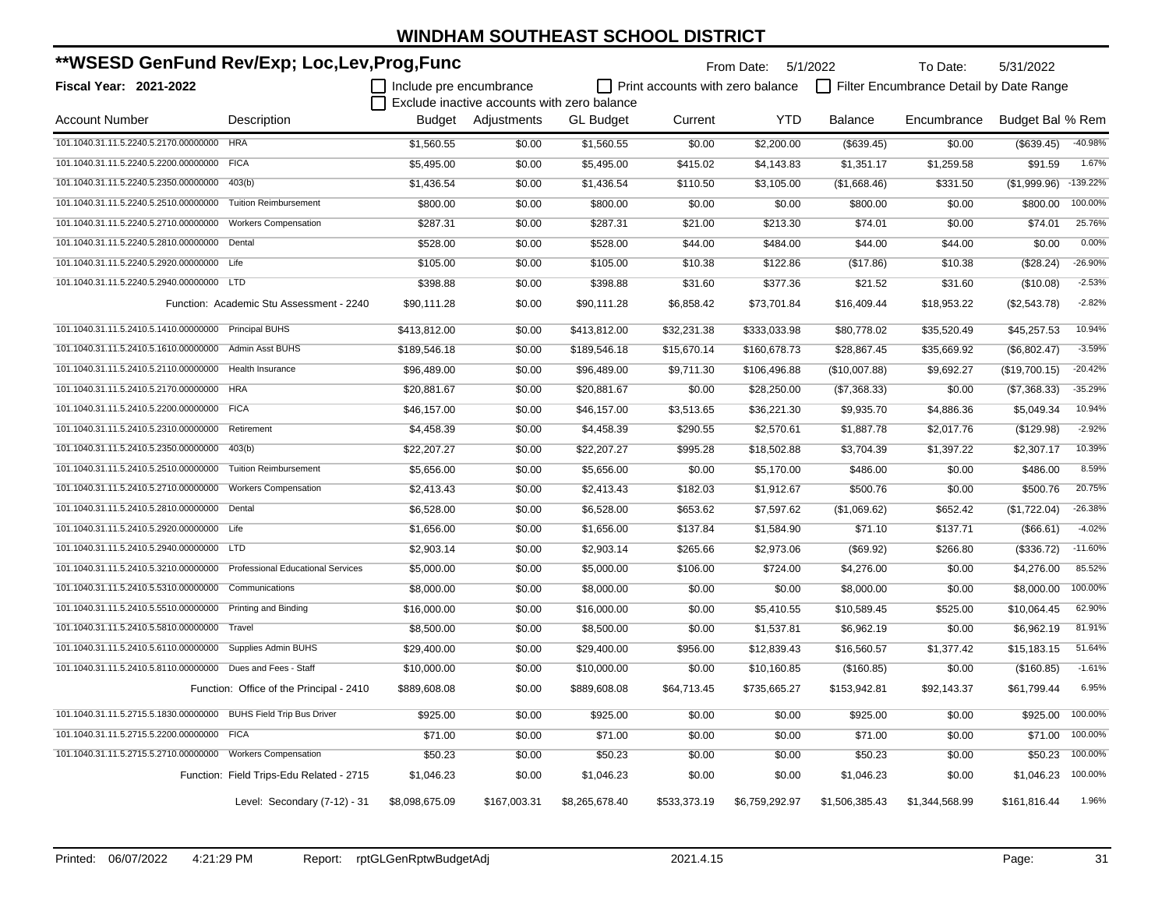| **WSESD GenFund Rev/Exp; Loc,Lev,Prog,Func                  |                                          |                         |                                             |                  | From Date: 5/1/2022              |                | To Date:       | 5/31/2022                               |                  |            |
|-------------------------------------------------------------|------------------------------------------|-------------------------|---------------------------------------------|------------------|----------------------------------|----------------|----------------|-----------------------------------------|------------------|------------|
| <b>Fiscal Year: 2021-2022</b>                               |                                          | Include pre encumbrance |                                             |                  | Print accounts with zero balance |                |                | Filter Encumbrance Detail by Date Range |                  |            |
|                                                             |                                          |                         | Exclude inactive accounts with zero balance |                  |                                  |                |                |                                         |                  |            |
| <b>Account Number</b>                                       | Description                              |                         | Budget Adjustments                          | <b>GL Budget</b> | Current                          | <b>YTD</b>     | <b>Balance</b> | Encumbrance                             | Budget Bal % Rem |            |
| 101.1040.31.11.5.2240.5.2170.00000000 HRA                   |                                          | \$1.560.55              | \$0.00                                      | \$1,560.55       | \$0.00                           | \$2,200.00     | (\$639.45)     | \$0.00                                  | (\$639.45)       | -40.98%    |
| 101.1040.31.11.5.2240.5.2200.00000000 FICA                  |                                          | \$5,495.00              | \$0.00                                      | \$5,495.00       | \$415.02                         | \$4,143.83     | \$1,351.17     | \$1,259.58                              | \$91.59          | 1.67%      |
| 101.1040.31.11.5.2240.5.2350.00000000                       | 403(b)                                   | \$1,436.54              | \$0.00                                      | \$1,436.54       | \$110.50                         | \$3,105.00     | (\$1,668.46)   | \$331.50                                | (\$1,999.96)     | $-139.22%$ |
| 101.1040.31.11.5.2240.5.2510.00000000                       | <b>Tuition Reimbursement</b>             | \$800.00                | \$0.00                                      | \$800.00         | \$0.00                           | \$0.00         | \$800.00       | \$0.00                                  | \$800.00         | 100.00%    |
| 101.1040.31.11.5.2240.5.2710.00000000                       | <b>Workers Compensation</b>              | \$287.31                | \$0.00                                      | \$287.31         | \$21.00                          | \$213.30       | \$74.01        | \$0.00                                  | \$74.01          | 25.76%     |
| 101.1040.31.11.5.2240.5.2810.00000000                       | Dental                                   | \$528.00                | \$0.00                                      | \$528.00         | \$44.00                          | \$484.00       | \$44.00        | \$44.00                                 | \$0.00           | 0.00%      |
| 101.1040.31.11.5.2240.5.2920.00000000 Life                  |                                          | \$105.00                | \$0.00                                      | \$105.00         | \$10.38                          | \$122.86       | (\$17.86)      | \$10.38                                 | (\$28.24)        | $-26.90%$  |
| 101.1040.31.11.5.2240.5.2940.00000000 LTD                   |                                          | \$398.88                | \$0.00                                      | \$398.88         | \$31.60                          | \$377.36       | \$21.52        | \$31.60                                 | (\$10.08)        | $-2.53%$   |
|                                                             | Function: Academic Stu Assessment - 2240 | \$90,111.28             | \$0.00                                      | \$90,111.28      | \$6,858.42                       | \$73,701.84    | \$16,409.44    | \$18,953.22                             | (\$2,543.78)     | $-2.82%$   |
| 101.1040.31.11.5.2410.5.1410.00000000 Principal BUHS        |                                          | \$413,812.00            | \$0.00                                      | \$413,812.00     | \$32,231.38                      | \$333,033.98   | \$80,778.02    | \$35,520.49                             | \$45,257.53      | 10.94%     |
| 101.1040.31.11.5.2410.5.1610.00000000 Admin Asst BUHS       |                                          | \$189,546.18            | \$0.00                                      | \$189,546.18     | \$15,670.14                      | \$160,678.73   | \$28,867.45    | \$35,669.92                             | (\$6,802.47)     | $-3.59%$   |
| 101.1040.31.11.5.2410.5.2110.00000000                       | Health Insurance                         | \$96,489.00             | \$0.00                                      | \$96,489.00      | \$9,711.30                       | \$106,496.88   | (\$10,007.88)  | \$9,692.27                              | (\$19,700.15)    | $-20.42%$  |
| 101.1040.31.11.5.2410.5.2170.00000000 HRA                   |                                          | \$20,881.67             | \$0.00                                      | \$20,881.67      | \$0.00                           | \$28,250.00    | (\$7,368.33)   | \$0.00                                  | (\$7,368.33)     | $-35.29%$  |
| 101.1040.31.11.5.2410.5.2200.00000000 FICA                  |                                          | \$46,157.00             | \$0.00                                      | \$46,157.00      | \$3,513.65                       | \$36,221.30    | \$9,935.70     | \$4,886.36                              | \$5,049.34       | 10.94%     |
| 101.1040.31.11.5.2410.5.2310.00000000                       | Retirement                               | \$4,458.39              | \$0.00                                      | \$4,458.39       | \$290.55                         | \$2,570.61     | \$1,887.78     | \$2,017.76                              | (\$129.98)       | $-2.92%$   |
| 101.1040.31.11.5.2410.5.2350.00000000 403(b)                |                                          | \$22,207.27             | \$0.00                                      | \$22,207.27      | \$995.28                         | \$18,502.88    | \$3,704.39     | \$1,397.22                              | \$2,307.17       | 10.39%     |
| 101.1040.31.11.5.2410.5.2510.00000000 Tuition Reimbursement |                                          | \$5,656.00              | \$0.00                                      | \$5,656.00       | \$0.00                           | \$5,170.00     | \$486.00       | \$0.00                                  | \$486.00         | 8.59%      |
| 101.1040.31.11.5.2410.5.2710.00000000 Workers Compensation  |                                          | \$2,413.43              | \$0.00                                      | \$2,413.43       | \$182.03                         | \$1,912.67     | \$500.76       | \$0.00                                  | \$500.76         | 20.75%     |
| 101.1040.31.11.5.2410.5.2810.00000000 Dental                |                                          | \$6,528.00              | \$0.00                                      | \$6,528.00       | \$653.62                         | \$7,597.62     | (\$1,069.62)   | \$652.42                                | (\$1,722.04)     | $-26.38%$  |
| 101.1040.31.11.5.2410.5.2920.00000000 Life                  |                                          | \$1,656.00              | \$0.00                                      | \$1,656.00       | \$137.84                         | \$1,584.90     | \$71.10        | \$137.71                                | (\$66.61)        | $-4.02%$   |
| 101.1040.31.11.5.2410.5.2940.00000000 LTD                   |                                          | \$2,903.14              | \$0.00                                      | \$2,903.14       | \$265.66                         | \$2,973.06     | (\$69.92)      | \$266.80                                | (\$336.72)       | $-11.60%$  |
| 101.1040.31.11.5.2410.5.3210.00000000                       | <b>Professional Educational Services</b> | \$5,000.00              | \$0.00                                      | \$5,000.00       | \$106.00                         | \$724.00       | \$4,276.00     | \$0.00                                  | \$4,276.00       | 85.52%     |
| 101.1040.31.11.5.2410.5.5310.00000000                       | Communications                           | \$8,000.00              | \$0.00                                      | \$8,000.00       | \$0.00                           | \$0.00         | \$8,000.00     | \$0.00                                  | \$8,000.00       | 100.00%    |
| 101.1040.31.11.5.2410.5.5510.00000000                       | <b>Printing and Binding</b>              | \$16,000.00             | \$0.00                                      | \$16,000.00      | \$0.00                           | \$5,410.55     | \$10,589.45    | \$525.00                                | \$10,064.45      | 62.90%     |
| 101.1040.31.11.5.2410.5.5810.00000000                       | Travel                                   | \$8,500.00              | \$0.00                                      | \$8,500.00       | \$0.00                           | \$1,537.81     | \$6,962.19     | \$0.00                                  | \$6,962.19       | 81.91%     |
| 101.1040.31.11.5.2410.5.6110.00000000                       | <b>Supplies Admin BUHS</b>               | \$29,400.00             | \$0.00                                      | \$29,400.00      | \$956.00                         | \$12,839.43    | \$16,560.57    | \$1,377.42                              | \$15,183.15      | 51.64%     |
| 101.1040.31.11.5.2410.5.8110.00000000                       | Dues and Fees - Staff                    | \$10,000.00             | \$0.00                                      | \$10,000.00      | \$0.00                           | \$10,160.85    | (\$160.85)     | \$0.00                                  | (\$160.85)       | $-1.61%$   |
|                                                             | Function: Office of the Principal - 2410 | \$889,608.08            | \$0.00                                      | \$889,608.08     | \$64,713.45                      | \$735,665.27   | \$153,942.81   | \$92,143.37                             | \$61,799.44      | 6.95%      |
| 101.1040.31.11.5.2715.5.1830.00000000                       | <b>BUHS Field Trip Bus Driver</b>        | \$925.00                | \$0.00                                      | \$925.00         | \$0.00                           | \$0.00         | \$925.00       | \$0.00                                  | \$925.00         | 100.00%    |
| 101.1040.31.11.5.2715.5.2200.00000000 FICA                  |                                          | \$71.00                 | \$0.00                                      | \$71.00          | \$0.00                           | \$0.00         | \$71.00        | \$0.00                                  | \$71.00          | 100.00%    |
| 101.1040.31.11.5.2715.5.2710.00000000                       | <b>Workers Compensation</b>              | \$50.23                 | \$0.00                                      | \$50.23          | \$0.00                           | \$0.00         | \$50.23        | \$0.00                                  | \$50.23          | 100.00%    |
|                                                             | Function: Field Trips-Edu Related - 2715 | \$1,046.23              | \$0.00                                      | \$1,046.23       | \$0.00                           | \$0.00         | \$1,046.23     | \$0.00                                  | \$1,046.23       | 100.00%    |
|                                                             | Level: Secondary (7-12) - 31             | \$8,098,675.09          | \$167,003.31                                | \$8,265,678.40   | \$533,373.19                     | \$6,759,292.97 | \$1,506,385.43 | \$1,344,568.99                          | \$161,816.44     | 1.96%      |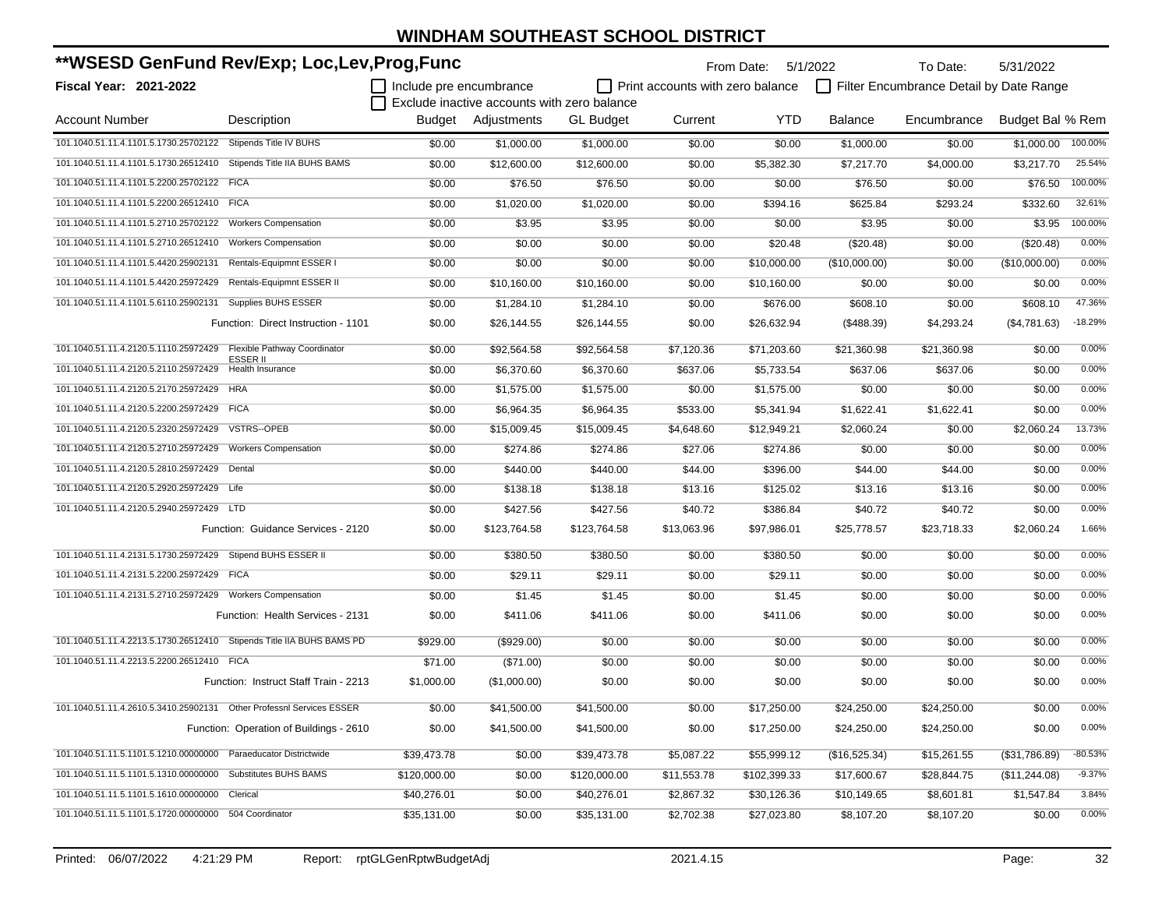| **WSESD GenFund Rev/Exp; Loc,Lev,Prog,Func                            |                                         |                         |                                             |                  |                                  | From Date:   | 5/1/2022       | To Date:                                | 5/31/2022        |           |
|-----------------------------------------------------------------------|-----------------------------------------|-------------------------|---------------------------------------------|------------------|----------------------------------|--------------|----------------|-----------------------------------------|------------------|-----------|
| Fiscal Year: 2021-2022                                                |                                         | Include pre encumbrance |                                             |                  | Print accounts with zero balance |              |                | Filter Encumbrance Detail by Date Range |                  |           |
|                                                                       |                                         |                         | Exclude inactive accounts with zero balance |                  |                                  |              |                |                                         |                  |           |
| <b>Account Number</b>                                                 | Description                             |                         | Budget Adjustments                          | <b>GL</b> Budget | Current                          | <b>YTD</b>   | <b>Balance</b> | Encumbrance                             | Budget Bal % Rem |           |
| 101.1040.51.11.4.1101.5.1730.25702122                                 | Stipends Title IV BUHS                  | \$0.00                  | \$1,000.00                                  | \$1,000.00       | \$0.00                           | \$0.00       | \$1,000.00     | \$0.00                                  | \$1.000.00       | 100.00%   |
| 101.1040.51.11.4.1101.5.1730.26512410 Stipends Title IIA BUHS BAMS    |                                         | \$0.00                  | \$12,600.00                                 | \$12,600.00      | \$0.00                           | \$5,382.30   | \$7,217.70     | \$4,000.00                              | \$3,217.70       | 25.54%    |
| 101.1040.51.11.4.1101.5.2200.25702122 FICA                            |                                         | \$0.00                  | \$76.50                                     | \$76.50          | \$0.00                           | \$0.00       | \$76.50        | \$0.00                                  | \$76.50          | 100.00%   |
| 101.1040.51.11.4.1101.5.2200.26512410 FICA                            |                                         | \$0.00                  | \$1,020.00                                  | \$1,020.00       | \$0.00                           | \$394.16     | \$625.84       | \$293.24                                | \$332.60         | 32.61%    |
| 101.1040.51.11.4.1101.5.2710.25702122                                 | <b>Workers Compensation</b>             | \$0.00                  | \$3.95                                      | \$3.95           | \$0.00                           | \$0.00       | \$3.95         | \$0.00                                  | \$3.95           | 100.00%   |
| 101.1040.51.11.4.1101.5.2710.26512410                                 | <b>Workers Compensation</b>             | \$0.00                  | \$0.00                                      | \$0.00           | \$0.00                           | \$20.48      | (\$20.48)      | \$0.00                                  | (\$20.48)        | 0.00%     |
| 101.1040.51.11.4.1101.5.4420.25902131                                 | Rentals-Equipmnt ESSER I                | \$0.00                  | \$0.00                                      | \$0.00           | \$0.00                           | \$10,000.00  | (\$10,000.00)  | \$0.00                                  | (\$10,000.00)    | 0.00%     |
| 101.1040.51.11.4.1101.5.4420.25972429                                 | Rentals-Equipmnt ESSER II               | \$0.00                  | \$10,160.00                                 | \$10,160.00      | \$0.00                           | \$10,160.00  | \$0.00         | \$0.00                                  | \$0.00           | 0.00%     |
| 101.1040.51.11.4.1101.5.6110.25902131                                 | Supplies BUHS ESSER                     | \$0.00                  | \$1,284.10                                  | \$1,284.10       | \$0.00                           | \$676.00     | \$608.10       | \$0.00                                  | \$608.10         | 47.36%    |
|                                                                       | Function: Direct Instruction - 1101     | \$0.00                  | \$26,144.55                                 | \$26,144.55      | \$0.00                           | \$26,632.94  | (\$488.39)     | \$4,293.24                              | (\$4,781.63)     | $-18.29%$ |
| 101.1040.51.11.4.2120.5.1110.25972429                                 | Flexible Pathway Coordinator            | \$0.00                  | \$92,564.58                                 | \$92,564.58      | \$7,120.36                       | \$71,203.60  | \$21,360.98    | \$21,360.98                             | \$0.00           | 0.00%     |
| 101.1040.51.11.4.2120.5.2110.25972429                                 | ESSER II<br>Health Insurance            | \$0.00                  | \$6,370.60                                  | \$6,370.60       | \$637.06                         | \$5,733.54   | \$637.06       | \$637.06                                | \$0.00           | 0.00%     |
| 101.1040.51.11.4.2120.5.2170.25972429 HRA                             |                                         | \$0.00                  | \$1,575.00                                  | \$1,575.00       | \$0.00                           | \$1,575.00   | \$0.00         | \$0.00                                  | \$0.00           | 0.00%     |
| 101.1040.51.11.4.2120.5.2200.25972429 FICA                            |                                         | \$0.00                  | \$6,964.35                                  | \$6,964.35       | \$533.00                         | \$5.341.94   | \$1,622.41     | \$1,622.41                              | \$0.00           | 0.00%     |
| 101.1040.51.11.4.2120.5.2320.25972429                                 | VSTRS--OPEB                             | \$0.00                  | \$15,009.45                                 | \$15,009.45      | \$4,648.60                       | \$12,949.21  | \$2,060.24     | \$0.00                                  | \$2,060.24       | 13.73%    |
| 101.1040.51.11.4.2120.5.2710.25972429                                 | <b>Workers Compensation</b>             | \$0.00                  | \$274.86                                    | \$274.86         | \$27.06                          | \$274.86     | \$0.00         | \$0.00                                  | \$0.00           | 0.00%     |
| 101.1040.51.11.4.2120.5.2810.25972429                                 | Dental                                  | \$0.00                  | \$440.00                                    | \$440.00         | \$44.00                          | \$396.00     | \$44.00        | \$44.00                                 | \$0.00           | 0.00%     |
| 101.1040.51.11.4.2120.5.2920.25972429 Life                            |                                         | \$0.00                  | \$138.18                                    | \$138.18         | \$13.16                          | \$125.02     | \$13.16        | \$13.16                                 | \$0.00           | 0.00%     |
| 101.1040.51.11.4.2120.5.2940.25972429 LTD                             |                                         | \$0.00                  | \$427.56                                    | \$427.56         | \$40.72                          | \$386.84     | \$40.72        | \$40.72                                 | \$0.00           | 0.00%     |
|                                                                       | Function: Guidance Services - 2120      | \$0.00                  | \$123,764.58                                | \$123,764.58     | \$13,063.96                      | \$97,986.01  | \$25,778.57    | \$23,718.33                             | \$2,060.24       | 1.66%     |
| 101.1040.51.11.4.2131.5.1730.25972429 Stipend BUHS ESSER II           |                                         | \$0.00                  | \$380.50                                    | \$380.50         | \$0.00                           | \$380.50     | \$0.00         | \$0.00                                  | \$0.00           | 0.00%     |
| 101.1040.51.11.4.2131.5.2200.25972429 FICA                            |                                         | \$0.00                  | \$29.11                                     | \$29.11          | \$0.00                           | \$29.11      | \$0.00         | \$0.00                                  | \$0.00           | 0.00%     |
|                                                                       |                                         | \$0.00                  | \$1.45                                      | \$1.45           | \$0.00                           | \$1.45       | \$0.00         | \$0.00                                  | \$0.00           | 0.00%     |
|                                                                       | Function: Health Services - 2131        | \$0.00                  | \$411.06                                    | \$411.06         | \$0.00                           | \$411.06     | \$0.00         | \$0.00                                  | \$0.00           | 0.00%     |
| 101.1040.51.11.4.2213.5.1730.26512410 Stipends Title IIA BUHS BAMS PD |                                         | \$929.00                | (\$929.00)                                  | \$0.00           | \$0.00                           | \$0.00       | \$0.00         | \$0.00                                  | \$0.00           | 0.00%     |
| 101.1040.51.11.4.2213.5.2200.26512410 FICA                            |                                         | \$71.00                 | (\$71.00)                                   | \$0.00           | \$0.00                           | \$0.00       | \$0.00         | \$0.00                                  | \$0.00           | 0.00%     |
|                                                                       | Function: Instruct Staff Train - 2213   | \$1,000.00              | (\$1,000.00)                                | \$0.00           | \$0.00                           | \$0.00       | \$0.00         | \$0.00                                  | \$0.00           | 0.00%     |
|                                                                       |                                         | \$0.00                  | \$41,500.00                                 | \$41,500.00      | \$0.00                           | \$17,250.00  | \$24,250.00    | \$24,250.00                             | \$0.00           | 0.00%     |
|                                                                       | Function: Operation of Buildings - 2610 | \$0.00                  | \$41,500.00                                 | \$41,500.00      | \$0.00                           | \$17,250.00  | \$24,250.00    | \$24,250.00                             | \$0.00           | 0.00%     |
| 101.1040.51.11.5.1101.5.1210.00000000 Paraeducator Districtwide       |                                         | \$39,473.78             | \$0.00                                      | \$39,473.78      | \$5,087.22                       | \$55,999.12  | (\$16,525.34)  | \$15,261.55                             | (\$31,786.89)    | $-80.53%$ |
| 101.1040.51.11.5.1101.5.1310.00000000 Substitutes BUHS BAMS           |                                         | \$120,000.00            | \$0.00                                      | \$120,000.00     | \$11,553.78                      | \$102,399.33 | \$17,600.67    | \$28,844.75                             | (\$11,244.08)    | $-9.37%$  |
| 101.1040.51.11.5.1101.5.1610.00000000 Clerical                        |                                         | \$40,276.01             | \$0.00                                      | \$40,276.01      | \$2,867.32                       | \$30,126.36  | \$10,149.65    | \$8,601.81                              | \$1,547.84       | 3.84%     |
| 101.1040.51.11.5.1101.5.1720.00000000 504 Coordinator                 |                                         | \$35,131.00             | \$0.00                                      | \$35,131.00      | \$2,702.38                       | \$27,023.80  | \$8,107.20     | \$8,107.20                              | \$0.00           | 0.00%     |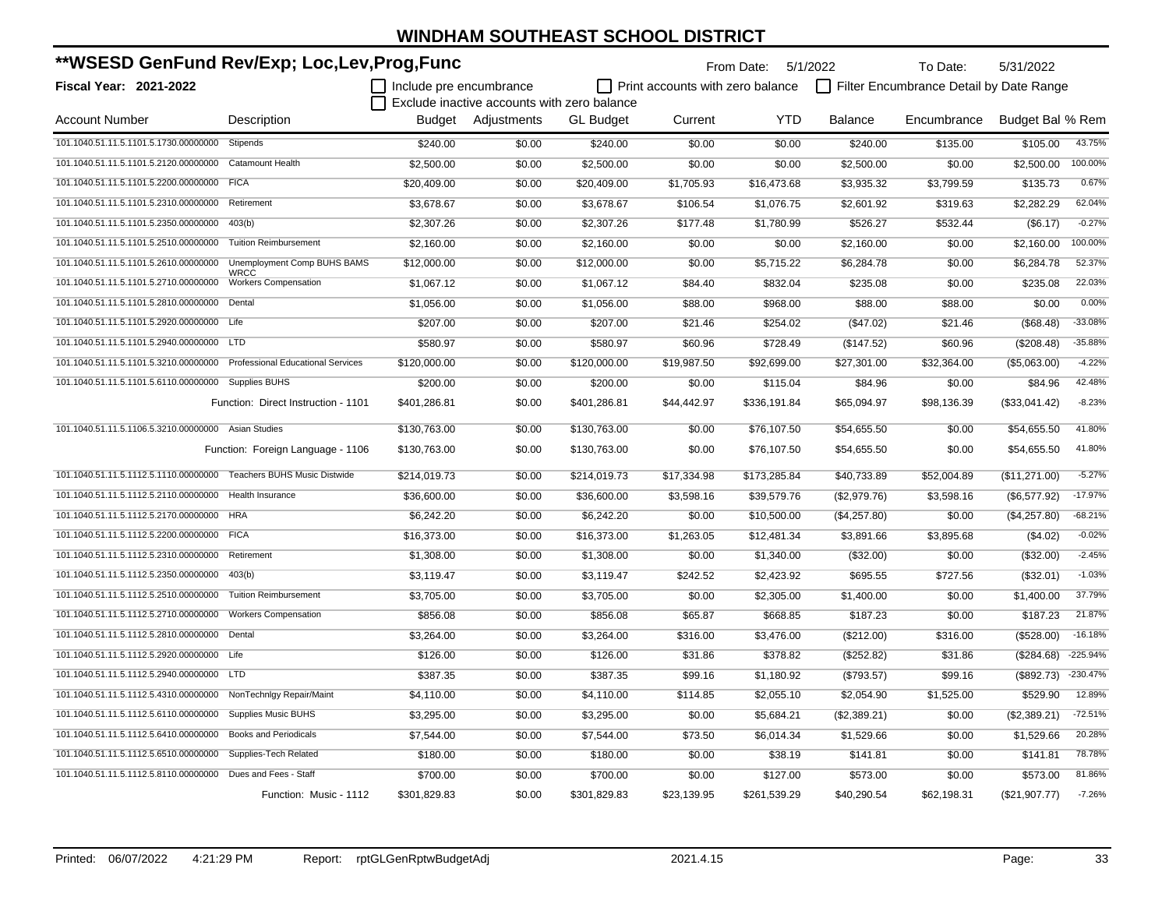| **WSESD GenFund Rev/Exp; Loc,Lev,Prog,Func                              |                                            |                         |                                             |                  | From Date: 5/1/2022              |              | To Date:     | 5/31/2022                               |                  |            |
|-------------------------------------------------------------------------|--------------------------------------------|-------------------------|---------------------------------------------|------------------|----------------------------------|--------------|--------------|-----------------------------------------|------------------|------------|
| Fiscal Year: 2021-2022                                                  |                                            | Include pre encumbrance |                                             |                  | Print accounts with zero balance |              |              | Filter Encumbrance Detail by Date Range |                  |            |
|                                                                         |                                            |                         | Exclude inactive accounts with zero balance |                  |                                  |              |              |                                         |                  |            |
| Account Number                                                          | Description                                |                         | Budget Adjustments                          | <b>GL Budget</b> | Current                          | <b>YTD</b>   | Balance      | Encumbrance                             | Budget Bal % Rem |            |
| 101.1040.51.11.5.1101.5.1730.00000000                                   | Stipends                                   | \$240.00                | \$0.00                                      | \$240.00         | \$0.00                           | \$0.00       | \$240.00     | \$135.00                                | \$105.00         | 43.75%     |
| 101.1040.51.11.5.1101.5.2120.00000000 Catamount Health                  |                                            | \$2,500.00              | \$0.00                                      | \$2,500.00       | \$0.00                           | \$0.00       | \$2,500.00   | \$0.00                                  | \$2,500.00       | 100.00%    |
| 101.1040.51.11.5.1101.5.2200.00000000 FICA                              |                                            | \$20,409.00             | \$0.00                                      | \$20,409.00      | \$1,705.93                       | \$16,473.68  | \$3,935.32   | \$3,799.59                              | \$135.73         | 0.67%      |
| 101.1040.51.11.5.1101.5.2310.00000000 Retirement                        |                                            | \$3,678.67              | \$0.00                                      | \$3,678.67       | \$106.54                         | \$1,076.75   | \$2,601.92   | \$319.63                                | \$2,282.29       | 62.04%     |
| 101.1040.51.11.5.1101.5.2350.00000000                                   | 403(b)                                     | \$2,307.26              | \$0.00                                      | \$2,307.26       | \$177.48                         | \$1,780.99   | \$526.27     | \$532.44                                | (\$6.17)         | $-0.27%$   |
| 101.1040.51.11.5.1101.5.2510.00000000                                   | <b>Tuition Reimbursement</b>               | \$2,160.00              | \$0.00                                      | \$2,160.00       | \$0.00                           | \$0.00       | \$2,160.00   | \$0.00                                  | \$2,160.00       | 100.00%    |
| 101.1040.51.11.5.1101.5.2610.00000000                                   | Unemployment Comp BUHS BAMS                | \$12,000.00             | \$0.00                                      | \$12,000.00      | \$0.00                           | \$5,715.22   | \$6,284.78   | \$0.00                                  | \$6,284.78       | 52.37%     |
| 101.1040.51.11.5.1101.5.2710.00000000                                   | <b>WRCC</b><br><b>Workers Compensation</b> | \$1,067.12              | \$0.00                                      | \$1,067.12       | \$84.40                          | \$832.04     | \$235.08     | \$0.00                                  | \$235.08         | 22.03%     |
| 101.1040.51.11.5.1101.5.2810.00000000 Dental                            |                                            | \$1,056.00              | \$0.00                                      | \$1,056.00       | \$88.00                          | \$968.00     | \$88.00      | \$88.00                                 | \$0.00           | 0.00%      |
| 101.1040.51.11.5.1101.5.2920.00000000 Life                              |                                            | \$207.00                | \$0.00                                      | \$207.00         | \$21.46                          | \$254.02     | (\$47.02)    | \$21.46                                 | (\$68.48)        | $-33.08%$  |
| 101.1040.51.11.5.1101.5.2940.00000000 LTD                               |                                            | \$580.97                | \$0.00                                      | \$580.97         | \$60.96                          | \$728.49     | (\$147.52)   | \$60.96                                 | (\$208.48)       | $-35.88%$  |
| 101.1040.51.11.5.1101.5.3210.00000000 Professional Educational Services |                                            | \$120,000.00            | \$0.00                                      | \$120,000.00     | \$19,987.50                      | \$92,699.00  | \$27,301.00  | \$32,364.00                             | (\$5,063.00)     | $-4.22%$   |
| 101.1040.51.11.5.1101.5.6110.00000000 Supplies BUHS                     |                                            | \$200.00                | \$0.00                                      | \$200.00         | \$0.00                           | \$115.04     | \$84.96      | \$0.00                                  | \$84.96          | 42.48%     |
|                                                                         | Function: Direct Instruction - 1101        | \$401,286.81            | \$0.00                                      | \$401,286.81     | \$44,442.97                      | \$336,191.84 | \$65,094.97  | \$98,136.39                             | (\$33,041.42)    | $-8.23%$   |
| 101.1040.51.11.5.1106.5.3210.00000000 Asian Studies                     |                                            | \$130,763.00            | \$0.00                                      | \$130,763.00     | \$0.00                           | \$76,107.50  | \$54,655.50  | \$0.00                                  | \$54,655.50      | 41.80%     |
|                                                                         | Function: Foreign Language - 1106          | \$130,763.00            | \$0.00                                      | \$130,763.00     | \$0.00                           | \$76,107.50  | \$54,655.50  | \$0.00                                  | \$54,655.50      | 41.80%     |
| 101.1040.51.11.5.1112.5.1110.00000000 Teachers BUHS Music Distwide      |                                            | \$214,019.73            | \$0.00                                      | \$214,019.73     | \$17,334.98                      | \$173,285.84 | \$40,733.89  | \$52,004.89                             | (\$11,271.00)    | $-5.27%$   |
| 101.1040.51.11.5.1112.5.2110.00000000                                   | Health Insurance                           | \$36,600.00             | \$0.00                                      | \$36,600.00      | \$3,598.16                       | \$39,579.76  | (\$2,979.76) | \$3,598.16                              | (\$6,577.92)     | $-17.97%$  |
| 101.1040.51.11.5.1112.5.2170.00000000 HRA                               |                                            | \$6,242.20              | \$0.00                                      | \$6,242.20       | \$0.00                           | \$10,500.00  | (\$4,257.80) | \$0.00                                  | (\$4,257.80)     | $-68.21%$  |
| 101.1040.51.11.5.1112.5.2200.00000000 FICA                              |                                            | \$16,373.00             | \$0.00                                      | \$16,373.00      | \$1,263.05                       | \$12,481.34  | \$3,891.66   | \$3,895.68                              | (\$4.02)         | $-0.02%$   |
| 101.1040.51.11.5.1112.5.2310.00000000                                   | Retirement                                 | \$1,308.00              | \$0.00                                      | \$1,308.00       | \$0.00                           | \$1,340.00   | (\$32.00)    | \$0.00                                  | (\$32.00)        | $-2.45%$   |
| 101.1040.51.11.5.1112.5.2350.00000000                                   | 403(b)                                     | \$3,119.47              | \$0.00                                      | \$3,119.47       | \$242.52                         | \$2,423.92   | \$695.55     | \$727.56                                | (\$32.01)        | $-1.03%$   |
| 101.1040.51.11.5.1112.5.2510.00000000                                   | <b>Tuition Reimbursement</b>               | \$3,705.00              | \$0.00                                      | \$3,705.00       | \$0.00                           | \$2,305.00   | \$1,400.00   | \$0.00                                  | \$1,400.00       | 37.79%     |
| 101.1040.51.11.5.1112.5.2710.00000000                                   | <b>Workers Compensation</b>                | \$856.08                | \$0.00                                      | \$856.08         | \$65.87                          | \$668.85     | \$187.23     | \$0.00                                  | \$187.23         | 21.87%     |
| 101.1040.51.11.5.1112.5.2810.00000000 Dental                            |                                            | \$3,264.00              | \$0.00                                      | \$3,264.00       | \$316.00                         | \$3,476.00   | (\$212.00)   | \$316.00                                | (\$528.00)       | $-16.18%$  |
| 101.1040.51.11.5.1112.5.2920.00000000 Life                              |                                            | \$126.00                | \$0.00                                      | \$126.00         | \$31.86                          | \$378.82     | (\$252.82)   | \$31.86                                 | (\$284.68)       | -225.94%   |
| 101.1040.51.11.5.1112.5.2940.00000000 LTD                               |                                            | \$387.35                | \$0.00                                      | \$387.35         | \$99.16                          | \$1,180.92   | (\$793.57)   | \$99.16                                 | (\$892.73)       | $-230.47%$ |
| 101.1040.51.11.5.1112.5.4310.00000000 NonTechnIgy Repair/Maint          |                                            | \$4,110.00              | \$0.00                                      | \$4,110.00       | \$114.85                         | \$2,055.10   | \$2,054.90   | \$1,525.00                              | \$529.90         | 12.89%     |
| 101.1040.51.11.5.1112.5.6110.00000000 Supplies Music BUHS               |                                            | \$3,295.00              | \$0.00                                      | \$3,295.00       | \$0.00                           | \$5,684.21   | (\$2,389.21) | \$0.00                                  | (\$2,389.21)     | $-72.51%$  |
| 101.1040.51.11.5.1112.5.6410.00000000 Books and Periodicals             |                                            | \$7,544.00              | \$0.00                                      | \$7,544.00       | \$73.50                          | \$6,014.34   | \$1,529.66   | \$0.00                                  | \$1,529.66       | 20.28%     |
| 101.1040.51.11.5.1112.5.6510.00000000 Supplies-Tech Related             |                                            | \$180.00                | \$0.00                                      | \$180.00         | \$0.00                           | \$38.19      | \$141.81     | \$0.00                                  | \$141.81         | 78.78%     |
| 101.1040.51.11.5.1112.5.8110.00000000 Dues and Fees - Staff             |                                            | \$700.00                | \$0.00                                      | \$700.00         | \$0.00                           | \$127.00     | \$573.00     | \$0.00                                  | \$573.00         | 81.86%     |
|                                                                         | Function: Music - 1112                     | \$301,829.83            | \$0.00                                      | \$301,829.83     | \$23,139.95                      | \$261,539.29 | \$40,290.54  | \$62,198.31                             | (\$21,907.77)    | $-7.26%$   |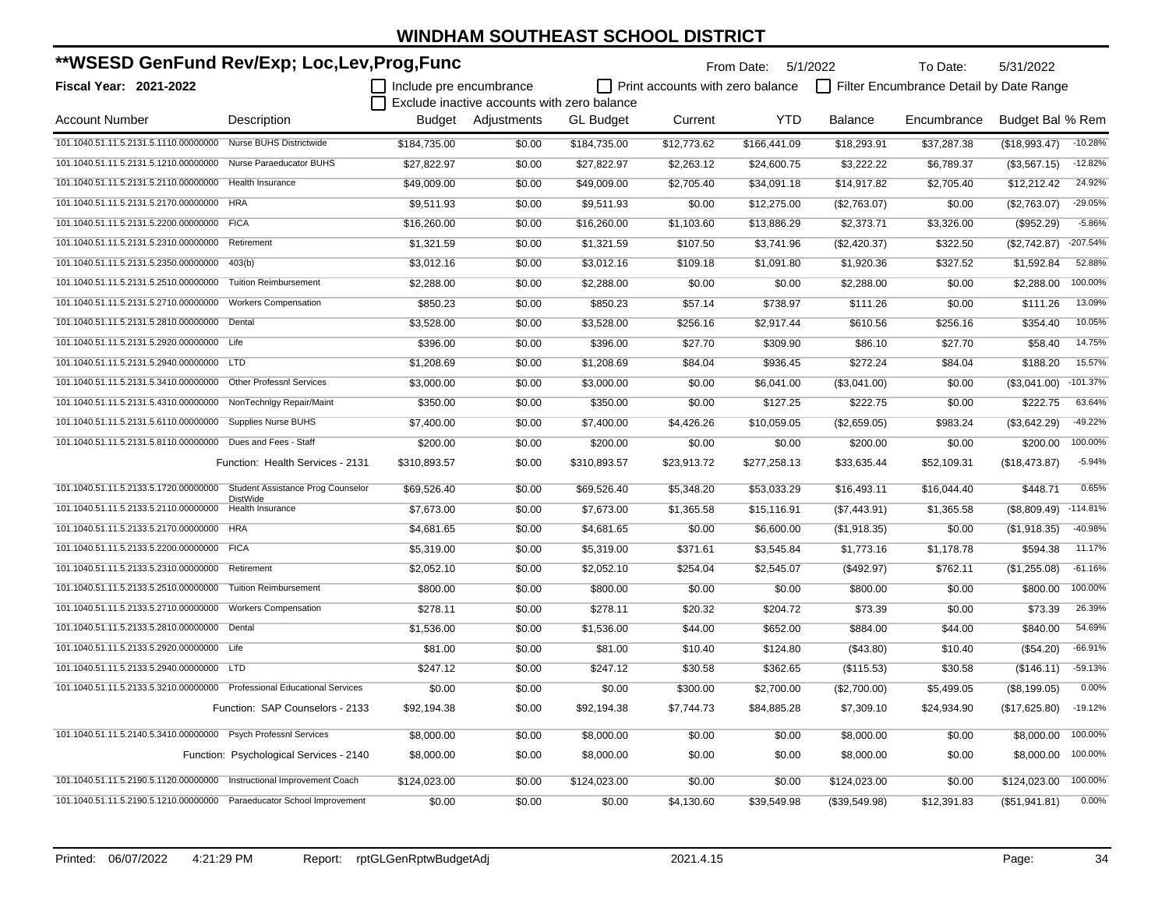| **WSESD GenFund Rev/Exp; Loc,Lev,Prog,Func                              |                                          |                         |                                             |                  | From Date: 5/1/2022              |              | To Date:       | 5/31/2022                               |                  |            |
|-------------------------------------------------------------------------|------------------------------------------|-------------------------|---------------------------------------------|------------------|----------------------------------|--------------|----------------|-----------------------------------------|------------------|------------|
| Fiscal Year: 2021-2022                                                  |                                          | Include pre encumbrance |                                             |                  | Print accounts with zero balance |              |                | Filter Encumbrance Detail by Date Range |                  |            |
|                                                                         |                                          |                         | Exclude inactive accounts with zero balance |                  |                                  |              |                |                                         |                  |            |
| <b>Account Number</b>                                                   | Description                              | Budget                  | Adjustments                                 | <b>GL Budget</b> | Current                          | <b>YTD</b>   | <b>Balance</b> | Encumbrance                             | Budget Bal % Rem |            |
| 101.1040.51.11.5.2131.5.1110.00000000 Nurse BUHS Districtwide           |                                          | \$184,735.00            | \$0.00                                      | \$184,735.00     | \$12,773.62                      | \$166,441.09 | \$18,293.91    | \$37,287.38                             | (\$18,993.47)    | $-10.28%$  |
| 101.1040.51.11.5.2131.5.1210.00000000                                   | Nurse Paraeducator BUHS                  | \$27,822.97             | \$0.00                                      | \$27,822.97      | \$2,263.12                       | \$24,600.75  | \$3,222.22     | \$6,789.37                              | (\$3,567.15)     | $-12.82%$  |
| 101.1040.51.11.5.2131.5.2110.00000000                                   | Health Insurance                         | \$49,009.00             | \$0.00                                      | \$49,009.00      | \$2,705.40                       | \$34,091.18  | \$14,917.82    | \$2,705.40                              | \$12,212.42      | 24.92%     |
| 101.1040.51.11.5.2131.5.2170.00000000                                   | <b>HRA</b>                               | \$9,511.93              | \$0.00                                      | \$9,511.93       | \$0.00                           | \$12,275.00  | (\$2,763.07)   | \$0.00                                  | (\$2,763.07)     | $-29.05%$  |
| 101.1040.51.11.5.2131.5.2200.00000000                                   | <b>FICA</b>                              | \$16,260.00             | \$0.00                                      | \$16,260.00      | \$1,103.60                       | \$13,886.29  | \$2,373.71     | \$3,326.00                              | (\$952.29)       | $-5.86%$   |
| 101.1040.51.11.5.2131.5.2310.00000000                                   | Retirement                               | \$1,321.59              | \$0.00                                      | \$1,321.59       | \$107.50                         | \$3,741.96   | (\$2,420.37)   | \$322.50                                | (\$2,742.87)     | $-207.54%$ |
| 101.1040.51.11.5.2131.5.2350.00000000                                   | 403(b)                                   | \$3,012.16              | \$0.00                                      | \$3,012.16       | \$109.18                         | \$1,091.80   | \$1,920.36     | \$327.52                                | \$1,592.84       | 52.88%     |
| 101.1040.51.11.5.2131.5.2510.00000000                                   | <b>Tuition Reimbursement</b>             | \$2,288.00              | \$0.00                                      | \$2,288.00       | \$0.00                           | \$0.00       | \$2,288.00     | \$0.00                                  | \$2,288.00       | 100.00%    |
| 101.1040.51.11.5.2131.5.2710.00000000                                   | <b>Workers Compensation</b>              | \$850.23                | \$0.00                                      | \$850.23         | \$57.14                          | \$738.97     | \$111.26       | \$0.00                                  | \$111.26         | 13.09%     |
| 101.1040.51.11.5.2131.5.2810.00000000                                   | Dental                                   | \$3,528.00              | \$0.00                                      | \$3,528.00       | \$256.16                         | \$2,917.44   | \$610.56       | \$256.16                                | \$354.40         | 10.05%     |
| 101.1040.51.11.5.2131.5.2920.00000000                                   | Life                                     | \$396.00                | \$0.00                                      | \$396.00         | \$27.70                          | \$309.90     | \$86.10        | \$27.70                                 | \$58.40          | 14.75%     |
| 101.1040.51.11.5.2131.5.2940.00000000 LTD                               |                                          | \$1,208.69              | \$0.00                                      | \$1,208.69       | \$84.04                          | \$936.45     | \$272.24       | \$84.04                                 | \$188.20         | 15.57%     |
| 101.1040.51.11.5.2131.5.3410.00000000                                   | <b>Other Professnl Services</b>          | \$3,000.00              | \$0.00                                      | \$3,000.00       | \$0.00                           | \$6,041.00   | (\$3,041.00)   | \$0.00                                  | (\$3,041.00)     | $-101.37%$ |
| 101.1040.51.11.5.2131.5.4310.00000000                                   | NonTechnlgy Repair/Maint                 | \$350.00                | \$0.00                                      | \$350.00         | \$0.00                           | \$127.25     | \$222.75       | \$0.00                                  | \$222.75         | 63.64%     |
| 101.1040.51.11.5.2131.5.6110.00000000                                   | Supplies Nurse BUHS                      | \$7,400.00              | \$0.00                                      | \$7,400.00       | \$4,426.26                       | \$10,059.05  | (\$2,659.05)   | \$983.24                                | (\$3,642.29)     | $-49.22%$  |
| 101.1040.51.11.5.2131.5.8110.00000000 Dues and Fees - Staff             |                                          | \$200.00                | \$0.00                                      | \$200.00         | \$0.00                           | \$0.00       | \$200.00       | \$0.00                                  | \$200.00         | 100.00%    |
|                                                                         | Function: Health Services - 2131         | \$310,893.57            | \$0.00                                      | \$310,893.57     | \$23,913.72                      | \$277,258.13 | \$33,635.44    | \$52,109.31                             | (\$18,473.87)    | $-5.94%$   |
| 101.1040.51.11.5.2133.5.1720.00000000 Student Assistance Prog Counselor | <b>DistWide</b>                          | \$69.526.40             | \$0.00                                      | \$69.526.40      | \$5,348.20                       | \$53.033.29  | \$16.493.11    | \$16,044.40                             | \$448.71         | 0.65%      |
| 101.1040.51.11.5.2133.5.2110.00000000                                   | <b>Health Insurance</b>                  | \$7,673.00              | \$0.00                                      | \$7,673.00       | \$1,365.58                       | \$15,116.91  | (\$7,443.91)   | \$1,365.58                              | (\$8,809.49)     | $-114.81%$ |
| 101.1040.51.11.5.2133.5.2170.00000000                                   | <b>HRA</b>                               | \$4,681.65              | \$0.00                                      | \$4,681.65       | \$0.00                           | \$6,600.00   | (\$1,918.35)   | \$0.00                                  | (\$1,918.35)     | $-40.98%$  |
| 101.1040.51.11.5.2133.5.2200.00000000                                   | <b>FICA</b>                              | \$5,319.00              | \$0.00                                      | \$5,319.00       | \$371.61                         | \$3,545.84   | \$1,773.16     | \$1,178.78                              | \$594.38         | 11.17%     |
| 101.1040.51.11.5.2133.5.2310.00000000                                   | Retirement                               | \$2,052.10              | \$0.00                                      | \$2,052.10       | \$254.04                         | \$2,545.07   | (\$492.97)     | \$762.11                                | (\$1,255.08)     | $-61.16%$  |
| 101.1040.51.11.5.2133.5.2510.00000000                                   | <b>Tuition Reimbursement</b>             | \$800.00                | \$0.00                                      | \$800.00         | \$0.00                           | \$0.00       | \$800.00       | \$0.00                                  | \$800.00         | 100.00%    |
| 101.1040.51.11.5.2133.5.2710.00000000                                   | <b>Workers Compensation</b>              | \$278.11                | \$0.00                                      | \$278.11         | \$20.32                          | \$204.72     | \$73.39        | \$0.00                                  | \$73.39          | 26.39%     |
| 101.1040.51.11.5.2133.5.2810.00000000                                   | Dental                                   | \$1,536.00              | \$0.00                                      | \$1,536.00       | \$44.00                          | \$652.00     | \$884.00       | \$44.00                                 | \$840.00         | 54.69%     |
| 101.1040.51.11.5.2133.5.2920.00000000                                   | Life                                     | \$81.00                 | \$0.00                                      | \$81.00          | \$10.40                          | \$124.80     | (\$43.80)      | \$10.40                                 | (\$54.20)        | $-66.91%$  |
| 101.1040.51.11.5.2133.5.2940.00000000                                   | <b>LTD</b>                               | \$247.12                | \$0.00                                      | \$247.12         | \$30.58                          | \$362.65     | (\$115.53)     | \$30.58                                 | (\$146.11)       | $-59.13%$  |
| 101.1040.51.11.5.2133.5.3210.00000000                                   | <b>Professional Educational Services</b> | \$0.00                  | \$0.00                                      | \$0.00           | \$300.00                         | \$2,700.00   | (\$2,700.00)   | \$5,499.05                              | (\$8,199.05)     | 0.00%      |
|                                                                         | Function: SAP Counselors - 2133          | \$92,194.38             | \$0.00                                      | \$92,194.38      | \$7,744.73                       | \$84,885.28  | \$7,309.10     | \$24,934.90                             | (\$17,625.80)    | $-19.12%$  |
| 101.1040.51.11.5.2140.5.3410.00000000 Psych Professnl Services          |                                          | \$8,000.00              | \$0.00                                      | \$8,000.00       | \$0.00                           | \$0.00       | \$8,000.00     | \$0.00                                  | \$8,000.00       | 100.00%    |
|                                                                         | Function: Psychological Services - 2140  | \$8,000.00              | \$0.00                                      | \$8,000.00       | \$0.00                           | \$0.00       | \$8,000.00     | \$0.00                                  | \$8,000.00       | 100.00%    |
| 101.1040.51.11.5.2190.5.1120.00000000 Instructional Improvement Coach   |                                          | \$124,023.00            | \$0.00                                      | \$124,023.00     | \$0.00                           | \$0.00       | \$124,023.00   | \$0.00                                  | \$124,023.00     | 100.00%    |
| 101.1040.51.11.5.2190.5.1210.00000000 Paraeducator School Improvement   |                                          | \$0.00                  | \$0.00                                      | \$0.00           | \$4,130.60                       | \$39,549.98  | (\$39,549.98)  | \$12,391.83                             | (\$51,941.81)    | 0.00%      |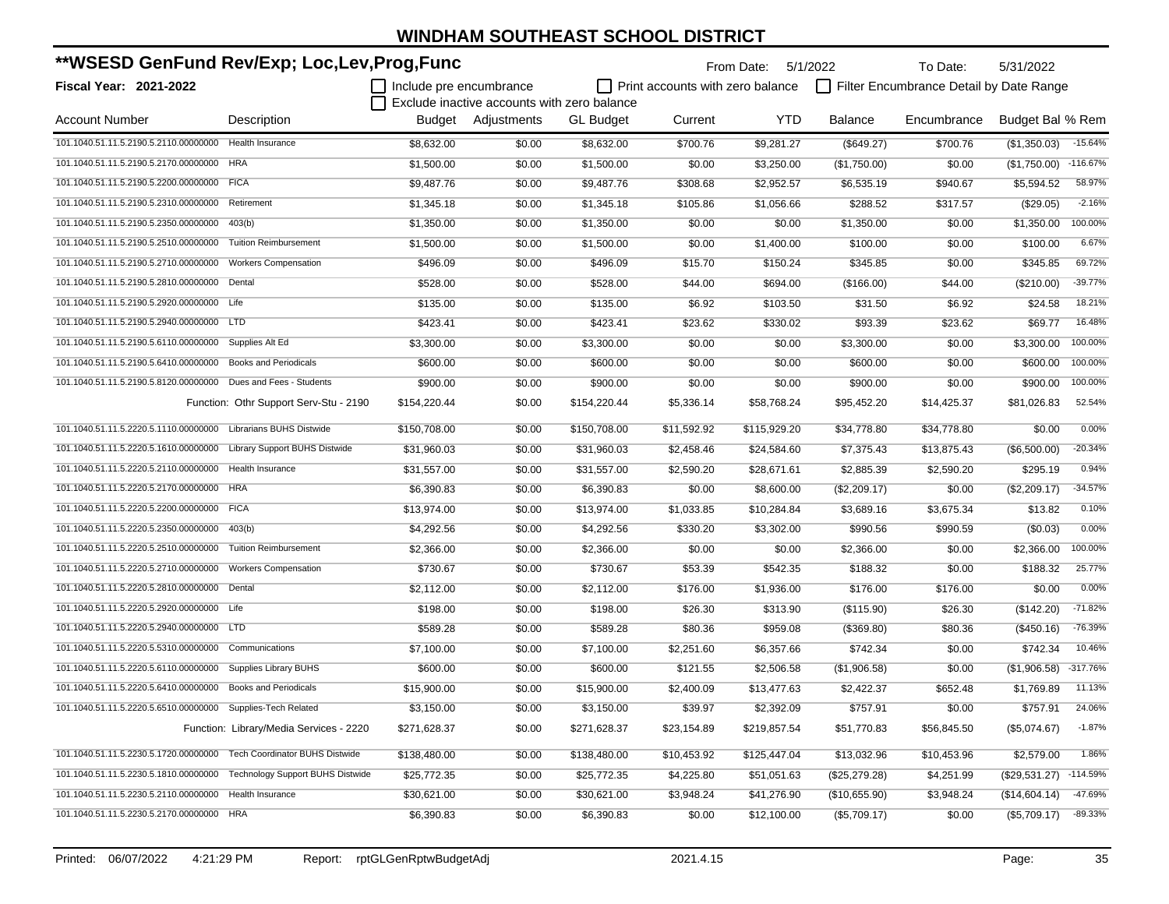| **WSESD GenFund Rev/Exp; Loc,Lev,Prog,Func                           |                                         |                         |                                             |                  |                                         | From Date:   | 5/1/2022<br>To Date:<br>5/31/2022 |                                         |                  |            |
|----------------------------------------------------------------------|-----------------------------------------|-------------------------|---------------------------------------------|------------------|-----------------------------------------|--------------|-----------------------------------|-----------------------------------------|------------------|------------|
| <b>Fiscal Year: 2021-2022</b>                                        |                                         | Include pre encumbrance |                                             |                  | $\Box$ Print accounts with zero balance |              |                                   | Filter Encumbrance Detail by Date Range |                  |            |
|                                                                      |                                         |                         | Exclude inactive accounts with zero balance |                  |                                         |              |                                   |                                         |                  |            |
| Account Number                                                       | Description                             |                         | Budget Adjustments                          | <b>GL Budget</b> | Current                                 | <b>YTD</b>   | Balance                           | Encumbrance                             | Budget Bal % Rem |            |
| 101.1040.51.11.5.2190.5.2110.00000000                                | <b>Health Insurance</b>                 | \$8,632.00              | \$0.00                                      | \$8,632.00       | \$700.76                                | \$9,281.27   | (\$649.27)                        | \$700.76                                | (\$1,350.03)     | $-15.64%$  |
| 101.1040.51.11.5.2190.5.2170.00000000                                | <b>HRA</b>                              | \$1,500.00              | \$0.00                                      | \$1,500.00       | \$0.00                                  | \$3,250.00   | (\$1,750.00)                      | \$0.00                                  | (\$1,750.00)     | $-116.67%$ |
| 101.1040.51.11.5.2190.5.2200.00000000                                | <b>FICA</b>                             | \$9,487.76              | \$0.00                                      | \$9,487.76       | \$308.68                                | \$2,952.57   | \$6,535.19                        | \$940.67                                | \$5,594.52       | 58.97%     |
| 101.1040.51.11.5.2190.5.2310.00000000                                | Retirement                              | \$1,345.18              | \$0.00                                      | \$1,345.18       | \$105.86                                | \$1,056.66   | \$288.52                          | \$317.57                                | (\$29.05)        | $-2.16%$   |
| 101.1040.51.11.5.2190.5.2350.00000000                                | 403(b)                                  | \$1.350.00              | \$0.00                                      | \$1,350.00       | \$0.00                                  | \$0.00       | \$1,350.00                        | \$0.00                                  | \$1,350.00       | 100.00%    |
| 101.1040.51.11.5.2190.5.2510.00000000                                | <b>Tuition Reimbursement</b>            | \$1,500.00              | \$0.00                                      | \$1,500.00       | \$0.00                                  | \$1,400.00   | \$100.00                          | \$0.00                                  | \$100.00         | 6.67%      |
| 101.1040.51.11.5.2190.5.2710.00000000                                | <b>Workers Compensation</b>             | \$496.09                | \$0.00                                      | \$496.09         | \$15.70                                 | \$150.24     | \$345.85                          | \$0.00                                  | \$345.85         | 69.72%     |
| 101.1040.51.11.5.2190.5.2810.00000000                                | Dental                                  | \$528.00                | \$0.00                                      | \$528.00         | \$44.00                                 | \$694.00     | (\$166.00)                        | \$44.00                                 | (\$210.00)       | $-39.77%$  |
| 101.1040.51.11.5.2190.5.2920.00000000 Life                           |                                         | \$135.00                | \$0.00                                      | \$135.00         | \$6.92                                  | \$103.50     | \$31.50                           | \$6.92                                  | \$24.58          | 18.21%     |
| 101.1040.51.11.5.2190.5.2940.00000000 LTD                            |                                         | \$423.41                | \$0.00                                      | \$423.41         | \$23.62                                 | \$330.02     | \$93.39                           | \$23.62                                 | \$69.77          | 16.48%     |
| 101.1040.51.11.5.2190.5.6110.00000000                                | Supplies Alt Ed                         | \$3,300.00              | \$0.00                                      | \$3,300.00       | \$0.00                                  | \$0.00       | \$3,300.00                        | \$0.00                                  | \$3,300.00       | 100.00%    |
| 101.1040.51.11.5.2190.5.6410.00000000                                | <b>Books and Periodicals</b>            | \$600.00                | \$0.00                                      | \$600.00         | \$0.00                                  | \$0.00       | \$600.00                          | \$0.00                                  | \$600.00         | 100.00%    |
| 101.1040.51.11.5.2190.5.8120.00000000                                | Dues and Fees - Students                | \$900.00                | \$0.00                                      | \$900.00         | \$0.00                                  | \$0.00       | \$900.00                          | \$0.00                                  | \$900.00         | 100.00%    |
|                                                                      | Function: Othr Support Serv-Stu - 2190  | \$154,220.44            | \$0.00                                      | \$154,220.44     | \$5,336.14                              | \$58,768.24  | \$95,452.20                       | \$14.425.37                             | \$81,026.83      | 52.54%     |
| 101.1040.51.11.5.2220.5.1110.00000000                                | <b>Librarians BUHS Distwide</b>         | \$150,708.00            | \$0.00                                      | \$150,708.00     | \$11,592.92                             | \$115,929.20 | \$34,778.80                       | \$34,778.80                             | \$0.00           | 0.00%      |
| 101.1040.51.11.5.2220.5.1610.00000000                                | <b>Library Support BUHS Distwide</b>    | \$31,960.03             | \$0.00                                      | \$31,960.03      | \$2,458.46                              | \$24,584.60  | \$7,375.43                        | \$13,875.43                             | (\$6,500.00)     | $-20.34%$  |
| 101.1040.51.11.5.2220.5.2110.00000000                                | <b>Health Insurance</b>                 | \$31.557.00             | \$0.00                                      | \$31,557.00      | \$2,590.20                              | \$28,671.61  | \$2,885.39                        | \$2,590.20                              | \$295.19         | 0.94%      |
| 101.1040.51.11.5.2220.5.2170.00000000                                | <b>HRA</b>                              | \$6,390.83              | \$0.00                                      | \$6,390.83       | \$0.00                                  | \$8,600.00   | (\$2,209.17)                      | \$0.00                                  | (\$2,209.17)     | $-34.57%$  |
| 101.1040.51.11.5.2220.5.2200.00000000                                | <b>FICA</b>                             | \$13,974.00             | \$0.00                                      | \$13,974.00      | \$1,033.85                              | \$10,284.84  | \$3,689.16                        | \$3,675.34                              | \$13.82          | 0.10%      |
| 101.1040.51.11.5.2220.5.2350.00000000                                | 403(b)                                  | \$4,292.56              | \$0.00                                      | \$4,292.56       | \$330.20                                | \$3,302.00   | \$990.56                          | \$990.59                                | (\$0.03)         | 0.00%      |
| 101.1040.51.11.5.2220.5.2510.00000000                                | <b>Tuition Reimbursement</b>            | \$2,366.00              | \$0.00                                      | \$2,366.00       | \$0.00                                  | \$0.00       | \$2,366.00                        | \$0.00                                  | \$2,366.00       | 100.00%    |
| 101.1040.51.11.5.2220.5.2710.00000000                                | <b>Workers Compensation</b>             | \$730.67                | \$0.00                                      | \$730.67         | \$53.39                                 | \$542.35     | \$188.32                          | \$0.00                                  | \$188.32         | 25.77%     |
| 101.1040.51.11.5.2220.5.2810.00000000                                | Dental                                  | \$2,112.00              | \$0.00                                      | \$2,112.00       | \$176.00                                | \$1,936.00   | \$176.00                          | \$176.00                                | \$0.00           | 0.00%      |
| 101.1040.51.11.5.2220.5.2920.00000000                                | Life                                    | \$198.00                | \$0.00                                      | \$198.00         | \$26.30                                 | \$313.90     | (\$115.90)                        | \$26.30                                 | (\$142.20)       | $-71.82%$  |
| 101.1040.51.11.5.2220.5.2940.00000000                                | <b>LTD</b>                              | \$589.28                | \$0.00                                      | \$589.28         | \$80.36                                 | \$959.08     | (\$369.80)                        | \$80.36                                 | (\$450.16)       | -76.39%    |
| 101.1040.51.11.5.2220.5.5310.00000000                                | Communications                          | \$7,100.00              | \$0.00                                      | \$7,100.00       | \$2,251.60                              | \$6,357.66   | \$742.34                          | \$0.00                                  | \$742.34         | 10.46%     |
| 101.1040.51.11.5.2220.5.6110.00000000                                | Supplies Library BUHS                   | \$600.00                | \$0.00                                      | \$600.00         | \$121.55                                | \$2,506.58   | (\$1,906.58)                      | \$0.00                                  | (\$1,906.58)     | $-317.76%$ |
| 101.1040.51.11.5.2220.5.6410.00000000                                | <b>Books and Periodicals</b>            | \$15,900.00             | \$0.00                                      | \$15,900.00      | \$2,400.09                              | \$13,477.63  | \$2,422.37                        | \$652.48                                | \$1,769.89       | 11.13%     |
| 101.1040.51.11.5.2220.5.6510.00000000 Supplies-Tech Related          |                                         | \$3,150.00              | \$0.00                                      | \$3,150.00       | \$39.97                                 | \$2,392.09   | \$757.91                          | \$0.00                                  | \$757.91         | 24.06%     |
|                                                                      | Function: Library/Media Services - 2220 | \$271,628.37            | \$0.00                                      | \$271,628.37     | \$23,154.89                             | \$219,857.54 | \$51,770.83                       | \$56,845.50                             | (\$5,074.67)     | $-1.87%$   |
| 101.1040.51.11.5.2230.5.1720.00000000 Tech Coordinator BUHS Distwide |                                         | \$138,480.00            | \$0.00                                      | \$138,480.00     | \$10,453.92                             | \$125,447.04 | \$13,032.96                       | \$10,453.96                             | \$2,579.00       | 1.86%      |
| 101.1040.51.11.5.2230.5.1810.00000000                                | <b>Technology Support BUHS Distwide</b> | \$25,772.35             | \$0.00                                      | \$25,772.35      | \$4,225.80                              | \$51,051.63  | (\$25,279.28)                     | \$4,251.99                              | $(\$29,531.27)$  | $-114.59%$ |
| 101.1040.51.11.5.2230.5.2110.00000000 Health Insurance               |                                         | \$30,621.00             | \$0.00                                      | \$30,621.00      | \$3,948.24                              | \$41,276.90  | (\$10,655.90)                     | \$3,948.24                              | (\$14,604.14)    | -47.69%    |
| 101.1040.51.11.5.2230.5.2170.00000000 HRA                            |                                         | \$6,390.83              | \$0.00                                      | \$6,390.83       | \$0.00                                  | \$12,100.00  | (\$5,709.17)                      | \$0.00                                  | (\$5,709.17)     | $-89.33%$  |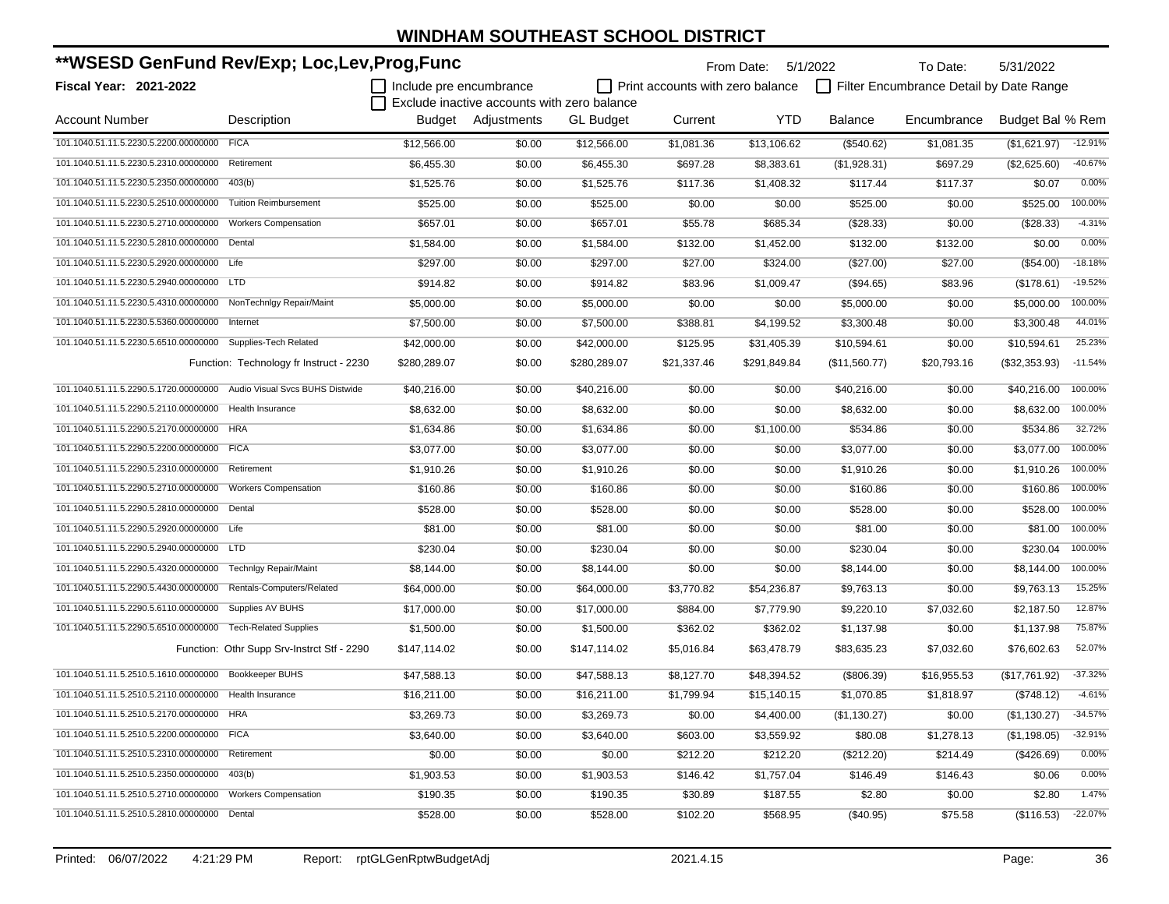| **WSESD GenFund Rev/Exp; Loc,Lev,Prog,Func                            |                                            |                         |                                             |                  |                                         | From Date:   | 5/1/2022      | To Date:                                | 5/31/2022        |           |
|-----------------------------------------------------------------------|--------------------------------------------|-------------------------|---------------------------------------------|------------------|-----------------------------------------|--------------|---------------|-----------------------------------------|------------------|-----------|
| <b>Fiscal Year: 2021-2022</b>                                         |                                            | Include pre encumbrance |                                             |                  | $\Box$ Print accounts with zero balance |              |               | Filter Encumbrance Detail by Date Range |                  |           |
|                                                                       |                                            |                         | Exclude inactive accounts with zero balance |                  |                                         |              |               |                                         |                  |           |
| <b>Account Number</b>                                                 | Description                                |                         | Budget Adjustments                          | <b>GL Budget</b> | Current                                 | YTD          | Balance       | Encumbrance                             | Budget Bal % Rem |           |
| 101.1040.51.11.5.2230.5.2200.00000000 FICA                            |                                            | \$12,566.00             | \$0.00                                      | \$12,566.00      | \$1,081.36                              | \$13,106.62  | (\$540.62)    | \$1,081.35                              | (\$1,621.97)     | $-12.91%$ |
| 101.1040.51.11.5.2230.5.2310.00000000                                 | Retirement                                 | \$6,455.30              | \$0.00                                      | \$6,455.30       | \$697.28                                | \$8,383.61   | (\$1,928.31)  | \$697.29                                | (\$2,625.60)     | $-40.67%$ |
| 101.1040.51.11.5.2230.5.2350.00000000                                 | 403(b)                                     | \$1,525.76              | \$0.00                                      | \$1,525.76       | \$117.36                                | \$1,408.32   | \$117.44      | \$117.37                                | \$0.07           | 0.00%     |
| 101.1040.51.11.5.2230.5.2510.00000000                                 | <b>Tuition Reimbursement</b>               | \$525.00                | \$0.00                                      | \$525.00         | \$0.00                                  | \$0.00       | \$525.00      | \$0.00                                  | \$525.00         | 100.00%   |
| 101.1040.51.11.5.2230.5.2710.00000000                                 | <b>Workers Compensation</b>                | \$657.01                | \$0.00                                      | \$657.01         | \$55.78                                 | \$685.34     | (\$28.33)     | \$0.00                                  | (\$28.33)        | $-4.31%$  |
| 101.1040.51.11.5.2230.5.2810.00000000                                 | Dental                                     | \$1,584.00              | \$0.00                                      | \$1,584.00       | \$132.00                                | \$1,452.00   | \$132.00      | \$132.00                                | \$0.00           | 0.00%     |
| 101.1040.51.11.5.2230.5.2920.00000000 Life                            |                                            | \$297.00                | \$0.00                                      | \$297.00         | \$27.00                                 | \$324.00     | (\$27.00)     | \$27.00                                 | (\$54.00)        | $-18.18%$ |
| 101.1040.51.11.5.2230.5.2940.00000000 LTD                             |                                            | \$914.82                | \$0.00                                      | \$914.82         | \$83.96                                 | \$1,009.47   | (\$94.65)     | \$83.96                                 | (\$178.61)       | $-19.52%$ |
| 101.1040.51.11.5.2230.5.4310.00000000 NonTechnIgy Repair/Maint        |                                            | \$5,000.00              | \$0.00                                      | \$5,000.00       | \$0.00                                  | \$0.00       | \$5,000.00    | \$0.00                                  | \$5,000.00       | 100.00%   |
| 101.1040.51.11.5.2230.5.5360.00000000                                 | Internet                                   | \$7,500.00              | \$0.00                                      | \$7,500.00       | \$388.81                                | \$4,199.52   | \$3,300.48    | \$0.00                                  | \$3,300.48       | 44.01%    |
| 101.1040.51.11.5.2230.5.6510.00000000 Supplies-Tech Related           |                                            | \$42,000.00             | \$0.00                                      | \$42,000.00      | \$125.95                                | \$31,405.39  | \$10,594.61   | \$0.00                                  | \$10,594.61      | 25.23%    |
|                                                                       | Function: Technology fr Instruct - 2230    | \$280,289.07            | \$0.00                                      | \$280,289.07     | \$21,337.46                             | \$291,849.84 | (\$11,560.77) | \$20,793.16                             | (\$32,353.93)    | $-11.54%$ |
| 101.1040.51.11.5.2290.5.1720.00000000 Audio Visual Svcs BUHS Distwide |                                            | \$40,216.00             | \$0.00                                      | \$40,216.00      | \$0.00                                  | \$0.00       | \$40,216.00   | \$0.00                                  | \$40,216.00      | 100.00%   |
| 101.1040.51.11.5.2290.5.2110.00000000 Health Insurance                |                                            | \$8,632.00              | \$0.00                                      | \$8,632.00       | \$0.00                                  | \$0.00       | \$8,632.00    | \$0.00                                  | \$8,632.00       | 100.00%   |
| 101.1040.51.11.5.2290.5.2170.00000000 HRA                             |                                            | \$1,634.86              | \$0.00                                      | \$1,634.86       | \$0.00                                  | \$1,100.00   | \$534.86      | \$0.00                                  | \$534.86         | 32.72%    |
| 101.1040.51.11.5.2290.5.2200.00000000 FICA                            |                                            | \$3,077.00              | \$0.00                                      | \$3,077.00       | \$0.00                                  | \$0.00       | \$3,077.00    | \$0.00                                  | \$3,077.00       | 100.00%   |
| 101.1040.51.11.5.2290.5.2310.00000000                                 | Retirement                                 | \$1,910.26              | \$0.00                                      | \$1,910.26       | \$0.00                                  | \$0.00       | \$1,910.26    | \$0.00                                  | \$1,910.26       | 100.00%   |
| 101.1040.51.11.5.2290.5.2710.00000000                                 | <b>Workers Compensation</b>                | \$160.86                | \$0.00                                      | \$160.86         | \$0.00                                  | \$0.00       | \$160.86      | \$0.00                                  | \$160.86         | 100.00%   |
| 101.1040.51.11.5.2290.5.2810.00000000                                 | Dental                                     | \$528.00                | \$0.00                                      | \$528.00         | \$0.00                                  | \$0.00       | \$528.00      | \$0.00                                  | \$528.00         | 100.00%   |
| 101.1040.51.11.5.2290.5.2920.00000000 Life                            |                                            | \$81.00                 | \$0.00                                      | \$81.00          | \$0.00                                  | \$0.00       | \$81.00       | \$0.00                                  | \$81.00          | 100.00%   |
| 101.1040.51.11.5.2290.5.2940.00000000 LTD                             |                                            | \$230.04                | \$0.00                                      | \$230.04         | \$0.00                                  | \$0.00       | \$230.04      | \$0.00                                  | \$230.04         | 100.00%   |
| 101.1040.51.11.5.2290.5.4320.00000000 Technlgy Repair/Maint           |                                            | \$8,144.00              | \$0.00                                      | \$8,144.00       | \$0.00                                  | \$0.00       | \$8,144.00    | \$0.00                                  | \$8,144.00       | 100.00%   |
| 101.1040.51.11.5.2290.5.4430.00000000 Rentals-Computers/Related       |                                            | \$64,000.00             | \$0.00                                      | \$64,000.00      | \$3,770.82                              | \$54,236.87  | \$9,763.13    | \$0.00                                  | \$9,763.13       | 15.25%    |
| 101.1040.51.11.5.2290.5.6110.00000000                                 | Supplies AV BUHS                           | \$17,000.00             | \$0.00                                      | \$17,000.00      | \$884.00                                | \$7,779.90   | \$9,220.10    | \$7,032.60                              | \$2,187.50       | 12.87%    |
| 101.1040.51.11.5.2290.5.6510.00000000                                 | <b>Tech-Related Supplies</b>               | \$1,500.00              | \$0.00                                      | \$1,500.00       | \$362.02                                | \$362.02     | \$1,137.98    | \$0.00                                  | \$1,137.98       | 75.87%    |
|                                                                       | Function: Othr Supp Srv-Instrct Stf - 2290 | \$147,114.02            | \$0.00                                      | \$147,114.02     | \$5,016.84                              | \$63,478.79  | \$83,635.23   | \$7,032.60                              | \$76,602.63      | 52.07%    |
| 101.1040.51.11.5.2510.5.1610.00000000 Bookkeeper BUHS                 |                                            | \$47,588.13             | \$0.00                                      | \$47,588.13      | \$8,127.70                              | \$48,394.52  | (\$806.39)    | \$16,955.53                             | (\$17,761.92)    | $-37.32%$ |
| 101.1040.51.11.5.2510.5.2110.00000000 Health Insurance                |                                            | \$16,211.00             | \$0.00                                      | \$16,211.00      | \$1,799.94                              | \$15,140.15  | \$1,070.85    | \$1,818.97                              | (\$748.12)       | $-4.61%$  |
| 101.1040.51.11.5.2510.5.2170.00000000 HRA                             |                                            | \$3,269.73              | \$0.00                                      | \$3,269.73       | \$0.00                                  | \$4,400.00   | (\$1,130.27)  | \$0.00                                  | (\$1,130.27)     | $-34.57%$ |
| 101.1040.51.11.5.2510.5.2200.00000000 FICA                            |                                            | \$3,640.00              | \$0.00                                      | \$3,640.00       | \$603.00                                | \$3,559.92   | \$80.08       | \$1,278.13                              | (\$1,198.05)     | $-32.91%$ |
| 101.1040.51.11.5.2510.5.2310.00000000 Retirement                      |                                            | \$0.00                  | \$0.00                                      | \$0.00           | \$212.20                                | \$212.20     | (\$212.20)    | \$214.49                                | (\$426.69)       | 0.00%     |
| 101.1040.51.11.5.2510.5.2350.00000000 403(b)                          |                                            | \$1,903.53              | \$0.00                                      | \$1,903.53       | \$146.42                                | \$1,757.04   | \$146.49      | \$146.43                                | \$0.06           | 0.00%     |
| 101.1040.51.11.5.2510.5.2710.00000000 Workers Compensation            |                                            | \$190.35                | \$0.00                                      | \$190.35         | \$30.89                                 | \$187.55     | \$2.80        | \$0.00                                  | \$2.80           | 1.47%     |
| 101.1040.51.11.5.2510.5.2810.00000000 Dental                          |                                            | \$528.00                | \$0.00                                      | \$528.00         | \$102.20                                | \$568.95     | (\$40.95)     | \$75.58                                 | (\$116.53)       | $-22.07%$ |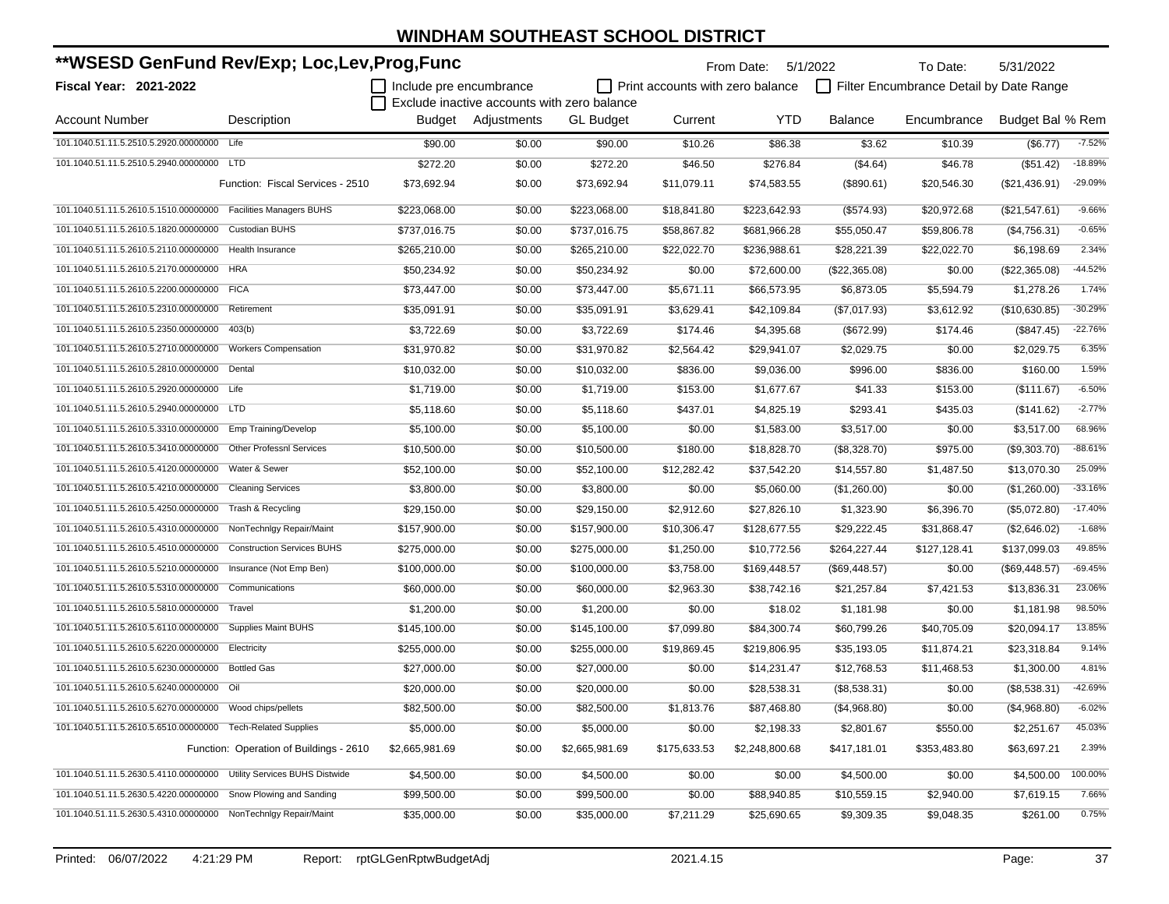| **WSESD GenFund Rev/Exp; Loc,Lev,Prog,Func                           |                                         |                         |                                             | From Date:       | 5/1/2022                                | To Date:       | 5/31/2022      |                                         |                  |           |
|----------------------------------------------------------------------|-----------------------------------------|-------------------------|---------------------------------------------|------------------|-----------------------------------------|----------------|----------------|-----------------------------------------|------------------|-----------|
| Fiscal Year: 2021-2022                                               |                                         | Include pre encumbrance |                                             |                  | $\Box$ Print accounts with zero balance |                |                | Filter Encumbrance Detail by Date Range |                  |           |
|                                                                      |                                         |                         | Exclude inactive accounts with zero balance |                  |                                         |                |                |                                         |                  |           |
| <b>Account Number</b>                                                | Description                             |                         | Budget Adjustments                          | <b>GL Budget</b> | Current                                 | <b>YTD</b>     | <b>Balance</b> | Encumbrance                             | Budget Bal % Rem |           |
| 101.1040.51.11.5.2510.5.2920.00000000 Life                           |                                         | \$90.00                 | \$0.00                                      | \$90.00          | \$10.26                                 | \$86.38        | \$3.62         | \$10.39                                 | (\$6.77)         | $-7.52%$  |
| 101.1040.51.11.5.2510.5.2940.00000000 LTD                            |                                         | \$272.20                | \$0.00                                      | \$272.20         | \$46.50                                 | \$276.84       | (\$4.64)       | \$46.78                                 | (\$51.42)        | $-18.89%$ |
|                                                                      | Function: Fiscal Services - 2510        | \$73,692.94             | \$0.00                                      | \$73,692.94      | \$11,079.11                             | \$74,583.55    | (\$890.61)     | \$20,546.30                             | (\$21,436.91)    | -29.09%   |
| 101.1040.51.11.5.2610.5.1510.00000000   Facilities Managers BUHS     |                                         | \$223,068.00            | \$0.00                                      | \$223,068.00     | \$18,841.80                             | \$223,642.93   | (\$574.93)     | \$20,972.68                             | (\$21,547.61)    | $-9.66%$  |
| 101.1040.51.11.5.2610.5.1820.00000000 Custodian BUHS                 |                                         | \$737,016.75            | \$0.00                                      | \$737,016.75     | \$58,867.82                             | \$681,966.28   | \$55,050.47    | \$59,806.78                             | (\$4,756.31)     | $-0.65%$  |
| 101.1040.51.11.5.2610.5.2110.00000000 Health Insurance               |                                         | \$265,210.00            | \$0.00                                      | \$265,210.00     | \$22,022.70                             | \$236,988.61   | \$28,221.39    | \$22,022.70                             | \$6,198.69       | 2.34%     |
| 101.1040.51.11.5.2610.5.2170.00000000 HRA                            |                                         | \$50,234.92             | \$0.00                                      | \$50,234.92      | \$0.00                                  | \$72,600.00    | (\$22,365.08)  | \$0.00                                  | (\$22,365.08)    | $-44.52%$ |
| 101.1040.51.11.5.2610.5.2200.00000000 FICA                           |                                         | \$73,447.00             | \$0.00                                      | \$73,447.00      | \$5,671.11                              | \$66,573.95    | \$6,873.05     | \$5,594.79                              | \$1,278.26       | 1.74%     |
| 101.1040.51.11.5.2610.5.2310.00000000 Retirement                     |                                         | \$35,091.91             | \$0.00                                      | \$35,091.91      | \$3,629.41                              | \$42,109.84    | (\$7,017.93)   | \$3,612.92                              | (\$10,630.85)    | $-30.29%$ |
| 101.1040.51.11.5.2610.5.2350.00000000                                | 403(b)                                  | \$3,722.69              | \$0.00                                      | \$3,722.69       | \$174.46                                | \$4,395.68     | (\$672.99)     | \$174.46                                | (\$847.45)       | $-22.76%$ |
| 101.1040.51.11.5.2610.5.2710.00000000                                | <b>Workers Compensation</b>             | \$31,970.82             | \$0.00                                      | \$31,970.82      | \$2,564.42                              | \$29,941.07    | \$2,029.75     | \$0.00                                  | \$2,029.75       | 6.35%     |
| 101.1040.51.11.5.2610.5.2810.00000000                                | Dental                                  | \$10,032.00             | \$0.00                                      | \$10,032.00      | \$836.00                                | \$9,036.00     | \$996.00       | \$836.00                                | \$160.00         | 1.59%     |
| 101.1040.51.11.5.2610.5.2920.00000000 Life                           |                                         | \$1,719.00              | \$0.00                                      | \$1,719.00       | \$153.00                                | \$1,677.67     | \$41.33        | \$153.00                                | $(\$111.67)$     | $-6.50%$  |
| 101.1040.51.11.5.2610.5.2940.00000000 LTD                            |                                         | \$5,118.60              | \$0.00                                      | \$5,118.60       | \$437.01                                | \$4,825.19     | \$293.41       | \$435.03                                | (\$141.62)       | $-2.77%$  |
| 101.1040.51.11.5.2610.5.3310.00000000 Emp Training/Develop           |                                         | \$5,100.00              | \$0.00                                      | \$5,100.00       | \$0.00                                  | \$1,583.00     | \$3,517.00     | \$0.00                                  | \$3,517.00       | 68.96%    |
| 101.1040.51.11.5.2610.5.3410.00000000                                | <b>Other Professnl Services</b>         | \$10,500.00             | \$0.00                                      | \$10,500.00      | \$180.00                                | \$18,828.70    | (\$8,328.70)   | \$975.00                                | (\$9,303.70)     | $-88.61%$ |
| 101.1040.51.11.5.2610.5.4120.00000000                                | Water & Sewer                           | \$52,100.00             | \$0.00                                      | \$52,100.00      | \$12,282.42                             | \$37,542.20    | \$14,557.80    | \$1,487.50                              | \$13,070.30      | 25.09%    |
| 101.1040.51.11.5.2610.5.4210.00000000                                | <b>Cleaning Services</b>                | \$3,800.00              | \$0.00                                      | \$3,800.00       | \$0.00                                  | \$5,060.00     | (\$1,260.00)   | \$0.00                                  | (\$1,260.00)     | $-33.16%$ |
| 101.1040.51.11.5.2610.5.4250.00000000 Trash & Recycling              |                                         | \$29,150.00             | \$0.00                                      | \$29,150.00      | \$2,912.60                              | \$27,826.10    | \$1,323.90     | \$6,396.70                              | (\$5,072.80)     | $-17.40%$ |
| 101.1040.51.11.5.2610.5.4310.00000000                                | NonTechnigy Repair/Maint                | \$157,900.00            | \$0.00                                      | \$157,900.00     | \$10,306.47                             | \$128,677.55   | \$29,222.45    | \$31,868.47                             | (\$2,646.02)     | $-1.68%$  |
| 101.1040.51.11.5.2610.5.4510.00000000                                | <b>Construction Services BUHS</b>       | \$275,000.00            | \$0.00                                      | \$275,000.00     | \$1,250.00                              | \$10,772.56    | \$264,227.44   | \$127,128.41                            | \$137,099.03     | 49.85%    |
| 101.1040.51.11.5.2610.5.5210.00000000                                | Insurance (Not Emp Ben)                 | \$100,000.00            | \$0.00                                      | \$100,000.00     | \$3,758.00                              | \$169,448.57   | (\$69,448.57)  | \$0.00                                  | $(\$69,448.57)$  | $-69.45%$ |
| 101.1040.51.11.5.2610.5.5310.00000000                                | Communications                          | \$60,000.00             | \$0.00                                      | \$60,000.00      | \$2,963.30                              | \$38,742.16    | \$21,257.84    | \$7,421.53                              | \$13,836.31      | 23.06%    |
| 101.1040.51.11.5.2610.5.5810.00000000                                | Travel                                  | \$1,200.00              | \$0.00                                      | \$1,200.00       | \$0.00                                  | \$18.02        | \$1,181.98     | \$0.00                                  | \$1,181.98       | 98.50%    |
| 101.1040.51.11.5.2610.5.6110.00000000 Supplies Maint BUHS            |                                         | \$145,100.00            | \$0.00                                      | \$145,100.00     | \$7,099.80                              | \$84,300.74    | \$60,799.26    | \$40,705.09                             | \$20,094.17      | 13.85%    |
| 101.1040.51.11.5.2610.5.6220.00000000                                | Electricity                             | \$255,000.00            | \$0.00                                      | \$255,000.00     | \$19,869.45                             | \$219,806.95   | \$35,193.05    | \$11,874.21                             | \$23,318.84      | 9.14%     |
| 101.1040.51.11.5.2610.5.6230.00000000 Bottled Gas                    |                                         | \$27,000.00             | \$0.00                                      | \$27,000.00      | \$0.00                                  | \$14,231.47    | \$12,768.53    | \$11,468.53                             | \$1,300.00       | 4.81%     |
| 101.1040.51.11.5.2610.5.6240.00000000 Oil                            |                                         | \$20,000.00             | \$0.00                                      | \$20,000.00      | \$0.00                                  | \$28,538.31    | (\$8,538.31)   | \$0.00                                  | (\$8,538.31)     | $-42.69%$ |
| 101.1040.51.11.5.2610.5.6270.00000000 Wood chips/pellets             |                                         | \$82,500.00             | \$0.00                                      | \$82,500.00      | \$1,813.76                              | \$87,468.80    | (\$4,968.80)   | \$0.00                                  | (\$4,968.80)     | $-6.02%$  |
| 101.1040.51.11.5.2610.5.6510.00000000 Tech-Related Supplies          |                                         | \$5,000.00              | \$0.00                                      | \$5,000.00       | \$0.00                                  | \$2,198.33     | \$2,801.67     | \$550.00                                | \$2,251.67       | 45.03%    |
|                                                                      | Function: Operation of Buildings - 2610 | \$2,665,981.69          | \$0.00                                      | \$2,665,981.69   | \$175,633.53                            | \$2,248,800.68 | \$417,181.01   | \$353,483.80                            | \$63,697.21      | 2.39%     |
| 101.1040.51.11.5.2630.5.4110.00000000 Utility Services BUHS Distwide |                                         | \$4,500.00              | \$0.00                                      | \$4,500.00       | \$0.00                                  | \$0.00         | \$4,500.00     | \$0.00                                  | \$4,500.00       | 100.00%   |
| 101.1040.51.11.5.2630.5.4220.00000000 Snow Plowing and Sanding       |                                         | \$99,500.00             | \$0.00                                      | \$99,500.00      | \$0.00                                  | \$88,940.85    | \$10,559.15    | \$2,940.00                              | \$7,619.15       | 7.66%     |
| 101.1040.51.11.5.2630.5.4310.00000000 NonTechnlgy Repair/Maint       |                                         | \$35,000.00             | \$0.00                                      | \$35,000.00      | \$7,211.29                              | \$25,690.65    | \$9,309.35     | \$9,048.35                              | \$261.00         | 0.75%     |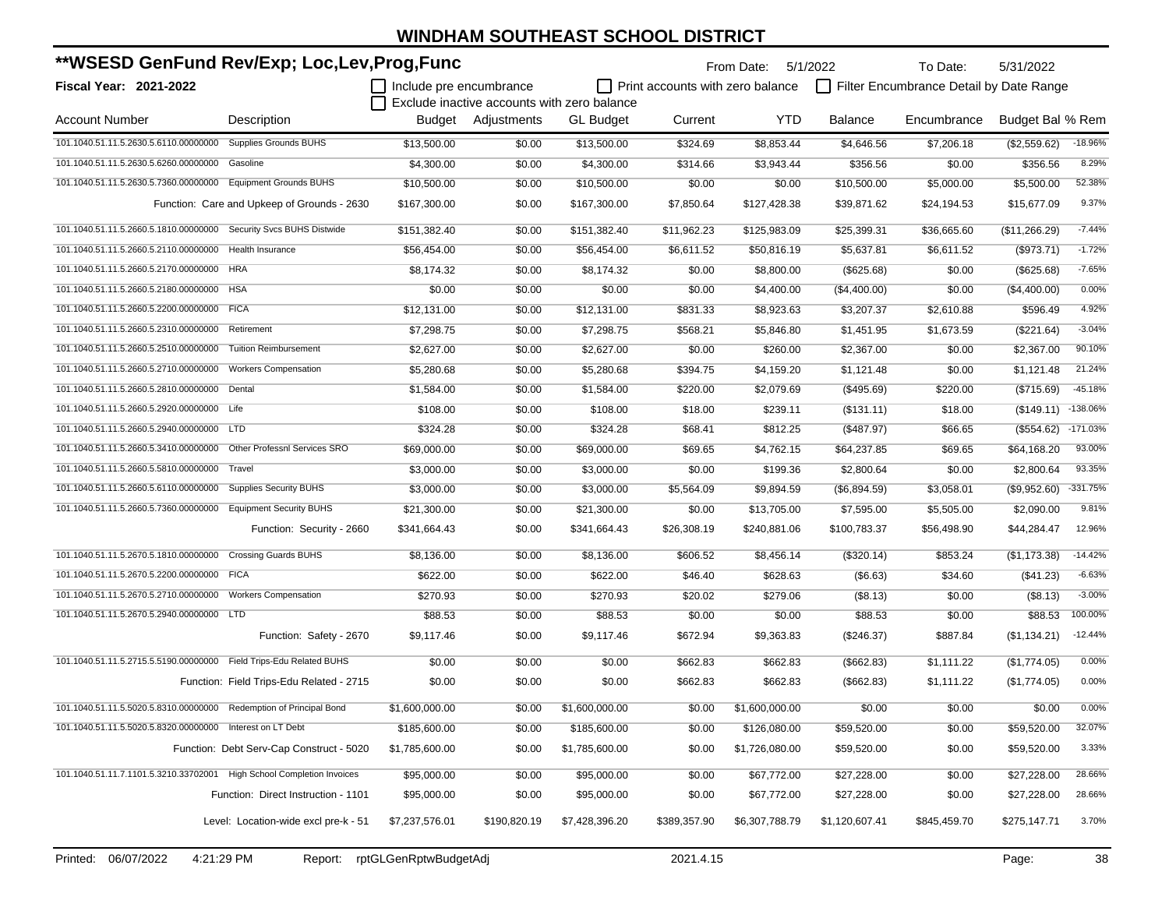| **WSESD GenFund Rev/Exp; Loc,Lev,Prog,Func                            |                                             |                         |                                             |                  |                                         | From Date: 5/1/2022 |                | To Date:                                | 5/31/2022        |            |
|-----------------------------------------------------------------------|---------------------------------------------|-------------------------|---------------------------------------------|------------------|-----------------------------------------|---------------------|----------------|-----------------------------------------|------------------|------------|
| Fiscal Year: 2021-2022                                                |                                             | Include pre encumbrance | Exclude inactive accounts with zero balance |                  | $\Box$ Print accounts with zero balance |                     |                | Filter Encumbrance Detail by Date Range |                  |            |
| <b>Account Number</b>                                                 | Description                                 |                         | Budget Adjustments                          | <b>GL Budget</b> | Current                                 | <b>YTD</b>          | Balance        | Encumbrance                             | Budget Bal % Rem |            |
| 101.1040.51.11.5.2630.5.6110.00000000                                 | <b>Supplies Grounds BUHS</b>                | \$13,500.00             | \$0.00                                      | \$13,500.00      | \$324.69                                | \$8,853.44          | \$4,646.56     | \$7,206.18                              | (\$2,559.62)     | $-18.96%$  |
| 101.1040.51.11.5.2630.5.6260.00000000 Gasoline                        |                                             | \$4,300.00              | \$0.00                                      | \$4,300.00       | \$314.66                                | \$3,943.44          | \$356.56       | \$0.00                                  | \$356.56         | 8.29%      |
| 101.1040.51.11.5.2630.5.7360.00000000   Equipment Grounds BUHS        |                                             | \$10,500.00             | \$0.00                                      | \$10,500.00      | \$0.00                                  | \$0.00              | \$10,500.00    | \$5,000.00                              | \$5,500.00       | 52.38%     |
|                                                                       | Function: Care and Upkeep of Grounds - 2630 | \$167,300.00            | \$0.00                                      | \$167,300.00     | \$7,850.64                              | \$127,428.38        | \$39,871.62    | \$24,194.53                             | \$15,677.09      | 9.37%      |
| 101.1040.51.11.5.2660.5.1810.00000000 Security Svcs BUHS Distwide     |                                             | \$151,382.40            | \$0.00                                      | \$151,382.40     | \$11,962.23                             | \$125,983.09        | \$25,399.31    | \$36,665.60                             | (\$11,266.29)    | $-7.44%$   |
| 101.1040.51.11.5.2660.5.2110.00000000 Health Insurance                |                                             | \$56,454.00             | \$0.00                                      | \$56,454.00      | \$6,611.52                              | \$50,816.19         | \$5,637.81     | \$6,611.52                              | (\$973.71)       | $-1.72%$   |
| 101.1040.51.11.5.2660.5.2170.00000000 HRA                             |                                             | \$8,174.32              | \$0.00                                      | \$8,174.32       | \$0.00                                  | \$8,800.00          | (\$625.68)     | \$0.00                                  | (\$625.68)       | $-7.65%$   |
| 101.1040.51.11.5.2660.5.2180.00000000 HSA                             |                                             | \$0.00                  | \$0.00                                      | \$0.00           | \$0.00                                  | \$4,400.00          | (\$4,400.00)   | \$0.00                                  | (\$4,400.00)     | 0.00%      |
| 101.1040.51.11.5.2660.5.2200.00000000 FICA                            |                                             | \$12,131.00             | \$0.00                                      | \$12,131.00      | \$831.33                                | \$8,923.63          | \$3,207.37     | \$2,610.88                              | \$596.49         | 4.92%      |
| 101.1040.51.11.5.2660.5.2310.00000000 Retirement                      |                                             | \$7,298.75              | \$0.00                                      | \$7,298.75       | \$568.21                                | \$5,846.80          | \$1,451.95     | \$1,673.59                              | (\$221.64)       | $-3.04%$   |
| 101.1040.51.11.5.2660.5.2510.00000000                                 | <b>Tuition Reimbursement</b>                | \$2,627.00              | \$0.00                                      | \$2,627.00       | \$0.00                                  | \$260.00            | \$2,367.00     | \$0.00                                  | \$2,367.00       | 90.10%     |
| 101.1040.51.11.5.2660.5.2710.00000000                                 | <b>Workers Compensation</b>                 | \$5,280.68              | \$0.00                                      | \$5,280.68       | \$394.75                                | \$4,159.20          | \$1,121.48     | \$0.00                                  | \$1,121.48       | 21.24%     |
| 101.1040.51.11.5.2660.5.2810.00000000 Dental                          |                                             | \$1,584.00              | \$0.00                                      | \$1,584.00       | \$220.00                                | \$2,079.69          | (\$495.69)     | \$220.00                                | (\$715.69)       | $-45.18%$  |
| 101.1040.51.11.5.2660.5.2920.00000000 Life                            |                                             | \$108.00                | \$0.00                                      | \$108.00         | \$18.00                                 | \$239.11            | (\$131.11)     | \$18.00                                 | (\$149.11)       | $-138.06%$ |
| 101.1040.51.11.5.2660.5.2940.00000000 LTD                             |                                             | \$324.28                | \$0.00                                      | \$324.28         | \$68.41                                 | \$812.25            | (\$487.97)     | \$66.65                                 | (\$554.62)       | $-171.03%$ |
| 101.1040.51.11.5.2660.5.3410.00000000                                 | Other Professnl Services SRO                | \$69,000.00             | \$0.00                                      | \$69,000.00      | \$69.65                                 | \$4,762.15          | \$64,237.85    | \$69.65                                 | \$64,168.20      | 93.00%     |
| 101.1040.51.11.5.2660.5.5810.00000000 Travel                          |                                             | \$3,000.00              | \$0.00                                      | \$3,000.00       | \$0.00                                  | \$199.36            | \$2,800.64     | \$0.00                                  | \$2,800.64       | 93.35%     |
| 101.1040.51.11.5.2660.5.6110.00000000                                 | <b>Supplies Security BUHS</b>               | \$3,000.00              | \$0.00                                      | \$3,000.00       | \$5,564.09                              | \$9,894.59          | (\$6,894.59)   | \$3,058.01                              | (\$9,952.60)     | $-331.75%$ |
| 101.1040.51.11.5.2660.5.7360.00000000 Equipment Security BUHS         |                                             | \$21,300.00             | \$0.00                                      | \$21,300.00      | \$0.00                                  | \$13,705.00         | \$7,595.00     | \$5,505.00                              | \$2,090.00       | 9.81%      |
|                                                                       | Function: Security - 2660                   | \$341,664.43            | \$0.00                                      | \$341,664.43     | \$26,308.19                             | \$240,881.06        | \$100,783.37   | \$56,498.90                             | \$44,284.47      | 12.96%     |
| 101.1040.51.11.5.2670.5.1810.00000000 Crossing Guards BUHS            |                                             | \$8,136.00              | \$0.00                                      | \$8,136.00       | \$606.52                                | \$8,456.14          | (\$320.14)     | \$853.24                                | (\$1,173.38)     | $-14.42%$  |
| 101.1040.51.11.5.2670.5.2200.00000000 FICA                            |                                             | \$622.00                | \$0.00                                      | \$622.00         | \$46.40                                 | \$628.63            | (\$6.63)       | \$34.60                                 | (\$41.23)        | $-6.63%$   |
| 101.1040.51.11.5.2670.5.2710.00000000                                 | <b>Workers Compensation</b>                 | \$270.93                | \$0.00                                      | \$270.93         | \$20.02                                 | \$279.06            | (\$8.13)       | \$0.00                                  | (\$8.13)         | $-3.00%$   |
| 101.1040.51.11.5.2670.5.2940.00000000 LTD                             |                                             | \$88.53                 | \$0.00                                      | \$88.53          | \$0.00                                  | \$0.00              | \$88.53        | \$0.00                                  | \$88.53          | 100.00%    |
|                                                                       | Function: Safety - 2670                     | \$9,117.46              | \$0.00                                      | \$9,117.46       | \$672.94                                | \$9,363.83          | $(\$246.37)$   | \$887.84                                | (\$1,134.21)     | $-12.44%$  |
| 101.1040.51.11.5.2715.5.5190.00000000 Field Trips-Edu Related BUHS    |                                             | \$0.00                  | \$0.00                                      | \$0.00           | \$662.83                                | \$662.83            | (\$662.83)     | \$1,111.22                              | (\$1,774.05)     | 0.00%      |
|                                                                       | Function: Field Trips-Edu Related - 2715    | \$0.00                  | \$0.00                                      | \$0.00           | \$662.83                                | \$662.83            | (\$662.83)     | \$1,111.22                              | (\$1,774.05)     | 0.00%      |
| 101.1040.51.11.5.5020.5.8310.00000000 Redemption of Principal Bond    |                                             | \$1,600,000.00          | \$0.00                                      | \$1,600,000.00   | \$0.00                                  | \$1,600,000.00      | \$0.00         | \$0.00                                  | \$0.00           | 0.00%      |
| 101.1040.51.11.5.5020.5.8320.00000000 Interest on LT Debt             |                                             | \$185,600.00            | \$0.00                                      | \$185,600.00     | \$0.00                                  | \$126,080.00        | \$59,520.00    | \$0.00                                  | \$59,520.00      | 32.07%     |
|                                                                       | Function: Debt Serv-Cap Construct - 5020    | \$1,785,600.00          | \$0.00                                      | \$1,785,600.00   | \$0.00                                  | \$1,726,080.00      | \$59,520.00    | \$0.00                                  | \$59,520.00      | 3.33%      |
| 101.1040.51.11.7.1101.5.3210.33702001 High School Completion Invoices |                                             | \$95,000.00             | \$0.00                                      | \$95,000.00      | \$0.00                                  | \$67,772.00         | \$27,228.00    | \$0.00                                  | \$27,228.00      | 28.66%     |
|                                                                       | Function: Direct Instruction - 1101         | \$95,000.00             | \$0.00                                      | \$95,000.00      | \$0.00                                  | \$67,772.00         | \$27,228.00    | \$0.00                                  | \$27,228.00      | 28.66%     |
|                                                                       | Level: Location-wide excl pre-k - 51        | \$7,237,576.01          | \$190,820.19                                | \$7,428,396.20   | \$389,357.90                            | \$6,307,788.79      | \$1,120,607.41 | \$845,459.70                            | \$275,147.71     | 3.70%      |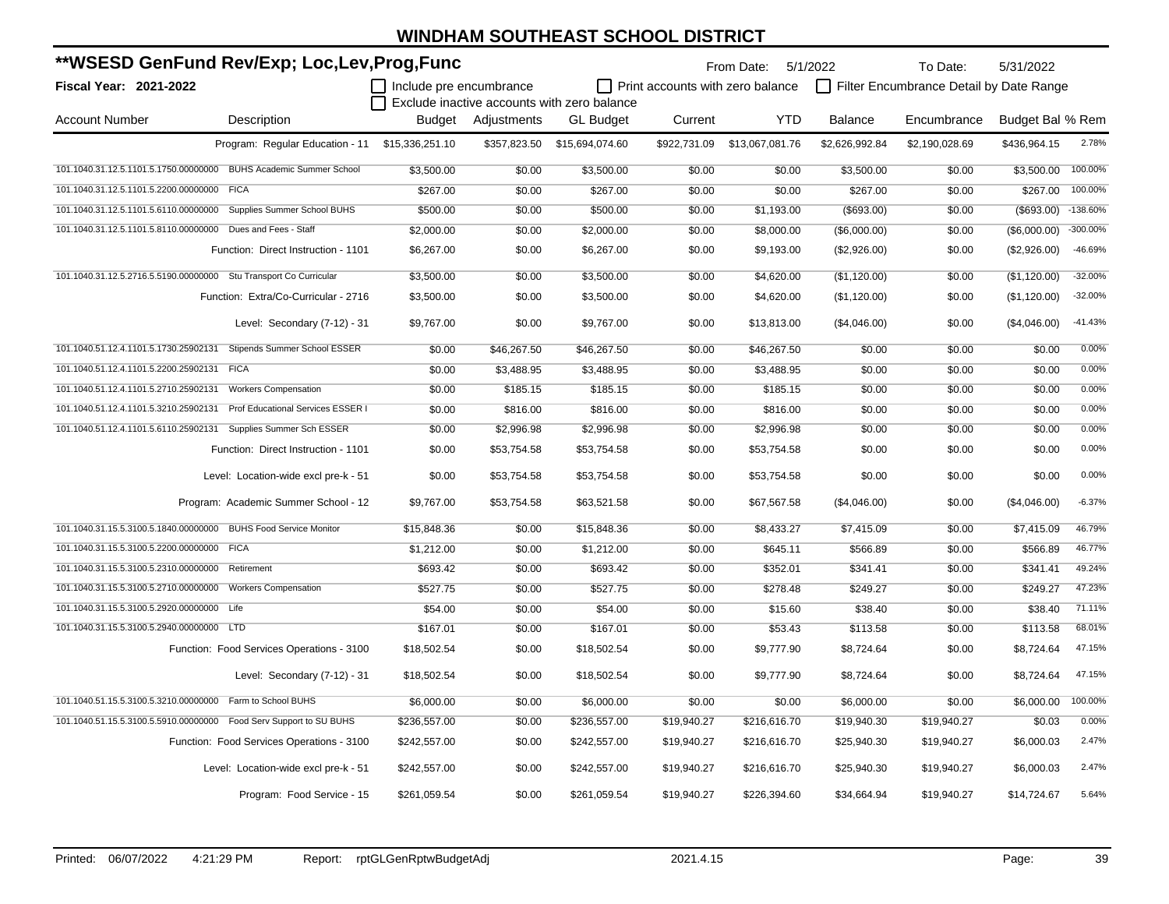| **WSESD GenFund Rev/Exp; Loc,Lev,Prog,Func                         |                                                                   |                         |              |                                             |                                         | From Date: 5/1/2022 |                | To Date:                                | 5/31/2022              |           |
|--------------------------------------------------------------------|-------------------------------------------------------------------|-------------------------|--------------|---------------------------------------------|-----------------------------------------|---------------------|----------------|-----------------------------------------|------------------------|-----------|
| <b>Fiscal Year: 2021-2022</b>                                      |                                                                   | Include pre encumbrance |              |                                             | $\Box$ Print accounts with zero balance |                     |                | Filter Encumbrance Detail by Date Range |                        |           |
|                                                                    |                                                                   |                         |              | Exclude inactive accounts with zero balance |                                         |                     |                |                                         |                        |           |
| <b>Account Number</b>                                              | Description                                                       | Budget                  | Adjustments  | <b>GL Budget</b>                            | Current                                 | <b>YTD</b>          | <b>Balance</b> | Encumbrance                             | Budget Bal % Rem       |           |
|                                                                    | Program: Regular Education - 11 \$15,336,251.10                   |                         | \$357,823.50 | \$15,694,074.60                             | \$922,731.09                            | \$13,067,081.76     | \$2,626,992.84 | \$2,190,028.69                          | \$436,964.15           | 2.78%     |
|                                                                    | 101.1040.31.12.5.1101.5.1750.00000000 BUHS Academic Summer School | \$3,500.00              | \$0.00       | \$3,500.00                                  | \$0.00                                  | \$0.00              | \$3,500.00     | \$0.00                                  | \$3,500.00             | 100.00%   |
| 101.1040.31.12.5.1101.5.2200.00000000 FICA                         |                                                                   | \$267.00                | \$0.00       | \$267.00                                    | \$0.00                                  | \$0.00              | \$267.00       | \$0.00                                  | \$267.00               | 100.00%   |
| 101.1040.31.12.5.1101.5.6110.00000000 Supplies Summer School BUHS  |                                                                   | \$500.00                | \$0.00       | \$500.00                                    | \$0.00                                  | \$1,193.00          | (\$693.00)     | \$0.00                                  | $($ \$693.00) -138.60% |           |
| 101.1040.31.12.5.1101.5.8110.00000000 Dues and Fees - Staff        |                                                                   | \$2,000.00              | \$0.00       | \$2,000.00                                  | \$0.00                                  | \$8,000.00          | (\$6,000.00)   | \$0.00                                  | (\$6,000.00)           | -300.00%  |
|                                                                    | Function: Direct Instruction - 1101                               | \$6,267.00              | \$0.00       | \$6,267.00                                  | \$0.00                                  | \$9,193.00          | (\$2,926.00)   | \$0.00                                  | (\$2,926.00)           | -46.69%   |
| 101.1040.31.12.5.2716.5.5190.00000000 Stu Transport Co Curricular  |                                                                   | \$3,500.00              | \$0.00       | \$3,500.00                                  | \$0.00                                  | \$4,620.00          | (\$1,120.00)   | \$0.00                                  | (\$1,120.00)           | $-32.00%$ |
|                                                                    | Function: Extra/Co-Curricular - 2716                              | \$3,500.00              | \$0.00       | \$3,500.00                                  | \$0.00                                  | \$4,620.00          | (\$1,120.00)   | \$0.00                                  | (\$1,120.00)           | $-32.00%$ |
|                                                                    | Level: Secondary (7-12) - 31                                      | \$9,767.00              | \$0.00       | \$9,767.00                                  | \$0.00                                  | \$13,813.00         | (\$4,046.00)   | \$0.00                                  | (\$4,046.00)           | $-41.43%$ |
| 101.1040.51.12.4.1101.5.1730.25902131                              | Stipends Summer School ESSER                                      | \$0.00                  | \$46,267.50  | \$46,267.50                                 | \$0.00                                  | \$46,267.50         | \$0.00         | \$0.00                                  | \$0.00                 | 0.00%     |
| 101.1040.51.12.4.1101.5.2200.25902131 FICA                         |                                                                   | \$0.00                  | \$3,488.95   | \$3,488.95                                  | \$0.00                                  | \$3,488.95          | \$0.00         | \$0.00                                  | \$0.00                 | 0.00%     |
| 101.1040.51.12.4.1101.5.2710.25902131                              | <b>Workers Compensation</b>                                       | \$0.00                  | \$185.15     | \$185.15                                    | \$0.00                                  | \$185.15            | \$0.00         | \$0.00                                  | \$0.00                 | 0.00%     |
| 101.1040.51.12.4.1101.5.3210.25902131                              | Prof Educational Services ESSER I                                 | \$0.00                  | \$816.00     | \$816.00                                    | \$0.00                                  | \$816.00            | \$0.00         | \$0.00                                  | \$0.00                 | 0.00%     |
| 101.1040.51.12.4.1101.5.6110.25902131                              | Supplies Summer Sch ESSER                                         | \$0.00                  | \$2,996.98   | \$2,996.98                                  | \$0.00                                  | \$2,996.98          | \$0.00         | \$0.00                                  | \$0.00                 | 0.00%     |
|                                                                    | Function: Direct Instruction - 1101                               | \$0.00                  | \$53,754.58  | \$53,754.58                                 | \$0.00                                  | \$53,754.58         | \$0.00         | \$0.00                                  | \$0.00                 | 0.00%     |
|                                                                    | Level: Location-wide excl pre-k - 51                              | \$0.00                  | \$53,754.58  | \$53,754.58                                 | \$0.00                                  | \$53,754.58         | \$0.00         | \$0.00                                  | \$0.00                 | 0.00%     |
|                                                                    | Program: Academic Summer School - 12                              | \$9,767.00              | \$53,754.58  | \$63,521.58                                 | \$0.00                                  | \$67,567.58         | (\$4,046.00)   | \$0.00                                  | (\$4,046.00)           | $-6.37%$  |
| 101.1040.31.15.5.3100.5.1840.00000000 BUHS Food Service Monitor    |                                                                   | \$15,848.36             | \$0.00       | \$15,848.36                                 | \$0.00                                  | \$8,433.27          | \$7,415.09     | \$0.00                                  | \$7,415.09             | 46.79%    |
| 101.1040.31.15.5.3100.5.2200.00000000 FICA                         |                                                                   | \$1,212.00              | \$0.00       | \$1,212.00                                  | \$0.00                                  | \$645.11            | \$566.89       | \$0.00                                  | \$566.89               | 46.77%    |
| 101.1040.31.15.5.3100.5.2310.00000000 Retirement                   |                                                                   | \$693.42                | \$0.00       | \$693.42                                    | \$0.00                                  | \$352.01            | \$341.41       | \$0.00                                  | \$341.41               | 49.24%    |
| 101.1040.31.15.5.3100.5.2710.00000000 Workers Compensation         |                                                                   | \$527.75                | \$0.00       | \$527.75                                    | \$0.00                                  | \$278.48            | \$249.27       | \$0.00                                  | \$249.27               | 47.23%    |
| 101.1040.31.15.5.3100.5.2920.00000000 Life                         |                                                                   | \$54.00                 | \$0.00       | \$54.00                                     | \$0.00                                  | \$15.60             | \$38.40        | \$0.00                                  | \$38.40                | 71.11%    |
| 101.1040.31.15.5.3100.5.2940.00000000 LTD                          |                                                                   | \$167.01                | \$0.00       | \$167.01                                    | \$0.00                                  | \$53.43             | \$113.58       | \$0.00                                  | \$113.58               | 68.01%    |
|                                                                    | Function: Food Services Operations - 3100                         | \$18,502.54             | \$0.00       | \$18,502.54                                 | \$0.00                                  | \$9,777.90          | \$8,724.64     | \$0.00                                  | \$8,724.64             | 47.15%    |
|                                                                    | Level: Secondary (7-12) - 31                                      | \$18,502.54             | \$0.00       | \$18,502.54                                 | \$0.00                                  | \$9,777.90          | \$8,724.64     | \$0.00                                  | \$8,724.64             | 47.15%    |
| 101.1040.51.15.5.3100.5.3210.00000000 Farm to School BUHS          |                                                                   | \$6,000.00              | \$0.00       | \$6,000.00                                  | \$0.00                                  | \$0.00              | \$6,000.00     | \$0.00                                  | \$6,000.00             | 100.00%   |
| 101.1040.51.15.5.3100.5.5910.00000000 Food Serv Support to SU BUHS |                                                                   | \$236,557.00            | \$0.00       | \$236,557.00                                | \$19,940.27                             | \$216,616.70        | \$19,940.30    | \$19,940.27                             | \$0.03                 | 0.00%     |
|                                                                    | Function: Food Services Operations - 3100                         | \$242,557.00            | \$0.00       | \$242,557.00                                | \$19,940.27                             | \$216,616.70        | \$25,940.30    | \$19,940.27                             | \$6,000.03             | 2.47%     |
|                                                                    | Level: Location-wide excl pre-k - 51                              | \$242,557.00            | \$0.00       | \$242,557.00                                | \$19,940.27                             | \$216,616.70        | \$25,940.30    | \$19,940.27                             | \$6,000.03             | 2.47%     |
|                                                                    | Program: Food Service - 15                                        | \$261,059.54            | \$0.00       | \$261,059.54                                | \$19,940.27                             | \$226,394.60        | \$34,664.94    | \$19,940.27                             | \$14,724.67            | 5.64%     |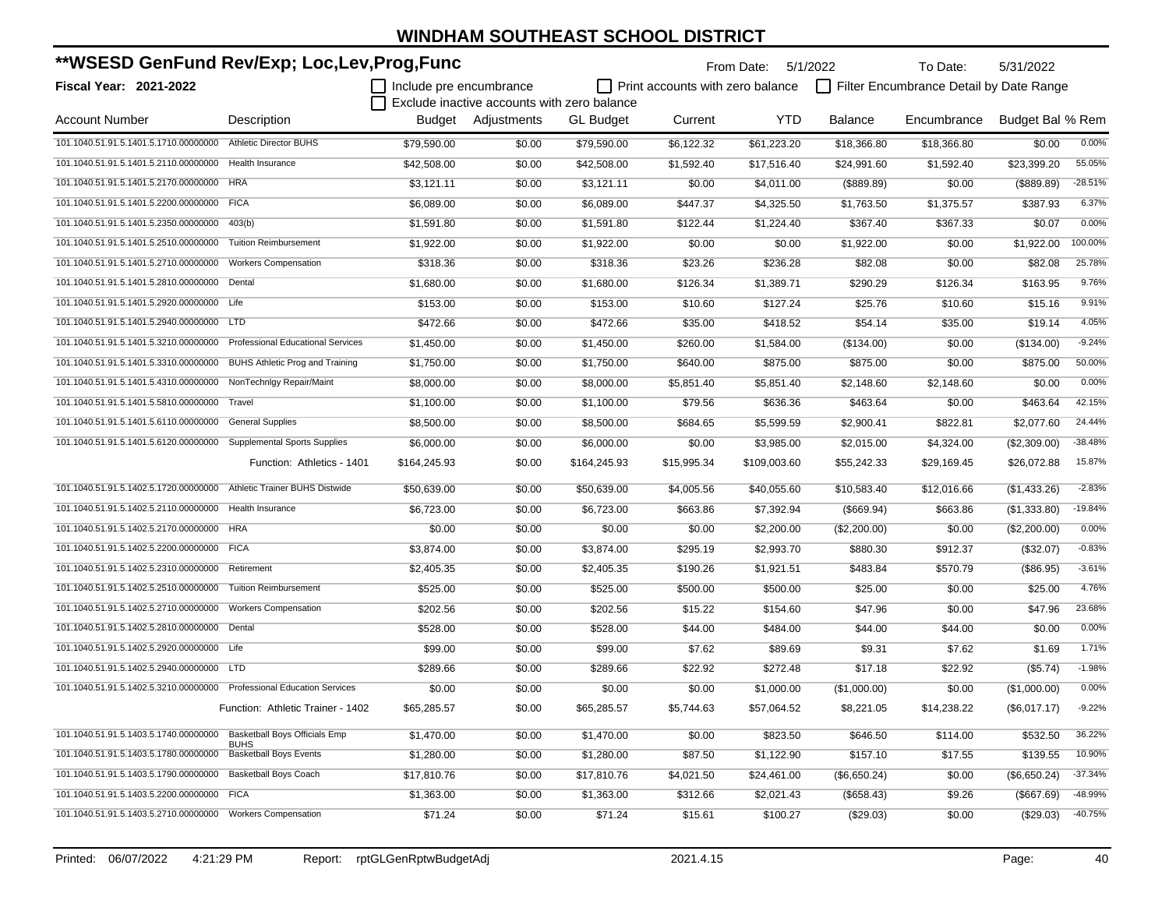| **WSESD GenFund Rev/Exp; Loc,Lev,Prog,Func                            |                                              |                           |                                             |                  |                                         | From Date:   | 5/1/2022       | To Date:                                | 5/31/2022        |           |
|-----------------------------------------------------------------------|----------------------------------------------|---------------------------|---------------------------------------------|------------------|-----------------------------------------|--------------|----------------|-----------------------------------------|------------------|-----------|
| Fiscal Year: 2021-2022                                                |                                              | I Include pre encumbrance |                                             |                  | $\Box$ Print accounts with zero balance |              |                | Filter Encumbrance Detail by Date Range |                  |           |
|                                                                       |                                              |                           | Exclude inactive accounts with zero balance |                  |                                         |              |                |                                         |                  |           |
| <b>Account Number</b>                                                 | Description                                  |                           | Budget Adjustments                          | <b>GL Budget</b> | Current                                 | YTD          | <b>Balance</b> | Encumbrance                             | Budget Bal % Rem |           |
| 101.1040.51.91.5.1401.5.1710.00000000                                 | <b>Athletic Director BUHS</b>                | \$79,590.00               | \$0.00                                      | \$79,590.00      | \$6,122.32                              | \$61,223.20  | \$18.366.80    | \$18,366.80                             | \$0.00           | 0.00%     |
| 101.1040.51.91.5.1401.5.2110.00000000                                 | Health Insurance                             | \$42,508.00               | \$0.00                                      | \$42,508.00      | \$1,592.40                              | \$17,516.40  | \$24,991.60    | \$1,592.40                              | \$23,399.20      | 55.05%    |
| 101.1040.51.91.5.1401.5.2170.00000000                                 | <b>HRA</b>                                   | \$3,121.11                | \$0.00                                      | \$3,121.11       | \$0.00                                  | \$4,011.00   | (\$889.89)     | \$0.00                                  | (\$889.89)       | $-28.51%$ |
| 101.1040.51.91.5.1401.5.2200.00000000                                 | <b>FICA</b>                                  | \$6,089.00                | \$0.00                                      | \$6,089.00       | \$447.37                                | \$4,325.50   | \$1.763.50     | \$1,375.57                              | \$387.93         | 6.37%     |
| 101.1040.51.91.5.1401.5.2350.00000000                                 | 403(b)                                       | \$1,591.80                | \$0.00                                      | \$1,591.80       | \$122.44                                | \$1.224.40   | \$367.40       | \$367.33                                | \$0.07           | 0.00%     |
| 101.1040.51.91.5.1401.5.2510.00000000                                 | <b>Tuition Reimbursement</b>                 | \$1,922.00                | \$0.00                                      | \$1,922.00       | \$0.00                                  | \$0.00       | \$1,922.00     | \$0.00                                  | \$1,922.00       | 100.00%   |
| 101.1040.51.91.5.1401.5.2710.00000000                                 | <b>Workers Compensation</b>                  | \$318.36                  | \$0.00                                      | \$318.36         | \$23.26                                 | \$236.28     | \$82.08        | \$0.00                                  | \$82.08          | 25.78%    |
| 101.1040.51.91.5.1401.5.2810.00000000                                 | Dental                                       | \$1,680.00                | \$0.00                                      | \$1,680.00       | \$126.34                                | \$1,389.71   | \$290.29       | \$126.34                                | \$163.95         | 9.76%     |
| 101.1040.51.91.5.1401.5.2920.00000000 Life                            |                                              | \$153.00                  | \$0.00                                      | \$153.00         | \$10.60                                 | \$127.24     | \$25.76        | \$10.60                                 | \$15.16          | 9.91%     |
| 101.1040.51.91.5.1401.5.2940.00000000                                 | <b>LTD</b>                                   | \$472.66                  | \$0.00                                      | \$472.66         | \$35.00                                 | \$418.52     | \$54.14        | \$35.00                                 | \$19.14          | 4.05%     |
| 101.1040.51.91.5.1401.5.3210.00000000                                 | <b>Professional Educational Services</b>     | \$1,450.00                | \$0.00                                      | \$1,450.00       | \$260.00                                | \$1,584.00   | (\$134.00)     | \$0.00                                  | (\$134.00)       | $-9.24%$  |
| 101.1040.51.91.5.1401.5.3310.00000000                                 | BUHS Athletic Prog and Training              | \$1,750.00                | \$0.00                                      | \$1,750.00       | \$640.00                                | \$875.00     | \$875.00       | \$0.00                                  | \$875.00         | 50.00%    |
| 101.1040.51.91.5.1401.5.4310.00000000                                 | NonTechnlgy Repair/Maint                     | \$8,000.00                | \$0.00                                      | \$8,000.00       | \$5,851.40                              | \$5.851.40   | \$2,148.60     | \$2.148.60                              | \$0.00           | 0.00%     |
| 101.1040.51.91.5.1401.5.5810.00000000                                 | Travel                                       | \$1,100.00                | \$0.00                                      | \$1,100.00       | \$79.56                                 | \$636.36     | \$463.64       | \$0.00                                  | \$463.64         | 42.15%    |
| 101.1040.51.91.5.1401.5.6110.00000000                                 | <b>General Supplies</b>                      | \$8,500.00                | \$0.00                                      | \$8,500.00       | \$684.65                                | \$5,599.59   | \$2,900.41     | \$822.81                                | \$2,077.60       | 24.44%    |
| 101.1040.51.91.5.1401.5.6120.00000000 Supplemental Sports Supplies    |                                              | \$6,000.00                | \$0.00                                      | \$6,000.00       | \$0.00                                  | \$3,985.00   | \$2,015.00     | \$4,324.00                              | (\$2,309.00)     | $-38.48%$ |
|                                                                       | Function: Athletics - 1401                   | \$164,245.93              | \$0.00                                      | \$164,245.93     | \$15,995.34                             | \$109,003.60 | \$55,242.33    | \$29,169.45                             | \$26,072.88      | 15.87%    |
| 101.1040.51.91.5.1402.5.1720.00000000                                 | Athletic Trainer BUHS Distwide               | \$50,639.00               | \$0.00                                      | \$50,639.00      | \$4,005.56                              | \$40,055.60  | \$10,583.40    | \$12,016.66                             | (\$1,433.26)     | $-2.83%$  |
| 101.1040.51.91.5.1402.5.2110.00000000                                 | Health Insurance                             | \$6,723.00                | \$0.00                                      | \$6,723.00       | \$663.86                                | \$7,392.94   | (\$669.94)     | \$663.86                                | (\$1,333.80)     | $-19.84%$ |
| 101.1040.51.91.5.1402.5.2170.00000000                                 | <b>HRA</b>                                   | \$0.00                    | \$0.00                                      | \$0.00           | \$0.00                                  | \$2,200.00   | (\$2,200.00)   | \$0.00                                  | (\$2,200.00)     | 0.00%     |
| 101.1040.51.91.5.1402.5.2200.00000000                                 | <b>FICA</b>                                  | \$3,874.00                | \$0.00                                      | \$3,874.00       | \$295.19                                | \$2,993.70   | \$880.30       | \$912.37                                | $(\$32.07)$      | $-0.83%$  |
| 101.1040.51.91.5.1402.5.2310.00000000                                 | Retirement                                   | \$2,405.35                | \$0.00                                      | \$2,405.35       | \$190.26                                | \$1,921.51   | \$483.84       | \$570.79                                | (\$86.95)        | $-3.61%$  |
| 101.1040.51.91.5.1402.5.2510.00000000                                 | <b>Tuition Reimbursement</b>                 | \$525.00                  | \$0.00                                      | \$525.00         | \$500.00                                | \$500.00     | \$25.00        | \$0.00                                  | \$25.00          | 4.76%     |
| 101.1040.51.91.5.1402.5.2710.00000000                                 | <b>Workers Compensation</b>                  | \$202.56                  | \$0.00                                      | \$202.56         | \$15.22                                 | \$154.60     | \$47.96        | \$0.00                                  | \$47.96          | 23.68%    |
| 101.1040.51.91.5.1402.5.2810.00000000                                 | Dental                                       | \$528.00                  | \$0.00                                      | \$528.00         | \$44.00                                 | \$484.00     | \$44.00        | \$44.00                                 | \$0.00           | 0.00%     |
| 101.1040.51.91.5.1402.5.2920.00000000 Life                            |                                              | \$99.00                   | \$0.00                                      | \$99.00          | \$7.62                                  | \$89.69      | \$9.31         | \$7.62                                  | \$1.69           | 1.71%     |
| 101.1040.51.91.5.1402.5.2940.00000000                                 | <b>LTD</b>                                   | \$289.66                  | \$0.00                                      | \$289.66         | \$22.92                                 | \$272.48     | \$17.18        | \$22.92                                 | (\$5.74)         | $-1.98%$  |
| 101.1040.51.91.5.1402.5.3210.00000000 Professional Education Services |                                              | \$0.00                    | \$0.00                                      | \$0.00           | \$0.00                                  | \$1,000.00   | (\$1,000.00)   | \$0.00                                  | (\$1,000.00)     | 0.00%     |
|                                                                       | Function: Athletic Trainer - 1402            | \$65,285.57               | \$0.00                                      | \$65,285.57      | \$5,744.63                              | \$57,064.52  | \$8,221.05     | \$14,238.22                             | (\$6,017.17)     | $-9.22%$  |
| 101.1040.51.91.5.1403.5.1740.00000000                                 | <b>Basketball Boys Officials Emp</b>         | \$1,470.00                | \$0.00                                      | \$1,470.00       | \$0.00                                  | \$823.50     | \$646.50       | \$114.00                                | \$532.50         | 36.22%    |
| 101.1040.51.91.5.1403.5.1780.00000000                                 | <b>BUHS</b><br><b>Basketball Boys Events</b> | \$1,280.00                | \$0.00                                      | \$1,280.00       | \$87.50                                 | \$1,122.90   | \$157.10       | \$17.55                                 | \$139.55         | 10.90%    |
| 101.1040.51.91.5.1403.5.1790.00000000                                 | <b>Basketball Boys Coach</b>                 | \$17,810.76               | \$0.00                                      | \$17,810.76      | \$4,021.50                              | \$24,461.00  | (\$6,650.24)   | \$0.00                                  | (\$6,650.24)     | $-37.34%$ |
| 101.1040.51.91.5.1403.5.2200.00000000 FICA                            |                                              | \$1,363.00                | \$0.00                                      | \$1,363.00       | \$312.66                                | \$2,021.43   | (\$658.43)     | \$9.26                                  | (\$667.69)       | -48.99%   |
| 101.1040.51.91.5.1403.5.2710.00000000                                 | <b>Workers Compensation</b>                  | \$71.24                   | \$0.00                                      | \$71.24          | \$15.61                                 | \$100.27     | (\$29.03)      | \$0.00                                  | (\$29.03)        | $-40.75%$ |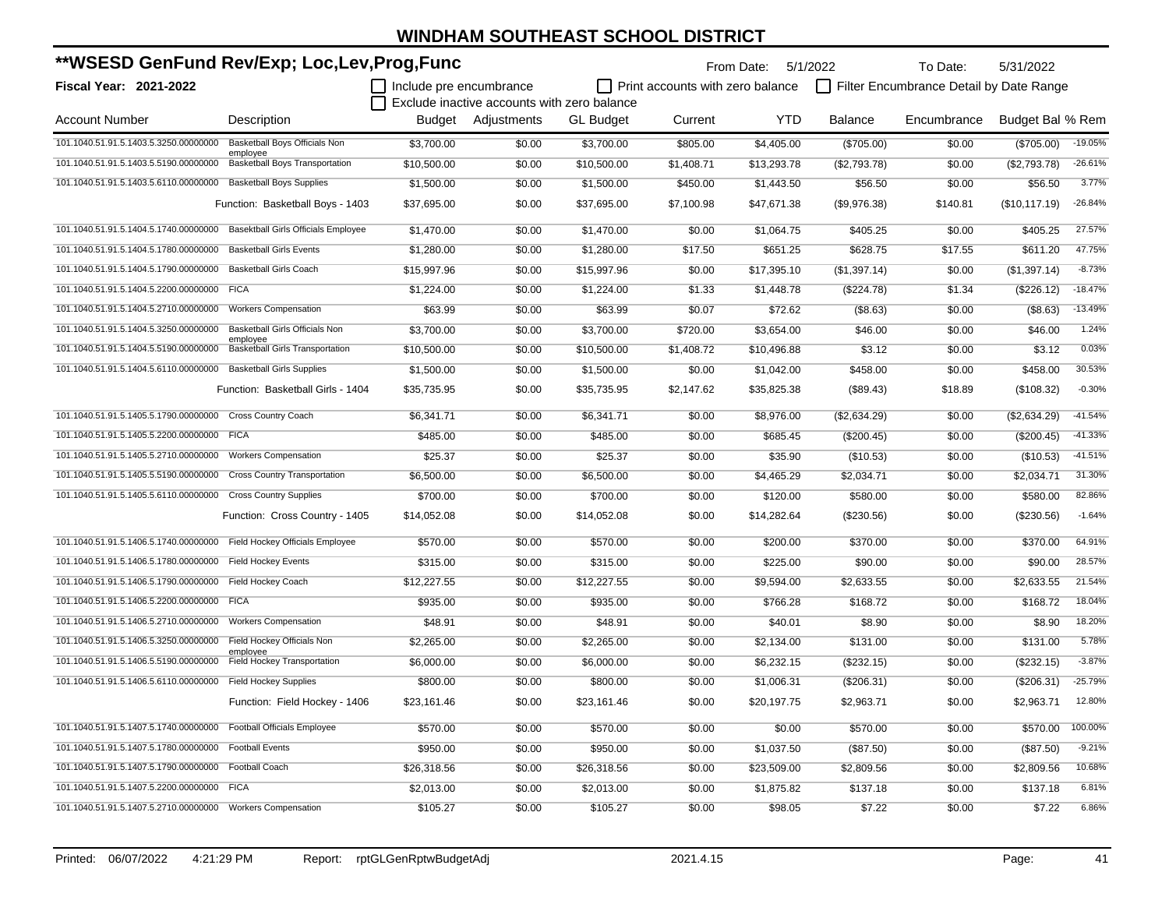|                                                            |                                                    | **WSESD GenFund Rev/Exp; Loc,Lev,Prog,Func<br>  Include pre encumbrance |                                             |                  | From Date: 5/1/2022              |             |                | To Date:<br>5/31/2022                   |                  |           |  |
|------------------------------------------------------------|----------------------------------------------------|-------------------------------------------------------------------------|---------------------------------------------|------------------|----------------------------------|-------------|----------------|-----------------------------------------|------------------|-----------|--|
| Fiscal Year: 2021-2022                                     |                                                    |                                                                         |                                             |                  | Print accounts with zero balance |             |                | Filter Encumbrance Detail by Date Range |                  |           |  |
|                                                            |                                                    |                                                                         | Exclude inactive accounts with zero balance |                  |                                  |             |                |                                         |                  |           |  |
| <b>Account Number</b>                                      | Description                                        | Budget                                                                  | Adjustments                                 | <b>GL Budget</b> | Current                          | <b>YTD</b>  | <b>Balance</b> | Encumbrance                             | Budget Bal % Rem |           |  |
| 101.1040.51.91.5.1403.5.3250.00000000                      | Basketball Boys Officials Non                      | \$3,700.00                                                              | \$0.00                                      | \$3,700.00       | \$805.00                         | \$4,405.00  | (\$705.00)     | \$0.00                                  | (\$705.00)       | $-19.05%$ |  |
| 101.1040.51.91.5.1403.5.5190.00000000                      | employee<br><b>Basketball Boys Transportation</b>  | \$10,500.00                                                             | \$0.00                                      | \$10,500.00      | \$1,408.71                       | \$13,293.78 | (\$2,793.78)   | \$0.00                                  | (\$2,793.78)     | $-26.61%$ |  |
| 101.1040.51.91.5.1403.5.6110.00000000                      | <b>Basketball Boys Supplies</b>                    | \$1,500.00                                                              | \$0.00                                      | \$1,500.00       | \$450.00                         | \$1,443.50  | \$56.50        | \$0.00                                  | \$56.50          | 3.77%     |  |
|                                                            | Function: Basketball Boys - 1403                   | \$37,695.00                                                             | \$0.00                                      | \$37,695.00      | \$7,100.98                       | \$47,671.38 | (\$9,976.38)   | \$140.81                                | (\$10,117.19)    | $-26.84%$ |  |
| 101.1040.51.91.5.1404.5.1740.00000000                      | <b>Basektball Girls Officials Employee</b>         | \$1,470.00                                                              | \$0.00                                      | \$1,470.00       | \$0.00                           | \$1,064.75  | \$405.25       | \$0.00                                  | \$405.25         | 27.57%    |  |
| 101.1040.51.91.5.1404.5.1780.00000000                      | <b>Basketball Girls Events</b>                     | \$1,280.00                                                              | \$0.00                                      | \$1,280.00       | \$17.50                          | \$651.25    | \$628.75       | \$17.55                                 | \$611.20         | 47.75%    |  |
| 101.1040.51.91.5.1404.5.1790.00000000                      | <b>Basketball Girls Coach</b>                      | \$15.997.96                                                             | \$0.00                                      | \$15,997.96      | \$0.00                           | \$17,395.10 | (\$1,397.14)   | \$0.00                                  | (\$1,397.14)     | $-8.73%$  |  |
| 101.1040.51.91.5.1404.5.2200.00000000                      | <b>FICA</b>                                        | \$1,224.00                                                              | \$0.00                                      | \$1,224.00       | \$1.33                           | \$1,448.78  | (\$224.78)     | \$1.34                                  | (\$226.12)       | $-18.47%$ |  |
| 101.1040.51.91.5.1404.5.2710.00000000                      | <b>Workers Compensation</b>                        | \$63.99                                                                 | \$0.00                                      | \$63.99          | \$0.07                           | \$72.62     | (\$8.63)       | \$0.00                                  | (\$8.63)         | $-13.49%$ |  |
| 101.1040.51.91.5.1404.5.3250.00000000                      | <b>Basketball Girls Officials Non</b>              | \$3,700.00                                                              | \$0.00                                      | \$3,700.00       | \$720.00                         | \$3,654.00  | \$46.00        | \$0.00                                  | \$46.00          | 1.24%     |  |
| 101.1040.51.91.5.1404.5.5190.00000000                      | employee<br><b>Basketball Girls Transportation</b> | \$10,500.00                                                             | \$0.00                                      | \$10,500.00      | \$1,408.72                       | \$10,496.88 | \$3.12         | \$0.00                                  | \$3.12           | 0.03%     |  |
| 101.1040.51.91.5.1404.5.6110.00000000                      | <b>Basketball Girls Supplies</b>                   | \$1,500.00                                                              | \$0.00                                      | \$1,500.00       | \$0.00                           | \$1,042.00  | \$458.00       | \$0.00                                  | \$458.00         | 30.53%    |  |
|                                                            | Function: Basketball Girls - 1404                  | \$35,735.95                                                             | \$0.00                                      | \$35,735.95      | \$2,147.62                       | \$35,825.38 | (\$89.43)      | \$18.89                                 | (\$108.32)       | $-0.30%$  |  |
| 101.1040.51.91.5.1405.5.1790.00000000 Cross Country Coach  |                                                    | \$6,341.71                                                              | \$0.00                                      | \$6,341.71       | \$0.00                           | \$8,976.00  | (\$2,634.29)   | \$0.00                                  | (\$2,634.29)     | $-41.54%$ |  |
| 101.1040.51.91.5.1405.5.2200.00000000 FICA                 |                                                    | \$485.00                                                                | \$0.00                                      | \$485.00         | \$0.00                           | \$685.45    | (\$200.45)     | \$0.00                                  | (\$200.45)       | $-41.33%$ |  |
| 101.1040.51.91.5.1405.5.2710.00000000                      | <b>Workers Compensation</b>                        | \$25.37                                                                 | \$0.00                                      | \$25.37          | \$0.00                           | \$35.90     | (\$10.53)      | \$0.00                                  | (\$10.53)        | $-41.51%$ |  |
| 101.1040.51.91.5.1405.5.5190.00000000                      | <b>Cross Country Transportation</b>                | \$6,500.00                                                              | \$0.00                                      | \$6,500.00       | \$0.00                           | \$4,465.29  | \$2,034.71     | \$0.00                                  | \$2,034.71       | 31.30%    |  |
| 101.1040.51.91.5.1405.5.6110.00000000                      | <b>Cross Country Supplies</b>                      | \$700.00                                                                | \$0.00                                      | \$700.00         | \$0.00                           | \$120.00    | \$580.00       | \$0.00                                  | \$580.00         | 82.86%    |  |
|                                                            | Function: Cross Country - 1405                     | \$14,052.08                                                             | \$0.00                                      | \$14,052.08      | \$0.00                           | \$14,282.64 | (\$230.56)     | \$0.00                                  | (\$230.56)       | $-1.64%$  |  |
| 101.1040.51.91.5.1406.5.1740.00000000                      | Field Hockey Officials Employee                    | \$570.00                                                                | \$0.00                                      | \$570.00         | \$0.00                           | \$200.00    | \$370.00       | \$0.00                                  | \$370.00         | 64.91%    |  |
| 101.1040.51.91.5.1406.5.1780.00000000                      | <b>Field Hockey Events</b>                         | \$315.00                                                                | \$0.00                                      | \$315.00         | \$0.00                           | \$225.00    | \$90.00        | \$0.00                                  | \$90.00          | 28.57%    |  |
| 101.1040.51.91.5.1406.5.1790.00000000                      | Field Hockey Coach                                 | \$12,227.55                                                             | \$0.00                                      | \$12,227.55      | \$0.00                           | \$9,594.00  | \$2,633.55     | \$0.00                                  | \$2,633.55       | 21.54%    |  |
| 101.1040.51.91.5.1406.5.2200.00000000                      | <b>FICA</b>                                        | \$935.00                                                                | \$0.00                                      | \$935.00         | \$0.00                           | \$766.28    | \$168.72       | \$0.00                                  | \$168.72         | 18.04%    |  |
| 101.1040.51.91.5.1406.5.2710.00000000                      | <b>Workers Compensation</b>                        | \$48.91                                                                 | \$0.00                                      | \$48.91          | \$0.00                           | \$40.01     | \$8.90         | \$0.00                                  | \$8.90           | 18.20%    |  |
| 101.1040.51.91.5.1406.5.3250.00000000                      | Field Hockey Officials Non                         | \$2,265.00                                                              | \$0.00                                      | \$2.265.00       | \$0.00                           | \$2,134.00  | \$131.00       | \$0.00                                  | \$131.00         | 5.78%     |  |
| 101.1040.51.91.5.1406.5.5190.00000000                      | employee<br>Field Hockey Transportation            | \$6,000.00                                                              | \$0.00                                      | \$6,000.00       | \$0.00                           | \$6.232.15  | (\$232.15)     | \$0.00                                  | (\$232.15)       | $-3.87%$  |  |
| 101.1040.51.91.5.1406.5.6110.00000000                      | <b>Field Hockey Supplies</b>                       | \$800.00                                                                | \$0.00                                      | \$800.00         | \$0.00                           | \$1,006.31  | (\$206.31)     | \$0.00                                  | (\$206.31)       | $-25.79%$ |  |
|                                                            | Function: Field Hockey - 1406                      | \$23,161.46                                                             | \$0.00                                      | \$23,161.46      | \$0.00                           | \$20,197.75 | \$2,963.71     | \$0.00                                  | \$2,963.71       | 12.80%    |  |
| 101.1040.51.91.5.1407.5.1740.00000000                      | <b>Football Officials Employee</b>                 | \$570.00                                                                | \$0.00                                      | \$570.00         | \$0.00                           | \$0.00      | \$570.00       | \$0.00                                  | \$570.00         | 100.00%   |  |
| 101.1040.51.91.5.1407.5.1780.00000000                      | <b>Football Events</b>                             | \$950.00                                                                | \$0.00                                      | \$950.00         | \$0.00                           | \$1,037.50  | (\$87.50)      | \$0.00                                  | (\$87.50)        | $-9.21%$  |  |
| 101.1040.51.91.5.1407.5.1790.00000000                      | <b>Football Coach</b>                              | \$26,318.56                                                             | \$0.00                                      | \$26,318.56      | \$0.00                           | \$23,509.00 | \$2,809.56     | \$0.00                                  | \$2,809.56       | 10.68%    |  |
| 101.1040.51.91.5.1407.5.2200.00000000                      | <b>FICA</b>                                        | \$2,013.00                                                              | \$0.00                                      | \$2,013.00       | \$0.00                           | \$1,875.82  | \$137.18       | \$0.00                                  | \$137.18         | 6.81%     |  |
| 101.1040.51.91.5.1407.5.2710.00000000 Workers Compensation |                                                    | \$105.27                                                                | \$0.00                                      | \$105.27         | \$0.00                           | \$98.05     | \$7.22         | \$0.00                                  | \$7.22           | 6.86%     |  |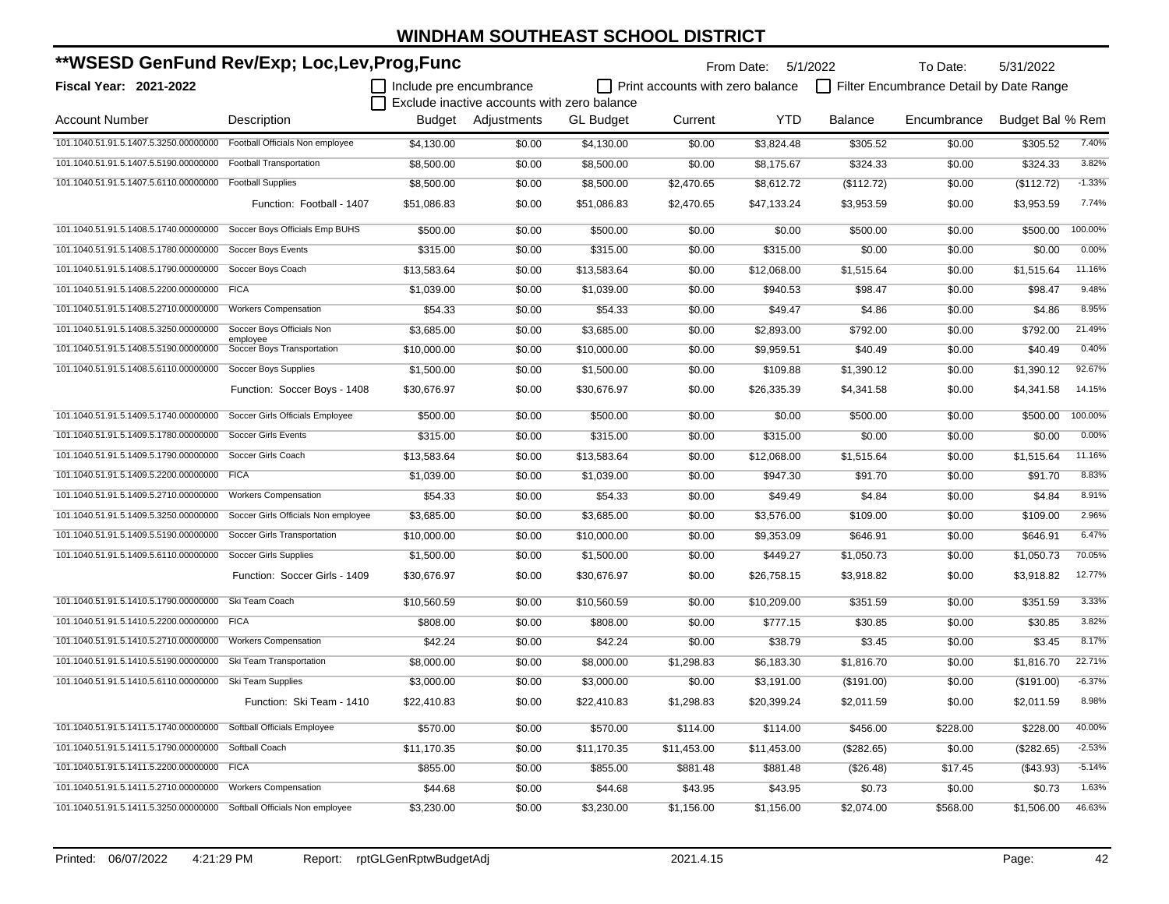| **WSESD GenFund Rev/Exp; Loc,Lev,Prog,Func                            |                                        |                         |                                                                   |                  |                                  | From Date: 5/1/2022 |                | To Date:                                | 5/31/2022        |          |
|-----------------------------------------------------------------------|----------------------------------------|-------------------------|-------------------------------------------------------------------|------------------|----------------------------------|---------------------|----------------|-----------------------------------------|------------------|----------|
| <b>Fiscal Year: 2021-2022</b>                                         |                                        | Include pre encumbrance |                                                                   |                  | Print accounts with zero balance |                     |                | Filter Encumbrance Detail by Date Range |                  |          |
| <b>Account Number</b>                                                 | Description                            |                         | Exclude inactive accounts with zero balance<br>Budget Adiustments | <b>GL Budget</b> | Current                          | <b>YTD</b>          | <b>Balance</b> | Encumbrance                             | Budget Bal % Rem |          |
| 101.1040.51.91.5.1407.5.3250.00000000 Football Officials Non employee |                                        | \$4,130.00              | \$0.00                                                            | \$4,130.00       | \$0.00                           | \$3,824.48          | \$305.52       | \$0.00                                  | \$305.52         | 7.40%    |
| 101.1040.51.91.5.1407.5.5190.00000000                                 | <b>Football Transportation</b>         | \$8,500.00              | \$0.00                                                            | \$8,500.00       | \$0.00                           | \$8,175.67          | \$324.33       | \$0.00                                  | \$324.33         | 3.82%    |
| 101.1040.51.91.5.1407.5.6110.00000000                                 | <b>Football Supplies</b>               | \$8,500.00              | \$0.00                                                            | \$8,500.00       | \$2,470.65                       | \$8,612.72          | (\$112.72)     | \$0.00                                  | (\$112.72)       | $-1.33%$ |
|                                                                       | Function: Football - 1407              | \$51,086.83             | \$0.00                                                            | \$51,086.83      | \$2,470.65                       | \$47,133.24         | \$3,953.59     | \$0.00                                  | \$3,953.59       | 7.74%    |
| 101.1040.51.91.5.1408.5.1740.00000000                                 | Soccer Boys Officials Emp BUHS         | \$500.00                | \$0.00                                                            | \$500.00         | \$0.00                           | \$0.00              | \$500.00       | \$0.00                                  | \$500.00         | 100.00%  |
| 101.1040.51.91.5.1408.5.1780.00000000                                 | Soccer Boys Events                     | \$315.00                | \$0.00                                                            | \$315.00         | \$0.00                           | \$315.00            | \$0.00         | \$0.00                                  | \$0.00           | 0.00%    |
| 101.1040.51.91.5.1408.5.1790.00000000                                 | Soccer Boys Coach                      | \$13,583.64             | \$0.00                                                            | \$13,583.64      | \$0.00                           | \$12,068.00         | \$1,515.64     | \$0.00                                  | \$1,515.64       | 11.16%   |
| 101.1040.51.91.5.1408.5.2200.00000000                                 | <b>FICA</b>                            | \$1,039.00              | \$0.00                                                            | \$1,039.00       | \$0.00                           | \$940.53            | \$98.47        | \$0.00                                  | \$98.47          | 9.48%    |
| 101.1040.51.91.5.1408.5.2710.00000000                                 | <b>Workers Compensation</b>            | \$54.33                 | \$0.00                                                            | \$54.33          | \$0.00                           | \$49.47             | \$4.86         | \$0.00                                  | \$4.86           | 8.95%    |
| 101.1040.51.91.5.1408.5.3250.00000000                                 | Soccer Boys Officials Non              | \$3,685.00              | \$0.00                                                            | \$3,685.00       | \$0.00                           | \$2,893.00          | \$792.00       | \$0.00                                  | \$792.00         | 21.49%   |
| 101.1040.51.91.5.1408.5.5190.00000000                                 | employee<br>Soccer Boys Transportation | \$10,000.00             | \$0.00                                                            | \$10,000.00      | \$0.00                           | \$9,959.51          | \$40.49        | \$0.00                                  | \$40.49          | 0.40%    |
| 101.1040.51.91.5.1408.5.6110.00000000                                 | <b>Soccer Boys Supplies</b>            | \$1,500.00              | \$0.00                                                            | \$1,500.00       | \$0.00                           | \$109.88            | \$1,390.12     | \$0.00                                  | \$1,390.12       | 92.67%   |
|                                                                       | Function: Soccer Boys - 1408           | \$30,676.97             | \$0.00                                                            | \$30,676.97      | \$0.00                           | \$26,335.39         | \$4,341.58     | \$0.00                                  | \$4,341.58       | 14.15%   |
| 101.1040.51.91.5.1409.5.1740.00000000                                 | Soccer Girls Officials Employee        | \$500.00                | \$0.00                                                            | \$500.00         | \$0.00                           | \$0.00              | \$500.00       | \$0.00                                  | \$500.00         | 100.00%  |
| 101.1040.51.91.5.1409.5.1780.00000000                                 | <b>Soccer Girls Events</b>             | \$315.00                | \$0.00                                                            | \$315.00         | \$0.00                           | \$315.00            | \$0.00         | \$0.00                                  | \$0.00           | 0.00%    |
| 101.1040.51.91.5.1409.5.1790.00000000                                 | Soccer Girls Coach                     | \$13,583.64             | \$0.00                                                            | \$13,583.64      | \$0.00                           | \$12,068.00         | \$1,515.64     | \$0.00                                  | \$1,515.64       | 11.16%   |
| 101.1040.51.91.5.1409.5.2200.00000000 FICA                            |                                        | \$1,039.00              | \$0.00                                                            | \$1,039.00       | \$0.00                           | \$947.30            | \$91.70        | \$0.00                                  | \$91.70          | 8.83%    |
| 101.1040.51.91.5.1409.5.2710.00000000                                 | <b>Workers Compensation</b>            | \$54.33                 | \$0.00                                                            | \$54.33          | \$0.00                           | \$49.49             | \$4.84         | \$0.00                                  | \$4.84           | 8.91%    |
| 101.1040.51.91.5.1409.5.3250.00000000                                 | Soccer Girls Officials Non employee    | \$3,685.00              | \$0.00                                                            | \$3,685.00       | \$0.00                           | \$3,576.00          | \$109.00       | \$0.00                                  | \$109.00         | 2.96%    |
| 101.1040.51.91.5.1409.5.5190.00000000                                 | Soccer Girls Transportation            | \$10,000.00             | \$0.00                                                            | \$10,000.00      | \$0.00                           | \$9,353.09          | \$646.91       | \$0.00                                  | \$646.91         | 6.47%    |
| 101.1040.51.91.5.1409.5.6110.00000000                                 | Soccer Girls Supplies                  | \$1,500.00              | \$0.00                                                            | \$1,500.00       | \$0.00                           | \$449.27            | \$1,050.73     | \$0.00                                  | \$1,050.73       | 70.05%   |
|                                                                       | Function: Soccer Girls - 1409          | \$30,676.97             | \$0.00                                                            | \$30,676.97      | \$0.00                           | \$26,758.15         | \$3,918.82     | \$0.00                                  | \$3,918.82       | 12.77%   |
| 101.1040.51.91.5.1410.5.1790.00000000                                 | Ski Team Coach                         | \$10,560.59             | \$0.00                                                            | \$10,560.59      | \$0.00                           | \$10,209.00         | \$351.59       | \$0.00                                  | \$351.59         | 3.33%    |
| 101.1040.51.91.5.1410.5.2200.00000000                                 | <b>FICA</b>                            | \$808.00                | \$0.00                                                            | \$808.00         | \$0.00                           | \$777.15            | \$30.85        | \$0.00                                  | \$30.85          | 3.82%    |
| 101.1040.51.91.5.1410.5.2710.00000000                                 | <b>Workers Compensation</b>            | \$42.24                 | \$0.00                                                            | \$42.24          | \$0.00                           | \$38.79             | \$3.45         | \$0.00                                  | \$3.45           | 8.17%    |
| 101.1040.51.91.5.1410.5.5190.00000000                                 | Ski Team Transportation                | \$8,000.00              | \$0.00                                                            | \$8,000.00       | \$1,298.83                       | \$6,183.30          | \$1,816.70     | \$0.00                                  | \$1,816.70       | 22.71%   |
| 101.1040.51.91.5.1410.5.6110.00000000 Ski Team Supplies               |                                        | \$3,000.00              | \$0.00                                                            | \$3,000.00       | \$0.00                           | \$3,191.00          | (\$191.00)     | \$0.00                                  | (\$191.00)       | $-6.37%$ |
|                                                                       | Function: Ski Team - 1410              | \$22,410.83             | \$0.00                                                            | \$22,410.83      | \$1,298.83                       | \$20,399.24         | \$2,011.59     | \$0.00                                  | \$2,011.59       | 8.98%    |
| 101.1040.51.91.5.1411.5.1740.00000000 Softball Officials Employee     |                                        | \$570.00                | \$0.00                                                            | \$570.00         | \$114.00                         | \$114.00            | \$456.00       | \$228.00                                | \$228.00         | 40.00%   |
| 101.1040.51.91.5.1411.5.1790.00000000                                 | Softball Coach                         | \$11,170.35             | \$0.00                                                            | \$11,170.35      | \$11,453.00                      | \$11,453.00         | (\$282.65)     | \$0.00                                  | (\$282.65)       | $-2.53%$ |
| 101.1040.51.91.5.1411.5.2200.00000000                                 | <b>FICA</b>                            | \$855.00                | \$0.00                                                            | \$855.00         | \$881.48                         | \$881.48            | (\$26.48)      | \$17.45                                 | (\$43.93)        | $-5.14%$ |
| 101.1040.51.91.5.1411.5.2710.00000000                                 | <b>Workers Compensation</b>            | \$44.68                 | \$0.00                                                            | \$44.68          | \$43.95                          | \$43.95             | \$0.73         | \$0.00                                  | \$0.73           | 1.63%    |
| 101.1040.51.91.5.1411.5.3250.00000000 Softball Officials Non employee |                                        | \$3,230.00              | \$0.00                                                            | \$3,230.00       | \$1,156.00                       | \$1,156.00          | \$2,074.00     | \$568.00                                | \$1,506.00       | 46.63%   |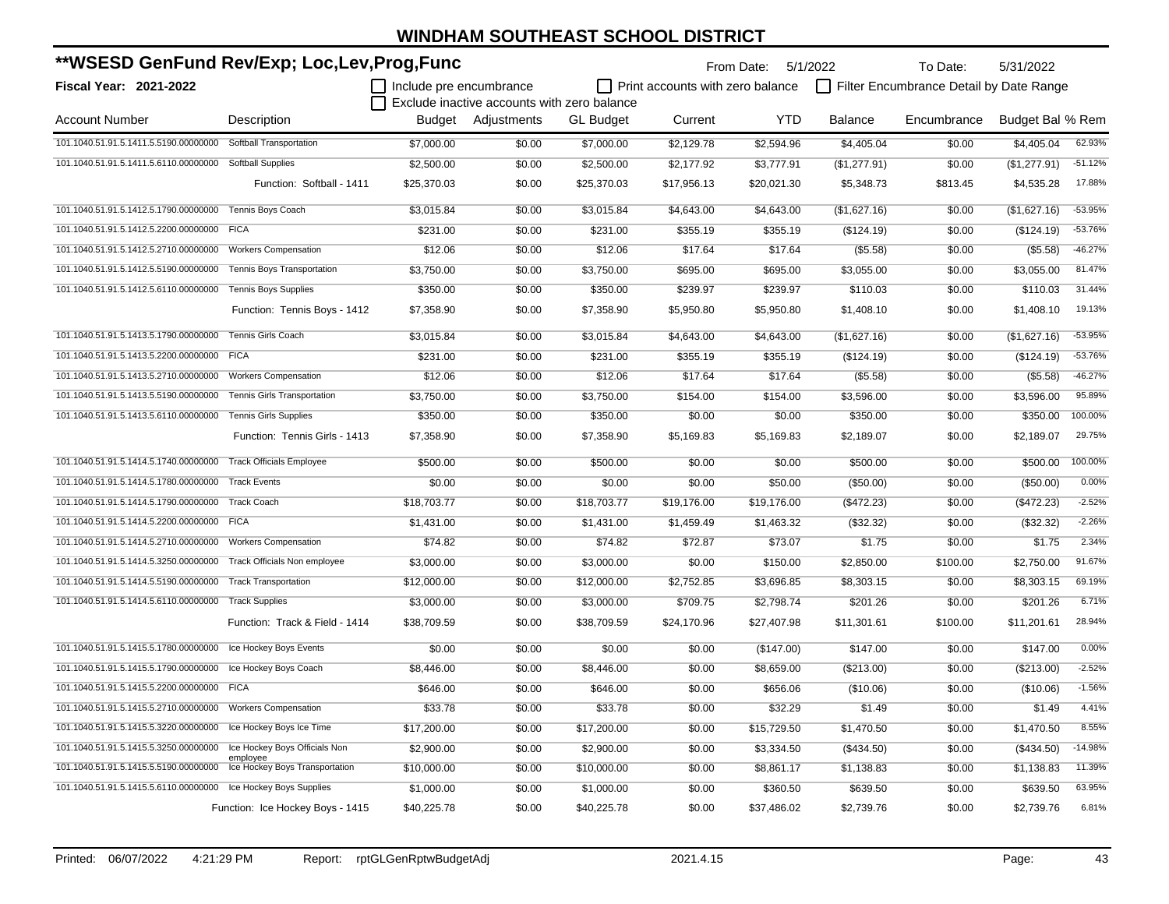| **WSESD GenFund Rev/Exp; Loc,Lev,Prog,Func                     |                                            |                         |                                             |                  |                                  | From Date: 5/1/2022 |                | To Date:                                | 5/31/2022        |           |
|----------------------------------------------------------------|--------------------------------------------|-------------------------|---------------------------------------------|------------------|----------------------------------|---------------------|----------------|-----------------------------------------|------------------|-----------|
| Fiscal Year: 2021-2022                                         |                                            | Include pre encumbrance | Exclude inactive accounts with zero balance |                  | Print accounts with zero balance |                     |                | Filter Encumbrance Detail by Date Range |                  |           |
| <b>Account Number</b>                                          | Description                                |                         | Budget Adjustments                          | <b>GL Budget</b> | Current                          | <b>YTD</b>          | <b>Balance</b> | Encumbrance                             | Budget Bal % Rem |           |
| 101.1040.51.91.5.1411.5.5190.00000000                          | Softball Transportation                    | \$7,000.00              | \$0.00                                      | \$7,000.00       | \$2,129.78                       | \$2,594.96          | \$4,405.04     | \$0.00                                  | \$4,405.04       | 62.93%    |
| 101.1040.51.91.5.1411.5.6110.00000000                          | <b>Softball Supplies</b>                   | \$2,500.00              | \$0.00                                      | \$2,500.00       | \$2,177.92                       | \$3,777.91          | (\$1,277.91)   | \$0.00                                  | (\$1,277.91)     | $-51.12%$ |
|                                                                | Function: Softball - 1411                  | \$25,370.03             | \$0.00                                      | \$25,370.03      | \$17,956.13                      | \$20,021.30         | \$5,348.73     | \$813.45                                | \$4,535.28       | 17.88%    |
| 101.1040.51.91.5.1412.5.1790.00000000                          | Tennis Boys Coach                          | \$3,015.84              | \$0.00                                      | \$3,015.84       | \$4,643.00                       | \$4,643.00          | (\$1,627.16)   | \$0.00                                  | (\$1,627.16)     | $-53.95%$ |
| 101.1040.51.91.5.1412.5.2200.00000000 FICA                     |                                            | \$231.00                | \$0.00                                      | \$231.00         | \$355.19                         | \$355.19            | (\$124.19)     | \$0.00                                  | (\$124.19)       | -53.76%   |
| 101.1040.51.91.5.1412.5.2710.00000000                          | <b>Workers Compensation</b>                | \$12.06                 | \$0.00                                      | \$12.06          | \$17.64                          | \$17.64             | (\$5.58)       | \$0.00                                  | (\$5.58)         | $-46.27%$ |
| 101.1040.51.91.5.1412.5.5190.00000000                          | Tennis Boys Transportation                 | \$3,750.00              | \$0.00                                      | \$3,750.00       | \$695.00                         | \$695.00            | \$3,055.00     | \$0.00                                  | \$3,055.00       | 81.47%    |
| 101.1040.51.91.5.1412.5.6110.00000000                          | <b>Tennis Boys Supplies</b>                | \$350.00                | \$0.00                                      | \$350.00         | \$239.97                         | \$239.97            | \$110.03       | \$0.00                                  | \$110.03         | 31.44%    |
|                                                                | Function: Tennis Boys - 1412               | \$7,358.90              | \$0.00                                      | \$7,358.90       | \$5,950.80                       | \$5,950.80          | \$1,408.10     | \$0.00                                  | \$1,408.10       | 19.13%    |
| 101.1040.51.91.5.1413.5.1790.00000000                          | Tennis Girls Coach                         | \$3,015.84              | \$0.00                                      | \$3,015.84       | \$4,643.00                       | \$4,643.00          | (\$1,627.16)   | \$0.00                                  | (\$1,627.16)     | $-53.95%$ |
| 101.1040.51.91.5.1413.5.2200.00000000 FICA                     |                                            | \$231.00                | \$0.00                                      | \$231.00         | \$355.19                         | \$355.19            | (\$124.19)     | \$0.00                                  | (\$124.19)       | $-53.76%$ |
| 101.1040.51.91.5.1413.5.2710.00000000                          | <b>Workers Compensation</b>                | \$12.06                 | \$0.00                                      | \$12.06          | \$17.64                          | \$17.64             | (\$5.58)       | \$0.00                                  | (\$5.58)         | $-46.27%$ |
| 101.1040.51.91.5.1413.5.5190.00000000                          | <b>Tennis Girls Transportation</b>         | \$3,750.00              | \$0.00                                      | \$3,750.00       | \$154.00                         | \$154.00            | \$3,596.00     | \$0.00                                  | \$3,596.00       | 95.89%    |
| 101.1040.51.91.5.1413.5.6110.00000000                          | <b>Tennis Girls Supplies</b>               | \$350.00                | \$0.00                                      | \$350.00         | \$0.00                           | \$0.00              | \$350.00       | \$0.00                                  | \$350.00         | 100.00%   |
|                                                                | Function: Tennis Girls - 1413              | \$7,358.90              | \$0.00                                      | \$7,358.90       | \$5,169.83                       | \$5,169.83          | \$2,189.07     | \$0.00                                  | \$2,189.07       | 29.75%    |
| 101.1040.51.91.5.1414.5.1740.00000000                          | <b>Track Officials Employee</b>            | \$500.00                | \$0.00                                      | \$500.00         | \$0.00                           | \$0.00              | \$500.00       | \$0.00                                  | \$500.00         | 100.00%   |
| 101.1040.51.91.5.1414.5.1780.00000000                          | <b>Track Events</b>                        | \$0.00                  | \$0.00                                      | \$0.00           | \$0.00                           | \$50.00             | (\$50.00)      | \$0.00                                  | (\$50.00)        | 0.00%     |
| 101.1040.51.91.5.1414.5.1790.00000000                          | <b>Track Coach</b>                         | \$18,703.77             | \$0.00                                      | \$18,703.77      | \$19,176.00                      | \$19,176.00         | (\$472.23)     | \$0.00                                  | (\$472.23)       | $-2.52%$  |
| 101.1040.51.91.5.1414.5.2200.00000000                          | <b>FICA</b>                                | \$1,431.00              | \$0.00                                      | \$1,431.00       | \$1,459.49                       | \$1,463.32          | (\$32.32)      | \$0.00                                  | (\$32.32)        | $-2.26%$  |
| 101.1040.51.91.5.1414.5.2710.00000000                          | <b>Workers Compensation</b>                | \$74.82                 | \$0.00                                      | \$74.82          | \$72.87                          | \$73.07             | \$1.75         | \$0.00                                  | \$1.75           | 2.34%     |
| 101.1040.51.91.5.1414.5.3250.00000000                          | Track Officials Non employee               | \$3,000.00              | \$0.00                                      | \$3,000.00       | \$0.00                           | \$150.00            | \$2,850.00     | \$100.00                                | \$2,750.00       | 91.67%    |
| 101.1040.51.91.5.1414.5.5190.00000000                          | <b>Track Transportation</b>                | \$12,000.00             | \$0.00                                      | \$12,000.00      | \$2,752.85                       | \$3,696.85          | \$8,303.15     | \$0.00                                  | \$8,303.15       | 69.19%    |
| 101.1040.51.91.5.1414.5.6110.00000000                          | <b>Track Supplies</b>                      | \$3,000.00              | \$0.00                                      | \$3,000.00       | \$709.75                         | \$2,798.74          | \$201.26       | \$0.00                                  | \$201.26         | 6.71%     |
|                                                                | Function: Track & Field - 1414             | \$38,709.59             | \$0.00                                      | \$38,709.59      | \$24,170.96                      | \$27,407.98         | \$11,301.61    | \$100.00                                | \$11.201.61      | 28.94%    |
| 101.1040.51.91.5.1415.5.1780.00000000 Ice Hockey Boys Events   |                                            | \$0.00                  | \$0.00                                      | \$0.00           | \$0.00                           | (\$147.00)          | \$147.00       | \$0.00                                  | \$147.00         | 0.00%     |
| 101.1040.51.91.5.1415.5.1790.00000000 Ice Hockey Boys Coach    |                                            | \$8,446.00              | \$0.00                                      | \$8,446.00       | \$0.00                           | \$8,659.00          | (\$213.00)     | \$0.00                                  | (\$213.00)       | $-2.52%$  |
| 101.1040.51.91.5.1415.5.2200.00000000 FICA                     |                                            | \$646.00                | \$0.00                                      | \$646.00         | \$0.00                           | \$656.06            | (\$10.06)      | \$0.00                                  | (\$10.06)        | $-1.56%$  |
| 101.1040.51.91.5.1415.5.2710.00000000                          | <b>Workers Compensation</b>                | \$33.78                 | \$0.00                                      | \$33.78          | \$0.00                           | \$32.29             | \$1.49         | \$0.00                                  | \$1.49           | 4.41%     |
| 101.1040.51.91.5.1415.5.3220.00000000                          | Ice Hockey Boys Ice Time                   | \$17,200.00             | \$0.00                                      | \$17,200.00      | \$0.00                           | \$15,729.50         | \$1,470.50     | \$0.00                                  | \$1,470.50       | 8.55%     |
| 101.1040.51.91.5.1415.5.3250.00000000                          | Ice Hockey Boys Officials Non              | \$2,900.00              | \$0.00                                      | \$2,900.00       | \$0.00                           | \$3,334.50          | $(\$434.50)$   | \$0.00                                  | (\$434.50)       | $-14.98%$ |
| 101.1040.51.91.5.1415.5.5190.00000000                          | employee<br>Ice Hockey Boys Transportation | \$10,000.00             | \$0.00                                      | \$10,000.00      | \$0.00                           | \$8,861.17          | \$1,138.83     | \$0.00                                  | \$1,138.83       | 11.39%    |
| 101.1040.51.91.5.1415.5.6110.00000000 Ice Hockey Boys Supplies |                                            | \$1,000.00              | \$0.00                                      | \$1,000.00       | \$0.00                           | \$360.50            | \$639.50       | \$0.00                                  | \$639.50         | 63.95%    |
|                                                                | Function: Ice Hockey Boys - 1415           | \$40,225.78             | \$0.00                                      | \$40,225.78      | \$0.00                           | \$37,486.02         | \$2,739.76     | \$0.00                                  | \$2,739.76       | 6.81%     |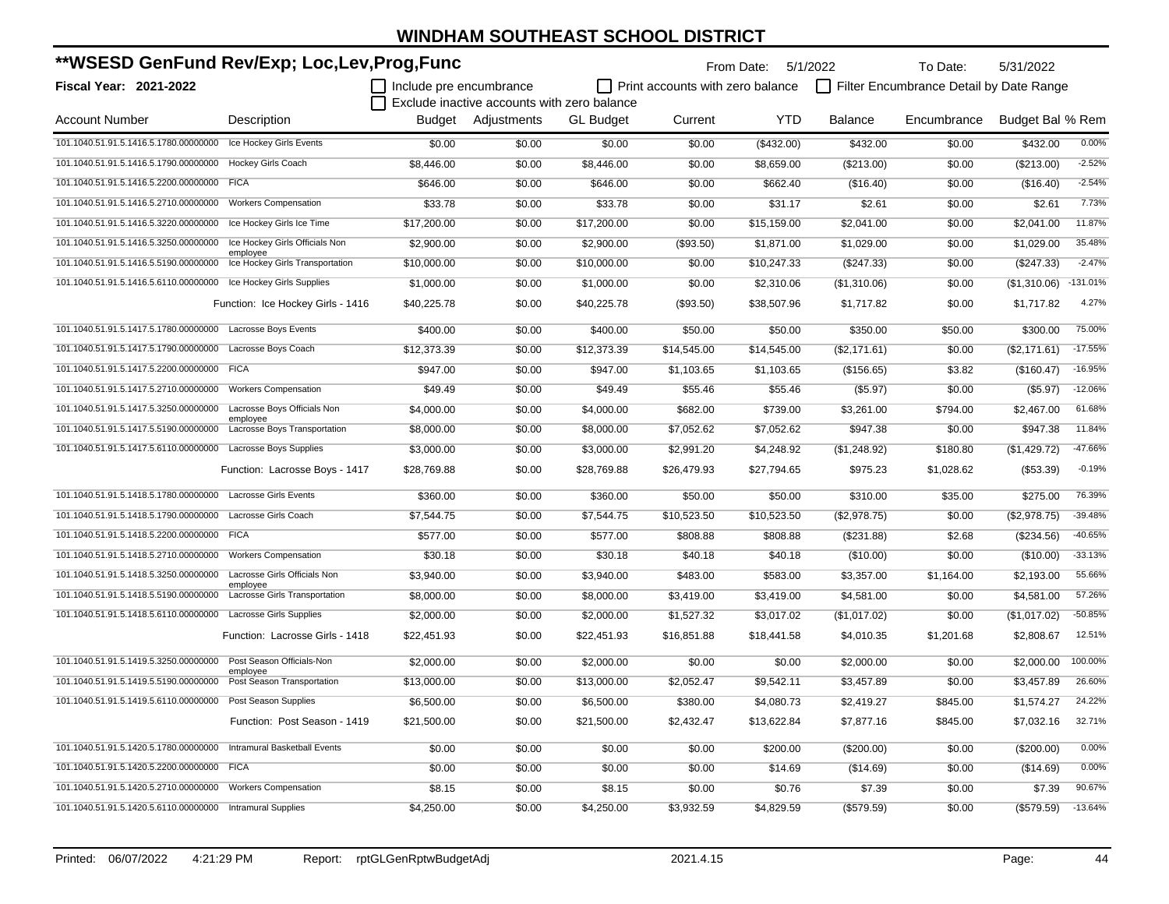| **WSESD GenFund Rev/Exp; Loc,Lev,Prog,Func                      |                                             |                         |                                             | From Date: 5/1/2022 |                                  | To Date:    | 5/31/2022      |                                         |                  |            |
|-----------------------------------------------------------------|---------------------------------------------|-------------------------|---------------------------------------------|---------------------|----------------------------------|-------------|----------------|-----------------------------------------|------------------|------------|
| Fiscal Year: 2021-2022                                          |                                             | Include pre encumbrance |                                             |                     | Print accounts with zero balance |             |                | Filter Encumbrance Detail by Date Range |                  |            |
|                                                                 |                                             |                         | Exclude inactive accounts with zero balance |                     |                                  |             |                |                                         |                  |            |
| <b>Account Number</b>                                           | Description                                 | Budget                  | Adjustments                                 | <b>GL</b> Budget    | Current                          | <b>YTD</b>  | <b>Balance</b> | Encumbrance                             | Budget Bal % Rem |            |
| 101.1040.51.91.5.1416.5.1780.00000000 Ice Hockey Girls Events   |                                             | \$0.00                  | \$0.00                                      | \$0.00              | \$0.00                           | (\$432.00)  | \$432.00       | \$0.00                                  | \$432.00         | 0.00%      |
| 101.1040.51.91.5.1416.5.1790.00000000                           | <b>Hockey Girls Coach</b>                   | \$8,446.00              | \$0.00                                      | \$8,446.00          | \$0.00                           | \$8,659.00  | (\$213.00)     | \$0.00                                  | (\$213.00)       | $-2.52%$   |
| 101.1040.51.91.5.1416.5.2200.00000000                           | <b>FICA</b>                                 | \$646.00                | \$0.00                                      | \$646.00            | \$0.00                           | \$662.40    | (\$16.40)      | \$0.00                                  | (\$16.40)        | $-2.54%$   |
| 101.1040.51.91.5.1416.5.2710.00000000                           | <b>Workers Compensation</b>                 | \$33.78                 | \$0.00                                      | \$33.78             | \$0.00                           | \$31.17     | \$2.61         | \$0.00                                  | \$2.61           | 7.73%      |
| 101.1040.51.91.5.1416.5.3220.00000000                           | Ice Hockey Girls Ice Time                   | \$17,200.00             | \$0.00                                      | \$17,200.00         | \$0.00                           | \$15,159.00 | \$2,041.00     | \$0.00                                  | \$2,041.00       | 11.87%     |
| 101.1040.51.91.5.1416.5.3250.00000000                           | Ice Hockey Girls Officials Non              | \$2,900.00              | \$0.00                                      | \$2,900.00          | (\$93.50)                        | \$1,871.00  | \$1,029.00     | \$0.00                                  | \$1,029.00       | 35.48%     |
| 101.1040.51.91.5.1416.5.5190.00000000                           | employee<br>Ice Hockey Girls Transportation | \$10,000.00             | \$0.00                                      | \$10,000.00         | \$0.00                           | \$10,247.33 | (\$247.33)     | \$0.00                                  | (\$247.33)       | $-2.47%$   |
| 101.1040.51.91.5.1416.5.6110.00000000                           | Ice Hockey Girls Supplies                   | \$1,000.00              | \$0.00                                      | \$1,000.00          | \$0.00                           | \$2,310.06  | (\$1,310.06)   | \$0.00                                  | (\$1,310.06)     | $-131.01%$ |
|                                                                 | Function: Ice Hockey Girls - 1416           | \$40.225.78             | \$0.00                                      | \$40,225.78         | (\$93.50)                        | \$38,507.96 | \$1,717.82     | \$0.00                                  | \$1,717.82       | 4.27%      |
| 101.1040.51.91.5.1417.5.1780.00000000 Lacrosse Boys Events      |                                             | \$400.00                | \$0.00                                      | \$400.00            | \$50.00                          | \$50.00     | \$350.00       | \$50.00                                 | \$300.00         | 75.00%     |
| 101.1040.51.91.5.1417.5.1790.00000000 Lacrosse Boys Coach       |                                             | \$12,373.39             | \$0.00                                      | \$12,373.39         | \$14,545.00                      | \$14,545.00 | (\$2,171.61)   | \$0.00                                  | (\$2,171.61)     | $-17.55%$  |
| 101.1040.51.91.5.1417.5.2200.00000000 FICA                      |                                             | \$947.00                | \$0.00                                      | \$947.00            | \$1,103.65                       | \$1,103.65  | (\$156.65)     | \$3.82                                  | (\$160.47)       | $-16.95%$  |
| 101.1040.51.91.5.1417.5.2710.00000000                           | <b>Workers Compensation</b>                 | \$49.49                 | \$0.00                                      | \$49.49             | \$55.46                          | \$55.46     | (\$5.97)       | \$0.00                                  | (\$5.97)         | $-12.06%$  |
| 101.1040.51.91.5.1417.5.3250.00000000                           | Lacrosse Boys Officials Non                 | \$4,000.00              | \$0.00                                      | \$4,000.00          | \$682.00                         | \$739.00    | \$3,261.00     | \$794.00                                | \$2,467.00       | 61.68%     |
| 101.1040.51.91.5.1417.5.5190.00000000                           | employee<br>Lacrosse Boys Transportation    | \$8,000.00              | \$0.00                                      | \$8,000.00          | \$7,052.62                       | \$7,052.62  | \$947.38       | \$0.00                                  | \$947.38         | 11.84%     |
| 101.1040.51.91.5.1417.5.6110.00000000                           | Lacrosse Boys Supplies                      | \$3,000.00              | \$0.00                                      | \$3,000.00          | \$2,991.20                       | \$4,248.92  | (\$1,248.92)   | \$180.80                                | (\$1,429.72)     | $-47.66%$  |
|                                                                 | Function: Lacrosse Boys - 1417              | \$28,769.88             | \$0.00                                      | \$28,769.88         | \$26,479.93                      | \$27,794.65 | \$975.23       | \$1,028.62                              | (\$53.39)        | $-0.19%$   |
| 101.1040.51.91.5.1418.5.1780.00000000                           | <b>Lacrosse Girls Events</b>                | \$360.00                | \$0.00                                      | \$360.00            | \$50.00                          | \$50.00     | \$310.00       | \$35.00                                 | \$275.00         | 76.39%     |
| 101.1040.51.91.5.1418.5.1790.00000000                           | Lacrosse Girls Coach                        | \$7,544.75              | \$0.00                                      | \$7,544.75          | \$10,523.50                      | \$10,523.50 | (\$2,978.75)   | \$0.00                                  | (\$2,978.75)     | $-39.48%$  |
| 101.1040.51.91.5.1418.5.2200.00000000 FICA                      |                                             | \$577.00                | \$0.00                                      | \$577.00            | \$808.88                         | \$808.88    | (\$231.88)     | \$2.68                                  | (\$234.56)       | $-40.65%$  |
| 101.1040.51.91.5.1418.5.2710.00000000                           | <b>Workers Compensation</b>                 | \$30.18                 | \$0.00                                      | \$30.18             | \$40.18                          | \$40.18     | (\$10.00)      | \$0.00                                  | (\$10.00)        | $-33.13%$  |
| 101.1040.51.91.5.1418.5.3250.00000000                           | Lacrosse Girls Officials Non<br>employee    | \$3,940.00              | \$0.00                                      | \$3,940.00          | \$483.00                         | \$583.00    | \$3,357.00     | \$1,164.00                              | \$2,193.00       | 55.66%     |
| 101.1040.51.91.5.1418.5.5190.00000000                           | <b>Lacrosse Girls Transportation</b>        | \$8,000.00              | \$0.00                                      | \$8,000.00          | \$3,419.00                       | \$3,419.00  | \$4,581.00     | \$0.00                                  | \$4,581.00       | 57.26%     |
| 101.1040.51.91.5.1418.5.6110.00000000 Lacrosse Girls Supplies   |                                             | \$2,000.00              | \$0.00                                      | \$2,000.00          | \$1,527.32                       | \$3,017.02  | (\$1,017.02)   | \$0.00                                  | (\$1,017.02)     | $-50.85%$  |
|                                                                 | Function: Lacrosse Girls - 1418             | \$22,451.93             | \$0.00                                      | \$22,451.93         | \$16,851.88                      | \$18,441.58 | \$4,010.35     | \$1,201.68                              | \$2,808.67       | 12.51%     |
| 101.1040.51.91.5.1419.5.3250.00000000 Post Season Officials-Non |                                             | \$2,000.00              | \$0.00                                      | \$2,000.00          | \$0.00                           | \$0.00      | \$2,000.00     | \$0.00                                  | \$2,000.00       | 100.00%    |
| 101.1040.51.91.5.1419.5.5190.00000000                           | employee<br>Post Season Transportation      | \$13,000.00             | \$0.00                                      | \$13,000.00         | \$2,052.47                       | \$9,542.11  | \$3,457.89     | \$0.00                                  | \$3,457.89       | 26.60%     |
| 101.1040.51.91.5.1419.5.6110.00000000                           | Post Season Supplies                        | \$6,500.00              | \$0.00                                      | \$6,500.00          | \$380.00                         | \$4,080.73  | \$2,419.27     | \$845.00                                | \$1,574.27       | 24.22%     |
|                                                                 | Function: Post Season - 1419                | \$21,500.00             | \$0.00                                      | \$21,500.00         | \$2,432.47                       | \$13,622.84 | \$7,877.16     | \$845.00                                | \$7,032.16       | 32.71%     |
| 101.1040.51.91.5.1420.5.1780.00000000                           | Intramural Basketball Events                | \$0.00                  | \$0.00                                      | \$0.00              | \$0.00                           | \$200.00    | (\$200.00)     | \$0.00                                  | (\$200.00)       | 0.00%      |
| 101.1040.51.91.5.1420.5.2200.00000000                           | <b>FICA</b>                                 | \$0.00                  | \$0.00                                      | \$0.00              | \$0.00                           | \$14.69     | (\$14.69)      | \$0.00                                  | (\$14.69)        | 0.00%      |
| 101.1040.51.91.5.1420.5.2710.00000000                           | <b>Workers Compensation</b>                 | \$8.15                  | \$0.00                                      | \$8.15              | \$0.00                           | \$0.76      | \$7.39         | \$0.00                                  | \$7.39           | 90.67%     |
| 101.1040.51.91.5.1420.5.6110.00000000                           | <b>Intramural Supplies</b>                  | \$4,250.00              | \$0.00                                      | \$4,250.00          | \$3,932.59                       | \$4,829.59  | (\$579.59)     | \$0.00                                  | (\$579.59)       | $-13.64%$  |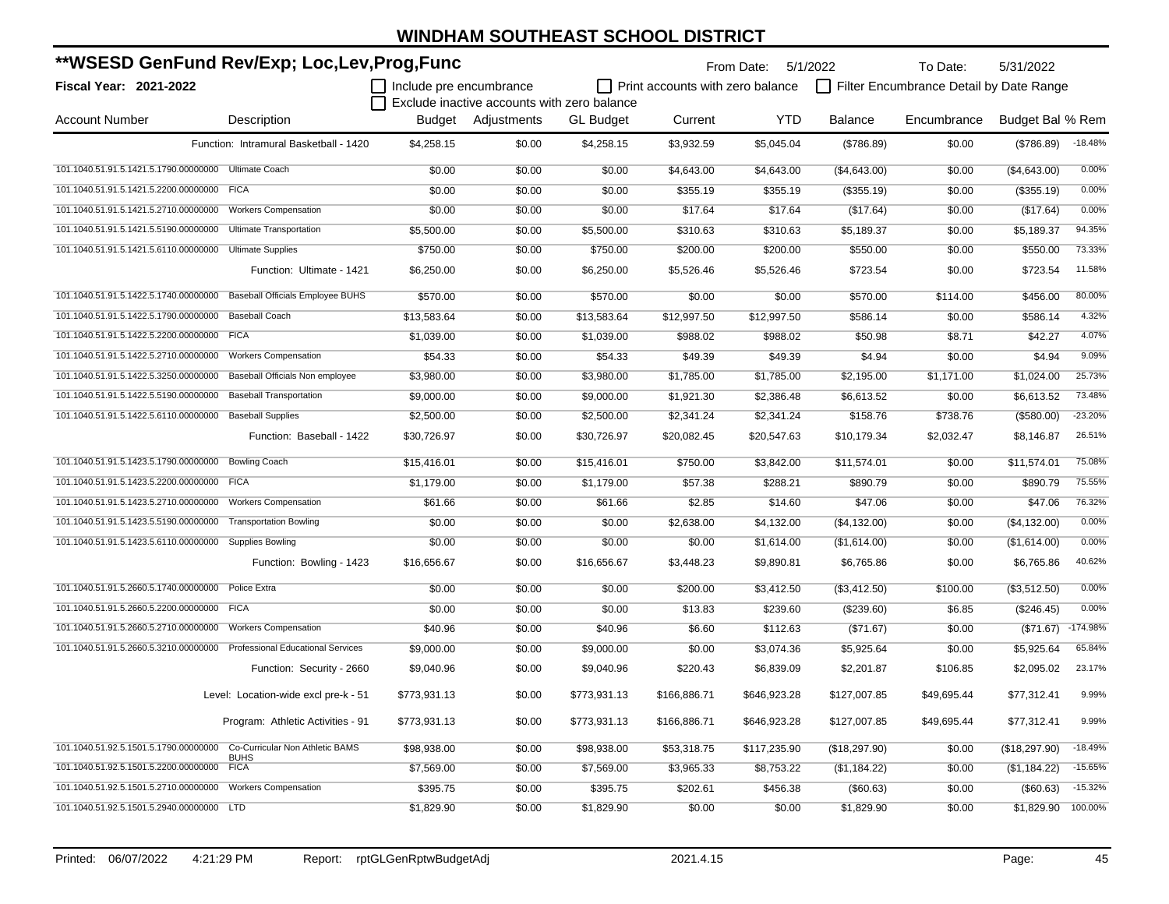| **WSESD GenFund Rev/Exp; Loc,Lev,Prog,Func           |                                                                         |                         |                                             |                  |                                  | From Date: 5/1/2022 |                | To Date:                                | 5/31/2022        |            |
|------------------------------------------------------|-------------------------------------------------------------------------|-------------------------|---------------------------------------------|------------------|----------------------------------|---------------------|----------------|-----------------------------------------|------------------|------------|
| Fiscal Year: 2021-2022                               |                                                                         | Include pre encumbrance |                                             |                  | Print accounts with zero balance |                     |                | Filter Encumbrance Detail by Date Range |                  |            |
|                                                      |                                                                         |                         | Exclude inactive accounts with zero balance |                  |                                  |                     |                |                                         |                  |            |
| <b>Account Number</b>                                | Description                                                             | Budget                  | Adjustments                                 | <b>GL Budget</b> | Current                          | <b>YTD</b>          | <b>Balance</b> | Encumbrance                             | Budget Bal % Rem |            |
|                                                      | Function: Intramural Basketball - 1420                                  | \$4,258.15              | \$0.00                                      | \$4,258.15       | \$3,932.59                       | \$5,045.04          | (\$786.89)     | \$0.00                                  | (\$786.89)       | $-18.48%$  |
| 101.1040.51.91.5.1421.5.1790.00000000 Ultimate Coach |                                                                         | \$0.00                  | \$0.00                                      | \$0.00           | \$4,643.00                       | \$4,643.00          | (\$4,643.00)   | \$0.00                                  | (\$4,643.00)     | 0.00%      |
| 101.1040.51.91.5.1421.5.2200.00000000 FICA           |                                                                         | \$0.00                  | \$0.00                                      | \$0.00           | \$355.19                         | \$355.19            | (\$355.19)     | \$0.00                                  | (\$355.19)       | 0.00%      |
| 101.1040.51.91.5.1421.5.2710.00000000                | <b>Workers Compensation</b>                                             | \$0.00                  | \$0.00                                      | \$0.00           | \$17.64                          | \$17.64             | (\$17.64)      | \$0.00                                  | (\$17.64)        | 0.00%      |
| 101.1040.51.91.5.1421.5.5190.00000000                | <b>Ultimate Transportation</b>                                          | \$5,500.00              | \$0.00                                      | \$5,500.00       | \$310.63                         | \$310.63            | \$5,189.37     | \$0.00                                  | \$5,189.37       | 94.35%     |
| 101.1040.51.91.5.1421.5.6110.00000000                | <b>Ultimate Supplies</b>                                                | \$750.00                | \$0.00                                      | \$750.00         | \$200.00                         | \$200.00            | \$550.00       | \$0.00                                  | \$550.00         | 73.33%     |
|                                                      | Function: Ultimate - 1421                                               | \$6,250.00              | \$0.00                                      | \$6,250.00       | \$5,526.46                       | \$5,526.46          | \$723.54       | \$0.00                                  | \$723.54         | 11.58%     |
| 101.1040.51.91.5.1422.5.1740.00000000                | Baseball Officials Employee BUHS                                        | \$570.00                | \$0.00                                      | \$570.00         | \$0.00                           | \$0.00              | \$570.00       | \$114.00                                | \$456.00         | 80.00%     |
| 101.1040.51.91.5.1422.5.1790.00000000                | <b>Baseball Coach</b>                                                   | \$13,583.64             | \$0.00                                      | \$13,583.64      | \$12,997.50                      | \$12,997.50         | \$586.14       | \$0.00                                  | \$586.14         | 4.32%      |
| 101.1040.51.91.5.1422.5.2200.00000000                | <b>FICA</b>                                                             | \$1,039.00              | \$0.00                                      | \$1,039.00       | \$988.02                         | \$988.02            | \$50.98        | \$8.71                                  | \$42.27          | 4.07%      |
| 101.1040.51.91.5.1422.5.2710.00000000                | <b>Workers Compensation</b>                                             | \$54.33                 | \$0.00                                      | \$54.33          | \$49.39                          | \$49.39             | \$4.94         | \$0.00                                  | \$4.94           | 9.09%      |
| 101.1040.51.91.5.1422.5.3250.00000000                | Baseball Officials Non employee                                         | \$3,980.00              | \$0.00                                      | \$3,980.00       | \$1,785.00                       | \$1,785.00          | \$2,195.00     | \$1,171.00                              | \$1,024.00       | 25.73%     |
| 101.1040.51.91.5.1422.5.5190.00000000                | <b>Baseball Transportation</b>                                          | \$9,000.00              | \$0.00                                      | \$9,000.00       | \$1,921.30                       | \$2,386.48          | \$6,613.52     | \$0.00                                  | \$6,613.52       | 73.48%     |
| 101.1040.51.91.5.1422.5.6110.00000000                | <b>Baseball Supplies</b>                                                | \$2,500.00              | \$0.00                                      | \$2,500.00       | \$2,341.24                       | \$2,341.24          | \$158.76       | \$738.76                                | (\$580.00)       | $-23.20%$  |
|                                                      | Function: Baseball - 1422                                               | \$30,726.97             | \$0.00                                      | \$30,726.97      | \$20,082.45                      | \$20,547.63         | \$10,179.34    | \$2,032.47                              | \$8,146.87       | 26.51%     |
| 101.1040.51.91.5.1423.5.1790.00000000                | <b>Bowling Coach</b>                                                    | \$15,416.01             | \$0.00                                      | \$15,416.01      | \$750.00                         | \$3,842.00          | \$11,574.01    | \$0.00                                  | \$11,574.01      | 75.08%     |
| 101.1040.51.91.5.1423.5.2200.00000000                | <b>FICA</b>                                                             | \$1,179.00              | \$0.00                                      | \$1,179.00       | \$57.38                          | \$288.21            | \$890.79       | \$0.00                                  | \$890.79         | 75.55%     |
| 101.1040.51.91.5.1423.5.2710.00000000                | <b>Workers Compensation</b>                                             | \$61.66                 | \$0.00                                      | \$61.66          | \$2.85                           | \$14.60             | \$47.06        | \$0.00                                  | \$47.06          | 76.32%     |
| 101.1040.51.91.5.1423.5.5190.00000000                | <b>Transportation Bowling</b>                                           | \$0.00                  | \$0.00                                      | \$0.00           | \$2,638.00                       | \$4,132.00          | (\$4,132.00)   | \$0.00                                  | (\$4,132.00)     | 0.00%      |
| 101.1040.51.91.5.1423.5.6110.00000000                | <b>Supplies Bowling</b>                                                 | \$0.00                  | \$0.00                                      | \$0.00           | \$0.00                           | \$1,614.00          | (\$1,614.00)   | \$0.00                                  | (\$1,614.00)     | 0.00%      |
|                                                      | Function: Bowling - 1423                                                | \$16,656.67             | \$0.00                                      | \$16,656.67      | \$3,448.23                       | \$9,890.81          | \$6,765.86     | \$0.00                                  | \$6,765.86       | 40.62%     |
| 101.1040.51.91.5.2660.5.1740.00000000                | Police Extra                                                            | \$0.00                  | \$0.00                                      | \$0.00           | \$200.00                         | \$3,412.50          | (\$3,412.50)   | \$100.00                                | (\$3,512.50)     | 0.00%      |
| 101.1040.51.91.5.2660.5.2200.00000000 FICA           |                                                                         | \$0.00                  | \$0.00                                      | \$0.00           | \$13.83                          | \$239.60            | (\$239.60)     | \$6.85                                  | (\$246.45)       | 0.00%      |
| 101.1040.51.91.5.2660.5.2710.00000000                | <b>Workers Compensation</b>                                             | \$40.96                 | \$0.00                                      | \$40.96          | \$6.60                           | \$112.63            | (\$71.67)      | \$0.00                                  | (\$71.67)        | $-174.98%$ |
|                                                      | 101.1040.51.91.5.2660.5.3210.00000000 Professional Educational Services | \$9,000.00              | \$0.00                                      | \$9,000.00       | \$0.00                           | \$3,074.36          | \$5,925.64     | \$0.00                                  | \$5,925.64       | 65.84%     |
|                                                      | Function: Security - 2660                                               | \$9,040.96              | \$0.00                                      | \$9,040.96       | \$220.43                         | \$6,839.09          | \$2,201.87     | \$106.85                                | \$2,095.02       | 23.17%     |
|                                                      | Level: Location-wide excl pre-k - 51                                    | \$773,931.13            | \$0.00                                      | \$773,931.13     | \$166,886.71                     | \$646,923.28        | \$127,007.85   | \$49,695.44                             | \$77,312.41      | 9.99%      |
|                                                      | Program: Athletic Activities - 91                                       | \$773,931.13            | \$0.00                                      | \$773,931.13     | \$166,886.71                     | \$646,923.28        | \$127,007.85   | \$49,695.44                             | \$77,312.41      | 9.99%      |
| 101.1040.51.92.5.1501.5.1790.00000000                | Co-Curricular Non Athletic BAMS<br><b>BUHS</b>                          | \$98,938.00             | \$0.00                                      | \$98,938.00      | \$53,318.75                      | \$117,235.90        | (\$18,297.90)  | \$0.00                                  | (\$18,297.90)    | $-18.49%$  |
| 101.1040.51.92.5.1501.5.2200.00000000                | <b>FICA</b>                                                             | \$7,569.00              | \$0.00                                      | \$7,569.00       | \$3,965.33                       | \$8,753.22          | (\$1,184.22)   | \$0.00                                  | (\$1,184.22)     | $-15.65%$  |
| 101.1040.51.92.5.1501.5.2710.00000000                | <b>Workers Compensation</b>                                             | \$395.75                | \$0.00                                      | \$395.75         | \$202.61                         | \$456.38            | (\$60.63)      | \$0.00                                  | (\$60.63)        | $-15.32%$  |
| 101.1040.51.92.5.1501.5.2940.00000000 LTD            |                                                                         | \$1,829.90              | \$0.00                                      | \$1,829.90       | \$0.00                           | \$0.00              | \$1,829.90     | \$0.00                                  | \$1,829.90       | 100.00%    |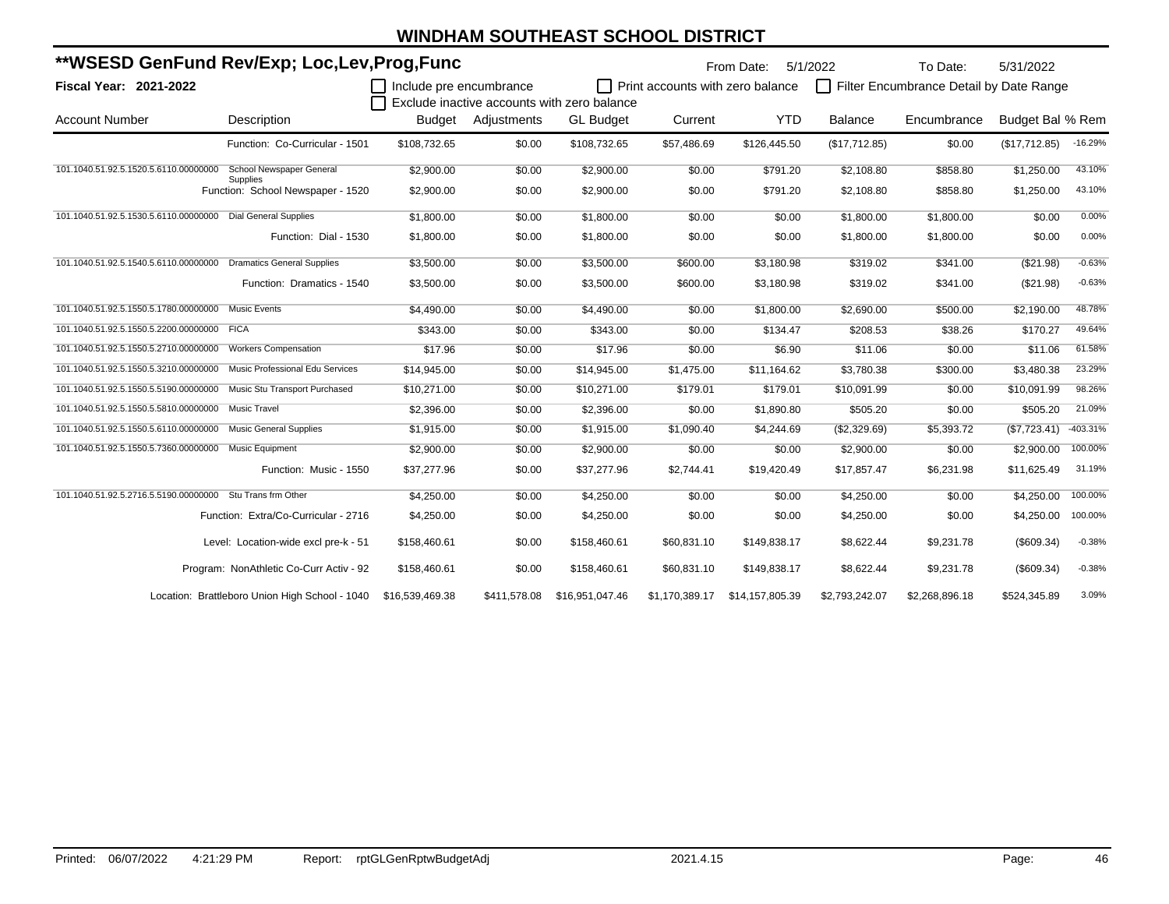| **WSESD GenFund Rev/Exp; Loc,Lev,Prog,Func                  |                                                      |                         |              |                                             |                                  | From Date:      | 5/1/2022       | To Date:                                | 5/31/2022        |            |
|-------------------------------------------------------------|------------------------------------------------------|-------------------------|--------------|---------------------------------------------|----------------------------------|-----------------|----------------|-----------------------------------------|------------------|------------|
| Fiscal Year: 2021-2022                                      |                                                      | Include pre encumbrance |              | Exclude inactive accounts with zero balance | Print accounts with zero balance |                 | $\Box$         | Filter Encumbrance Detail by Date Range |                  |            |
| <b>Account Number</b>                                       | Description                                          | Budget                  | Adjustments  | <b>GL Budget</b>                            | Current                          | <b>YTD</b>      | Balance        | Encumbrance                             | Budget Bal % Rem |            |
|                                                             | Function: Co-Curricular - 1501                       | \$108,732.65            | \$0.00       | \$108.732.65                                | \$57,486.69                      | \$126,445.50    | (\$17,712.85)  | \$0.00                                  | (\$17,712.85)    | $-16.29%$  |
| 101.1040.51.92.5.1520.5.6110.00000000                       | School Newspaper General                             | \$2,900.00              | \$0.00       | \$2,900.00                                  | \$0.00                           | \$791.20        | \$2,108.80     | \$858.80                                | \$1,250.00       | 43.10%     |
|                                                             | <b>Supplies</b><br>Function: School Newspaper - 1520 | \$2,900.00              | \$0.00       | \$2,900.00                                  | \$0.00                           | \$791.20        | \$2,108.80     | \$858.80                                | \$1,250.00       | 43.10%     |
| 101.1040.51.92.5.1530.5.6110.00000000 Dial General Supplies |                                                      | \$1,800.00              | \$0.00       | \$1,800.00                                  | \$0.00                           | \$0.00          | \$1,800.00     | \$1,800.00                              | \$0.00           | 0.00%      |
|                                                             | Function: Dial - 1530                                | \$1,800.00              | \$0.00       | \$1,800.00                                  | \$0.00                           | \$0.00          | \$1,800.00     | \$1,800.00                              | \$0.00           | 0.00%      |
| 101.1040.51.92.5.1540.5.6110.00000000                       | <b>Dramatics General Supplies</b>                    | \$3,500.00              | \$0.00       | \$3,500.00                                  | \$600.00                         | \$3,180.98      | \$319.02       | \$341.00                                | (\$21.98)        | $-0.63%$   |
|                                                             | Function: Dramatics - 1540                           | \$3,500.00              | \$0.00       | \$3,500.00                                  | \$600.00                         | \$3,180.98      | \$319.02       | \$341.00                                | (\$21.98)        | $-0.63%$   |
| 101.1040.51.92.5.1550.5.1780.00000000                       | <b>Music Events</b>                                  | \$4,490.00              | \$0.00       | \$4,490.00                                  | \$0.00                           | \$1,800.00      | \$2,690.00     | \$500.00                                | \$2,190.00       | 48.78%     |
| 101.1040.51.92.5.1550.5.2200.00000000 FICA                  |                                                      | \$343.00                | \$0.00       | \$343.00                                    | \$0.00                           | \$134.47        | \$208.53       | \$38.26                                 | \$170.27         | 49.64%     |
| 101.1040.51.92.5.1550.5.2710.00000000                       | <b>Workers Compensation</b>                          | \$17.96                 | \$0.00       | \$17.96                                     | \$0.00                           | \$6.90          | \$11.06        | \$0.00                                  | \$11.06          | 61.58%     |
| 101.1040.51.92.5.1550.5.3210.00000000                       | <b>Music Professional Edu Services</b>               | \$14,945.00             | \$0.00       | \$14,945.00                                 | \$1,475.00                       | \$11,164.62     | \$3,780.38     | \$300.00                                | \$3,480.38       | 23.29%     |
| 101.1040.51.92.5.1550.5.5190.00000000                       | Music Stu Transport Purchased                        | \$10,271.00             | \$0.00       | \$10,271.00                                 | \$179.01                         | \$179.01        | \$10,091.99    | \$0.00                                  | \$10,091.99      | 98.26%     |
| 101.1040.51.92.5.1550.5.5810.00000000                       | Music Travel                                         | \$2,396.00              | \$0.00       | \$2,396.00                                  | \$0.00                           | \$1,890.80      | \$505.20       | \$0.00                                  | \$505.20         | 21.09%     |
| 101.1040.51.92.5.1550.5.6110.00000000                       | <b>Music General Supplies</b>                        | \$1,915.00              | \$0.00       | \$1,915.00                                  | \$1,090.40                       | \$4,244.69      | (\$2,329.69)   | \$5,393.72                              | (\$7,723.41)     | $-403.31%$ |
| 101.1040.51.92.5.1550.5.7360.00000000 Music Equipment       |                                                      | \$2,900.00              | \$0.00       | \$2,900.00                                  | \$0.00                           | \$0.00          | \$2,900.00     | \$0.00                                  | \$2,900.00       | 100.00%    |
|                                                             | Function: Music - 1550                               | \$37,277.96             | \$0.00       | \$37,277.96                                 | \$2,744.41                       | \$19,420.49     | \$17,857.47    | \$6,231.98                              | \$11,625.49      | 31.19%     |
| 101.1040.51.92.5.2716.5.5190.00000000                       | Stu Trans frm Other                                  | \$4,250.00              | \$0.00       | \$4,250.00                                  | \$0.00                           | \$0.00          | \$4,250.00     | \$0.00                                  | \$4,250.00       | 100.00%    |
|                                                             | Function: Extra/Co-Curricular - 2716                 | \$4,250.00              | \$0.00       | \$4,250.00                                  | \$0.00                           | \$0.00          | \$4,250.00     | \$0.00                                  | \$4,250.00       | 100.00%    |
|                                                             | Level: Location-wide excl pre-k - 51                 | \$158,460.61            | \$0.00       | \$158,460.61                                | \$60,831.10                      | \$149.838.17    | \$8.622.44     | \$9,231.78                              | (\$609.34)       | $-0.38%$   |
|                                                             | Program: NonAthletic Co-Curr Activ - 92              | \$158,460.61            | \$0.00       | \$158,460.61                                | \$60,831.10                      | \$149,838.17    | \$8,622.44     | \$9,231.78                              | (\$609.34)       | $-0.38%$   |
|                                                             | Location: Brattleboro Union High School - 1040       | \$16,539,469.38         | \$411,578.08 | \$16,951,047.46                             | \$1,170,389.17                   | \$14,157,805.39 | \$2,793,242.07 | \$2,268,896.18                          | \$524,345.89     | 3.09%      |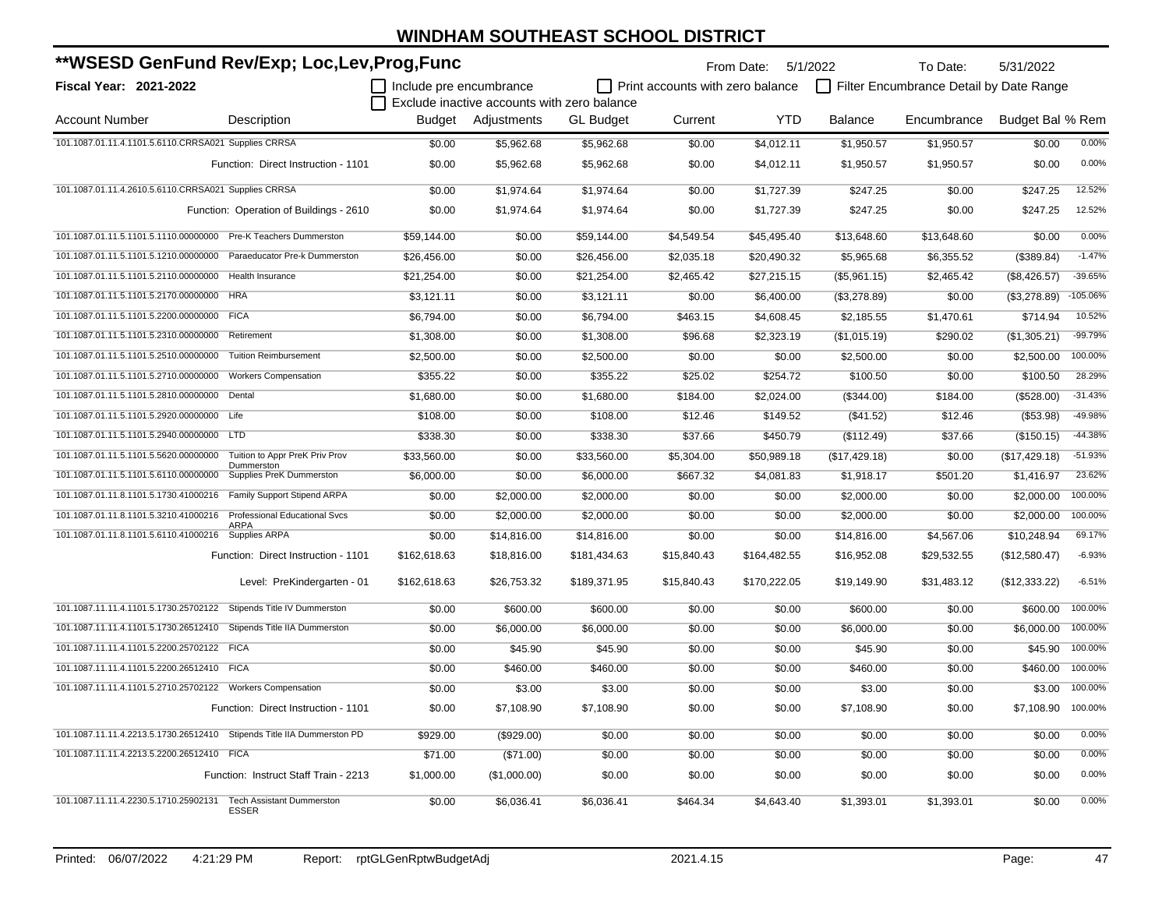| **WSESD GenFund Rev/Exp; Loc,Lev,Prog,Func                             |                                                  |                         |                                             |                  |                                  | From Date: 5/1/2022 |                | To Date:                                | 5/31/2022        |            |
|------------------------------------------------------------------------|--------------------------------------------------|-------------------------|---------------------------------------------|------------------|----------------------------------|---------------------|----------------|-----------------------------------------|------------------|------------|
| <b>Fiscal Year: 2021-2022</b>                                          |                                                  | Include pre encumbrance | Exclude inactive accounts with zero balance |                  | Print accounts with zero balance |                     |                | Filter Encumbrance Detail by Date Range |                  |            |
| <b>Account Number</b>                                                  | Description                                      |                         | Budget Adjustments                          | <b>GL Budget</b> | Current                          | <b>YTD</b>          | <b>Balance</b> | Encumbrance                             | Budget Bal % Rem |            |
| 101.1087.01.11.4.1101.5.6110.CRRSA021 Supplies CRRSA                   |                                                  | \$0.00                  | \$5,962.68                                  | \$5,962.68       | \$0.00                           | \$4,012.11          | \$1,950.57     | \$1,950.57                              | \$0.00           | 0.00%      |
|                                                                        | Function: Direct Instruction - 1101              | \$0.00                  | \$5,962.68                                  | \$5,962.68       | \$0.00                           | \$4,012.11          | \$1,950.57     | \$1,950.57                              | \$0.00           | 0.00%      |
| 101.1087.01.11.4.2610.5.6110.CRRSA021 Supplies CRRSA                   |                                                  | \$0.00                  | \$1,974.64                                  | \$1,974.64       | \$0.00                           | \$1,727.39          | \$247.25       | \$0.00                                  | \$247.25         | 12.52%     |
|                                                                        | Function: Operation of Buildings - 2610          | \$0.00                  | \$1,974.64                                  | \$1,974.64       | \$0.00                           | \$1,727.39          | \$247.25       | \$0.00                                  | \$247.25         | 12.52%     |
| 101.1087.01.11.5.1101.5.1110.00000000 Pre-K Teachers Dummerston        |                                                  | \$59,144.00             | \$0.00                                      | \$59,144.00      | \$4,549.54                       | \$45,495.40         | \$13,648.60    | \$13,648.60                             | \$0.00           | 0.00%      |
| 101.1087.01.11.5.1101.5.1210.00000000 Paraeducator Pre-k Dummerston    |                                                  | \$26,456.00             | \$0.00                                      | \$26,456.00      | \$2,035.18                       | \$20,490.32         | \$5,965.68     | \$6,355.52                              | (\$389.84)       | $-1.47%$   |
| 101.1087.01.11.5.1101.5.2110.00000000                                  | Health Insurance                                 | \$21,254.00             | \$0.00                                      | \$21,254.00      | \$2,465.42                       | \$27,215.15         | (\$5,961.15)   | \$2,465.42                              | (\$8,426.57)     | $-39.65%$  |
| 101.1087.01.11.5.1101.5.2170.00000000                                  | <b>HRA</b>                                       | \$3,121.11              | \$0.00                                      | \$3,121.11       | \$0.00                           | \$6,400.00          | (\$3,278.89)   | \$0.00                                  | (\$3,278.89)     | $-105.06%$ |
| 101.1087.01.11.5.1101.5.2200.00000000                                  | <b>FICA</b>                                      | \$6,794.00              | \$0.00                                      | \$6,794.00       | \$463.15                         | \$4,608.45          | \$2,185.55     | \$1,470.61                              | \$714.94         | 10.52%     |
| 101.1087.01.11.5.1101.5.2310.00000000                                  | Retirement                                       | \$1,308.00              | \$0.00                                      | \$1,308.00       | \$96.68                          | \$2,323.19          | (\$1,015.19)   | \$290.02                                | (\$1,305.21)     | -99.79%    |
| 101.1087.01.11.5.1101.5.2510.00000000                                  | <b>Tuition Reimbursement</b>                     | \$2,500.00              | \$0.00                                      | \$2,500.00       | \$0.00                           | \$0.00              | \$2,500.00     | \$0.00                                  | \$2,500.00       | 100.00%    |
| 101.1087.01.11.5.1101.5.2710.00000000                                  | <b>Workers Compensation</b>                      | \$355.22                | \$0.00                                      | \$355.22         | \$25.02                          | \$254.72            | \$100.50       | \$0.00                                  | \$100.50         | 28.29%     |
| 101.1087.01.11.5.1101.5.2810.00000000 Dental                           |                                                  | \$1,680.00              | \$0.00                                      | \$1,680.00       | \$184.00                         | \$2,024.00          | (\$344.00)     | \$184.00                                | (\$528.00)       | $-31.43%$  |
| 101.1087.01.11.5.1101.5.2920.00000000 Life                             |                                                  | \$108.00                | \$0.00                                      | \$108.00         | \$12.46                          | \$149.52            | (\$41.52)      | \$12.46                                 | ( \$53.98)       | -49.98%    |
| 101.1087.01.11.5.1101.5.2940.00000000 LTD                              |                                                  | \$338.30                | \$0.00                                      | \$338.30         | \$37.66                          | \$450.79            | (\$112.49)     | \$37.66                                 | (\$150.15)       | $-44.38%$  |
| 101.1087.01.11.5.1101.5.5620.00000000                                  | Tuition to Appr PreK Priv Prov                   | \$33,560.00             | \$0.00                                      | \$33,560.00      | \$5,304.00                       | \$50,989.18         | (\$17,429.18)  | \$0.00                                  | (\$17,429.18)    | $-51.93%$  |
| 101.1087.01.11.5.1101.5.6110.00000000                                  | Dummerston<br><b>Supplies PreK Dummerston</b>    | \$6,000.00              | \$0.00                                      | \$6,000.00       | \$667.32                         | \$4,081.83          | \$1,918.17     | \$501.20                                | \$1,416.97       | 23.62%     |
| 101.1087.01.11.8.1101.5.1730.41000216  Family Support Stipend ARPA     |                                                  | \$0.00                  | \$2,000.00                                  | \$2,000.00       | \$0.00                           | \$0.00              | \$2,000.00     | \$0.00                                  | \$2,000.00       | 100.00%    |
| 101.1087.01.11.8.1101.5.3210.41000216 Professional Educational Svcs    |                                                  | \$0.00                  | \$2,000.00                                  | \$2,000.00       | \$0.00                           | \$0.00              | \$2,000.00     | \$0.00                                  | \$2,000.00       | 100.00%    |
| 101.1087.01.11.8.1101.5.6110.41000216 Supplies ARPA                    | <b>ARPA</b>                                      | \$0.00                  | \$14,816.00                                 | \$14,816.00      | \$0.00                           | \$0.00              | \$14,816.00    | \$4,567.06                              | \$10,248.94      | 69.17%     |
|                                                                        | Function: Direct Instruction - 1101              | \$162,618.63            | \$18,816.00                                 | \$181,434.63     | \$15,840.43                      | \$164,482.55        | \$16,952.08    | \$29,532.55                             | (\$12,580.47)    | $-6.93%$   |
|                                                                        | Level: PreKindergarten - 01                      | \$162,618.63            | \$26,753.32                                 | \$189,371.95     | \$15,840.43                      | \$170,222.05        | \$19,149.90    | \$31,483.12                             | (\$12,333.22)    | $-6.51%$   |
| 101.1087.11.11.4.1101.5.1730.25702122 Stipends Title IV Dummerston     |                                                  | \$0.00                  | \$600.00                                    | \$600.00         | \$0.00                           | \$0.00              | \$600.00       | \$0.00                                  | \$600.00         | 100.00%    |
| 101.1087.11.11.4.1101.5.1730.26512410 Stipends Title IIA Dummerston    |                                                  | \$0.00                  | \$6,000.00                                  | \$6,000.00       | \$0.00                           | \$0.00              | \$6,000.00     | \$0.00                                  | \$6,000.00       | 100.00%    |
| 101.1087.11.11.4.1101.5.2200.25702122 FICA                             |                                                  | \$0.00                  | \$45.90                                     | \$45.90          | \$0.00                           | \$0.00              | \$45.90        | \$0.00                                  | \$45.90          | 100.00%    |
| 101.1087.11.11.4.1101.5.2200.26512410 FICA                             |                                                  | \$0.00                  | \$460.00                                    | \$460.00         | \$0.00                           | \$0.00              | \$460.00       | \$0.00                                  | \$460.00         | 100.00%    |
| 101.1087.11.11.4.1101.5.2710.25702122 Workers Compensation             |                                                  | \$0.00                  | \$3.00                                      | \$3.00           | \$0.00                           | \$0.00              | \$3.00         | \$0.00                                  | \$3.00           | 100.00%    |
|                                                                        | Function: Direct Instruction - 1101              | \$0.00                  | \$7,108.90                                  | \$7,108.90       | \$0.00                           | \$0.00              | \$7,108.90     | \$0.00                                  | \$7,108.90       | 100.00%    |
| 101.1087.11.11.4.2213.5.1730.26512410 Stipends Title IIA Dummerston PD |                                                  | \$929.00                | (\$929.00)                                  | \$0.00           | \$0.00                           | \$0.00              | \$0.00         | \$0.00                                  | \$0.00           | 0.00%      |
| 101.1087.11.11.4.2213.5.2200.26512410 FICA                             |                                                  | \$71.00                 | (\$71.00)                                   | \$0.00           | \$0.00                           | \$0.00              | \$0.00         | \$0.00                                  | \$0.00           | 0.00%      |
|                                                                        | Function: Instruct Staff Train - 2213            | \$1,000.00              | (\$1,000.00)                                | \$0.00           | \$0.00                           | \$0.00              | \$0.00         | \$0.00                                  | \$0.00           | 0.00%      |
| 101.1087.11.11.4.2230.5.1710.25902131                                  | <b>Tech Assistant Dummerston</b><br><b>ESSER</b> | \$0.00                  | \$6,036.41                                  | \$6,036.41       | \$464.34                         | \$4,643.40          | \$1,393.01     | \$1,393.01                              | \$0.00           | 0.00%      |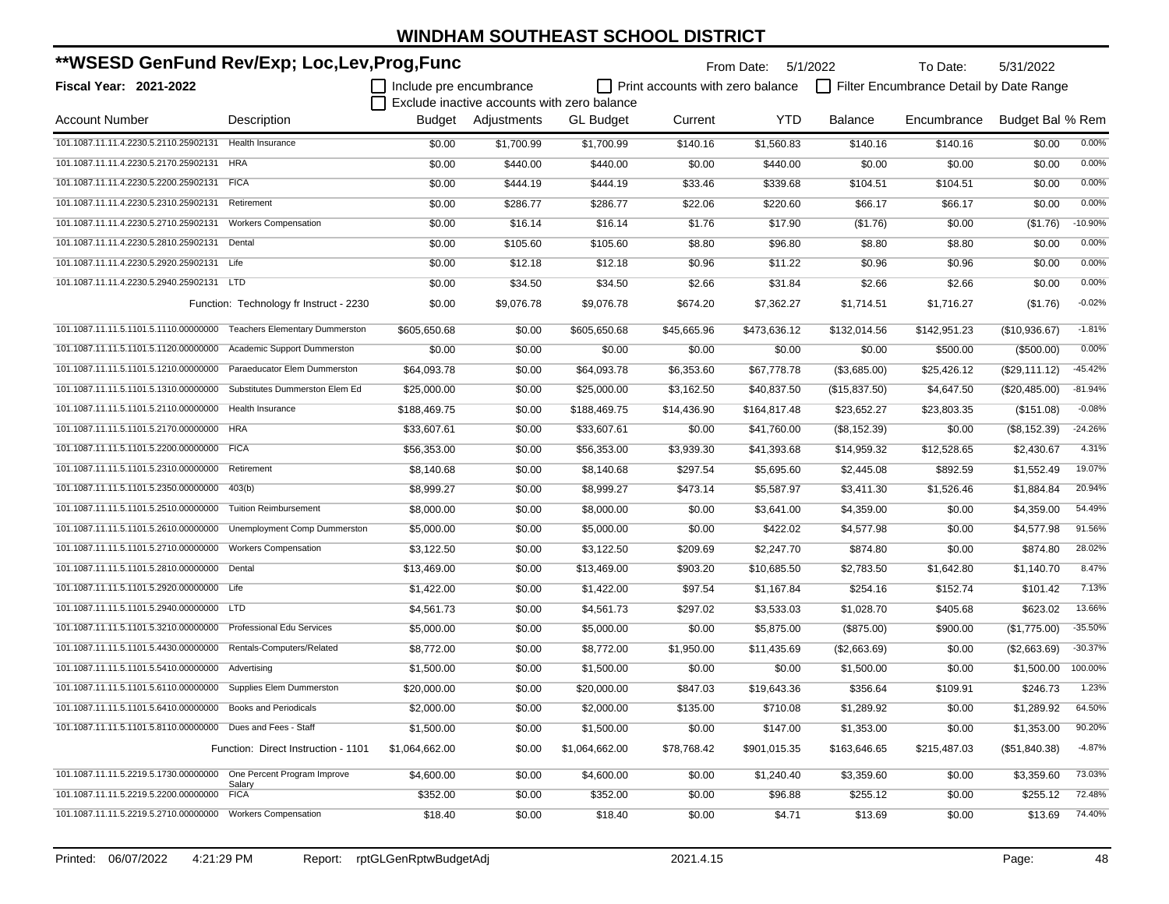| **WSESD GenFund Rev/Exp; Loc,Lev,Prog,Func                         |                                         |                         |                                             |                  | From Date: 5/1/2022              |              | To Date:       | 5/31/2022                               |                  |           |
|--------------------------------------------------------------------|-----------------------------------------|-------------------------|---------------------------------------------|------------------|----------------------------------|--------------|----------------|-----------------------------------------|------------------|-----------|
| <b>Fiscal Year: 2021-2022</b>                                      |                                         | Include pre encumbrance |                                             |                  | Print accounts with zero balance |              |                | Filter Encumbrance Detail by Date Range |                  |           |
|                                                                    |                                         |                         | Exclude inactive accounts with zero balance |                  |                                  |              |                |                                         |                  |           |
| <b>Account Number</b>                                              | Description                             |                         | Budget Adjustments                          | <b>GL Budget</b> | Current                          | <b>YTD</b>   | <b>Balance</b> | Encumbrance                             | Budget Bal % Rem |           |
| 101.1087.11.11.4.2230.5.2110.25902131                              | Health Insurance                        | \$0.00                  | \$1.700.99                                  | \$1,700.99       | \$140.16                         | \$1,560.83   | \$140.16       | \$140.16                                | \$0.00           | 0.00%     |
| 101.1087.11.11.4.2230.5.2170.25902131                              | <b>HRA</b>                              | \$0.00                  | \$440.00                                    | \$440.00         | \$0.00                           | \$440.00     | \$0.00         | \$0.00                                  | \$0.00           | 0.00%     |
| 101.1087.11.11.4.2230.5.2200.25902131                              | <b>FICA</b>                             | \$0.00                  | \$444.19                                    | \$444.19         | \$33.46                          | \$339.68     | \$104.51       | \$104.51                                | \$0.00           | 0.00%     |
| 101.1087.11.11.4.2230.5.2310.25902131                              | Retirement                              | \$0.00                  | \$286.77                                    | \$286.77         | \$22.06                          | \$220.60     | \$66.17        | \$66.17                                 | \$0.00           | 0.00%     |
| 101.1087.11.11.4.2230.5.2710.25902131                              | <b>Workers Compensation</b>             | \$0.00                  | \$16.14                                     | \$16.14          | \$1.76                           | \$17.90      | (\$1.76)       | \$0.00                                  | (\$1.76)         | $-10.90%$ |
| 101.1087.11.11.4.2230.5.2810.25902131                              | Dental                                  | \$0.00                  | \$105.60                                    | \$105.60         | \$8.80                           | \$96.80      | \$8.80         | \$8.80                                  | \$0.00           | 0.00%     |
| 101.1087.11.11.4.2230.5.2920.25902131 Life                         |                                         | \$0.00                  | \$12.18                                     | \$12.18          | \$0.96                           | \$11.22      | \$0.96         | \$0.96                                  | \$0.00           | 0.00%     |
| 101.1087.11.11.4.2230.5.2940.25902131                              | <b>LTD</b>                              | \$0.00                  | \$34.50                                     | \$34.50          | \$2.66                           | \$31.84      | \$2.66         | \$2.66                                  | \$0.00           | 0.00%     |
|                                                                    | Function: Technology fr Instruct - 2230 | \$0.00                  | \$9,076.78                                  | \$9,076.78       | \$674.20                         | \$7,362.27   | \$1,714.51     | \$1,716.27                              | (\$1.76)         | $-0.02%$  |
| 101.1087.11.11.5.1101.5.1110.00000000                              | <b>Teachers Elementary Dummerston</b>   | \$605,650.68            | \$0.00                                      | \$605,650.68     | \$45,665.96                      | \$473,636.12 | \$132,014.56   | \$142,951.23                            | (\$10,936.67)    | $-1.81%$  |
| 101.1087.11.11.5.1101.5.1120.00000000                              | Academic Support Dummerston             | \$0.00                  | \$0.00                                      | \$0.00           | \$0.00                           | \$0.00       | \$0.00         | \$500.00                                | (\$500.00)       | 0.00%     |
| 101.1087.11.11.5.1101.5.1210.00000000 Paraeducator Elem Dummerston |                                         | \$64,093.78             | \$0.00                                      | \$64,093.78      | \$6,353.60                       | \$67,778.78  | (\$3,685.00)   | \$25,426.12                             | (\$29,111.12)    | $-45.42%$ |
| 101.1087.11.11.5.1101.5.1310.00000000                              | Substitutes Dummerston Elem Ed          | \$25,000.00             | \$0.00                                      | \$25,000.00      | \$3,162.50                       | \$40,837.50  | (\$15,837.50)  | \$4,647.50                              | (\$20,485.00)    | $-81.94%$ |
| 101.1087.11.11.5.1101.5.2110.00000000                              | Health Insurance                        | \$188,469.75            | \$0.00                                      | \$188,469.75     | \$14,436.90                      | \$164,817.48 | \$23,652.27    | \$23,803.35                             | (\$151.08)       | $-0.08%$  |
| 101.1087.11.11.5.1101.5.2170.00000000                              | <b>HRA</b>                              | \$33,607.61             | \$0.00                                      | \$33,607.61      | \$0.00                           | \$41,760.00  | (\$8,152.39)   | \$0.00                                  | (\$8,152.39)     | $-24.26%$ |
| 101.1087.11.11.5.1101.5.2200.00000000 FICA                         |                                         | \$56,353.00             | \$0.00                                      | \$56,353.00      | \$3,939.30                       | \$41,393.68  | \$14,959.32    | \$12,528.65                             | \$2,430.67       | 4.31%     |
| 101.1087.11.11.5.1101.5.2310.00000000                              | Retirement                              | \$8,140.68              | \$0.00                                      | \$8,140.68       | \$297.54                         | \$5,695.60   | \$2,445.08     | \$892.59                                | \$1,552.49       | 19.07%    |
| 101.1087.11.11.5.1101.5.2350.00000000                              | 403(b)                                  | \$8,999.27              | \$0.00                                      | \$8,999.27       | \$473.14                         | \$5,587.97   | \$3,411.30     | \$1,526.46                              | \$1,884.84       | 20.94%    |
| 101.1087.11.11.5.1101.5.2510.00000000                              | <b>Tuition Reimbursement</b>            | \$8,000.00              | \$0.00                                      | \$8,000.00       | \$0.00                           | \$3,641.00   | \$4,359.00     | \$0.00                                  | \$4,359.00       | 54.49%    |
| 101.1087.11.11.5.1101.5.2610.00000000                              | Unemployment Comp Dummerston            | \$5,000.00              | \$0.00                                      | \$5,000.00       | \$0.00                           | \$422.02     | \$4,577.98     | \$0.00                                  | \$4,577.98       | 91.56%    |
| 101.1087.11.11.5.1101.5.2710.00000000                              | <b>Workers Compensation</b>             | \$3,122.50              | \$0.00                                      | \$3,122.50       | \$209.69                         | \$2,247.70   | \$874.80       | \$0.00                                  | \$874.80         | 28.02%    |
| 101.1087.11.11.5.1101.5.2810.00000000 Dental                       |                                         | \$13,469.00             | \$0.00                                      | \$13,469.00      | \$903.20                         | \$10,685.50  | \$2,783.50     | \$1,642.80                              | \$1,140.70       | 8.47%     |
| 101.1087.11.11.5.1101.5.2920.00000000 Life                         |                                         | \$1,422.00              | \$0.00                                      | \$1,422.00       | \$97.54                          | \$1,167.84   | \$254.16       | \$152.74                                | \$101.42         | 7.13%     |
| 101.1087.11.11.5.1101.5.2940.00000000 LTD                          |                                         | \$4,561.73              | \$0.00                                      | \$4,561.73       | \$297.02                         | \$3,533.03   | \$1,028.70     | \$405.68                                | \$623.02         | 13.66%    |
| 101.1087.11.11.5.1101.5.3210.00000000                              | Professional Edu Services               | \$5,000.00              | \$0.00                                      | \$5,000.00       | \$0.00                           | \$5,875.00   | (\$875.00)     | \$900.00                                | (\$1,775.00)     | $-35.50%$ |
| 101.1087.11.11.5.1101.5.4430.00000000                              | Rentals-Computers/Related               | \$8,772.00              | \$0.00                                      | \$8,772.00       | \$1,950.00                       | \$11,435.69  | (\$2,663.69)   | \$0.00                                  | (\$2,663.69)     | $-30.37%$ |
| 101.1087.11.11.5.1101.5.5410.00000000                              | Advertising                             | \$1,500.00              | \$0.00                                      | \$1,500.00       | \$0.00                           | \$0.00       | \$1,500.00     | \$0.00                                  | \$1,500.00       | 100.00%   |
| 101.1087.11.11.5.1101.5.6110.00000000 Supplies Elem Dummerston     |                                         | \$20,000.00             | \$0.00                                      | \$20,000.00      | \$847.03                         | \$19,643.36  | \$356.64       | \$109.91                                | \$246.73         | 1.23%     |
| 101.1087.11.11.5.1101.5.6410.00000000 Books and Periodicals        |                                         | \$2,000.00              | \$0.00                                      | \$2,000.00       | \$135.00                         | \$710.08     | \$1,289.92     | \$0.00                                  | \$1,289.92       | 64.50%    |
| 101.1087.11.11.5.1101.5.8110.00000000 Dues and Fees - Staff        |                                         | \$1,500.00              | \$0.00                                      | \$1,500.00       | \$0.00                           | \$147.00     | \$1,353.00     | \$0.00                                  | \$1,353.00       | 90.20%    |
|                                                                    | Function: Direct Instruction - 1101     | \$1,064,662.00          | \$0.00                                      | \$1,064,662.00   | \$78,768.42                      | \$901,015.35 | \$163,646.65   | \$215,487.03                            | (\$51,840.38)    | $-4.87%$  |
| 101.1087.11.11.5.2219.5.1730.00000000 One Percent Program Improve  |                                         | \$4,600.00              | \$0.00                                      | \$4,600.00       | \$0.00                           | \$1,240.40   | \$3,359.60     | \$0.00                                  | \$3,359.60       | 73.03%    |
| 101.1087.11.11.5.2219.5.2200.00000000                              | Salary<br><b>FICA</b>                   | \$352.00                | \$0.00                                      | \$352.00         | \$0.00                           | \$96.88      | \$255.12       | \$0.00                                  | \$255.12         | 72.48%    |
| 101.1087.11.11.5.2219.5.2710.00000000 Workers Compensation         |                                         | \$18.40                 | \$0.00                                      | \$18.40          | \$0.00                           | \$4.71       | \$13.69        | \$0.00                                  | \$13.69          | 74.40%    |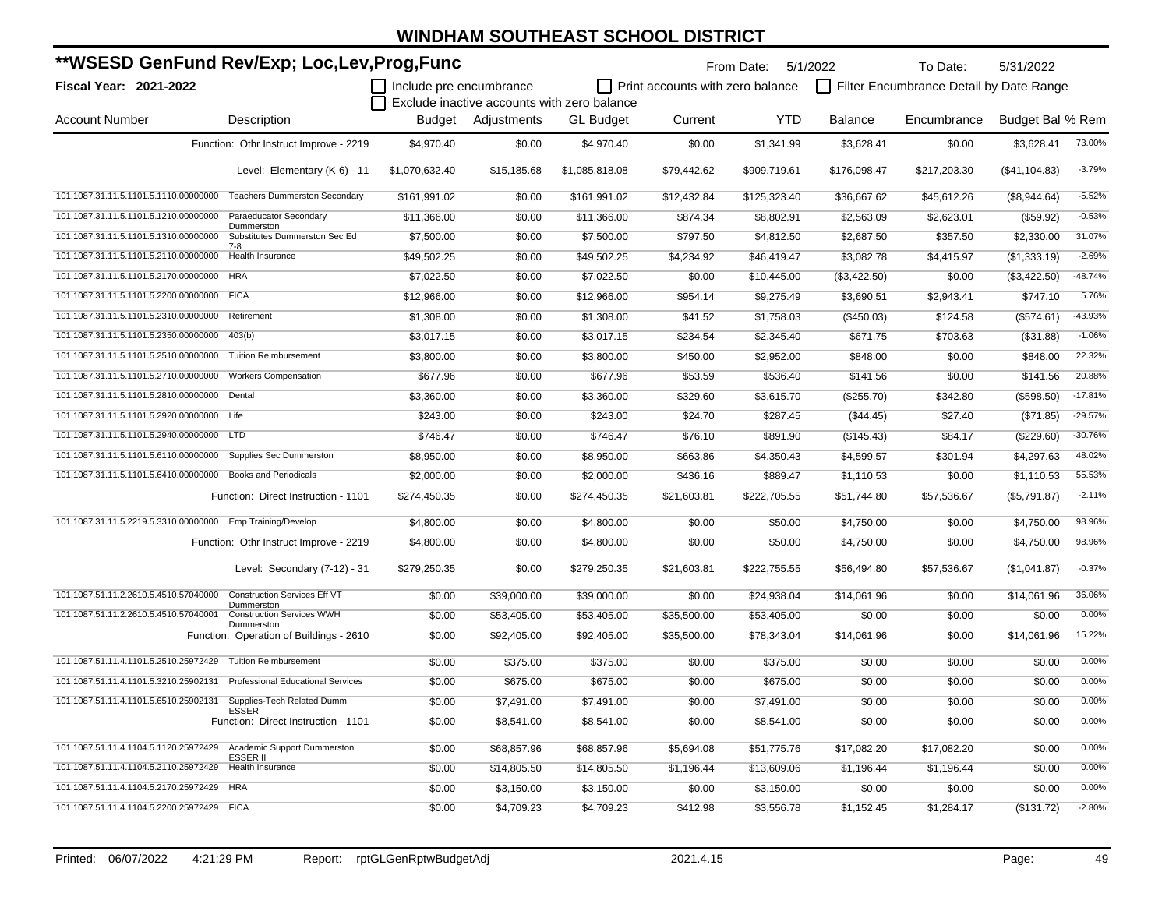| **WSESD GenFund Rev/Exp; Loc,Lev,Prog,Func                    |                                                                     |                         |                                             |                  |                                  | From Date: 5/1/2022 |                | To Date:                                | 5/31/2022        |           |
|---------------------------------------------------------------|---------------------------------------------------------------------|-------------------------|---------------------------------------------|------------------|----------------------------------|---------------------|----------------|-----------------------------------------|------------------|-----------|
| <b>Fiscal Year: 2021-2022</b>                                 |                                                                     | Include pre encumbrance |                                             |                  | Print accounts with zero balance |                     |                | Filter Encumbrance Detail by Date Range |                  |           |
|                                                               |                                                                     |                         | Exclude inactive accounts with zero balance |                  |                                  |                     |                |                                         |                  |           |
| <b>Account Number</b>                                         | Description                                                         | Budget                  | Adjustments                                 | <b>GL Budget</b> | Current                          | <b>YTD</b>          | <b>Balance</b> | Encumbrance                             | Budget Bal % Rem |           |
|                                                               | Function: Othr Instruct Improve - 2219                              | \$4,970.40              | \$0.00                                      | \$4,970.40       | \$0.00                           | \$1,341.99          | \$3,628.41     | \$0.00                                  | \$3,628.41       | 73.00%    |
|                                                               | Level: Elementary (K-6) - 11                                        | \$1,070,632.40          | \$15,185.68                                 | \$1,085,818.08   | \$79,442.62                      | \$909,719.61        | \$176,098.47   | \$217,203.30                            | (\$41,104.83)    | $-3.79%$  |
|                                                               | 101.1087.31.11.5.1101.5.1110.00000000 Teachers Dummerston Secondary | \$161,991.02            | \$0.00                                      | \$161,991.02     | \$12,432.84                      | \$125,323.40        | \$36,667.62    | \$45,612.26                             | (\$8,944.64)     | $-5.52%$  |
| 101.1087.31.11.5.1101.5.1210.00000000                         | Paraeducator Secondary                                              | \$11,366.00             | \$0.00                                      | \$11,366.00      | \$874.34                         | \$8,802.91          | \$2,563.09     | \$2,623.01                              | (\$59.92)        | $-0.53%$  |
| 101.1087.31.11.5.1101.5.1310.00000000                         | Dummerston<br>Substitutes Dummerston Sec Ed                         | \$7,500.00              | \$0.00                                      | \$7,500.00       | \$797.50                         | \$4,812.50          | \$2,687.50     | \$357.50                                | \$2,330.00       | 31.07%    |
| 101.1087.31.11.5.1101.5.2110.00000000                         | $7-8$<br>Health Insurance                                           | \$49,502.25             | \$0.00                                      | \$49,502.25      | \$4,234.92                       | \$46,419.47         | \$3,082.78     | \$4,415.97                              | (\$1,333.19)     | $-2.69%$  |
| 101.1087.31.11.5.1101.5.2170.00000000                         | <b>HRA</b>                                                          | \$7,022.50              | \$0.00                                      | \$7,022.50       | \$0.00                           | \$10,445.00         | (\$3,422.50)   | \$0.00                                  | (\$3,422.50)     | $-48.74%$ |
| 101.1087.31.11.5.1101.5.2200.00000000                         | <b>FICA</b>                                                         | \$12,966.00             | \$0.00                                      | \$12,966.00      | \$954.14                         | \$9,275.49          | \$3,690.51     | \$2,943.41                              | \$747.10         | 5.76%     |
| 101.1087.31.11.5.1101.5.2310.00000000                         | Retirement                                                          | \$1,308.00              | \$0.00                                      | \$1,308.00       | \$41.52                          | \$1,758.03          | (\$450.03)     | \$124.58                                | (\$574.61)       | -43.93%   |
| 101.1087.31.11.5.1101.5.2350.00000000                         | 403(b)                                                              | \$3,017.15              | \$0.00                                      | \$3,017.15       | \$234.54                         | \$2,345.40          | \$671.75       | \$703.63                                | ( \$31.88)       | $-1.06%$  |
| 101.1087.31.11.5.1101.5.2510.00000000                         | <b>Tuition Reimbursement</b>                                        | \$3,800.00              | \$0.00                                      | \$3,800.00       | \$450.00                         | \$2,952.00          | \$848.00       | \$0.00                                  | \$848.00         | 22.32%    |
| 101.1087.31.11.5.1101.5.2710.00000000                         | <b>Workers Compensation</b>                                         | \$677.96                | \$0.00                                      | \$677.96         | \$53.59                          | \$536.40            | \$141.56       | \$0.00                                  | \$141.56         | 20.88%    |
| 101.1087.31.11.5.1101.5.2810.00000000 Dental                  |                                                                     | \$3,360.00              | \$0.00                                      | \$3,360.00       | \$329.60                         | \$3,615.70          | (\$255.70)     | \$342.80                                | (\$598.50)       | $-17.81%$ |
| 101.1087.31.11.5.1101.5.2920.00000000 Life                    |                                                                     | \$243.00                | \$0.00                                      | \$243.00         | \$24.70                          | \$287.45            | (\$44.45)      | \$27.40                                 | (\$71.85)        | $-29.57%$ |
| 101.1087.31.11.5.1101.5.2940.00000000 LTD                     |                                                                     | \$746.47                | \$0.00                                      | \$746.47         | \$76.10                          | \$891.90            | (\$145.43)     | \$84.17                                 | (\$229.60)       | $-30.76%$ |
| 101.1087.31.11.5.1101.5.6110.00000000 Supplies Sec Dummerston |                                                                     | \$8,950.00              | \$0.00                                      | \$8,950.00       | \$663.86                         | \$4,350.43          | \$4,599.57     | \$301.94                                | \$4,297.63       | 48.02%    |
| 101.1087.31.11.5.1101.5.6410.00000000                         | <b>Books and Periodicals</b>                                        | \$2,000.00              | \$0.00                                      | \$2,000.00       | \$436.16                         | \$889.47            | \$1,110.53     | \$0.00                                  | \$1.110.53       | 55.53%    |
|                                                               | Function: Direct Instruction - 1101                                 | \$274,450.35            | \$0.00                                      | \$274,450.35     | \$21,603.81                      | \$222,705.55        | \$51,744.80    | \$57,536.67                             | (\$5,791.87)     | $-2.11%$  |
| 101.1087.31.11.5.2219.5.3310.00000000 Emp Training/Develop    |                                                                     | \$4,800.00              | \$0.00                                      | \$4,800.00       | \$0.00                           | \$50.00             | \$4,750.00     | \$0.00                                  | \$4,750.00       | 98.96%    |
|                                                               | Function: Othr Instruct Improve - 2219                              | \$4,800.00              | \$0.00                                      | \$4,800.00       | \$0.00                           | \$50.00             | \$4,750.00     | \$0.00                                  | \$4,750.00       | 98.96%    |
|                                                               | Level: Secondary (7-12) - 31                                        | \$279,250.35            | \$0.00                                      | \$279,250.35     | \$21,603.81                      | \$222,755.55        | \$56,494.80    | \$57,536.67                             | (\$1,041.87)     | $-0.37%$  |
| 101.1087.51.11.2.2610.5.4510.57040000                         | <b>Construction Services Eff VT</b><br>Dummerston                   | \$0.00                  | \$39,000.00                                 | \$39,000.00      | \$0.00                           | \$24,938.04         | \$14,061.96    | \$0.00                                  | \$14,061.96      | 36.06%    |
| 101.1087.51.11.2.2610.5.4510.57040001                         | <b>Construction Services WWH</b>                                    | \$0.00                  | \$53,405.00                                 | \$53,405.00      | \$35,500.00                      | \$53,405.00         | \$0.00         | \$0.00                                  | \$0.00           | 0.00%     |
|                                                               | Dummerston<br>Function: Operation of Buildings - 2610               | \$0.00                  | \$92,405.00                                 | \$92,405.00      | \$35,500.00                      | \$78,343.04         | \$14,061.96    | \$0.00                                  | \$14,061.96      | 15.22%    |
| 101.1087.51.11.4.1101.5.2510.25972429                         | <b>Tuition Reimbursement</b>                                        | \$0.00                  | \$375.00                                    | \$375.00         | \$0.00                           | \$375.00            | \$0.00         | \$0.00                                  | \$0.00           | 0.00%     |
| 101.1087.51.11.4.1101.5.3210.25902131                         | Professional Educational Services                                   | \$0.00                  | \$675.00                                    | \$675.00         | \$0.00                           | \$675.00            | \$0.00         | \$0.00                                  | \$0.00           | 0.00%     |
| 101.1087.51.11.4.1101.5.6510.25902131                         | Supplies-Tech Related Dumm                                          | \$0.00                  | \$7,491.00                                  | \$7,491.00       | \$0.00                           | \$7,491.00          | \$0.00         | \$0.00                                  | \$0.00           | 0.00%     |
|                                                               | <b>ESSER</b><br>Function: Direct Instruction - 1101                 | \$0.00                  | \$8,541.00                                  | \$8,541.00       | \$0.00                           | \$8,541.00          | \$0.00         | \$0.00                                  | \$0.00           | 0.00%     |
| 101.1087.51.11.4.1104.5.1120.25972429                         | Academic Support Dummerston<br><b>ESSER II</b>                      | \$0.00                  | \$68,857.96                                 | \$68,857.96      | \$5,694.08                       | \$51,775.76         | \$17,082.20    | \$17,082.20                             | \$0.00           | 0.00%     |
| 101.1087.51.11.4.1104.5.2110.25972429                         | Health Insurance                                                    | \$0.00                  | \$14,805.50                                 | \$14,805.50      | \$1,196.44                       | \$13,609.06         | \$1,196.44     | \$1,196.44                              | \$0.00           | 0.00%     |
| 101.1087.51.11.4.1104.5.2170.25972429                         | <b>HRA</b>                                                          | \$0.00                  | \$3,150.00                                  | \$3,150.00       | \$0.00                           | \$3,150.00          | \$0.00         | \$0.00                                  | \$0.00           | 0.00%     |
| 101.1087.51.11.4.1104.5.2200.25972429 FICA                    |                                                                     | \$0.00                  | \$4,709.23                                  | \$4,709.23       | \$412.98                         | \$3,556.78          | \$1,152.45     | \$1,284.17                              | (\$131.72)       | $-2.80%$  |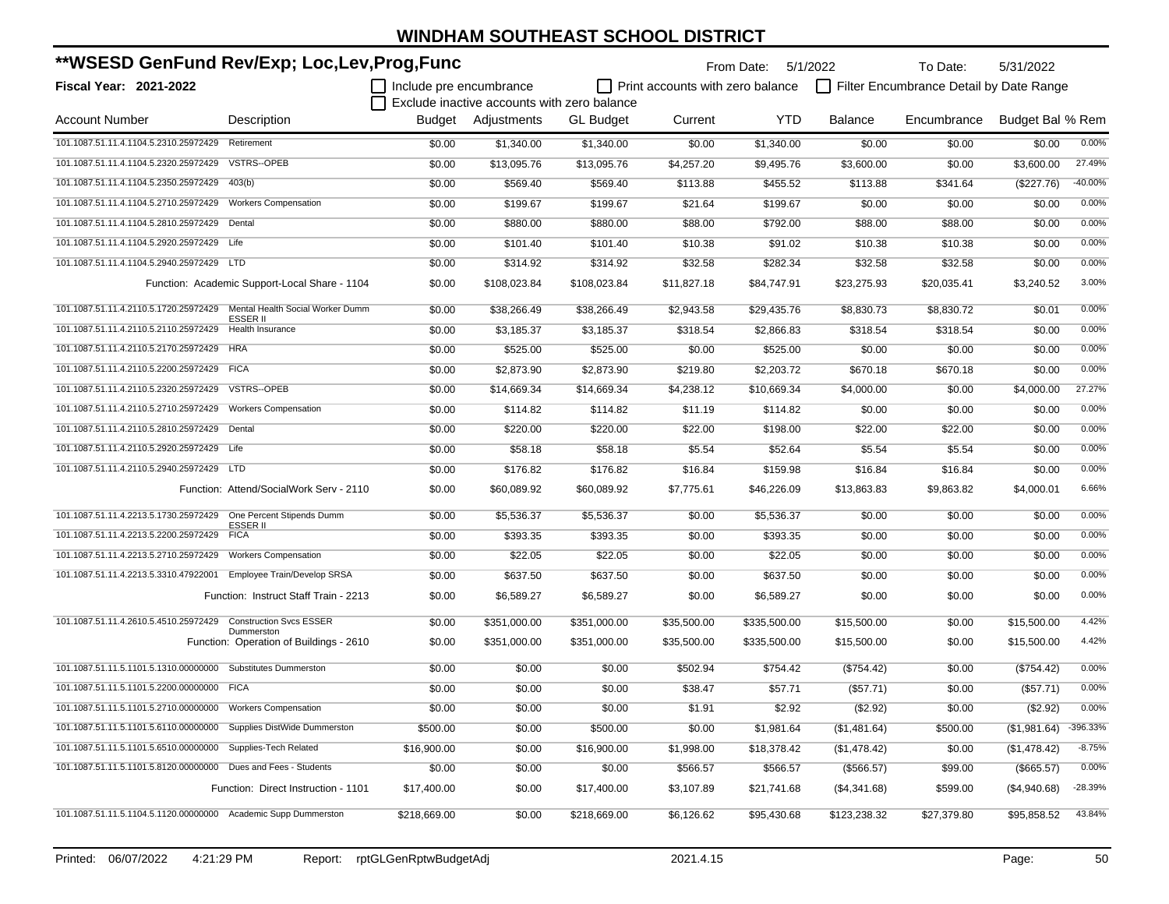| **WSESD GenFund Rev/Exp; Loc,Lev,Prog,Func                             |                                                       |                         |                                             |                  | From Date: 5/1/2022              |              | To Date:       | 5/31/2022                               |                        |           |
|------------------------------------------------------------------------|-------------------------------------------------------|-------------------------|---------------------------------------------|------------------|----------------------------------|--------------|----------------|-----------------------------------------|------------------------|-----------|
| <b>Fiscal Year: 2021-2022</b>                                          |                                                       | Include pre encumbrance |                                             |                  | Print accounts with zero balance |              |                | Filter Encumbrance Detail by Date Range |                        |           |
|                                                                        |                                                       |                         | Exclude inactive accounts with zero balance |                  |                                  |              |                |                                         |                        |           |
| <b>Account Number</b>                                                  | Description                                           |                         | Budget Adjustments                          | <b>GL Budget</b> | Current                          | <b>YTD</b>   | <b>Balance</b> | Encumbrance                             | Budget Bal % Rem       |           |
| 101.1087.51.11.4.1104.5.2310.25972429                                  | Retirement                                            | \$0.00                  | \$1,340.00                                  | \$1,340.00       | \$0.00                           | \$1,340.00   | \$0.00         | \$0.00                                  | \$0.00                 | 0.00%     |
| 101.1087.51.11.4.1104.5.2320.25972429                                  | <b>VSTRS--OPEB</b>                                    | \$0.00                  | \$13,095.76                                 | \$13,095.76      | \$4,257.20                       | \$9,495.76   | \$3,600.00     | \$0.00                                  | \$3,600.00             | 27.49%    |
| 101.1087.51.11.4.1104.5.2350.25972429                                  | 403(b)                                                | \$0.00                  | \$569.40                                    | \$569.40         | \$113.88                         | \$455.52     | \$113.88       | \$341.64                                | (\$227.76)             | $-40.00%$ |
| 101.1087.51.11.4.1104.5.2710.25972429                                  | <b>Workers Compensation</b>                           | \$0.00                  | \$199.67                                    | \$199.67         | \$21.64                          | \$199.67     | \$0.00         | \$0.00                                  | \$0.00                 | 0.00%     |
| 101.1087.51.11.4.1104.5.2810.25972429 Dental                           |                                                       | \$0.00                  | \$880.00                                    | \$880.00         | \$88.00                          | \$792.00     | \$88.00        | \$88.00                                 | \$0.00                 | 0.00%     |
| 101.1087.51.11.4.1104.5.2920.25972429                                  | Life                                                  | \$0.00                  | \$101.40                                    | \$101.40         | \$10.38                          | \$91.02      | \$10.38        | \$10.38                                 | \$0.00                 | 0.00%     |
| 101.1087.51.11.4.1104.5.2940.25972429 LTD                              |                                                       | \$0.00                  | \$314.92                                    | \$314.92         | \$32.58                          | \$282.34     | \$32.58        | \$32.58                                 | \$0.00                 | 0.00%     |
|                                                                        | Function: Academic Support-Local Share - 1104         | \$0.00                  | \$108,023.84                                | \$108,023.84     | \$11,827.18                      | \$84,747.91  | \$23,275.93    | \$20,035.41                             | \$3,240.52             | 3.00%     |
| 101.1087.51.11.4.2110.5.1720.25972429 Mental Health Social Worker Dumm | ESSER II                                              | \$0.00                  | \$38,266.49                                 | \$38,266.49      | \$2,943.58                       | \$29,435.76  | \$8,830.73     | \$8,830.72                              | \$0.01                 | 0.00%     |
| 101.1087.51.11.4.2110.5.2110.25972429                                  | Health Insurance                                      | \$0.00                  | \$3,185.37                                  | \$3,185.37       | \$318.54                         | \$2,866.83   | \$318.54       | \$318.54                                | \$0.00                 | 0.00%     |
| 101.1087.51.11.4.2110.5.2170.25972429                                  | <b>HRA</b>                                            | \$0.00                  | \$525.00                                    | \$525.00         | \$0.00                           | \$525.00     | \$0.00         | \$0.00                                  | \$0.00                 | 0.00%     |
| 101.1087.51.11.4.2110.5.2200.25972429 FICA                             |                                                       | \$0.00                  | \$2,873.90                                  | \$2,873.90       | \$219.80                         | \$2,203.72   | \$670.18       | \$670.18                                | \$0.00                 | 0.00%     |
| 101.1087.51.11.4.2110.5.2320.25972429                                  | <b>VSTRS--OPEB</b>                                    | \$0.00                  | \$14,669.34                                 | \$14,669.34      | \$4,238.12                       | \$10,669.34  | \$4,000.00     | \$0.00                                  | \$4,000.00             | 27.27%    |
| 101.1087.51.11.4.2110.5.2710.25972429                                  | <b>Workers Compensation</b>                           | \$0.00                  | \$114.82                                    | \$114.82         | \$11.19                          | \$114.82     | \$0.00         | \$0.00                                  | \$0.00                 | 0.00%     |
| 101.1087.51.11.4.2110.5.2810.25972429                                  | Dental                                                | \$0.00                  | \$220.00                                    | \$220.00         | \$22.00                          | \$198.00     | \$22.00        | \$22.00                                 | \$0.00                 | 0.00%     |
| 101.1087.51.11.4.2110.5.2920.25972429 Life                             |                                                       | \$0.00                  | \$58.18                                     | \$58.18          | \$5.54                           | \$52.64      | \$5.54         | \$5.54                                  | \$0.00                 | 0.00%     |
| 101.1087.51.11.4.2110.5.2940.25972429 LTD                              |                                                       | \$0.00                  | \$176.82                                    | \$176.82         | \$16.84                          | \$159.98     | \$16.84        | \$16.84                                 | \$0.00                 | 0.00%     |
|                                                                        | Function: Attend/SocialWork Serv - 2110               | \$0.00                  | \$60,089.92                                 | \$60,089.92      | \$7,775.61                       | \$46,226.09  | \$13,863.83    | \$9,863.82                              | \$4,000.01             | 6.66%     |
| 101.1087.51.11.4.2213.5.1730.25972429 One Percent Stipends Dumm        |                                                       | \$0.00                  | \$5,536.37                                  | \$5,536.37       | \$0.00                           | \$5,536.37   | \$0.00         | \$0.00                                  | \$0.00                 | 0.00%     |
| 101.1087.51.11.4.2213.5.2200.25972429                                  | ESSER II<br><b>FICA</b>                               | \$0.00                  | \$393.35                                    | \$393.35         | \$0.00                           | \$393.35     | \$0.00         | \$0.00                                  | \$0.00                 | 0.00%     |
| 101.1087.51.11.4.2213.5.2710.25972429                                  | <b>Workers Compensation</b>                           | \$0.00                  | \$22.05                                     | \$22.05          | \$0.00                           | \$22.05      | \$0.00         | \$0.00                                  | \$0.00                 | 0.00%     |
| 101.1087.51.11.4.2213.5.3310.47922001                                  | Employee Train/Develop SRSA                           | \$0.00                  | \$637.50                                    | \$637.50         | \$0.00                           | \$637.50     | \$0.00         | \$0.00                                  | \$0.00                 | 0.00%     |
|                                                                        | Function: Instruct Staff Train - 2213                 | \$0.00                  | \$6,589.27                                  | \$6,589.27       | \$0.00                           | \$6,589.27   | \$0.00         | \$0.00                                  | \$0.00                 | 0.00%     |
| 101.1087.51.11.4.2610.5.4510.25972429                                  | <b>Construction Svcs ESSER</b>                        | \$0.00                  | \$351,000.00                                | \$351,000.00     | \$35,500.00                      | \$335,500.00 | \$15,500.00    | \$0.00                                  | \$15,500.00            | 4.42%     |
|                                                                        | Dummerston<br>Function: Operation of Buildings - 2610 | \$0.00                  | \$351,000.00                                | \$351,000.00     | \$35,500.00                      | \$335,500.00 | \$15,500.00    | \$0.00                                  | \$15,500.00            | 4.42%     |
| 101.1087.51.11.5.1101.5.1310.00000000                                  | <b>Substitutes Dummerston</b>                         | \$0.00                  | \$0.00                                      | \$0.00           | \$502.94                         | \$754.42     | (\$754.42)     | \$0.00                                  | (\$754.42)             | 0.00%     |
| 101.1087.51.11.5.1101.5.2200.00000000 FICA                             |                                                       | \$0.00                  | \$0.00                                      | \$0.00           | \$38.47                          | \$57.71      | (\$57.71)      | \$0.00                                  | (\$57.71)              | 0.00%     |
| 101.1087.51.11.5.1101.5.2710.00000000 Workers Compensation             |                                                       | \$0.00                  | \$0.00                                      | \$0.00           | \$1.91                           | \$2.92       | (\$2.92)       | \$0.00                                  | (\$2.92)               | 0.00%     |
| 101.1087.51.11.5.1101.5.6110.00000000 Supplies DistWide Dummerston     |                                                       | \$500.00                | \$0.00                                      | \$500.00         | \$0.00                           | \$1,981.64   | (\$1,481.64)   | \$500.00                                | $($1,981.64)$ -396.33% |           |
| 101.1087.51.11.5.1101.5.6510.00000000 Supplies-Tech Related            |                                                       | \$16,900.00             | \$0.00                                      | \$16,900.00      | \$1,998.00                       | \$18,378.42  | (\$1,478.42)   | \$0.00                                  | (\$1,478.42)           | $-8.75%$  |
| 101.1087.51.11.5.1101.5.8120.00000000 Dues and Fees - Students         |                                                       | \$0.00                  | \$0.00                                      | \$0.00           | \$566.57                         | \$566.57     | (\$566.57)     | \$99.00                                 | (\$665.57)             | 0.00%     |
|                                                                        | Function: Direct Instruction - 1101                   | \$17,400.00             | \$0.00                                      | \$17,400.00      | \$3,107.89                       | \$21,741.68  | (\$4,341.68)   | \$599.00                                | (\$4,940.68)           | -28.39%   |
| 101.1087.51.11.5.1104.5.1120.00000000 Academic Supp Dummerston         |                                                       | \$218,669.00            | \$0.00                                      | \$218,669.00     | \$6,126.62                       | \$95,430.68  | \$123,238.32   | \$27,379.80                             | \$95,858.52            | 43.84%    |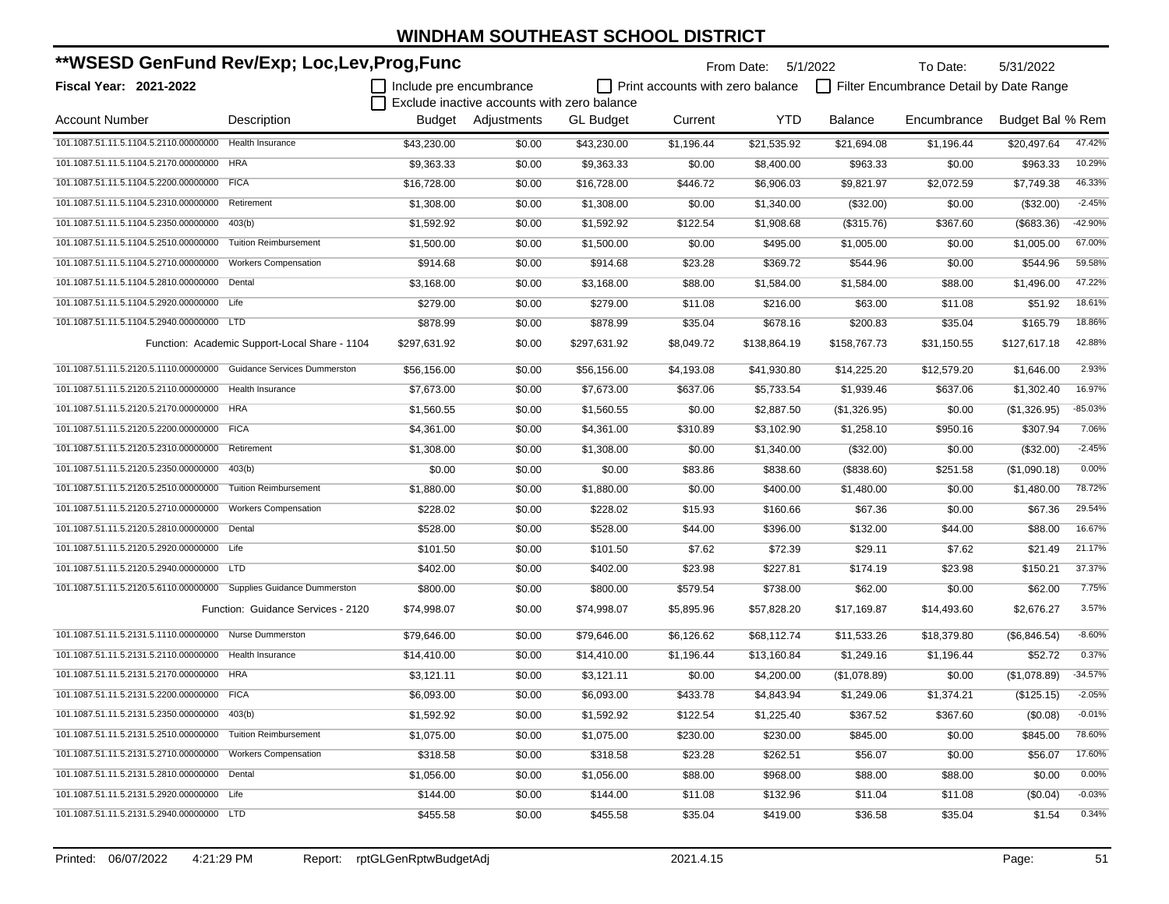| **WSESD GenFund Rev/Exp; Loc,Lev,Prog,Func                         |                                               |                         |                                             |                  | From Date: 5/1/2022                     |              | To Date:       | 5/31/2022                               |                  |           |
|--------------------------------------------------------------------|-----------------------------------------------|-------------------------|---------------------------------------------|------------------|-----------------------------------------|--------------|----------------|-----------------------------------------|------------------|-----------|
| <b>Fiscal Year: 2021-2022</b>                                      |                                               | Include pre encumbrance |                                             |                  | $\Box$ Print accounts with zero balance |              |                | Filter Encumbrance Detail by Date Range |                  |           |
|                                                                    |                                               |                         | Exclude inactive accounts with zero balance |                  |                                         |              |                |                                         |                  |           |
| <b>Account Number</b>                                              | Description                                   |                         | Budget Adjustments                          | <b>GL Budget</b> | Current                                 | <b>YTD</b>   | <b>Balance</b> | Encumbrance                             | Budget Bal % Rem |           |
| 101.1087.51.11.5.1104.5.2110.00000000                              | <b>Health Insurance</b>                       | \$43.230.00             | \$0.00                                      | \$43.230.00      | \$1,196.44                              | \$21,535.92  | \$21,694.08    | \$1,196.44                              | \$20,497.64      | 47.42%    |
| 101.1087.51.11.5.1104.5.2170.00000000                              | <b>HRA</b>                                    | \$9,363.33              | \$0.00                                      | \$9,363.33       | \$0.00                                  | \$8,400.00   | \$963.33       | \$0.00                                  | \$963.33         | 10.29%    |
| 101.1087.51.11.5.1104.5.2200.00000000 FICA                         |                                               | \$16,728.00             | \$0.00                                      | \$16,728.00      | \$446.72                                | \$6,906.03   | \$9,821.97     | \$2,072.59                              | \$7,749.38       | 46.33%    |
| 101.1087.51.11.5.1104.5.2310.00000000                              | Retirement                                    | \$1,308.00              | \$0.00                                      | \$1,308.00       | \$0.00                                  | \$1,340.00   | (\$32.00)      | \$0.00                                  | (\$32.00)        | $-2.45%$  |
| 101.1087.51.11.5.1104.5.2350.00000000                              | 403(b)                                        | \$1.592.92              | \$0.00                                      | \$1,592.92       | \$122.54                                | \$1,908.68   | (\$315.76)     | \$367.60                                | (\$683.36)       | $-42.90%$ |
| 101.1087.51.11.5.1104.5.2510.00000000                              | <b>Tuition Reimbursement</b>                  | \$1,500.00              | \$0.00                                      | \$1,500.00       | \$0.00                                  | \$495.00     | \$1,005.00     | \$0.00                                  | \$1,005.00       | 67.00%    |
| 101.1087.51.11.5.1104.5.2710.00000000                              | <b>Workers Compensation</b>                   | \$914.68                | \$0.00                                      | \$914.68         | \$23.28                                 | \$369.72     | \$544.96       | \$0.00                                  | \$544.96         | 59.58%    |
| 101.1087.51.11.5.1104.5.2810.00000000                              | Dental                                        | \$3,168.00              | \$0.00                                      | \$3,168.00       | \$88.00                                 | \$1,584.00   | \$1,584.00     | \$88.00                                 | \$1,496.00       | 47.22%    |
| 101.1087.51.11.5.1104.5.2920.00000000 Life                         |                                               | \$279.00                | \$0.00                                      | \$279.00         | \$11.08                                 | \$216.00     | \$63.00        | \$11.08                                 | \$51.92          | 18.61%    |
| 101.1087.51.11.5.1104.5.2940.00000000 LTD                          |                                               | \$878.99                | \$0.00                                      | \$878.99         | \$35.04                                 | \$678.16     | \$200.83       | \$35.04                                 | \$165.79         | 18.86%    |
|                                                                    | Function: Academic Support-Local Share - 1104 | \$297,631.92            | \$0.00                                      | \$297,631.92     | \$8,049.72                              | \$138,864.19 | \$158,767.73   | \$31,150.55                             | \$127,617.18     | 42.88%    |
| 101.1087.51.11.5.2120.5.1110.00000000 Guidance Services Dummerston |                                               | \$56,156.00             | \$0.00                                      | \$56,156.00      | \$4,193.08                              | \$41,930.80  | \$14,225.20    | \$12,579.20                             | \$1,646.00       | 2.93%     |
| 101.1087.51.11.5.2120.5.2110.00000000                              | Health Insurance                              | \$7,673.00              | \$0.00                                      | \$7,673.00       | \$637.06                                | \$5,733.54   | \$1,939.46     | \$637.06                                | \$1,302.40       | 16.97%    |
| 101.1087.51.11.5.2120.5.2170.00000000 HRA                          |                                               | \$1,560.55              | \$0.00                                      | \$1,560.55       | \$0.00                                  | \$2,887.50   | (\$1,326.95)   | \$0.00                                  | (\$1,326.95)     | $-85.03%$ |
| 101.1087.51.11.5.2120.5.2200.00000000 FICA                         |                                               | \$4,361.00              | \$0.00                                      | \$4,361.00       | \$310.89                                | \$3,102.90   | \$1,258.10     | \$950.16                                | \$307.94         | 7.06%     |
| 101.1087.51.11.5.2120.5.2310.00000000                              | Retirement                                    | \$1,308.00              | \$0.00                                      | \$1,308.00       | \$0.00                                  | \$1,340.00   | (\$32.00)      | \$0.00                                  | (\$32.00)        | $-2.45%$  |
| 101.1087.51.11.5.2120.5.2350.00000000                              | 403(b)                                        | \$0.00                  | \$0.00                                      | \$0.00           | \$83.86                                 | \$838.60     | (\$838.60)     | \$251.58                                | (\$1,090.18)     | 0.00%     |
| 101.1087.51.11.5.2120.5.2510.00000000                              | <b>Tuition Reimbursement</b>                  | \$1,880.00              | \$0.00                                      | \$1,880.00       | \$0.00                                  | \$400.00     | \$1,480.00     | \$0.00                                  | \$1,480.00       | 78.72%    |
| 101.1087.51.11.5.2120.5.2710.00000000                              | <b>Workers Compensation</b>                   | \$228.02                | \$0.00                                      | \$228.02         | \$15.93                                 | \$160.66     | \$67.36        | \$0.00                                  | \$67.36          | 29.54%    |
| 101.1087.51.11.5.2120.5.2810.00000000 Dental                       |                                               | \$528.00                | \$0.00                                      | \$528.00         | \$44.00                                 | \$396.00     | \$132.00       | \$44.00                                 | \$88.00          | 16.67%    |
| 101.1087.51.11.5.2120.5.2920.00000000 Life                         |                                               | \$101.50                | \$0.00                                      | \$101.50         | \$7.62                                  | \$72.39      | \$29.11        | \$7.62                                  | \$21.49          | 21.17%    |
| 101.1087.51.11.5.2120.5.2940.00000000 LTD                          |                                               | \$402.00                | \$0.00                                      | \$402.00         | \$23.98                                 | \$227.81     | \$174.19       | \$23.98                                 | \$150.21         | 37.37%    |
| 101.1087.51.11.5.2120.5.6110.00000000 Supplies Guidance Dummerston |                                               | \$800.00                | \$0.00                                      | \$800.00         | \$579.54                                | \$738.00     | \$62.00        | \$0.00                                  | \$62.00          | 7.75%     |
|                                                                    | Function: Guidance Services - 2120            | \$74,998.07             | \$0.00                                      | \$74,998.07      | \$5,895.96                              | \$57,828.20  | \$17,169.87    | \$14,493.60                             | \$2,676.27       | 3.57%     |
| 101.1087.51.11.5.2131.5.1110.00000000 Nurse Dummerston             |                                               | \$79,646.00             | \$0.00                                      | \$79,646.00      | \$6,126.62                              | \$68,112.74  | \$11,533.26    | \$18,379.80                             | (\$6,846.54)     | $-8.60%$  |
| 101.1087.51.11.5.2131.5.2110.00000000 Health Insurance             |                                               | \$14,410.00             | \$0.00                                      | \$14,410.00      | \$1,196.44                              | \$13,160.84  | \$1,249.16     | \$1,196.44                              | \$52.72          | 0.37%     |
| 101.1087.51.11.5.2131.5.2170.00000000 HRA                          |                                               | \$3,121.11              | \$0.00                                      | \$3,121.11       | \$0.00                                  | \$4,200.00   | (\$1,078.89)   | \$0.00                                  | (\$1,078.89)     | $-34.57%$ |
| 101.1087.51.11.5.2131.5.2200.00000000 FICA                         |                                               | \$6,093.00              | \$0.00                                      | \$6,093.00       | \$433.78                                | \$4,843.94   | \$1,249.06     | \$1,374.21                              | (\$125.15)       | $-2.05%$  |
| 101.1087.51.11.5.2131.5.2350.00000000 403(b)                       |                                               | \$1,592.92              | \$0.00                                      | \$1,592.92       | \$122.54                                | \$1,225.40   | \$367.52       | \$367.60                                | (\$0.08)         | $-0.01%$  |
| 101.1087.51.11.5.2131.5.2510.00000000 Tuition Reimbursement        |                                               | \$1,075.00              | \$0.00                                      | \$1,075.00       | \$230.00                                | \$230.00     | \$845.00       | \$0.00                                  | \$845.00         | 78.60%    |
| 101.1087.51.11.5.2131.5.2710.00000000 Workers Compensation         |                                               | \$318.58                | \$0.00                                      | \$318.58         | \$23.28                                 | \$262.51     | \$56.07        | \$0.00                                  | \$56.07          | 17.60%    |
| 101.1087.51.11.5.2131.5.2810.00000000 Dental                       |                                               | \$1,056.00              | \$0.00                                      | \$1,056.00       | \$88.00                                 | \$968.00     | \$88.00        | \$88.00                                 | \$0.00           | 0.00%     |
| 101.1087.51.11.5.2131.5.2920.00000000 Life                         |                                               | \$144.00                | \$0.00                                      | \$144.00         | \$11.08                                 | \$132.96     | \$11.04        | \$11.08                                 | (\$0.04)         | $-0.03%$  |
| 101.1087.51.11.5.2131.5.2940.00000000 LTD                          |                                               | \$455.58                | \$0.00                                      | \$455.58         | \$35.04                                 | \$419.00     | \$36.58        | \$35.04                                 | \$1.54           | 0.34%     |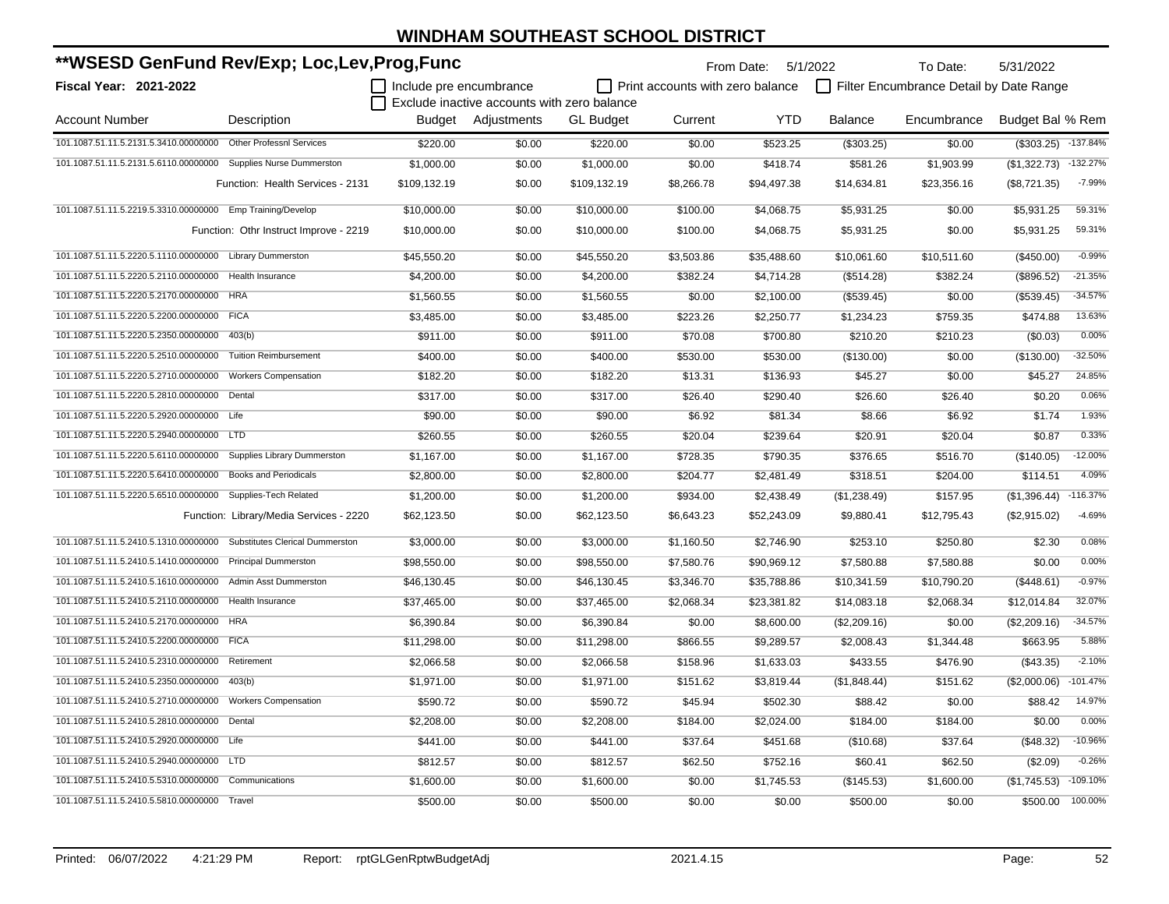| **WSESD GenFund Rev/Exp; Loc,Lev,Prog,Func                      |                                         |                         |                                             |                  |                                  | From Date: 5/1/2022 |                | To Date:                                | 5/31/2022        |            |
|-----------------------------------------------------------------|-----------------------------------------|-------------------------|---------------------------------------------|------------------|----------------------------------|---------------------|----------------|-----------------------------------------|------------------|------------|
| Fiscal Year: 2021-2022                                          |                                         | Include pre encumbrance |                                             |                  | Print accounts with zero balance |                     |                | Filter Encumbrance Detail by Date Range |                  |            |
|                                                                 |                                         |                         | Exclude inactive accounts with zero balance |                  |                                  |                     |                |                                         |                  |            |
| <b>Account Number</b>                                           | Description                             | Budget                  | Adjustments                                 | <b>GL Budget</b> | Current                          | <b>YTD</b>          | <b>Balance</b> | Encumbrance                             | Budget Bal % Rem |            |
| 101.1087.51.11.5.2131.5.3410.00000000 Other Professnl Services  |                                         | \$220.00                | \$0.00                                      | \$220.00         | \$0.00                           | \$523.25            | (\$303.25)     | \$0.00                                  | (\$303.25)       | $-137.84%$ |
| 101.1087.51.11.5.2131.5.6110.00000000 Supplies Nurse Dummerston |                                         | \$1,000.00              | \$0.00                                      | \$1,000.00       | \$0.00                           | \$418.74            | \$581.26       | \$1,903.99                              | (\$1,322.73)     | $-132.27%$ |
|                                                                 | Function: Health Services - 2131        | \$109,132.19            | \$0.00                                      | \$109,132.19     | \$8,266.78                       | \$94,497.38         | \$14,634.81    | \$23,356.16                             | (\$8,721.35)     | $-7.99%$   |
| 101.1087.51.11.5.2219.5.3310.00000000 Emp Training/Develop      |                                         | \$10.000.00             | \$0.00                                      | \$10,000.00      | \$100.00                         | \$4,068.75          | \$5,931.25     | \$0.00                                  | \$5.931.25       | 59.31%     |
|                                                                 | Function: Othr Instruct Improve - 2219  | \$10,000.00             | \$0.00                                      | \$10,000.00      | \$100.00                         | \$4,068.75          | \$5,931.25     | \$0.00                                  | \$5,931.25       | 59.31%     |
| 101.1087.51.11.5.2220.5.1110.00000000 Library Dummerston        |                                         | \$45,550.20             | \$0.00                                      | \$45,550.20      | \$3,503.86                       | \$35,488.60         | \$10,061.60    | \$10,511.60                             | (\$450.00)       | $-0.99%$   |
| 101.1087.51.11.5.2220.5.2110.00000000 Health Insurance          |                                         | \$4,200.00              | \$0.00                                      | \$4,200.00       | \$382.24                         | \$4,714.28          | (\$514.28)     | \$382.24                                | (\$896.52)       | $-21.35%$  |
| 101.1087.51.11.5.2220.5.2170.00000000 HRA                       |                                         | \$1,560.55              | \$0.00                                      | \$1,560.55       | \$0.00                           | \$2,100.00          | (\$539.45)     | \$0.00                                  | (\$539.45)       | $-34.57%$  |
| 101.1087.51.11.5.2220.5.2200.00000000 FICA                      |                                         | \$3,485.00              | \$0.00                                      | \$3,485.00       | \$223.26                         | \$2,250.77          | \$1,234.23     | \$759.35                                | \$474.88         | 13.63%     |
| 101.1087.51.11.5.2220.5.2350.00000000                           | 403(b)                                  | \$911.00                | \$0.00                                      | \$911.00         | \$70.08                          | \$700.80            | \$210.20       | \$210.23                                | (\$0.03)         | 0.00%      |
| 101.1087.51.11.5.2220.5.2510.00000000                           | <b>Tuition Reimbursement</b>            | \$400.00                | \$0.00                                      | \$400.00         | \$530.00                         | \$530.00            | (\$130.00)     | \$0.00                                  | (\$130.00)       | $-32.50%$  |
| 101.1087.51.11.5.2220.5.2710.00000000                           | <b>Workers Compensation</b>             | \$182.20                | \$0.00                                      | \$182.20         | \$13.31                          | \$136.93            | \$45.27        | \$0.00                                  | \$45.27          | 24.85%     |
| 101.1087.51.11.5.2220.5.2810.00000000                           | Dental                                  | \$317.00                | \$0.00                                      | \$317.00         | \$26.40                          | \$290.40            | \$26.60        | \$26.40                                 | \$0.20           | 0.06%      |
| 101.1087.51.11.5.2220.5.2920.00000000                           | Life                                    | \$90.00                 | \$0.00                                      | \$90.00          | \$6.92                           | \$81.34             | \$8.66         | \$6.92                                  | \$1.74           | 1.93%      |
| 101.1087.51.11.5.2220.5.2940.00000000                           | LTD <sub></sub>                         | \$260.55                | \$0.00                                      | \$260.55         | \$20.04                          | \$239.64            | \$20.91        | \$20.04                                 | \$0.87           | 0.33%      |
| 101.1087.51.11.5.2220.5.6110.00000000                           | Supplies Library Dummerston             | \$1,167.00              | \$0.00                                      | \$1,167.00       | \$728.35                         | \$790.35            | \$376.65       | \$516.70                                | (\$140.05)       | $-12.00%$  |
| 101.1087.51.11.5.2220.5.6410.00000000                           | <b>Books and Periodicals</b>            | \$2,800.00              | \$0.00                                      | \$2,800.00       | \$204.77                         | \$2,481.49          | \$318.51       | \$204.00                                | \$114.51         | 4.09%      |
| 101.1087.51.11.5.2220.5.6510.00000000                           | Supplies-Tech Related                   | \$1,200.00              | \$0.00                                      | \$1,200.00       | \$934.00                         | \$2,438.49          | (\$1,238.49)   | \$157.95                                | (\$1,396.44)     | $-116.37%$ |
|                                                                 | Function: Library/Media Services - 2220 | \$62,123.50             | \$0.00                                      | \$62,123.50      | \$6,643.23                       | \$52,243.09         | \$9,880.41     | \$12,795.43                             | (\$2,915.02)     | $-4.69%$   |
| 101.1087.51.11.5.2410.5.1310.00000000                           | <b>Substitutes Clerical Dummerston</b>  | \$3,000.00              | \$0.00                                      | \$3,000.00       | \$1,160.50                       | \$2,746.90          | \$253.10       | \$250.80                                | \$2.30           | 0.08%      |
| 101.1087.51.11.5.2410.5.1410.00000000                           | <b>Principal Dummerston</b>             | \$98,550.00             | \$0.00                                      | \$98,550.00      | \$7,580.76                       | \$90,969.12         | \$7,580.88     | \$7,580.88                              | \$0.00           | 0.00%      |
| 101.1087.51.11.5.2410.5.1610.00000000                           | Admin Asst Dummerston                   | \$46,130.45             | \$0.00                                      | \$46,130.45      | \$3,346.70                       | \$35,788.86         | \$10,341.59    | \$10,790.20                             | (\$448.61)       | $-0.97%$   |
| 101.1087.51.11.5.2410.5.2110.00000000                           | Health Insurance                        | \$37,465.00             | \$0.00                                      | \$37,465.00      | \$2,068.34                       | \$23,381.82         | \$14,083.18    | \$2,068.34                              | \$12,014.84      | 32.07%     |
| 101.1087.51.11.5.2410.5.2170.00000000 HRA                       |                                         | \$6,390.84              | \$0.00                                      | \$6,390.84       | \$0.00                           | \$8,600.00          | (\$2,209.16)   | \$0.00                                  | (\$2,209.16)     | $-34.57%$  |
| 101.1087.51.11.5.2410.5.2200.00000000                           | <b>FICA</b>                             | \$11,298.00             | \$0.00                                      | \$11,298.00      | \$866.55                         | \$9,289.57          | \$2,008.43     | \$1,344.48                              | \$663.95         | 5.88%      |
| 101.1087.51.11.5.2410.5.2310.00000000                           | Retirement                              | \$2,066.58              | \$0.00                                      | \$2,066.58       | \$158.96                         | \$1,633.03          | \$433.55       | \$476.90                                | (\$43.35)        | $-2.10%$   |
| 101.1087.51.11.5.2410.5.2350.00000000 403(b)                    |                                         | \$1,971.00              | \$0.00                                      | \$1,971.00       | \$151.62                         | \$3,819.44          | (\$1,848.44)   | \$151.62                                | (\$2,000.06)     | $-101.47%$ |
| 101.1087.51.11.5.2410.5.2710.00000000 Workers Compensation      |                                         | \$590.72                | \$0.00                                      | \$590.72         | \$45.94                          | \$502.30            | \$88.42        | \$0.00                                  | \$88.42          | 14.97%     |
| 101.1087.51.11.5.2410.5.2810.00000000 Dental                    |                                         | \$2,208.00              | \$0.00                                      | \$2,208.00       | \$184.00                         | \$2,024.00          | \$184.00       | \$184.00                                | \$0.00           | 0.00%      |
| 101.1087.51.11.5.2410.5.2920.00000000 Life                      |                                         | \$441.00                | \$0.00                                      | \$441.00         | \$37.64                          | \$451.68            | (\$10.68)      | \$37.64                                 | (\$48.32)        | $-10.96%$  |
| 101.1087.51.11.5.2410.5.2940.00000000 LTD                       |                                         | \$812.57                | \$0.00                                      | \$812.57         | \$62.50                          | \$752.16            | \$60.41        | \$62.50                                 | (\$2.09)         | $-0.26%$   |
| 101.1087.51.11.5.2410.5.5310.00000000                           | Communications                          | \$1,600.00              | \$0.00                                      | \$1,600.00       | \$0.00                           | \$1,745.53          | (\$145.53)     | \$1,600.00                              | (\$1,745.53)     | $-109.10%$ |
| 101.1087.51.11.5.2410.5.5810.00000000                           | Travel                                  | \$500.00                | \$0.00                                      | \$500.00         | \$0.00                           | \$0.00              | \$500.00       | \$0.00                                  | \$500.00         | 100.00%    |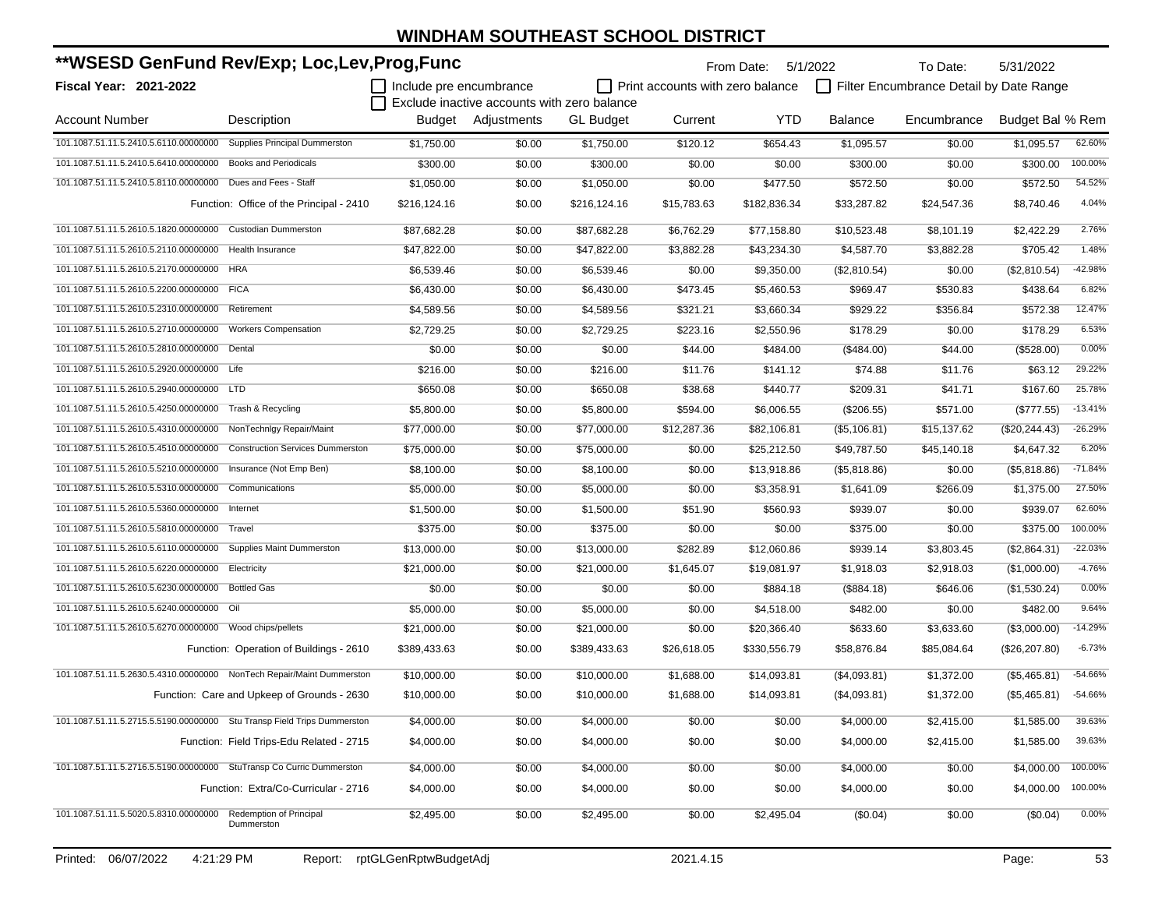| **WSESD GenFund Rev/Exp; Loc,Lev,Prog,Func                              |                                             |                         |                                             |                  | From Date:                       | 5/1/2022     | To Date:       | 5/31/2022                               |                  |           |
|-------------------------------------------------------------------------|---------------------------------------------|-------------------------|---------------------------------------------|------------------|----------------------------------|--------------|----------------|-----------------------------------------|------------------|-----------|
| Fiscal Year: 2021-2022                                                  |                                             | Include pre encumbrance | Exclude inactive accounts with zero balance |                  | Print accounts with zero balance |              |                | Filter Encumbrance Detail by Date Range |                  |           |
| <b>Account Number</b>                                                   | Description                                 |                         | Budget Adjustments                          | <b>GL</b> Budget | Current                          | <b>YTD</b>   | <b>Balance</b> | Encumbrance                             | Budget Bal % Rem |           |
| 101.1087.51.11.5.2410.5.6110.00000000                                   | <b>Supplies Principal Dummerston</b>        | \$1,750.00              | \$0.00                                      | \$1,750.00       | \$120.12                         | \$654.43     | \$1,095.57     | \$0.00                                  | \$1,095.57       | 62.60%    |
| 101.1087.51.11.5.2410.5.6410.00000000 Books and Periodicals             |                                             | \$300.00                | \$0.00                                      | \$300.00         | \$0.00                           | \$0.00       | \$300.00       | \$0.00                                  | \$300.00         | 100.00%   |
| 101.1087.51.11.5.2410.5.8110.00000000                                   | Dues and Fees - Staff                       | \$1,050.00              | \$0.00                                      | \$1,050.00       | \$0.00                           | \$477.50     | \$572.50       | \$0.00                                  | \$572.50         | 54.52%    |
|                                                                         | Function: Office of the Principal - 2410    | \$216,124.16            | \$0.00                                      | \$216,124.16     | \$15,783.63                      | \$182,836.34 | \$33,287.82    | \$24,547.36                             | \$8,740.46       | 4.04%     |
| 101.1087.51.11.5.2610.5.1820.00000000 Custodian Dummerston              |                                             | \$87,682.28             | \$0.00                                      | \$87,682.28      | \$6,762.29                       | \$77,158.80  | \$10,523.48    | \$8,101.19                              | \$2,422.29       | 2.76%     |
| 101.1087.51.11.5.2610.5.2110.00000000                                   | Health Insurance                            | \$47,822.00             | \$0.00                                      | \$47,822.00      | \$3,882.28                       | \$43,234.30  | \$4,587.70     | \$3,882.28                              | \$705.42         | 1.48%     |
| 101.1087.51.11.5.2610.5.2170.00000000 HRA                               |                                             | \$6,539.46              | \$0.00                                      | \$6,539.46       | \$0.00                           | \$9,350.00   | (\$2,810.54)   | \$0.00                                  | (\$2,810.54)     | $-42.98%$ |
| 101.1087.51.11.5.2610.5.2200.00000000 FICA                              |                                             | \$6,430.00              | \$0.00                                      | \$6,430.00       | \$473.45                         | \$5,460.53   | \$969.47       | \$530.83                                | \$438.64         | 6.82%     |
| 101.1087.51.11.5.2610.5.2310.00000000                                   | Retirement                                  | \$4,589.56              | \$0.00                                      | \$4,589.56       | \$321.21                         | \$3,660.34   | \$929.22       | \$356.84                                | \$572.38         | 12.47%    |
| 101.1087.51.11.5.2610.5.2710.00000000                                   | <b>Workers Compensation</b>                 | \$2,729.25              | \$0.00                                      | \$2,729.25       | \$223.16                         | \$2,550.96   | \$178.29       | \$0.00                                  | \$178.29         | 6.53%     |
| 101.1087.51.11.5.2610.5.2810.00000000 Dental                            |                                             | \$0.00                  | \$0.00                                      | \$0.00           | \$44.00                          | \$484.00     | (\$484.00)     | \$44.00                                 | (\$528.00)       | 0.00%     |
| 101.1087.51.11.5.2610.5.2920.00000000 Life                              |                                             | \$216.00                | \$0.00                                      | \$216.00         | \$11.76                          | \$141.12     | \$74.88        | \$11.76                                 | \$63.12          | 29.22%    |
| 101.1087.51.11.5.2610.5.2940.00000000 LTD                               |                                             | \$650.08                | \$0.00                                      | \$650.08         | \$38.68                          | \$440.77     | \$209.31       | \$41.71                                 | \$167.60         | 25.78%    |
| 101.1087.51.11.5.2610.5.4250.00000000                                   | Trash & Recycling                           | \$5,800.00              | \$0.00                                      | \$5,800.00       | \$594.00                         | \$6,006.55   | $(\$206.55)$   | \$571.00                                | (\$777.55)       | $-13.41%$ |
| 101.1087.51.11.5.2610.5.4310.00000000 NonTechnIgy Repair/Maint          |                                             | \$77,000.00             | \$0.00                                      | \$77,000.00      | \$12,287.36                      | \$82,106.81  | (\$5,106.81)   | \$15,137.62                             | (\$20, 244.43)   | $-26.29%$ |
| 101.1087.51.11.5.2610.5.4510.00000000                                   | <b>Construction Services Dummerston</b>     | \$75,000.00             | \$0.00                                      | \$75,000.00      | \$0.00                           | \$25,212.50  | \$49,787.50    | \$45,140.18                             | \$4,647.32       | 6.20%     |
| 101.1087.51.11.5.2610.5.5210.00000000                                   | Insurance (Not Emp Ben)                     | \$8,100.00              | \$0.00                                      | \$8,100.00       | \$0.00                           | \$13,918.86  | (\$5,818.86)   | \$0.00                                  | (\$5,818.86)     | $-71.84%$ |
| 101.1087.51.11.5.2610.5.5310.00000000                                   | Communications                              | \$5,000.00              | \$0.00                                      | \$5,000.00       | \$0.00                           | \$3,358.91   | \$1,641.09     | \$266.09                                | \$1,375.00       | 27.50%    |
| 101.1087.51.11.5.2610.5.5360.00000000 Internet                          |                                             | \$1,500.00              | \$0.00                                      | \$1,500.00       | \$51.90                          | \$560.93     | \$939.07       | \$0.00                                  | \$939.07         | 62.60%    |
| 101.1087.51.11.5.2610.5.5810.00000000                                   | Travel                                      | \$375.00                | \$0.00                                      | \$375.00         | \$0.00                           | \$0.00       | \$375.00       | \$0.00                                  | \$375.00         | 100.00%   |
| 101.1087.51.11.5.2610.5.6110.00000000 Supplies Maint Dummerston         |                                             | \$13,000.00             | \$0.00                                      | \$13,000.00      | \$282.89                         | \$12,060.86  | \$939.14       | \$3,803.45                              | (\$2,864.31)     | $-22.03%$ |
| 101.1087.51.11.5.2610.5.6220.00000000                                   | Electricity                                 | \$21,000.00             | \$0.00                                      | \$21,000.00      | \$1,645.07                       | \$19,081.97  | \$1,918.03     | \$2,918.03                              | (\$1,000.00)     | $-4.76%$  |
| 101.1087.51.11.5.2610.5.6230.00000000 Bottled Gas                       |                                             | \$0.00                  | \$0.00                                      | \$0.00           | \$0.00                           | \$884.18     | (\$884.18)     | \$646.06                                | (\$1,530.24)     | 0.00%     |
| 101.1087.51.11.5.2610.5.6240.00000000 Oil                               |                                             | \$5,000.00              | \$0.00                                      | \$5,000.00       | \$0.00                           | \$4,518.00   | \$482.00       | \$0.00                                  | \$482.00         | 9.64%     |
| 101.1087.51.11.5.2610.5.6270.00000000 Wood chips/pellets                |                                             | \$21,000.00             | \$0.00                                      | \$21,000.00      | \$0.00                           | \$20,366.40  | \$633.60       | \$3,633.60                              | (\$3,000.00)     | $-14.29%$ |
|                                                                         | Function: Operation of Buildings - 2610     | \$389,433.63            | \$0.00                                      | \$389,433.63     | \$26,618.05                      | \$330,556.79 | \$58,876.84    | \$85,084.64                             | (\$26,207.80)    | $-6.73%$  |
| 101.1087.51.11.5.2630.5.4310.00000000 NonTech Repair/Maint Dummerston   |                                             | \$10,000.00             | \$0.00                                      | \$10,000.00      | \$1,688.00                       | \$14,093.81  | (\$4,093.81)   | \$1,372.00                              | (\$5,465.81)     | $-54.66%$ |
|                                                                         | Function: Care and Upkeep of Grounds - 2630 | \$10,000.00             | \$0.00                                      | \$10,000.00      | \$1,688.00                       | \$14,093.81  | (\$4,093.81)   | \$1,372.00                              | (\$5,465.81)     | -54.66%   |
| 101.1087.51.11.5.2715.5.5190.00000000 Stu Transp Field Trips Dummerston |                                             | \$4,000.00              | \$0.00                                      | \$4,000.00       | \$0.00                           | \$0.00       | \$4,000.00     | \$2,415.00                              | \$1,585.00       | 39.63%    |
|                                                                         | Function: Field Trips-Edu Related - 2715    | \$4,000.00              | \$0.00                                      | \$4,000.00       | \$0.00                           | \$0.00       | \$4,000.00     | \$2,415.00                              | \$1,585.00       | 39.63%    |
| 101.1087.51.11.5.2716.5.5190.00000000 StuTransp Co Curric Dummerston    |                                             | \$4,000.00              | \$0.00                                      | \$4,000.00       | \$0.00                           | \$0.00       | \$4,000.00     | \$0.00                                  | \$4,000.00       | 100.00%   |
|                                                                         | Function: Extra/Co-Curricular - 2716        | \$4,000.00              | \$0.00                                      | \$4,000.00       | \$0.00                           | \$0.00       | \$4,000.00     | \$0.00                                  | \$4,000.00       | 100.00%   |
| 101.1087.51.11.5.5020.5.8310.00000000 Redemption of Principal           | Dummerston                                  | \$2,495.00              | \$0.00                                      | \$2,495.00       | \$0.00                           | \$2,495.04   | (\$0.04)       | \$0.00                                  | (\$0.04)         | 0.00%     |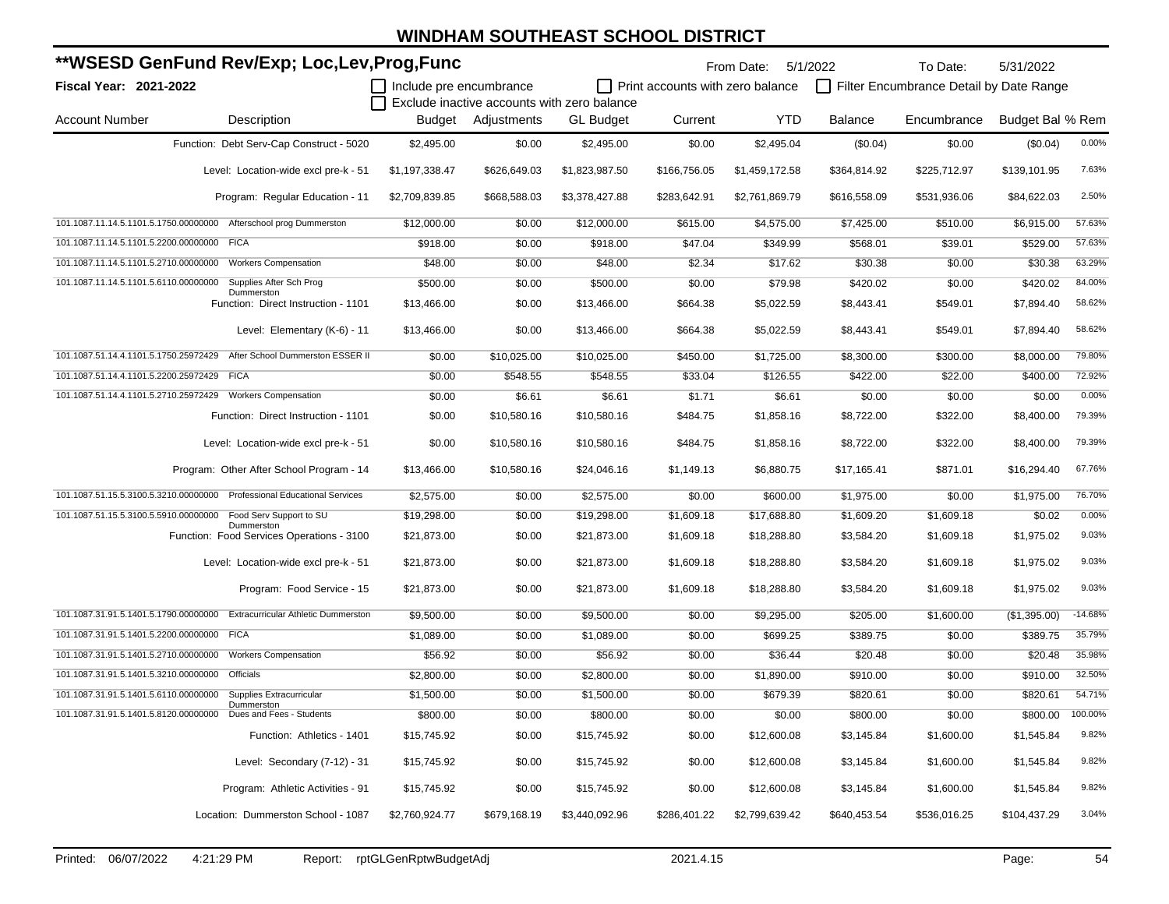| **WSESD GenFund Rev/Exp; Loc,Lev,Prog,Func                                          |                         |              |                                             |                                  | From Date:<br>5/1/2022 |                | To Date:                                | 5/31/2022        |           |
|-------------------------------------------------------------------------------------|-------------------------|--------------|---------------------------------------------|----------------------------------|------------------------|----------------|-----------------------------------------|------------------|-----------|
| Fiscal Year: 2021-2022                                                              | Include pre encumbrance |              |                                             | Print accounts with zero balance |                        |                | Filter Encumbrance Detail by Date Range |                  |           |
|                                                                                     |                         |              | Exclude inactive accounts with zero balance |                                  |                        |                |                                         |                  |           |
| <b>Account Number</b><br>Description                                                | Budget                  | Adjustments  | <b>GL Budget</b>                            | Current                          | <b>YTD</b>             | <b>Balance</b> | Encumbrance                             | Budget Bal % Rem |           |
| Function: Debt Serv-Cap Construct - 5020                                            | \$2,495.00              | \$0.00       | \$2,495.00                                  | \$0.00                           | \$2,495.04             | (\$0.04)       | \$0.00                                  | (\$0.04)         | 0.00%     |
| Level: Location-wide excl pre-k - 51                                                | \$1,197,338.47          | \$626,649.03 | \$1,823,987.50                              | \$166,756.05                     | \$1,459,172.58         | \$364,814.92   | \$225,712.97                            | \$139,101.95     | 7.63%     |
| Program: Regular Education - 11                                                     | \$2,709,839.85          | \$668,588.03 | \$3,378,427.88                              | \$283,642.91                     | \$2,761,869.79         | \$616,558.09   | \$531,936.06                            | \$84,622.03      | 2.50%     |
| 101.1087.11.14.5.1101.5.1750.00000000 Afterschool prog Dummerston                   | \$12,000.00             | \$0.00       | \$12,000.00                                 | \$615.00                         | \$4,575.00             | \$7,425.00     | \$510.00                                | \$6,915.00       | 57.63%    |
| 101.1087.11.14.5.1101.5.2200.00000000 FICA                                          | \$918.00                | \$0.00       | \$918.00                                    | \$47.04                          | \$349.99               | \$568.01       | \$39.01                                 | \$529.00         | 57.63%    |
| 101.1087.11.14.5.1101.5.2710.00000000<br><b>Workers Compensation</b>                | \$48.00                 | \$0.00       | \$48.00                                     | \$2.34                           | \$17.62                | \$30.38        | \$0.00                                  | \$30.38          | 63.29%    |
| 101.1087.11.14.5.1101.5.6110.00000000 Supplies After Sch Prog                       | \$500.00                | \$0.00       | \$500.00                                    | \$0.00                           | \$79.98                | \$420.02       | \$0.00                                  | \$420.02         | 84.00%    |
| Dummerston<br>Function: Direct Instruction - 1101                                   | \$13,466.00             | \$0.00       | \$13,466.00                                 | \$664.38                         | \$5,022.59             | \$8,443.41     | \$549.01                                | \$7,894.40       | 58.62%    |
| Level: Elementary (K-6) - 11                                                        | \$13,466.00             | \$0.00       | \$13,466.00                                 | \$664.38                         | \$5,022.59             | \$8,443.41     | \$549.01                                | \$7,894.40       | 58.62%    |
| 101.1087.51.14.4.1101.5.1750.25972429<br>After School Dummerston ESSER II           | \$0.00                  | \$10,025.00  | \$10,025.00                                 | \$450.00                         | \$1,725.00             | \$8,300.00     | \$300.00                                | \$8,000.00       | 79.80%    |
| 101.1087.51.14.4.1101.5.2200.25972429 FICA                                          | \$0.00                  | \$548.55     | \$548.55                                    | \$33.04                          | \$126.55               | \$422.00       | \$22.00                                 | \$400.00         | 72.92%    |
| 101.1087.51.14.4.1101.5.2710.25972429 Workers Compensation                          | \$0.00                  | \$6.61       | \$6.61                                      | \$1.71                           | \$6.61                 | \$0.00         | \$0.00                                  | \$0.00           | 0.00%     |
| Function: Direct Instruction - 1101                                                 | \$0.00                  | \$10,580.16  | \$10,580.16                                 | \$484.75                         | \$1,858.16             | \$8,722.00     | \$322.00                                | \$8,400.00       | 79.39%    |
| Level: Location-wide excl pre-k - 51                                                | \$0.00                  | \$10,580.16  | \$10,580.16                                 | \$484.75                         | \$1,858.16             | \$8,722.00     | \$322.00                                | \$8,400.00       | 79.39%    |
| Program: Other After School Program - 14                                            | \$13,466.00             | \$10,580.16  | \$24,046.16                                 | \$1,149.13                       | \$6,880.75             | \$17,165.41    | \$871.01                                | \$16,294.40      | 67.76%    |
| 101.1087.51.15.5.3100.5.3210.00000000 Professional Educational Services             | \$2,575.00              | \$0.00       | \$2,575.00                                  | \$0.00                           | \$600.00               | \$1,975.00     | \$0.00                                  | \$1,975.00       | 76.70%    |
| 101.1087.51.15.5.3100.5.5910.00000000 Food Serv Support to SU                       | \$19,298.00             | \$0.00       | \$19,298.00                                 | \$1,609.18                       | \$17,688.80            | \$1,609.20     | \$1,609.18                              | \$0.02           | 0.00%     |
| Dummerston<br>Function: Food Services Operations - 3100                             | \$21,873.00             | \$0.00       | \$21,873.00                                 | \$1,609.18                       | \$18,288.80            | \$3,584.20     | \$1,609.18                              | \$1,975.02       | 9.03%     |
| Level: Location-wide excl pre-k - 51                                                | \$21,873.00             | \$0.00       | \$21,873.00                                 | \$1,609.18                       | \$18,288.80            | \$3,584.20     | \$1,609.18                              | \$1,975.02       | 9.03%     |
| Program: Food Service - 15                                                          | \$21,873.00             | \$0.00       | \$21,873.00                                 | \$1,609.18                       | \$18,288.80            | \$3,584.20     | \$1,609.18                              | \$1,975.02       | 9.03%     |
| 101.1087.31.91.5.1401.5.1790.00000000<br><b>Extracurricular Athletic Dummerston</b> | \$9,500.00              | \$0.00       | \$9,500.00                                  | \$0.00                           | \$9,295.00             | \$205.00       | \$1,600.00                              | (\$1,395.00)     | $-14.68%$ |
| 101.1087.31.91.5.1401.5.2200.00000000 FICA                                          | \$1,089.00              | \$0.00       | \$1,089.00                                  | \$0.00                           | \$699.25               | \$389.75       | \$0.00                                  | \$389.75         | 35.79%    |
| 101.1087.31.91.5.1401.5.2710.00000000 Workers Compensation                          | \$56.92                 | \$0.00       | \$56.92                                     | \$0.00                           | \$36.44                | \$20.48        | \$0.00                                  | \$20.48          | 35.98%    |
| 101.1087.31.91.5.1401.5.3210.00000000 Officials                                     | \$2,800.00              | \$0.00       | \$2,800.00                                  | \$0.00                           | \$1,890.00             | \$910.00       | \$0.00                                  | \$910.00         | 32.50%    |
| 101.1087.31.91.5.1401.5.6110.00000000 Supplies Extracurricular                      | \$1,500.00              | \$0.00       | \$1,500.00                                  | \$0.00                           | \$679.39               | \$820.61       | \$0.00                                  | \$820.61         | 54.71%    |
| Dummerston<br>101.1087.31.91.5.1401.5.8120.00000000 Dues and Fees - Students        | \$800.00                | \$0.00       | \$800.00                                    | \$0.00                           | \$0.00                 | \$800.00       | \$0.00                                  | \$800.00 100.00% |           |
| Function: Athletics - 1401                                                          | \$15,745.92             | \$0.00       | \$15,745.92                                 | \$0.00                           | \$12,600.08            | \$3,145.84     | \$1,600.00                              | \$1,545.84       | 9.82%     |
| Level: Secondary (7-12) - 31                                                        | \$15,745.92             | \$0.00       | \$15,745.92                                 | \$0.00                           | \$12,600.08            | \$3,145.84     | \$1,600.00                              | \$1,545.84       | 9.82%     |
| Program: Athletic Activities - 91                                                   | \$15,745.92             | \$0.00       | \$15,745.92                                 | \$0.00                           | \$12,600.08            | \$3,145.84     | \$1,600.00                              | \$1,545.84       | 9.82%     |
| Location: Dummerston School - 1087                                                  | \$2,760,924.77          | \$679,168.19 | \$3,440,092.96                              | \$286,401.22                     | \$2,799,639.42         | \$640,453.54   | \$536,016.25                            | \$104,437.29     | 3.04%     |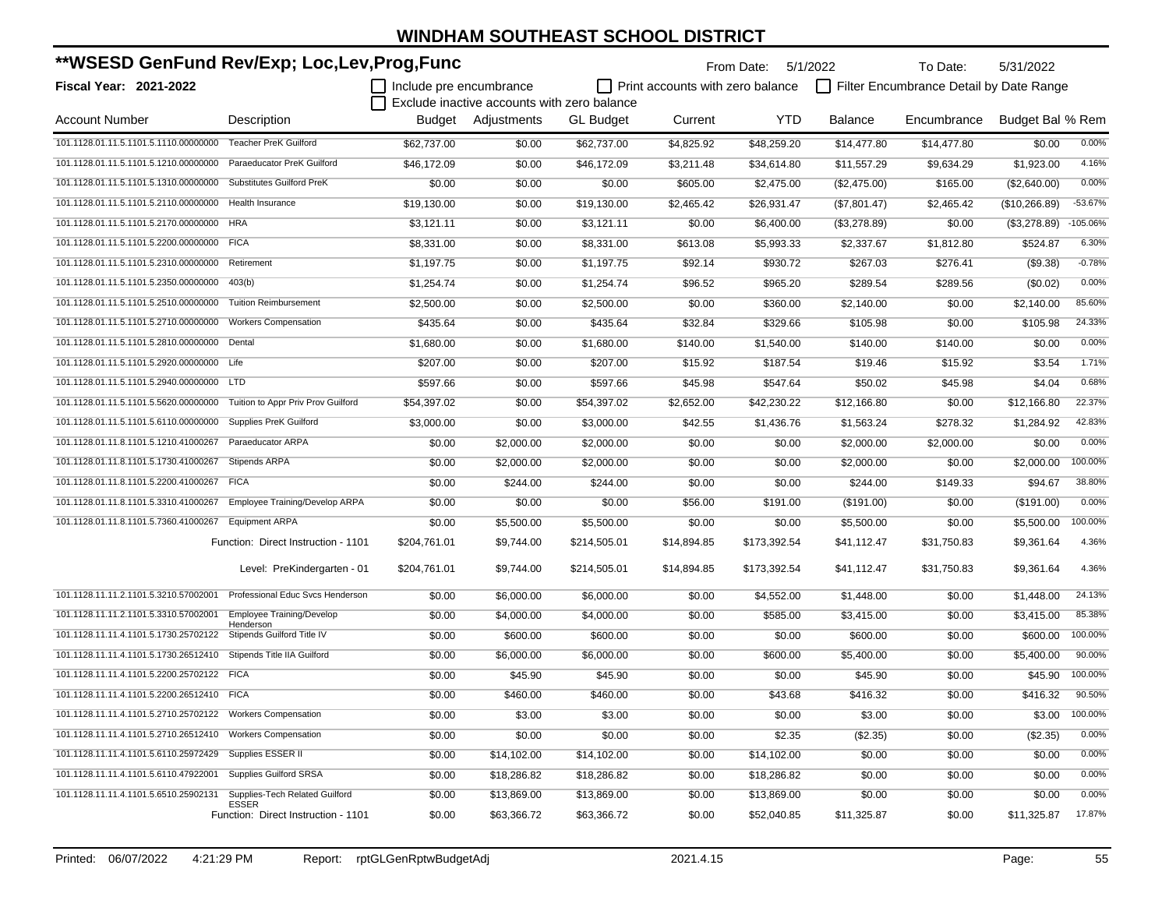| **WSESD GenFund Rev/Exp; Loc,Lev,Prog,Func                  |                                                     |                         |                                             |                  |                                         | From Date: 5/1/2022 |                | To Date:                                | 5/31/2022        |                |
|-------------------------------------------------------------|-----------------------------------------------------|-------------------------|---------------------------------------------|------------------|-----------------------------------------|---------------------|----------------|-----------------------------------------|------------------|----------------|
| Fiscal Year: 2021-2022                                      |                                                     | Include pre encumbrance |                                             |                  | $\Box$ Print accounts with zero balance |                     |                | Filter Encumbrance Detail by Date Range |                  |                |
|                                                             |                                                     |                         | Exclude inactive accounts with zero balance |                  |                                         |                     |                |                                         |                  |                |
| <b>Account Number</b>                                       | Description                                         |                         | Budget Adjustments                          | <b>GL Budget</b> | Current                                 | <b>YTD</b>          | <b>Balance</b> | Encumbrance                             | Budget Bal % Rem |                |
| 101.1128.01.11.5.1101.5.1110.00000000                       | <b>Teacher PreK Guilford</b>                        | \$62,737.00             | \$0.00                                      | \$62,737.00      | \$4,825.92                              | \$48,259.20         | \$14,477.80    | \$14,477.80                             | \$0.00           | 0.00%          |
| 101.1128.01.11.5.1101.5.1210.00000000                       | Paraeducator PreK Guilford                          | \$46,172.09             | \$0.00                                      | \$46,172.09      | \$3,211.48                              | \$34,614.80         | \$11,557.29    | \$9,634.29                              | \$1,923.00       | 4.16%          |
| 101.1128.01.11.5.1101.5.1310.00000000                       | <b>Substitutes Guilford PreK</b>                    | \$0.00                  | \$0.00                                      | \$0.00           | \$605.00                                | \$2,475.00          | (\$2,475.00)   | \$165.00                                | (\$2,640.00)     | 0.00%          |
| 101.1128.01.11.5.1101.5.2110.00000000                       | Health Insurance                                    | \$19,130.00             | \$0.00                                      | \$19,130.00      | \$2,465.42                              | \$26,931.47         | (\$7,801.47)   | \$2,465.42                              | (\$10,266.89)    | $-53.67%$      |
| 101.1128.01.11.5.1101.5.2170.00000000                       | <b>HRA</b>                                          | \$3,121.11              | \$0.00                                      | \$3,121.11       | \$0.00                                  | \$6,400.00          | (\$3,278.89)   | \$0.00                                  | (\$3,278.89)     | $-105.06%$     |
| 101.1128.01.11.5.1101.5.2200.00000000                       | <b>FICA</b>                                         | \$8,331.00              | \$0.00                                      | \$8,331.00       | \$613.08                                | \$5,993.33          | \$2,337.67     | \$1,812.80                              | \$524.87         | 6.30%          |
| 101.1128.01.11.5.1101.5.2310.00000000                       | Retirement                                          | \$1,197.75              | \$0.00                                      | \$1,197.75       | \$92.14                                 | \$930.72            | \$267.03       | \$276.41                                | (\$9.38)         | $-0.78%$       |
| 101.1128.01.11.5.1101.5.2350.00000000                       | 403(b)                                              | \$1,254.74              | \$0.00                                      | \$1,254.74       | \$96.52                                 | \$965.20            | \$289.54       | \$289.56                                | (\$0.02)         | 0.00%          |
| 101.1128.01.11.5.1101.5.2510.00000000                       | <b>Tuition Reimbursement</b>                        | \$2,500.00              | \$0.00                                      | \$2,500.00       | \$0.00                                  | \$360.00            | \$2,140.00     | \$0.00                                  | \$2,140.00       | 85.60%         |
| 101.1128.01.11.5.1101.5.2710.00000000                       | <b>Workers Compensation</b>                         | \$435.64                | \$0.00                                      | \$435.64         | \$32.84                                 | \$329.66            | \$105.98       | \$0.00                                  | \$105.98         | 24.33%         |
| 101.1128.01.11.5.1101.5.2810.00000000                       | Dental                                              | \$1,680.00              | \$0.00                                      | \$1,680.00       | \$140.00                                | \$1,540.00          | \$140.00       | \$140.00                                | \$0.00           | 0.00%          |
| 101.1128.01.11.5.1101.5.2920.00000000 Life                  |                                                     | \$207.00                | \$0.00                                      | \$207.00         | \$15.92                                 | \$187.54            | \$19.46        | \$15.92                                 | \$3.54           | 1.71%          |
| 101.1128.01.11.5.1101.5.2940.00000000                       | <b>LTD</b>                                          | \$597.66                | \$0.00                                      | \$597.66         | \$45.98                                 | \$547.64            | \$50.02        | \$45.98                                 | \$4.04           | 0.68%          |
| 101.1128.01.11.5.1101.5.5620.00000000                       | Tuition to Appr Priv Prov Guilford                  | \$54,397.02             | \$0.00                                      | \$54,397.02      | \$2,652.00                              | \$42,230.22         | \$12,166.80    | \$0.00                                  | \$12,166.80      | 22.37%         |
| 101.1128.01.11.5.1101.5.6110.00000000                       | Supplies PreK Guilford                              | \$3,000.00              | \$0.00                                      | \$3,000.00       | \$42.55                                 | \$1,436.76          | \$1,563.24     | \$278.32                                | \$1,284.92       | 42.83%         |
| 101.1128.01.11.8.1101.5.1210.41000267                       | Paraeducator ARPA                                   | \$0.00                  | \$2,000.00                                  | \$2,000.00       | \$0.00                                  | \$0.00              | \$2,000.00     | \$2,000.00                              | \$0.00           | 0.00%          |
| 101.1128.01.11.8.1101.5.1730.41000267                       | Stipends ARPA                                       | \$0.00                  | \$2,000.00                                  | \$2,000.00       | \$0.00                                  | \$0.00              | \$2,000.00     | \$0.00                                  | \$2,000.00       | 100.00%        |
| 101.1128.01.11.8.1101.5.2200.41000267                       | <b>FICA</b>                                         | \$0.00                  | \$244.00                                    | \$244.00         | \$0.00                                  | \$0.00              | \$244.00       | \$149.33                                | \$94.67          | 38.80%         |
| 101.1128.01.11.8.1101.5.3310.41000267                       | Employee Training/Develop ARPA                      | \$0.00                  | \$0.00                                      | \$0.00           | \$56.00                                 | \$191.00            | (\$191.00)     | \$0.00                                  | (\$191.00)       | 0.00%          |
| 101.1128.01.11.8.1101.5.7360.41000267                       | <b>Equipment ARPA</b>                               | \$0.00                  | \$5,500.00                                  | \$5,500.00       | \$0.00                                  | \$0.00              | \$5,500.00     | \$0.00                                  | \$5,500.00       | 100.00%        |
|                                                             | Function: Direct Instruction - 1101                 | \$204,761.01            | \$9,744.00                                  | \$214,505.01     | \$14,894.85                             | \$173,392.54        | \$41,112.47    | \$31,750.83                             | \$9,361.64       | 4.36%          |
|                                                             | Level: PreKindergarten - 01                         | \$204,761.01            | \$9,744.00                                  | \$214,505.01     | \$14,894.85                             | \$173,392.54        | \$41,112.47    | \$31,750.83                             | \$9,361.64       | 4.36%          |
| 101.1128.11.11.2.1101.5.3210.57002001                       | Professional Educ Svcs Henderson                    | \$0.00                  | \$6,000.00                                  | \$6,000.00       | \$0.00                                  | \$4,552.00          | \$1,448.00     | \$0.00                                  | \$1,448.00       | 24.13%         |
| 101.1128.11.11.2.1101.5.3310.57002001                       | Employee Training/Develop                           | \$0.00                  | \$4,000.00                                  | \$4,000.00       | \$0.00                                  | \$585.00            | \$3,415.00     | \$0.00                                  | \$3,415.00       | 85.38%         |
| 101.1128.11.11.4.1101.5.1730.25702122                       | Henderson<br>Stipends Guilford Title IV             | \$0.00                  | \$600.00                                    | \$600.00         | \$0.00                                  | \$0.00              | \$600.00       | \$0.00                                  | \$600.00         | 100.00%        |
| 101.1128.11.11.4.1101.5.1730.26512410                       | Stipends Title IIA Guilford                         | \$0.00                  | \$6,000.00                                  | \$6,000.00       | \$0.00                                  | \$600.00            | \$5,400.00     | \$0.00                                  | \$5,400.00       | 90.00%         |
| 101.1128.11.11.4.1101.5.2200.25702122 FICA                  |                                                     | \$0.00                  | \$45.90                                     | \$45.90          | \$0.00                                  | \$0.00              | \$45.90        | \$0.00                                  | \$45.90          | 100.00%        |
| 101.1128.11.11.4.1101.5.2200.26512410 FICA                  |                                                     | \$0.00                  | \$460.00                                    | \$460.00         | \$0.00                                  | \$43.68             | \$416.32       | \$0.00                                  | \$416.32         | 90.50%         |
| 101.1128.11.11.4.1101.5.2710.25702122  Workers Compensation |                                                     | \$0.00                  | \$3.00                                      | \$3.00           | \$0.00                                  | \$0.00              | \$3.00         | \$0.00                                  |                  | \$3.00 100.00% |
| 101.1128.11.11.4.1101.5.2710.26512410 Workers Compensation  |                                                     | \$0.00                  | \$0.00                                      | \$0.00           | \$0.00                                  | \$2.35              | (\$2.35)       | \$0.00                                  | (\$2.35)         | 0.00%          |
| 101.1128.11.11.4.1101.5.6110.25972429 Supplies ESSER II     |                                                     | \$0.00                  | \$14,102.00                                 | \$14,102.00      | \$0.00                                  | \$14,102.00         | \$0.00         | \$0.00                                  | \$0.00           | 0.00%          |
| 101.1128.11.11.4.1101.5.6110.47922001                       | <b>Supplies Guilford SRSA</b>                       | \$0.00                  | \$18,286.82                                 | \$18,286.82      | \$0.00                                  | \$18,286.82         | \$0.00         | \$0.00                                  | \$0.00           | 0.00%          |
| 101.1128.11.11.4.1101.5.6510.25902131                       | Supplies-Tech Related Guilford                      | \$0.00                  | \$13,869.00                                 | \$13,869.00      | \$0.00                                  | \$13,869.00         | \$0.00         | \$0.00                                  | \$0.00           | 0.00%          |
|                                                             | <b>ESSER</b><br>Function: Direct Instruction - 1101 | \$0.00                  | \$63,366.72                                 | \$63,366.72      | \$0.00                                  | \$52,040.85         | \$11,325.87    | \$0.00                                  | \$11,325.87      | 17.87%         |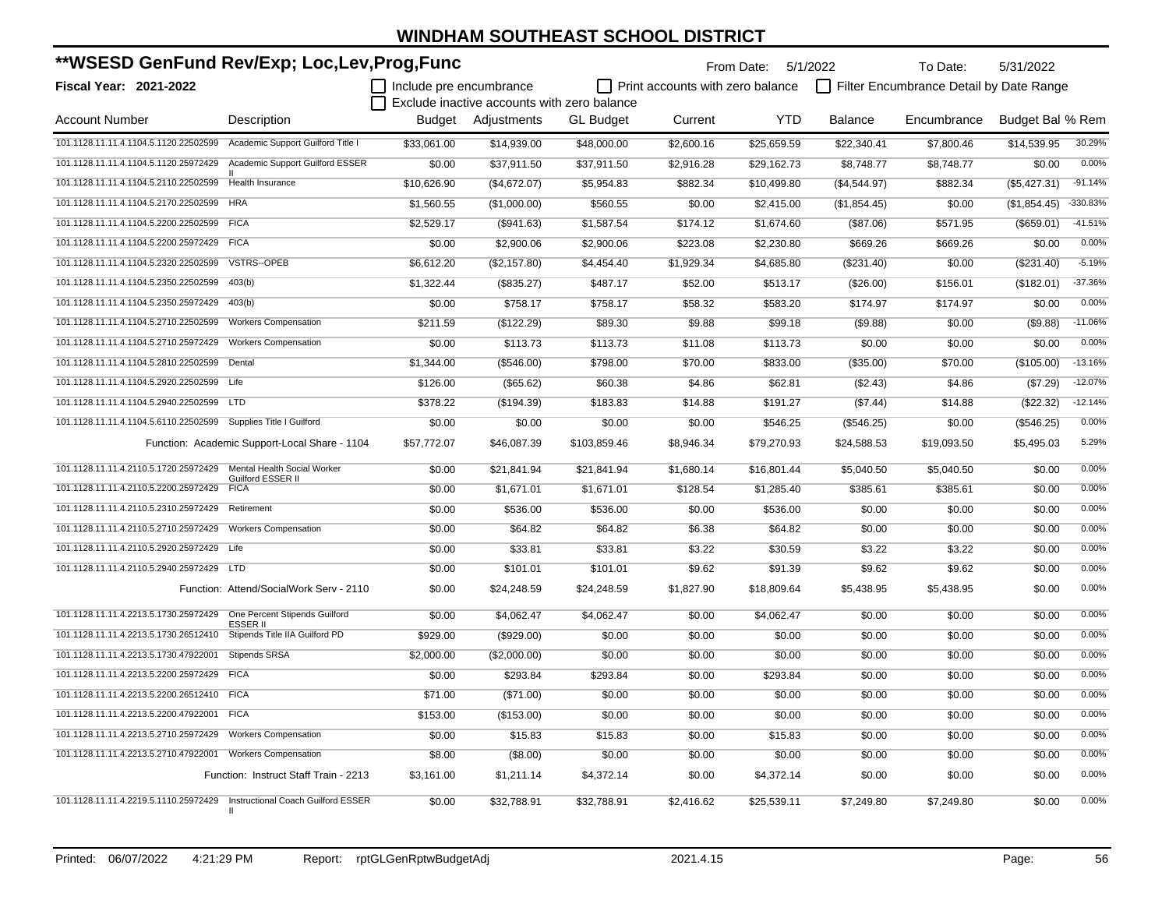| **WSESD GenFund Rev/Exp; Loc,Lev,Prog,Func                               |                                                   |                         |                                             |                  | From Date: 5/1/2022              |             | To Date:       | 5/31/2022                               |                  |           |
|--------------------------------------------------------------------------|---------------------------------------------------|-------------------------|---------------------------------------------|------------------|----------------------------------|-------------|----------------|-----------------------------------------|------------------|-----------|
| <b>Fiscal Year: 2021-2022</b>                                            |                                                   | Include pre encumbrance |                                             |                  | Print accounts with zero balance |             |                | Filter Encumbrance Detail by Date Range |                  |           |
|                                                                          |                                                   |                         | Exclude inactive accounts with zero balance |                  |                                  |             |                |                                         |                  |           |
| <b>Account Number</b>                                                    | Description                                       | Budget                  | Adjustments                                 | <b>GL Budget</b> | Current                          | <b>YTD</b>  | <b>Balance</b> | Encumbrance                             | Budget Bal % Rem |           |
| 101.1128.11.11.4.1104.5.1120.22502599 Academic Support Guilford Title I  |                                                   | \$33,061.00             | \$14,939.00                                 | \$48,000.00      | \$2,600.16                       | \$25,659.59 | \$22,340.41    | \$7,800.46                              | \$14,539.95      | 30.29%    |
| 101.1128.11.11.4.1104.5.1120.25972429                                    | <b>Academic Support Guilford ESSER</b>            | \$0.00                  | \$37,911.50                                 | \$37,911.50      | \$2,916.28                       | \$29,162.73 | \$8,748.77     | \$8,748.77                              | \$0.00           | 0.00%     |
| 101.1128.11.11.4.1104.5.2110.22502599                                    | Health Insurance                                  | \$10,626.90             | (\$4,672.07)                                | \$5,954.83       | \$882.34                         | \$10,499.80 | (\$4,544.97)   | \$882.34                                | (\$5,427.31)     | $-91.14%$ |
| 101.1128.11.11.4.1104.5.2170.22502599                                    | <b>HRA</b>                                        | \$1,560.55              | (\$1,000.00)                                | \$560.55         | \$0.00                           | \$2,415.00  | (\$1,854.45)   | \$0.00                                  | (\$1,854.45)     | -330.83%  |
| 101.1128.11.11.4.1104.5.2200.22502599                                    | <b>FICA</b>                                       | \$2,529.17              | (\$941.63)                                  | \$1,587.54       | \$174.12                         | \$1,674.60  | (\$87.06)      | \$571.95                                | (\$659.01)       | $-41.51%$ |
| 101.1128.11.11.4.1104.5.2200.25972429 FICA                               |                                                   | \$0.00                  | \$2,900.06                                  | \$2,900.06       | \$223.08                         | \$2,230.80  | \$669.26       | \$669.26                                | \$0.00           | 0.00%     |
| 101.1128.11.11.4.1104.5.2320.22502599                                    | <b>VSTRS--OPEB</b>                                | \$6,612.20              | (\$2,157.80)                                | \$4,454.40       | \$1,929.34                       | \$4,685.80  | (\$231.40)     | \$0.00                                  | (\$231.40)       | $-5.19%$  |
| 101.1128.11.11.4.1104.5.2350.22502599                                    | 403(b)                                            | \$1,322.44              | (\$835.27)                                  | \$487.17         | \$52.00                          | \$513.17    | (\$26.00)      | \$156.01                                | (\$182.01)       | $-37.36%$ |
| 101.1128.11.11.4.1104.5.2350.25972429                                    | 403(b)                                            | \$0.00                  | \$758.17                                    | \$758.17         | \$58.32                          | \$583.20    | \$174.97       | \$174.97                                | \$0.00           | 0.00%     |
| 101.1128.11.11.4.1104.5.2710.22502599                                    | <b>Workers Compensation</b>                       | \$211.59                | (\$122.29)                                  | \$89.30          | \$9.88                           | \$99.18     | (\$9.88)       | \$0.00                                  | (\$9.88)         | $-11.06%$ |
| 101.1128.11.11.4.1104.5.2710.25972429                                    | <b>Workers Compensation</b>                       | \$0.00                  | \$113.73                                    | \$113.73         | \$11.08                          | \$113.73    | \$0.00         | \$0.00                                  | \$0.00           | 0.00%     |
| 101.1128.11.11.4.1104.5.2810.22502599 Dental                             |                                                   | \$1,344.00              | (\$546.00)                                  | \$798.00         | \$70.00                          | \$833.00    | (\$35.00)      | \$70.00                                 | (\$105.00)       | $-13.16%$ |
| 101.1128.11.11.4.1104.5.2920.22502599 Life                               |                                                   | \$126.00                | (\$65.62)                                   | \$60.38          | \$4.86                           | \$62.81     | (\$2.43)       | \$4.86                                  | (\$7.29)         | $-12.07%$ |
| 101.1128.11.11.4.1104.5.2940.22502599 LTD                                |                                                   | \$378.22                | (\$194.39)                                  | \$183.83         | \$14.88                          | \$191.27    | (\$7.44)       | \$14.88                                 | (\$22.32)        | $-12.14%$ |
| 101.1128.11.11.4.1104.5.6110.22502599 Supplies Title I Guilford          |                                                   | \$0.00                  | \$0.00                                      | \$0.00           | \$0.00                           | \$546.25    | (\$546.25)     | \$0.00                                  | (\$546.25)       | 0.00%     |
|                                                                          | Function: Academic Support-Local Share - 1104     | \$57,772.07             | \$46,087.39                                 | \$103,859.46     | \$8,946.34                       | \$79,270.93 | \$24,588.53    | \$19,093.50                             | \$5,495.03       | 5.29%     |
| 101.1128.11.11.4.2110.5.1720.25972429 Mental Health Social Worker        |                                                   | \$0.00                  | \$21,841.94                                 | \$21,841.94      | \$1,680.14                       | \$16,801.44 | \$5,040.50     | \$5,040.50                              | \$0.00           | 0.00%     |
| 101.1128.11.11.4.2110.5.2200.25972429                                    | Guilford ESSER II<br><b>FICA</b>                  | \$0.00                  | \$1,671.01                                  | \$1,671.01       | \$128.54                         | \$1,285.40  | \$385.61       | \$385.61                                | \$0.00           | 0.00%     |
| 101.1128.11.11.4.2110.5.2310.25972429                                    | Retirement                                        | \$0.00                  | \$536.00                                    | \$536.00         | \$0.00                           | \$536.00    | \$0.00         | \$0.00                                  | \$0.00           | 0.00%     |
| 101.1128.11.11.4.2110.5.2710.25972429                                    | <b>Workers Compensation</b>                       | \$0.00                  | \$64.82                                     | \$64.82          | \$6.38                           | \$64.82     | \$0.00         | \$0.00                                  | \$0.00           | 0.00%     |
| 101.1128.11.11.4.2110.5.2920.25972429 Life                               |                                                   | \$0.00                  | \$33.81                                     | \$33.81          | \$3.22                           | \$30.59     | \$3.22         | \$3.22                                  | \$0.00           | 0.00%     |
| 101.1128.11.11.4.2110.5.2940.25972429 LTD                                |                                                   | \$0.00                  | \$101.01                                    | \$101.01         | \$9.62                           | \$91.39     | \$9.62         | \$9.62                                  | \$0.00           | 0.00%     |
|                                                                          | Function: Attend/SocialWork Serv - 2110           | \$0.00                  | \$24,248.59                                 | \$24,248.59      | \$1,827.90                       | \$18,809.64 | \$5,438.95     | \$5,438.95                              | \$0.00           | 0.00%     |
| 101.1128.11.11.4.2213.5.1730.25972429                                    | One Percent Stipends Guilford                     | \$0.00                  | \$4,062.47                                  | \$4,062.47       | \$0.00                           | \$4,062.47  | \$0.00         | \$0.00                                  | \$0.00           | 0.00%     |
| 101.1128.11.11.4.2213.5.1730.26512410                                    | <b>ESSER II</b><br>Stipends Title IIA Guilford PD | \$929.00                | (\$929.00)                                  | \$0.00           | \$0.00                           | \$0.00      | \$0.00         | \$0.00                                  | \$0.00           | 0.00%     |
| 101.1128.11.11.4.2213.5.1730.47922001                                    | <b>Stipends SRSA</b>                              | \$2,000.00              | (\$2,000.00)                                | \$0.00           | \$0.00                           | \$0.00      | \$0.00         | \$0.00                                  | \$0.00           | 0.00%     |
| 101.1128.11.11.4.2213.5.2200.25972429 FICA                               |                                                   | \$0.00                  | \$293.84                                    | \$293.84         | \$0.00                           | \$293.84    | \$0.00         | \$0.00                                  | \$0.00           | 0.00%     |
| 101.1128.11.11.4.2213.5.2200.26512410 FICA                               |                                                   | \$71.00                 | (\$71.00)                                   | \$0.00           | \$0.00                           | \$0.00      | \$0.00         | \$0.00                                  | \$0.00           | 0.00%     |
| 101.1128.11.11.4.2213.5.2200.47922001 FICA                               |                                                   | \$153.00                | (\$153.00)                                  | \$0.00           | \$0.00                           | \$0.00      | \$0.00         | \$0.00                                  | \$0.00           | 0.00%     |
| 101.1128.11.11.4.2213.5.2710.25972429                                    | <b>Workers Compensation</b>                       | \$0.00                  | \$15.83                                     | \$15.83          | \$0.00                           | \$15.83     | \$0.00         | \$0.00                                  | \$0.00           | 0.00%     |
| 101.1128.11.11.4.2213.5.2710.47922001                                    | <b>Workers Compensation</b>                       | \$8.00                  | (\$8.00)                                    | \$0.00           | \$0.00                           | \$0.00      | \$0.00         | \$0.00                                  | \$0.00           | 0.00%     |
|                                                                          | Function: Instruct Staff Train - 2213             | \$3,161.00              | \$1,211.14                                  | \$4,372.14       | \$0.00                           | \$4,372.14  | \$0.00         | \$0.00                                  | \$0.00           | 0.00%     |
| 101.1128.11.11.4.2219.5.1110.25972429 Instructional Coach Guilford ESSER | -11                                               | \$0.00                  | \$32,788.91                                 | \$32,788.91      | \$2,416.62                       | \$25,539.11 | \$7,249.80     | \$7,249.80                              | \$0.00           | 0.00%     |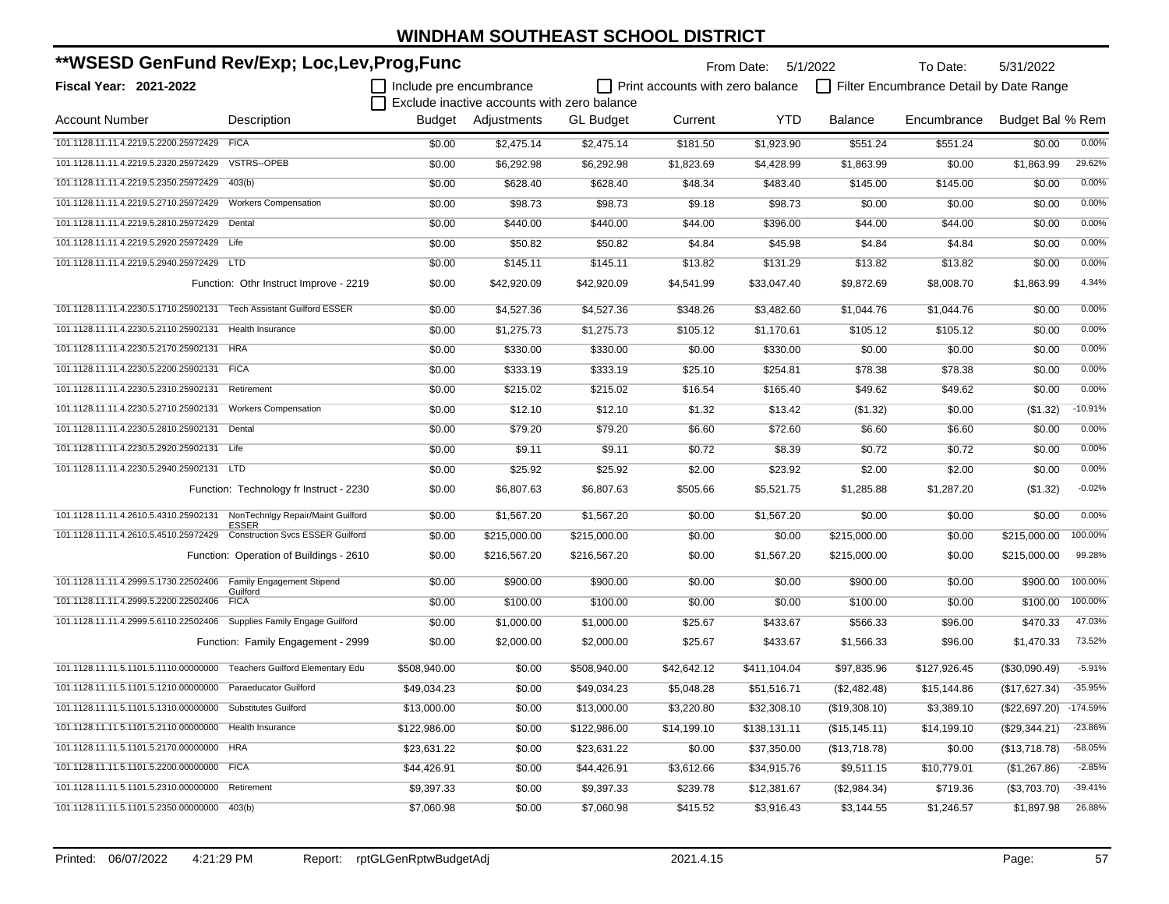| **WSESD GenFund Rev/Exp; Loc,Lev,Prog,Func                             |                                                   |                         |                                             |                  |                                         | From Date: 5/1/2022 |                | To Date:                                | 5/31/2022        |            |
|------------------------------------------------------------------------|---------------------------------------------------|-------------------------|---------------------------------------------|------------------|-----------------------------------------|---------------------|----------------|-----------------------------------------|------------------|------------|
| <b>Fiscal Year: 2021-2022</b>                                          |                                                   | Include pre encumbrance |                                             |                  | $\Box$ Print accounts with zero balance |                     |                | Filter Encumbrance Detail by Date Range |                  |            |
|                                                                        |                                                   |                         | Exclude inactive accounts with zero balance |                  |                                         |                     |                |                                         |                  |            |
| <b>Account Number</b>                                                  | Description                                       |                         | Budget Adjustments                          | <b>GL Budget</b> | Current                                 | <b>YTD</b>          | <b>Balance</b> | Encumbrance                             | Budget Bal % Rem |            |
| 101.1128.11.11.4.2219.5.2200.25972429 FICA                             |                                                   | \$0.00                  | \$2,475.14                                  | \$2,475.14       | \$181.50                                | \$1,923.90          | \$551.24       | \$551.24                                | \$0.00           | 0.00%      |
| 101.1128.11.11.4.2219.5.2320.25972429                                  | VSTRS--OPEB                                       | \$0.00                  | \$6,292.98                                  | \$6,292.98       | \$1,823.69                              | \$4,428.99          | \$1,863.99     | \$0.00                                  | \$1,863.99       | 29.62%     |
| 101.1128.11.11.4.2219.5.2350.25972429                                  | 403(b)                                            | \$0.00                  | \$628.40                                    | \$628.40         | \$48.34                                 | \$483.40            | \$145.00       | \$145.00                                | \$0.00           | 0.00%      |
| 101.1128.11.11.4.2219.5.2710.25972429                                  | <b>Workers Compensation</b>                       | \$0.00                  | \$98.73                                     | \$98.73          | \$9.18                                  | \$98.73             | \$0.00         | \$0.00                                  | \$0.00           | 0.00%      |
| 101.1128.11.11.4.2219.5.2810.25972429                                  | Dental                                            | \$0.00                  | \$440.00                                    | \$440.00         | \$44.00                                 | \$396.00            | \$44.00        | \$44.00                                 | \$0.00           | 0.00%      |
| 101.1128.11.11.4.2219.5.2920.25972429                                  | Life                                              | \$0.00                  | \$50.82                                     | \$50.82          | \$4.84                                  | \$45.98             | \$4.84         | \$4.84                                  | \$0.00           | 0.00%      |
| 101.1128.11.11.4.2219.5.2940.25972429 LTD                              |                                                   | \$0.00                  | \$145.11                                    | \$145.11         | \$13.82                                 | \$131.29            | \$13.82        | \$13.82                                 | \$0.00           | 0.00%      |
|                                                                        | Function: Othr Instruct Improve - 2219            | \$0.00                  | \$42,920.09                                 | \$42,920.09      | \$4,541.99                              | \$33,047.40         | \$9,872.69     | \$8,008.70                              | \$1,863.99       | 4.34%      |
| 101.1128.11.11.4.2230.5.1710.25902131                                  | <b>Tech Assistant Guilford ESSER</b>              | \$0.00                  | \$4,527.36                                  | \$4,527.36       | \$348.26                                | \$3,482.60          | \$1,044.76     | \$1,044.76                              | \$0.00           | 0.00%      |
| 101.1128.11.11.4.2230.5.2110.25902131                                  | Health Insurance                                  | \$0.00                  | \$1,275.73                                  | \$1,275.73       | \$105.12                                | \$1,170.61          | \$105.12       | \$105.12                                | \$0.00           | 0.00%      |
| 101.1128.11.11.4.2230.5.2170.25902131 HRA                              |                                                   | \$0.00                  | \$330.00                                    | \$330.00         | \$0.00                                  | \$330.00            | \$0.00         | \$0.00                                  | \$0.00           | 0.00%      |
| 101.1128.11.11.4.2230.5.2200.25902131 FICA                             |                                                   | \$0.00                  | \$333.19                                    | \$333.19         | \$25.10                                 | \$254.81            | \$78.38        | \$78.38                                 | \$0.00           | 0.00%      |
| 101.1128.11.11.4.2230.5.2310.25902131                                  | Retirement                                        | \$0.00                  | \$215.02                                    | \$215.02         | \$16.54                                 | \$165.40            | \$49.62        | \$49.62                                 | \$0.00           | 0.00%      |
| 101.1128.11.11.4.2230.5.2710.25902131                                  | <b>Workers Compensation</b>                       | \$0.00                  | \$12.10                                     | \$12.10          | \$1.32                                  | \$13.42             | (\$1.32)       | \$0.00                                  | (\$1.32)         | $-10.91%$  |
| 101.1128.11.11.4.2230.5.2810.25902131                                  | Dental                                            | \$0.00                  | \$79.20                                     | \$79.20          | \$6.60                                  | \$72.60             | \$6.60         | \$6.60                                  | \$0.00           | 0.00%      |
| 101.1128.11.11.4.2230.5.2920.25902131                                  | Life                                              | \$0.00                  | \$9.11                                      | \$9.11           | \$0.72                                  | \$8.39              | \$0.72         | \$0.72                                  | \$0.00           | 0.00%      |
| 101.1128.11.11.4.2230.5.2940.25902131 LTD                              |                                                   | \$0.00                  | \$25.92                                     | \$25.92          | \$2.00                                  | \$23.92             | \$2.00         | \$2.00                                  | \$0.00           | 0.00%      |
|                                                                        | Function: Technology fr Instruct - 2230           | \$0.00                  | \$6,807.63                                  | \$6,807.63       | \$505.66                                | \$5,521.75          | \$1,285.88     | \$1,287.20                              | (\$1.32)         | $-0.02%$   |
| 101.1128.11.11.4.2610.5.4310.25902131                                  | NonTechnIgy Repair/Maint Guilford<br><b>ESSER</b> | \$0.00                  | \$1,567.20                                  | \$1,567.20       | \$0.00                                  | \$1,567.20          | \$0.00         | \$0.00                                  | \$0.00           | 0.00%      |
| 101.1128.11.11.4.2610.5.4510.25972429                                  | <b>Construction Svcs ESSER Guilford</b>           | \$0.00                  | \$215,000.00                                | \$215,000.00     | \$0.00                                  | \$0.00              | \$215,000.00   | \$0.00                                  | \$215,000.00     | 100.00%    |
|                                                                        | Function: Operation of Buildings - 2610           | \$0.00                  | \$216,567.20                                | \$216,567.20     | \$0.00                                  | \$1,567.20          | \$215,000.00   | \$0.00                                  | \$215,000.00     | 99.28%     |
| 101.1128.11.11.4.2999.5.1730.22502406                                  | Family Engagement Stipend<br>Guilford             | \$0.00                  | \$900.00                                    | \$900.00         | \$0.00                                  | \$0.00              | \$900.00       | \$0.00                                  | \$900.00         | 100.00%    |
| 101.1128.11.11.4.2999.5.2200.22502406                                  | <b>FICA</b>                                       | \$0.00                  | \$100.00                                    | \$100.00         | \$0.00                                  | \$0.00              | \$100.00       | \$0.00                                  | \$100.00         | 100.00%    |
| 101.1128.11.11.4.2999.5.6110.22502406                                  | Supplies Family Engage Guilford                   | \$0.00                  | \$1,000.00                                  | \$1,000.00       | \$25.67                                 | \$433.67            | \$566.33       | \$96.00                                 | \$470.33         | 47.03%     |
|                                                                        | Function: Family Engagement - 2999                | \$0.00                  | \$2,000.00                                  | \$2,000.00       | \$25.67                                 | \$433.67            | \$1,566.33     | \$96.00                                 | \$1,470.33       | 73.52%     |
| 101.1128.11.11.5.1101.5.1110.00000000 Teachers Guilford Elementary Edu |                                                   | \$508,940.00            | \$0.00                                      | \$508,940.00     | \$42,642.12                             | \$411,104.04        | \$97,835.96    | \$127,926.45                            | (\$30,090.49)    | $-5.91%$   |
| 101.1128.11.11.5.1101.5.1210.00000000                                  | <b>Paraeducator Guilford</b>                      | \$49,034.23             | \$0.00                                      | \$49,034.23      | \$5,048.28                              | \$51,516.71         | (\$2,482.48)   | \$15,144.86                             | (\$17,627.34)    | $-35.95%$  |
| 101.1128.11.11.5.1101.5.1310.00000000 Substitutes Guilford             |                                                   | \$13,000.00             | \$0.00                                      | \$13,000.00      | \$3,220.80                              | \$32,308.10         | (\$19,308.10)  | \$3,389.10                              | (\$22,697.20)    | $-174.59%$ |
| 101.1128.11.11.5.1101.5.2110.00000000                                  | Health Insurance                                  | \$122,986.00            | \$0.00                                      | \$122,986.00     | \$14,199.10                             | \$138,131.11        | (\$15, 145.11) | \$14,199.10                             | (\$29,344.21)    | $-23.86%$  |
| 101.1128.11.11.5.1101.5.2170.00000000                                  | <b>HRA</b>                                        | \$23,631.22             | \$0.00                                      | \$23,631.22      | \$0.00                                  | \$37,350.00         | (\$13,718.78)  | \$0.00                                  | (\$13,718.78)    | $-58.05%$  |
| 101.1128.11.11.5.1101.5.2200.00000000                                  | <b>FICA</b>                                       | \$44,426.91             | \$0.00                                      | \$44,426.91      | \$3,612.66                              | \$34,915.76         | \$9,511.15     | \$10,779.01                             | (\$1,267.86)     | $-2.85%$   |
| 101.1128.11.11.5.1101.5.2310.00000000                                  | Retirement                                        | \$9,397.33              | \$0.00                                      | \$9,397.33       | \$239.78                                | \$12,381.67         | (\$2,984.34)   | \$719.36                                | (\$3,703.70)     | $-39.41%$  |
| 101.1128.11.11.5.1101.5.2350.00000000                                  | 403(b)                                            | \$7,060.98              | \$0.00                                      | \$7,060.98       | \$415.52                                | \$3,916.43          | \$3,144.55     | \$1,246.57                              | \$1,897.98       | 26.88%     |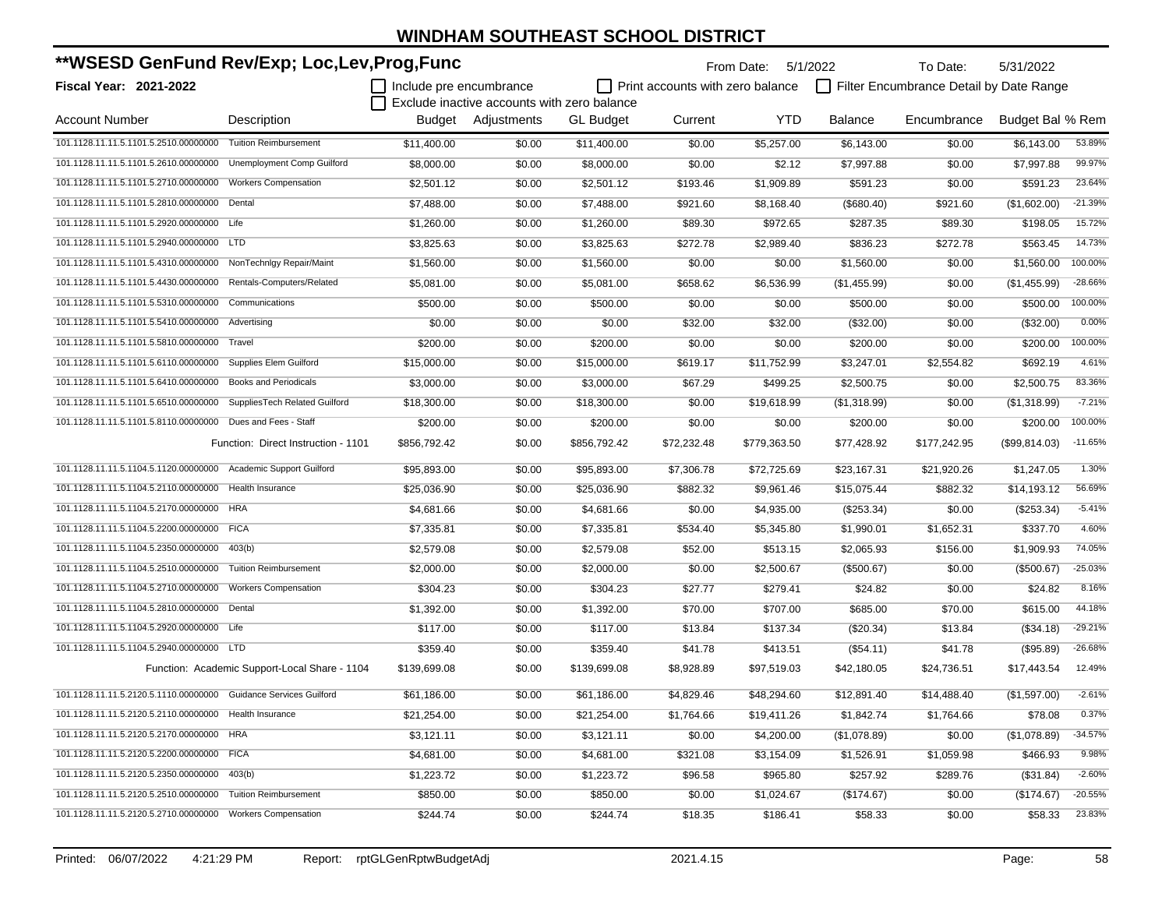| **WSESD GenFund Rev/Exp; Loc,Lev,Prog,Func                       |                                               |                         |                                             |                  |                                         | From Date: 5/1/2022 |                | To Date:                                | 5/31/2022        |           |
|------------------------------------------------------------------|-----------------------------------------------|-------------------------|---------------------------------------------|------------------|-----------------------------------------|---------------------|----------------|-----------------------------------------|------------------|-----------|
| <b>Fiscal Year: 2021-2022</b>                                    |                                               | Include pre encumbrance |                                             |                  | $\Box$ Print accounts with zero balance |                     |                | Filter Encumbrance Detail by Date Range |                  |           |
|                                                                  |                                               |                         | Exclude inactive accounts with zero balance |                  |                                         |                     |                |                                         |                  |           |
| <b>Account Number</b>                                            | Description                                   |                         | Budget Adjustments                          | <b>GL Budget</b> | Current                                 | YTD                 | <b>Balance</b> | Encumbrance                             | Budget Bal % Rem |           |
| 101.1128.11.11.5.1101.5.2510.00000000                            | <b>Tuition Reimbursement</b>                  | \$11,400.00             | \$0.00                                      | \$11,400.00      | \$0.00                                  | \$5,257.00          | \$6,143.00     | \$0.00                                  | \$6.143.00       | 53.89%    |
| 101.1128.11.11.5.1101.5.2610.00000000                            | Unemployment Comp Guilford                    | \$8,000.00              | \$0.00                                      | \$8,000.00       | \$0.00                                  | \$2.12              | \$7,997.88     | \$0.00                                  | \$7,997.88       | 99.97%    |
| 101.1128.11.11.5.1101.5.2710.00000000                            | <b>Workers Compensation</b>                   | \$2,501.12              | \$0.00                                      | \$2,501.12       | \$193.46                                | \$1,909.89          | \$591.23       | \$0.00                                  | \$591.23         | 23.64%    |
| 101.1128.11.11.5.1101.5.2810.00000000                            | Dental                                        | \$7,488.00              | \$0.00                                      | \$7,488.00       | \$921.60                                | \$8,168.40          | (\$680.40)     | \$921.60                                | (\$1,602.00)     | $-21.39%$ |
| 101.1128.11.11.5.1101.5.2920.00000000 Life                       |                                               | \$1,260.00              | \$0.00                                      | \$1,260.00       | \$89.30                                 | \$972.65            | \$287.35       | \$89.30                                 | \$198.05         | 15.72%    |
| 101.1128.11.11.5.1101.5.2940.00000000                            | <b>LTD</b>                                    | \$3,825.63              | \$0.00                                      | \$3,825.63       | \$272.78                                | \$2,989.40          | \$836.23       | \$272.78                                | \$563.45         | 14.73%    |
| 101.1128.11.11.5.1101.5.4310.00000000                            | NonTechnigy Repair/Maint                      | \$1,560.00              | \$0.00                                      | \$1,560.00       | \$0.00                                  | \$0.00              | \$1,560.00     | \$0.00                                  | \$1,560.00       | 100.00%   |
| 101.1128.11.11.5.1101.5.4430.00000000                            | Rentals-Computers/Related                     | \$5,081.00              | \$0.00                                      | \$5,081.00       | \$658.62                                | \$6,536.99          | (\$1,455.99)   | \$0.00                                  | (\$1,455.99)     | $-28.66%$ |
| 101.1128.11.11.5.1101.5.5310.00000000                            | Communications                                | \$500.00                | \$0.00                                      | \$500.00         | \$0.00                                  | \$0.00              | \$500.00       | \$0.00                                  | \$500.00         | 100.00%   |
| 101.1128.11.11.5.1101.5.5410.00000000                            | Advertising                                   | \$0.00                  | \$0.00                                      | \$0.00           | \$32.00                                 | \$32.00             | (\$32.00)      | \$0.00                                  | (\$32.00)        | 0.00%     |
| 101.1128.11.11.5.1101.5.5810.00000000                            | Travel                                        | \$200.00                | \$0.00                                      | \$200.00         | \$0.00                                  | \$0.00              | \$200.00       | \$0.00                                  | \$200.00         | 100.00%   |
| 101.1128.11.11.5.1101.5.6110.00000000                            | Supplies Elem Guilford                        | \$15,000.00             | \$0.00                                      | \$15,000.00      | \$619.17                                | \$11,752.99         | \$3,247.01     | \$2,554.82                              | \$692.19         | 4.61%     |
| 101.1128.11.11.5.1101.5.6410.00000000                            | <b>Books and Periodicals</b>                  | \$3,000.00              | \$0.00                                      | \$3,000.00       | \$67.29                                 | \$499.25            | \$2,500.75     | \$0.00                                  | \$2,500.75       | 83.36%    |
| 101.1128.11.11.5.1101.5.6510.00000000                            | SuppliesTech Related Guilford                 | \$18,300.00             | \$0.00                                      | \$18,300.00      | \$0.00                                  | \$19,618.99         | (\$1,318.99)   | \$0.00                                  | (\$1,318.99)     | $-7.21%$  |
| 101.1128.11.11.5.1101.5.8110.00000000                            | Dues and Fees - Staff                         | \$200.00                | \$0.00                                      | \$200.00         | \$0.00                                  | \$0.00              | \$200.00       | \$0.00                                  | \$200.00         | 100.00%   |
|                                                                  | Function: Direct Instruction - 1101           | \$856,792.42            | \$0.00                                      | \$856,792.42     | \$72,232.48                             | \$779,363.50        | \$77,428.92    | \$177,242.95                            | (\$99,814.03)    | $-11.65%$ |
| 101.1128.11.11.5.1104.5.1120.00000000                            | Academic Support Guilford                     | \$95,893.00             | \$0.00                                      | \$95,893.00      | \$7,306.78                              | \$72,725.69         | \$23,167.31    | \$21,920.26                             | \$1,247.05       | 1.30%     |
| 101.1128.11.11.5.1104.5.2110.00000000                            | Health Insurance                              | \$25,036.90             | \$0.00                                      | \$25,036.90      | \$882.32                                | \$9,961.46          | \$15,075.44    | \$882.32                                | \$14,193.12      | 56.69%    |
| 101.1128.11.11.5.1104.5.2170.00000000                            | <b>HRA</b>                                    | \$4,681.66              | \$0.00                                      | \$4,681.66       | \$0.00                                  | \$4,935.00          | $(\$253.34)$   | \$0.00                                  | $(\$253.34)$     | $-5.41%$  |
| 101.1128.11.11.5.1104.5.2200.00000000                            | <b>FICA</b>                                   | \$7,335.81              | \$0.00                                      | \$7,335.81       | \$534.40                                | \$5,345.80          | \$1,990.01     | \$1,652.31                              | \$337.70         | 4.60%     |
| 101.1128.11.11.5.1104.5.2350.00000000                            | 403(b)                                        | \$2,579.08              | \$0.00                                      | \$2,579.08       | \$52.00                                 | \$513.15            | \$2,065.93     | \$156.00                                | \$1,909.93       | 74.05%    |
| 101.1128.11.11.5.1104.5.2510.00000000                            | <b>Tuition Reimbursement</b>                  | \$2,000.00              | \$0.00                                      | \$2,000.00       | \$0.00                                  | \$2,500.67          | (\$500.67)     | \$0.00                                  | (\$500.67)       | $-25.03%$ |
| 101.1128.11.11.5.1104.5.2710.00000000                            | <b>Workers Compensation</b>                   | \$304.23                | \$0.00                                      | \$304.23         | \$27.77                                 | \$279.41            | \$24.82        | \$0.00                                  | \$24.82          | 8.16%     |
| 101.1128.11.11.5.1104.5.2810.00000000                            | Dental                                        | \$1,392.00              | \$0.00                                      | \$1,392.00       | \$70.00                                 | \$707.00            | \$685.00       | \$70.00                                 | \$615.00         | 44.18%    |
| 101.1128.11.11.5.1104.5.2920.00000000                            | Life                                          | \$117.00                | \$0.00                                      | \$117.00         | \$13.84                                 | \$137.34            | $(\$20.34)$    | \$13.84                                 | (\$34.18)        | $-29.21%$ |
| 101.1128.11.11.5.1104.5.2940.00000000 LTD                        |                                               | \$359.40                | \$0.00                                      | \$359.40         | \$41.78                                 | \$413.51            | (\$54.11)      | \$41.78                                 | (\$95.89)        | $-26.68%$ |
|                                                                  | Function: Academic Support-Local Share - 1104 | \$139,699.08            | \$0.00                                      | \$139,699.08     | \$8,928.89                              | \$97,519.03         | \$42,180.05    | \$24,736.51                             | \$17,443.54      | 12.49%    |
| 101.1128.11.11.5.2120.5.1110.00000000 Guidance Services Guilford |                                               | \$61,186.00             | \$0.00                                      | \$61,186.00      | \$4,829.46                              | \$48,294.60         | \$12,891.40    | \$14,488.40                             | (\$1,597.00)     | $-2.61%$  |
| 101.1128.11.11.5.2120.5.2110.00000000 Health Insurance           |                                               | \$21,254.00             | \$0.00                                      | \$21,254.00      | \$1,764.66                              | \$19,411.26         | \$1,842.74     | \$1,764.66                              | \$78.08          | 0.37%     |
| 101.1128.11.11.5.2120.5.2170.00000000 HRA                        |                                               | \$3,121.11              | \$0.00                                      | \$3,121.11       | \$0.00                                  | \$4,200.00          | (\$1,078.89)   | \$0.00                                  | (\$1,078.89)     | $-34.57%$ |
| 101.1128.11.11.5.2120.5.2200.00000000 FICA                       |                                               | \$4,681.00              | \$0.00                                      | \$4,681.00       | \$321.08                                | \$3,154.09          | \$1,526.91     | \$1,059.98                              | \$466.93         | 9.98%     |
| 101.1128.11.11.5.2120.5.2350.00000000 403(b)                     |                                               | \$1,223.72              | \$0.00                                      | \$1,223.72       | \$96.58                                 | \$965.80            | \$257.92       | \$289.76                                | (\$31.84)        | $-2.60%$  |
| 101.1128.11.11.5.2120.5.2510.00000000                            | <b>Tuition Reimbursement</b>                  | \$850.00                | \$0.00                                      | \$850.00         | \$0.00                                  | \$1,024.67          | (\$174.67)     | \$0.00                                  | (\$174.67)       | $-20.55%$ |
| 101.1128.11.11.5.2120.5.2710.00000000 Workers Compensation       |                                               | \$244.74                | \$0.00                                      | \$244.74         | \$18.35                                 | \$186.41            | \$58.33        | \$0.00                                  | \$58.33          | 23.83%    |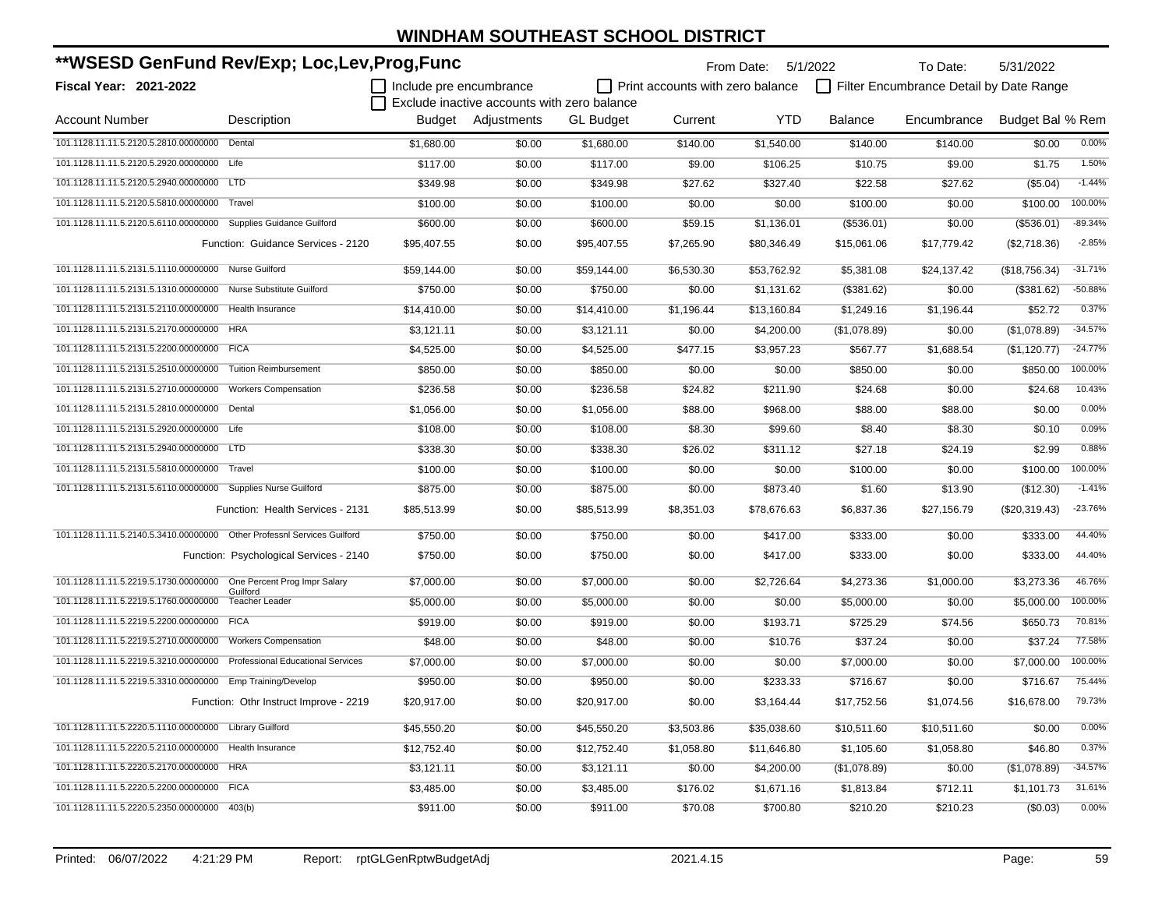| **WSESD GenFund Rev/Exp; Loc,Lev,Prog,Func                              |                                          |                         | From Date: 5/1/2022<br>To Date:             |                  |                                  |             |                | 5/31/2022                               |                  |           |
|-------------------------------------------------------------------------|------------------------------------------|-------------------------|---------------------------------------------|------------------|----------------------------------|-------------|----------------|-----------------------------------------|------------------|-----------|
| Fiscal Year: 2021-2022                                                  |                                          | Include pre encumbrance |                                             |                  | Print accounts with zero balance |             |                | Filter Encumbrance Detail by Date Range |                  |           |
|                                                                         |                                          |                         | Exclude inactive accounts with zero balance |                  |                                  |             |                |                                         |                  |           |
| <b>Account Number</b>                                                   | Description                              |                         | Budget Adjustments                          | <b>GL Budget</b> | Current                          | <b>YTD</b>  | <b>Balance</b> | Encumbrance                             | Budget Bal % Rem |           |
| 101.1128.11.11.5.2120.5.2810.00000000 Dental                            |                                          | \$1,680.00              | \$0.00                                      | \$1,680.00       | \$140.00                         | \$1,540.00  | \$140.00       | \$140.00                                | \$0.00           | 0.00%     |
| 101.1128.11.11.5.2120.5.2920.00000000 Life                              |                                          | \$117.00                | \$0.00                                      | \$117.00         | \$9.00                           | \$106.25    | \$10.75        | \$9.00                                  | \$1.75           | 1.50%     |
| 101.1128.11.11.5.2120.5.2940.00000000 LTD                               |                                          | \$349.98                | \$0.00                                      | \$349.98         | \$27.62                          | \$327.40    | \$22.58        | \$27.62                                 | (\$5.04)         | $-1.44%$  |
| 101.1128.11.11.5.2120.5.5810.00000000                                   | Travel                                   | \$100.00                | \$0.00                                      | \$100.00         | \$0.00                           | \$0.00      | \$100.00       | \$0.00                                  | \$100.00         | 100.00%   |
| 101.1128.11.11.5.2120.5.6110.00000000 Supplies Guidance Guilford        |                                          | \$600.00                | \$0.00                                      | \$600.00         | \$59.15                          | \$1,136.01  | (\$536.01)     | \$0.00                                  | (\$536.01)       | $-89.34%$ |
|                                                                         | Function: Guidance Services - 2120       | \$95,407.55             | \$0.00                                      | \$95,407.55      | \$7,265.90                       | \$80,346.49 | \$15,061.06    | \$17,779.42                             | (\$2,718.36)     | $-2.85%$  |
| 101.1128.11.11.5.2131.5.1110.00000000 Nurse Guilford                    |                                          | \$59,144.00             | \$0.00                                      | \$59,144.00      | \$6,530.30                       | \$53,762.92 | \$5,381.08     | \$24,137.42                             | (\$18,756.34)    | $-31.71%$ |
| 101.1128.11.11.5.2131.5.1310.00000000 Nurse Substitute Guilford         |                                          | \$750.00                | \$0.00                                      | \$750.00         | \$0.00                           | \$1,131.62  | (\$381.62)     | \$0.00                                  | (\$381.62)       | $-50.88%$ |
| 101.1128.11.11.5.2131.5.2110.00000000 Health Insurance                  |                                          | \$14,410.00             | \$0.00                                      | \$14,410.00      | \$1,196.44                       | \$13,160.84 | \$1,249.16     | \$1,196.44                              | \$52.72          | 0.37%     |
| 101.1128.11.11.5.2131.5.2170.00000000 HRA                               |                                          | \$3,121.11              | \$0.00                                      | \$3,121.11       | \$0.00                           | \$4,200.00  | (\$1,078.89)   | \$0.00                                  | (\$1,078.89)     | $-34.57%$ |
| 101.1128.11.11.5.2131.5.2200.00000000 FICA                              |                                          | \$4,525.00              | \$0.00                                      | \$4,525.00       | \$477.15                         | \$3,957.23  | \$567.77       | \$1,688.54                              | (\$1,120.77)     | $-24.77%$ |
| 101.1128.11.11.5.2131.5.2510.00000000 Tuition Reimbursement             |                                          | \$850.00                | \$0.00                                      | \$850.00         | \$0.00                           | \$0.00      | \$850.00       | \$0.00                                  | \$850.00         | 100.00%   |
| 101.1128.11.11.5.2131.5.2710.00000000                                   | <b>Workers Compensation</b>              | \$236.58                | \$0.00                                      | \$236.58         | \$24.82                          | \$211.90    | \$24.68        | \$0.00                                  | \$24.68          | 10.43%    |
| 101.1128.11.11.5.2131.5.2810.00000000                                   | Dental                                   | \$1,056.00              | \$0.00                                      | \$1,056.00       | \$88.00                          | \$968.00    | \$88.00        | \$88.00                                 | \$0.00           | 0.00%     |
| 101.1128.11.11.5.2131.5.2920.00000000 Life                              |                                          | \$108.00                | \$0.00                                      | \$108.00         | \$8.30                           | \$99.60     | \$8.40         | \$8.30                                  | \$0.10           | 0.09%     |
| 101.1128.11.11.5.2131.5.2940.00000000 LTD                               |                                          | \$338.30                | \$0.00                                      | \$338.30         | \$26.02                          | \$311.12    | \$27.18        | \$24.19                                 | \$2.99           | 0.88%     |
| 101.1128.11.11.5.2131.5.5810.00000000                                   | Travel                                   | \$100.00                | \$0.00                                      | \$100.00         | \$0.00                           | \$0.00      | \$100.00       | \$0.00                                  | \$100.00         | 100.00%   |
| 101.1128.11.11.5.2131.5.6110.00000000 Supplies Nurse Guilford           |                                          | \$875.00                | \$0.00                                      | \$875.00         | \$0.00                           | \$873.40    | \$1.60         | \$13.90                                 | (\$12.30)        | $-1.41%$  |
|                                                                         | Function: Health Services - 2131         | \$85,513.99             | \$0.00                                      | \$85,513.99      | \$8,351.03                       | \$78,676.63 | \$6,837.36     | \$27,156.79                             | (\$20,319.43)    | $-23.76%$ |
| 101.1128.11.11.5.2140.5.3410.00000000 Other Professnl Services Guilford |                                          | \$750.00                | \$0.00                                      | \$750.00         | \$0.00                           | \$417.00    | \$333.00       | \$0.00                                  | \$333.00         | 44.40%    |
|                                                                         | Function: Psychological Services - 2140  | \$750.00                | \$0.00                                      | \$750.00         | \$0.00                           | \$417.00    | \$333.00       | \$0.00                                  | \$333.00         | 44.40%    |
| 101.1128.11.11.5.2219.5.1730.00000000                                   | One Percent Prog Impr Salary             | \$7,000.00              | \$0.00                                      | \$7,000.00       | \$0.00                           | \$2,726.64  | \$4,273.36     | \$1,000.00                              | \$3,273.36       | 46.76%    |
| 101.1128.11.11.5.2219.5.1760.00000000                                   | Guilford<br><b>Teacher Leader</b>        | \$5,000.00              | \$0.00                                      | \$5,000.00       | \$0.00                           | \$0.00      | \$5,000.00     | \$0.00                                  | \$5,000.00       | 100.00%   |
| 101.1128.11.11.5.2219.5.2200.00000000                                   | <b>FICA</b>                              | \$919.00                | \$0.00                                      | \$919.00         | \$0.00                           | \$193.71    | \$725.29       | \$74.56                                 | \$650.73         | 70.81%    |
| 101.1128.11.11.5.2219.5.2710.00000000 Workers Compensation              |                                          | \$48.00                 | \$0.00                                      | \$48.00          | \$0.00                           | \$10.76     | \$37.24        | \$0.00                                  | \$37.24          | 77.58%    |
| 101.1128.11.11.5.2219.5.3210.00000000                                   | <b>Professional Educational Services</b> | \$7,000.00              | \$0.00                                      | \$7,000.00       | \$0.00                           | \$0.00      | \$7,000.00     | \$0.00                                  | \$7,000.00       | 100.00%   |
| 101.1128.11.11.5.2219.5.3310.00000000 Emp Training/Develop              |                                          | \$950.00                | \$0.00                                      | \$950.00         | \$0.00                           | \$233.33    | \$716.67       | \$0.00                                  | \$716.67         | 75.44%    |
|                                                                         | Function: Othr Instruct Improve - 2219   | \$20,917.00             | \$0.00                                      | \$20,917.00      | \$0.00                           | \$3,164.44  | \$17,752.56    | \$1,074.56                              | \$16,678.00      | 79.73%    |
| 101.1128.11.11.5.2220.5.1110.00000000 Library Guilford                  |                                          | \$45,550.20             | \$0.00                                      | \$45,550.20      | \$3,503.86                       | \$35,038.60 | \$10,511.60    | \$10,511.60                             | \$0.00           | 0.00%     |
| 101.1128.11.11.5.2220.5.2110.00000000                                   | Health Insurance                         | \$12,752.40             | \$0.00                                      | \$12,752.40      | \$1,058.80                       | \$11,646.80 | \$1,105.60     | \$1,058.80                              | \$46.80          | 0.37%     |
| 101.1128.11.11.5.2220.5.2170.00000000                                   | <b>HRA</b>                               | \$3,121.11              | \$0.00                                      | \$3,121.11       | \$0.00                           | \$4,200.00  | (\$1,078.89)   | \$0.00                                  | (\$1,078.89)     | $-34.57%$ |
| 101.1128.11.11.5.2220.5.2200.00000000                                   | <b>FICA</b>                              | \$3,485.00              | \$0.00                                      | \$3,485.00       | \$176.02                         | \$1,671.16  | \$1,813.84     | \$712.11                                | \$1,101.73       | 31.61%    |
| 101.1128.11.11.5.2220.5.2350.00000000                                   | 403(b)                                   | \$911.00                | \$0.00                                      | \$911.00         | \$70.08                          | \$700.80    | \$210.20       | \$210.23                                | (\$0.03)         | 0.00%     |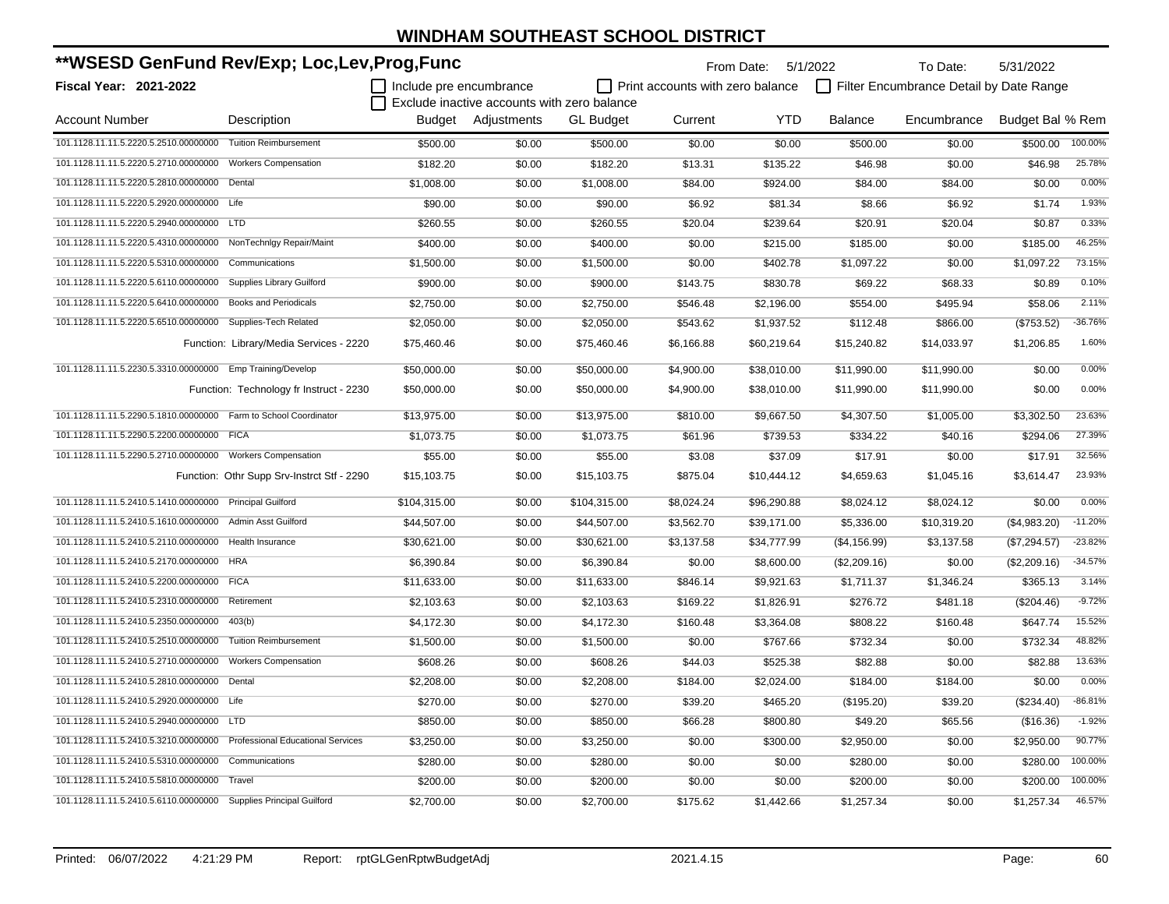| **WSESD GenFund Rev/Exp; Loc,Lev,Prog,Func                              |                                            |                         |                                             |                  |                                         | From Date: 5/1/2022 |                | To Date:                                | 5/31/2022        |           |
|-------------------------------------------------------------------------|--------------------------------------------|-------------------------|---------------------------------------------|------------------|-----------------------------------------|---------------------|----------------|-----------------------------------------|------------------|-----------|
| <b>Fiscal Year: 2021-2022</b>                                           |                                            | Include pre encumbrance |                                             |                  | $\Box$ Print accounts with zero balance |                     |                | Filter Encumbrance Detail by Date Range |                  |           |
|                                                                         |                                            |                         | Exclude inactive accounts with zero balance |                  |                                         |                     |                |                                         |                  |           |
| <b>Account Number</b>                                                   | Description                                |                         | Budget Adjustments                          | <b>GL Budget</b> | Current                                 | <b>YTD</b>          | <b>Balance</b> | Encumbrance                             | Budget Bal % Rem |           |
| 101.1128.11.11.5.2220.5.2510.00000000 Tuition Reimbursement             |                                            | \$500.00                | \$0.00                                      | \$500.00         | \$0.00                                  | \$0.00              | \$500.00       | \$0.00                                  | \$500.00         | 100.00%   |
| 101.1128.11.11.5.2220.5.2710.00000000 Workers Compensation              |                                            | \$182.20                | \$0.00                                      | \$182.20         | \$13.31                                 | \$135.22            | \$46.98        | \$0.00                                  | \$46.98          | 25.78%    |
| 101.1128.11.11.5.2220.5.2810.00000000 Dental                            |                                            | \$1,008.00              | \$0.00                                      | \$1,008.00       | \$84.00                                 | \$924.00            | \$84.00        | \$84.00                                 | \$0.00           | 0.00%     |
| 101.1128.11.11.5.2220.5.2920.00000000 Life                              |                                            | \$90.00                 | \$0.00                                      | \$90.00          | \$6.92                                  | \$81.34             | \$8.66         | \$6.92                                  | \$1.74           | 1.93%     |
| 101.1128.11.11.5.2220.5.2940.00000000 LTD                               |                                            | \$260.55                | \$0.00                                      | \$260.55         | \$20.04                                 | \$239.64            | \$20.91        | \$20.04                                 | \$0.87           | 0.33%     |
| 101.1128.11.11.5.2220.5.4310.00000000 NonTechnlgy Repair/Maint          |                                            | \$400.00                | \$0.00                                      | \$400.00         | \$0.00                                  | \$215.00            | \$185.00       | \$0.00                                  | \$185.00         | 46.25%    |
| 101.1128.11.11.5.2220.5.5310.00000000                                   | Communications                             | \$1,500.00              | \$0.00                                      | \$1,500.00       | \$0.00                                  | \$402.78            | \$1,097.22     | \$0.00                                  | \$1,097.22       | 73.15%    |
| 101.1128.11.11.5.2220.5.6110.00000000                                   | Supplies Library Guilford                  | \$900.00                | \$0.00                                      | \$900.00         | \$143.75                                | \$830.78            | \$69.22        | \$68.33                                 | \$0.89           | 0.10%     |
| 101.1128.11.11.5.2220.5.6410.00000000                                   | <b>Books and Periodicals</b>               | \$2,750.00              | \$0.00                                      | \$2,750.00       | \$546.48                                | \$2,196.00          | \$554.00       | \$495.94                                | \$58.06          | 2.11%     |
| 101.1128.11.11.5.2220.5.6510.00000000                                   | Supplies-Tech Related                      | \$2,050.00              | \$0.00                                      | \$2,050.00       | \$543.62                                | \$1,937.52          | \$112.48       | \$866.00                                | (\$753.52)       | $-36.76%$ |
|                                                                         | Function: Library/Media Services - 2220    | \$75,460.46             | \$0.00                                      | \$75,460.46      | \$6,166.88                              | \$60,219.64         | \$15,240.82    | \$14,033.97                             | \$1,206.85       | 1.60%     |
| 101.1128.11.11.5.2230.5.3310.00000000 Emp Training/Develop              |                                            | \$50,000.00             | \$0.00                                      | \$50,000.00      | \$4,900.00                              | \$38,010.00         | \$11,990.00    | \$11,990.00                             | \$0.00           | 0.00%     |
|                                                                         | Function: Technology fr Instruct - 2230    | \$50,000.00             | \$0.00                                      | \$50,000.00      | \$4,900.00                              | \$38,010.00         | \$11,990.00    | \$11,990.00                             | \$0.00           | 0.00%     |
| 101.1128.11.11.5.2290.5.1810.00000000 Farm to School Coordinator        |                                            | \$13,975.00             | \$0.00                                      | \$13,975.00      | \$810.00                                | \$9,667.50          | \$4,307.50     | \$1,005.00                              | \$3,302.50       | 23.63%    |
| 101.1128.11.11.5.2290.5.2200.00000000 FICA                              |                                            | \$1,073.75              | \$0.00                                      | \$1,073.75       | \$61.96                                 | \$739.53            | \$334.22       | \$40.16                                 | \$294.06         | 27.39%    |
| 101.1128.11.11.5.2290.5.2710.00000000 Workers Compensation              |                                            | \$55.00                 | \$0.00                                      | \$55.00          | \$3.08                                  | \$37.09             | \$17.91        | \$0.00                                  | \$17.91          | 32.56%    |
|                                                                         | Function: Othr Supp Srv-Instrct Stf - 2290 | \$15,103.75             | \$0.00                                      | \$15,103.75      | \$875.04                                | \$10,444.12         | \$4,659.63     | \$1,045.16                              | \$3,614.47       | 23.93%    |
| 101.1128.11.11.5.2410.5.1410.00000000 Principal Guilford                |                                            | \$104,315.00            | \$0.00                                      | \$104,315.00     | \$8,024.24                              | \$96,290.88         | \$8,024.12     | \$8,024.12                              | \$0.00           | 0.00%     |
| 101.1128.11.11.5.2410.5.1610.00000000 Admin Asst Guilford               |                                            | \$44,507.00             | \$0.00                                      | \$44,507.00      | \$3,562.70                              | \$39,171.00         | \$5,336.00     | \$10,319.20                             | (\$4,983.20)     | $-11.20%$ |
| 101.1128.11.11.5.2410.5.2110.00000000 Health Insurance                  |                                            | \$30,621.00             | \$0.00                                      | \$30,621.00      | \$3,137.58                              | \$34,777.99         | (\$4,156.99)   | \$3,137.58                              | (\$7,294.57)     | $-23.82%$ |
| 101.1128.11.11.5.2410.5.2170.00000000 HRA                               |                                            | \$6,390.84              | \$0.00                                      | \$6,390.84       | \$0.00                                  | \$8,600.00          | (\$2,209.16)   | \$0.00                                  | (\$2,209.16)     | $-34.57%$ |
| 101.1128.11.11.5.2410.5.2200.00000000 FICA                              |                                            | \$11,633.00             | \$0.00                                      | \$11,633.00      | \$846.14                                | \$9,921.63          | \$1,711.37     | \$1,346.24                              | \$365.13         | 3.14%     |
| 101.1128.11.11.5.2410.5.2310.00000000 Retirement                        |                                            | \$2,103.63              | \$0.00                                      | \$2,103.63       | \$169.22                                | \$1,826.91          | \$276.72       | \$481.18                                | (\$204.46)       | $-9.72%$  |
| 101.1128.11.11.5.2410.5.2350.00000000                                   | 403(b)                                     | \$4,172.30              | \$0.00                                      | \$4,172.30       | \$160.48                                | \$3,364.08          | \$808.22       | \$160.48                                | \$647.74         | 15.52%    |
| 101.1128.11.11.5.2410.5.2510.00000000                                   | <b>Tuition Reimbursement</b>               | \$1,500.00              | \$0.00                                      | \$1,500.00       | \$0.00                                  | \$767.66            | \$732.34       | \$0.00                                  | \$732.34         | 48.82%    |
| 101.1128.11.11.5.2410.5.2710.00000000                                   | <b>Workers Compensation</b>                | \$608.26                | \$0.00                                      | \$608.26         | \$44.03                                 | \$525.38            | \$82.88        | \$0.00                                  | \$82.88          | 13.63%    |
| 101.1128.11.11.5.2410.5.2810.00000000 Dental                            |                                            | \$2,208.00              | \$0.00                                      | \$2,208.00       | \$184.00                                | \$2,024.00          | \$184.00       | \$184.00                                | \$0.00           | 0.00%     |
| 101.1128.11.11.5.2410.5.2920.00000000 Life                              |                                            | \$270.00                | \$0.00                                      | \$270.00         | \$39.20                                 | \$465.20            | (\$195.20)     | \$39.20                                 | (\$234.40)       | $-86.81%$ |
| 101.1128.11.11.5.2410.5.2940.00000000 LTD                               |                                            | \$850.00                | \$0.00                                      | \$850.00         | \$66.28                                 | \$800.80            | \$49.20        | \$65.56                                 | (\$16.36)        | $-1.92%$  |
| 101.1128.11.11.5.2410.5.3210.00000000 Professional Educational Services |                                            | \$3,250.00              | \$0.00                                      | \$3,250.00       | \$0.00                                  | \$300.00            | \$2,950.00     | \$0.00                                  | \$2,950.00       | 90.77%    |
| 101.1128.11.11.5.2410.5.5310.00000000 Communications                    |                                            | \$280.00                | \$0.00                                      | \$280.00         | \$0.00                                  | \$0.00              | \$280.00       | \$0.00                                  | \$280.00         | 100.00%   |
| 101.1128.11.11.5.2410.5.5810.00000000 Travel                            |                                            | \$200.00                | \$0.00                                      | \$200.00         | \$0.00                                  | \$0.00              | \$200.00       | \$0.00                                  | \$200.00         | 100.00%   |
| 101.1128.11.11.5.2410.5.6110.00000000 Supplies Principal Guilford       |                                            | \$2,700.00              | \$0.00                                      | \$2,700.00       | \$175.62                                | \$1,442.66          | \$1,257.34     | \$0.00                                  | \$1,257.34       | 46.57%    |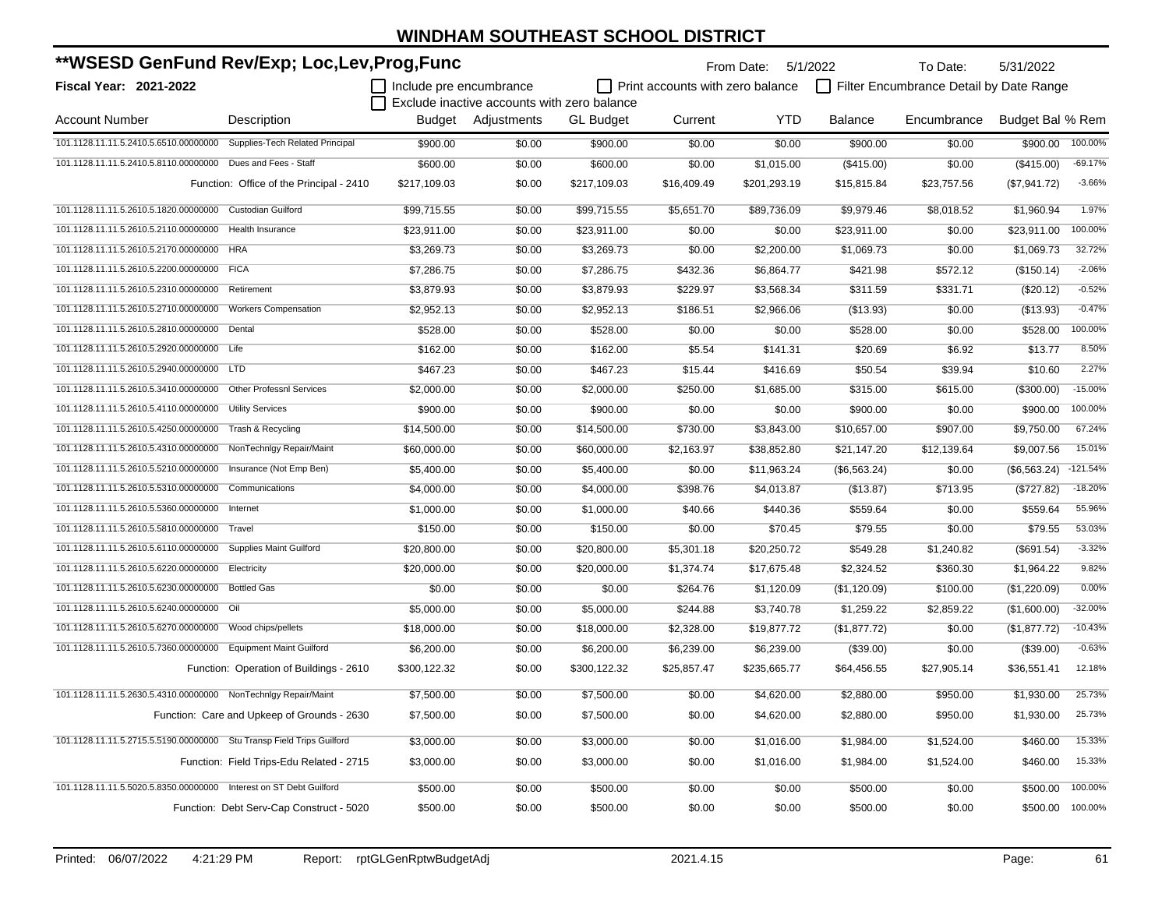| **WSESD GenFund Rev/Exp; Loc,Lev,Prog,Func                            |                                             |                         |                                             |                  |                                  | From Date: 5/1/2022 |                | To Date:                                | 5/31/2022        |            |
|-----------------------------------------------------------------------|---------------------------------------------|-------------------------|---------------------------------------------|------------------|----------------------------------|---------------------|----------------|-----------------------------------------|------------------|------------|
| Fiscal Year: 2021-2022                                                |                                             | Include pre encumbrance |                                             |                  | Print accounts with zero balance |                     |                | Filter Encumbrance Detail by Date Range |                  |            |
|                                                                       |                                             |                         | Exclude inactive accounts with zero balance |                  |                                  |                     |                |                                         |                  |            |
| <b>Account Number</b>                                                 | Description                                 | Budget                  | Adjustments                                 | <b>GL Budget</b> | Current                          | <b>YTD</b>          | <b>Balance</b> | Encumbrance                             | Budget Bal % Rem |            |
| 101.1128.11.11.5.2410.5.6510.00000000 Supplies-Tech Related Principal |                                             | \$900.00                | \$0.00                                      | \$900.00         | \$0.00                           | \$0.00              | \$900.00       | \$0.00                                  | \$900.00         | 100.00%    |
| 101.1128.11.11.5.2410.5.8110.00000000                                 | Dues and Fees - Staff                       | \$600.00                | \$0.00                                      | \$600.00         | \$0.00                           | \$1,015.00          | (\$415.00)     | \$0.00                                  | $($ \$415.00)    | $-69.17%$  |
|                                                                       | Function: Office of the Principal - 2410    | \$217,109.03            | \$0.00                                      | \$217,109.03     | \$16,409.49                      | \$201,293.19        | \$15,815.84    | \$23,757.56                             | (\$7,941.72)     | $-3.66%$   |
| 101.1128.11.11.5.2610.5.1820.00000000                                 | <b>Custodian Guilford</b>                   | \$99,715.55             | \$0.00                                      | \$99,715.55      | \$5,651.70                       | \$89,736.09         | \$9,979.46     | \$8,018.52                              | \$1,960.94       | 1.97%      |
| 101.1128.11.11.5.2610.5.2110.00000000                                 | Health Insurance                            | \$23,911.00             | \$0.00                                      | \$23,911.00      | \$0.00                           | \$0.00              | \$23,911.00    | \$0.00                                  | \$23,911.00      | 100.00%    |
| 101.1128.11.11.5.2610.5.2170.00000000                                 | <b>HRA</b>                                  | \$3,269.73              | \$0.00                                      | \$3,269.73       | \$0.00                           | \$2,200.00          | \$1,069.73     | \$0.00                                  | \$1,069.73       | 32.72%     |
| 101.1128.11.11.5.2610.5.2200.00000000 FICA                            |                                             | \$7,286.75              | \$0.00                                      | \$7,286.75       | \$432.36                         | \$6,864.77          | \$421.98       | \$572.12                                | (\$150.14)       | $-2.06%$   |
| 101.1128.11.11.5.2610.5.2310.00000000                                 | Retirement                                  | \$3,879.93              | \$0.00                                      | \$3,879.93       | \$229.97                         | \$3,568.34          | \$311.59       | \$331.71                                | (\$20.12)        | $-0.52%$   |
| 101.1128.11.11.5.2610.5.2710.00000000 Workers Compensation            |                                             | \$2,952.13              | \$0.00                                      | \$2,952.13       | \$186.51                         | \$2,966.06          | (\$13.93)      | \$0.00                                  | (\$13.93)        | $-0.47%$   |
| 101.1128.11.11.5.2610.5.2810.00000000 Dental                          |                                             | \$528.00                | \$0.00                                      | \$528.00         | \$0.00                           | \$0.00              | \$528.00       | \$0.00                                  | \$528.00         | 100.00%    |
| 101.1128.11.11.5.2610.5.2920.00000000                                 | Life                                        | \$162.00                | \$0.00                                      | \$162.00         | \$5.54                           | \$141.31            | \$20.69        | \$6.92                                  | \$13.77          | 8.50%      |
| 101.1128.11.11.5.2610.5.2940.00000000                                 | <b>LTD</b>                                  | \$467.23                | \$0.00                                      | \$467.23         | \$15.44                          | \$416.69            | \$50.54        | \$39.94                                 | \$10.60          | 2.27%      |
| 101.1128.11.11.5.2610.5.3410.00000000                                 | <b>Other Professnl Services</b>             | \$2,000.00              | \$0.00                                      | \$2,000.00       | \$250.00                         | \$1,685.00          | \$315.00       | \$615.00                                | (\$300.00)       | $-15.00%$  |
| 101.1128.11.11.5.2610.5.4110.00000000                                 | <b>Utility Services</b>                     | \$900.00                | \$0.00                                      | \$900.00         | \$0.00                           | \$0.00              | \$900.00       | \$0.00                                  | \$900.00         | 100.00%    |
| 101.1128.11.11.5.2610.5.4250.00000000                                 | Trash & Recycling                           | \$14,500.00             | \$0.00                                      | \$14,500.00      | \$730.00                         | \$3,843.00          | \$10,657.00    | \$907.00                                | \$9,750.00       | 67.24%     |
| 101.1128.11.11.5.2610.5.4310.00000000                                 | NonTechnIgy Repair/Maint                    | \$60,000.00             | \$0.00                                      | \$60,000.00      | \$2,163.97                       | \$38,852.80         | \$21,147.20    | \$12,139.64                             | \$9,007.56       | 15.01%     |
| 101.1128.11.11.5.2610.5.5210.00000000                                 | Insurance (Not Emp Ben)                     | \$5,400.00              | \$0.00                                      | \$5,400.00       | \$0.00                           | \$11,963.24         | (\$6,563.24)   | \$0.00                                  | (\$6,563.24)     | $-121.54%$ |
| 101.1128.11.11.5.2610.5.5310.00000000                                 | Communications                              | \$4,000.00              | \$0.00                                      | \$4,000.00       | \$398.76                         | \$4,013.87          | (\$13.87)      | \$713.95                                | (\$727.82)       | $-18.20%$  |
| 101.1128.11.11.5.2610.5.5360.00000000                                 | Internet                                    | \$1,000.00              | \$0.00                                      | \$1,000.00       | \$40.66                          | \$440.36            | \$559.64       | \$0.00                                  | \$559.64         | 55.96%     |
| 101.1128.11.11.5.2610.5.5810.00000000                                 | Travel                                      | \$150.00                | \$0.00                                      | \$150.00         | \$0.00                           | \$70.45             | \$79.55        | \$0.00                                  | \$79.55          | 53.03%     |
| 101.1128.11.11.5.2610.5.6110.00000000                                 | <b>Supplies Maint Guilford</b>              | \$20,800.00             | \$0.00                                      | \$20,800.00      | \$5,301.18                       | \$20,250.72         | \$549.28       | \$1,240.82                              | (\$691.54)       | $-3.32%$   |
| 101.1128.11.11.5.2610.5.6220.00000000                                 | Electricity                                 | \$20,000.00             | \$0.00                                      | \$20,000.00      | \$1,374.74                       | \$17,675.48         | \$2,324.52     | \$360.30                                | \$1,964.22       | 9.82%      |
| 101.1128.11.11.5.2610.5.6230.00000000                                 | <b>Bottled Gas</b>                          | \$0.00                  | \$0.00                                      | \$0.00           | \$264.76                         | \$1,120.09          | (\$1,120.09)   | \$100.00                                | (\$1,220.09)     | 0.00%      |
| 101.1128.11.11.5.2610.5.6240.00000000 Oil                             |                                             | \$5,000.00              | \$0.00                                      | \$5,000.00       | \$244.88                         | \$3,740.78          | \$1,259.22     | \$2,859.22                              | (\$1,600.00)     | $-32.00%$  |
| 101.1128.11.11.5.2610.5.6270.00000000 Wood chips/pellets              |                                             | \$18,000.00             | \$0.00                                      | \$18,000.00      | \$2,328.00                       | \$19,877.72         | (\$1,877.72)   | \$0.00                                  | (\$1,877.72)     | $-10.43%$  |
| 101.1128.11.11.5.2610.5.7360.00000000 Equipment Maint Guilford        |                                             | \$6,200.00              | \$0.00                                      | \$6,200.00       | \$6,239.00                       | \$6,239.00          | (\$39.00)      | \$0.00                                  | (\$39.00)        | $-0.63%$   |
|                                                                       | Function: Operation of Buildings - 2610     | \$300,122.32            | \$0.00                                      | \$300,122.32     | \$25,857.47                      | \$235,665.77        | \$64,456.55    | \$27,905.14                             | \$36,551.41      | 12.18%     |
| 101.1128.11.11.5.2630.5.4310.00000000 NonTechnIgy Repair/Maint        |                                             | \$7,500.00              | \$0.00                                      | \$7,500.00       | \$0.00                           | \$4,620.00          | \$2,880.00     | \$950.00                                | \$1,930.00       | 25.73%     |
|                                                                       | Function: Care and Upkeep of Grounds - 2630 | \$7,500.00              | \$0.00                                      | \$7,500.00       | \$0.00                           | \$4,620.00          | \$2,880.00     | \$950.00                                | \$1,930.00       | 25.73%     |
| 101.1128.11.11.5.2715.5.5190.00000000 Stu Transp Field Trips Guilford |                                             | \$3,000.00              | \$0.00                                      | \$3,000.00       | \$0.00                           | \$1,016.00          | \$1,984.00     | \$1,524.00                              | \$460.00         | 15.33%     |
|                                                                       | Function: Field Trips-Edu Related - 2715    | \$3,000.00              | \$0.00                                      | \$3,000.00       | \$0.00                           | \$1,016.00          | \$1,984.00     | \$1,524.00                              | \$460.00         | 15.33%     |
| 101.1128.11.11.5.5020.5.8350.00000000 Interest on ST Debt Guilford    |                                             |                         |                                             |                  |                                  | \$0.00              | \$500.00       |                                         | \$500.00         | 100.00%    |
|                                                                       |                                             | \$500.00                | \$0.00                                      | \$500.00         | \$0.00                           |                     |                | \$0.00                                  |                  | 100.00%    |
|                                                                       | Function: Debt Serv-Cap Construct - 5020    | \$500.00                | \$0.00                                      | \$500.00         | \$0.00                           | \$0.00              | \$500.00       | \$0.00                                  | \$500.00         |            |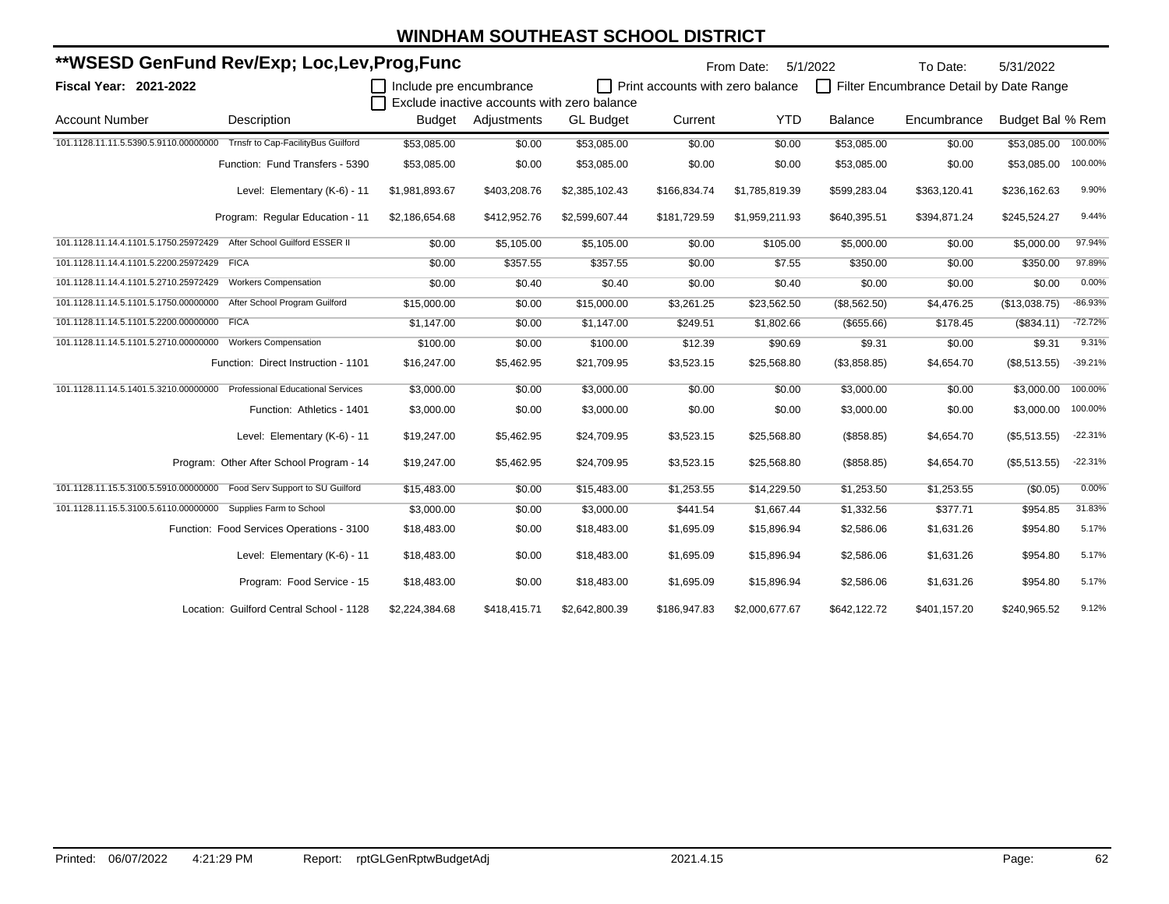| **WSESD GenFund Rev/Exp; Loc,Lev,Prog,Func                               |                                           |                         |                    |                                             | From Date:                       |                | To Date:<br>5/1/2022 |                                         | 5/31/2022        |           |
|--------------------------------------------------------------------------|-------------------------------------------|-------------------------|--------------------|---------------------------------------------|----------------------------------|----------------|----------------------|-----------------------------------------|------------------|-----------|
| <b>Fiscal Year: 2021-2022</b>                                            |                                           | Include pre encumbrance |                    | Exclude inactive accounts with zero balance | Print accounts with zero balance |                | П                    | Filter Encumbrance Detail by Date Range |                  |           |
| <b>Account Number</b>                                                    | Description                               |                         | Budget Adjustments | <b>GL Budget</b>                            | Current                          | <b>YTD</b>     | <b>Balance</b>       | Encumbrance                             | Budget Bal % Rem |           |
| 101.1128.11.11.5.5390.5.9110.00000000 Trnsfr to Cap-FacilityBus Guilford |                                           | \$53,085.00             | \$0.00             | \$53,085.00                                 | \$0.00                           | \$0.00         | \$53,085.00          | \$0.00                                  | \$53,085.00      | 100.00%   |
|                                                                          | Function: Fund Transfers - 5390           | \$53,085.00             | \$0.00             | \$53,085.00                                 | \$0.00                           | \$0.00         | \$53,085.00          | \$0.00                                  | \$53,085.00      | 100.00%   |
|                                                                          | Level: Elementary (K-6) - 11              | \$1,981,893.67          | \$403,208.76       | \$2,385,102.43                              | \$166,834.74                     | \$1,785,819.39 | \$599,283.04         | \$363,120.41                            | \$236,162.63     | 9.90%     |
|                                                                          | Program: Regular Education - 11           | \$2,186,654.68          | \$412,952.76       | \$2,599,607.44                              | \$181,729.59                     | \$1,959,211.93 | \$640,395.51         | \$394,871.24                            | \$245,524.27     | 9.44%     |
| 101.1128.11.14.4.1101.5.1750.25972429 After School Guilford ESSER II     |                                           | \$0.00                  | \$5,105.00         | \$5,105.00                                  | \$0.00                           | \$105.00       | \$5,000.00           | \$0.00                                  | \$5,000.00       | 97.94%    |
| 101.1128.11.14.4.1101.5.2200.25972429 FICA                               |                                           | \$0.00                  | \$357.55           | \$357.55                                    | \$0.00                           | \$7.55         | \$350.00             | \$0.00                                  | \$350.00         | 97.89%    |
| 101.1128.11.14.4.1101.5.2710.25972429                                    | <b>Workers Compensation</b>               | \$0.00                  | \$0.40             | \$0.40                                      | \$0.00                           | \$0.40         | \$0.00               | \$0.00                                  | \$0.00           | 0.00%     |
| 101.1128.11.14.5.1101.5.1750.00000000                                    | After School Program Guilford             | \$15,000.00             | \$0.00             | \$15,000.00                                 | \$3,261.25                       | \$23,562.50    | (\$8,562.50)         | \$4,476.25                              | (\$13,038.75)    | $-86.93%$ |
| 101.1128.11.14.5.1101.5.2200.00000000 FICA                               |                                           | \$1,147.00              | \$0.00             | \$1,147.00                                  | \$249.51                         | \$1,802.66     | (\$655.66)           | \$178.45                                | (\$834.11)       | $-72.72%$ |
| 101.1128.11.14.5.1101.5.2710.00000000                                    | <b>Workers Compensation</b>               | \$100.00                | \$0.00             | \$100.00                                    | \$12.39                          | \$90.69        | \$9.31               | \$0.00                                  | \$9.31           | 9.31%     |
|                                                                          | Function: Direct Instruction - 1101       | \$16,247.00             | \$5,462.95         | \$21,709.95                                 | \$3,523.15                       | \$25,568.80    | (\$3,858.85)         | \$4,654.70                              | (\$8,513.55)     | $-39.21%$ |
| 101.1128.11.14.5.1401.5.3210.00000000 Professional Educational Services  |                                           | \$3,000.00              | \$0.00             | \$3,000.00                                  | \$0.00                           | \$0.00         | \$3,000.00           | \$0.00                                  | \$3,000.00       | 100.00%   |
|                                                                          | Function: Athletics - 1401                | \$3,000.00              | \$0.00             | \$3,000.00                                  | \$0.00                           | \$0.00         | \$3,000.00           | \$0.00                                  | \$3,000.00       | 100.00%   |
|                                                                          | Level: Elementary (K-6) - 11              | \$19,247.00             | \$5,462.95         | \$24,709.95                                 | \$3,523.15                       | \$25,568.80    | (\$858.85)           | \$4,654.70                              | (\$5,513.55)     | $-22.31%$ |
|                                                                          | Program: Other After School Program - 14  | \$19,247.00             | \$5,462.95         | \$24,709.95                                 | \$3,523.15                       | \$25,568.80    | (\$858.85)           | \$4,654.70                              | (\$5,513.55)     | $-22.31%$ |
| 101.1128.11.15.5.3100.5.5910.00000000 Food Serv Support to SU Guilford   |                                           | \$15,483.00             | \$0.00             | \$15,483.00                                 | \$1,253.55                       | \$14,229.50    | \$1,253.50           | \$1,253.55                              | (\$0.05)         | 0.00%     |
| 101.1128.11.15.5.3100.5.6110.00000000 Supplies Farm to School            |                                           | \$3,000.00              | \$0.00             | \$3,000.00                                  | \$441.54                         | \$1,667.44     | \$1,332.56           | \$377.71                                | \$954.85         | 31.83%    |
|                                                                          | Function: Food Services Operations - 3100 | \$18,483.00             | \$0.00             | \$18,483.00                                 | \$1,695.09                       | \$15,896.94    | \$2,586.06           | \$1,631.26                              | \$954.80         | 5.17%     |
|                                                                          | Level: Elementary (K-6) - 11              | \$18,483.00             | \$0.00             | \$18,483.00                                 | \$1,695.09                       | \$15,896.94    | \$2,586.06           | \$1,631.26                              | \$954.80         | 5.17%     |
|                                                                          | Program: Food Service - 15                | \$18,483.00             | \$0.00             | \$18,483.00                                 | \$1,695.09                       | \$15,896.94    | \$2,586.06           | \$1,631.26                              | \$954.80         | 5.17%     |
|                                                                          | Location: Guilford Central School - 1128  | \$2,224,384.68          | \$418,415.71       | \$2,642,800.39                              | \$186,947.83                     | \$2,000,677.67 | \$642,122.72         | \$401,157.20                            | \$240,965.52     | 9.12%     |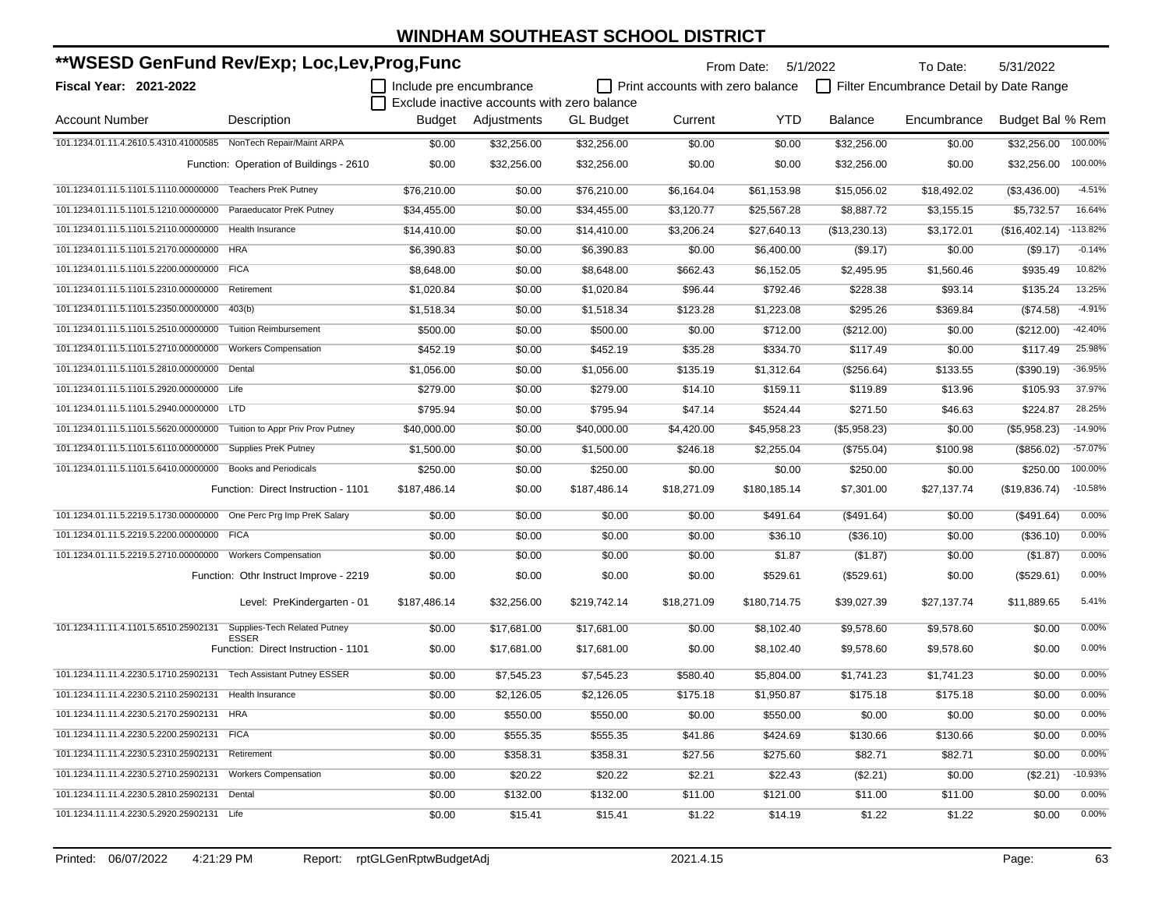| **WSESD GenFund Rev/Exp; Loc,Lev,Prog,Func                         |                                                     |                                |                                             |                  | From Date:                              | 5/1/2022     | To Date:       | 5/31/2022                               |                  |            |
|--------------------------------------------------------------------|-----------------------------------------------------|--------------------------------|---------------------------------------------|------------------|-----------------------------------------|--------------|----------------|-----------------------------------------|------------------|------------|
| <b>Fiscal Year: 2021-2022</b>                                      |                                                     | $\Box$ Include pre encumbrance | Exclude inactive accounts with zero balance |                  | $\Box$ Print accounts with zero balance |              |                | Filter Encumbrance Detail by Date Range |                  |            |
| <b>Account Number</b>                                              | Description                                         | Budget                         | Adjustments                                 | <b>GL</b> Budget | Current                                 | YTD          | <b>Balance</b> | Encumbrance                             | Budget Bal % Rem |            |
| 101.1234.01.11.4.2610.5.4310.41000585 NonTech Repair/Maint ARPA    |                                                     | \$0.00                         | \$32,256.00                                 | \$32,256.00      | \$0.00                                  | \$0.00       | \$32,256.00    | \$0.00                                  | \$32,256.00      | 100.00%    |
|                                                                    | Function: Operation of Buildings - 2610             | \$0.00                         | \$32,256.00                                 | \$32,256.00      | \$0.00                                  | \$0.00       | \$32,256.00    | \$0.00                                  | \$32,256.00      | 100.00%    |
| 101.1234.01.11.5.1101.5.1110.00000000                              | <b>Teachers PreK Putney</b>                         | \$76,210.00                    | \$0.00                                      | \$76,210.00      | \$6,164.04                              | \$61,153.98  | \$15,056.02    | \$18,492.02                             | (\$3,436.00)     | $-4.51%$   |
| 101.1234.01.11.5.1101.5.1210.00000000                              | Paraeducator PreK Putney                            | \$34,455.00                    | \$0.00                                      | \$34,455.00      | \$3,120.77                              | \$25,567.28  | \$8,887.72     | \$3,155.15                              | \$5,732.57       | 16.64%     |
| 101.1234.01.11.5.1101.5.2110.00000000                              | Health Insurance                                    | \$14,410.00                    | \$0.00                                      | \$14,410.00      | \$3,206.24                              | \$27,640.13  | (\$13,230.13)  | \$3,172.01                              | (\$16,402.14)    | $-113.82%$ |
| 101.1234.01.11.5.1101.5.2170.00000000 HRA                          |                                                     | \$6,390.83                     | \$0.00                                      | \$6,390.83       | \$0.00                                  | \$6,400.00   | (\$9.17)       | \$0.00                                  | (\$9.17)         | $-0.14%$   |
| 101.1234.01.11.5.1101.5.2200.00000000 FICA                         |                                                     | \$8,648.00                     | \$0.00                                      | \$8,648.00       | \$662.43                                | \$6,152.05   | \$2,495.95     | \$1,560.46                              | \$935.49         | 10.82%     |
| 101.1234.01.11.5.1101.5.2310.00000000                              | Retirement                                          | \$1,020.84                     | \$0.00                                      | \$1,020.84       | \$96.44                                 | \$792.46     | \$228.38       | \$93.14                                 | \$135.24         | 13.25%     |
| 101.1234.01.11.5.1101.5.2350.00000000                              | 403(b)                                              | \$1,518.34                     | \$0.00                                      | \$1,518.34       | \$123.28                                | \$1,223.08   | \$295.26       | \$369.84                                | $(\$74.58)$      | $-4.91%$   |
| 101.1234.01.11.5.1101.5.2510.00000000                              | <b>Tuition Reimbursement</b>                        | \$500.00                       | \$0.00                                      | \$500.00         | \$0.00                                  | \$712.00     | (\$212.00)     | \$0.00                                  | (\$212.00)       | $-42.40%$  |
| 101.1234.01.11.5.1101.5.2710.00000000                              | <b>Workers Compensation</b>                         | \$452.19                       | \$0.00                                      | \$452.19         | \$35.28                                 | \$334.70     | \$117.49       | \$0.00                                  | \$117.49         | 25.98%     |
| 101.1234.01.11.5.1101.5.2810.00000000                              | Dental                                              | \$1,056.00                     | \$0.00                                      | \$1,056.00       | \$135.19                                | \$1,312.64   | (\$256.64)     | \$133.55                                | (\$390.19)       | $-36.95%$  |
| 101.1234.01.11.5.1101.5.2920.00000000                              | Life                                                | \$279.00                       | \$0.00                                      | \$279.00         | \$14.10                                 | \$159.11     | \$119.89       | \$13.96                                 | \$105.93         | 37.97%     |
| 101.1234.01.11.5.1101.5.2940.00000000 LTD                          |                                                     | \$795.94                       | \$0.00                                      | \$795.94         | \$47.14                                 | \$524.44     | \$271.50       | \$46.63                                 | \$224.87         | 28.25%     |
| 101.1234.01.11.5.1101.5.5620.00000000                              | Tuition to Appr Priv Prov Putney                    | \$40,000.00                    | \$0.00                                      | \$40,000.00      | \$4,420.00                              | \$45,958.23  | (\$5,958.23)   | \$0.00                                  | (\$5,958.23)     | $-14.90%$  |
| 101.1234.01.11.5.1101.5.6110.00000000                              | <b>Supplies PreK Putney</b>                         | \$1,500.00                     | \$0.00                                      | \$1,500.00       | \$246.18                                | \$2,255.04   | (\$755.04)     | \$100.98                                | (\$856.02)       | $-57.07%$  |
| 101.1234.01.11.5.1101.5.6410.00000000                              | <b>Books and Periodicals</b>                        | \$250.00                       | \$0.00                                      | \$250.00         | \$0.00                                  | \$0.00       | \$250.00       | \$0.00                                  | \$250.00         | 100.00%    |
|                                                                    | Function: Direct Instruction - 1101                 | \$187,486.14                   | \$0.00                                      | \$187,486.14     | \$18,271.09                             | \$180,185.14 | \$7,301.00     | \$27,137.74                             | (\$19,836.74)    | $-10.58%$  |
| 101.1234.01.11.5.2219.5.1730.00000000 One Perc Prg Imp PreK Salary |                                                     | \$0.00                         | \$0.00                                      | \$0.00           | \$0.00                                  | \$491.64     | (\$491.64)     | \$0.00                                  | (\$491.64)       | 0.00%      |
| 101.1234.01.11.5.2219.5.2200.00000000 FICA                         |                                                     | \$0.00                         | \$0.00                                      | \$0.00           | \$0.00                                  | \$36.10      | (\$36.10)      | \$0.00                                  | (\$36.10)        | 0.00%      |
| 101.1234.01.11.5.2219.5.2710.00000000 Workers Compensation         |                                                     | \$0.00                         | \$0.00                                      | \$0.00           | \$0.00                                  | \$1.87       | (\$1.87)       | \$0.00                                  | (\$1.87)         | 0.00%      |
|                                                                    | Function: Othr Instruct Improve - 2219              | \$0.00                         | \$0.00                                      | \$0.00           | \$0.00                                  | \$529.61     | (\$529.61)     | \$0.00                                  | (\$529.61)       | 0.00%      |
|                                                                    | Level: PreKindergarten - 01                         | \$187,486.14                   | \$32,256.00                                 | \$219,742.14     | \$18,271.09                             | \$180,714.75 | \$39,027.39    | \$27,137.74                             | \$11,889.65      | 5.41%      |
| 101.1234.11.11.4.1101.5.6510.25902131                              | Supplies-Tech Related Putney                        | \$0.00                         | \$17,681.00                                 | \$17,681.00      | \$0.00                                  | \$8,102.40   | \$9,578.60     | \$9,578.60                              | \$0.00           | 0.00%      |
|                                                                    | <b>ESSER</b><br>Function: Direct Instruction - 1101 | \$0.00                         | \$17,681.00                                 | \$17,681.00      | \$0.00                                  | \$8,102.40   | \$9,578.60     | \$9,578.60                              | \$0.00           | 0.00%      |
| 101.1234.11.11.4.2230.5.1710.25902131                              | <b>Tech Assistant Putney ESSER</b>                  | \$0.00                         | \$7,545.23                                  | \$7,545.23       | \$580.40                                | \$5,804.00   | \$1,741.23     | \$1,741.23                              | \$0.00           | 0.00%      |
| 101.1234.11.11.4.2230.5.2110.25902131 Health Insurance             |                                                     | \$0.00                         | \$2,126.05                                  | \$2,126.05       | \$175.18                                | \$1,950.87   | \$175.18       | \$175.18                                | \$0.00           | 0.00%      |
| 101.1234.11.11.4.2230.5.2170.25902131 HRA                          |                                                     | \$0.00                         | \$550.00                                    | \$550.00         | \$0.00                                  | \$550.00     | \$0.00         | \$0.00                                  | \$0.00           | 0.00%      |
| 101.1234.11.11.4.2230.5.2200.25902131 FICA                         |                                                     | \$0.00                         | \$555.35                                    | \$555.35         | \$41.86                                 | \$424.69     | \$130.66       | \$130.66                                | \$0.00           | 0.00%      |
| 101.1234.11.11.4.2230.5.2310.25902131                              | Retirement                                          | \$0.00                         | \$358.31                                    | \$358.31         | \$27.56                                 | \$275.60     | \$82.71        | \$82.71                                 | \$0.00           | 0.00%      |
| 101.1234.11.11.4.2230.5.2710.25902131                              | <b>Workers Compensation</b>                         | \$0.00                         | \$20.22                                     | \$20.22          | \$2.21                                  | \$22.43      | (\$2.21)       | \$0.00                                  | (\$2.21)         | $-10.93%$  |
| 101.1234.11.11.4.2230.5.2810.25902131 Dental                       |                                                     | \$0.00                         | \$132.00                                    | \$132.00         | \$11.00                                 | \$121.00     | \$11.00        | \$11.00                                 | \$0.00           | 0.00%      |
| 101.1234.11.11.4.2230.5.2920.25902131 Life                         |                                                     | \$0.00                         | \$15.41                                     | \$15.41          | \$1.22                                  | \$14.19      | \$1.22         | \$1.22                                  | \$0.00           | 0.00%      |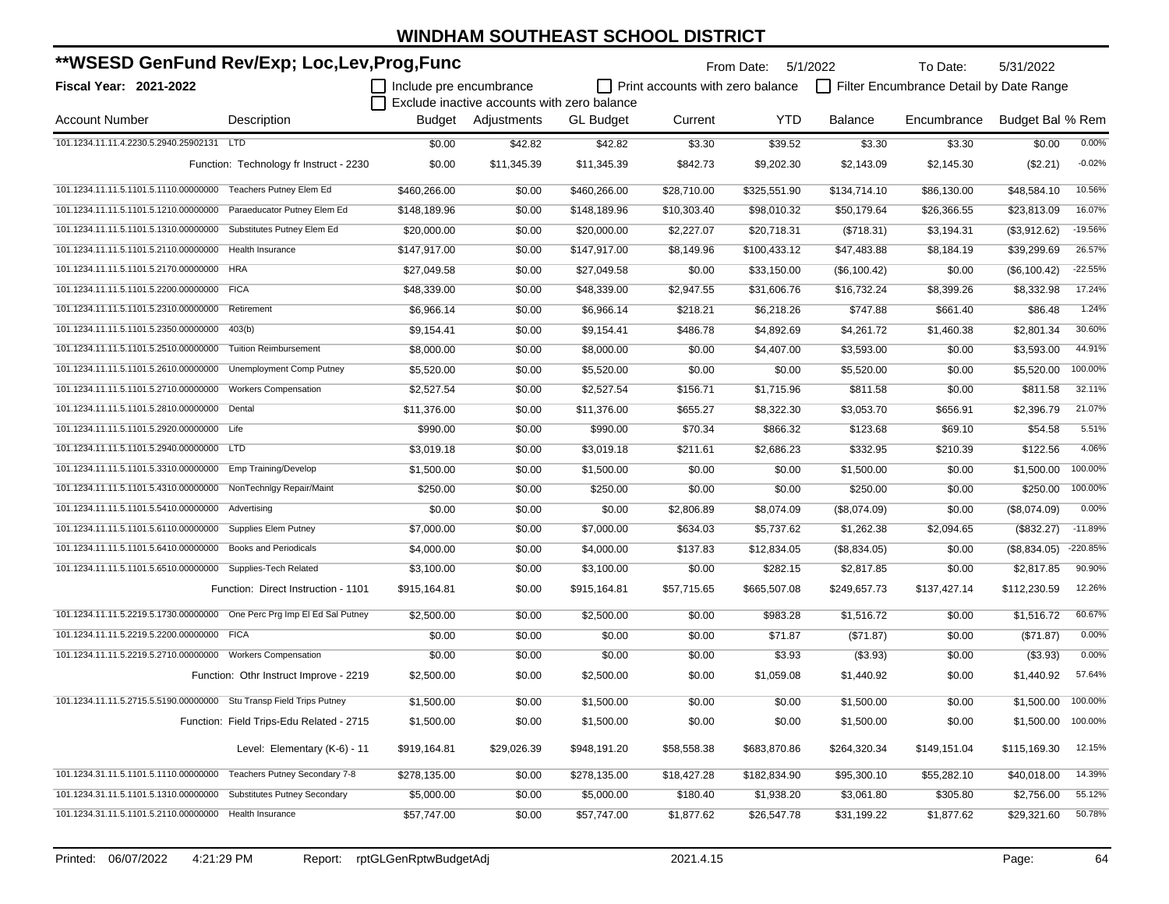| **WSESD GenFund Rev/Exp; Loc,Lev,Prog,Func                              |                                          |                         |                                             |                  | From Date:                       | 5/1/2022     | To Date:       | 5/31/2022                               |                  |           |
|-------------------------------------------------------------------------|------------------------------------------|-------------------------|---------------------------------------------|------------------|----------------------------------|--------------|----------------|-----------------------------------------|------------------|-----------|
| Fiscal Year: 2021-2022                                                  |                                          | Include pre encumbrance | Exclude inactive accounts with zero balance |                  | Print accounts with zero balance |              |                | Filter Encumbrance Detail by Date Range |                  |           |
| <b>Account Number</b>                                                   | Description                              |                         | Budget Adjustments                          | <b>GL Budget</b> | Current                          | <b>YTD</b>   | <b>Balance</b> | Encumbrance                             | Budget Bal % Rem |           |
| 101.1234.11.11.4.2230.5.2940.25902131 LTD                               |                                          | \$0.00                  | \$42.82                                     | \$42.82          | \$3.30                           | \$39.52      | \$3.30         | \$3.30                                  | \$0.00           | 0.00%     |
|                                                                         | Function: Technology fr Instruct - 2230  | \$0.00                  | \$11,345.39                                 | \$11,345.39      | \$842.73                         | \$9,202.30   | \$2,143.09     | \$2,145.30                              | (\$2.21)         | $-0.02%$  |
| 101.1234.11.11.5.1101.5.1110.00000000 Teachers Putney Elem Ed           |                                          | \$460,266.00            | \$0.00                                      | \$460,266.00     | \$28,710.00                      | \$325,551.90 | \$134,714.10   | \$86,130.00                             | \$48,584.10      | 10.56%    |
| 101.1234.11.11.5.1101.5.1210.00000000                                   | Paraeducator Putney Elem Ed              | \$148,189.96            | \$0.00                                      | \$148,189.96     | \$10,303.40                      | \$98,010.32  | \$50,179.64    | \$26,366.55                             | \$23,813.09      | 16.07%    |
| 101.1234.11.11.5.1101.5.1310.00000000                                   | Substitutes Putney Elem Ed               | \$20,000.00             | \$0.00                                      | \$20,000.00      | \$2,227.07                       | \$20,718.31  | (\$718.31)     | \$3,194.31                              | (\$3,912.62)     | $-19.56%$ |
| 101.1234.11.11.5.1101.5.2110.00000000                                   | Health Insurance                         | \$147,917.00            | \$0.00                                      | \$147,917.00     | \$8,149.96                       | \$100,433.12 | \$47,483.88    | \$8,184.19                              | \$39,299.69      | 26.57%    |
| 101.1234.11.11.5.1101.5.2170.00000000                                   | <b>HRA</b>                               | \$27,049.58             | \$0.00                                      | \$27,049.58      | \$0.00                           | \$33,150.00  | (\$6,100.42)   | \$0.00                                  | (\$6,100.42)     | $-22.55%$ |
| 101.1234.11.11.5.1101.5.2200.00000000                                   | <b>FICA</b>                              | \$48,339.00             | \$0.00                                      | \$48,339.00      | \$2,947.55                       | \$31,606.76  | \$16,732.24    | \$8,399.26                              | \$8,332.98       | 17.24%    |
| 101.1234.11.11.5.1101.5.2310.00000000                                   | Retirement                               | \$6,966.14              | \$0.00                                      | \$6,966.14       | \$218.21                         | \$6,218.26   | \$747.88       | \$661.40                                | \$86.48          | 1.24%     |
| 101.1234.11.11.5.1101.5.2350.00000000                                   | 403(b)                                   | \$9,154.41              | \$0.00                                      | \$9,154.41       | \$486.78                         | \$4,892.69   | \$4,261.72     | \$1,460.38                              | \$2,801.34       | 30.60%    |
| 101.1234.11.11.5.1101.5.2510.00000000                                   | <b>Tuition Reimbursement</b>             | \$8,000.00              | \$0.00                                      | \$8,000.00       | \$0.00                           | \$4,407.00   | \$3,593.00     | \$0.00                                  | \$3,593.00       | 44.91%    |
| 101.1234.11.11.5.1101.5.2610.00000000                                   | Unemployment Comp Putney                 | \$5,520.00              | \$0.00                                      | \$5,520.00       | \$0.00                           | \$0.00       | \$5,520.00     | \$0.00                                  | \$5,520.00       | 100.00%   |
| 101.1234.11.11.5.1101.5.2710.00000000                                   | <b>Workers Compensation</b>              | \$2,527.54              | \$0.00                                      | \$2,527.54       | \$156.71                         | \$1,715.96   | \$811.58       | \$0.00                                  | \$811.58         | 32.11%    |
| 101.1234.11.11.5.1101.5.2810.00000000                                   | Dental                                   | \$11,376.00             | \$0.00                                      | \$11,376.00      | \$655.27                         | \$8,322.30   | \$3,053.70     | \$656.91                                | \$2,396.79       | 21.07%    |
| 101.1234.11.11.5.1101.5.2920.00000000 Life                              |                                          | \$990.00                | \$0.00                                      | \$990.00         | \$70.34                          | \$866.32     | \$123.68       | \$69.10                                 | \$54.58          | 5.51%     |
| 101.1234.11.11.5.1101.5.2940.00000000                                   | <b>LTD</b>                               | \$3,019.18              | \$0.00                                      | \$3,019.18       | \$211.61                         | \$2,686.23   | \$332.95       | \$210.39                                | \$122.56         | 4.06%     |
| 101.1234.11.11.5.1101.5.3310.00000000                                   | Emp Training/Develop                     | \$1,500.00              | \$0.00                                      | \$1,500.00       | \$0.00                           | \$0.00       | \$1,500.00     | \$0.00                                  | \$1,500.00       | 100.00%   |
| 101.1234.11.11.5.1101.5.4310.00000000                                   | NonTechnlgy Repair/Maint                 | \$250.00                | \$0.00                                      | \$250.00         | \$0.00                           | \$0.00       | \$250.00       | \$0.00                                  | \$250.00         | 100.00%   |
| 101.1234.11.11.5.1101.5.5410.00000000                                   | Advertising                              | \$0.00                  | \$0.00                                      | \$0.00           | \$2,806.89                       | \$8,074.09   | (\$8,074.09)   | \$0.00                                  | (\$8,074.09)     | 0.00%     |
| 101.1234.11.11.5.1101.5.6110.00000000                                   | Supplies Elem Putney                     | \$7,000.00              | \$0.00                                      | \$7,000.00       | \$634.03                         | \$5,737.62   | \$1,262.38     | \$2,094.65                              | (\$832.27)       | $-11.89%$ |
| 101.1234.11.11.5.1101.5.6410.00000000                                   | <b>Books and Periodicals</b>             | \$4,000.00              | \$0.00                                      | \$4,000.00       | \$137.83                         | \$12,834.05  | (\$8,834.05)   | \$0.00                                  | (\$8,834.05)     | -220.85%  |
| 101.1234.11.11.5.1101.5.6510.00000000                                   | Supplies-Tech Related                    | \$3,100.00              | \$0.00                                      | \$3,100.00       | \$0.00                           | \$282.15     | \$2,817.85     | \$0.00                                  | \$2,817.85       | 90.90%    |
|                                                                         | Function: Direct Instruction - 1101      | \$915,164.81            | \$0.00                                      | \$915,164.81     | \$57,715.65                      | \$665,507.08 | \$249,657.73   | \$137,427.14                            | \$112,230.59     | 12.26%    |
| 101.1234.11.11.5.2219.5.1730.00000000 One Perc Prg Imp El Ed Sal Putney |                                          | \$2,500.00              | \$0.00                                      | \$2,500.00       | \$0.00                           | \$983.28     | \$1,516.72     | \$0.00                                  | \$1,516.72       | 60.67%    |
| 101.1234.11.11.5.2219.5.2200.00000000                                   | <b>FICA</b>                              | \$0.00                  | \$0.00                                      | \$0.00           | \$0.00                           | \$71.87      | (\$71.87)      | \$0.00                                  | (\$71.87)        | 0.00%     |
| 101.1234.11.11.5.2219.5.2710.00000000 Workers Compensation              |                                          | \$0.00                  | \$0.00                                      | \$0.00           | \$0.00                           | \$3.93       | (\$3.93)       | \$0.00                                  | (\$3.93)         | 0.00%     |
|                                                                         | Function: Othr Instruct Improve - 2219   | \$2,500.00              | \$0.00                                      | \$2,500.00       | \$0.00                           | \$1,059.08   | \$1,440.92     | \$0.00                                  | \$1,440.92       | 57.64%    |
| 101.1234.11.11.5.2715.5.5190.00000000 Stu Transp Field Trips Putney     |                                          | \$1,500.00              | \$0.00                                      | \$1,500.00       | \$0.00                           | \$0.00       | \$1,500.00     | \$0.00                                  | \$1,500.00       | 100.00%   |
|                                                                         | Function: Field Trips-Edu Related - 2715 | \$1,500.00              | \$0.00                                      | \$1,500.00       | \$0.00                           | \$0.00       | \$1,500.00     | \$0.00                                  | \$1,500.00       | 100.00%   |
|                                                                         | Level: Elementary (K-6) - 11             | \$919,164.81            | \$29,026.39                                 | \$948,191.20     | \$58,558.38                      | \$683,870.86 | \$264,320.34   | \$149,151.04                            | \$115,169.30     | 12.15%    |
| 101.1234.31.11.5.1101.5.1110.00000000                                   | Teachers Putney Secondary 7-8            | \$278,135.00            | \$0.00                                      | \$278,135.00     | \$18,427.28                      | \$182,834.90 | \$95,300.10    | \$55,282.10                             | \$40,018.00      | 14.39%    |
| 101.1234.31.11.5.1101.5.1310.00000000                                   | <b>Substitutes Putney Secondary</b>      | \$5,000.00              | \$0.00                                      | \$5,000.00       | \$180.40                         | \$1,938.20   | \$3,061.80     | \$305.80                                | \$2,756.00       | 55.12%    |
| 101.1234.31.11.5.1101.5.2110.00000000 Health Insurance                  |                                          | \$57,747.00             | \$0.00                                      | \$57,747.00      | \$1,877.62                       | \$26,547.78  | \$31,199.22    | \$1,877.62                              | \$29,321.60      | 50.78%    |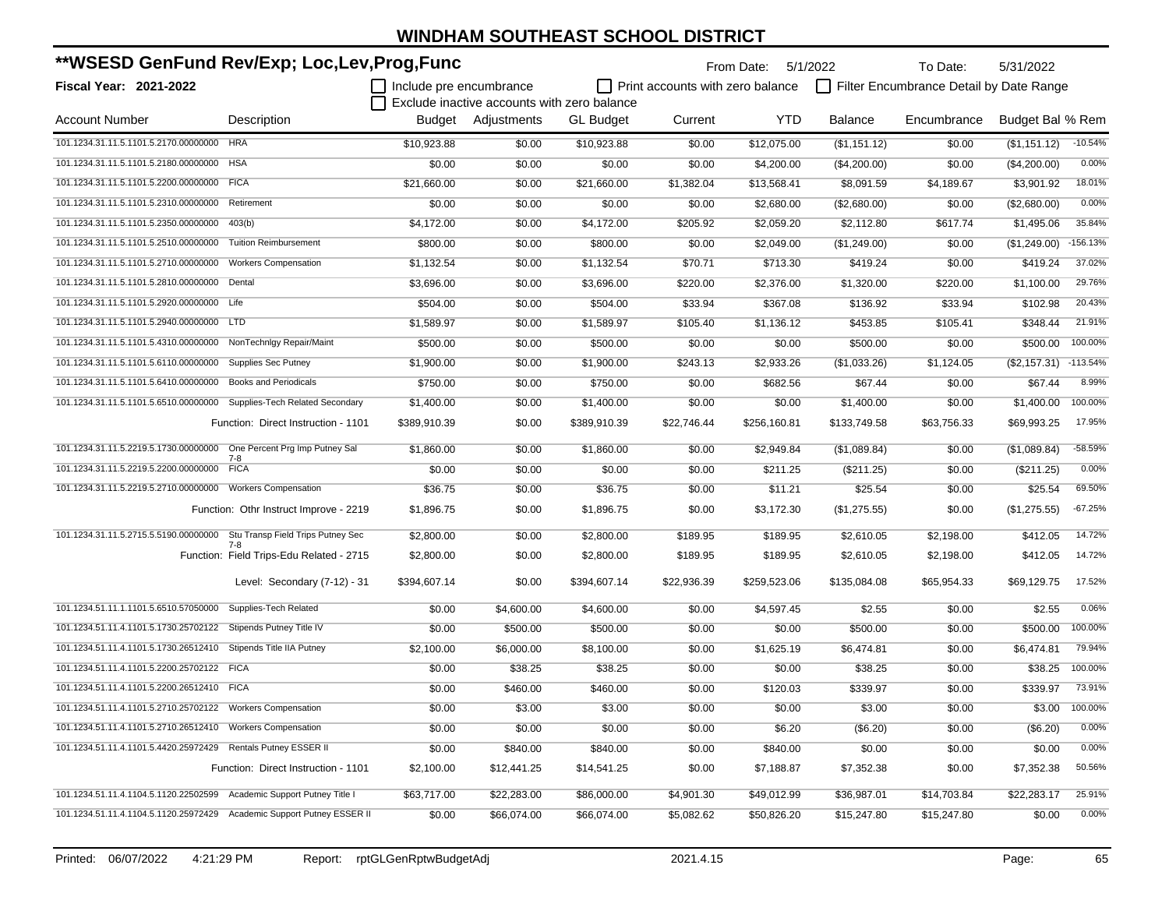| **WSESD GenFund Rev/Exp; Loc,Lev,Prog,Func                              |                                          |                         |                                             |                  |                                         | From Date:   | 5/1/2022     | To Date:                                | 5/31/2022        |            |
|-------------------------------------------------------------------------|------------------------------------------|-------------------------|---------------------------------------------|------------------|-----------------------------------------|--------------|--------------|-----------------------------------------|------------------|------------|
| <b>Fiscal Year: 2021-2022</b>                                           |                                          | Include pre encumbrance |                                             |                  | $\Box$ Print accounts with zero balance |              |              | Filter Encumbrance Detail by Date Range |                  |            |
|                                                                         |                                          |                         | Exclude inactive accounts with zero balance |                  |                                         |              |              |                                         |                  |            |
| <b>Account Number</b>                                                   | Description                              |                         | Budget Adjustments                          | <b>GL Budget</b> | Current                                 | <b>YTD</b>   | Balance      | Encumbrance                             | Budget Bal % Rem |            |
| 101.1234.31.11.5.1101.5.2170.00000000 HRA                               |                                          | \$10.923.88             | \$0.00                                      | \$10,923.88      | \$0.00                                  | \$12,075.00  | (\$1,151.12) | \$0.00                                  | (\$1,151.12)     | $-10.54%$  |
| 101.1234.31.11.5.1101.5.2180.00000000                                   | <b>HSA</b>                               | \$0.00                  | \$0.00                                      | \$0.00           | \$0.00                                  | \$4,200.00   | (\$4,200.00) | \$0.00                                  | (\$4,200.00)     | 0.00%      |
| 101.1234.31.11.5.1101.5.2200.00000000 FICA                              |                                          | \$21,660.00             | \$0.00                                      | \$21,660.00      | \$1,382.04                              | \$13,568.41  | \$8,091.59   | \$4,189.67                              | \$3,901.92       | 18.01%     |
| 101.1234.31.11.5.1101.5.2310.00000000                                   | Retirement                               | \$0.00                  | \$0.00                                      | \$0.00           | \$0.00                                  | \$2,680.00   | (\$2,680.00) | \$0.00                                  | (\$2,680.00)     | 0.00%      |
| 101.1234.31.11.5.1101.5.2350.00000000                                   | 403(b)                                   | \$4,172.00              | \$0.00                                      | \$4,172.00       | \$205.92                                | \$2,059.20   | \$2,112.80   | \$617.74                                | \$1,495.06       | 35.84%     |
| 101.1234.31.11.5.1101.5.2510.00000000                                   | <b>Tuition Reimbursement</b>             | \$800.00                | \$0.00                                      | \$800.00         | \$0.00                                  | \$2,049.00   | (\$1,249.00) | \$0.00                                  | (\$1,249.00)     | $-156.13%$ |
| 101.1234.31.11.5.1101.5.2710.00000000                                   | <b>Workers Compensation</b>              | \$1,132.54              | \$0.00                                      | \$1,132.54       | \$70.71                                 | \$713.30     | \$419.24     | \$0.00                                  | \$419.24         | 37.02%     |
| 101.1234.31.11.5.1101.5.2810.00000000                                   | Dental                                   | \$3,696.00              | \$0.00                                      | \$3,696.00       | \$220.00                                | \$2,376.00   | \$1,320.00   | \$220.00                                | \$1,100.00       | 29.76%     |
| 101.1234.31.11.5.1101.5.2920.00000000 Life                              |                                          | \$504.00                | \$0.00                                      | \$504.00         | \$33.94                                 | \$367.08     | \$136.92     | \$33.94                                 | \$102.98         | 20.43%     |
| 101.1234.31.11.5.1101.5.2940.00000000 LTD                               |                                          | \$1,589.97              | \$0.00                                      | \$1,589.97       | \$105.40                                | \$1,136.12   | \$453.85     | \$105.41                                | \$348.44         | 21.91%     |
| 101.1234.31.11.5.1101.5.4310.00000000                                   | NonTechnigy Repair/Maint                 | \$500.00                | \$0.00                                      | \$500.00         | \$0.00                                  | \$0.00       | \$500.00     | \$0.00                                  | \$500.00         | 100.00%    |
| 101.1234.31.11.5.1101.5.6110.00000000                                   | <b>Supplies Sec Putney</b>               | \$1,900.00              | \$0.00                                      | \$1,900.00       | \$243.13                                | \$2,933.26   | (\$1,033.26) | \$1,124.05                              | (\$2,157.31)     | $-113.54%$ |
| 101.1234.31.11.5.1101.5.6410.00000000                                   | <b>Books and Periodicals</b>             | \$750.00                | \$0.00                                      | \$750.00         | \$0.00                                  | \$682.56     | \$67.44      | \$0.00                                  | \$67.44          | 8.99%      |
| 101.1234.31.11.5.1101.5.6510.00000000 Supplies-Tech Related Secondary   |                                          | \$1,400.00              | \$0.00                                      | \$1,400.00       | \$0.00                                  | \$0.00       | \$1,400.00   | \$0.00                                  | \$1,400.00       | 100.00%    |
|                                                                         | Function: Direct Instruction - 1101      | \$389,910.39            | \$0.00                                      | \$389,910.39     | \$22,746.44                             | \$256,160.81 | \$133.749.58 | \$63,756.33                             | \$69,993.25      | 17.95%     |
| 101.1234.31.11.5.2219.5.1730.00000000 One Percent Prg Imp Putney Sal    |                                          | \$1,860.00              | \$0.00                                      | \$1,860.00       | \$0.00                                  | \$2,949.84   | (\$1,089.84) | \$0.00                                  | (\$1,089.84)     | $-58.59%$  |
| 101.1234.31.11.5.2219.5.2200.00000000 FICA                              | 7-8                                      | \$0.00                  | \$0.00                                      | \$0.00           | \$0.00                                  | \$211.25     | (\$211.25)   | \$0.00                                  | (\$211.25)       | 0.00%      |
| 101.1234.31.11.5.2219.5.2710.00000000 Workers Compensation              |                                          | \$36.75                 | \$0.00                                      | \$36.75          | \$0.00                                  | \$11.21      | \$25.54      | \$0.00                                  | \$25.54          | 69.50%     |
|                                                                         | Function: Othr Instruct Improve - 2219   | \$1,896.75              | \$0.00                                      | \$1,896.75       | \$0.00                                  | \$3,172.30   | (\$1,275.55) | \$0.00                                  | (\$1,275.55)     | $-67.25%$  |
| 101.1234.31.11.5.2715.5.5190.00000000 Stu Transp Field Trips Putney Sec |                                          | \$2,800.00              | \$0.00                                      | \$2,800.00       | \$189.95                                | \$189.95     | \$2,610.05   | \$2,198.00                              | \$412.05         | 14.72%     |
|                                                                         | Function: Field Trips-Edu Related - 2715 | \$2,800.00              | \$0.00                                      | \$2,800.00       | \$189.95                                | \$189.95     | \$2,610.05   | \$2,198.00                              | \$412.05         | 14.72%     |
|                                                                         | Level: Secondary (7-12) - 31             | \$394,607.14            | \$0.00                                      | \$394,607.14     | \$22,936.39                             | \$259,523.06 | \$135,084.08 | \$65,954.33                             | \$69,129.75      | 17.52%     |
| 101.1234.51.11.1.1101.5.6510.57050000                                   | Supplies-Tech Related                    | \$0.00                  | \$4,600.00                                  | \$4,600.00       | \$0.00                                  | \$4,597.45   | \$2.55       | \$0.00                                  | \$2.55           | 0.06%      |
| 101.1234.51.11.4.1101.5.1730.25702122                                   | Stipends Putney Title IV                 | \$0.00                  | \$500.00                                    | \$500.00         | \$0.00                                  | \$0.00       | \$500.00     | \$0.00                                  | \$500.00         | 100.00%    |
| 101.1234.51.11.4.1101.5.1730.26512410 Stipends Title IIA Putney         |                                          | \$2,100.00              | \$6,000.00                                  | \$8,100.00       | \$0.00                                  | \$1,625.19   | \$6,474.81   | \$0.00                                  | \$6,474.81       | 79.94%     |
| 101.1234.51.11.4.1101.5.2200.25702122 FICA                              |                                          | \$0.00                  | \$38.25                                     | \$38.25          | \$0.00                                  | \$0.00       | \$38.25      | \$0.00                                  | \$38.25          | 100.00%    |
| 101.1234.51.11.4.1101.5.2200.26512410 FICA                              |                                          | \$0.00                  | \$460.00                                    | \$460.00         | \$0.00                                  | \$120.03     | \$339.97     | \$0.00                                  | \$339.97         | 73.91%     |
| 101.1234.51.11.4.1101.5.2710.25702122  Workers Compensation             |                                          | \$0.00                  | \$3.00                                      | \$3.00           | \$0.00                                  | \$0.00       | \$3.00       | \$0.00                                  | \$3.00           | 100.00%    |
| 101.1234.51.11.4.1101.5.2710.26512410 Workers Compensation              |                                          | \$0.00                  | \$0.00                                      | \$0.00           | \$0.00                                  | \$6.20       | (\$6.20)     | \$0.00                                  | (\$6.20)         | 0.00%      |
| 101.1234.51.11.4.1101.5.4420.25972429 Rentals Putney ESSER II           |                                          | \$0.00                  | \$840.00                                    | \$840.00         | \$0.00                                  | \$840.00     | \$0.00       | \$0.00                                  | \$0.00           | 0.00%      |
|                                                                         | Function: Direct Instruction - 1101      | \$2,100.00              | \$12,441.25                                 | \$14,541.25      | \$0.00                                  | \$7,188.87   | \$7,352.38   | \$0.00                                  | \$7,352.38       | 50.56%     |
| 101.1234.51.11.4.1104.5.1120.22502599 Academic Support Putney Title I   |                                          | \$63,717.00             | \$22,283.00                                 | \$86,000.00      | \$4,901.30                              | \$49,012.99  | \$36,987.01  | \$14,703.84                             | \$22,283.17      | 25.91%     |
| 101.1234.51.11.4.1104.5.1120.25972429 Academic Support Putney ESSER II  |                                          | \$0.00                  | \$66,074.00                                 | \$66,074.00      | \$5,082.62                              | \$50,826.20  | \$15,247.80  | \$15,247.80                             | \$0.00           | 0.00%      |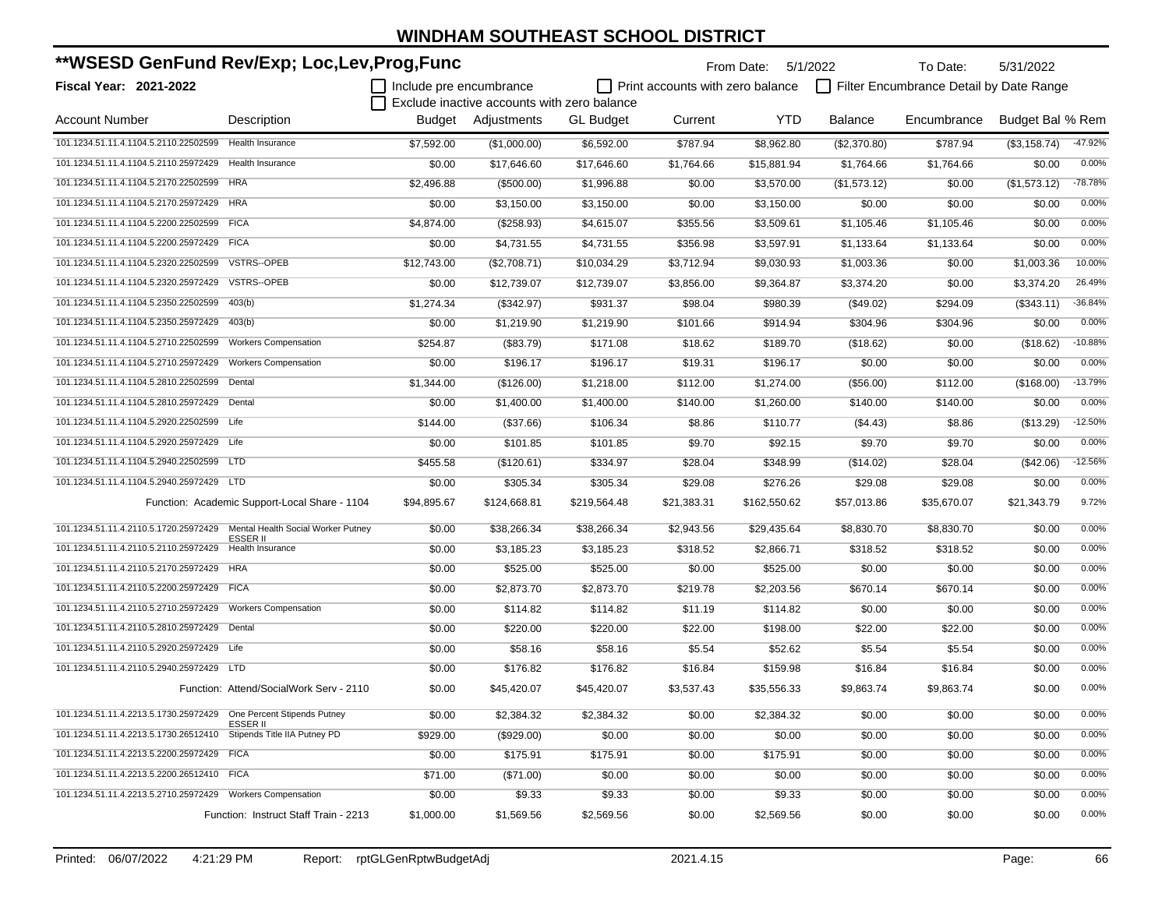| **WSESD GenFund Rev/Exp; Loc,Lev,Prog,Func                           |                                                       |                         |                                             |                  |                                         | From Date: 5/1/2022 |                | To Date:                                | 5/31/2022        |           |
|----------------------------------------------------------------------|-------------------------------------------------------|-------------------------|---------------------------------------------|------------------|-----------------------------------------|---------------------|----------------|-----------------------------------------|------------------|-----------|
| <b>Fiscal Year: 2021-2022</b>                                        |                                                       | Include pre encumbrance |                                             |                  | $\Box$ Print accounts with zero balance |                     |                | Filter Encumbrance Detail by Date Range |                  |           |
|                                                                      |                                                       |                         | Exclude inactive accounts with zero balance |                  |                                         |                     |                |                                         |                  |           |
| <b>Account Number</b>                                                | Description                                           |                         | Budget Adjustments                          | <b>GL Budget</b> | Current                                 | YTD                 | <b>Balance</b> | Encumbrance                             | Budget Bal % Rem |           |
| 101.1234.51.11.4.1104.5.2110.22502599                                | <b>Health Insurance</b>                               | \$7,592.00              | (\$1,000.00)                                | \$6,592.00       | \$787.94                                | \$8,962.80          | (\$2,370.80)   | \$787.94                                | (\$3,158.74)     | -47.92%   |
| 101.1234.51.11.4.1104.5.2110.25972429                                | Health Insurance                                      | \$0.00                  | \$17,646.60                                 | \$17,646.60      | \$1,764.66                              | \$15,881.94         | \$1,764.66     | \$1,764.66                              | \$0.00           | 0.00%     |
| 101.1234.51.11.4.1104.5.2170.22502599                                | <b>HRA</b>                                            | \$2,496.88              | (\$500.00)                                  | \$1,996.88       | \$0.00                                  | \$3,570.00          | (\$1,573.12)   | \$0.00                                  | (\$1,573.12)     | $-78.78%$ |
| 101.1234.51.11.4.1104.5.2170.25972429 HRA                            |                                                       | \$0.00                  | \$3,150.00                                  | \$3,150.00       | \$0.00                                  | \$3,150.00          | \$0.00         | \$0.00                                  | \$0.00           | 0.00%     |
| 101.1234.51.11.4.1104.5.2200.22502599 FICA                           |                                                       | \$4,874.00              | (\$258.93)                                  | \$4,615.07       | \$355.56                                | \$3,509.61          | \$1,105.46     | \$1,105.46                              | \$0.00           | 0.00%     |
| 101.1234.51.11.4.1104.5.2200.25972429 FICA                           |                                                       | \$0.00                  | \$4,731.55                                  | \$4,731.55       | \$356.98                                | \$3,597.91          | \$1,133.64     | \$1,133.64                              | \$0.00           | 0.00%     |
| 101.1234.51.11.4.1104.5.2320.22502599                                | VSTRS--OPEB                                           | \$12,743.00             | (\$2,708.71)                                | \$10,034.29      | \$3,712.94                              | \$9,030.93          | \$1,003.36     | \$0.00                                  | \$1,003.36       | 10.00%    |
| 101.1234.51.11.4.1104.5.2320.25972429                                | VSTRS--OPEB                                           | \$0.00                  | \$12,739.07                                 | \$12,739.07      | \$3,856.00                              | \$9,364.87          | \$3,374.20     | \$0.00                                  | \$3,374.20       | 26.49%    |
| 101.1234.51.11.4.1104.5.2350.22502599                                | 403(b)                                                | \$1,274.34              | (\$342.97)                                  | \$931.37         | \$98.04                                 | \$980.39            | (\$49.02)      | \$294.09                                | (\$343.11)       | $-36.84%$ |
| 101.1234.51.11.4.1104.5.2350.25972429                                | 403(b)                                                | \$0.00                  | \$1,219.90                                  | \$1,219.90       | \$101.66                                | \$914.94            | \$304.96       | \$304.96                                | \$0.00           | 0.00%     |
| 101.1234.51.11.4.1104.5.2710.22502599                                | <b>Workers Compensation</b>                           | \$254.87                | (\$83.79)                                   | \$171.08         | \$18.62                                 | \$189.70            | (\$18.62)      | \$0.00                                  | (\$18.62)        | $-10.88%$ |
| 101.1234.51.11.4.1104.5.2710.25972429                                | <b>Workers Compensation</b>                           | \$0.00                  | \$196.17                                    | \$196.17         | \$19.31                                 | \$196.17            | \$0.00         | \$0.00                                  | \$0.00           | 0.00%     |
| 101.1234.51.11.4.1104.5.2810.22502599                                | Dental                                                | \$1,344.00              | (\$126.00)                                  | \$1,218.00       | \$112.00                                | \$1,274.00          | (\$56.00)      | \$112.00                                | (\$168.00)       | $-13.79%$ |
| 101.1234.51.11.4.1104.5.2810.25972429                                | Dental                                                | \$0.00                  | \$1,400.00                                  | \$1,400.00       | \$140.00                                | \$1,260.00          | \$140.00       | \$140.00                                | \$0.00           | 0.00%     |
| 101.1234.51.11.4.1104.5.2920.22502599                                | Life                                                  | \$144.00                | (\$37.66)                                   | \$106.34         | \$8.86                                  | \$110.77            | (\$4.43)       | \$8.86                                  | (\$13.29)        | $-12.50%$ |
| 101.1234.51.11.4.1104.5.2920.25972429 Life                           |                                                       | \$0.00                  | \$101.85                                    | \$101.85         | \$9.70                                  | \$92.15             | \$9.70         | \$9.70                                  | \$0.00           | 0.00%     |
| 101.1234.51.11.4.1104.5.2940.22502599 LTD                            |                                                       | \$455.58                | (\$120.61)                                  | \$334.97         | \$28.04                                 | \$348.99            | (\$14.02)      | \$28.04                                 | $(\$42.06)$      | $-12.56%$ |
| 101.1234.51.11.4.1104.5.2940.25972429 LTD                            |                                                       | \$0.00                  | \$305.34                                    | \$305.34         | \$29.08                                 | \$276.26            | \$29.08        | \$29.08                                 | \$0.00           | 0.00%     |
|                                                                      | Function: Academic Support-Local Share - 1104         | \$94,895.67             | \$124,668.81                                | \$219,564.48     | \$21,383.31                             | \$162,550.62        | \$57,013.86    | \$35,670.07                             | \$21,343.79      | 9.72%     |
| 101.1234.51.11.4.2110.5.1720.25972429                                | Mental Health Social Worker Putney<br><b>ESSER II</b> | \$0.00                  | \$38,266.34                                 | \$38,266.34      | \$2,943.56                              | \$29,435.64         | \$8,830.70     | \$8,830.70                              | \$0.00           | 0.00%     |
| 101.1234.51.11.4.2110.5.2110.25972429                                | <b>Health Insurance</b>                               | \$0.00                  | \$3,185.23                                  | \$3,185.23       | \$318.52                                | \$2,866.71          | \$318.52       | \$318.52                                | \$0.00           | 0.00%     |
| 101.1234.51.11.4.2110.5.2170.25972429 HRA                            |                                                       | \$0.00                  | \$525.00                                    | \$525.00         | \$0.00                                  | \$525.00            | \$0.00         | \$0.00                                  | \$0.00           | 0.00%     |
| 101.1234.51.11.4.2110.5.2200.25972429 FICA                           |                                                       | \$0.00                  | \$2,873.70                                  | \$2,873.70       | \$219.78                                | \$2,203.56          | \$670.14       | \$670.14                                | \$0.00           | 0.00%     |
| 101.1234.51.11.4.2110.5.2710.25972429                                | <b>Workers Compensation</b>                           | \$0.00                  | \$114.82                                    | \$114.82         | \$11.19                                 | \$114.82            | \$0.00         | \$0.00                                  | \$0.00           | 0.00%     |
| 101.1234.51.11.4.2110.5.2810.25972429                                | Dental                                                | \$0.00                  | \$220.00                                    | \$220.00         | \$22.00                                 | \$198.00            | \$22.00        | \$22.00                                 | \$0.00           | 0.00%     |
| 101.1234.51.11.4.2110.5.2920.25972429 Life                           |                                                       | \$0.00                  | \$58.16                                     | \$58.16          | \$5.54                                  | \$52.62             | \$5.54         | \$5.54                                  | \$0.00           | 0.00%     |
| 101.1234.51.11.4.2110.5.2940.25972429 LTD                            |                                                       | \$0.00                  | \$176.82                                    | \$176.82         | \$16.84                                 | \$159.98            | \$16.84        | \$16.84                                 | \$0.00           | 0.00%     |
|                                                                      | Function: Attend/SocialWork Serv - 2110               | \$0.00                  | \$45,420.07                                 | \$45,420.07      | \$3,537.43                              | \$35,556.33         | \$9,863.74     | \$9,863.74                              | \$0.00           | 0.00%     |
| 101.1234.51.11.4.2213.5.1730.25972429    One Percent Stipends Putney | <b>ESSER II</b>                                       | \$0.00                  | \$2,384.32                                  | \$2,384.32       | \$0.00                                  | \$2,384.32          | \$0.00         | \$0.00                                  | \$0.00           | 0.00%     |
| 101.1234.51.11.4.2213.5.1730.26512410 Stipends Title IIA Putney PD   |                                                       | \$929.00                | (\$929.00)                                  | \$0.00           | \$0.00                                  | \$0.00              | \$0.00         | \$0.00                                  | \$0.00           | 0.00%     |
| 101.1234.51.11.4.2213.5.2200.25972429 FICA                           |                                                       | \$0.00                  | \$175.91                                    | \$175.91         | \$0.00                                  | \$175.91            | \$0.00         | \$0.00                                  | \$0.00           | 0.00%     |
| 101.1234.51.11.4.2213.5.2200.26512410 FICA                           |                                                       | \$71.00                 | (\$71.00)                                   | \$0.00           | \$0.00                                  | \$0.00              | \$0.00         | \$0.00                                  | \$0.00           | 0.00%     |
|                                                                      |                                                       | \$0.00                  | \$9.33                                      | \$9.33           | \$0.00                                  | \$9.33              | \$0.00         | \$0.00                                  | \$0.00           | 0.00%     |
|                                                                      | Function: Instruct Staff Train - 2213                 | \$1,000.00              | \$1,569.56                                  | \$2,569.56       | \$0.00                                  | \$2,569.56          | \$0.00         | \$0.00                                  | \$0.00           | 0.00%     |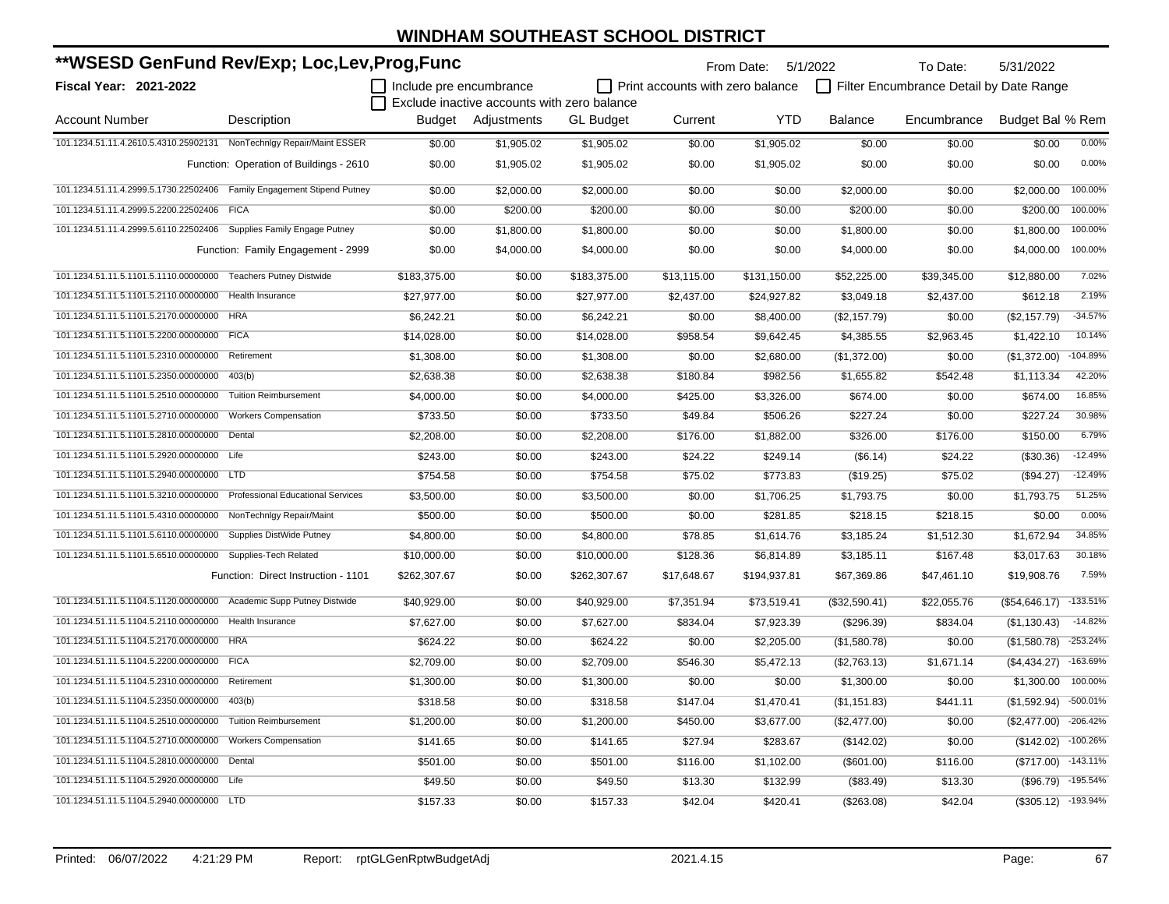| **WSESD GenFund Rev/Exp; Loc,Lev,Prog,Func                              |                                          |                         |                                             |                  | From Date: 5/1/2022              |              | To Date:       | 5/31/2022                               |                        |            |
|-------------------------------------------------------------------------|------------------------------------------|-------------------------|---------------------------------------------|------------------|----------------------------------|--------------|----------------|-----------------------------------------|------------------------|------------|
| <b>Fiscal Year: 2021-2022</b>                                           |                                          | Include pre encumbrance |                                             |                  | Print accounts with zero balance |              |                | Filter Encumbrance Detail by Date Range |                        |            |
|                                                                         |                                          |                         | Exclude inactive accounts with zero balance |                  |                                  |              |                |                                         |                        |            |
| <b>Account Number</b>                                                   | Description                              |                         | Budget Adjustments                          | <b>GL Budget</b> | Current                          | <b>YTD</b>   | <b>Balance</b> | Encumbrance                             | Budget Bal % Rem       |            |
| 101.1234.51.11.4.2610.5.4310.25902131 NonTechnIgy Repair/Maint ESSER    |                                          | \$0.00                  | \$1,905.02                                  | \$1,905.02       | \$0.00                           | \$1,905.02   | \$0.00         | \$0.00                                  | \$0.00                 | 0.00%      |
|                                                                         | Function: Operation of Buildings - 2610  | \$0.00                  | \$1,905.02                                  | \$1,905.02       | \$0.00                           | \$1,905.02   | \$0.00         | \$0.00                                  | \$0.00                 | 0.00%      |
| 101.1234.51.11.4.2999.5.1730.22502406  Family Engagement Stipend Putney |                                          | \$0.00                  | \$2,000.00                                  | \$2,000.00       | \$0.00                           | \$0.00       | \$2,000.00     | \$0.00                                  | \$2,000.00             | 100.00%    |
| 101.1234.51.11.4.2999.5.2200.22502406                                   | <b>FICA</b>                              | \$0.00                  | \$200.00                                    | \$200.00         | \$0.00                           | \$0.00       | \$200.00       | \$0.00                                  | \$200.00               | 100.00%    |
| 101.1234.51.11.4.2999.5.6110.22502406                                   | Supplies Family Engage Putney            | \$0.00                  | \$1,800.00                                  | \$1,800.00       | \$0.00                           | \$0.00       | \$1,800.00     | \$0.00                                  | \$1,800.00             | 100.00%    |
|                                                                         | Function: Family Engagement - 2999       | \$0.00                  | \$4,000.00                                  | \$4,000.00       | \$0.00                           | \$0.00       | \$4,000.00     | \$0.00                                  | \$4,000.00             | 100.00%    |
| 101.1234.51.11.5.1101.5.1110.00000000 Teachers Putney Distwide          |                                          | \$183,375.00            | \$0.00                                      | \$183,375.00     | \$13,115.00                      | \$131,150.00 | \$52,225.00    | \$39,345.00                             | \$12,880.00            | 7.02%      |
| 101.1234.51.11.5.1101.5.2110.00000000 Health Insurance                  |                                          | \$27,977.00             | \$0.00                                      | \$27,977.00      | \$2,437.00                       | \$24,927.82  | \$3,049.18     | \$2,437.00                              | \$612.18               | 2.19%      |
| 101.1234.51.11.5.1101.5.2170.00000000 HRA                               |                                          | \$6,242.21              | \$0.00                                      | \$6,242.21       | \$0.00                           | \$8,400.00   | (\$2,157.79)   | \$0.00                                  | (\$2,157.79)           | $-34.57%$  |
| 101.1234.51.11.5.1101.5.2200.00000000 FICA                              |                                          | \$14,028.00             | \$0.00                                      | \$14,028.00      | \$958.54                         | \$9,642.45   | \$4,385.55     | \$2,963.45                              | \$1,422.10             | 10.14%     |
| 101.1234.51.11.5.1101.5.2310.00000000                                   | Retirement                               | \$1,308.00              | \$0.00                                      | \$1,308.00       | \$0.00                           | \$2,680.00   | (\$1,372.00)   | \$0.00                                  | (\$1,372.00)           | $-104.89%$ |
| 101.1234.51.11.5.1101.5.2350.00000000                                   | 403(b)                                   | \$2,638.38              | \$0.00                                      | \$2,638.38       | \$180.84                         | \$982.56     | \$1,655.82     | \$542.48                                | \$1,113.34             | 42.20%     |
| 101.1234.51.11.5.1101.5.2510.00000000                                   | <b>Tuition Reimbursement</b>             | \$4,000.00              | \$0.00                                      | \$4,000.00       | \$425.00                         | \$3,326.00   | \$674.00       | \$0.00                                  | \$674.00               | 16.85%     |
| 101.1234.51.11.5.1101.5.2710.00000000                                   | <b>Workers Compensation</b>              | \$733.50                | \$0.00                                      | \$733.50         | \$49.84                          | \$506.26     | \$227.24       | \$0.00                                  | \$227.24               | 30.98%     |
| 101.1234.51.11.5.1101.5.2810.00000000                                   | Dental                                   | \$2,208.00              | \$0.00                                      | \$2,208.00       | \$176.00                         | \$1,882.00   | \$326.00       | \$176.00                                | \$150.00               | 6.79%      |
| 101.1234.51.11.5.1101.5.2920.00000000                                   | Life                                     | \$243.00                | \$0.00                                      | \$243.00         | \$24.22                          | \$249.14     | (\$6.14)       | \$24.22                                 | (\$30.36)              | $-12.49%$  |
| 101.1234.51.11.5.1101.5.2940.00000000 LTD                               |                                          | \$754.58                | \$0.00                                      | \$754.58         | \$75.02                          | \$773.83     | (\$19.25)      | \$75.02                                 | (\$94.27)              | $-12.49%$  |
| 101.1234.51.11.5.1101.5.3210.00000000                                   | <b>Professional Educational Services</b> | \$3,500.00              | \$0.00                                      | \$3,500.00       | \$0.00                           | \$1,706.25   | \$1,793.75     | \$0.00                                  | \$1,793.75             | 51.25%     |
| 101.1234.51.11.5.1101.5.4310.00000000                                   | NonTechnlgy Repair/Maint                 | \$500.00                | \$0.00                                      | \$500.00         | \$0.00                           | \$281.85     | \$218.15       | \$218.15                                | \$0.00                 | 0.00%      |
| 101.1234.51.11.5.1101.5.6110.00000000                                   | <b>Supplies DistWide Putney</b>          | \$4,800.00              | \$0.00                                      | \$4,800.00       | \$78.85                          | \$1,614.76   | \$3,185.24     | \$1,512.30                              | \$1,672.94             | 34.85%     |
| 101.1234.51.11.5.1101.5.6510.00000000 Supplies-Tech Related             |                                          | \$10,000.00             | \$0.00                                      | \$10,000.00      | \$128.36                         | \$6,814.89   | \$3,185.11     | \$167.48                                | \$3,017.63             | 30.18%     |
|                                                                         | Function: Direct Instruction - 1101      | \$262,307.67            | \$0.00                                      | \$262,307.67     | \$17,648.67                      | \$194,937.81 | \$67,369.86    | \$47,461.10                             | \$19,908.76            | 7.59%      |
| 101.1234.51.11.5.1104.5.1120.00000000 Academic Supp Putney Distwide     |                                          | \$40,929.00             | \$0.00                                      | \$40,929.00      | \$7,351.94                       | \$73,519.41  | (\$32,590.41)  | \$22,055.76                             | (\$54,646.17)          | $-133.51%$ |
| 101.1234.51.11.5.1104.5.2110.00000000 Health Insurance                  |                                          | \$7,627.00              | \$0.00                                      | \$7,627.00       | \$834.04                         | \$7,923.39   | (\$296.39)     | \$834.04                                | (\$1,130.43)           | $-14.82%$  |
| 101.1234.51.11.5.1104.5.2170.00000000 HRA                               |                                          | \$624.22                | \$0.00                                      | \$624.22         | \$0.00                           | \$2,205.00   | (\$1,580.78)   | \$0.00                                  | (\$1,580.78)           | $-253.24%$ |
| 101.1234.51.11.5.1104.5.2200.00000000 FICA                              |                                          | \$2,709.00              | \$0.00                                      | \$2,709.00       | \$546.30                         | \$5,472.13   | (\$2,763.13)   | \$1,671.14                              | (\$4,434.27)           | -163.69%   |
| 101.1234.51.11.5.1104.5.2310.00000000 Retirement                        |                                          | \$1,300.00              | \$0.00                                      | \$1,300.00       | \$0.00                           | \$0.00       | \$1,300.00     | \$0.00                                  | \$1,300.00             | 100.00%    |
| 101.1234.51.11.5.1104.5.2350.00000000 403(b)                            |                                          | \$318.58                | \$0.00                                      | \$318.58         | \$147.04                         | \$1,470.41   | (\$1,151.83)   | \$441.11                                | (\$1,592.94)           | -500.01%   |
| 101.1234.51.11.5.1104.5.2510.00000000 Tuition Reimbursement             |                                          | \$1,200.00              | \$0.00                                      | \$1,200.00       | \$450.00                         | \$3,677.00   | (\$2,477.00)   | \$0.00                                  | (\$2,477.00)           | $-206.42%$ |
| 101.1234.51.11.5.1104.5.2710.00000000 Workers Compensation              |                                          | \$141.65                | \$0.00                                      | \$141.65         | \$27.94                          | \$283.67     | (\$142.02)     | \$0.00                                  | (\$142.02)             | $-100.26%$ |
| 101.1234.51.11.5.1104.5.2810.00000000 Dental                            |                                          | \$501.00                | \$0.00                                      | \$501.00         | \$116.00                         | \$1,102.00   | (\$601.00)     | \$116.00                                | (\$717.00) -143.11%    |            |
| 101.1234.51.11.5.1104.5.2920.00000000 Life                              |                                          | \$49.50                 | \$0.00                                      | \$49.50          | \$13.30                          | \$132.99     | (\$83.49)      | \$13.30                                 | $(\$96.79)$            | $-195.54%$ |
| 101.1234.51.11.5.1104.5.2940.00000000 LTD                               |                                          | \$157.33                | \$0.00                                      | \$157.33         | \$42.04                          | \$420.41     | (\$263.08)     | \$42.04                                 | $($ \$305.12) -193.94% |            |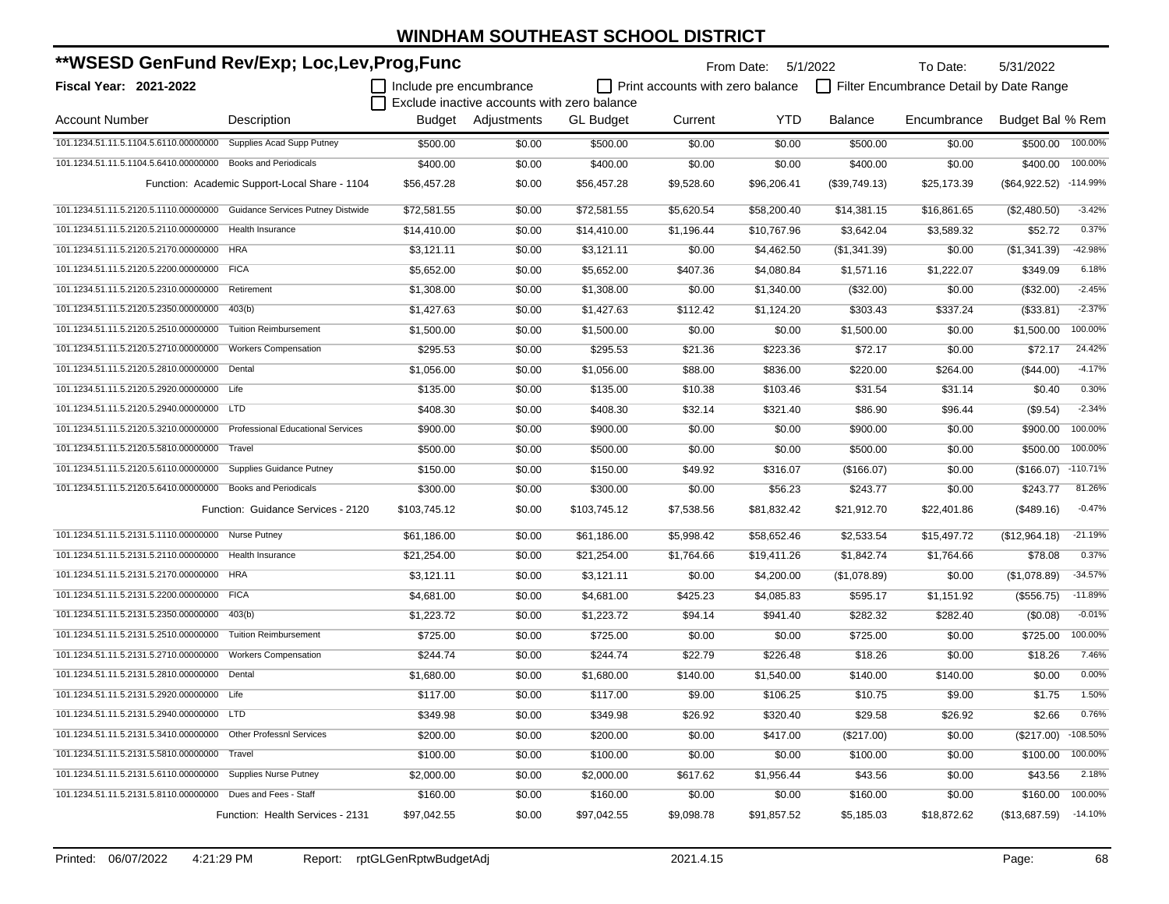| **WSESD GenFund Rev/Exp; Loc,Lev,Prog,Func                              |                                               |                         |                                             |                  | From Date: 5/1/2022              |             | To Date:       | 5/31/2022                               |                      |            |
|-------------------------------------------------------------------------|-----------------------------------------------|-------------------------|---------------------------------------------|------------------|----------------------------------|-------------|----------------|-----------------------------------------|----------------------|------------|
| <b>Fiscal Year: 2021-2022</b>                                           |                                               | Include pre encumbrance | Exclude inactive accounts with zero balance |                  | Print accounts with zero balance |             |                | Filter Encumbrance Detail by Date Range |                      |            |
| <b>Account Number</b>                                                   | Description                                   |                         | <b>Budget</b> Adjustments                   | <b>GL Budget</b> | Current                          | <b>YTD</b>  | <b>Balance</b> | Encumbrance                             | Budget Bal % Rem     |            |
| 101.1234.51.11.5.1104.5.6110.00000000                                   | Supplies Acad Supp Putney                     | \$500.00                | \$0.00                                      | \$500.00         | \$0.00                           | \$0.00      | \$500.00       | \$0.00                                  | \$500.00             | 100.00%    |
| 101.1234.51.11.5.1104.5.6410.00000000 Books and Periodicals             |                                               | \$400.00                | \$0.00                                      | \$400.00         | \$0.00                           | \$0.00      | \$400.00       | \$0.00                                  | \$400.00             | 100.00%    |
|                                                                         | Function: Academic Support-Local Share - 1104 | \$56,457.28             | \$0.00                                      | \$56,457.28      | \$9,528.60                       | \$96,206.41 | (\$39,749.13)  | \$25,173.39                             | $(\$64,922.52)$      | $-114.99%$ |
| 101.1234.51.11.5.2120.5.1110.00000000 Guidance Services Putney Distwide |                                               | \$72,581.55             | \$0.00                                      | \$72,581.55      | \$5,620.54                       | \$58,200.40 | \$14,381.15    | \$16,861.65                             | (\$2,480.50)         | $-3.42%$   |
| 101.1234.51.11.5.2120.5.2110.00000000 Health Insurance                  |                                               | \$14,410.00             | \$0.00                                      | \$14,410.00      | \$1,196.44                       | \$10,767.96 | \$3,642.04     | \$3,589.32                              | \$52.72              | 0.37%      |
| 101.1234.51.11.5.2120.5.2170.00000000 HRA                               |                                               | \$3,121.11              | \$0.00                                      | \$3,121.11       | \$0.00                           | \$4,462.50  | (\$1,341.39)   | \$0.00                                  | (\$1,341.39)         | $-42.98%$  |
| 101.1234.51.11.5.2120.5.2200.00000000 FICA                              |                                               | \$5,652.00              | \$0.00                                      | \$5,652.00       | \$407.36                         | \$4,080.84  | \$1,571.16     | \$1,222.07                              | \$349.09             | 6.18%      |
| 101.1234.51.11.5.2120.5.2310.00000000                                   | Retirement                                    | \$1,308.00              | \$0.00                                      | \$1,308.00       | \$0.00                           | \$1,340.00  | (\$32.00)      | \$0.00                                  | (\$32.00)            | $-2.45%$   |
| 101.1234.51.11.5.2120.5.2350.00000000                                   | 403(b)                                        | \$1,427.63              | \$0.00                                      | \$1,427.63       | \$112.42                         | \$1,124.20  | \$303.43       | \$337.24                                | (\$33.81)            | $-2.37%$   |
| 101.1234.51.11.5.2120.5.2510.00000000                                   | <b>Tuition Reimbursement</b>                  | \$1,500.00              | \$0.00                                      | \$1,500.00       | \$0.00                           | \$0.00      | \$1,500.00     | \$0.00                                  | \$1,500.00           | 100.00%    |
| 101.1234.51.11.5.2120.5.2710.00000000                                   | <b>Workers Compensation</b>                   | \$295.53                | \$0.00                                      | \$295.53         | \$21.36                          | \$223.36    | \$72.17        | \$0.00                                  | \$72.17              | 24.42%     |
| 101.1234.51.11.5.2120.5.2810.00000000 Dental                            |                                               | \$1,056.00              | \$0.00                                      | \$1,056.00       | \$88.00                          | \$836.00    | \$220.00       | \$264.00                                | (\$44.00)            | $-4.17%$   |
| 101.1234.51.11.5.2120.5.2920.00000000 Life                              |                                               | \$135.00                | \$0.00                                      | \$135.00         | \$10.38                          | \$103.46    | \$31.54        | \$31.14                                 | \$0.40               | 0.30%      |
| 101.1234.51.11.5.2120.5.2940.00000000 LTD                               |                                               | \$408.30                | \$0.00                                      | \$408.30         | \$32.14                          | \$321.40    | \$86.90        | \$96.44                                 | (\$9.54)             | $-2.34%$   |
| 101.1234.51.11.5.2120.5.3210.00000000 Professional Educational Services |                                               | \$900.00                | \$0.00                                      | \$900.00         | \$0.00                           | \$0.00      | \$900.00       | \$0.00                                  | \$900.00             | 100.00%    |
| 101.1234.51.11.5.2120.5.5810.00000000                                   | Travel                                        | \$500.00                | \$0.00                                      | \$500.00         | \$0.00                           | \$0.00      | \$500.00       | \$0.00                                  | \$500.00             | 100.00%    |
| 101.1234.51.11.5.2120.5.6110.00000000 Supplies Guidance Putney          |                                               | \$150.00                | \$0.00                                      | \$150.00         | \$49.92                          | \$316.07    | (\$166.07)     | \$0.00                                  | $($166.07)$ -110.71% |            |
| 101.1234.51.11.5.2120.5.6410.00000000 Books and Periodicals             |                                               | \$300.00                | \$0.00                                      | \$300.00         | \$0.00                           | \$56.23     | \$243.77       | \$0.00                                  | \$243.77             | 81.26%     |
|                                                                         | Function: Guidance Services - 2120            | \$103,745.12            | \$0.00                                      | \$103,745.12     | \$7,538.56                       | \$81,832.42 | \$21,912.70    | \$22,401.86                             | (\$489.16)           | $-0.47%$   |
| 101.1234.51.11.5.2131.5.1110.00000000 Nurse Putney                      |                                               | \$61,186.00             | \$0.00                                      | \$61,186.00      | \$5,998.42                       | \$58,652.46 | \$2,533.54     | \$15,497.72                             | (\$12,964.18)        | $-21.19%$  |
| 101.1234.51.11.5.2131.5.2110.00000000 Health Insurance                  |                                               | \$21,254.00             | \$0.00                                      | \$21,254.00      | \$1,764.66                       | \$19,411.26 | \$1,842.74     | \$1,764.66                              | \$78.08              | 0.37%      |
| 101.1234.51.11.5.2131.5.2170.00000000 HRA                               |                                               | \$3,121.11              | \$0.00                                      | \$3,121.11       | \$0.00                           | \$4,200.00  | (\$1,078.89)   | \$0.00                                  | (\$1,078.89)         | $-34.57%$  |
| 101.1234.51.11.5.2131.5.2200.00000000 FICA                              |                                               | \$4,681.00              | \$0.00                                      | \$4,681.00       | \$425.23                         | \$4,085.83  | \$595.17       | \$1,151.92                              | (\$556.75)           | $-11.89%$  |
| 101.1234.51.11.5.2131.5.2350.00000000                                   | 403(b)                                        | \$1,223.72              | \$0.00                                      | \$1,223.72       | \$94.14                          | \$941.40    | \$282.32       | \$282.40                                | (\$0.08)             | $-0.01%$   |
| 101.1234.51.11.5.2131.5.2510.00000000                                   | <b>Tuition Reimbursement</b>                  | \$725.00                | \$0.00                                      | \$725.00         | \$0.00                           | \$0.00      | \$725.00       | \$0.00                                  | \$725.00             | 100.00%    |
| 101.1234.51.11.5.2131.5.2710.00000000                                   | <b>Workers Compensation</b>                   | \$244.74                | \$0.00                                      | \$244.74         | \$22.79                          | \$226.48    | \$18.26        | \$0.00                                  | \$18.26              | 7.46%      |
| 101.1234.51.11.5.2131.5.2810.00000000 Dental                            |                                               | \$1,680.00              | \$0.00                                      | \$1,680.00       | \$140.00                         | \$1,540.00  | \$140.00       | \$140.00                                | \$0.00               | 0.00%      |
| 101.1234.51.11.5.2131.5.2920.00000000 Life                              |                                               | \$117.00                | \$0.00                                      | \$117.00         | \$9.00                           | \$106.25    | \$10.75        | \$9.00                                  | \$1.75               | 1.50%      |
| 101.1234.51.11.5.2131.5.2940.00000000 LTD                               |                                               | \$349.98                | \$0.00                                      | \$349.98         | \$26.92                          | \$320.40    | \$29.58        | \$26.92                                 | \$2.66               | 0.76%      |
| 101.1234.51.11.5.2131.5.3410.00000000 Other Professnl Services          |                                               | \$200.00                | \$0.00                                      | \$200.00         | \$0.00                           | \$417.00    | (\$217.00)     | \$0.00                                  | (\$217.00)           | $-108.50%$ |
| 101.1234.51.11.5.2131.5.5810.00000000                                   | Travel                                        | \$100.00                | \$0.00                                      | \$100.00         | \$0.00                           | \$0.00      | \$100.00       | \$0.00                                  | \$100.00             | 100.00%    |
| 101.1234.51.11.5.2131.5.6110.00000000                                   | <b>Supplies Nurse Putney</b>                  | \$2,000.00              | \$0.00                                      | \$2,000.00       | \$617.62                         | \$1,956.44  | \$43.56        | \$0.00                                  | \$43.56              | 2.18%      |
| 101.1234.51.11.5.2131.5.8110.00000000 Dues and Fees - Staff             |                                               | \$160.00                | \$0.00                                      | \$160.00         | \$0.00                           | \$0.00      | \$160.00       | \$0.00                                  | \$160.00             | 100.00%    |
|                                                                         | Function: Health Services - 2131              | \$97,042.55             | \$0.00                                      | \$97,042.55      | \$9,098.78                       | \$91,857.52 | \$5,185.03     | \$18,872.62                             | (\$13,687.59)        | $-14.10%$  |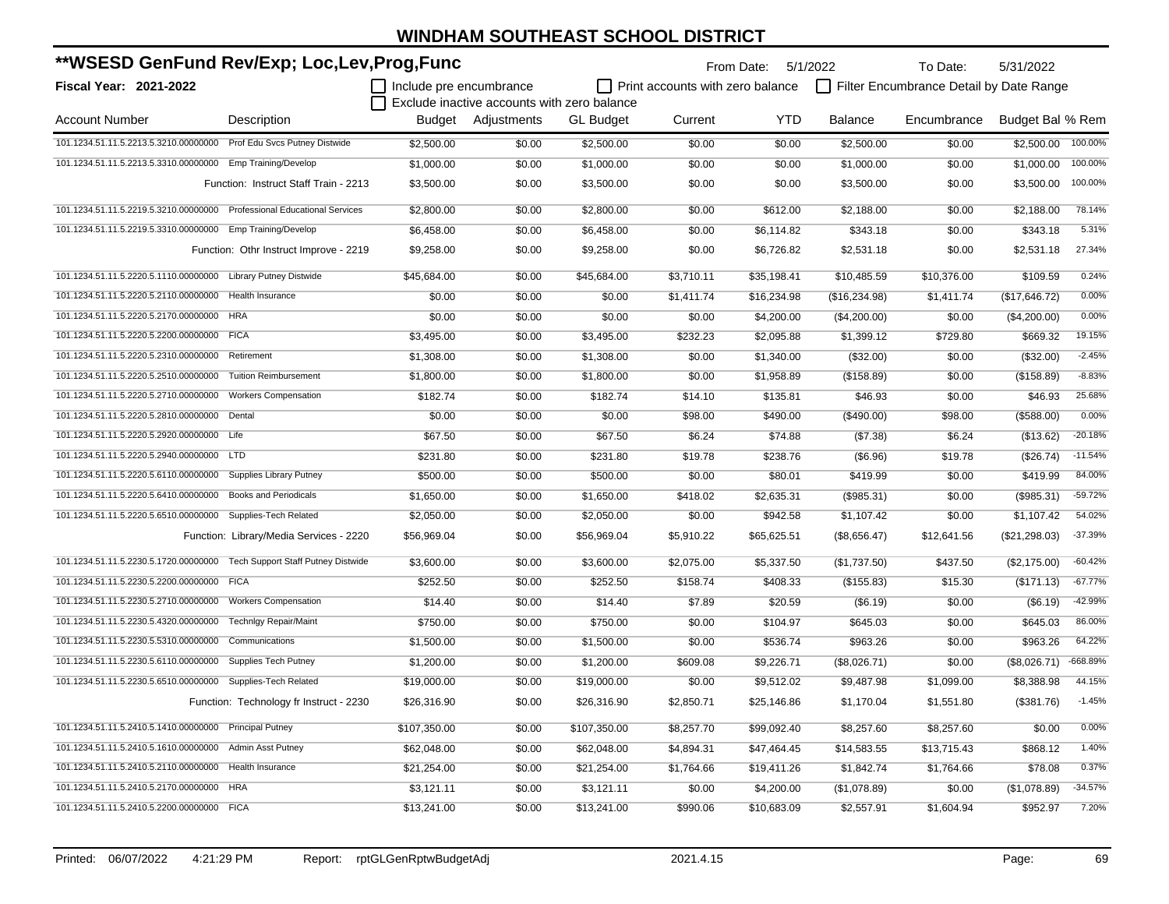| **WSESD GenFund Rev/Exp; Loc,Lev,Prog,Func                              |                                           |                         |                                             |                  |                                  | From Date: 5/1/2022 |                | To Date:                                | 5/31/2022        |            |
|-------------------------------------------------------------------------|-------------------------------------------|-------------------------|---------------------------------------------|------------------|----------------------------------|---------------------|----------------|-----------------------------------------|------------------|------------|
| <b>Fiscal Year: 2021-2022</b>                                           |                                           | Include pre encumbrance |                                             |                  | Print accounts with zero balance |                     |                | Filter Encumbrance Detail by Date Range |                  |            |
|                                                                         |                                           |                         | Exclude inactive accounts with zero balance |                  |                                  |                     |                |                                         |                  |            |
| <b>Account Number</b>                                                   | Description                               |                         | <b>Budget</b> Adiustments                   | <b>GL Budget</b> | Current                          | <b>YTD</b>          | <b>Balance</b> | Encumbrance                             | Budget Bal % Rem |            |
| 101.1234.51.11.5.2213.5.3210.00000000 Prof Edu Svcs Putney Distwide     |                                           | \$2,500.00              | \$0.00                                      | \$2,500.00       | \$0.00                           | \$0.00              | \$2,500.00     | \$0.00                                  | \$2,500.00       | 100.00%    |
| 101.1234.51.11.5.2213.5.3310.00000000 Emp Training/Develop              |                                           | \$1,000.00              | \$0.00                                      | \$1,000.00       | \$0.00                           | \$0.00              | \$1,000.00     | \$0.00                                  | \$1,000.00       | 100.00%    |
|                                                                         | Function: Instruct Staff Train - 2213     | \$3,500.00              | \$0.00                                      | \$3,500.00       | \$0.00                           | \$0.00              | \$3,500.00     | \$0.00                                  | \$3,500.00       | 100.00%    |
| 101.1234.51.11.5.2219.5.3210.00000000 Professional Educational Services |                                           | \$2,800.00              | \$0.00                                      | \$2,800.00       | \$0.00                           | \$612.00            | \$2,188.00     | \$0.00                                  | \$2,188.00       | 78.14%     |
| 101.1234.51.11.5.2219.5.3310.00000000 Emp Training/Develop              |                                           | \$6,458.00              | \$0.00                                      | \$6,458.00       | \$0.00                           | \$6,114.82          | \$343.18       | \$0.00                                  | \$343.18         | 5.31%      |
|                                                                         | Function: Othr Instruct Improve - 2219    | \$9,258.00              | \$0.00                                      | \$9,258.00       | \$0.00                           | \$6,726.82          | \$2,531.18     | \$0.00                                  | \$2,531.18       | 27.34%     |
| 101.1234.51.11.5.2220.5.1110.00000000                                   | <b>Library Putney Distwide</b>            | \$45,684.00             | \$0.00                                      | \$45,684.00      | \$3,710.11                       | \$35,198.41         | \$10,485.59    | \$10,376.00                             | \$109.59         | 0.24%      |
| 101.1234.51.11.5.2220.5.2110.00000000                                   | Health Insurance                          | \$0.00                  | \$0.00                                      | \$0.00           | \$1,411.74                       | \$16,234.98         | (\$16,234.98)  | \$1,411.74                              | (\$17,646.72)    | 0.00%      |
| 101.1234.51.11.5.2220.5.2170.00000000                                   | <b>HRA</b>                                | \$0.00                  | \$0.00                                      | \$0.00           | \$0.00                           | \$4,200.00          | (\$4,200.00)   | \$0.00                                  | (\$4,200.00)     | 0.00%      |
| 101.1234.51.11.5.2220.5.2200.00000000                                   | <b>FICA</b>                               | \$3,495.00              | \$0.00                                      | \$3,495.00       | \$232.23                         | \$2,095.88          | \$1,399.12     | \$729.80                                | \$669.32         | 19.15%     |
| 101.1234.51.11.5.2220.5.2310.00000000                                   | Retirement                                | \$1,308.00              | \$0.00                                      | \$1,308.00       | \$0.00                           | \$1,340.00          | (\$32.00)      | \$0.00                                  | (\$32.00)        | $-2.45%$   |
| 101.1234.51.11.5.2220.5.2510.00000000                                   | <b>Tuition Reimbursement</b>              | \$1,800.00              | \$0.00                                      | \$1,800.00       | \$0.00                           | \$1,958.89          | (\$158.89)     | \$0.00                                  | (\$158.89)       | $-8.83%$   |
| 101.1234.51.11.5.2220.5.2710.00000000                                   | <b>Workers Compensation</b>               | \$182.74                | \$0.00                                      | \$182.74         | \$14.10                          | \$135.81            | \$46.93        | \$0.00                                  | \$46.93          | 25.68%     |
| 101.1234.51.11.5.2220.5.2810.00000000 Dental                            |                                           | \$0.00                  | \$0.00                                      | \$0.00           | \$98.00                          | \$490.00            | (\$490.00)     | \$98.00                                 | (\$588.00)       | 0.00%      |
| 101.1234.51.11.5.2220.5.2920.00000000 Life                              |                                           | \$67.50                 | \$0.00                                      | \$67.50          | \$6.24                           | \$74.88             | (\$7.38)       | \$6.24                                  | (\$13.62)        | $-20.18%$  |
| 101.1234.51.11.5.2220.5.2940.00000000 LTD                               |                                           | \$231.80                | \$0.00                                      | \$231.80         | \$19.78                          | \$238.76            | (\$6.96)       | \$19.78                                 | (\$26.74)        | $-11.54%$  |
| 101.1234.51.11.5.2220.5.6110.00000000                                   | <b>Supplies Library Putney</b>            | \$500.00                | \$0.00                                      | \$500.00         | \$0.00                           | \$80.01             | \$419.99       | \$0.00                                  | \$419.99         | 84.00%     |
| 101.1234.51.11.5.2220.5.6410.00000000                                   | <b>Books and Periodicals</b>              | \$1,650.00              | \$0.00                                      | \$1,650.00       | \$418.02                         | \$2,635.31          | (\$985.31)     | \$0.00                                  | (\$985.31)       | $-59.72%$  |
| 101.1234.51.11.5.2220.5.6510.00000000                                   | Supplies-Tech Related                     | \$2,050.00              | \$0.00                                      | \$2,050.00       | \$0.00                           | \$942.58            | \$1,107.42     | \$0.00                                  | \$1,107.42       | 54.02%     |
|                                                                         | Function: Library/Media Services - 2220   | \$56,969.04             | \$0.00                                      | \$56,969.04      | \$5,910.22                       | \$65,625.51         | (\$8,656.47)   | \$12,641.56                             | (\$21,298.03)    | $-37.39%$  |
| 101.1234.51.11.5.2230.5.1720.00000000                                   | <b>Tech Support Staff Putney Distwide</b> | \$3,600.00              | \$0.00                                      | \$3,600.00       | \$2,075.00                       | \$5,337.50          | (\$1,737.50)   | \$437.50                                | (\$2,175.00)     | $-60.42%$  |
| 101.1234.51.11.5.2230.5.2200.00000000                                   | <b>FICA</b>                               | \$252.50                | \$0.00                                      | \$252.50         | \$158.74                         | \$408.33            | (\$155.83)     | \$15.30                                 | (\$171.13)       | $-67.77%$  |
| 101.1234.51.11.5.2230.5.2710.00000000                                   | <b>Workers Compensation</b>               | \$14.40                 | \$0.00                                      | \$14.40          | \$7.89                           | \$20.59             | (\$6.19)       | \$0.00                                  | (\$6.19)         | $-42.99%$  |
| 101.1234.51.11.5.2230.5.4320.00000000                                   | <b>Technigy Repair/Maint</b>              | \$750.00                | \$0.00                                      | \$750.00         | \$0.00                           | \$104.97            | \$645.03       | \$0.00                                  | \$645.03         | 86.00%     |
| 101.1234.51.11.5.2230.5.5310.00000000 Communications                    |                                           | \$1,500.00              | \$0.00                                      | \$1,500.00       | \$0.00                           | \$536.74            | \$963.26       | \$0.00                                  | \$963.26         | 64.22%     |
| 101.1234.51.11.5.2230.5.6110.00000000                                   | <b>Supplies Tech Putney</b>               | \$1,200.00              | \$0.00                                      | \$1,200.00       | \$609.08                         | \$9,226.71          | (\$8,026.71)   | \$0.00                                  | (\$8,026.71)     | $-668.89%$ |
| 101.1234.51.11.5.2230.5.6510.00000000 Supplies-Tech Related             |                                           | \$19,000.00             | \$0.00                                      | \$19,000.00      | \$0.00                           | \$9,512.02          | \$9,487.98     | \$1,099.00                              | \$8,388.98       | 44.15%     |
|                                                                         | Function: Technology fr Instruct - 2230   | \$26,316.90             | \$0.00                                      | \$26,316.90      | \$2,850.71                       | \$25,146.86         | \$1,170.04     | \$1,551.80                              | (\$381.76)       | $-1.45%$   |
| 101.1234.51.11.5.2410.5.1410.00000000 Principal Putney                  |                                           | \$107,350.00            | \$0.00                                      | \$107,350.00     | \$8,257.70                       | \$99,092.40         | \$8,257.60     | \$8,257.60                              | \$0.00           | 0.00%      |
| 101.1234.51.11.5.2410.5.1610.00000000 Admin Asst Putney                 |                                           | \$62,048.00             | \$0.00                                      | \$62,048.00      | \$4,894.31                       | \$47,464.45         | \$14,583.55    | \$13,715.43                             | \$868.12         | 1.40%      |
| 101.1234.51.11.5.2410.5.2110.00000000                                   | Health Insurance                          | \$21,254.00             | \$0.00                                      | \$21,254.00      | \$1,764.66                       | \$19,411.26         | \$1,842.74     | \$1,764.66                              | \$78.08          | 0.37%      |
| 101.1234.51.11.5.2410.5.2170.00000000                                   | <b>HRA</b>                                | \$3,121.11              | \$0.00                                      | \$3,121.11       | \$0.00                           | \$4,200.00          | (\$1,078.89)   | \$0.00                                  | (\$1,078.89)     | $-34.57%$  |
| 101.1234.51.11.5.2410.5.2200.00000000 FICA                              |                                           | \$13,241.00             | \$0.00                                      | \$13,241.00      | \$990.06                         | \$10,683.09         | \$2,557.91     | \$1,604.94                              | \$952.97         | 7.20%      |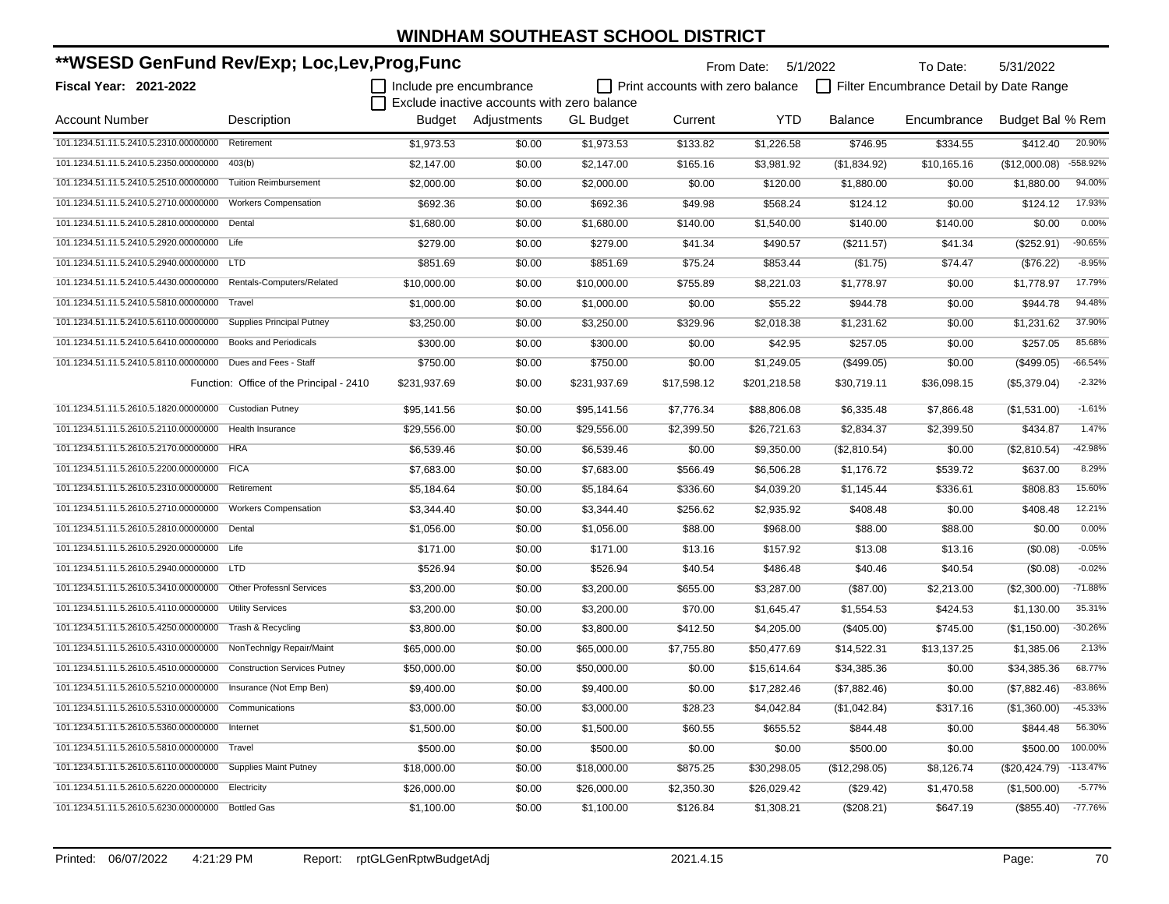| **WSESD GenFund Rev/Exp; Loc,Lev,Prog,Func                         |                                          |                         |                                             | From Date:       | 5/1/2022                         | To Date:     | 5/31/2022      |                                         |                  |            |
|--------------------------------------------------------------------|------------------------------------------|-------------------------|---------------------------------------------|------------------|----------------------------------|--------------|----------------|-----------------------------------------|------------------|------------|
| Fiscal Year: 2021-2022                                             |                                          | Include pre encumbrance |                                             |                  | Print accounts with zero balance |              |                | Filter Encumbrance Detail by Date Range |                  |            |
|                                                                    |                                          |                         | Exclude inactive accounts with zero balance |                  |                                  |              |                |                                         |                  |            |
| <b>Account Number</b>                                              | Description                              |                         | Budget Adjustments                          | <b>GL</b> Budget | Current                          | <b>YTD</b>   | <b>Balance</b> | Encumbrance                             | Budget Bal % Rem |            |
| 101.1234.51.11.5.2410.5.2310.00000000 Retirement                   |                                          | \$1,973.53              | \$0.00                                      | \$1,973.53       | \$133.82                         | \$1,226.58   | \$746.95       | \$334.55                                | \$412.40         | 20.90%     |
| 101.1234.51.11.5.2410.5.2350.00000000                              | 403(b)                                   | \$2,147.00              | \$0.00                                      | \$2,147.00       | \$165.16                         | \$3,981.92   | (\$1,834.92)   | \$10,165.16                             | (\$12,000.08)    | -558.92%   |
| 101.1234.51.11.5.2410.5.2510.00000000                              | <b>Tuition Reimbursement</b>             | \$2,000.00              | \$0.00                                      | \$2,000.00       | \$0.00                           | \$120.00     | \$1,880.00     | \$0.00                                  | \$1,880.00       | 94.00%     |
| 101.1234.51.11.5.2410.5.2710.00000000                              | <b>Workers Compensation</b>              | \$692.36                | \$0.00                                      | \$692.36         | \$49.98                          | \$568.24     | \$124.12       | \$0.00                                  | \$124.12         | 17.93%     |
| 101.1234.51.11.5.2410.5.2810.00000000                              | Dental                                   | \$1,680.00              | \$0.00                                      | \$1,680.00       | \$140.00                         | \$1,540.00   | \$140.00       | \$140.00                                | \$0.00           | 0.00%      |
| 101.1234.51.11.5.2410.5.2920.00000000 Life                         |                                          | \$279.00                | \$0.00                                      | \$279.00         | \$41.34                          | \$490.57     | (\$211.57)     | \$41.34                                 | (\$252.91)       | $-90.65%$  |
| 101.1234.51.11.5.2410.5.2940.00000000 LTD                          |                                          | \$851.69                | \$0.00                                      | \$851.69         | \$75.24                          | \$853.44     | (\$1.75)       | \$74.47                                 | (\$76.22)        | $-8.95%$   |
| 101.1234.51.11.5.2410.5.4430.00000000                              | Rentals-Computers/Related                | \$10,000.00             | \$0.00                                      | \$10,000.00      | \$755.89                         | \$8,221.03   | \$1,778.97     | \$0.00                                  | \$1,778.97       | 17.79%     |
| 101.1234.51.11.5.2410.5.5810.00000000 Travel                       |                                          | \$1,000.00              | \$0.00                                      | \$1,000.00       | \$0.00                           | \$55.22      | \$944.78       | \$0.00                                  | \$944.78         | 94.48%     |
| 101.1234.51.11.5.2410.5.6110.00000000                              | <b>Supplies Principal Putney</b>         | \$3,250.00              | \$0.00                                      | \$3,250.00       | \$329.96                         | \$2,018.38   | \$1,231.62     | \$0.00                                  | \$1,231.62       | 37.90%     |
| 101.1234.51.11.5.2410.5.6410.00000000                              | <b>Books and Periodicals</b>             | \$300.00                | \$0.00                                      | \$300.00         | \$0.00                           | \$42.95      | \$257.05       | \$0.00                                  | \$257.05         | 85.68%     |
| 101.1234.51.11.5.2410.5.8110.00000000 Dues and Fees - Staff        |                                          | \$750.00                | \$0.00                                      | \$750.00         | \$0.00                           | \$1,249.05   | (\$499.05)     | \$0.00                                  | (\$499.05)       | $-66.54%$  |
|                                                                    | Function: Office of the Principal - 2410 | \$231,937.69            | \$0.00                                      | \$231,937.69     | \$17,598.12                      | \$201,218.58 | \$30,719.11    | \$36,098.15                             | (\$5,379.04)     | $-2.32%$   |
| 101.1234.51.11.5.2610.5.1820.00000000                              | <b>Custodian Putney</b>                  | \$95,141.56             | \$0.00                                      | \$95,141.56      | \$7,776.34                       | \$88,806.08  | \$6,335.48     | \$7,866.48                              | (\$1,531.00)     | $-1.61%$   |
| 101.1234.51.11.5.2610.5.2110.00000000                              | Health Insurance                         | \$29,556.00             | \$0.00                                      | \$29,556.00      | \$2,399.50                       | \$26,721.63  | \$2,834.37     | \$2,399.50                              | \$434.87         | 1.47%      |
| 101.1234.51.11.5.2610.5.2170.00000000                              | <b>HRA</b>                               | \$6,539.46              | \$0.00                                      | \$6,539.46       | \$0.00                           | \$9,350.00   | (\$2,810.54)   | \$0.00                                  | (\$2,810.54)     | -42.98%    |
| 101.1234.51.11.5.2610.5.2200.00000000 FICA                         |                                          | \$7,683.00              | \$0.00                                      | \$7,683.00       | \$566.49                         | \$6,506.28   | \$1,176.72     | \$539.72                                | \$637.00         | 8.29%      |
| 101.1234.51.11.5.2610.5.2310.00000000                              | Retirement                               | \$5,184.64              | \$0.00                                      | \$5,184.64       | \$336.60                         | \$4,039.20   | \$1,145.44     | \$336.61                                | \$808.83         | 15.60%     |
| 101.1234.51.11.5.2610.5.2710.00000000                              | <b>Workers Compensation</b>              | \$3,344.40              | \$0.00                                      | \$3,344.40       | \$256.62                         | \$2,935.92   | \$408.48       | \$0.00                                  | \$408.48         | 12.21%     |
| 101.1234.51.11.5.2610.5.2810.00000000 Dental                       |                                          | \$1,056.00              | \$0.00                                      | \$1,056.00       | \$88.00                          | \$968.00     | \$88.00        | \$88.00                                 | \$0.00           | 0.00%      |
| 101.1234.51.11.5.2610.5.2920.00000000 Life                         |                                          | \$171.00                | \$0.00                                      | \$171.00         | \$13.16                          | \$157.92     | \$13.08        | \$13.16                                 | (\$0.08)         | $-0.05%$   |
| 101.1234.51.11.5.2610.5.2940.00000000 LTD                          |                                          | \$526.94                | \$0.00                                      | \$526.94         | \$40.54                          | \$486.48     | \$40.46        | \$40.54                                 | (\$0.08)         | $-0.02%$   |
| 101.1234.51.11.5.2610.5.3410.00000000 Other Professnl Services     |                                          | \$3,200.00              | \$0.00                                      | \$3,200.00       | \$655.00                         | \$3,287.00   | (\$87.00)      | \$2,213.00                              | (\$2,300.00)     | $-71.88%$  |
| 101.1234.51.11.5.2610.5.4110.00000000                              | <b>Utility Services</b>                  | \$3,200.00              | \$0.00                                      | \$3,200.00       | \$70.00                          | \$1,645.47   | \$1,554.53     | \$424.53                                | \$1,130.00       | 35.31%     |
| 101.1234.51.11.5.2610.5.4250.00000000                              | Trash & Recycling                        | \$3,800.00              | \$0.00                                      | \$3,800.00       | \$412.50                         | \$4,205.00   | $(\$405.00)$   | \$745.00                                | (\$1,150.00)     | $-30.26%$  |
| 101.1234.51.11.5.2610.5.4310.00000000 NonTechnlgy Repair/Maint     |                                          | \$65,000.00             | \$0.00                                      | \$65,000.00      | \$7,755.80                       | \$50,477.69  | \$14,522.31    | \$13,137.25                             | \$1,385.06       | 2.13%      |
| 101.1234.51.11.5.2610.5.4510.00000000 Construction Services Putney |                                          | \$50,000.00             | \$0.00                                      | \$50,000.00      | \$0.00                           | \$15,614.64  | \$34,385.36    | \$0.00                                  | \$34,385.36      | 68.77%     |
| 101.1234.51.11.5.2610.5.5210.00000000 Insurance (Not Emp Ben)      |                                          | \$9,400.00              | \$0.00                                      | \$9,400.00       | \$0.00                           | \$17,282.46  | (\$7,882.46)   | \$0.00                                  | (\$7,882.46)     | $-83.86%$  |
| 101.1234.51.11.5.2610.5.5310.00000000 Communications               |                                          | \$3,000.00              | \$0.00                                      | \$3,000.00       | \$28.23                          | \$4,042.84   | (\$1,042.84)   | \$317.16                                | (\$1,360.00)     | $-45.33%$  |
| 101.1234.51.11.5.2610.5.5360.00000000 Internet                     |                                          | \$1,500.00              | \$0.00                                      | \$1,500.00       | \$60.55                          | \$655.52     | \$844.48       | \$0.00                                  | \$844.48         | 56.30%     |
| 101.1234.51.11.5.2610.5.5810.00000000                              | Travel                                   | \$500.00                | \$0.00                                      | \$500.00         | \$0.00                           | \$0.00       | \$500.00       | \$0.00                                  | \$500.00         | 100.00%    |
| 101.1234.51.11.5.2610.5.6110.00000000                              | <b>Supplies Maint Putney</b>             | \$18,000.00             | \$0.00                                      | \$18,000.00      | \$875.25                         | \$30,298.05  | (\$12,298.05)  | \$8,126.74                              | $(\$20,424.79)$  | $-113.47%$ |
| 101.1234.51.11.5.2610.5.6220.00000000                              | Electricity                              | \$26,000.00             | \$0.00                                      | \$26,000.00      | \$2,350.30                       | \$26,029.42  | (\$29.42)      | \$1,470.58                              | (\$1,500.00)     | $-5.77%$   |
| 101.1234.51.11.5.2610.5.6230.00000000 Bottled Gas                  |                                          | \$1,100.00              | \$0.00                                      | \$1,100.00       | \$126.84                         | \$1,308.21   | (\$208.21)     | \$647.19                                | (\$855.40)       | $-77.76%$  |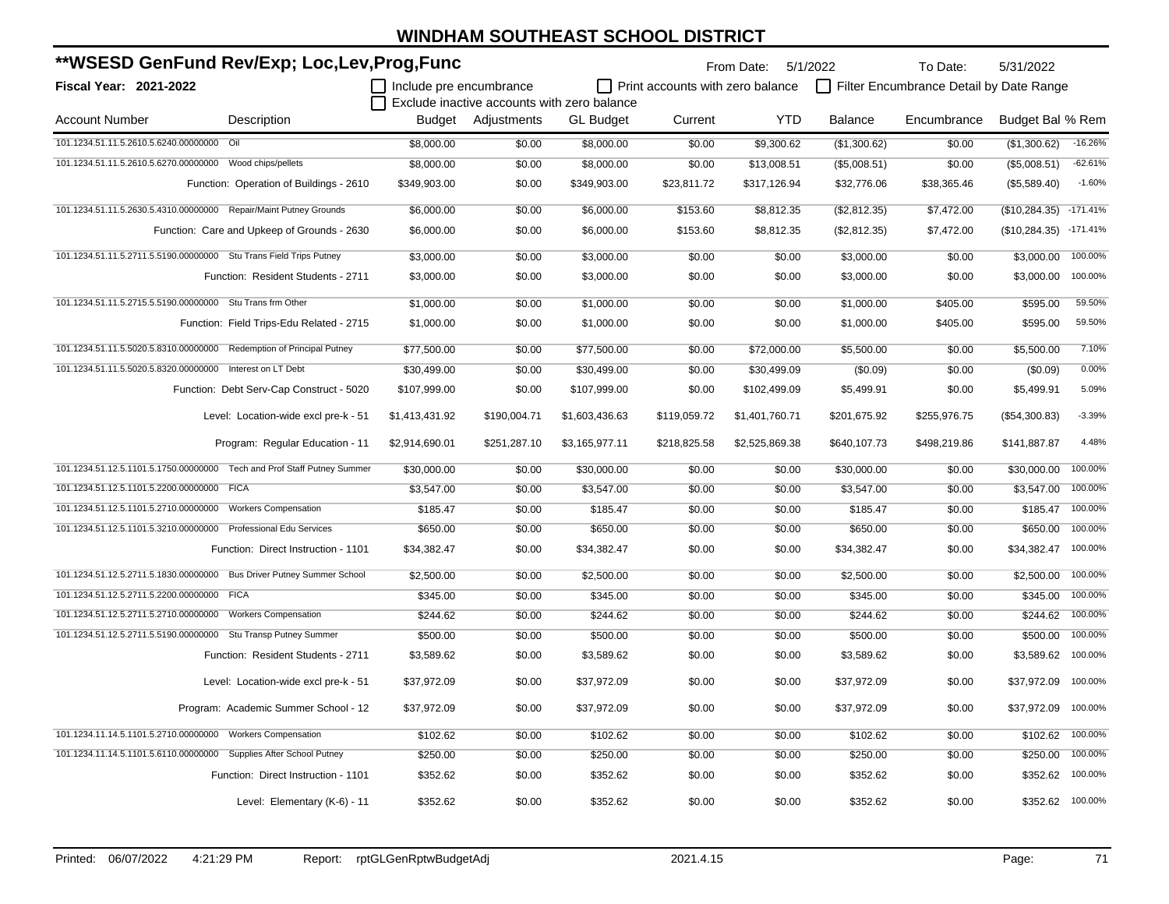| **WSESD GenFund Rev/Exp; Loc,Lev,Prog,Func                              |                                             |                         |                                             |                  | From Date: 5/1/2022                     |                | To Date:     | 5/31/2022                               |                  |            |
|-------------------------------------------------------------------------|---------------------------------------------|-------------------------|---------------------------------------------|------------------|-----------------------------------------|----------------|--------------|-----------------------------------------|------------------|------------|
| <b>Fiscal Year: 2021-2022</b>                                           |                                             | Include pre encumbrance |                                             |                  | $\Box$ Print accounts with zero balance |                |              | Filter Encumbrance Detail by Date Range |                  |            |
|                                                                         |                                             |                         | Exclude inactive accounts with zero balance |                  |                                         |                |              |                                         |                  |            |
| <b>Account Number</b>                                                   | Description                                 |                         | Budget Adjustments                          | <b>GL</b> Budget | Current                                 | <b>YTD</b>     | Balance      | Encumbrance                             | Budget Bal % Rem |            |
| 101.1234.51.11.5.2610.5.6240.00000000 Oil                               |                                             | \$8,000.00              | \$0.00                                      | \$8,000.00       | \$0.00                                  | \$9,300.62     | (\$1,300.62) | \$0.00                                  | (\$1,300.62)     | $-16.26%$  |
| 101.1234.51.11.5.2610.5.6270.00000000 Wood chips/pellets                |                                             | \$8,000.00              | \$0.00                                      | \$8,000.00       | \$0.00                                  | \$13,008.51    | (\$5,008.51) | \$0.00                                  | (\$5,008.51)     | $-62.61%$  |
|                                                                         | Function: Operation of Buildings - 2610     | \$349,903.00            | \$0.00                                      | \$349,903.00     | \$23,811.72                             | \$317,126.94   | \$32,776.06  | \$38,365.46                             | (\$5,589.40)     | $-1.60%$   |
| 101.1234.51.11.5.2630.5.4310.00000000 Repair/Maint Putney Grounds       |                                             | \$6,000.00              | \$0.00                                      | \$6,000.00       | \$153.60                                | \$8,812.35     | (\$2,812.35) | \$7,472.00                              | (\$10,284.35)    | $-171.41%$ |
|                                                                         | Function: Care and Upkeep of Grounds - 2630 | \$6,000.00              | \$0.00                                      | \$6,000.00       | \$153.60                                | \$8,812.35     | (\$2,812.35) | \$7,472.00                              | (\$10,284.35)    | $-171.41%$ |
| 101.1234.51.11.5.2711.5.5190.00000000 Stu Trans Field Trips Putney      |                                             | \$3,000.00              | \$0.00                                      | \$3,000.00       | \$0.00                                  | \$0.00         | \$3,000.00   | \$0.00                                  | \$3,000.00       | 100.00%    |
|                                                                         | Function: Resident Students - 2711          | \$3,000.00              | \$0.00                                      | \$3,000.00       | \$0.00                                  | \$0.00         | \$3,000.00   | \$0.00                                  | \$3,000.00       | 100.00%    |
| 101.1234.51.11.5.2715.5.5190.00000000 Stu Trans frm Other               |                                             | \$1,000.00              | \$0.00                                      | \$1,000.00       | \$0.00                                  | \$0.00         | \$1,000.00   | \$405.00                                | \$595.00         | 59.50%     |
|                                                                         | Function: Field Trips-Edu Related - 2715    | \$1,000.00              | \$0.00                                      | \$1,000.00       | \$0.00                                  | \$0.00         | \$1,000.00   | \$405.00                                | \$595.00         | 59.50%     |
| 101.1234.51.11.5.5020.5.8310.00000000 Redemption of Principal Putney    |                                             | \$77,500.00             | \$0.00                                      | \$77,500.00      | \$0.00                                  | \$72,000.00    | \$5,500.00   | \$0.00                                  | \$5,500.00       | 7.10%      |
| 101.1234.51.11.5.5020.5.8320.00000000 Interest on LT Debt               |                                             | \$30,499.00             | \$0.00                                      | \$30,499.00      | \$0.00                                  | \$30,499.09    | (\$0.09)     | \$0.00                                  | (\$0.09)         | 0.00%      |
|                                                                         | Function: Debt Serv-Cap Construct - 5020    | \$107,999.00            | \$0.00                                      | \$107,999.00     | \$0.00                                  | \$102,499.09   | \$5,499.91   | \$0.00                                  | \$5,499.91       | 5.09%      |
|                                                                         | Level: Location-wide excl pre-k - 51        | \$1,413,431.92          | \$190,004.71                                | \$1,603,436.63   | \$119,059.72                            | \$1,401,760.71 | \$201,675.92 | \$255,976.75                            | (\$54,300.83)    | $-3.39%$   |
|                                                                         | Program: Regular Education - 11             | \$2,914,690.01          | \$251,287.10                                | \$3,165,977.11   | \$218,825.58                            | \$2,525,869.38 | \$640,107.73 | \$498,219.86                            | \$141,887.87     | 4.48%      |
| 101.1234.51.12.5.1101.5.1750.00000000 Tech and Prof Staff Putney Summer |                                             | \$30,000.00             | \$0.00                                      | \$30,000.00      | \$0.00                                  | \$0.00         | \$30,000.00  | \$0.00                                  | \$30,000.00      | 100.00%    |
| 101.1234.51.12.5.1101.5.2200.00000000 FICA                              |                                             | \$3,547.00              | \$0.00                                      | \$3,547.00       | \$0.00                                  | \$0.00         | \$3,547.00   | \$0.00                                  | \$3,547.00       | 100.00%    |
| 101.1234.51.12.5.1101.5.2710.00000000 Workers Compensation              |                                             | \$185.47                | \$0.00                                      | \$185.47         | \$0.00                                  | \$0.00         | \$185.47     | \$0.00                                  | \$185.47         | 100.00%    |
| 101.1234.51.12.5.1101.5.3210.00000000 Professional Edu Services         |                                             | \$650.00                | \$0.00                                      | \$650.00         | \$0.00                                  | \$0.00         | \$650.00     | \$0.00                                  | \$650.00         | 100.00%    |
|                                                                         | Function: Direct Instruction - 1101         | \$34,382.47             | \$0.00                                      | \$34,382.47      | \$0.00                                  | \$0.00         | \$34,382.47  | \$0.00                                  | \$34,382.47      | 100.00%    |
| 101.1234.51.12.5.2711.5.1830.00000000 Bus Driver Putney Summer School   |                                             | \$2,500.00              | \$0.00                                      | \$2,500.00       | \$0.00                                  | \$0.00         | \$2,500.00   | \$0.00                                  | \$2,500.00       | 100.00%    |
| 101.1234.51.12.5.2711.5.2200.00000000 FICA                              |                                             | \$345.00                | \$0.00                                      | \$345.00         | \$0.00                                  | \$0.00         | \$345.00     | \$0.00                                  | \$345.00         | 100.00%    |
| 101.1234.51.12.5.2711.5.2710.00000000                                   | <b>Workers Compensation</b>                 | \$244.62                | \$0.00                                      | \$244.62         | \$0.00                                  | \$0.00         | \$244.62     | \$0.00                                  | \$244.62         | 100.00%    |
| 101.1234.51.12.5.2711.5.5190.00000000 Stu Transp Putney Summer          |                                             | \$500.00                | \$0.00                                      | \$500.00         | \$0.00                                  | \$0.00         | \$500.00     | \$0.00                                  | \$500.00         | 100.00%    |
|                                                                         | Function: Resident Students - 2711          | \$3,589.62              | \$0.00                                      | \$3,589.62       | \$0.00                                  | \$0.00         | \$3,589.62   | \$0.00                                  | \$3,589.62       | 100.00%    |
|                                                                         | Level: Location-wide excl pre-k - 51        | \$37,972.09             | \$0.00                                      | \$37,972.09      | \$0.00                                  | \$0.00         | \$37,972.09  | \$0.00                                  | \$37,972.09      | 100.00%    |
|                                                                         | Program: Academic Summer School - 12        | \$37,972.09             | \$0.00                                      | \$37,972.09      | \$0.00                                  | \$0.00         | \$37,972.09  | \$0.00                                  | \$37,972.09      | 100.00%    |
| 101.1234.11.14.5.1101.5.2710.00000000 Workers Compensation              |                                             | \$102.62                | \$0.00                                      | \$102.62         | \$0.00                                  | \$0.00         | \$102.62     | \$0.00                                  | \$102.62         | 100.00%    |
| 101.1234.11.14.5.1101.5.6110.00000000 Supplies After School Putney      |                                             | \$250.00                | \$0.00                                      | \$250.00         | \$0.00                                  | \$0.00         | \$250.00     | \$0.00                                  | \$250.00         | 100.00%    |
|                                                                         | Function: Direct Instruction - 1101         | \$352.62                | \$0.00                                      | \$352.62         | \$0.00                                  | \$0.00         | \$352.62     | \$0.00                                  | \$352.62         | 100.00%    |
|                                                                         | Level: Elementary (K-6) - 11                | \$352.62                | \$0.00                                      | \$352.62         | \$0.00                                  | \$0.00         | \$352.62     | \$0.00                                  | \$352.62         | 100.00%    |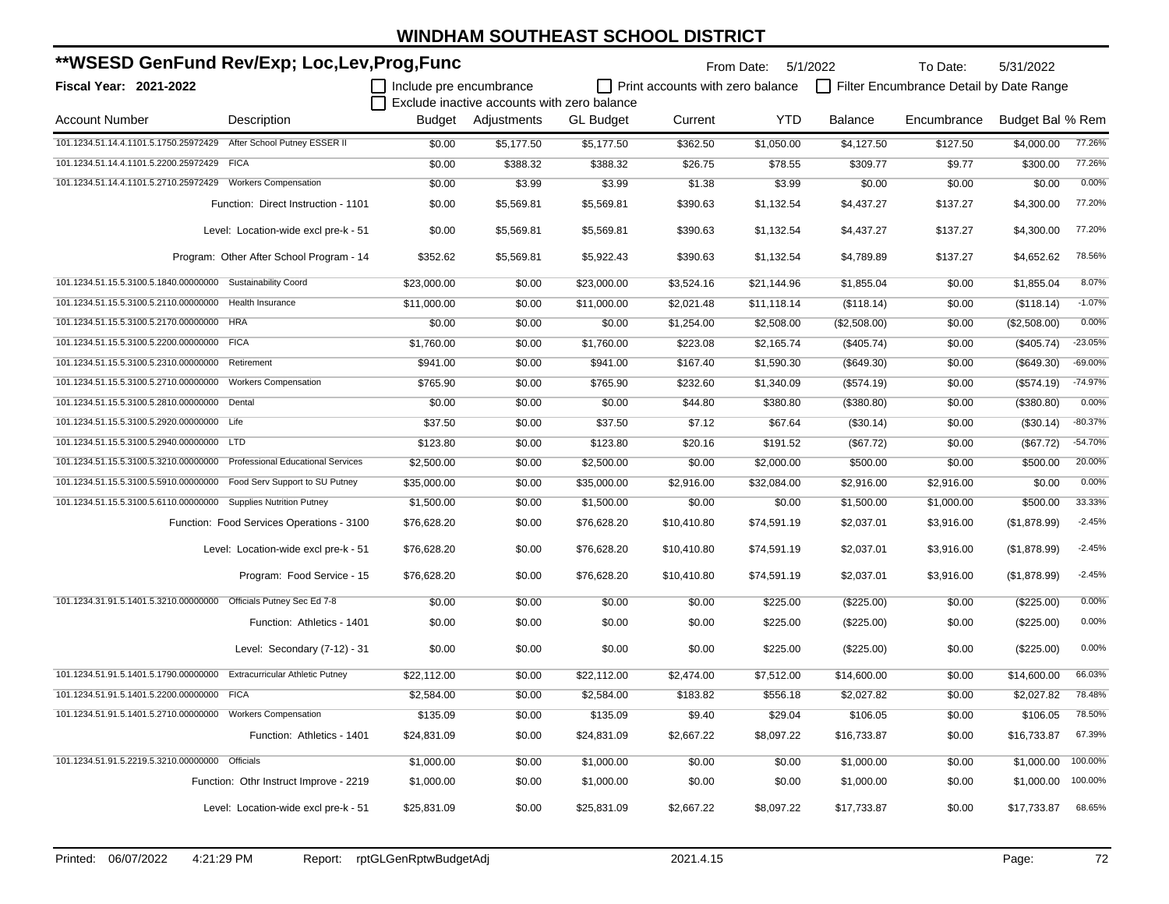| **WSESD GenFund Rev/Exp; Loc,Lev,Prog,Func                              |                                           |                         |                                             |                  | From Date:                              | 5/1/2022    | To Date:       | 5/31/2022                               |                  |           |
|-------------------------------------------------------------------------|-------------------------------------------|-------------------------|---------------------------------------------|------------------|-----------------------------------------|-------------|----------------|-----------------------------------------|------------------|-----------|
| Fiscal Year: 2021-2022                                                  |                                           | Include pre encumbrance |                                             |                  | $\Box$ Print accounts with zero balance |             |                | Filter Encumbrance Detail by Date Range |                  |           |
|                                                                         |                                           |                         | Exclude inactive accounts with zero balance |                  |                                         |             |                |                                         |                  |           |
| <b>Account Number</b>                                                   | Description                               | Budget                  | Adjustments                                 | <b>GL Budget</b> | Current                                 | <b>YTD</b>  | <b>Balance</b> | Encumbrance                             | Budget Bal % Rem |           |
| 101.1234.51.14.4.1101.5.1750.25972429 After School Putney ESSER II      |                                           | \$0.00                  | \$5,177.50                                  | \$5,177.50       | \$362.50                                | \$1,050.00  | \$4,127.50     | \$127.50                                | \$4,000.00       | 77.26%    |
| 101.1234.51.14.4.1101.5.2200.25972429                                   | <b>FICA</b>                               | \$0.00                  | \$388.32                                    | \$388.32         | \$26.75                                 | \$78.55     | \$309.77       | \$9.77                                  | \$300.00         | 77.26%    |
| 101.1234.51.14.4.1101.5.2710.25972429                                   | <b>Workers Compensation</b>               | \$0.00                  | \$3.99                                      | \$3.99           | \$1.38                                  | \$3.99      | \$0.00         | \$0.00                                  | \$0.00           | 0.00%     |
|                                                                         | Function: Direct Instruction - 1101       | \$0.00                  | \$5,569.81                                  | \$5,569.81       | \$390.63                                | \$1,132.54  | \$4,437.27     | \$137.27                                | \$4,300.00       | 77.20%    |
|                                                                         | Level: Location-wide excl pre-k - 51      | \$0.00                  | \$5,569.81                                  | \$5,569.81       | \$390.63                                | \$1,132.54  | \$4,437.27     | \$137.27                                | \$4,300.00       | 77.20%    |
|                                                                         | Program: Other After School Program - 14  | \$352.62                | \$5,569.81                                  | \$5,922.43       | \$390.63                                | \$1,132.54  | \$4,789.89     | \$137.27                                | \$4,652.62       | 78.56%    |
| 101.1234.51.15.5.3100.5.1840.00000000 Sustainability Coord              |                                           | \$23,000.00             | \$0.00                                      | \$23,000.00      | \$3,524.16                              | \$21,144.96 | \$1,855.04     | \$0.00                                  | \$1,855.04       | 8.07%     |
| 101.1234.51.15.5.3100.5.2110.00000000 Health Insurance                  |                                           | \$11,000.00             | \$0.00                                      | \$11,000.00      | \$2,021.48                              | \$11,118.14 | (\$118.14)     | \$0.00                                  | (\$118.14)       | $-1.07%$  |
| 101.1234.51.15.5.3100.5.2170.00000000 HRA                               |                                           | \$0.00                  | \$0.00                                      | \$0.00           | \$1,254.00                              | \$2,508.00  | (\$2,508.00)   | \$0.00                                  | (\$2,508.00)     | 0.00%     |
| 101.1234.51.15.5.3100.5.2200.00000000 FICA                              |                                           | \$1,760.00              | \$0.00                                      | \$1,760.00       | \$223.08                                | \$2,165.74  | (\$405.74)     | \$0.00                                  | (\$405.74)       | $-23.05%$ |
| 101.1234.51.15.5.3100.5.2310.00000000 Retirement                        |                                           | \$941.00                | \$0.00                                      | \$941.00         | \$167.40                                | \$1,590.30  | (\$649.30)     | \$0.00                                  | (\$649.30)       | $-69.00%$ |
| 101.1234.51.15.5.3100.5.2710.00000000 Workers Compensation              |                                           | \$765.90                | \$0.00                                      | \$765.90         | \$232.60                                | \$1,340.09  | (\$574.19)     | \$0.00                                  | (\$574.19)       | $-74.97%$ |
| 101.1234.51.15.5.3100.5.2810.00000000 Dental                            |                                           | \$0.00                  | \$0.00                                      | \$0.00           | \$44.80                                 | \$380.80    | (\$380.80)     | \$0.00                                  | (\$380.80)       | 0.00%     |
| 101.1234.51.15.5.3100.5.2920.00000000 Life                              |                                           | \$37.50                 | \$0.00                                      | \$37.50          | \$7.12                                  | \$67.64     | (\$30.14)      | \$0.00                                  | (\$30.14)        | $-80.37%$ |
| 101.1234.51.15.5.3100.5.2940.00000000 LTD                               |                                           | \$123.80                | \$0.00                                      | \$123.80         | \$20.16                                 | \$191.52    | (\$67.72)      | \$0.00                                  | (\$67.72)        | $-54.70%$ |
| 101.1234.51.15.5.3100.5.3210.00000000 Professional Educational Services |                                           | \$2,500.00              | \$0.00                                      | \$2,500.00       | \$0.00                                  | \$2,000.00  | \$500.00       | \$0.00                                  | \$500.00         | 20.00%    |
| 101.1234.51.15.5.3100.5.5910.00000000 Food Serv Support to SU Putney    |                                           | \$35,000.00             | \$0.00                                      | \$35,000.00      | \$2,916.00                              | \$32,084.00 | \$2,916.00     | \$2,916.00                              | \$0.00           | 0.00%     |
| 101.1234.51.15.5.3100.5.6110.00000000 Supplies Nutrition Putney         |                                           | \$1,500.00              | \$0.00                                      | \$1,500.00       | \$0.00                                  | \$0.00      | \$1,500.00     | \$1,000.00                              | \$500.00         | 33.33%    |
|                                                                         | Function: Food Services Operations - 3100 | \$76,628.20             | \$0.00                                      | \$76,628.20      | \$10,410.80                             | \$74,591.19 | \$2,037.01     | \$3,916.00                              | (\$1,878.99)     | $-2.45%$  |
|                                                                         | Level: Location-wide excl pre-k - 51      | \$76,628.20             | \$0.00                                      | \$76,628.20      | \$10,410.80                             | \$74,591.19 | \$2,037.01     | \$3,916.00                              | (\$1,878.99)     | $-2.45%$  |
|                                                                         | Program: Food Service - 15                | \$76,628.20             | \$0.00                                      | \$76,628.20      | \$10,410.80                             | \$74,591.19 | \$2,037.01     | \$3,916.00                              | (\$1,878.99)     | $-2.45%$  |
| 101.1234.31.91.5.1401.5.3210.00000000 Officials Putney Sec Ed 7-8       |                                           | \$0.00                  | \$0.00                                      | \$0.00           | \$0.00                                  | \$225.00    | (\$225.00)     | \$0.00                                  | (\$225.00)       | 0.00%     |
|                                                                         | Function: Athletics - 1401                | \$0.00                  | \$0.00                                      | \$0.00           | \$0.00                                  | \$225.00    | (\$225.00)     | \$0.00                                  | (\$225.00)       | 0.00%     |
|                                                                         | Level: Secondary (7-12) - 31              | \$0.00                  | \$0.00                                      | \$0.00           | \$0.00                                  | \$225.00    | (\$225.00)     | \$0.00                                  | (\$225.00)       | 0.00%     |
| 101.1234.51.91.5.1401.5.1790.00000000 Extracurricular Athletic Putney   |                                           | \$22,112.00             | \$0.00                                      | \$22,112.00      | \$2,474.00                              | \$7,512.00  | \$14,600.00    | \$0.00                                  | \$14,600.00      | 66.03%    |
| 101.1234.51.91.5.1401.5.2200.00000000 FICA                              |                                           | \$2,584.00              | \$0.00                                      | \$2,584.00       | \$183.82                                | \$556.18    | \$2,027.82     | \$0.00                                  | \$2,027.82       | 78.48%    |
| 101.1234.51.91.5.1401.5.2710.00000000 Workers Compensation              |                                           | \$135.09                | \$0.00                                      | \$135.09         | \$9.40                                  | \$29.04     | \$106.05       | \$0.00                                  | \$106.05         | 78.50%    |
|                                                                         | Function: Athletics - 1401                | \$24,831.09             | \$0.00                                      | \$24,831.09      | \$2,667.22                              | \$8,097.22  | \$16,733.87    | \$0.00                                  | \$16,733.87      | 67.39%    |
| 101.1234.51.91.5.2219.5.3210.00000000 Officials                         |                                           | \$1,000.00              | \$0.00                                      | \$1,000.00       | \$0.00                                  | \$0.00      | \$1,000.00     | \$0.00                                  | \$1,000.00       | 100.00%   |
|                                                                         | Function: Othr Instruct Improve - 2219    | \$1,000.00              | \$0.00                                      | \$1,000.00       | \$0.00                                  | \$0.00      | \$1,000.00     | \$0.00                                  | \$1,000.00       | 100.00%   |
|                                                                         | Level: Location-wide excl pre-k - 51      | \$25,831.09             | \$0.00                                      | \$25,831.09      | \$2,667.22                              | \$8,097.22  | \$17,733.87    | \$0.00                                  | \$17,733.87      | 68.65%    |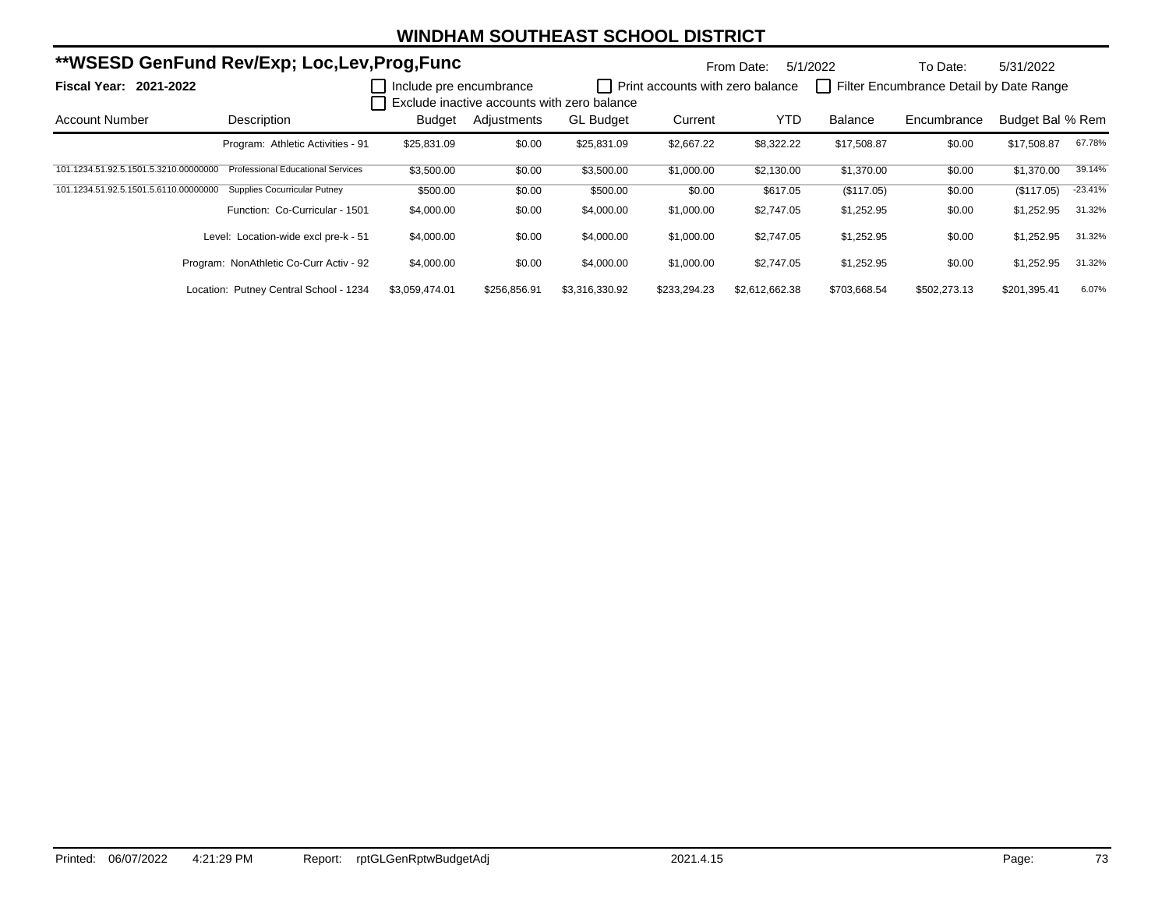| **WSESD GenFund Rev/Exp; Loc,Lev,Prog,Func |                                          |                         |              |                                             | From Date:                       | 5/1/2022       | To Date:     | 5/31/2022                               |                  |           |
|--------------------------------------------|------------------------------------------|-------------------------|--------------|---------------------------------------------|----------------------------------|----------------|--------------|-----------------------------------------|------------------|-----------|
| <b>Fiscal Year: 2021-2022</b>              |                                          | Include pre encumbrance |              | Exclude inactive accounts with zero balance | Print accounts with zero balance |                |              | Filter Encumbrance Detail by Date Range |                  |           |
| <b>Account Number</b>                      | Description                              | Budget                  | Adjustments  | <b>GL Budget</b>                            | Current                          | <b>YTD</b>     | Balance      | Encumbrance                             | Budget Bal % Rem |           |
|                                            | Program: Athletic Activities - 91        | \$25,831.09             | \$0.00       | \$25,831.09                                 | \$2,667.22                       | \$8,322.22     | \$17,508.87  | \$0.00                                  | \$17,508.87      | 67.78%    |
| 101.1234.51.92.5.1501.5.3210.00000000      | <b>Professional Educational Services</b> | \$3,500.00              | \$0.00       | \$3,500.00                                  | \$1,000.00                       | \$2,130.00     | \$1,370.00   | \$0.00                                  | \$1,370.00       | 39.14%    |
| 101.1234.51.92.5.1501.5.6110.00000000      | <b>Supplies Cocurricular Putney</b>      | \$500.00                | \$0.00       | \$500.00                                    | \$0.00                           | \$617.05       | (\$117.05)   | \$0.00                                  | (\$117.05)       | $-23.41%$ |
|                                            | Function: Co-Curricular - 1501           | \$4,000.00              | \$0.00       | \$4,000.00                                  | \$1,000.00                       | \$2,747.05     | \$1,252.95   | \$0.00                                  | \$1,252.95       | 31.32%    |
|                                            | Level: Location-wide excl pre-k - 51     | \$4,000.00              | \$0.00       | \$4,000.00                                  | \$1,000.00                       | \$2,747.05     | \$1,252.95   | \$0.00                                  | \$1,252.95       | 31.32%    |
|                                            | Program: NonAthletic Co-Curr Activ - 92  | \$4,000.00              | \$0.00       | \$4,000.00                                  | \$1,000.00                       | \$2,747.05     | \$1,252.95   | \$0.00                                  | \$1,252.95       | 31.32%    |
|                                            | Location: Putney Central School - 1234   | \$3,059,474.01          | \$256,856.91 | \$3,316,330.92                              | \$233,294.23                     | \$2,612,662.38 | \$703,668.54 | \$502,273.13                            | \$201,395.41     | 6.07%     |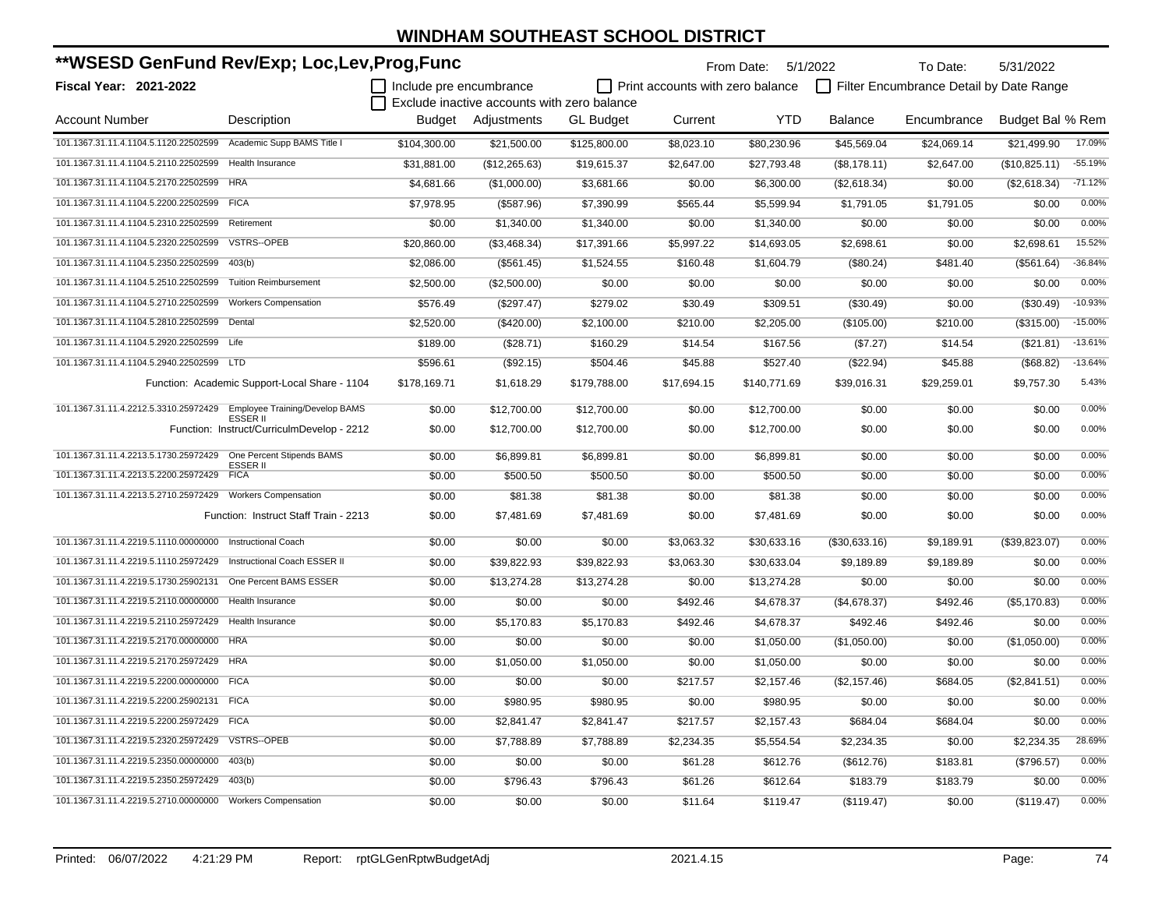| **WSESD GenFund Rev/Exp; Loc,Lev,Prog,Func                           |                                                               | From Date: 5/1/2022<br>To Date: |                                             |                  |                                         |              | 5/31/2022      |                                         |                  |           |
|----------------------------------------------------------------------|---------------------------------------------------------------|---------------------------------|---------------------------------------------|------------------|-----------------------------------------|--------------|----------------|-----------------------------------------|------------------|-----------|
| <b>Fiscal Year: 2021-2022</b>                                        |                                                               | Include pre encumbrance         |                                             |                  | $\Box$ Print accounts with zero balance |              |                | Filter Encumbrance Detail by Date Range |                  |           |
|                                                                      |                                                               |                                 | Exclude inactive accounts with zero balance |                  |                                         |              |                |                                         |                  |           |
| <b>Account Number</b>                                                | Description                                                   | Budget                          | Adjustments                                 | <b>GL Budget</b> | Current                                 | <b>YTD</b>   | <b>Balance</b> | Encumbrance                             | Budget Bal % Rem |           |
| 101.1367.31.11.4.1104.5.1120.22502599 Academic Supp BAMS Title I     |                                                               | \$104,300.00                    | \$21,500.00                                 | \$125,800.00     | \$8,023.10                              | \$80,230.96  | \$45,569.04    | \$24,069.14                             | \$21,499.90      | 17.09%    |
| 101.1367.31.11.4.1104.5.2110.22502599   Health Insurance             |                                                               | \$31.881.00                     | (\$12,265.63)                               | \$19,615.37      | \$2,647.00                              | \$27,793.48  | (\$8,178.11)   | \$2,647.00                              | (\$10,825.11)    | $-55.19%$ |
| 101.1367.31.11.4.1104.5.2170.22502599 HRA                            |                                                               | \$4,681.66                      | (\$1,000.00)                                | \$3,681.66       | \$0.00                                  | \$6,300.00   | (\$2,618.34)   | \$0.00                                  | (\$2,618.34)     | $-71.12%$ |
| 101.1367.31.11.4.1104.5.2200.22502599 FICA                           |                                                               | \$7,978.95                      | (\$587.96)                                  | \$7,390.99       | \$565.44                                | \$5,599.94   | \$1,791.05     | \$1,791.05                              | \$0.00           | 0.00%     |
| 101.1367.31.11.4.1104.5.2310.22502599                                | Retirement                                                    | \$0.00                          | \$1,340.00                                  | \$1,340.00       | \$0.00                                  | \$1,340.00   | \$0.00         | \$0.00                                  | \$0.00           | 0.00%     |
| 101.1367.31.11.4.1104.5.2320.22502599                                | <b>VSTRS--OPEB</b>                                            | \$20,860.00                     | (\$3,468.34)                                | \$17,391.66      | \$5,997.22                              | \$14,693.05  | \$2,698.61     | \$0.00                                  | \$2,698.61       | 15.52%    |
| 101.1367.31.11.4.1104.5.2350.22502599                                | 403(b)                                                        | \$2,086.00                      | (\$561.45)                                  | \$1,524.55       | \$160.48                                | \$1,604.79   | (\$80.24)      | \$481.40                                | (\$561.64)       | $-36.84%$ |
| 101.1367.31.11.4.1104.5.2510.22502599                                | <b>Tuition Reimbursement</b>                                  | \$2,500.00                      | (\$2,500.00)                                | \$0.00           | \$0.00                                  | \$0.00       | \$0.00         | \$0.00                                  | \$0.00           | 0.00%     |
| 101.1367.31.11.4.1104.5.2710.22502599                                | <b>Workers Compensation</b>                                   | \$576.49                        | (\$297.47)                                  | \$279.02         | \$30.49                                 | \$309.51     | (\$30.49)      | \$0.00                                  | (\$30.49)        | $-10.93%$ |
| 101.1367.31.11.4.1104.5.2810.22502599                                | Dental                                                        | \$2,520.00                      | (\$420.00)                                  | \$2,100.00       | \$210.00                                | \$2,205.00   | (\$105.00)     | \$210.00                                | (\$315.00)       | $-15.00%$ |
| 101.1367.31.11.4.1104.5.2920.22502599                                | Life                                                          | \$189.00                        | (\$28.71)                                   | \$160.29         | \$14.54                                 | \$167.56     | (\$7.27)       | \$14.54                                 | (\$21.81)        | $-13.61%$ |
| 101.1367.31.11.4.1104.5.2940.22502599 LTD                            |                                                               | \$596.61                        | (\$92.15)                                   | \$504.46         | \$45.88                                 | \$527.40     | (\$22.94)      | \$45.88                                 | (\$68.82)        | $-13.64%$ |
|                                                                      | Function: Academic Support-Local Share - 1104                 | \$178,169.71                    | \$1,618.29                                  | \$179,788.00     | \$17,694.15                             | \$140,771.69 | \$39,016.31    | \$29,259.01                             | \$9,757.30       | 5.43%     |
| 101.1367.31.11.4.2212.5.3310.25972429 Employee Training/Develop BAMS |                                                               | \$0.00                          | \$12,700.00                                 | \$12,700.00      | \$0.00                                  | \$12,700.00  | \$0.00         | \$0.00                                  | \$0.00           | 0.00%     |
|                                                                      | <b>ESSER II</b><br>Function: Instruct/CurriculmDevelop - 2212 | \$0.00                          | \$12,700.00                                 | \$12,700.00      | \$0.00                                  | \$12,700.00  | \$0.00         | \$0.00                                  | \$0.00           | 0.00%     |
| 101.1367.31.11.4.2213.5.1730.25972429                                | One Percent Stipends BAMS<br>ESSER II                         | \$0.00                          | \$6,899.81                                  | \$6,899.81       | \$0.00                                  | \$6,899.81   | \$0.00         | \$0.00                                  | \$0.00           | 0.00%     |
| 101.1367.31.11.4.2213.5.2200.25972429                                | <b>FICA</b>                                                   | \$0.00                          | \$500.50                                    | \$500.50         | \$0.00                                  | \$500.50     | \$0.00         | \$0.00                                  | \$0.00           | 0.00%     |
| 101.1367.31.11.4.2213.5.2710.25972429 Workers Compensation           |                                                               | \$0.00                          | \$81.38                                     | \$81.38          | \$0.00                                  | \$81.38      | \$0.00         | \$0.00                                  | \$0.00           | 0.00%     |
|                                                                      | Function: Instruct Staff Train - 2213                         | \$0.00                          | \$7,481.69                                  | \$7,481.69       | \$0.00                                  | \$7,481.69   | \$0.00         | \$0.00                                  | \$0.00           | 0.00%     |
| 101.1367.31.11.4.2219.5.1110.00000000 Instructional Coach            |                                                               | \$0.00                          | \$0.00                                      | \$0.00           | \$3,063.32                              | \$30,633.16  | (\$30,633.16)  | \$9,189.91                              | (\$39,823.07)    | 0.00%     |
| 101.1367.31.11.4.2219.5.1110.25972429 Instructional Coach ESSER II   |                                                               | \$0.00                          | \$39,822.93                                 | \$39,822.93      | \$3,063.30                              | \$30,633.04  | \$9,189.89     | \$9,189.89                              | \$0.00           | 0.00%     |
| 101.1367.31.11.4.2219.5.1730.25902131 One Percent BAMS ESSER         |                                                               | \$0.00                          | \$13,274.28                                 | \$13,274.28      | \$0.00                                  | \$13,274.28  | \$0.00         | \$0.00                                  | \$0.00           | 0.00%     |
| 101.1367.31.11.4.2219.5.2110.00000000 Health Insurance               |                                                               | \$0.00                          | \$0.00                                      | \$0.00           | \$492.46                                | \$4,678.37   | (\$4,678.37)   | \$492.46                                | (\$5,170.83)     | 0.00%     |
| 101.1367.31.11.4.2219.5.2110.25972429 Health Insurance               |                                                               | \$0.00                          | \$5,170.83                                  | \$5,170.83       | \$492.46                                | \$4,678.37   | \$492.46       | \$492.46                                | \$0.00           | 0.00%     |
| 101.1367.31.11.4.2219.5.2170.00000000 HRA                            |                                                               | \$0.00                          | \$0.00                                      | \$0.00           | \$0.00                                  | \$1,050.00   | (\$1,050.00)   | \$0.00                                  | (\$1,050.00)     | 0.00%     |
| 101.1367.31.11.4.2219.5.2170.25972429 HRA                            |                                                               | \$0.00                          | \$1,050.00                                  | \$1,050.00       | \$0.00                                  | \$1,050.00   | \$0.00         | \$0.00                                  | \$0.00           | 0.00%     |
| 101.1367.31.11.4.2219.5.2200.00000000 FICA                           |                                                               | \$0.00                          | \$0.00                                      | \$0.00           | \$217.57                                | \$2,157.46   | (\$2,157.46)   | \$684.05                                | (\$2,841.51)     | 0.00%     |
| 101.1367.31.11.4.2219.5.2200.25902131 FICA                           |                                                               | \$0.00                          | \$980.95                                    | \$980.95         | \$0.00                                  | \$980.95     | \$0.00         | \$0.00                                  | \$0.00           | 0.00%     |
| 101.1367.31.11.4.2219.5.2200.25972429 FICA                           |                                                               | \$0.00                          | \$2,841.47                                  | \$2,841.47       | \$217.57                                | \$2,157.43   | \$684.04       | \$684.04                                | \$0.00           | 0.00%     |
| 101.1367.31.11.4.2219.5.2320.25972429 VSTRS--OPEB                    |                                                               | \$0.00                          | \$7,788.89                                  | \$7,788.89       | \$2,234.35                              | \$5,554.54   | \$2,234.35     | \$0.00                                  | \$2,234.35       | 28.69%    |
| 101.1367.31.11.4.2219.5.2350.00000000                                | 403(b)                                                        | \$0.00                          | \$0.00                                      | \$0.00           | \$61.28                                 | \$612.76     | (\$612.76)     | \$183.81                                | (\$796.57)       | 0.00%     |
| 101.1367.31.11.4.2219.5.2350.25972429                                | 403(b)                                                        | \$0.00                          | \$796.43                                    | \$796.43         | \$61.26                                 | \$612.64     | \$183.79       | \$183.79                                | \$0.00           | 0.00%     |
| 101.1367.31.11.4.2219.5.2710.00000000 Workers Compensation           |                                                               | \$0.00                          | \$0.00                                      | \$0.00           | \$11.64                                 | \$119.47     | (\$119.47)     | \$0.00                                  | (\$119.47)       | 0.00%     |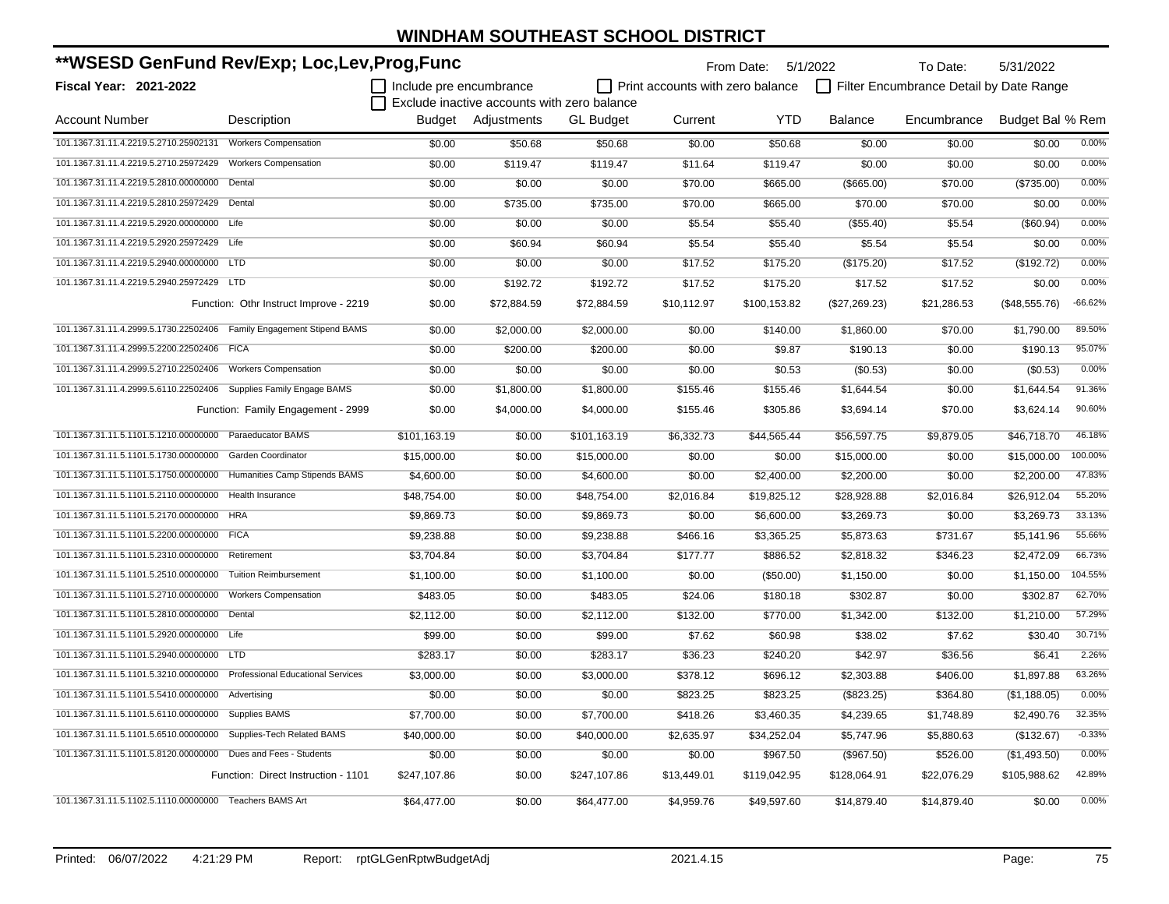| **WSESD GenFund Rev/Exp; Loc,Lev,Prog,Func                              |                                        |                         |                                             |                  |                                  | From Date: 5/1/2022 |                | To Date:                                | 5/31/2022        |           |
|-------------------------------------------------------------------------|----------------------------------------|-------------------------|---------------------------------------------|------------------|----------------------------------|---------------------|----------------|-----------------------------------------|------------------|-----------|
| <b>Fiscal Year: 2021-2022</b>                                           |                                        | Include pre encumbrance |                                             |                  | Print accounts with zero balance |                     |                | Filter Encumbrance Detail by Date Range |                  |           |
|                                                                         |                                        |                         | Exclude inactive accounts with zero balance |                  |                                  |                     |                |                                         |                  |           |
| <b>Account Number</b>                                                   | Description                            |                         | Budget Adjustments                          | <b>GL</b> Budget | Current                          | <b>YTD</b>          | <b>Balance</b> | Encumbrance                             | Budget Bal % Rem |           |
| 101.1367.31.11.4.2219.5.2710.25902131                                   | <b>Workers Compensation</b>            | \$0.00                  | \$50.68                                     | \$50.68          | \$0.00                           | \$50.68             | \$0.00         | \$0.00                                  | \$0.00           | 0.00%     |
| 101.1367.31.11.4.2219.5.2710.25972429                                   | <b>Workers Compensation</b>            | \$0.00                  | \$119.47                                    | \$119.47         | \$11.64                          | \$119.47            | \$0.00         | \$0.00                                  | \$0.00           | 0.00%     |
| 101.1367.31.11.4.2219.5.2810.00000000                                   | Dental                                 | \$0.00                  | \$0.00                                      | \$0.00           | \$70.00                          | \$665.00            | (\$665.00)     | \$70.00                                 | (\$735.00)       | 0.00%     |
| 101.1367.31.11.4.2219.5.2810.25972429 Dental                            |                                        | \$0.00                  | \$735.00                                    | \$735.00         | \$70.00                          | \$665.00            | \$70.00        | \$70.00                                 | \$0.00           | 0.00%     |
| 101.1367.31.11.4.2219.5.2920.00000000 Life                              |                                        | \$0.00                  | \$0.00                                      | \$0.00           | \$5.54                           | \$55.40             | (\$55.40)      | \$5.54                                  | (\$60.94)        | 0.00%     |
| 101.1367.31.11.4.2219.5.2920.25972429 Life                              |                                        | \$0.00                  | \$60.94                                     | \$60.94          | \$5.54                           | \$55.40             | \$5.54         | \$5.54                                  | \$0.00           | 0.00%     |
| 101.1367.31.11.4.2219.5.2940.00000000 LTD                               |                                        | \$0.00                  | \$0.00                                      | \$0.00           | \$17.52                          | \$175.20            | (\$175.20)     | \$17.52                                 | (\$192.72)       | 0.00%     |
| 101.1367.31.11.4.2219.5.2940.25972429 LTD                               |                                        | \$0.00                  | \$192.72                                    | \$192.72         | \$17.52                          | \$175.20            | \$17.52        | \$17.52                                 | \$0.00           | 0.00%     |
|                                                                         | Function: Othr Instruct Improve - 2219 | \$0.00                  | \$72,884.59                                 | \$72,884.59      | \$10,112.97                      | \$100,153.82        | (\$27,269.23)  | \$21,286.53                             | (\$48,555.76)    | $-66.62%$ |
| 101.1367.31.11.4.2999.5.1730.22502406 Family Engagement Stipend BAMS    |                                        | \$0.00                  | \$2,000.00                                  | \$2,000.00       | \$0.00                           | \$140.00            | \$1,860.00     | \$70.00                                 | \$1,790.00       | 89.50%    |
| 101.1367.31.11.4.2999.5.2200.22502406 FICA                              |                                        | \$0.00                  | \$200.00                                    | \$200.00         | \$0.00                           | \$9.87              | \$190.13       | \$0.00                                  | \$190.13         | 95.07%    |
| 101.1367.31.11.4.2999.5.2710.22502406                                   | <b>Workers Compensation</b>            | \$0.00                  | \$0.00                                      | \$0.00           | \$0.00                           | \$0.53              | (\$0.53)       | \$0.00                                  | (\$0.53)         | 0.00%     |
| 101.1367.31.11.4.2999.5.6110.22502406                                   | Supplies Family Engage BAMS            | \$0.00                  | \$1,800.00                                  | \$1,800.00       | \$155.46                         | \$155.46            | \$1,644.54     | \$0.00                                  | \$1,644.54       | 91.36%    |
|                                                                         | Function: Family Engagement - 2999     | \$0.00                  | \$4,000.00                                  | \$4,000.00       | \$155.46                         | \$305.86            | \$3,694.14     | \$70.00                                 | \$3,624.14       | 90.60%    |
| 101.1367.31.11.5.1101.5.1210.00000000 Paraeducator BAMS                 |                                        | \$101,163.19            | \$0.00                                      | \$101,163.19     | \$6,332.73                       | \$44,565.44         | \$56,597.75    | \$9,879.05                              | \$46,718.70      | 46.18%    |
| 101.1367.31.11.5.1101.5.1730.00000000                                   | Garden Coordinator                     | \$15,000.00             | \$0.00                                      | \$15,000.00      | \$0.00                           | \$0.00              | \$15,000.00    | \$0.00                                  | \$15,000.00      | 100.00%   |
| 101.1367.31.11.5.1101.5.1750.00000000                                   | Humanities Camp Stipends BAMS          | \$4,600.00              | \$0.00                                      | \$4,600.00       | \$0.00                           | \$2,400.00          | \$2,200.00     | \$0.00                                  | \$2,200.00       | 47.83%    |
| 101.1367.31.11.5.1101.5.2110.00000000                                   | <b>Health Insurance</b>                | \$48,754.00             | \$0.00                                      | \$48,754.00      | \$2,016.84                       | \$19,825.12         | \$28,928.88    | \$2,016.84                              | \$26,912.04      | 55.20%    |
| 101.1367.31.11.5.1101.5.2170.00000000                                   | <b>HRA</b>                             | \$9,869.73              | \$0.00                                      | \$9,869.73       | \$0.00                           | \$6,600.00          | \$3,269.73     | \$0.00                                  | \$3,269.73       | 33.13%    |
| 101.1367.31.11.5.1101.5.2200.00000000                                   | <b>FICA</b>                            | \$9,238.88              | \$0.00                                      | \$9,238.88       | \$466.16                         | \$3,365.25          | \$5,873.63     | \$731.67                                | \$5,141.96       | 55.66%    |
| 101.1367.31.11.5.1101.5.2310.00000000                                   | Retirement                             | \$3,704.84              | \$0.00                                      | \$3,704.84       | \$177.77                         | \$886.52            | \$2,818.32     | \$346.23                                | \$2,472.09       | 66.73%    |
| 101.1367.31.11.5.1101.5.2510.00000000                                   | <b>Tuition Reimbursement</b>           | \$1,100.00              | \$0.00                                      | \$1,100.00       | \$0.00                           | (\$50.00)           | \$1,150.00     | \$0.00                                  | \$1,150.00       | 104.55%   |
| 101.1367.31.11.5.1101.5.2710.00000000                                   | <b>Workers Compensation</b>            | \$483.05                | \$0.00                                      | \$483.05         | \$24.06                          | \$180.18            | \$302.87       | \$0.00                                  | \$302.87         | 62.70%    |
| 101.1367.31.11.5.1101.5.2810.00000000                                   | Dental                                 | \$2,112.00              | \$0.00                                      | \$2,112.00       | \$132.00                         | \$770.00            | \$1,342.00     | \$132.00                                | \$1,210.00       | 57.29%    |
| 101.1367.31.11.5.1101.5.2920.00000000 Life                              |                                        | \$99.00                 | \$0.00                                      | \$99.00          | \$7.62                           | \$60.98             | \$38.02        | \$7.62                                  | \$30.40          | 30.71%    |
| 101.1367.31.11.5.1101.5.2940.00000000 LTD                               |                                        | \$283.17                | \$0.00                                      | \$283.17         | \$36.23                          | \$240.20            | \$42.97        | \$36.56                                 | \$6.41           | 2.26%     |
| 101.1367.31.11.5.1101.5.3210.00000000 Professional Educational Services |                                        | \$3.000.00              | \$0.00                                      | \$3,000.00       | \$378.12                         | \$696.12            | \$2,303.88     | \$406.00                                | \$1.897.88       | 63.26%    |
| 101.1367.31.11.5.1101.5.5410.00000000 Advertising                       |                                        | \$0.00                  | \$0.00                                      | \$0.00           | \$823.25                         | \$823.25            | (\$823.25)     | \$364.80                                | (\$1,188.05)     | 0.00%     |
| 101.1367.31.11.5.1101.5.6110.00000000                                   | <b>Supplies BAMS</b>                   | \$7,700.00              | \$0.00                                      | \$7,700.00       | \$418.26                         | \$3,460.35          | \$4,239.65     | \$1,748.89                              | \$2,490.76       | 32.35%    |
| 101.1367.31.11.5.1101.5.6510.00000000                                   | Supplies-Tech Related BAMS             | \$40,000.00             | \$0.00                                      | \$40,000.00      | \$2,635.97                       | \$34,252.04         | \$5,747.96     | \$5,880.63                              | (\$132.67)       | $-0.33%$  |
| 101.1367.31.11.5.1101.5.8120.00000000                                   | Dues and Fees - Students               | \$0.00                  | \$0.00                                      | \$0.00           | \$0.00                           | \$967.50            | (\$967.50)     | \$526.00                                | (\$1,493.50)     | 0.00%     |
|                                                                         | Function: Direct Instruction - 1101    | \$247,107.86            | \$0.00                                      | \$247,107.86     | \$13,449.01                      | \$119,042.95        | \$128,064.91   | \$22,076.29                             | \$105,988.62     | 42.89%    |
| 101.1367.31.11.5.1102.5.1110.00000000 Teachers BAMS Art                 |                                        | \$64,477.00             | \$0.00                                      | \$64,477.00      | \$4.959.76                       | \$49.597.60         | \$14.879.40    | \$14,879.40                             | \$0.00           | 0.00%     |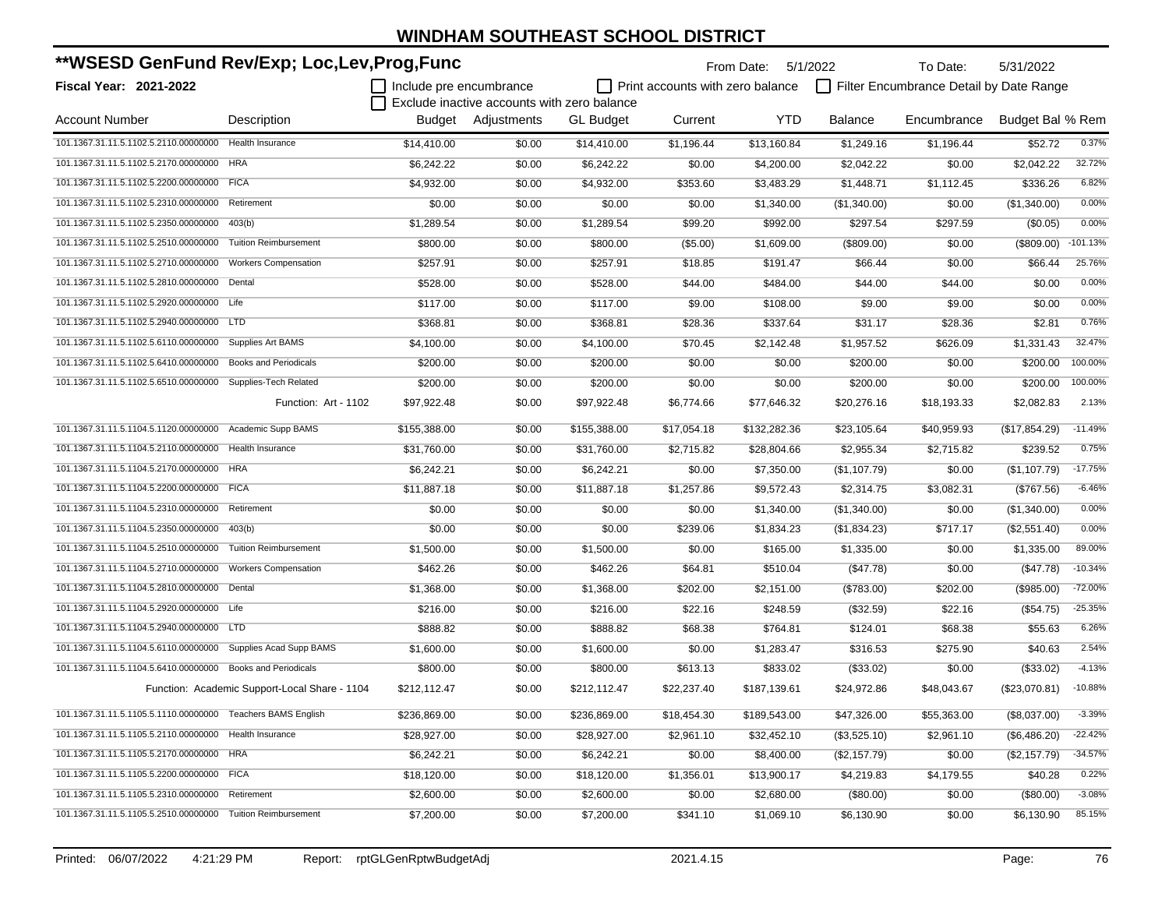| **WSESD GenFund Rev/Exp; Loc,Lev,Prog,Func                    |                                               |                         |                                             | From Date:       | 5/1/2022                         | To Date:     | 5/31/2022      |                                         |                  |            |
|---------------------------------------------------------------|-----------------------------------------------|-------------------------|---------------------------------------------|------------------|----------------------------------|--------------|----------------|-----------------------------------------|------------------|------------|
| <b>Fiscal Year: 2021-2022</b>                                 |                                               | Include pre encumbrance |                                             |                  | Print accounts with zero balance |              |                | Filter Encumbrance Detail by Date Range |                  |            |
|                                                               |                                               |                         | Exclude inactive accounts with zero balance |                  |                                  |              |                |                                         |                  |            |
| <b>Account Number</b>                                         | Description                                   |                         | Budget Adjustments                          | <b>GL Budget</b> | Current                          | YTD          | <b>Balance</b> | Encumbrance                             | Budget Bal % Rem |            |
| 101.1367.31.11.5.1102.5.2110.00000000                         | <b>Health Insurance</b>                       | \$14,410.00             | \$0.00                                      | \$14,410.00      | \$1.196.44                       | \$13,160.84  | \$1,249.16     | \$1,196.44                              | \$52.72          | 0.37%      |
| 101.1367.31.11.5.1102.5.2170.00000000                         | <b>HRA</b>                                    | \$6,242.22              | \$0.00                                      | \$6,242.22       | \$0.00                           | \$4,200.00   | \$2,042.22     | \$0.00                                  | \$2,042.22       | 32.72%     |
| 101.1367.31.11.5.1102.5.2200.00000000 FICA                    |                                               | \$4,932.00              | \$0.00                                      | \$4,932.00       | \$353.60                         | \$3,483.29   | \$1,448.71     | \$1,112.45                              | \$336.26         | 6.82%      |
| 101.1367.31.11.5.1102.5.2310.00000000                         | Retirement                                    | \$0.00                  | \$0.00                                      | \$0.00           | \$0.00                           | \$1,340.00   | (\$1,340.00)   | \$0.00                                  | (\$1,340.00)     | 0.00%      |
| 101.1367.31.11.5.1102.5.2350.00000000                         | 403(b)                                        | \$1,289.54              | \$0.00                                      | \$1,289.54       | \$99.20                          | \$992.00     | \$297.54       | \$297.59                                | (\$0.05)         | 0.00%      |
| 101.1367.31.11.5.1102.5.2510.00000000                         | <b>Tuition Reimbursement</b>                  | \$800.00                | \$0.00                                      | \$800.00         | (\$5.00)                         | \$1,609.00   | (\$809.00)     | \$0.00                                  | (\$809.00)       | $-101.13%$ |
| 101.1367.31.11.5.1102.5.2710.00000000                         | <b>Workers Compensation</b>                   | \$257.91                | \$0.00                                      | \$257.91         | \$18.85                          | \$191.47     | \$66.44        | \$0.00                                  | \$66.44          | 25.76%     |
| 101.1367.31.11.5.1102.5.2810.00000000                         | Dental                                        | \$528.00                | \$0.00                                      | \$528.00         | \$44.00                          | \$484.00     | \$44.00        | \$44.00                                 | \$0.00           | 0.00%      |
| 101.1367.31.11.5.1102.5.2920.00000000 Life                    |                                               | \$117.00                | \$0.00                                      | \$117.00         | \$9.00                           | \$108.00     | \$9.00         | \$9.00                                  | \$0.00           | 0.00%      |
| 101.1367.31.11.5.1102.5.2940.00000000 LTD                     |                                               | \$368.81                | \$0.00                                      | \$368.81         | \$28.36                          | \$337.64     | \$31.17        | \$28.36                                 | \$2.81           | 0.76%      |
| 101.1367.31.11.5.1102.5.6110.00000000 Supplies Art BAMS       |                                               | \$4,100.00              | \$0.00                                      | \$4,100.00       | \$70.45                          | \$2,142.48   | \$1,957.52     | \$626.09                                | \$1,331.43       | 32.47%     |
| 101.1367.31.11.5.1102.5.6410.00000000                         | <b>Books and Periodicals</b>                  | \$200.00                | \$0.00                                      | \$200.00         | \$0.00                           | \$0.00       | \$200.00       | \$0.00                                  | \$200.00         | 100.00%    |
| 101.1367.31.11.5.1102.5.6510.00000000 Supplies-Tech Related   |                                               | \$200.00                | \$0.00                                      | \$200.00         | \$0.00                           | \$0.00       | \$200.00       | \$0.00                                  | \$200.00         | 100.00%    |
|                                                               | Function: Art - 1102                          | \$97,922.48             | \$0.00                                      | \$97,922.48      | \$6,774.66                       | \$77,646.32  | \$20,276.16    | \$18,193.33                             | \$2,082.83       | 2.13%      |
| 101.1367.31.11.5.1104.5.1120.00000000                         | Academic Supp BAMS                            | \$155,388.00            | \$0.00                                      | \$155,388.00     | \$17,054.18                      | \$132,282.36 | \$23,105.64    | \$40,959.93                             | (\$17,854.29)    | $-11.49%$  |
| 101.1367.31.11.5.1104.5.2110.00000000                         | Health Insurance                              | \$31,760.00             | \$0.00                                      | \$31,760.00      | \$2,715.82                       | \$28,804.66  | \$2,955.34     | \$2,715.82                              | \$239.52         | 0.75%      |
| 101.1367.31.11.5.1104.5.2170.00000000 HRA                     |                                               | \$6,242.21              | \$0.00                                      | \$6,242.21       | \$0.00                           | \$7,350.00   | (\$1,107.79)   | \$0.00                                  | (S1.107.79)      | $-17.75%$  |
| 101.1367.31.11.5.1104.5.2200.00000000 FICA                    |                                               | \$11,887.18             | \$0.00                                      | \$11,887.18      | \$1,257.86                       | \$9,572.43   | \$2,314.75     | \$3,082.31                              | (\$767.56)       | $-6.46%$   |
| 101.1367.31.11.5.1104.5.2310.00000000                         | Retirement                                    | \$0.00                  | \$0.00                                      | \$0.00           | \$0.00                           | \$1,340.00   | (\$1,340.00)   | \$0.00                                  | (\$1,340.00)     | 0.00%      |
| 101.1367.31.11.5.1104.5.2350.00000000                         | 403(b)                                        | \$0.00                  | \$0.00                                      | \$0.00           | \$239.06                         | \$1,834.23   | (\$1,834.23)   | \$717.17                                | (\$2,551.40)     | 0.00%      |
| 101.1367.31.11.5.1104.5.2510.00000000                         | <b>Tuition Reimbursement</b>                  | \$1,500.00              | \$0.00                                      | \$1,500.00       | \$0.00                           | \$165.00     | \$1,335.00     | \$0.00                                  | \$1,335.00       | 89.00%     |
| 101.1367.31.11.5.1104.5.2710.00000000                         | <b>Workers Compensation</b>                   | \$462.26                | \$0.00                                      | \$462.26         | \$64.81                          | \$510.04     | (\$47.78)      | \$0.00                                  | (\$47.78)        | $-10.34%$  |
| 101.1367.31.11.5.1104.5.2810.00000000                         | Dental                                        | \$1,368.00              | \$0.00                                      | \$1,368.00       | \$202.00                         | \$2,151.00   | (\$783.00)     | \$202.00                                | (\$985.00)       | $-72.00%$  |
| 101.1367.31.11.5.1104.5.2920.00000000 Life                    |                                               | \$216.00                | \$0.00                                      | \$216.00         | \$22.16                          | \$248.59     | (\$32.59)      | \$22.16                                 | (\$54.75)        | $-25.35%$  |
| 101.1367.31.11.5.1104.5.2940.00000000 LTD                     |                                               | \$888.82                | \$0.00                                      | \$888.82         | \$68.38                          | \$764.81     | \$124.01       | \$68.38                                 | \$55.63          | 6.26%      |
| 101.1367.31.11.5.1104.5.6110.00000000 Supplies Acad Supp BAMS |                                               | \$1,600.00              | \$0.00                                      | \$1,600.00       | \$0.00                           | \$1,283.47   | \$316.53       | \$275.90                                | \$40.63          | 2.54%      |
| 101.1367.31.11.5.1104.5.6410.00000000 Books and Periodicals   |                                               | \$800.00                | \$0.00                                      | \$800.00         | \$613.13                         | \$833.02     | (\$33.02)      | \$0.00                                  | (\$33.02)        | $-4.13%$   |
|                                                               | Function: Academic Support-Local Share - 1104 | \$212,112.47            | \$0.00                                      | \$212,112.47     | \$22,237.40                      | \$187,139.61 | \$24,972.86    | \$48,043.67                             | (\$23,070.81)    | -10.88%    |
| 101.1367.31.11.5.1105.5.1110.00000000 Teachers BAMS English   |                                               | \$236,869.00            | \$0.00                                      | \$236,869.00     | \$18,454.30                      | \$189,543.00 | \$47,326.00    | \$55,363.00                             | (\$8,037.00)     | $-3.39%$   |
| 101.1367.31.11.5.1105.5.2110.00000000 Health Insurance        |                                               | \$28,927.00             | \$0.00                                      | \$28,927.00      | \$2,961.10                       | \$32,452.10  | (\$3,525.10)   | \$2,961.10                              | (\$6,486.20)     | $-22.42%$  |
| 101.1367.31.11.5.1105.5.2170.00000000 HRA                     |                                               | \$6,242.21              | \$0.00                                      | \$6,242.21       | \$0.00                           | \$8,400.00   | (\$2,157.79)   | \$0.00                                  | (\$2,157.79)     | $-34.57%$  |
| 101.1367.31.11.5.1105.5.2200.00000000 FICA                    |                                               | \$18,120.00             | \$0.00                                      | \$18,120.00      | \$1,356.01                       | \$13,900.17  | \$4,219.83     | \$4,179.55                              | \$40.28          | 0.22%      |
| 101.1367.31.11.5.1105.5.2310.00000000 Retirement              |                                               | \$2,600.00              | \$0.00                                      | \$2,600.00       | \$0.00                           | \$2,680.00   | (\$80.00)      | \$0.00                                  | (\$80.00)        | $-3.08%$   |
| 101.1367.31.11.5.1105.5.2510.00000000 Tuition Reimbursement   |                                               | \$7,200.00              | \$0.00                                      | \$7,200.00       | \$341.10                         | \$1,069.10   | \$6,130.90     | \$0.00                                  | \$6,130.90       | 85.15%     |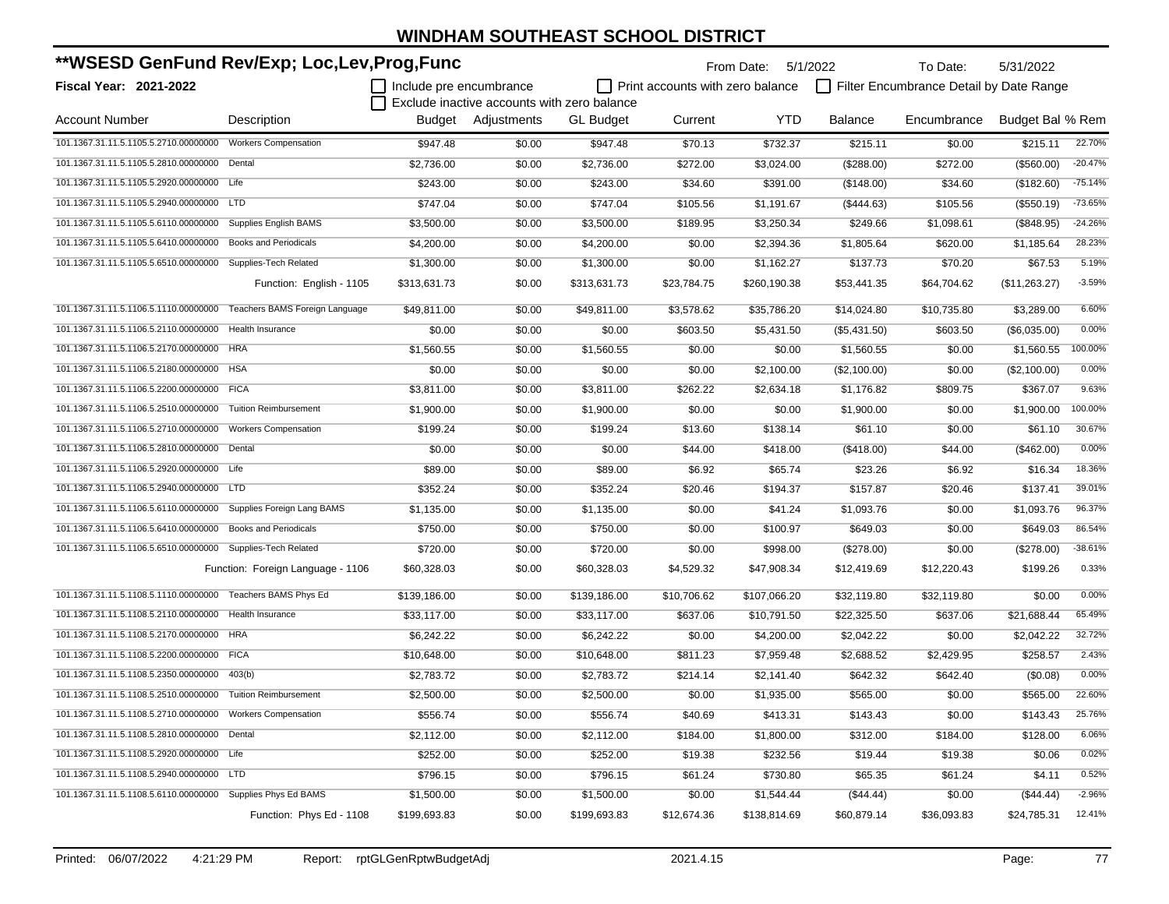| **WSESD GenFund Rev/Exp; Loc,Lev,Prog,Func                  |                                   |                         |                                             |                  |                                         | From Date: 5/1/2022 |                | To Date:                                | 5/31/2022        |           |
|-------------------------------------------------------------|-----------------------------------|-------------------------|---------------------------------------------|------------------|-----------------------------------------|---------------------|----------------|-----------------------------------------|------------------|-----------|
| <b>Fiscal Year: 2021-2022</b>                               |                                   | Include pre encumbrance |                                             |                  | $\Box$ Print accounts with zero balance |                     |                | Filter Encumbrance Detail by Date Range |                  |           |
|                                                             |                                   |                         | Exclude inactive accounts with zero balance |                  |                                         |                     |                |                                         |                  |           |
| <b>Account Number</b>                                       | Description                       |                         | Budget Adjustments                          | <b>GL Budget</b> | Current                                 | YTD                 | <b>Balance</b> | Encumbrance                             | Budget Bal % Rem |           |
| 101.1367.31.11.5.1105.5.2710.00000000                       | <b>Workers Compensation</b>       | \$947.48                | \$0.00                                      | \$947.48         | \$70.13                                 | \$732.37            | \$215.11       | \$0.00                                  | \$215.11         | 22.70%    |
| 101.1367.31.11.5.1105.5.2810.00000000                       | Dental                            | \$2,736.00              | \$0.00                                      | \$2,736.00       | \$272.00                                | \$3,024.00          | (\$288.00)     | \$272.00                                | (\$560.00)       | $-20.47%$ |
| 101.1367.31.11.5.1105.5.2920.00000000                       | Life                              | \$243.00                | \$0.00                                      | \$243.00         | \$34.60                                 | \$391.00            | (\$148.00)     | \$34.60                                 | (\$182.60)       | $-75.14%$ |
| 101.1367.31.11.5.1105.5.2940.00000000                       | <b>LTD</b>                        | \$747.04                | \$0.00                                      | \$747.04         | \$105.56                                | \$1,191.67          | (\$444.63)     | \$105.56                                | (\$550.19)       | $-73.65%$ |
| 101.1367.31.11.5.1105.5.6110.00000000                       | <b>Supplies English BAMS</b>      | \$3,500.00              | \$0.00                                      | \$3,500.00       | \$189.95                                | \$3,250.34          | \$249.66       | \$1,098.61                              | (\$848.95)       | $-24.26%$ |
| 101.1367.31.11.5.1105.5.6410.00000000                       | <b>Books and Periodicals</b>      | \$4,200.00              | \$0.00                                      | \$4,200.00       | \$0.00                                  | \$2,394.36          | \$1,805.64     | \$620.00                                | \$1,185.64       | 28.23%    |
| 101.1367.31.11.5.1105.5.6510.00000000                       | Supplies-Tech Related             | \$1,300.00              | \$0.00                                      | \$1,300.00       | \$0.00                                  | \$1,162.27          | \$137.73       | \$70.20                                 | \$67.53          | 5.19%     |
|                                                             | Function: English - 1105          | \$313,631.73            | \$0.00                                      | \$313,631.73     | \$23,784.75                             | \$260,190.38        | \$53,441.35    | \$64,704.62                             | (\$11,263.27)    | $-3.59%$  |
| 101.1367.31.11.5.1106.5.1110.00000000                       | Teachers BAMS Foreign Language    | \$49,811.00             | \$0.00                                      | \$49,811.00      | \$3,578.62                              | \$35,786.20         | \$14,024.80    | \$10,735.80                             | \$3,289.00       | 6.60%     |
| 101.1367.31.11.5.1106.5.2110.00000000                       | <b>Health Insurance</b>           | \$0.00                  | \$0.00                                      | \$0.00           | \$603.50                                | \$5,431.50          | (\$5,431.50)   | \$603.50                                | (\$6,035.00)     | 0.00%     |
| 101.1367.31.11.5.1106.5.2170.00000000                       | <b>HRA</b>                        | \$1,560.55              | \$0.00                                      | \$1,560.55       | \$0.00                                  | \$0.00              | \$1,560.55     | \$0.00                                  | \$1,560.55       | 100.00%   |
| 101.1367.31.11.5.1106.5.2180.00000000                       | <b>HSA</b>                        | \$0.00                  | \$0.00                                      | \$0.00           | \$0.00                                  | \$2,100.00          | (\$2,100.00)   | \$0.00                                  | (\$2,100.00)     | 0.00%     |
| 101.1367.31.11.5.1106.5.2200.00000000                       | <b>FICA</b>                       | \$3,811.00              | \$0.00                                      | \$3,811.00       | \$262.22                                | \$2,634.18          | \$1,176.82     | \$809.75                                | \$367.07         | 9.63%     |
| 101.1367.31.11.5.1106.5.2510.00000000                       | <b>Tuition Reimbursement</b>      | \$1,900.00              | \$0.00                                      | \$1,900.00       | \$0.00                                  | \$0.00              | \$1,900.00     | \$0.00                                  | \$1.900.00       | 100.00%   |
| 101.1367.31.11.5.1106.5.2710.00000000                       | <b>Workers Compensation</b>       | \$199.24                | \$0.00                                      | \$199.24         | \$13.60                                 | \$138.14            | \$61.10        | \$0.00                                  | \$61.10          | 30.67%    |
| 101.1367.31.11.5.1106.5.2810.00000000                       | Dental                            | \$0.00                  | \$0.00                                      | \$0.00           | \$44.00                                 | \$418.00            | (\$418.00)     | \$44.00                                 | (\$462.00)       | 0.00%     |
| 101.1367.31.11.5.1106.5.2920.00000000                       | Life                              | \$89.00                 | \$0.00                                      | \$89.00          | \$6.92                                  | \$65.74             | \$23.26        | \$6.92                                  | \$16.34          | 18.36%    |
| 101.1367.31.11.5.1106.5.2940.00000000 LTD                   |                                   | \$352.24                | \$0.00                                      | \$352.24         | \$20.46                                 | \$194.37            | \$157.87       | \$20.46                                 | \$137.41         | 39.01%    |
| 101.1367.31.11.5.1106.5.6110.00000000                       | Supplies Foreign Lang BAMS        | \$1,135.00              | \$0.00                                      | \$1,135.00       | \$0.00                                  | \$41.24             | \$1,093.76     | \$0.00                                  | \$1,093.76       | 96.37%    |
| 101.1367.31.11.5.1106.5.6410.00000000                       | <b>Books and Periodicals</b>      | \$750.00                | \$0.00                                      | \$750.00         | \$0.00                                  | \$100.97            | \$649.03       | \$0.00                                  | \$649.03         | 86.54%    |
| 101.1367.31.11.5.1106.5.6510.00000000 Supplies-Tech Related |                                   | \$720.00                | \$0.00                                      | \$720.00         | \$0.00                                  | \$998.00            | (\$278.00)     | \$0.00                                  | (\$278.00)       | $-38.61%$ |
|                                                             | Function: Foreign Language - 1106 | \$60,328.03             | \$0.00                                      | \$60,328.03      | \$4,529.32                              | \$47,908.34         | \$12,419.69    | \$12,220.43                             | \$199.26         | 0.33%     |
| 101.1367.31.11.5.1108.5.1110.00000000                       | Teachers BAMS Phys Ed             | \$139,186.00            | \$0.00                                      | \$139,186.00     | \$10,706.62                             | \$107,066.20        | \$32,119.80    | \$32,119.80                             | \$0.00           | 0.00%     |
| 101.1367.31.11.5.1108.5.2110.00000000                       | <b>Health Insurance</b>           | \$33,117.00             | \$0.00                                      | \$33,117.00      | \$637.06                                | \$10,791.50         | \$22,325.50    | \$637.06                                | \$21,688.44      | 65.49%    |
| 101.1367.31.11.5.1108.5.2170.00000000                       | <b>HRA</b>                        | \$6,242.22              | \$0.00                                      | \$6,242.22       | \$0.00                                  | \$4,200.00          | \$2,042.22     | \$0.00                                  | \$2,042.22       | 32.72%    |
| 101.1367.31.11.5.1108.5.2200.00000000                       | <b>FICA</b>                       | \$10,648.00             | \$0.00                                      | \$10,648.00      | \$811.23                                | \$7,959.48          | \$2,688.52     | \$2,429.95                              | \$258.57         | 2.43%     |
| 101.1367.31.11.5.1108.5.2350.00000000                       | 403(b)                            | \$2,783.72              | \$0.00                                      | \$2,783.72       | \$214.14                                | \$2,141.40          | \$642.32       | \$642.40                                | (\$0.08)         | 0.00%     |
| 101.1367.31.11.5.1108.5.2510.00000000 Tuition Reimbursement |                                   | \$2,500.00              | \$0.00                                      | \$2,500.00       | \$0.00                                  | \$1,935.00          | \$565.00       | \$0.00                                  | \$565.00         | 22.60%    |
| 101.1367.31.11.5.1108.5.2710.00000000 Workers Compensation  |                                   | \$556.74                | \$0.00                                      | \$556.74         | \$40.69                                 | \$413.31            | \$143.43       | \$0.00                                  | \$143.43         | 25.76%    |
| 101.1367.31.11.5.1108.5.2810.00000000 Dental                |                                   | \$2,112.00              | \$0.00                                      | \$2,112.00       | \$184.00                                | \$1,800.00          | \$312.00       | \$184.00                                | \$128.00         | 6.06%     |
| 101.1367.31.11.5.1108.5.2920.00000000 Life                  |                                   | \$252.00                | \$0.00                                      | \$252.00         | \$19.38                                 | \$232.56            | \$19.44        | \$19.38                                 | \$0.06           | 0.02%     |
| 101.1367.31.11.5.1108.5.2940.00000000 LTD                   |                                   | \$796.15                | \$0.00                                      | \$796.15         | \$61.24                                 | \$730.80            | \$65.35        | \$61.24                                 | \$4.11           | 0.52%     |
| 101.1367.31.11.5.1108.5.6110.00000000 Supplies Phys Ed BAMS |                                   | \$1,500.00              | \$0.00                                      | \$1,500.00       | \$0.00                                  | \$1,544.44          | (\$44.44)      | \$0.00                                  | (\$44.44)        | $-2.96%$  |
|                                                             | Function: Phys Ed - 1108          | \$199,693.83            | \$0.00                                      | \$199,693.83     | \$12,674.36                             | \$138,814.69        | \$60,879.14    | \$36,093.83                             | \$24,785.31      | 12.41%    |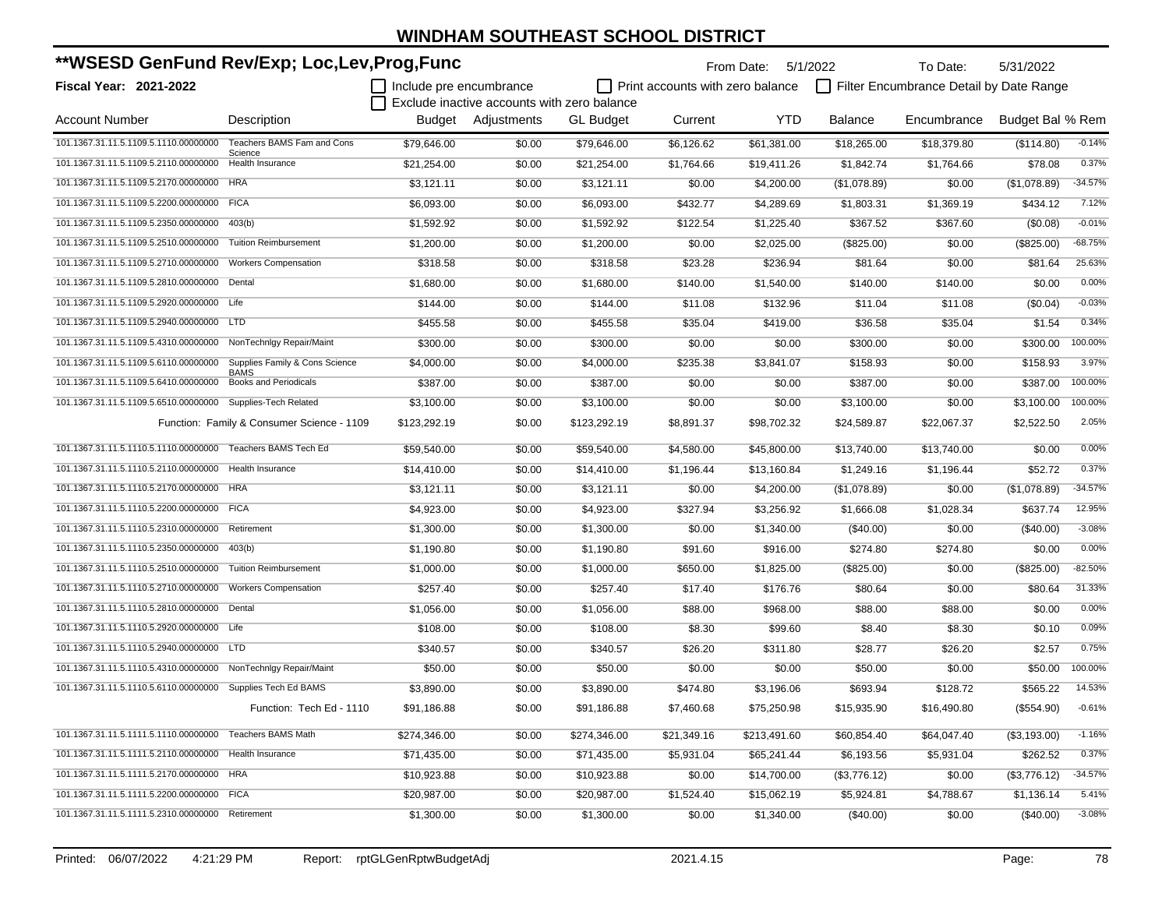| **WSESD GenFund Rev/Exp; Loc,Lev,Prog,Func                     |                                               |                         |                                             |                  | From Date:                              |              | 5/1/2022     | To Date:                                | 5/31/2022        |           |
|----------------------------------------------------------------|-----------------------------------------------|-------------------------|---------------------------------------------|------------------|-----------------------------------------|--------------|--------------|-----------------------------------------|------------------|-----------|
| <b>Fiscal Year: 2021-2022</b>                                  |                                               | Include pre encumbrance |                                             |                  | $\Box$ Print accounts with zero balance |              |              | Filter Encumbrance Detail by Date Range |                  |           |
|                                                                |                                               |                         | Exclude inactive accounts with zero balance |                  |                                         |              |              |                                         |                  |           |
| <b>Account Number</b>                                          | Description                                   |                         | Budget Adjustments                          | <b>GL Budget</b> | Current                                 | YTD          | Balance      | Encumbrance                             | Budget Bal % Rem |           |
| 101.1367.31.11.5.1109.5.1110.00000000                          | Teachers BAMS Fam and Cons<br>Science         | \$79,646.00             | \$0.00                                      | \$79,646.00      | \$6,126.62                              | \$61,381.00  | \$18,265.00  | \$18,379.80                             | (\$114.80)       | $-0.14%$  |
| 101.1367.31.11.5.1109.5.2110.00000000                          | Health Insurance                              | \$21,254.00             | \$0.00                                      | \$21,254.00      | \$1,764.66                              | \$19,411.26  | \$1,842.74   | \$1,764.66                              | \$78.08          | 0.37%     |
| 101.1367.31.11.5.1109.5.2170.00000000                          | <b>HRA</b>                                    | \$3,121.11              | \$0.00                                      | \$3,121.11       | \$0.00                                  | \$4,200.00   | (\$1,078.89) | \$0.00                                  | (\$1,078.89)     | $-34.57%$ |
| 101.1367.31.11.5.1109.5.2200.00000000 FICA                     |                                               | \$6,093.00              | \$0.00                                      | \$6,093.00       | \$432.77                                | \$4,289.69   | \$1,803.31   | \$1,369.19                              | \$434.12         | 7.12%     |
| 101.1367.31.11.5.1109.5.2350.00000000                          | 403(b)                                        | \$1,592.92              | \$0.00                                      | \$1,592.92       | \$122.54                                | \$1,225.40   | \$367.52     | \$367.60                                | (\$0.08)         | $-0.01%$  |
| 101.1367.31.11.5.1109.5.2510.00000000                          | <b>Tuition Reimbursement</b>                  | \$1,200.00              | \$0.00                                      | \$1,200.00       | \$0.00                                  | \$2,025.00   | (\$825.00)   | \$0.00                                  | (\$825.00)       | $-68.75%$ |
| 101.1367.31.11.5.1109.5.2710.00000000                          | <b>Workers Compensation</b>                   | \$318.58                | \$0.00                                      | \$318.58         | \$23.28                                 | \$236.94     | \$81.64      | \$0.00                                  | \$81.64          | 25.63%    |
| 101.1367.31.11.5.1109.5.2810.00000000                          | Dental                                        | \$1,680.00              | \$0.00                                      | \$1,680.00       | \$140.00                                | \$1,540.00   | \$140.00     | \$140.00                                | \$0.00           | 0.00%     |
| 101.1367.31.11.5.1109.5.2920.00000000 Life                     |                                               | \$144.00                | \$0.00                                      | \$144.00         | \$11.08                                 | \$132.96     | \$11.04      | \$11.08                                 | (\$0.04)         | $-0.03%$  |
| 101.1367.31.11.5.1109.5.2940.00000000 LTD                      |                                               | \$455.58                | \$0.00                                      | \$455.58         | \$35.04                                 | \$419.00     | \$36.58      | \$35.04                                 | \$1.54           | 0.34%     |
| 101.1367.31.11.5.1109.5.4310.00000000 NonTechnlgy Repair/Maint |                                               | \$300.00                | \$0.00                                      | \$300.00         | \$0.00                                  | \$0.00       | \$300.00     | \$0.00                                  | \$300.00         | 100.00%   |
| 101.1367.31.11.5.1109.5.6110.00000000                          | Supplies Family & Cons Science<br><b>BAMS</b> | \$4,000.00              | \$0.00                                      | \$4,000.00       | \$235.38                                | \$3,841.07   | \$158.93     | \$0.00                                  | \$158.93         | 3.97%     |
| 101.1367.31.11.5.1109.5.6410.00000000                          | <b>Books and Periodicals</b>                  | \$387.00                | \$0.00                                      | \$387.00         | \$0.00                                  | \$0.00       | \$387.00     | \$0.00                                  | \$387.00         | 100.00%   |
| 101.1367.31.11.5.1109.5.6510.00000000 Supplies-Tech Related    |                                               | \$3,100.00              | \$0.00                                      | \$3,100.00       | \$0.00                                  | \$0.00       | \$3,100.00   | \$0.00                                  | \$3.100.00       | 100.00%   |
|                                                                | Function: Family & Consumer Science - 1109    | \$123,292.19            | \$0.00                                      | \$123,292.19     | \$8,891.37                              | \$98,702.32  | \$24,589.87  | \$22,067.37                             | \$2,522.50       | 2.05%     |
| 101.1367.31.11.5.1110.5.1110.00000000 Teachers BAMS Tech Ed    |                                               | \$59,540.00             | \$0.00                                      | \$59.540.00      | \$4,580.00                              | \$45,800.00  | \$13,740.00  | \$13,740.00                             | \$0.00           | 0.00%     |
| 101.1367.31.11.5.1110.5.2110.00000000                          | Health Insurance                              | \$14.410.00             | \$0.00                                      | \$14,410.00      | \$1,196.44                              | \$13,160.84  | \$1,249.16   | \$1,196.44                              | \$52.72          | 0.37%     |
| 101.1367.31.11.5.1110.5.2170.00000000 HRA                      |                                               | \$3,121.11              | \$0.00                                      | \$3,121.11       | \$0.00                                  | \$4,200.00   | (\$1,078.89) | \$0.00                                  | (\$1,078.89)     | $-34.57%$ |
| 101.1367.31.11.5.1110.5.2200.00000000 FICA                     |                                               | \$4,923.00              | \$0.00                                      | \$4,923.00       | \$327.94                                | \$3,256.92   | \$1,666.08   | \$1,028.34                              | \$637.74         | 12.95%    |
| 101.1367.31.11.5.1110.5.2310.00000000                          | Retirement                                    | \$1,300.00              | \$0.00                                      | \$1,300.00       | \$0.00                                  | \$1,340.00   | (\$40.00)    | \$0.00                                  | $(\$40.00)$      | $-3.08%$  |
| 101.1367.31.11.5.1110.5.2350.00000000                          | 403(b)                                        | \$1,190.80              | \$0.00                                      | \$1,190.80       | \$91.60                                 | \$916.00     | \$274.80     | \$274.80                                | \$0.00           | 0.00%     |
| 101.1367.31.11.5.1110.5.2510.00000000                          | <b>Tuition Reimbursement</b>                  | \$1,000.00              | \$0.00                                      | \$1,000.00       | \$650.00                                | \$1,825.00   | (\$825.00)   | \$0.00                                  | (\$825.00)       | $-82.50%$ |
| 101.1367.31.11.5.1110.5.2710.00000000                          | <b>Workers Compensation</b>                   | \$257.40                | \$0.00                                      | \$257.40         | \$17.40                                 | \$176.76     | \$80.64      | \$0.00                                  | \$80.64          | 31.33%    |
| 101.1367.31.11.5.1110.5.2810.00000000                          | Dental                                        | \$1,056.00              | \$0.00                                      | \$1,056.00       | \$88.00                                 | \$968.00     | \$88.00      | \$88.00                                 | \$0.00           | 0.00%     |
| 101.1367.31.11.5.1110.5.2920.00000000 Life                     |                                               | \$108.00                | \$0.00                                      | \$108.00         | \$8.30                                  | \$99.60      | \$8.40       | \$8.30                                  | \$0.10           | 0.09%     |
| 101.1367.31.11.5.1110.5.2940.00000000 LTD                      |                                               | \$340.57                | \$0.00                                      | \$340.57         | \$26.20                                 | \$311.80     | \$28.77      | \$26.20                                 | \$2.57           | 0.75%     |
| 101.1367.31.11.5.1110.5.4310.00000000                          | NonTechnlgy Repair/Maint                      | \$50.00                 | \$0.00                                      | \$50.00          | \$0.00                                  | \$0.00       | \$50.00      | \$0.00                                  | \$50.00          | 100.00%   |
| 101.1367.31.11.5.1110.5.6110.00000000 Supplies Tech Ed BAMS    |                                               | \$3,890.00              | \$0.00                                      | \$3,890.00       | \$474.80                                | \$3,196.06   | \$693.94     | \$128.72                                | \$565.22         | 14.53%    |
|                                                                | Function: Tech Ed - 1110                      | \$91,186.88             | \$0.00                                      | \$91,186.88      | \$7,460.68                              | \$75,250.98  | \$15,935.90  | \$16,490.80                             | (\$554.90)       | $-0.61%$  |
| 101.1367.31.11.5.1111.5.1110.00000000 Teachers BAMS Math       |                                               | \$274,346.00            | \$0.00                                      | \$274,346.00     | \$21,349.16                             | \$213,491.60 | \$60,854.40  | \$64,047.40                             | ( \$3,193.00)    | $-1.16%$  |
| 101.1367.31.11.5.1111.5.2110.00000000 Health Insurance         |                                               | \$71,435.00             | \$0.00                                      | \$71,435.00      | \$5,931.04                              | \$65,241.44  | \$6,193.56   | \$5,931.04                              | \$262.52         | 0.37%     |
| 101.1367.31.11.5.1111.5.2170.00000000 HRA                      |                                               | \$10,923.88             | \$0.00                                      | \$10,923.88      | \$0.00                                  | \$14,700.00  | (\$3,776.12) | \$0.00                                  | (\$3,776.12)     | $-34.57%$ |
| 101.1367.31.11.5.1111.5.2200.00000000 FICA                     |                                               | \$20,987.00             | \$0.00                                      | \$20,987.00      | \$1,524.40                              | \$15,062.19  | \$5,924.81   | \$4,788.67                              | \$1,136.14       | 5.41%     |
| 101.1367.31.11.5.1111.5.2310.00000000 Retirement               |                                               | \$1,300.00              | \$0.00                                      | \$1,300.00       | \$0.00                                  | \$1,340.00   | $(\$40.00)$  | \$0.00                                  | (\$40.00)        | $-3.08%$  |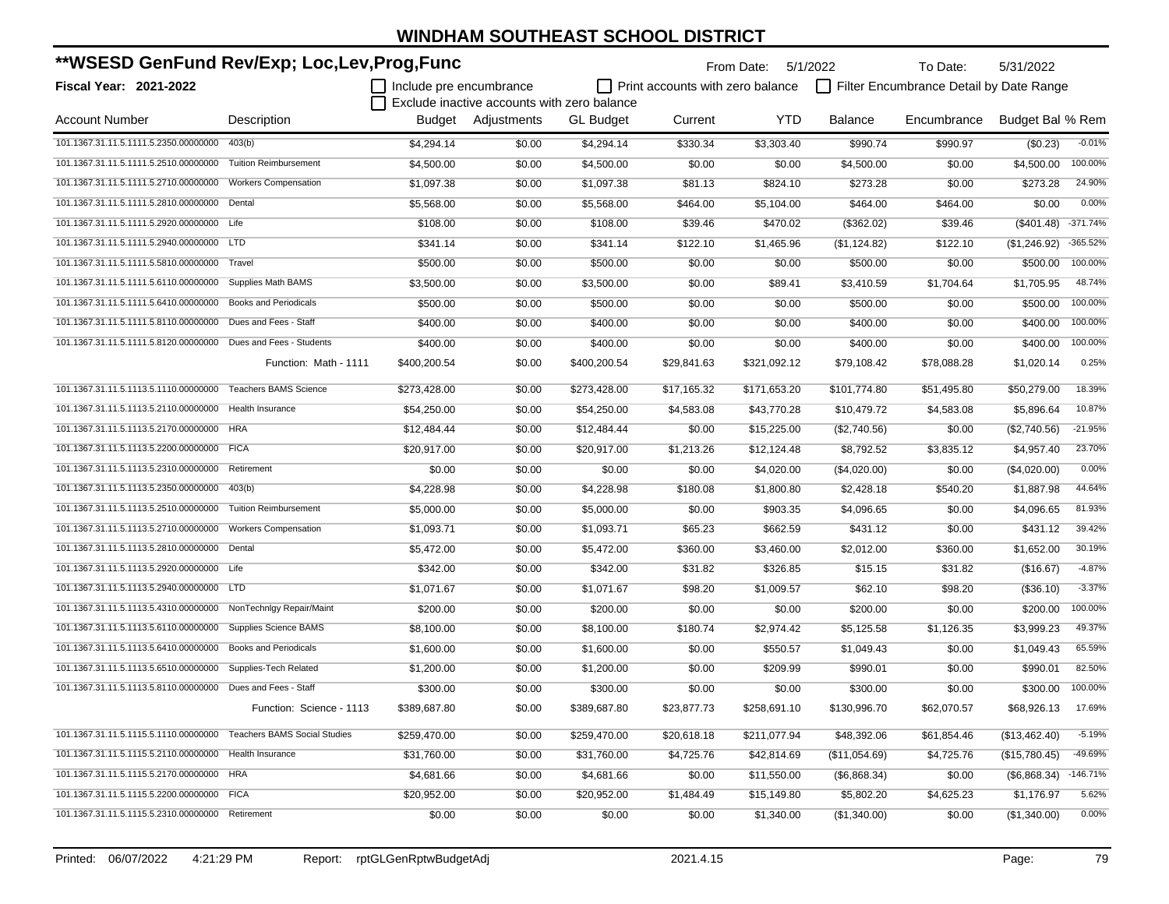| **WSESD GenFund Rev/Exp; Loc,Lev,Prog,Func                         |                              |                         |                                             | From Date:       | 5/1/2022                         | To Date:     | 5/31/2022      |                                         |                  |            |
|--------------------------------------------------------------------|------------------------------|-------------------------|---------------------------------------------|------------------|----------------------------------|--------------|----------------|-----------------------------------------|------------------|------------|
| Fiscal Year: 2021-2022                                             |                              | Include pre encumbrance |                                             |                  | Print accounts with zero balance |              |                | Filter Encumbrance Detail by Date Range |                  |            |
|                                                                    |                              |                         | Exclude inactive accounts with zero balance |                  |                                  |              |                |                                         |                  |            |
| Account Number                                                     | Description                  |                         | Budget Adjustments                          | <b>GL</b> Budget | Current                          | <b>YTD</b>   | <b>Balance</b> | Encumbrance                             | Budget Bal % Rem |            |
| 101.1367.31.11.5.1111.5.2350.00000000                              | 403(b)                       | \$4.294.14              | \$0.00                                      | \$4.294.14       | \$330.34                         | \$3,303.40   | \$990.74       | \$990.97                                | (\$0.23)         | $-0.01%$   |
| 101.1367.31.11.5.1111.5.2510.00000000                              | <b>Tuition Reimbursement</b> | \$4,500.00              | \$0.00                                      | \$4,500.00       | \$0.00                           | \$0.00       | \$4,500.00     | \$0.00                                  | \$4,500.00       | 100.00%    |
| 101.1367.31.11.5.1111.5.2710.00000000                              | <b>Workers Compensation</b>  | \$1,097.38              | \$0.00                                      | \$1,097.38       | \$81.13                          | \$824.10     | \$273.28       | \$0.00                                  | \$273.28         | 24.90%     |
| 101.1367.31.11.5.1111.5.2810.00000000                              | Dental                       | \$5,568.00              | \$0.00                                      | \$5,568.00       | \$464.00                         | \$5,104.00   | \$464.00       | \$464.00                                | \$0.00           | 0.00%      |
| 101.1367.31.11.5.1111.5.2920.00000000 Life                         |                              | \$108.00                | \$0.00                                      | \$108.00         | \$39.46                          | \$470.02     | (\$362.02)     | \$39.46                                 | $(\$401.48)$     | $-371.74%$ |
| 101.1367.31.11.5.1111.5.2940.00000000                              | <b>LTD</b>                   | \$341.14                | \$0.00                                      | \$341.14         | \$122.10                         | \$1,465.96   | (\$1,124.82)   | \$122.10                                | (\$1,246.92)     | -365.52%   |
| 101.1367.31.11.5.1111.5.5810.00000000 Travel                       |                              | \$500.00                | \$0.00                                      | \$500.00         | \$0.00                           | \$0.00       | \$500.00       | \$0.00                                  | \$500.00         | 100.00%    |
| 101.1367.31.11.5.1111.5.6110.00000000                              | Supplies Math BAMS           | \$3,500.00              | \$0.00                                      | \$3,500.00       | \$0.00                           | \$89.41      | \$3,410.59     | \$1,704.64                              | \$1,705.95       | 48.74%     |
| 101.1367.31.11.5.1111.5.6410.00000000 Books and Periodicals        |                              | \$500.00                | \$0.00                                      | \$500.00         | \$0.00                           | \$0.00       | \$500.00       | \$0.00                                  | \$500.00         | 100.00%    |
| 101.1367.31.11.5.1111.5.8110.00000000                              | Dues and Fees - Staff        | \$400.00                | \$0.00                                      | \$400.00         | \$0.00                           | \$0.00       | \$400.00       | \$0.00                                  | \$400.00         | 100.00%    |
| 101.1367.31.11.5.1111.5.8120.00000000 Dues and Fees - Students     |                              | \$400.00                | \$0.00                                      | \$400.00         | \$0.00                           | \$0.00       | \$400.00       | \$0.00                                  | \$400.00         | 100.00%    |
|                                                                    | Function: Math - 1111        | \$400,200.54            | \$0.00                                      | \$400,200.54     | \$29,841.63                      | \$321,092.12 | \$79,108.42    | \$78,088.28                             | \$1,020.14       | 0.25%      |
| 101.1367.31.11.5.1113.5.1110.00000000                              | <b>Teachers BAMS Science</b> | \$273,428.00            | \$0.00                                      | \$273,428.00     | \$17,165.32                      | \$171,653.20 | \$101.774.80   | \$51,495.80                             | \$50,279.00      | 18.39%     |
| 101.1367.31.11.5.1113.5.2110.00000000                              | Health Insurance             | \$54,250.00             | \$0.00                                      | \$54,250.00      | \$4,583.08                       | \$43,770.28  | \$10,479.72    | \$4,583.08                              | \$5.896.64       | 10.87%     |
| 101.1367.31.11.5.1113.5.2170.00000000                              | <b>HRA</b>                   | \$12,484.44             | \$0.00                                      | \$12,484.44      | \$0.00                           | \$15,225.00  | (\$2,740.56)   | \$0.00                                  | (\$2,740.56)     | $-21.95%$  |
| 101.1367.31.11.5.1113.5.2200.00000000 FICA                         |                              | \$20,917.00             | \$0.00                                      | \$20,917.00      | \$1,213.26                       | \$12,124.48  | \$8.792.52     | \$3,835.12                              | \$4,957.40       | 23.70%     |
| 101.1367.31.11.5.1113.5.2310.00000000                              | Retirement                   | \$0.00                  | \$0.00                                      | \$0.00           | \$0.00                           | \$4,020.00   | (\$4,020.00)   | \$0.00                                  | (\$4,020.00)     | 0.00%      |
| 101.1367.31.11.5.1113.5.2350.00000000                              | 403(b)                       | \$4,228.98              | \$0.00                                      | \$4,228.98       | \$180.08                         | \$1,800.80   | \$2,428.18     | \$540.20                                | \$1,887.98       | 44.64%     |
| 101.1367.31.11.5.1113.5.2510.00000000                              | <b>Tuition Reimbursement</b> | \$5,000.00              | \$0.00                                      | \$5,000.00       | \$0.00                           | \$903.35     | \$4,096.65     | \$0.00                                  | \$4,096.65       | 81.93%     |
| 101.1367.31.11.5.1113.5.2710.00000000                              | <b>Workers Compensation</b>  | \$1,093.71              | \$0.00                                      | \$1,093.71       | \$65.23                          | \$662.59     | \$431.12       | \$0.00                                  | \$431.12         | 39.42%     |
| 101.1367.31.11.5.1113.5.2810.00000000                              | Dental                       | \$5,472.00              | \$0.00                                      | \$5,472.00       | \$360.00                         | \$3,460.00   | \$2,012.00     | \$360.00                                | \$1,652.00       | 30.19%     |
| 101.1367.31.11.5.1113.5.2920.00000000 Life                         |                              | \$342.00                | \$0.00                                      | \$342.00         | \$31.82                          | \$326.85     | \$15.15        | \$31.82                                 | (\$16.67)        | $-4.87%$   |
| 101.1367.31.11.5.1113.5.2940.00000000 LTD                          |                              | \$1,071.67              | \$0.00                                      | \$1,071.67       | \$98.20                          | \$1,009.57   | \$62.10        | \$98.20                                 | (\$36.10)        | $-3.37%$   |
| 101.1367.31.11.5.1113.5.4310.00000000 NonTechnlgy Repair/Maint     |                              | \$200.00                | \$0.00                                      | \$200.00         | \$0.00                           | \$0.00       | \$200.00       | \$0.00                                  | \$200.00         | 100.00%    |
| 101.1367.31.11.5.1113.5.6110.00000000                              | Supplies Science BAMS        | \$8,100.00              | \$0.00                                      | \$8,100.00       | \$180.74                         | \$2,974.42   | \$5,125.58     | \$1,126.35                              | \$3,999.23       | 49.37%     |
| 101.1367.31.11.5.1113.5.6410.00000000                              | <b>Books and Periodicals</b> | \$1,600.00              | \$0.00                                      | \$1,600.00       | \$0.00                           | \$550.57     | \$1,049.43     | \$0.00                                  | \$1,049.43       | 65.59%     |
| 101.1367.31.11.5.1113.5.6510.00000000                              | Supplies-Tech Related        | \$1,200.00              | \$0.00                                      | \$1,200.00       | \$0.00                           | \$209.99     | \$990.01       | \$0.00                                  | \$990.01         | 82.50%     |
| 101.1367.31.11.5.1113.5.8110.00000000 Dues and Fees - Staff        |                              | \$300.00                | \$0.00                                      | \$300.00         | \$0.00                           | \$0.00       | \$300.00       | \$0.00                                  | \$300.00         | 100.00%    |
|                                                                    | Function: Science - 1113     | \$389,687.80            | \$0.00                                      | \$389,687.80     | \$23,877.73                      | \$258,691.10 | \$130,996.70   | \$62,070.57                             | \$68,926.13      | 17.69%     |
| 101.1367.31.11.5.1115.5.1110.00000000 Teachers BAMS Social Studies |                              | \$259,470.00            | \$0.00                                      | \$259,470.00     | \$20,618.18                      | \$211,077.94 | \$48,392.06    | \$61,854.46                             | (\$13,462.40)    | $-5.19%$   |
| 101.1367.31.11.5.1115.5.2110.00000000 Health Insurance             |                              | \$31,760.00             | \$0.00                                      | \$31,760.00      | \$4,725.76                       | \$42,814.69  | (\$11,054.69)  | \$4,725.76                              | (\$15,780.45)    | $-49.69%$  |
| 101.1367.31.11.5.1115.5.2170.00000000 HRA                          |                              | \$4,681.66              | \$0.00                                      | \$4,681.66       | \$0.00                           | \$11,550.00  | (\$6,868.34)   | \$0.00                                  | (\$6,868.34)     | $-146.71%$ |
| 101.1367.31.11.5.1115.5.2200.00000000 FICA                         |                              | \$20,952.00             | \$0.00                                      | \$20,952.00      | \$1,484.49                       | \$15,149.80  | \$5,802.20     | \$4,625.23                              | \$1,176.97       | 5.62%      |
| 101.1367.31.11.5.1115.5.2310.00000000 Retirement                   |                              | \$0.00                  | \$0.00                                      | \$0.00           | \$0.00                           | \$1,340.00   | (\$1,340.00)   | \$0.00                                  | (\$1,340.00)     | 0.00%      |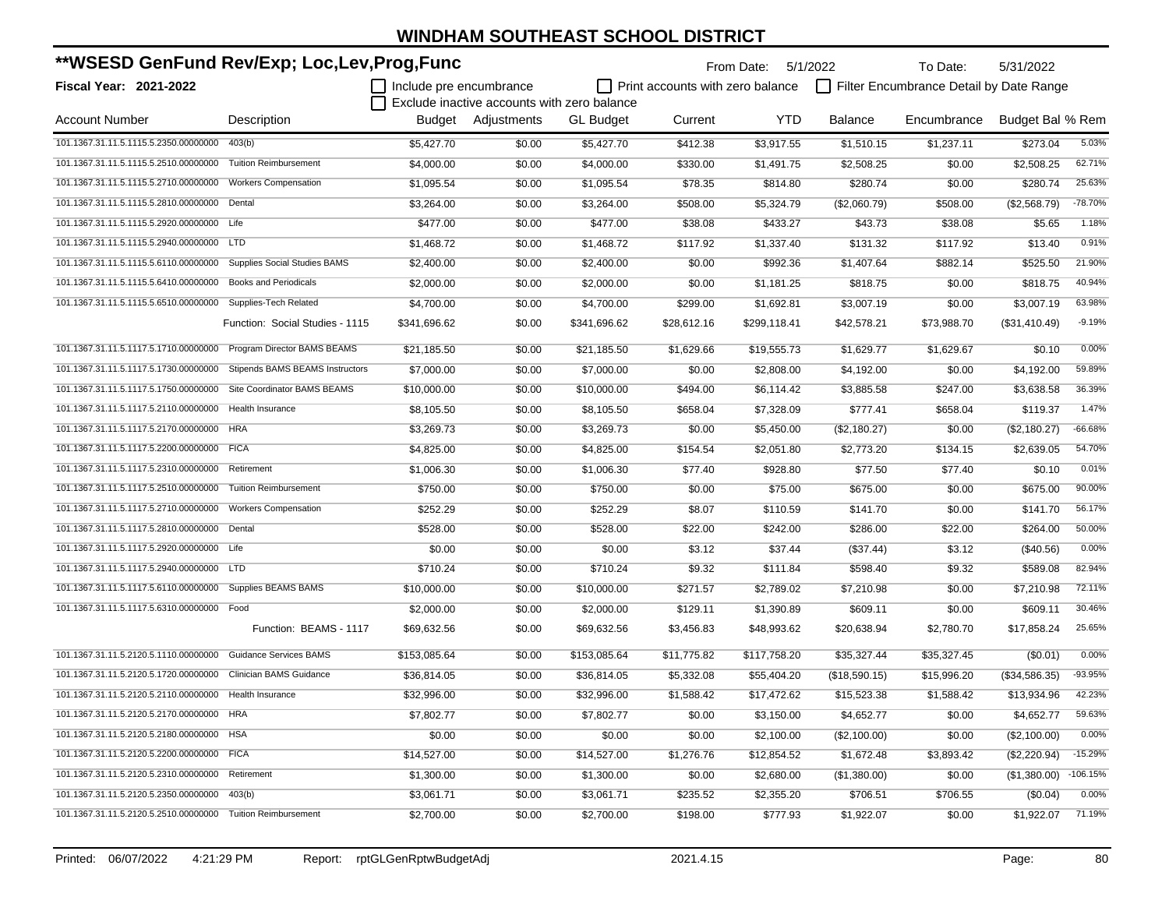| **WSESD GenFund Rev/Exp; Loc,Lev,Prog,Func                    |                                     |                         |                                             | From Date: 5/1/2022 |                                         | To Date:     | 5/31/2022      |                                         |                  |            |
|---------------------------------------------------------------|-------------------------------------|-------------------------|---------------------------------------------|---------------------|-----------------------------------------|--------------|----------------|-----------------------------------------|------------------|------------|
| <b>Fiscal Year: 2021-2022</b>                                 |                                     | Include pre encumbrance |                                             |                     | $\Box$ Print accounts with zero balance |              |                | Filter Encumbrance Detail by Date Range |                  |            |
|                                                               |                                     |                         | Exclude inactive accounts with zero balance |                     |                                         |              |                |                                         |                  |            |
| <b>Account Number</b>                                         | Description                         |                         | Budget Adjustments                          | <b>GL Budget</b>    | Current                                 | <b>YTD</b>   | <b>Balance</b> | Encumbrance                             | Budget Bal % Rem |            |
| 101.1367.31.11.5.1115.5.2350.00000000                         | 403(b)                              | \$5,427.70              | \$0.00                                      | \$5,427.70          | \$412.38                                | \$3,917.55   | \$1,510.15     | \$1,237.11                              | \$273.04         | 5.03%      |
| 101.1367.31.11.5.1115.5.2510.00000000                         | <b>Tuition Reimbursement</b>        | \$4,000.00              | \$0.00                                      | \$4,000.00          | \$330.00                                | \$1,491.75   | \$2,508.25     | \$0.00                                  | \$2,508.25       | 62.71%     |
| 101.1367.31.11.5.1115.5.2710.00000000                         | <b>Workers Compensation</b>         | \$1,095.54              | \$0.00                                      | \$1,095.54          | \$78.35                                 | \$814.80     | \$280.74       | \$0.00                                  | \$280.74         | 25.63%     |
| 101.1367.31.11.5.1115.5.2810.00000000                         | Dental                              | \$3,264.00              | \$0.00                                      | \$3,264.00          | \$508.00                                | \$5,324.79   | (\$2,060.79)   | \$508.00                                | (\$2,568.79)     | $-78.70%$  |
| 101.1367.31.11.5.1115.5.2920.00000000 Life                    |                                     | \$477.00                | \$0.00                                      | \$477.00            | \$38.08                                 | \$433.27     | \$43.73        | \$38.08                                 | \$5.65           | 1.18%      |
| 101.1367.31.11.5.1115.5.2940.00000000                         | <b>LTD</b>                          | \$1,468.72              | \$0.00                                      | \$1,468.72          | \$117.92                                | \$1,337.40   | \$131.32       | \$117.92                                | \$13.40          | 0.91%      |
| 101.1367.31.11.5.1115.5.6110.00000000                         | <b>Supplies Social Studies BAMS</b> | \$2,400.00              | \$0.00                                      | \$2,400.00          | \$0.00                                  | \$992.36     | \$1,407.64     | \$882.14                                | \$525.50         | 21.90%     |
| 101.1367.31.11.5.1115.5.6410.00000000                         | <b>Books and Periodicals</b>        | \$2,000.00              | \$0.00                                      | \$2,000.00          | \$0.00                                  | \$1,181.25   | \$818.75       | \$0.00                                  | \$818.75         | 40.94%     |
| 101.1367.31.11.5.1115.5.6510.00000000 Supplies-Tech Related   |                                     | \$4,700.00              | \$0.00                                      | \$4,700.00          | \$299.00                                | \$1,692.81   | \$3,007.19     | \$0.00                                  | \$3,007.19       | 63.98%     |
|                                                               | Function: Social Studies - 1115     | \$341,696.62            | \$0.00                                      | \$341,696.62        | \$28,612.16                             | \$299,118.41 | \$42,578.21    | \$73,988.70                             | $(\$31,410.49)$  | $-9.19%$   |
| 101.1367.31.11.5.1117.5.1710.00000000                         | Program Director BAMS BEAMS         | \$21,185.50             | \$0.00                                      | \$21,185.50         | \$1,629.66                              | \$19,555.73  | \$1,629.77     | \$1,629.67                              | \$0.10           | 0.00%      |
| 101.1367.31.11.5.1117.5.1730.00000000                         | Stipends BAMS BEAMS Instructors     | \$7,000.00              | \$0.00                                      | \$7,000.00          | \$0.00                                  | \$2,808.00   | \$4,192.00     | \$0.00                                  | \$4,192.00       | 59.89%     |
| 101.1367.31.11.5.1117.5.1750.00000000                         | Site Coordinator BAMS BEAMS         | \$10,000.00             | \$0.00                                      | \$10,000.00         | \$494.00                                | \$6,114.42   | \$3,885.58     | \$247.00                                | \$3,638.58       | 36.39%     |
| 101.1367.31.11.5.1117.5.2110.00000000 Health Insurance        |                                     | \$8,105.50              | \$0.00                                      | \$8,105.50          | \$658.04                                | \$7,328.09   | \$777.41       | \$658.04                                | \$119.37         | 1.47%      |
| 101.1367.31.11.5.1117.5.2170.00000000                         | <b>HRA</b>                          | \$3,269.73              | \$0.00                                      | \$3,269.73          | \$0.00                                  | \$5,450.00   | (\$2,180.27)   | \$0.00                                  | (\$2,180.27)     | $-66.68%$  |
| 101.1367.31.11.5.1117.5.2200.00000000 FICA                    |                                     | \$4,825.00              | \$0.00                                      | \$4,825.00          | \$154.54                                | \$2,051.80   | \$2,773.20     | \$134.15                                | \$2,639.05       | 54.70%     |
| 101.1367.31.11.5.1117.5.2310.00000000                         | Retirement                          | \$1,006.30              | \$0.00                                      | \$1,006.30          | \$77.40                                 | \$928.80     | \$77.50        | \$77.40                                 | \$0.10           | 0.01%      |
| 101.1367.31.11.5.1117.5.2510.00000000                         | <b>Tuition Reimbursement</b>        | \$750.00                | \$0.00                                      | \$750.00            | \$0.00                                  | \$75.00      | \$675.00       | \$0.00                                  | \$675.00         | 90.00%     |
| 101.1367.31.11.5.1117.5.2710.00000000                         | <b>Workers Compensation</b>         | \$252.29                | \$0.00                                      | \$252.29            | \$8.07                                  | \$110.59     | \$141.70       | \$0.00                                  | \$141.70         | 56.17%     |
| 101.1367.31.11.5.1117.5.2810.00000000 Dental                  |                                     | \$528.00                | \$0.00                                      | \$528.00            | \$22.00                                 | \$242.00     | \$286.00       | \$22.00                                 | \$264.00         | 50.00%     |
| 101.1367.31.11.5.1117.5.2920.00000000 Life                    |                                     | \$0.00                  | \$0.00                                      | \$0.00              | \$3.12                                  | \$37.44      | (\$37.44)      | \$3.12                                  | $(\$40.56)$      | 0.00%      |
| 101.1367.31.11.5.1117.5.2940.00000000 LTD                     |                                     | \$710.24                | \$0.00                                      | \$710.24            | \$9.32                                  | \$111.84     | \$598.40       | \$9.32                                  | \$589.08         | 82.94%     |
| 101.1367.31.11.5.1117.5.6110.00000000 Supplies BEAMS BAMS     |                                     | \$10,000.00             | \$0.00                                      | \$10,000.00         | \$271.57                                | \$2,789.02   | \$7,210.98     | \$0.00                                  | \$7,210.98       | 72.11%     |
| 101.1367.31.11.5.1117.5.6310.00000000 Food                    |                                     | \$2,000.00              | \$0.00                                      | \$2,000.00          | \$129.11                                | \$1,390.89   | \$609.11       | \$0.00                                  | \$609.11         | 30.46%     |
|                                                               | Function: BEAMS - 1117              | \$69,632.56             | \$0.00                                      | \$69,632.56         | \$3,456.83                              | \$48,993.62  | \$20,638.94    | \$2,780.70                              | \$17,858.24      | 25.65%     |
| 101.1367.31.11.5.2120.5.1110.00000000                         | <b>Guidance Services BAMS</b>       | \$153,085.64            | \$0.00                                      | \$153,085.64        | \$11,775.82                             | \$117,758.20 | \$35,327.44    | \$35,327.45                             | (\$0.01)         | 0.00%      |
| 101.1367.31.11.5.2120.5.1720.00000000 Clinician BAMS Guidance |                                     | \$36,814.05             | \$0.00                                      | \$36,814.05         | \$5,332.08                              | \$55,404.20  | (\$18,590.15)  | \$15,996.20                             | (\$34,586.35)    | -93.95%    |
| 101.1367.31.11.5.2120.5.2110.00000000 Health Insurance        |                                     | \$32,996.00             | \$0.00                                      | \$32,996.00         | \$1,588.42                              | \$17,472.62  | \$15,523.38    | \$1,588.42                              | \$13,934.96      | 42.23%     |
| 101.1367.31.11.5.2120.5.2170.00000000 HRA                     |                                     | \$7,802.77              | \$0.00                                      | \$7,802.77          | \$0.00                                  | \$3,150.00   | \$4,652.77     | \$0.00                                  | \$4,652.77       | 59.63%     |
| 101.1367.31.11.5.2120.5.2180.00000000 HSA                     |                                     | \$0.00                  | \$0.00                                      | \$0.00              | \$0.00                                  | \$2,100.00   | (\$2,100.00)   | \$0.00                                  | (\$2,100.00)     | 0.00%      |
| 101.1367.31.11.5.2120.5.2200.00000000 FICA                    |                                     | \$14,527.00             | \$0.00                                      | \$14,527.00         | \$1,276.76                              | \$12,854.52  | \$1,672.48     | \$3,893.42                              | (\$2,220.94)     | $-15.29%$  |
| 101.1367.31.11.5.2120.5.2310.00000000 Retirement              |                                     | \$1,300.00              | \$0.00                                      | \$1,300.00          | \$0.00                                  | \$2,680.00   | (\$1,380.00)   | \$0.00                                  | (\$1,380.00)     | $-106.15%$ |
| 101.1367.31.11.5.2120.5.2350.00000000 403(b)                  |                                     | \$3,061.71              | \$0.00                                      | \$3,061.71          | \$235.52                                | \$2,355.20   | \$706.51       | \$706.55                                | (\$0.04)         | 0.00%      |
| 101.1367.31.11.5.2120.5.2510.00000000 Tuition Reimbursement   |                                     | \$2,700.00              | \$0.00                                      | \$2,700.00          | \$198.00                                | \$777.93     | \$1,922.07     | \$0.00                                  | \$1,922.07       | 71.19%     |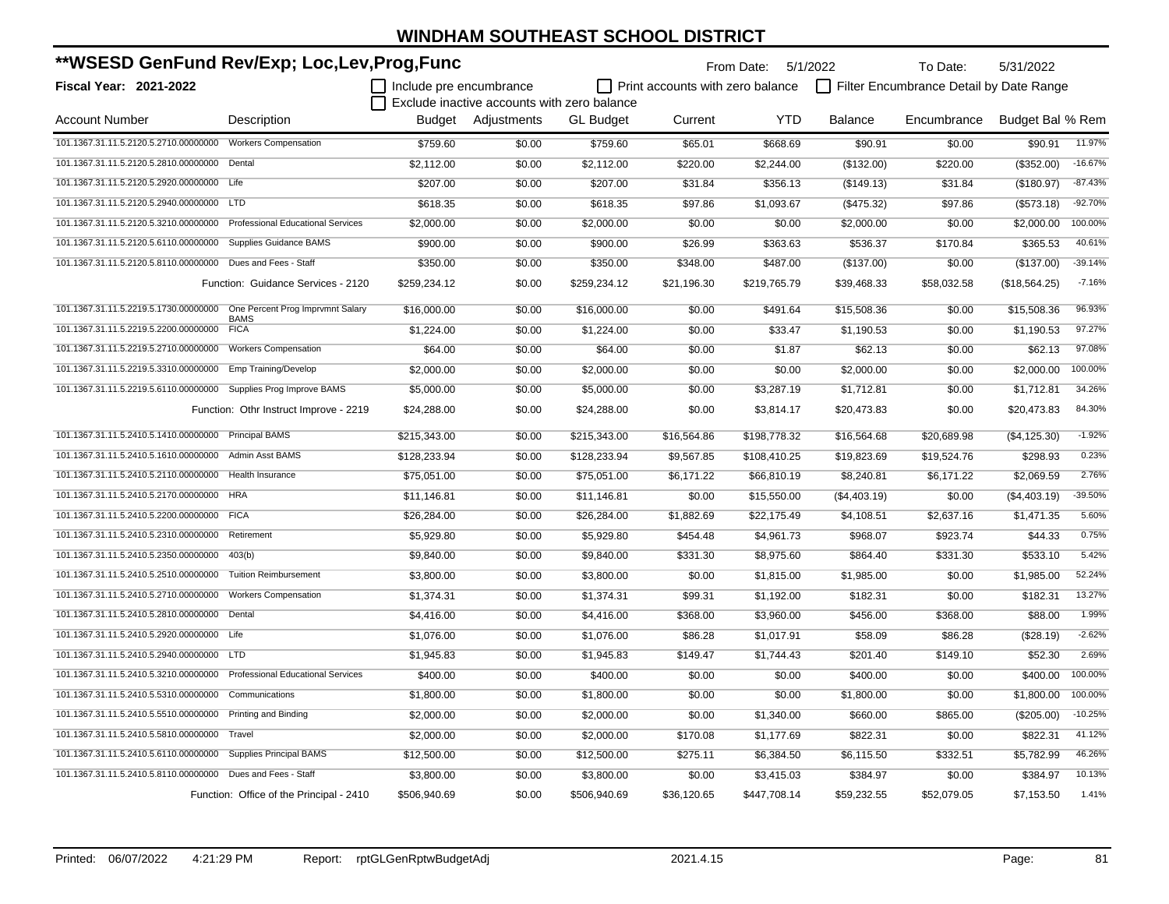| **WSESD GenFund Rev/Exp; Loc,Lev,Prog,Func                  |                                          |                         |                                             |                  |                                  | From Date: 5/1/2022 |              | To Date:                                | 5/31/2022                 |
|-------------------------------------------------------------|------------------------------------------|-------------------------|---------------------------------------------|------------------|----------------------------------|---------------------|--------------|-----------------------------------------|---------------------------|
| <b>Fiscal Year: 2021-2022</b>                               |                                          | Include pre encumbrance |                                             |                  | Print accounts with zero balance |                     |              | Filter Encumbrance Detail by Date Range |                           |
|                                                             |                                          |                         | Exclude inactive accounts with zero balance |                  |                                  |                     |              |                                         |                           |
| <b>Account Number</b>                                       | Description                              |                         | Budget Adjustments                          | <b>GL</b> Budget | Current                          | <b>YTD</b>          | Balance      | Encumbrance                             | Budget Bal % Rem          |
| 101.1367.31.11.5.2120.5.2710.00000000                       | <b>Workers Compensation</b>              | \$759.60                | \$0.00                                      | \$759.60         | \$65.01                          | \$668.69            | \$90.91      | \$0.00                                  | 11.97%<br>\$90.91         |
| 101.1367.31.11.5.2120.5.2810.00000000                       | Dental                                   | \$2,112.00              | \$0.00                                      | \$2,112.00       | \$220.00                         | \$2,244.00          | (\$132.00)   | \$220.00                                | $-16.67%$<br>(\$352.00)   |
| 101.1367.31.11.5.2120.5.2920.00000000 Life                  |                                          | \$207.00                | \$0.00                                      | \$207.00         | \$31.84                          | \$356.13            | (\$149.13)   | \$31.84                                 | $-87.43%$<br>(\$180.97)   |
| 101.1367.31.11.5.2120.5.2940.00000000 LTD                   |                                          | \$618.35                | \$0.00                                      | \$618.35         | \$97.86                          | \$1,093.67          | (\$475.32)   | \$97.86                                 | $-92.70%$<br>(\$573.18)   |
| 101.1367.31.11.5.2120.5.3210.00000000                       | <b>Professional Educational Services</b> | \$2,000.00              | \$0.00                                      | \$2,000.00       | \$0.00                           | \$0.00              | \$2,000.00   | \$0.00                                  | 100.00%<br>\$2,000.00     |
| 101.1367.31.11.5.2120.5.6110.00000000                       | Supplies Guidance BAMS                   | \$900.00                | \$0.00                                      | \$900.00         | \$26.99                          | \$363.63            | \$536.37     | \$170.84                                | 40.61%<br>\$365.53        |
| 101.1367.31.11.5.2120.5.8110.00000000                       | Dues and Fees - Staff                    | \$350.00                | \$0.00                                      | \$350.00         | \$348.00                         | \$487.00            | (\$137.00)   | \$0.00                                  | $-39.14%$<br>(\$137.00)   |
|                                                             | Function: Guidance Services - 2120       | \$259,234.12            | \$0.00                                      | \$259,234.12     | \$21,196.30                      | \$219,765.79        | \$39,468.33  | \$58,032.58                             | $-7.16%$<br>(\$18,564.25) |
| 101.1367.31.11.5.2219.5.1730.00000000                       | One Percent Prog Imprvmnt Salary         | \$16,000.00             | \$0.00                                      | \$16,000.00      | \$0.00                           | \$491.64            | \$15,508.36  | \$0.00                                  | 96.93%<br>\$15,508.36     |
| 101.1367.31.11.5.2219.5.2200.00000000                       | <b>BAMS</b><br><b>FICA</b>               | \$1,224.00              | \$0.00                                      | \$1,224.00       | \$0.00                           | \$33.47             | \$1,190.53   | \$0.00                                  | 97.27%<br>\$1,190.53      |
| 101.1367.31.11.5.2219.5.2710.00000000                       | <b>Workers Compensation</b>              | \$64.00                 | \$0.00                                      | \$64.00          | \$0.00                           | \$1.87              | \$62.13      | \$0.00                                  | 97.08%<br>\$62.13         |
| 101.1367.31.11.5.2219.5.3310.00000000                       | Emp Training/Develop                     | \$2,000.00              | \$0.00                                      | \$2,000.00       | \$0.00                           | \$0.00              | \$2,000.00   | \$0.00                                  | 100.00%<br>\$2,000.00     |
| 101.1367.31.11.5.2219.5.6110.00000000                       | Supplies Prog Improve BAMS               | \$5,000.00              | \$0.00                                      | \$5,000.00       | \$0.00                           | \$3,287.19          | \$1,712.81   | \$0.00                                  | 34.26%<br>\$1,712.81      |
|                                                             | Function: Othr Instruct Improve - 2219   | \$24,288.00             | \$0.00                                      | \$24,288.00      | \$0.00                           | \$3,814.17          | \$20,473.83  | \$0.00                                  | 84.30%<br>\$20,473.83     |
| 101.1367.31.11.5.2410.5.1410.00000000                       | <b>Principal BAMS</b>                    | \$215,343.00            | \$0.00                                      | \$215,343.00     | \$16,564.86                      | \$198,778.32        | \$16,564.68  | \$20,689.98                             | $-1.92%$<br>(\$4,125.30)  |
| 101.1367.31.11.5.2410.5.1610.00000000                       | <b>Admin Asst BAMS</b>                   | \$128,233.94            | \$0.00                                      | \$128,233.94     | \$9,567.85                       | \$108,410.25        | \$19,823.69  | \$19,524.76                             | 0.23%<br>\$298.93         |
| 101.1367.31.11.5.2410.5.2110.00000000                       | Health Insurance                         | \$75,051.00             | \$0.00                                      | \$75,051.00      | \$6,171.22                       | \$66,810.19         | \$8,240.81   | \$6,171.22                              | 2.76%<br>\$2,069.59       |
| 101.1367.31.11.5.2410.5.2170.00000000                       | <b>HRA</b>                               | \$11,146.81             | \$0.00                                      | \$11,146.81      | \$0.00                           | \$15,550.00         | (\$4,403.19) | \$0.00                                  | -39.50%<br>(\$4,403.19)   |
| 101.1367.31.11.5.2410.5.2200.00000000 FICA                  |                                          | \$26,284.00             | \$0.00                                      | \$26,284.00      | \$1,882.69                       | \$22,175.49         | \$4,108.51   | \$2,637.16                              | 5.60%<br>\$1,471.35       |
| 101.1367.31.11.5.2410.5.2310.00000000                       | Retirement                               | \$5,929.80              | \$0.00                                      | \$5,929.80       | \$454.48                         | \$4,961.73          | \$968.07     | \$923.74                                | 0.75%<br>\$44.33          |
| 101.1367.31.11.5.2410.5.2350.00000000                       | 403(b)                                   | \$9,840.00              | \$0.00                                      | \$9,840.00       | \$331.30                         | \$8,975.60          | \$864.40     | \$331.30                                | 5.42%<br>\$533.10         |
| 101.1367.31.11.5.2410.5.2510.00000000                       | <b>Tuition Reimbursement</b>             | \$3,800.00              | \$0.00                                      | \$3,800.00       | \$0.00                           | \$1,815.00          | \$1,985.00   | \$0.00                                  | 52.24%<br>\$1,985.00      |
| 101.1367.31.11.5.2410.5.2710.00000000                       | <b>Workers Compensation</b>              | \$1,374.31              | \$0.00                                      | \$1,374.31       | \$99.31                          | \$1,192.00          | \$182.31     | \$0.00                                  | 13.27%<br>\$182.31        |
| 101.1367.31.11.5.2410.5.2810.00000000                       | Dental                                   | \$4,416.00              | \$0.00                                      | \$4,416.00       | \$368.00                         | \$3,960.00          | \$456.00     | \$368.00                                | 1.99%<br>\$88.00          |
| 101.1367.31.11.5.2410.5.2920.00000000 Life                  |                                          | \$1,076.00              | \$0.00                                      | \$1,076.00       | \$86.28                          | \$1,017.91          | \$58.09      | \$86.28                                 | $-2.62%$<br>(\$28.19)     |
| 101.1367.31.11.5.2410.5.2940.00000000                       | <b>LTD</b>                               | \$1,945.83              | \$0.00                                      | \$1,945.83       | \$149.47                         | \$1,744.43          | \$201.40     | \$149.10                                | 2.69%<br>\$52.30          |
| 101.1367.31.11.5.2410.5.3210.00000000                       | <b>Professional Educational Services</b> | \$400.00                | \$0.00                                      | \$400.00         | \$0.00                           | \$0.00              | \$400.00     | \$0.00                                  | 100.00%<br>\$400.00       |
| 101.1367.31.11.5.2410.5.5310.00000000                       | Communications                           | \$1,800.00              | \$0.00                                      | \$1,800.00       | \$0.00                           | \$0.00              | \$1,800.00   | \$0.00                                  | 100.00%<br>\$1,800.00     |
| 101.1367.31.11.5.2410.5.5510.00000000                       | <b>Printing and Binding</b>              | \$2,000.00              | \$0.00                                      | \$2,000.00       | \$0.00                           | \$1,340.00          | \$660.00     | \$865.00                                | $-10.25%$<br>(\$205.00)   |
| 101.1367.31.11.5.2410.5.5810.00000000                       | Travel                                   | \$2,000.00              | \$0.00                                      | \$2,000.00       | \$170.08                         | \$1,177.69          | \$822.31     | \$0.00                                  | 41.12%<br>\$822.31        |
| 101.1367.31.11.5.2410.5.6110.00000000                       | <b>Supplies Principal BAMS</b>           | \$12,500.00             | \$0.00                                      | \$12,500.00      | \$275.11                         | \$6,384.50          | \$6,115.50   | \$332.51                                | 46.26%<br>\$5,782.99      |
| 101.1367.31.11.5.2410.5.8110.00000000 Dues and Fees - Staff |                                          | \$3,800.00              | \$0.00                                      | \$3,800.00       | \$0.00                           | \$3,415.03          | \$384.97     | \$0.00                                  | 10.13%<br>\$384.97        |
|                                                             | Function: Office of the Principal - 2410 | \$506,940.69            | \$0.00                                      | \$506,940.69     | \$36,120.65                      | \$447,708.14        | \$59,232.55  | \$52,079.05                             | 1.41%<br>\$7,153.50       |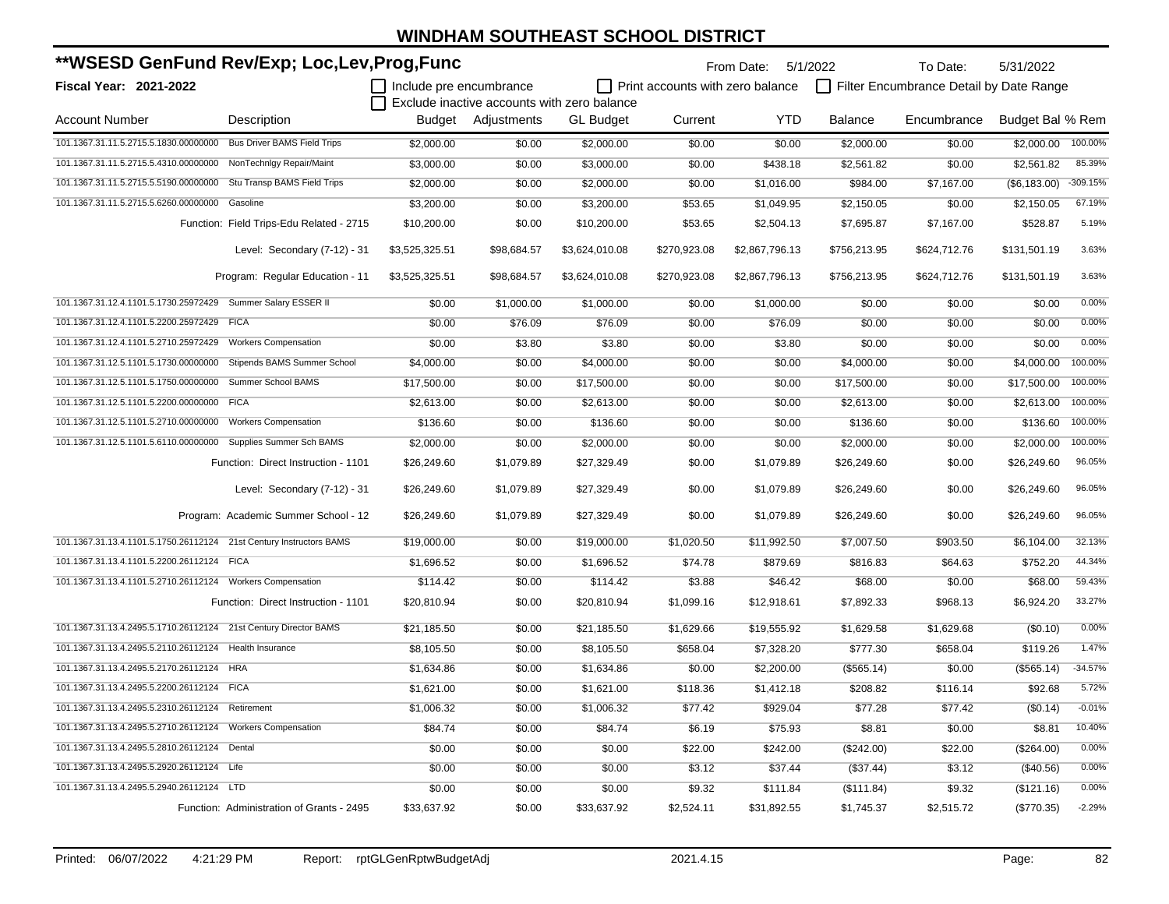| **WSESD GenFund Rev/Exp; Loc,Lev,Prog,Func                          |                                           |                         |                                             |                  |                                         | From Date: 5/1/2022 |                | To Date:                                | 5/31/2022        |            |
|---------------------------------------------------------------------|-------------------------------------------|-------------------------|---------------------------------------------|------------------|-----------------------------------------|---------------------|----------------|-----------------------------------------|------------------|------------|
| Fiscal Year: 2021-2022                                              |                                           | Include pre encumbrance |                                             |                  | $\Box$ Print accounts with zero balance |                     |                | Filter Encumbrance Detail by Date Range |                  |            |
|                                                                     |                                           |                         | Exclude inactive accounts with zero balance |                  |                                         |                     |                |                                         |                  |            |
| <b>Account Number</b>                                               | Description                               |                         | Budget Adjustments                          | <b>GL</b> Budget | Current                                 | <b>YTD</b>          | <b>Balance</b> | Encumbrance                             | Budget Bal % Rem |            |
| 101.1367.31.11.5.2715.5.1830.00000000 Bus Driver BAMS Field Trips   |                                           | \$2,000.00              | \$0.00                                      | \$2,000.00       | \$0.00                                  | \$0.00              | \$2,000.00     | \$0.00                                  | \$2,000.00       | 100.00%    |
| 101.1367.31.11.5.2715.5.4310.00000000 NonTechnlgy Repair/Maint      |                                           | \$3,000.00              | \$0.00                                      | \$3,000.00       | \$0.00                                  | \$438.18            | \$2,561.82     | \$0.00                                  | \$2,561.82       | 85.39%     |
| 101.1367.31.11.5.2715.5.5190.00000000                               | Stu Transp BAMS Field Trips               | \$2,000.00              | \$0.00                                      | \$2,000.00       | \$0.00                                  | \$1,016.00          | \$984.00       | \$7,167.00                              | (\$6,183.00)     | $-309.15%$ |
| 101.1367.31.11.5.2715.5.6260.00000000                               | Gasoline                                  | \$3,200.00              | \$0.00                                      | \$3,200.00       | \$53.65                                 | \$1,049.95          | \$2,150.05     | \$0.00                                  | \$2.150.05       | 67.19%     |
|                                                                     | Function: Field Trips-Edu Related - 2715  | \$10,200.00             | \$0.00                                      | \$10,200.00      | \$53.65                                 | \$2,504.13          | \$7,695.87     | \$7,167.00                              | \$528.87         | 5.19%      |
|                                                                     | Level: Secondary (7-12) - 31              | \$3,525,325.51          | \$98,684.57                                 | \$3,624,010.08   | \$270,923.08                            | \$2,867,796.13      | \$756,213.95   | \$624,712.76                            | \$131,501.19     | 3.63%      |
|                                                                     | Program: Regular Education - 11           | \$3,525,325.51          | \$98,684.57                                 | \$3,624,010.08   | \$270,923.08                            | \$2,867,796.13      | \$756,213.95   | \$624,712.76                            | \$131,501.19     | 3.63%      |
| 101.1367.31.12.4.1101.5.1730.25972429 Summer Salary ESSER II        |                                           | \$0.00                  | \$1,000.00                                  | \$1,000.00       | \$0.00                                  | \$1,000.00          | \$0.00         | \$0.00                                  | \$0.00           | 0.00%      |
| 101.1367.31.12.4.1101.5.2200.25972429 FICA                          |                                           | \$0.00                  | \$76.09                                     | \$76.09          | \$0.00                                  | \$76.09             | \$0.00         | \$0.00                                  | \$0.00           | 0.00%      |
| 101.1367.31.12.4.1101.5.2710.25972429                               | <b>Workers Compensation</b>               | \$0.00                  | \$3.80                                      | \$3.80           | \$0.00                                  | \$3.80              | \$0.00         | \$0.00                                  | \$0.00           | 0.00%      |
| 101.1367.31.12.5.1101.5.1730.00000000                               | Stipends BAMS Summer School               | \$4,000.00              | \$0.00                                      | \$4,000.00       | \$0.00                                  | \$0.00              | \$4,000.00     | \$0.00                                  | \$4,000.00       | 100.00%    |
| 101.1367.31.12.5.1101.5.1750.00000000                               | Summer School BAMS                        | \$17,500.00             | \$0.00                                      | \$17,500.00      | \$0.00                                  | \$0.00              | \$17,500.00    | \$0.00                                  | \$17,500.00      | 100.00%    |
| 101.1367.31.12.5.1101.5.2200.00000000 FICA                          |                                           | \$2,613.00              | \$0.00                                      | \$2,613.00       | \$0.00                                  | \$0.00              | \$2,613.00     | \$0.00                                  | \$2,613.00       | 100.00%    |
| 101.1367.31.12.5.1101.5.2710.00000000                               | <b>Workers Compensation</b>               | \$136.60                | \$0.00                                      | \$136.60         | \$0.00                                  | \$0.00              | \$136.60       | \$0.00                                  | \$136.60         | 100.00%    |
| 101.1367.31.12.5.1101.5.6110.00000000 Supplies Summer Sch BAMS      |                                           | \$2,000.00              | \$0.00                                      | \$2,000.00       | \$0.00                                  | \$0.00              | \$2,000.00     | \$0.00                                  | \$2,000.00       | 100.00%    |
|                                                                     | Function: Direct Instruction - 1101       | \$26,249.60             | \$1,079.89                                  | \$27,329.49      | \$0.00                                  | \$1,079.89          | \$26,249.60    | \$0.00                                  | \$26,249.60      | 96.05%     |
|                                                                     | Level: Secondary (7-12) - 31              | \$26,249.60             | \$1,079.89                                  | \$27,329.49      | \$0.00                                  | \$1,079.89          | \$26,249.60    | \$0.00                                  | \$26,249.60      | 96.05%     |
|                                                                     | Program: Academic Summer School - 12      | \$26,249.60             | \$1,079.89                                  | \$27,329.49      | \$0.00                                  | \$1,079.89          | \$26,249.60    | \$0.00                                  | \$26,249.60      | 96.05%     |
| 101.1367.31.13.4.1101.5.1750.26112124 21st Century Instructors BAMS |                                           | \$19,000.00             | \$0.00                                      | \$19,000.00      | \$1,020.50                              | \$11,992.50         | \$7,007.50     | \$903.50                                | \$6,104.00       | 32.13%     |
| 101.1367.31.13.4.1101.5.2200.26112124 FICA                          |                                           | \$1,696.52              | \$0.00                                      | \$1,696.52       | \$74.78                                 | \$879.69            | \$816.83       | \$64.63                                 | \$752.20         | 44.34%     |
| 101.1367.31.13.4.1101.5.2710.26112124 Workers Compensation          |                                           | \$114.42                | \$0.00                                      | \$114.42         | \$3.88                                  | \$46.42             | \$68.00        | \$0.00                                  | \$68.00          | 59.43%     |
|                                                                     | Function: Direct Instruction - 1101       | \$20,810.94             | \$0.00                                      | \$20,810.94      | \$1,099.16                              | \$12,918.61         | \$7,892.33     | \$968.13                                | \$6,924.20       | 33.27%     |
| 101.1367.31.13.4.2495.5.1710.26112124 21st Century Director BAMS    |                                           | \$21,185.50             | \$0.00                                      | \$21,185.50      | \$1,629.66                              | \$19,555.92         | \$1,629.58     | \$1,629.68                              | (S0.10)          | 0.00%      |
| 101.1367.31.13.4.2495.5.2110.26112124 Health Insurance              |                                           | \$8,105.50              | \$0.00                                      | \$8,105.50       | \$658.04                                | \$7,328.20          | \$777.30       | \$658.04                                | \$119.26         | 1.47%      |
| 101.1367.31.13.4.2495.5.2170.26112124 HRA                           |                                           | \$1,634.86              | \$0.00                                      | \$1,634.86       | \$0.00                                  | \$2,200.00          | (\$565.14)     | \$0.00                                  | (\$565.14)       | $-34.57%$  |
| 101.1367.31.13.4.2495.5.2200.26112124 FICA                          |                                           | \$1,621.00              | \$0.00                                      | \$1,621.00       | \$118.36                                | \$1,412.18          | \$208.82       | \$116.14                                | \$92.68          | 5.72%      |
| 101.1367.31.13.4.2495.5.2310.26112124 Retirement                    |                                           | \$1,006.32              | \$0.00                                      | \$1,006.32       | \$77.42                                 | \$929.04            | \$77.28        | \$77.42                                 | (\$0.14)         | $-0.01%$   |
| 101.1367.31.13.4.2495.5.2710.26112124 Workers Compensation          |                                           | \$84.74                 | \$0.00                                      | \$84.74          | \$6.19                                  | \$75.93             | \$8.81         | \$0.00                                  | \$8.81           | 10.40%     |
| 101.1367.31.13.4.2495.5.2810.26112124 Dental                        |                                           | \$0.00                  | \$0.00                                      | \$0.00           | \$22.00                                 | \$242.00            | (\$242.00)     | \$22.00                                 | (\$264.00)       | 0.00%      |
| 101.1367.31.13.4.2495.5.2920.26112124 Life                          |                                           | \$0.00                  | \$0.00                                      | \$0.00           | \$3.12                                  | \$37.44             | (\$37.44)      | \$3.12                                  | (\$40.56)        | 0.00%      |
| 101.1367.31.13.4.2495.5.2940.26112124 LTD                           |                                           | \$0.00                  | \$0.00                                      | \$0.00           | \$9.32                                  | \$111.84            | (\$111.84)     | \$9.32                                  | (\$121.16)       | 0.00%      |
|                                                                     | Function: Administration of Grants - 2495 | \$33,637.92             | \$0.00                                      | \$33,637.92      | \$2,524.11                              | \$31,892.55         | \$1,745.37     | \$2,515.72                              | (\$770.35)       | $-2.29%$   |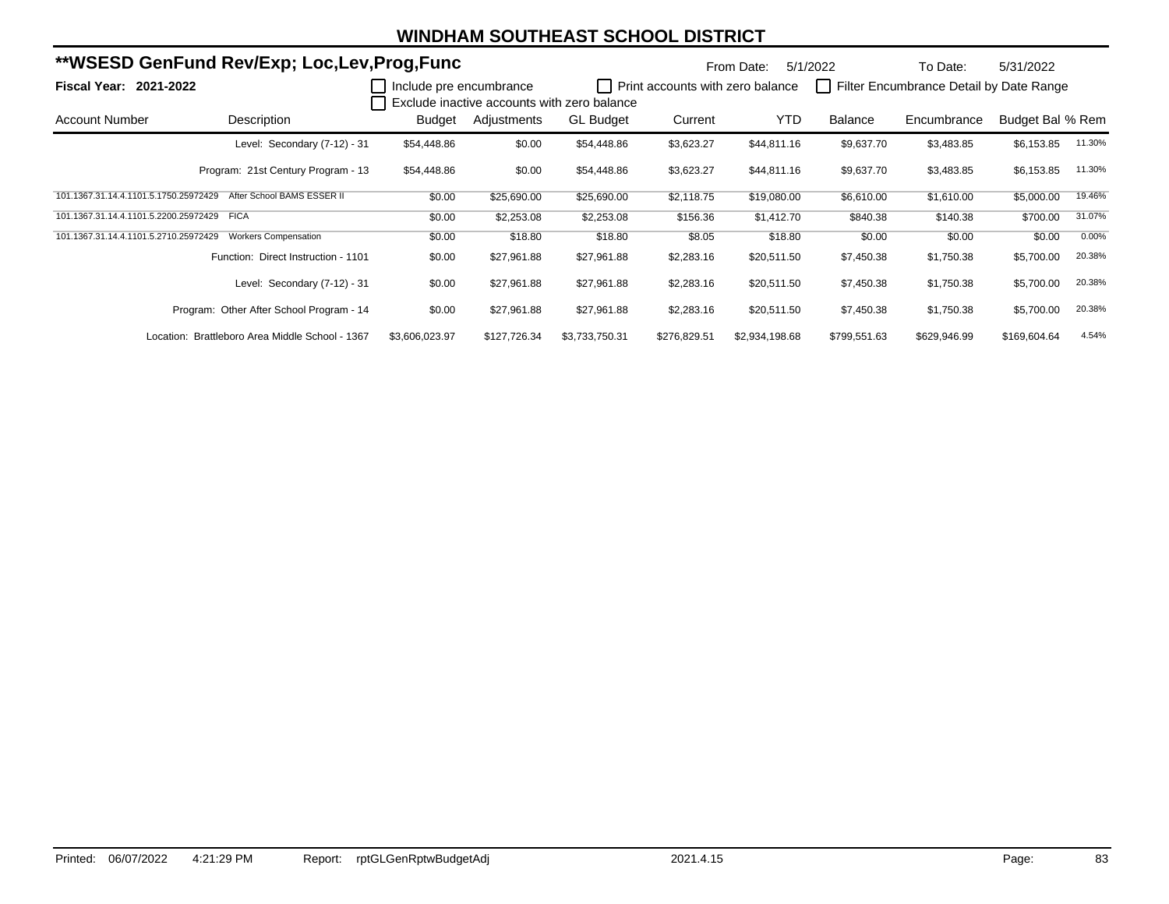|                                       | **WSESD GenFund Rev/Exp; Loc,Lev,Prog,Func      |                         |              | From Date:                                  | 5/1/2022                         | To Date:       | 5/31/2022    |                                         |                  |        |
|---------------------------------------|-------------------------------------------------|-------------------------|--------------|---------------------------------------------|----------------------------------|----------------|--------------|-----------------------------------------|------------------|--------|
| <b>Fiscal Year: 2021-2022</b>         |                                                 | Include pre encumbrance |              | Exclude inactive accounts with zero balance | Print accounts with zero balance |                |              | Filter Encumbrance Detail by Date Range |                  |        |
| <b>Account Number</b>                 | Description                                     | Budget                  | Adjustments  | <b>GL Budget</b>                            | Current                          | <b>YTD</b>     | Balance      | Encumbrance                             | Budget Bal % Rem |        |
|                                       | Level: Secondary (7-12) - 31                    | \$54,448.86             | \$0.00       | \$54,448.86                                 | \$3,623.27                       | \$44,811.16    | \$9,637.70   | \$3,483.85                              | \$6,153.85       | 11.30% |
|                                       | Program: 21st Century Program - 13              | \$54,448.86             | \$0.00       | \$54,448.86                                 | \$3,623.27                       | \$44,811.16    | \$9,637.70   | \$3,483.85                              | \$6,153.85       | 11.30% |
| 101.1367.31.14.4.1101.5.1750.25972429 | After School BAMS ESSER II                      | \$0.00                  | \$25,690.00  | \$25,690.00                                 | \$2,118.75                       | \$19,080.00    | \$6,610.00   | \$1,610.00                              | \$5,000.00       | 19.46% |
| 101.1367.31.14.4.1101.5.2200.25972429 | <b>FICA</b>                                     | \$0.00                  | \$2,253.08   | \$2,253.08                                  | \$156.36                         | \$1,412.70     | \$840.38     | \$140.38                                | \$700.00         | 31.07% |
| 101.1367.31.14.4.1101.5.2710.25972429 | <b>Workers Compensation</b>                     | \$0.00                  | \$18.80      | \$18.80                                     | \$8.05                           | \$18.80        | \$0.00       | \$0.00                                  | \$0.00           | 0.00%  |
|                                       | Function: Direct Instruction - 1101             | \$0.00                  | \$27,961.88  | \$27,961.88                                 | \$2,283.16                       | \$20,511.50    | \$7,450.38   | \$1,750.38                              | \$5,700.00       | 20.38% |
|                                       | Level: Secondary (7-12) - 31                    | \$0.00                  | \$27,961.88  | \$27,961.88                                 | \$2,283.16                       | \$20,511.50    | \$7,450.38   | \$1,750.38                              | \$5,700.00       | 20.38% |
|                                       | Program: Other After School Program - 14        | \$0.00                  | \$27,961.88  | \$27,961.88                                 | \$2,283.16                       | \$20,511.50    | \$7,450.38   | \$1,750.38                              | \$5,700.00       | 20.38% |
|                                       | Location: Brattleboro Area Middle School - 1367 | \$3,606,023.97          | \$127,726.34 | \$3,733,750.31                              | \$276,829.51                     | \$2,934,198.68 | \$799,551.63 | \$629,946.99                            | \$169,604.64     | 4.54%  |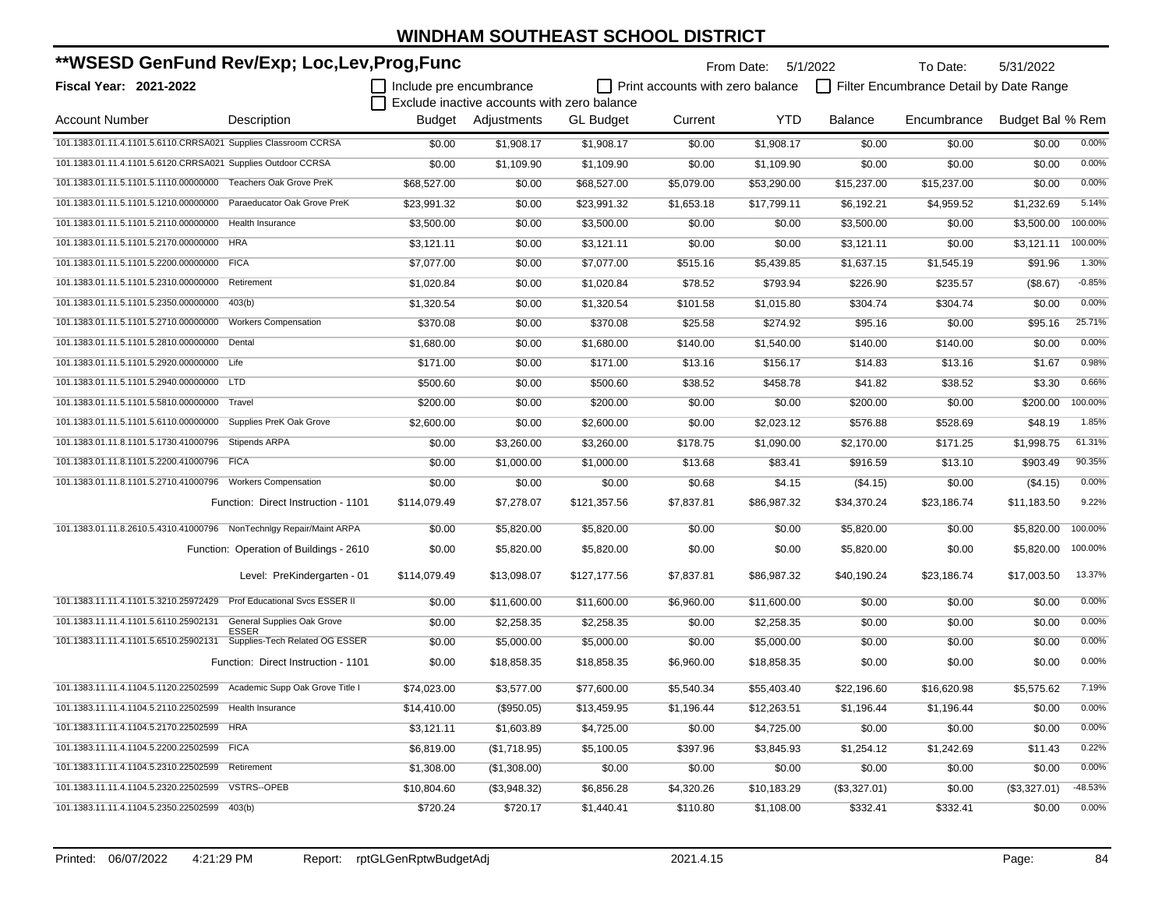| **WSESD GenFund Rev/Exp; Loc,Lev,Prog,Func                            |                                         |                         |                                             |                  | From Date: 5/1/2022                     |             | To Date:       | 5/31/2022                               |                  |           |
|-----------------------------------------------------------------------|-----------------------------------------|-------------------------|---------------------------------------------|------------------|-----------------------------------------|-------------|----------------|-----------------------------------------|------------------|-----------|
| Fiscal Year: 2021-2022                                                |                                         | Include pre encumbrance |                                             |                  | $\Box$ Print accounts with zero balance |             |                | Filter Encumbrance Detail by Date Range |                  |           |
|                                                                       |                                         |                         | Exclude inactive accounts with zero balance |                  |                                         |             |                |                                         |                  |           |
| <b>Account Number</b>                                                 | Description                             | Budget                  | Adjustments                                 | <b>GL Budget</b> | Current                                 | <b>YTD</b>  | <b>Balance</b> | Encumbrance                             | Budget Bal % Rem |           |
| 101.1383.01.11.4.1101.5.6110.CRRSA021 Supplies Classroom CCRSA        |                                         | \$0.00                  | \$1,908.17                                  | \$1,908.17       | \$0.00                                  | \$1,908.17  | \$0.00         | \$0.00                                  | \$0.00           | 0.00%     |
| 101.1383.01.11.4.1101.5.6120.CRRSA021 Supplies Outdoor CCRSA          |                                         | \$0.00                  | \$1,109.90                                  | \$1,109.90       | \$0.00                                  | \$1,109.90  | \$0.00         | \$0.00                                  | \$0.00           | 0.00%     |
| 101.1383.01.11.5.1101.5.1110.00000000 Teachers Oak Grove PreK         |                                         | \$68,527.00             | \$0.00                                      | \$68,527.00      | \$5,079.00                              | \$53,290.00 | \$15,237.00    | \$15,237.00                             | \$0.00           | 0.00%     |
| 101.1383.01.11.5.1101.5.1210.00000000                                 | Paraeducator Oak Grove PreK             | \$23,991.32             | \$0.00                                      | \$23,991.32      | \$1,653.18                              | \$17,799.11 | \$6,192.21     | \$4,959.52                              | \$1,232.69       | 5.14%     |
| 101.1383.01.11.5.1101.5.2110.00000000                                 | <b>Health Insurance</b>                 | \$3,500.00              | \$0.00                                      | \$3,500.00       | \$0.00                                  | \$0.00      | \$3,500.00     | \$0.00                                  | \$3,500.00       | 100.00%   |
| 101.1383.01.11.5.1101.5.2170.00000000                                 | <b>HRA</b>                              | \$3,121.11              | \$0.00                                      | \$3,121.11       | \$0.00                                  | \$0.00      | \$3,121.11     | \$0.00                                  | \$3,121.11       | 100.00%   |
| 101.1383.01.11.5.1101.5.2200.00000000 FICA                            |                                         | \$7,077.00              | \$0.00                                      | \$7,077.00       | \$515.16                                | \$5,439.85  | \$1,637.15     | \$1,545.19                              | \$91.96          | 1.30%     |
| 101.1383.01.11.5.1101.5.2310.00000000                                 | Retirement                              | \$1,020.84              | \$0.00                                      | \$1,020.84       | \$78.52                                 | \$793.94    | \$226.90       | \$235.57                                | (\$8.67)         | $-0.85%$  |
| 101.1383.01.11.5.1101.5.2350.00000000 403(b)                          |                                         | \$1.320.54              | \$0.00                                      | \$1,320.54       | \$101.58                                | \$1.015.80  | \$304.74       | \$304.74                                | \$0.00           | 0.00%     |
| 101.1383.01.11.5.1101.5.2710.00000000                                 | <b>Workers Compensation</b>             | \$370.08                | \$0.00                                      | \$370.08         | \$25.58                                 | \$274.92    | \$95.16        | \$0.00                                  | \$95.16          | 25.71%    |
| 101.1383.01.11.5.1101.5.2810.00000000 Dental                          |                                         | \$1,680.00              | \$0.00                                      | \$1,680.00       | \$140.00                                | \$1,540.00  | \$140.00       | \$140.00                                | \$0.00           | 0.00%     |
| 101.1383.01.11.5.1101.5.2920.00000000 Life                            |                                         | \$171.00                | \$0.00                                      | \$171.00         | \$13.16                                 | \$156.17    | \$14.83        | \$13.16                                 | \$1.67           | 0.98%     |
| 101.1383.01.11.5.1101.5.2940.00000000 LTD                             |                                         | \$500.60                | \$0.00                                      | \$500.60         | \$38.52                                 | \$458.78    | \$41.82        | \$38.52                                 | \$3.30           | 0.66%     |
| 101.1383.01.11.5.1101.5.5810.00000000 Travel                          |                                         | \$200.00                | \$0.00                                      | \$200.00         | \$0.00                                  | \$0.00      | \$200.00       | \$0.00                                  | \$200.00         | 100.00%   |
| 101.1383.01.11.5.1101.5.6110.00000000 Supplies PreK Oak Grove         |                                         | \$2,600.00              | \$0.00                                      | \$2,600.00       | \$0.00                                  | \$2,023.12  | \$576.88       | \$528.69                                | \$48.19          | 1.85%     |
| 101.1383.01.11.8.1101.5.1730.41000796 Stipends ARPA                   |                                         | \$0.00                  | \$3,260.00                                  | \$3,260.00       | \$178.75                                | \$1,090.00  | \$2,170.00     | \$171.25                                | \$1,998.75       | 61.31%    |
| 101.1383.01.11.8.1101.5.2200.41000796 FICA                            |                                         | \$0.00                  | \$1,000.00                                  | \$1,000.00       | \$13.68                                 | \$83.41     | \$916.59       | \$13.10                                 | \$903.49         | 90.35%    |
| 101.1383.01.11.8.1101.5.2710.41000796 Workers Compensation            |                                         | \$0.00                  | \$0.00                                      | \$0.00           | \$0.68                                  | \$4.15      | (\$4.15)       | \$0.00                                  | (\$4.15)         | 0.00%     |
|                                                                       | Function: Direct Instruction - 1101     | \$114,079.49            | \$7,278.07                                  | \$121,357.56     | \$7,837.81                              | \$86,987.32 | \$34,370.24    | \$23,186.74                             | \$11,183.50      | 9.22%     |
| 101.1383.01.11.8.2610.5.4310.41000796 NonTechnIgy Repair/Maint ARPA   |                                         | \$0.00                  | \$5,820.00                                  | \$5,820.00       | \$0.00                                  | \$0.00      | \$5,820.00     | \$0.00                                  | \$5,820.00       | 100.00%   |
|                                                                       | Function: Operation of Buildings - 2610 | \$0.00                  | \$5,820.00                                  | \$5,820.00       | \$0.00                                  | \$0.00      | \$5,820.00     | \$0.00                                  | \$5,820.00       | 100.00%   |
|                                                                       | Level: PreKindergarten - 01             | \$114,079.49            | \$13,098.07                                 | \$127,177.56     | \$7,837.81                              | \$86,987.32 | \$40,190.24    | \$23,186.74                             | \$17,003.50      | 13.37%    |
| 101.1383.11.11.4.1101.5.3210.25972429                                 | Prof Educational Svcs ESSER II          | \$0.00                  | \$11,600.00                                 | \$11,600.00      | \$6,960.00                              | \$11,600.00 | \$0.00         | \$0.00                                  | \$0.00           | 0.00%     |
| 101.1383.11.11.4.1101.5.6110.25902131                                 | General Supplies Oak Grove              | \$0.00                  | \$2,258.35                                  | \$2,258.35       | \$0.00                                  | \$2,258.35  | \$0.00         | \$0.00                                  | \$0.00           | 0.00%     |
| 101.1383.11.11.4.1101.5.6510.25902131                                 | ESSER<br>Supplies-Tech Related OG ESSER | \$0.00                  | \$5,000.00                                  | \$5,000.00       | \$0.00                                  | \$5,000.00  | \$0.00         | \$0.00                                  | \$0.00           | 0.00%     |
|                                                                       | Function: Direct Instruction - 1101     | \$0.00                  | \$18,858.35                                 | \$18,858.35      | \$6,960.00                              | \$18,858.35 | \$0.00         | \$0.00                                  | \$0.00           | 0.00%     |
| 101.1383.11.11.4.1104.5.1120.22502599 Academic Supp Oak Grove Title I |                                         | \$74,023.00             | \$3,577.00                                  | \$77,600.00      | \$5,540.34                              | \$55,403.40 | \$22,196.60    | \$16,620.98                             | \$5,575.62       | 7.19%     |
| 101.1383.11.11.4.1104.5.2110.22502599                                 | Health Insurance                        | \$14,410.00             | (\$950.05)                                  | \$13,459.95      | \$1,196.44                              | \$12,263.51 | \$1,196.44     | \$1,196.44                              | \$0.00           | 0.00%     |
| 101.1383.11.11.4.1104.5.2170.22502599                                 | <b>HRA</b>                              | \$3,121.11              | \$1,603.89                                  | \$4,725.00       | \$0.00                                  | \$4,725.00  | \$0.00         | \$0.00                                  | \$0.00           | 0.00%     |
| 101.1383.11.11.4.1104.5.2200.22502599                                 | <b>FICA</b>                             | \$6,819.00              | (\$1,718.95)                                | \$5,100.05       | \$397.96                                | \$3,845.93  | \$1,254.12     | \$1,242.69                              | \$11.43          | 0.22%     |
| 101.1383.11.11.4.1104.5.2310.22502599                                 | Retirement                              | \$1,308.00              | (\$1,308.00)                                | \$0.00           | \$0.00                                  | \$0.00      | \$0.00         | \$0.00                                  | \$0.00           | 0.00%     |
| 101.1383.11.11.4.1104.5.2320.22502599                                 | <b>VSTRS--OPEB</b>                      | \$10,804.60             | (\$3,948.32)                                | \$6,856.28       | \$4,320.26                              | \$10,183.29 | (\$3,327.01)   | \$0.00                                  | (\$3,327.01)     | $-48.53%$ |
| 101.1383.11.11.4.1104.5.2350.22502599                                 | 403(b)                                  | \$720.24                | \$720.17                                    | \$1,440.41       | \$110.80                                | \$1,108.00  | \$332.41       | \$332.41                                | \$0.00           | 0.00%     |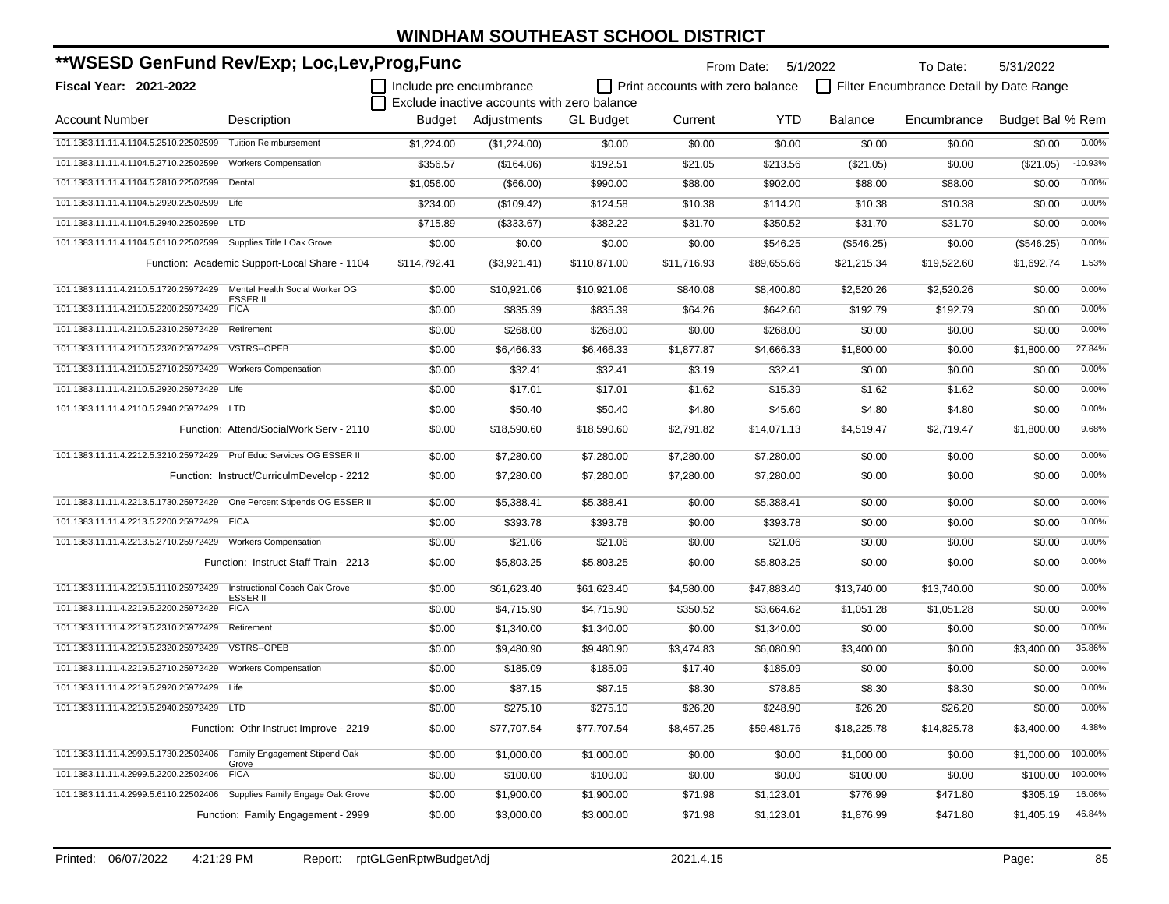| **WSESD GenFund Rev/Exp; Loc,Lev,Prog,Func                              |                                               |              |                                             | From Date:       | 5/1/2022                         | To Date:    | 5/31/2022      |                                         |                  |           |
|-------------------------------------------------------------------------|-----------------------------------------------|--------------|---------------------------------------------|------------------|----------------------------------|-------------|----------------|-----------------------------------------|------------------|-----------|
| Fiscal Year: 2021-2022                                                  |                                               |              | Include pre encumbrance                     |                  | Print accounts with zero balance |             |                | Filter Encumbrance Detail by Date Range |                  |           |
|                                                                         |                                               |              | Exclude inactive accounts with zero balance |                  |                                  |             |                |                                         |                  |           |
| Account Number                                                          | Description                                   |              | Budget Adjustments                          | <b>GL</b> Budget | Current                          | <b>YTD</b>  | <b>Balance</b> | Encumbrance                             | Budget Bal % Rem |           |
| 101.1383.11.11.4.1104.5.2510.22502599                                   | <b>Tuition Reimbursement</b>                  | \$1,224.00   | (\$1,224.00)                                | \$0.00           | \$0.00                           | \$0.00      | \$0.00         | \$0.00                                  | \$0.00           | 0.00%     |
| 101.1383.11.11.4.1104.5.2710.22502599                                   | <b>Workers Compensation</b>                   | \$356.57     | (\$164.06)                                  | \$192.51         | \$21.05                          | \$213.56    | (\$21.05)      | \$0.00                                  | (\$21.05)        | $-10.93%$ |
| 101.1383.11.11.4.1104.5.2810.22502599 Dental                            |                                               | \$1,056.00   | (\$66.00)                                   | \$990.00         | \$88.00                          | \$902.00    | \$88.00        | \$88.00                                 | \$0.00           | 0.00%     |
| 101.1383.11.11.4.1104.5.2920.22502599 Life                              |                                               | \$234.00     | (\$109.42)                                  | \$124.58         | \$10.38                          | \$114.20    | \$10.38        | \$10.38                                 | \$0.00           | 0.00%     |
| 101.1383.11.11.4.1104.5.2940.22502599 LTD                               |                                               | \$715.89     | (\$333.67)                                  | \$382.22         | \$31.70                          | \$350.52    | \$31.70        | \$31.70                                 | \$0.00           | 0.00%     |
| 101.1383.11.11.4.1104.5.6110.22502599 Supplies Title I Oak Grove        |                                               | \$0.00       | \$0.00                                      | \$0.00           | \$0.00                           | \$546.25    | (\$546.25)     | \$0.00                                  | (\$546.25)       | 0.00%     |
|                                                                         | Function: Academic Support-Local Share - 1104 | \$114,792.41 | (\$3,921.41)                                | \$110,871.00     | \$11.716.93                      | \$89.655.66 | \$21,215.34    | \$19,522.60                             | \$1,692.74       | 1.53%     |
| 101.1383.11.11.4.2110.5.1720.25972429 Mental Health Social Worker OG    | ESSER II                                      | \$0.00       | \$10,921.06                                 | \$10,921.06      | \$840.08                         | \$8,400.80  | \$2,520.26     | \$2,520.26                              | \$0.00           | 0.00%     |
| 101.1383.11.11.4.2110.5.2200.25972429                                   | <b>FICA</b>                                   | \$0.00       | \$835.39                                    | \$835.39         | \$64.26                          | \$642.60    | \$192.79       | \$192.79                                | \$0.00           | 0.00%     |
| 101.1383.11.11.4.2110.5.2310.25972429 Retirement                        |                                               | \$0.00       | \$268.00                                    | \$268.00         | \$0.00                           | \$268.00    | \$0.00         | \$0.00                                  | \$0.00           | 0.00%     |
| 101.1383.11.11.4.2110.5.2320.25972429                                   | VSTRS--OPEB                                   | \$0.00       | \$6,466.33                                  | \$6,466.33       | \$1,877.87                       | \$4,666.33  | \$1,800.00     | \$0.00                                  | \$1,800.00       | 27.84%    |
| 101.1383.11.11.4.2110.5.2710.25972429 Workers Compensation              |                                               | \$0.00       | \$32.41                                     | \$32.41          | \$3.19                           | \$32.41     | \$0.00         | \$0.00                                  | \$0.00           | 0.00%     |
| 101.1383.11.11.4.2110.5.2920.25972429 Life                              |                                               | \$0.00       | \$17.01                                     | \$17.01          | \$1.62                           | \$15.39     | \$1.62         | \$1.62                                  | \$0.00           | 0.00%     |
| 101.1383.11.11.4.2110.5.2940.25972429 LTD                               |                                               | \$0.00       | \$50.40                                     | \$50.40          | \$4.80                           | \$45.60     | \$4.80         | \$4.80                                  | \$0.00           | 0.00%     |
|                                                                         | Function: Attend/SocialWork Serv - 2110       | \$0.00       | \$18,590.60                                 | \$18,590.60      | \$2,791.82                       | \$14,071.13 | \$4,519.47     | \$2,719.47                              | \$1,800.00       | 9.68%     |
| 101.1383.11.11.4.2212.5.3210.25972429    Prof Educ Services OG ESSER II |                                               | \$0.00       | \$7,280.00                                  | \$7,280.00       | \$7,280.00                       | \$7,280.00  | \$0.00         | \$0.00                                  | \$0.00           | 0.00%     |
|                                                                         | Function: Instruct/CurriculmDevelop - 2212    | \$0.00       | \$7,280.00                                  | \$7,280.00       | \$7,280.00                       | \$7,280.00  | \$0.00         | \$0.00                                  | \$0.00           | 0.00%     |
| 101.1383.11.11.4.2213.5.1730.25972429  One Percent Stipends OG ESSER II |                                               | \$0.00       | \$5,388.41                                  | \$5,388.41       | \$0.00                           | \$5,388.41  | \$0.00         | \$0.00                                  | \$0.00           | 0.00%     |
| 101.1383.11.11.4.2213.5.2200.25972429 FICA                              |                                               | \$0.00       | \$393.78                                    | \$393.78         | \$0.00                           | \$393.78    | \$0.00         | \$0.00                                  | \$0.00           | 0.00%     |
| 101.1383.11.11.4.2213.5.2710.25972429 Workers Compensation              |                                               | \$0.00       | \$21.06                                     | \$21.06          | \$0.00                           | \$21.06     | \$0.00         | \$0.00                                  | \$0.00           | 0.00%     |
|                                                                         | Function: Instruct Staff Train - 2213         | \$0.00       | \$5,803.25                                  | \$5,803.25       | \$0.00                           | \$5,803.25  | \$0.00         | \$0.00                                  | \$0.00           | 0.00%     |
| 101.1383.11.11.4.2219.5.1110.25972429                                   | Instructional Coach Oak Grove<br>ESSER II     | \$0.00       | \$61,623.40                                 | \$61,623.40      | \$4,580.00                       | \$47,883.40 | \$13,740.00    | \$13,740.00                             | \$0.00           | 0.00%     |
| 101.1383.11.11.4.2219.5.2200.25972429                                   | <b>FICA</b>                                   | \$0.00       | \$4,715.90                                  | \$4,715.90       | \$350.52                         | \$3,664.62  | \$1,051.28     | \$1,051.28                              | \$0.00           | 0.00%     |
| 101.1383.11.11.4.2219.5.2310.25972429                                   | Retirement                                    | \$0.00       | \$1,340.00                                  | \$1,340.00       | \$0.00                           | \$1,340.00  | \$0.00         | \$0.00                                  | \$0.00           | 0.00%     |
| 101.1383.11.11.4.2219.5.2320.25972429 VSTRS--OPEB                       |                                               | \$0.00       | \$9,480.90                                  | \$9,480.90       | \$3,474.83                       | \$6,080.90  | \$3,400.00     | \$0.00                                  | \$3,400.00       | 35.86%    |
| 101.1383.11.11.4.2219.5.2710.25972429                                   | <b>Workers Compensation</b>                   | \$0.00       | \$185.09                                    | \$185.09         | \$17.40                          | \$185.09    | \$0.00         | \$0.00                                  | \$0.00           | 0.00%     |
| 101.1383.11.11.4.2219.5.2920.25972429 Life                              |                                               | \$0.00       | \$87.15                                     | \$87.15          | \$8.30                           | \$78.85     | \$8.30         | \$8.30                                  | \$0.00           | 0.00%     |
| 101.1383.11.11.4.2219.5.2940.25972429 LTD                               |                                               | \$0.00       | \$275.10                                    | \$275.10         | \$26.20                          | \$248.90    | \$26.20        | \$26.20                                 | \$0.00           | 0.00%     |
|                                                                         | Function: Othr Instruct Improve - 2219        | \$0.00       | \$77,707.54                                 | \$77,707.54      | \$8,457.25                       | \$59,481.76 | \$18,225.78    | \$14,825.78                             | \$3,400.00       | 4.38%     |
| 101.1383.11.11.4.2999.5.1730.22502406    Family Engagement Stipend Oak  |                                               | \$0.00       | \$1,000.00                                  | \$1,000.00       | \$0.00                           | \$0.00      | \$1,000.00     | \$0.00                                  | \$1,000.00       | 100.00%   |
| 101.1383.11.11.4.2999.5.2200.22502406                                   | Grove<br><b>FICA</b>                          | \$0.00       | \$100.00                                    | \$100.00         | \$0.00                           | \$0.00      | \$100.00       | \$0.00                                  | \$100.00         | 100.00%   |
| 101.1383.11.11.4.2999.5.6110.22502406 Supplies Family Engage Oak Grove  |                                               | \$0.00       | \$1,900.00                                  | \$1,900.00       | \$71.98                          | \$1,123.01  | \$776.99       | \$471.80                                | \$305.19         | 16.06%    |
|                                                                         | Function: Family Engagement - 2999            | \$0.00       | \$3,000.00                                  | \$3,000.00       | \$71.98                          | \$1,123.01  | \$1,876.99     | \$471.80                                | \$1,405.19       | 46.84%    |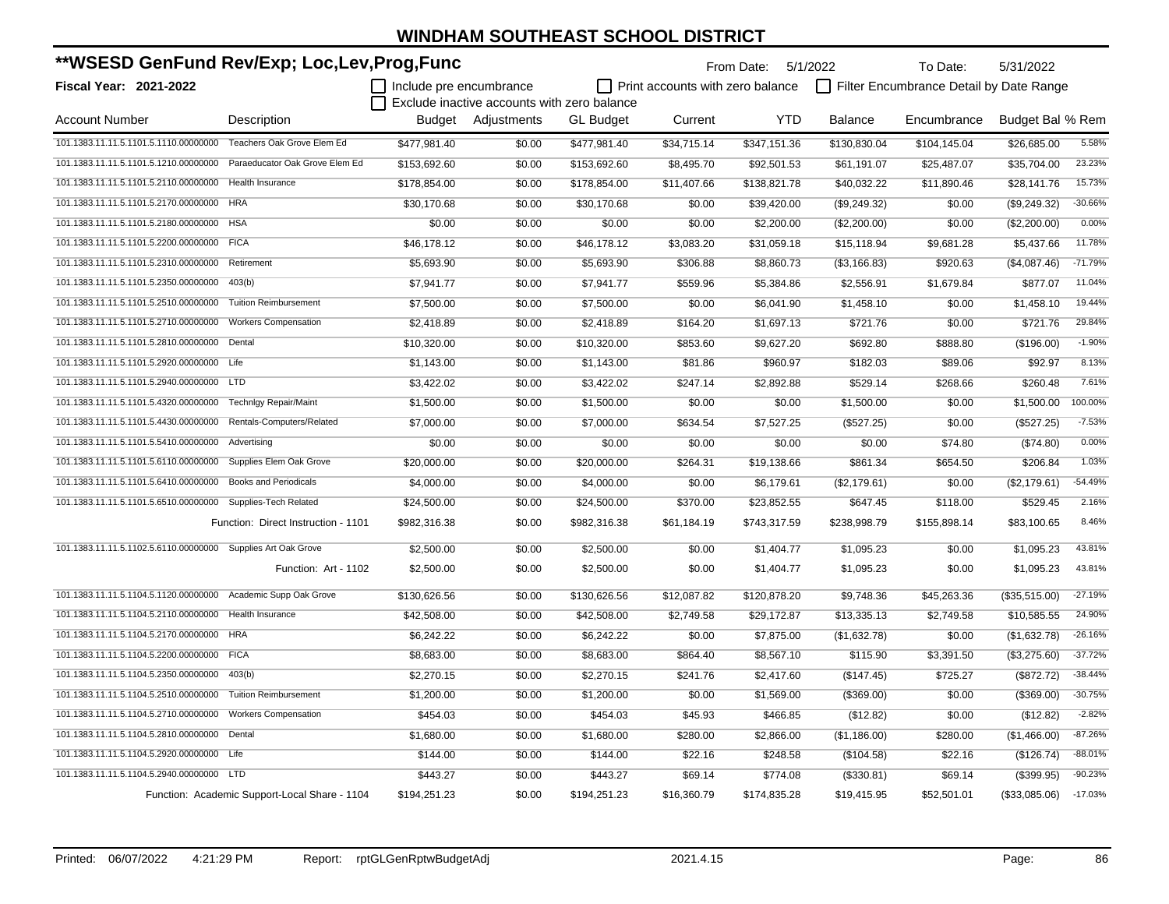| **WSESD GenFund Rev/Exp; Loc,Lev,Prog,Func                           |                                               |                         |                                             |                  |                                         | From Date: 5/1/2022 |                | To Date:                                | 5/31/2022        |           |
|----------------------------------------------------------------------|-----------------------------------------------|-------------------------|---------------------------------------------|------------------|-----------------------------------------|---------------------|----------------|-----------------------------------------|------------------|-----------|
| <b>Fiscal Year: 2021-2022</b>                                        |                                               | Include pre encumbrance |                                             |                  | $\Box$ Print accounts with zero balance |                     |                | Filter Encumbrance Detail by Date Range |                  |           |
|                                                                      |                                               |                         | Exclude inactive accounts with zero balance |                  |                                         |                     |                |                                         |                  |           |
| <b>Account Number</b>                                                | Description                                   |                         | Budget Adjustments                          | <b>GL Budget</b> | Current                                 | <b>YTD</b>          | <b>Balance</b> | Encumbrance                             | Budget Bal % Rem |           |
| 101.1383.11.11.5.1101.5.1110.00000000 Teachers Oak Grove Elem Ed     |                                               | \$477,981.40            | \$0.00                                      | \$477,981.40     | \$34,715.14                             | \$347,151.36        | \$130,830.04   | \$104,145.04                            | \$26,685.00      | 5.58%     |
| 101.1383.11.11.5.1101.5.1210.00000000 Paraeducator Oak Grove Elem Ed |                                               | \$153,692.60            | \$0.00                                      | \$153,692.60     | \$8,495.70                              | \$92,501.53         | \$61,191.07    | \$25,487.07                             | \$35,704.00      | 23.23%    |
| 101.1383.11.11.5.1101.5.2110.00000000 Health Insurance               |                                               | \$178.854.00            | \$0.00                                      | \$178,854.00     | \$11,407.66                             | \$138,821.78        | \$40,032.22    | \$11,890.46                             | \$28.141.76      | 15.73%    |
| 101.1383.11.11.5.1101.5.2170.00000000 HRA                            |                                               | \$30,170.68             | \$0.00                                      | \$30,170.68      | \$0.00                                  | \$39,420.00         | (\$9,249.32)   | \$0.00                                  | (\$9,249.32)     | $-30.66%$ |
| 101.1383.11.11.5.1101.5.2180.00000000 HSA                            |                                               | \$0.00                  | \$0.00                                      | \$0.00           | \$0.00                                  | \$2,200.00          | (\$2,200.00)   | \$0.00                                  | (\$2,200.00)     | 0.00%     |
| 101.1383.11.11.5.1101.5.2200.00000000 FICA                           |                                               | \$46,178.12             | \$0.00                                      | \$46,178.12      | \$3,083.20                              | \$31,059.18         | \$15,118.94    | \$9,681.28                              | \$5,437.66       | 11.78%    |
| 101.1383.11.11.5.1101.5.2310.00000000 Retirement                     |                                               | \$5,693.90              | \$0.00                                      | \$5,693.90       | \$306.88                                | \$8,860.73          | (\$3,166.83)   | \$920.63                                | (\$4,087.46)     | $-71.79%$ |
| 101.1383.11.11.5.1101.5.2350.00000000                                | 403(b)                                        | \$7.941.77              | \$0.00                                      | \$7,941.77       | \$559.96                                | \$5,384.86          | \$2,556.91     | \$1,679.84                              | \$877.07         | 11.04%    |
| 101.1383.11.11.5.1101.5.2510.00000000 Tuition Reimbursement          |                                               | \$7,500.00              | \$0.00                                      | \$7,500.00       | \$0.00                                  | \$6,041.90          | \$1,458.10     | \$0.00                                  | \$1,458.10       | 19.44%    |
| 101.1383.11.11.5.1101.5.2710.00000000 Workers Compensation           |                                               | \$2,418.89              | \$0.00                                      | \$2,418.89       | \$164.20                                | \$1,697.13          | \$721.76       | \$0.00                                  | \$721.76         | 29.84%    |
| 101.1383.11.11.5.1101.5.2810.00000000 Dental                         |                                               | \$10,320.00             | \$0.00                                      | \$10,320.00      | \$853.60                                | \$9,627.20          | \$692.80       | \$888.80                                | (\$196.00)       | $-1.90%$  |
| 101.1383.11.11.5.1101.5.2920.00000000 Life                           |                                               | \$1,143.00              | \$0.00                                      | \$1,143.00       | \$81.86                                 | \$960.97            | \$182.03       | \$89.06                                 | \$92.97          | 8.13%     |
| 101.1383.11.11.5.1101.5.2940.00000000 LTD                            |                                               | \$3,422.02              | \$0.00                                      | \$3,422.02       | \$247.14                                | \$2,892.88          | \$529.14       | \$268.66                                | \$260.48         | 7.61%     |
| 101.1383.11.11.5.1101.5.4320.00000000 Technlgy Repair/Maint          |                                               | \$1,500.00              | \$0.00                                      | \$1,500.00       | \$0.00                                  | \$0.00              | \$1,500.00     | \$0.00                                  | \$1,500.00       | 100.00%   |
| 101.1383.11.11.5.1101.5.4430.00000000 Rentals-Computers/Related      |                                               | \$7,000.00              | \$0.00                                      | \$7,000.00       | \$634.54                                | \$7,527.25          | (\$527.25)     | \$0.00                                  | (\$527.25)       | $-7.53%$  |
| 101.1383.11.11.5.1101.5.5410.00000000 Advertising                    |                                               | \$0.00                  | \$0.00                                      | \$0.00           | \$0.00                                  | \$0.00              | \$0.00         | \$74.80                                 | (\$74.80)        | 0.00%     |
| 101.1383.11.11.5.1101.5.6110.00000000                                | Supplies Elem Oak Grove                       | \$20,000.00             | \$0.00                                      | \$20,000.00      | \$264.31                                | \$19,138.66         | \$861.34       | \$654.50                                | \$206.84         | 1.03%     |
| 101.1383.11.11.5.1101.5.6410.00000000 Books and Periodicals          |                                               | \$4,000.00              | \$0.00                                      | \$4,000.00       | \$0.00                                  | \$6,179.61          | (\$2,179.61)   | \$0.00                                  | (\$2,179.61)     | $-54.49%$ |
| 101.1383.11.11.5.1101.5.6510.00000000                                | Supplies-Tech Related                         | \$24,500.00             | \$0.00                                      | \$24,500.00      | \$370.00                                | \$23,852.55         | \$647.45       | \$118.00                                | \$529.45         | 2.16%     |
|                                                                      | Function: Direct Instruction - 1101           | \$982,316.38            | \$0.00                                      | \$982,316.38     | \$61,184.19                             | \$743,317.59        | \$238,998.79   | \$155,898.14                            | \$83,100.65      | 8.46%     |
| 101.1383.11.11.5.1102.5.6110.00000000 Supplies Art Oak Grove         |                                               | \$2,500.00              | \$0.00                                      | \$2,500.00       | \$0.00                                  | \$1,404.77          | \$1,095.23     | \$0.00                                  | \$1.095.23       | 43.81%    |
|                                                                      | Function: Art - 1102                          | \$2,500.00              | \$0.00                                      | \$2,500.00       | \$0.00                                  | \$1,404.77          | \$1,095.23     | \$0.00                                  | \$1.095.23       | 43.81%    |
| 101.1383.11.11.5.1104.5.1120.00000000 Academic Supp Oak Grove        |                                               | \$130,626.56            | \$0.00                                      | \$130,626.56     | \$12,087.82                             | \$120,878.20        | \$9,748.36     | \$45,263.36                             | (\$35,515.00)    | $-27.19%$ |
| 101.1383.11.11.5.1104.5.2110.00000000 Health Insurance               |                                               | \$42,508.00             | \$0.00                                      | \$42,508.00      | \$2,749.58                              | \$29,172.87         | \$13,335.13    | \$2,749.58                              | \$10,585.55      | 24.90%    |
| 101.1383.11.11.5.1104.5.2170.00000000 HRA                            |                                               | \$6,242.22              | \$0.00                                      | \$6,242.22       | \$0.00                                  | \$7,875.00          | (\$1,632.78)   | \$0.00                                  | (\$1,632.78)     | $-26.16%$ |
| 101.1383.11.11.5.1104.5.2200.00000000 FICA                           |                                               | \$8,683.00              | \$0.00                                      | \$8,683.00       | \$864.40                                | \$8,567.10          | \$115.90       | \$3,391.50                              | (\$3,275.60)     | $-37.72%$ |
| 101.1383.11.11.5.1104.5.2350.00000000 403(b)                         |                                               | \$2,270.15              | \$0.00                                      | \$2,270.15       | \$241.76                                | \$2,417.60          | (\$147.45)     | \$725.27                                | (\$872.72)       | $-38.44%$ |
| 101.1383.11.11.5.1104.5.2510.00000000 Tuition Reimbursement          |                                               | \$1,200.00              | \$0.00                                      | \$1,200.00       | \$0.00                                  | \$1,569.00          | (\$369.00)     | \$0.00                                  | (\$369.00)       | $-30.75%$ |
| 101.1383.11.11.5.1104.5.2710.00000000 Workers Compensation           |                                               | \$454.03                | \$0.00                                      | \$454.03         | \$45.93                                 | \$466.85            | (\$12.82)      | \$0.00                                  | (\$12.82)        | $-2.82%$  |
| 101.1383.11.11.5.1104.5.2810.00000000 Dental                         |                                               | \$1,680.00              | \$0.00                                      | \$1,680.00       | \$280.00                                | \$2,866.00          | (\$1,186.00)   | \$280.00                                | (\$1,466.00)     | $-87.26%$ |
| 101.1383.11.11.5.1104.5.2920.00000000 Life                           |                                               | \$144.00                | \$0.00                                      | \$144.00         | \$22.16                                 | \$248.58            | (\$104.58)     | \$22.16                                 | (\$126.74)       | $-88.01%$ |
| 101.1383.11.11.5.1104.5.2940.00000000 LTD                            |                                               | \$443.27                | \$0.00                                      | \$443.27         | \$69.14                                 | \$774.08            | (\$330.81)     | \$69.14                                 | (\$399.95)       | $-90.23%$ |
|                                                                      | Function: Academic Support-Local Share - 1104 | \$194,251.23            | \$0.00                                      | \$194,251.23     | \$16,360.79                             | \$174,835.28        | \$19,415.95    | \$52,501.01                             | (\$33,085.06)    | $-17.03%$ |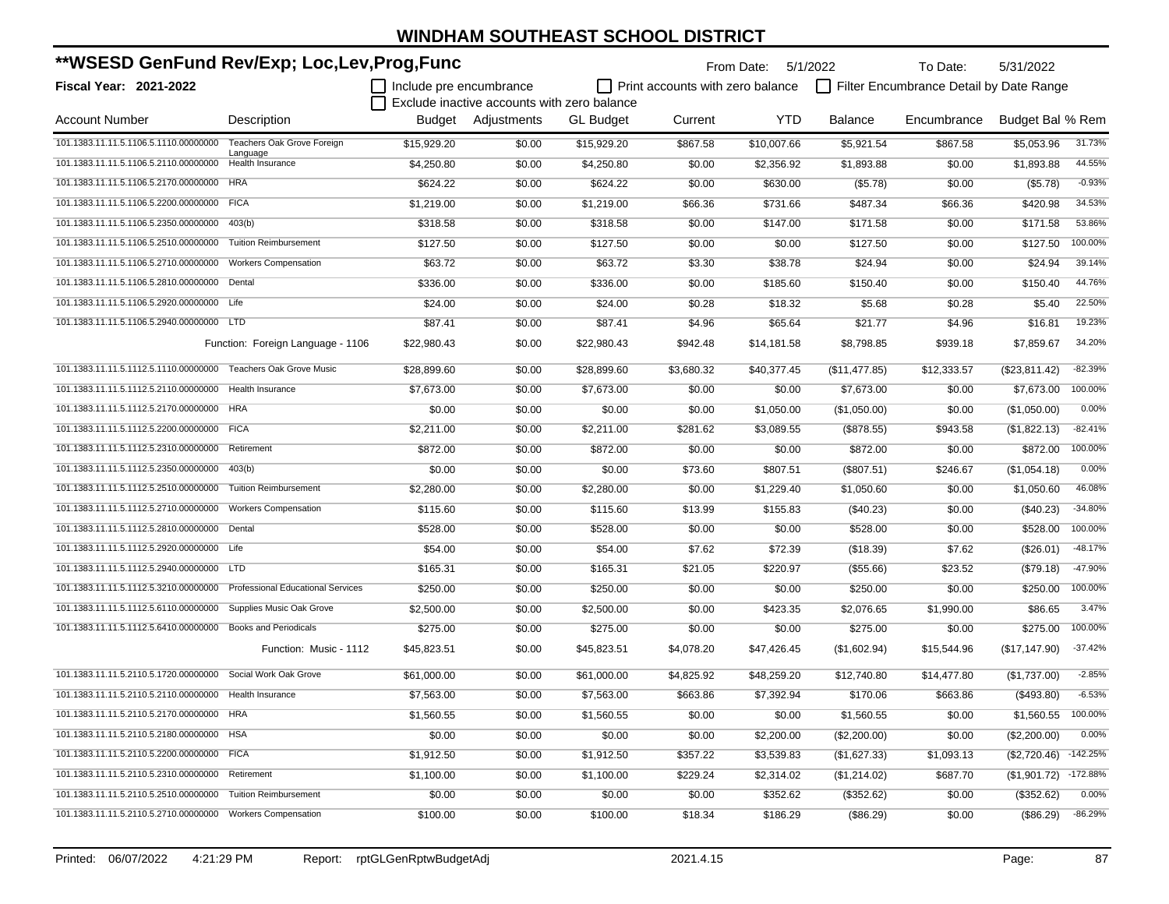| **WSESD GenFund Rev/Exp; Loc,Lev,Prog,Func                              |                                   | From Date: 5/1/2022<br>To Date: |                                             |                  |                                  |             | 5/31/2022      |                                         |                          |           |
|-------------------------------------------------------------------------|-----------------------------------|---------------------------------|---------------------------------------------|------------------|----------------------------------|-------------|----------------|-----------------------------------------|--------------------------|-----------|
| Fiscal Year: 2021-2022                                                  |                                   | Include pre encumbrance         |                                             |                  | Print accounts with zero balance |             |                | Filter Encumbrance Detail by Date Range |                          |           |
|                                                                         |                                   |                                 | Exclude inactive accounts with zero balance |                  |                                  |             |                |                                         |                          |           |
| <b>Account Number</b>                                                   | Description                       |                                 | Budget Adjustments                          | <b>GL Budget</b> | Current                          | YTD         | <b>Balance</b> | Encumbrance                             | Budget Bal % Rem         |           |
| 101.1383.11.11.5.1106.5.1110.00000000                                   | Teachers Oak Grove Foreign        | \$15,929.20                     | \$0.00                                      | \$15,929.20      | \$867.58                         | \$10,007.66 | \$5,921.54     | \$867.58                                | \$5,053.96               | 31.73%    |
| 101.1383.11.11.5.1106.5.2110.00000000                                   | Language<br>Health Insurance      | \$4,250.80                      | \$0.00                                      | \$4,250.80       | \$0.00                           | \$2,356.92  | \$1,893.88     | \$0.00                                  | \$1,893.88               | 44.55%    |
| 101.1383.11.11.5.1106.5.2170.00000000                                   | <b>HRA</b>                        | \$624.22                        | \$0.00                                      | \$624.22         | \$0.00                           | \$630.00    | (\$5.78)       | \$0.00                                  | (\$5.78)                 | $-0.93%$  |
| 101.1383.11.11.5.1106.5.2200.00000000 FICA                              |                                   | \$1,219.00                      | \$0.00                                      | \$1,219.00       | \$66.36                          | \$731.66    | \$487.34       | \$66.36                                 | \$420.98                 | 34.53%    |
| 101.1383.11.11.5.1106.5.2350.00000000                                   | 403(b)                            | \$318.58                        | \$0.00                                      | \$318.58         | \$0.00                           | \$147.00    | \$171.58       | \$0.00                                  | \$171.58                 | 53.86%    |
| 101.1383.11.11.5.1106.5.2510.00000000                                   | <b>Tuition Reimbursement</b>      | \$127.50                        | \$0.00                                      | \$127.50         | \$0.00                           | \$0.00      | \$127.50       | \$0.00                                  | \$127.50                 | 100.00%   |
| 101.1383.11.11.5.1106.5.2710.00000000                                   | <b>Workers Compensation</b>       | \$63.72                         | \$0.00                                      | \$63.72          | \$3.30                           | \$38.78     | \$24.94        | \$0.00                                  | \$24.94                  | 39.14%    |
| 101.1383.11.11.5.1106.5.2810.00000000 Dental                            |                                   | \$336.00                        | \$0.00                                      | \$336.00         | \$0.00                           | \$185.60    | \$150.40       | \$0.00                                  | \$150.40                 | 44.76%    |
| 101.1383.11.11.5.1106.5.2920.00000000 Life                              |                                   | \$24.00                         | \$0.00                                      | \$24.00          | \$0.28                           | \$18.32     | \$5.68         | \$0.28                                  | \$5.40                   | 22.50%    |
| 101.1383.11.11.5.1106.5.2940.00000000 LTD                               |                                   | \$87.41                         | \$0.00                                      | \$87.41          | \$4.96                           | \$65.64     | \$21.77        | \$4.96                                  | \$16.81                  | 19.23%    |
|                                                                         | Function: Foreign Language - 1106 | \$22,980.43                     | \$0.00                                      | \$22,980.43      | \$942.48                         | \$14,181.58 | \$8,798.85     | \$939.18                                | \$7,859.67               | 34.20%    |
| 101.1383.11.11.5.1112.5.1110.00000000 Teachers Oak Grove Music          |                                   | \$28.899.60                     | \$0.00                                      | \$28,899.60      | \$3,680.32                       | \$40,377.45 | (\$11,477.85)  | \$12,333.57                             | (\$23,811.42)            | $-82.39%$ |
| 101.1383.11.11.5.1112.5.2110.00000000 Health Insurance                  |                                   | \$7,673.00                      | \$0.00                                      | \$7,673.00       | \$0.00                           | \$0.00      | \$7,673.00     | \$0.00                                  | \$7,673.00               | 100.00%   |
| 101.1383.11.11.5.1112.5.2170.00000000 HRA                               |                                   | \$0.00                          | \$0.00                                      | \$0.00           | \$0.00                           | \$1,050.00  | (\$1,050.00)   | \$0.00                                  | (\$1,050.00)             | 0.00%     |
| 101.1383.11.11.5.1112.5.2200.00000000 FICA                              |                                   | \$2,211.00                      | \$0.00                                      | \$2,211.00       | \$281.62                         | \$3,089.55  | (\$878.55)     | \$943.58                                | (\$1,822.13)             | $-82.41%$ |
| 101.1383.11.11.5.1112.5.2310.00000000                                   | Retirement                        | \$872.00                        | \$0.00                                      | \$872.00         | \$0.00                           | \$0.00      | \$872.00       | \$0.00                                  | \$872.00                 | 100.00%   |
| 101.1383.11.11.5.1112.5.2350.00000000                                   | 403(b)                            | \$0.00                          | \$0.00                                      | \$0.00           | \$73.60                          | \$807.51    | (\$807.51)     | \$246.67                                | (\$1,054.18)             | 0.00%     |
| 101.1383.11.11.5.1112.5.2510.00000000                                   | <b>Tuition Reimbursement</b>      | \$2,280.00                      | \$0.00                                      | \$2,280.00       | \$0.00                           | \$1,229.40  | \$1,050.60     | \$0.00                                  | \$1,050.60               | 46.08%    |
| 101.1383.11.11.5.1112.5.2710.00000000                                   | <b>Workers Compensation</b>       | \$115.60                        | \$0.00                                      | \$115.60         | \$13.99                          | \$155.83    | $(\$40.23)$    | \$0.00                                  | $(\$40.23)$              | $-34.80%$ |
| 101.1383.11.11.5.1112.5.2810.00000000                                   | Dental                            | \$528.00                        | \$0.00                                      | \$528.00         | \$0.00                           | \$0.00      | \$528.00       | \$0.00                                  | \$528.00                 | 100.00%   |
| 101.1383.11.11.5.1112.5.2920.00000000 Life                              |                                   | \$54.00                         | \$0.00                                      | \$54.00          | \$7.62                           | \$72.39     | (\$18.39)      | \$7.62                                  | (\$26.01)                | $-48.17%$ |
| 101.1383.11.11.5.1112.5.2940.00000000 LTD                               |                                   | \$165.31                        | \$0.00                                      | \$165.31         | \$21.05                          | \$220.97    | (\$55.66)      | \$23.52                                 | (\$79.18)                | -47.90%   |
| 101.1383.11.11.5.1112.5.3210.00000000 Professional Educational Services |                                   | \$250.00                        | \$0.00                                      | \$250.00         | \$0.00                           | \$0.00      | \$250.00       | \$0.00                                  | \$250.00                 | 100.00%   |
| 101.1383.11.11.5.1112.5.6110.00000000                                   | Supplies Music Oak Grove          | \$2,500.00                      | \$0.00                                      | \$2,500.00       | \$0.00                           | \$423.35    | \$2,076.65     | \$1,990.00                              | \$86.65                  | 3.47%     |
| 101.1383.11.11.5.1112.5.6410.00000000 Books and Periodicals             |                                   | \$275.00                        | \$0.00                                      | \$275.00         | \$0.00                           | \$0.00      | \$275.00       | \$0.00                                  | \$275.00                 | 100.00%   |
|                                                                         | Function: Music - 1112            | \$45,823.51                     | \$0.00                                      | \$45,823.51      | \$4,078.20                       | \$47,426.45 | (\$1,602.94)   | \$15,544.96                             | (\$17,147.90)            | $-37.42%$ |
| 101.1383.11.11.5.2110.5.1720.00000000 Social Work Oak Grove             |                                   | \$61,000.00                     | \$0.00                                      | \$61,000.00      | \$4,825.92                       | \$48,259.20 | \$12,740.80    | \$14,477.80                             | (\$1,737.00)             | $-2.85%$  |
| 101.1383.11.11.5.2110.5.2110.00000000 Health Insurance                  |                                   | \$7,563.00                      | \$0.00                                      | \$7,563.00       | \$663.86                         | \$7,392.94  | \$170.06       | \$663.86                                | (\$493.80)               | $-6.53%$  |
| 101.1383.11.11.5.2110.5.2170.00000000 HRA                               |                                   | \$1,560.55                      | \$0.00                                      | \$1,560.55       | \$0.00                           | \$0.00      | \$1,560.55     | \$0.00                                  | \$1,560.55 100.00%       |           |
| 101.1383.11.11.5.2110.5.2180.00000000 HSA                               |                                   | \$0.00                          | \$0.00                                      | \$0.00           | \$0.00                           | \$2,200.00  | (\$2,200.00)   | \$0.00                                  | (\$2,200.00)             | 0.00%     |
| 101.1383.11.11.5.2110.5.2200.00000000 FICA                              |                                   | \$1,912.50                      | \$0.00                                      | \$1,912.50       | \$357.22                         | \$3,539.83  | (\$1,627.33)   | \$1,093.13                              | $($2,720.46)$ -142.25%   |           |
| 101.1383.11.11.5.2110.5.2310.00000000 Retirement                        |                                   | \$1,100.00                      | \$0.00                                      | \$1,100.00       | \$229.24                         | \$2,314.02  | (\$1,214.02)   | \$687.70                                | $($ \$1,901.72) -172.88% |           |
| 101.1383.11.11.5.2110.5.2510.00000000 Tuition Reimbursement             |                                   | \$0.00                          | \$0.00                                      | \$0.00           | \$0.00                           | \$352.62    | (\$352.62)     | \$0.00                                  | (\$352.62)               | 0.00%     |
| 101.1383.11.11.5.2110.5.2710.00000000 Workers Compensation              |                                   | \$100.00                        | \$0.00                                      | \$100.00         | \$18.34                          | \$186.29    | (\$86.29)      | \$0.00                                  | (\$86.29)                | $-86.29%$ |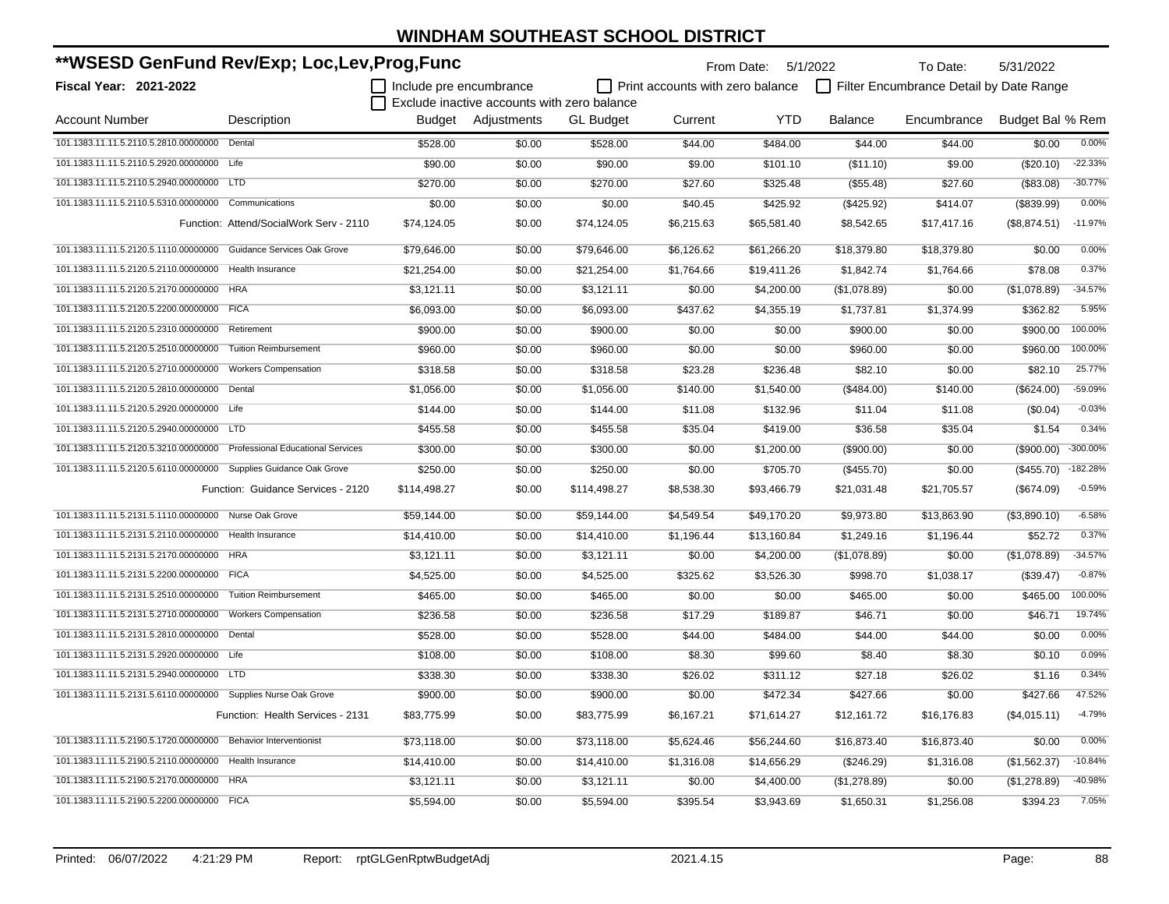| **WSESD GenFund Rev/Exp; Loc,Lev,Prog,Func                              |                                         |                         |                                             |                  |            | From Date: 5/1/2022                     |                | To Date:                                | 5/31/2022        |            |
|-------------------------------------------------------------------------|-----------------------------------------|-------------------------|---------------------------------------------|------------------|------------|-----------------------------------------|----------------|-----------------------------------------|------------------|------------|
| <b>Fiscal Year: 2021-2022</b>                                           |                                         | Include pre encumbrance |                                             |                  |            | $\Box$ Print accounts with zero balance |                | Filter Encumbrance Detail by Date Range |                  |            |
|                                                                         |                                         |                         | Exclude inactive accounts with zero balance |                  |            |                                         |                |                                         |                  |            |
| <b>Account Number</b>                                                   | Description                             |                         | Budget Adjustments                          | <b>GL Budget</b> | Current    | <b>YTD</b>                              | <b>Balance</b> | Encumbrance                             | Budget Bal % Rem |            |
| 101.1383.11.11.5.2110.5.2810.00000000 Dental                            |                                         | \$528.00                | \$0.00                                      | \$528.00         | \$44.00    | \$484.00                                | \$44.00        | \$44.00                                 | \$0.00           | 0.00%      |
| 101.1383.11.11.5.2110.5.2920.00000000 Life                              |                                         | \$90.00                 | \$0.00                                      | \$90.00          | \$9.00     | \$101.10                                | (\$11.10)      | \$9.00                                  | (\$20.10)        | $-22.33%$  |
| 101.1383.11.11.5.2110.5.2940.00000000 LTD                               |                                         | \$270.00                | \$0.00                                      | \$270.00         | \$27.60    | \$325.48                                | (\$55.48)      | \$27.60                                 | ( \$83.08)       | $-30.77%$  |
| 101.1383.11.11.5.2110.5.5310.00000000 Communications                    |                                         | \$0.00                  | \$0.00                                      | \$0.00           | \$40.45    | \$425.92                                | (\$425.92)     | \$414.07                                | (\$839.99)       | 0.00%      |
|                                                                         | Function: Attend/SocialWork Serv - 2110 | \$74,124.05             | \$0.00                                      | \$74,124.05      | \$6,215.63 | \$65,581.40                             | \$8,542.65     | \$17,417.16                             | (\$8,874.51)     | $-11.97%$  |
| 101.1383.11.11.5.2120.5.1110.00000000 Guidance Services Oak Grove       |                                         | \$79.646.00             | \$0.00                                      | \$79.646.00      | \$6,126.62 | \$61,266.20                             | \$18,379.80    | \$18,379.80                             | \$0.00           | 0.00%      |
| 101.1383.11.11.5.2120.5.2110.00000000 Health Insurance                  |                                         | \$21,254.00             | \$0.00                                      | \$21,254.00      | \$1,764.66 | \$19,411.26                             | \$1,842.74     | \$1,764.66                              | \$78.08          | 0.37%      |
| 101.1383.11.11.5.2120.5.2170.00000000 HRA                               |                                         | \$3,121.11              | \$0.00                                      | \$3,121.11       | \$0.00     | \$4,200.00                              | (\$1,078.89)   | \$0.00                                  | (\$1,078.89)     | $-34.57%$  |
| 101.1383.11.11.5.2120.5.2200.00000000 FICA                              |                                         | \$6,093.00              | \$0.00                                      | \$6,093.00       | \$437.62   | \$4,355.19                              | \$1,737.81     | \$1,374.99                              | \$362.82         | 5.95%      |
| 101.1383.11.11.5.2120.5.2310.00000000 Retirement                        |                                         | \$900.00                | \$0.00                                      | \$900.00         | \$0.00     | \$0.00                                  | \$900.00       | \$0.00                                  | \$900.00         | 100.00%    |
| 101.1383.11.11.5.2120.5.2510.00000000                                   | <b>Tuition Reimbursement</b>            | \$960.00                | \$0.00                                      | \$960.00         | \$0.00     | \$0.00                                  | \$960.00       | \$0.00                                  | \$960.00         | 100.00%    |
| 101.1383.11.11.5.2120.5.2710.00000000                                   | <b>Workers Compensation</b>             | \$318.58                | \$0.00                                      | \$318.58         | \$23.28    | \$236.48                                | \$82.10        | \$0.00                                  | \$82.10          | 25.77%     |
| 101.1383.11.11.5.2120.5.2810.00000000 Dental                            |                                         | \$1,056.00              | \$0.00                                      | \$1,056.00       | \$140.00   | \$1,540.00                              | ( \$484.00)    | \$140.00                                | (\$624.00)       | -59.09%    |
| 101.1383.11.11.5.2120.5.2920.00000000 Life                              |                                         | \$144.00                | \$0.00                                      | \$144.00         | \$11.08    | \$132.96                                | \$11.04        | \$11.08                                 | (\$0.04)         | $-0.03%$   |
| 101.1383.11.11.5.2120.5.2940.00000000 LTD                               |                                         | \$455.58                | \$0.00                                      | \$455.58         | \$35.04    | \$419.00                                | \$36.58        | \$35.04                                 | \$1.54           | 0.34%      |
| 101.1383.11.11.5.2120.5.3210.00000000 Professional Educational Services |                                         | \$300.00                | \$0.00                                      | \$300.00         | \$0.00     | \$1,200.00                              | (\$900.00)     | \$0.00                                  | $(\$900.00)$     | -300.00%   |
| 101.1383.11.11.5.2120.5.6110.00000000 Supplies Guidance Oak Grove       |                                         | \$250.00                | \$0.00                                      | \$250.00         | \$0.00     | \$705.70                                | (\$455.70)     | \$0.00                                  | (\$455.70)       | $-182.28%$ |
|                                                                         | Function: Guidance Services - 2120      | \$114,498.27            | \$0.00                                      | \$114,498.27     | \$8,538.30 | \$93,466.79                             | \$21,031.48    | \$21,705.57                             | (\$674.09)       | $-0.59%$   |
| 101.1383.11.11.5.2131.5.1110.00000000 Nurse Oak Grove                   |                                         | \$59,144.00             | \$0.00                                      | \$59,144.00      | \$4,549.54 | \$49,170.20                             | \$9,973.80     | \$13,863.90                             | (\$3,890.10)     | $-6.58%$   |
| 101.1383.11.11.5.2131.5.2110.00000000                                   | Health Insurance                        | \$14,410.00             | \$0.00                                      | \$14,410.00      | \$1,196.44 | \$13,160.84                             | \$1,249.16     | \$1,196.44                              | \$52.72          | 0.37%      |
| 101.1383.11.11.5.2131.5.2170.00000000 HRA                               |                                         | \$3,121.11              | \$0.00                                      | \$3,121.11       | \$0.00     | \$4,200.00                              | (\$1,078.89)   | \$0.00                                  | (\$1,078.89)     | $-34.57%$  |
| 101.1383.11.11.5.2131.5.2200.00000000 FICA                              |                                         | \$4,525.00              | \$0.00                                      | \$4,525.00       | \$325.62   | \$3,526.30                              | \$998.70       | \$1,038.17                              | (\$39.47)        | $-0.87%$   |
| 101.1383.11.11.5.2131.5.2510.00000000 Tuition Reimbursement             |                                         | \$465.00                | \$0.00                                      | \$465.00         | \$0.00     | \$0.00                                  | \$465.00       | \$0.00                                  | \$465.00         | 100.00%    |
| 101.1383.11.11.5.2131.5.2710.00000000 Workers Compensation              |                                         | \$236.58                | \$0.00                                      | \$236.58         | \$17.29    | \$189.87                                | \$46.71        | \$0.00                                  | \$46.71          | 19.74%     |
| 101.1383.11.11.5.2131.5.2810.00000000 Dental                            |                                         | \$528.00                | \$0.00                                      | \$528.00         | \$44.00    | \$484.00                                | \$44.00        | \$44.00                                 | \$0.00           | 0.00%      |
| 101.1383.11.11.5.2131.5.2920.00000000 Life                              |                                         | \$108.00                | \$0.00                                      | \$108.00         | \$8.30     | \$99.60                                 | \$8.40         | \$8.30                                  | \$0.10           | 0.09%      |
| 101.1383.11.11.5.2131.5.2940.00000000 LTD                               |                                         | \$338.30                | \$0.00                                      | \$338.30         | \$26.02    | \$311.12                                | \$27.18        | \$26.02                                 | \$1.16           | 0.34%      |
| 101.1383.11.11.5.2131.5.6110.00000000 Supplies Nurse Oak Grove          |                                         | \$900.00                | \$0.00                                      | \$900.00         | \$0.00     | \$472.34                                | \$427.66       | \$0.00                                  | \$427.66         | 47.52%     |
|                                                                         | Function: Health Services - 2131        | \$83,775.99             | \$0.00                                      | \$83,775.99      | \$6,167.21 | \$71,614.27                             | \$12,161.72    | \$16,176.83                             | (\$4,015.11)     | $-4.79%$   |
| 101.1383.11.11.5.2190.5.1720.00000000 Behavior Interventionist          |                                         | \$73,118.00             | \$0.00                                      | \$73,118.00      | \$5,624.46 | \$56,244.60                             | \$16,873.40    | \$16,873.40                             | \$0.00           | 0.00%      |
| 101.1383.11.11.5.2190.5.2110.00000000 Health Insurance                  |                                         | \$14,410.00             | \$0.00                                      | \$14,410.00      | \$1,316.08 | \$14,656.29                             | (\$246.29)     | \$1,316.08                              | (\$1,562.37)     | $-10.84%$  |
| 101.1383.11.11.5.2190.5.2170.00000000                                   | <b>HRA</b>                              | \$3,121.11              | \$0.00                                      | \$3,121.11       | \$0.00     | \$4,400.00                              | (\$1,278.89)   | \$0.00                                  | (\$1,278.89)     | -40.98%    |
| 101.1383.11.11.5.2190.5.2200.00000000 FICA                              |                                         | \$5,594.00              | \$0.00                                      | \$5,594.00       | \$395.54   | \$3,943.69                              | \$1,650.31     | \$1,256.08                              | \$394.23         | 7.05%      |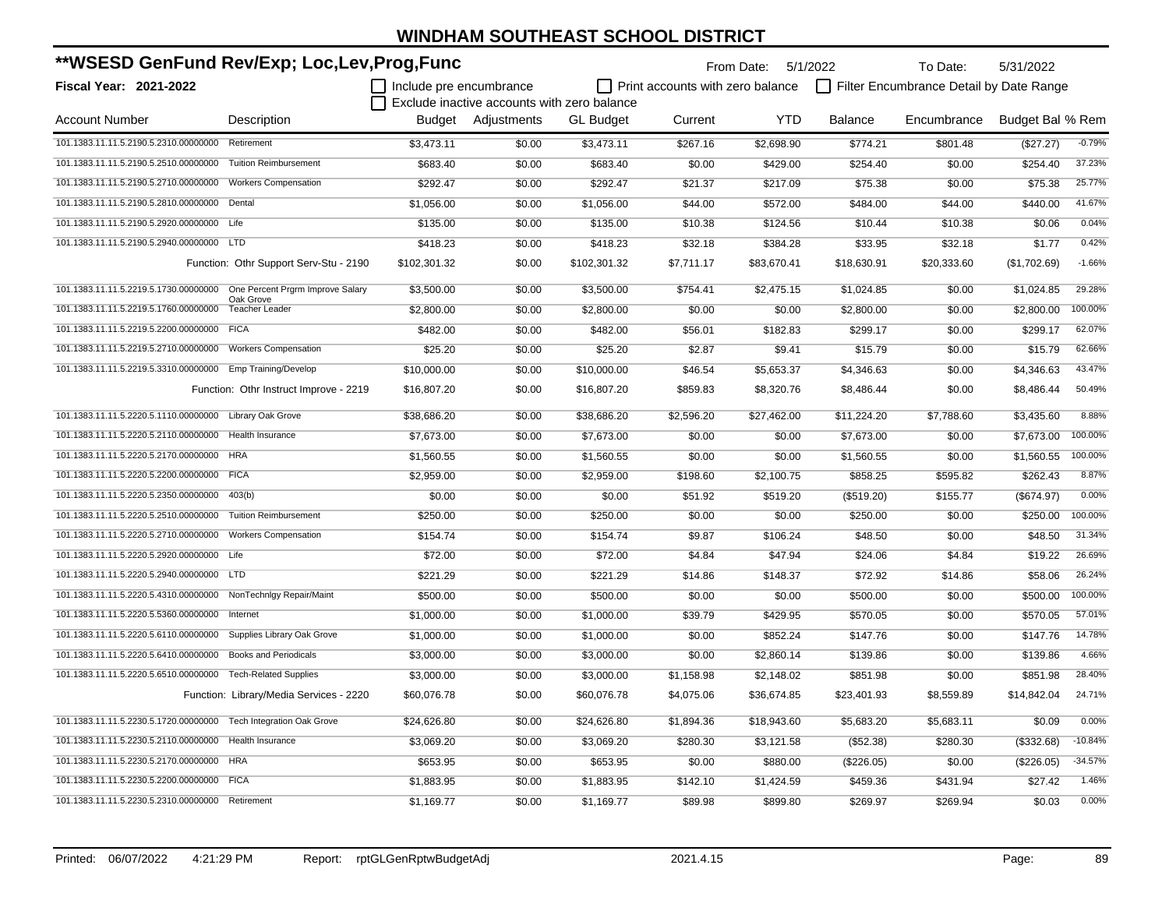| **WSESD GenFund Rev/Exp; Loc,Lev,Prog,Func                             |                                         |                         |                                             |                  | From Date: 5/1/2022              |             | To Date:    | 5/31/2022                               |                  |           |
|------------------------------------------------------------------------|-----------------------------------------|-------------------------|---------------------------------------------|------------------|----------------------------------|-------------|-------------|-----------------------------------------|------------------|-----------|
| <b>Fiscal Year: 2021-2022</b>                                          |                                         | Include pre encumbrance |                                             |                  | Print accounts with zero balance |             |             | Filter Encumbrance Detail by Date Range |                  |           |
|                                                                        |                                         |                         | Exclude inactive accounts with zero balance |                  |                                  |             |             |                                         |                  |           |
| <b>Account Number</b>                                                  | Description                             |                         | Budget Adjustments                          | <b>GL Budget</b> | Current                          | <b>YTD</b>  | Balance     | Encumbrance                             | Budget Bal % Rem |           |
| 101.1383.11.11.5.2190.5.2310.00000000 Retirement                       |                                         | \$3,473.11              | \$0.00                                      | \$3,473.11       | \$267.16                         | \$2,698.90  | \$774.21    | \$801.48                                | (\$27.27)        | $-0.79%$  |
| 101.1383.11.11.5.2190.5.2510.00000000 Tuition Reimbursement            |                                         | \$683.40                | \$0.00                                      | \$683.40         | \$0.00                           | \$429.00    | \$254.40    | \$0.00                                  | \$254.40         | 37.23%    |
| 101.1383.11.11.5.2190.5.2710.00000000 Workers Compensation             |                                         | \$292.47                | \$0.00                                      | \$292.47         | \$21.37                          | \$217.09    | \$75.38     | \$0.00                                  | \$75.38          | 25.77%    |
| 101.1383.11.11.5.2190.5.2810.00000000 Dental                           |                                         | \$1,056.00              | \$0.00                                      | \$1,056.00       | \$44.00                          | \$572.00    | \$484.00    | \$44.00                                 | \$440.00         | 41.67%    |
| 101.1383.11.11.5.2190.5.2920.00000000 Life                             |                                         | \$135.00                | \$0.00                                      | \$135.00         | \$10.38                          | \$124.56    | \$10.44     | \$10.38                                 | \$0.06           | 0.04%     |
| 101.1383.11.11.5.2190.5.2940.00000000 LTD                              |                                         | \$418.23                | \$0.00                                      | \$418.23         | \$32.18                          | \$384.28    | \$33.95     | \$32.18                                 | \$1.77           | 0.42%     |
|                                                                        | Function: Othr Support Serv-Stu - 2190  | \$102,301.32            | \$0.00                                      | \$102,301.32     | \$7,711.17                       | \$83,670.41 | \$18,630.91 | \$20,333.60                             | (\$1,702.69)     | $-1.66%$  |
| 101.1383.11.11.5.2219.5.1730.00000000 One Percent Prgrm Improve Salary |                                         | \$3.500.00              | \$0.00                                      | \$3.500.00       | \$754.41                         | \$2.475.15  | \$1.024.85  | \$0.00                                  | \$1.024.85       | 29.28%    |
| 101.1383.11.11.5.2219.5.1760.00000000                                  | Oak Grove<br><b>Teacher Leader</b>      | \$2,800.00              | \$0.00                                      | \$2,800.00       | \$0.00                           | \$0.00      | \$2,800.00  | \$0.00                                  | \$2,800.00       | 100.00%   |
| 101.1383.11.11.5.2219.5.2200.00000000 FICA                             |                                         | \$482.00                | \$0.00                                      | \$482.00         | \$56.01                          | \$182.83    | \$299.17    | \$0.00                                  | \$299.17         | 62.07%    |
| 101.1383.11.11.5.2219.5.2710.00000000                                  | <b>Workers Compensation</b>             | \$25.20                 | \$0.00                                      | \$25.20          | \$2.87                           | \$9.41      | \$15.79     | \$0.00                                  | \$15.79          | 62.66%    |
| 101.1383.11.11.5.2219.5.3310.00000000 Emp Training/Develop             |                                         | \$10,000.00             | \$0.00                                      | \$10,000.00      | \$46.54                          | \$5,653.37  | \$4,346.63  | \$0.00                                  | \$4,346.63       | 43.47%    |
|                                                                        | Function: Othr Instruct Improve - 2219  | \$16,807.20             | \$0.00                                      | \$16,807.20      | \$859.83                         | \$8,320.76  | \$8,486.44  | \$0.00                                  | \$8,486.44       | 50.49%    |
| 101.1383.11.11.5.2220.5.1110.00000000 Library Oak Grove                |                                         | \$38,686.20             | \$0.00                                      | \$38,686.20      | \$2,596.20                       | \$27,462.00 | \$11,224.20 | \$7,788.60                              | \$3,435.60       | 8.88%     |
| 101.1383.11.11.5.2220.5.2110.00000000                                  | Health Insurance                        | \$7,673.00              | \$0.00                                      | \$7,673.00       | \$0.00                           | \$0.00      | \$7,673.00  | \$0.00                                  | \$7,673.00       | 100.00%   |
| 101.1383.11.11.5.2220.5.2170.00000000                                  | <b>HRA</b>                              | \$1,560.55              | \$0.00                                      | \$1,560.55       | \$0.00                           | \$0.00      | \$1,560.55  | \$0.00                                  | \$1,560.55       | 100.00%   |
| 101.1383.11.11.5.2220.5.2200.00000000                                  | <b>FICA</b>                             | \$2,959.00              | \$0.00                                      | \$2,959.00       | \$198.60                         | \$2,100.75  | \$858.25    | \$595.82                                | \$262.43         | 8.87%     |
| 101.1383.11.11.5.2220.5.2350.00000000                                  | 403(b)                                  | \$0.00                  | \$0.00                                      | \$0.00           | \$51.92                          | \$519.20    | (\$519.20)  | \$155.77                                | (\$674.97)       | 0.00%     |
| 101.1383.11.11.5.2220.5.2510.00000000                                  | <b>Tuition Reimbursement</b>            | \$250.00                | \$0.00                                      | \$250.00         | \$0.00                           | \$0.00      | \$250.00    | \$0.00                                  | \$250.00         | 100.00%   |
| 101.1383.11.11.5.2220.5.2710.00000000                                  | <b>Workers Compensation</b>             | \$154.74                | \$0.00                                      | \$154.74         | \$9.87                           | \$106.24    | \$48.50     | \$0.00                                  | \$48.50          | 31.34%    |
| 101.1383.11.11.5.2220.5.2920.00000000                                  | Life                                    | \$72.00                 | \$0.00                                      | \$72.00          | \$4.84                           | \$47.94     | \$24.06     | \$4.84                                  | \$19.22          | 26.69%    |
| 101.1383.11.11.5.2220.5.2940.00000000                                  | <b>LTD</b>                              | \$221.29                | \$0.00                                      | \$221.29         | \$14.86                          | \$148.37    | \$72.92     | \$14.86                                 | \$58.06          | 26.24%    |
| 101.1383.11.11.5.2220.5.4310.00000000                                  | NonTechnlgy Repair/Maint                | \$500.00                | \$0.00                                      | \$500.00         | \$0.00                           | \$0.00      | \$500.00    | \$0.00                                  | \$500.00         | 100.00%   |
| 101.1383.11.11.5.2220.5.5360.00000000                                  | Internet                                | \$1,000.00              | \$0.00                                      | \$1,000.00       | \$39.79                          | \$429.95    | \$570.05    | \$0.00                                  | \$570.05         | 57.01%    |
| 101.1383.11.11.5.2220.5.6110.00000000 Supplies Library Oak Grove       |                                         | \$1,000.00              | \$0.00                                      | \$1,000.00       | \$0.00                           | \$852.24    | \$147.76    | \$0.00                                  | \$147.76         | 14.78%    |
| 101.1383.11.11.5.2220.5.6410.00000000                                  | <b>Books and Periodicals</b>            | \$3,000.00              | \$0.00                                      | \$3,000.00       | \$0.00                           | \$2,860.14  | \$139.86    | \$0.00                                  | \$139.86         | 4.66%     |
| 101.1383.11.11.5.2220.5.6510.00000000 Tech-Related Supplies            |                                         | \$3,000.00              | \$0.00                                      | \$3,000.00       | \$1,158.98                       | \$2,148.02  | \$851.98    | \$0.00                                  | \$851.98         | 28.40%    |
|                                                                        | Function: Library/Media Services - 2220 | \$60,076.78             | \$0.00                                      | \$60,076.78      | \$4,075.06                       | \$36,674.85 | \$23,401.93 | \$8,559.89                              | \$14,842.04      | 24.71%    |
| 101.1383.11.11.5.2230.5.1720.00000000 Tech Integration Oak Grove       |                                         | \$24,626.80             | \$0.00                                      | \$24,626.80      | \$1,894.36                       | \$18,943.60 | \$5,683.20  | \$5,683.11                              | \$0.09           | 0.00%     |
| 101.1383.11.11.5.2230.5.2110.00000000 Health Insurance                 |                                         | \$3,069.20              | \$0.00                                      | \$3,069.20       | \$280.30                         | \$3,121.58  | (\$52.38)   | \$280.30                                | (\$332.68)       | $-10.84%$ |
| 101.1383.11.11.5.2230.5.2170.00000000 HRA                              |                                         | \$653.95                | \$0.00                                      | \$653.95         | \$0.00                           | \$880.00    | (\$226.05)  | \$0.00                                  | (\$226.05)       | $-34.57%$ |
| 101.1383.11.11.5.2230.5.2200.00000000 FICA                             |                                         | \$1,883.95              | \$0.00                                      | \$1,883.95       | \$142.10                         | \$1,424.59  | \$459.36    | \$431.94                                | \$27.42          | 1.46%     |
| 101.1383.11.11.5.2230.5.2310.00000000 Retirement                       |                                         | \$1,169.77              | \$0.00                                      | \$1,169.77       | \$89.98                          | \$899.80    | \$269.97    | \$269.94                                | \$0.03           | 0.00%     |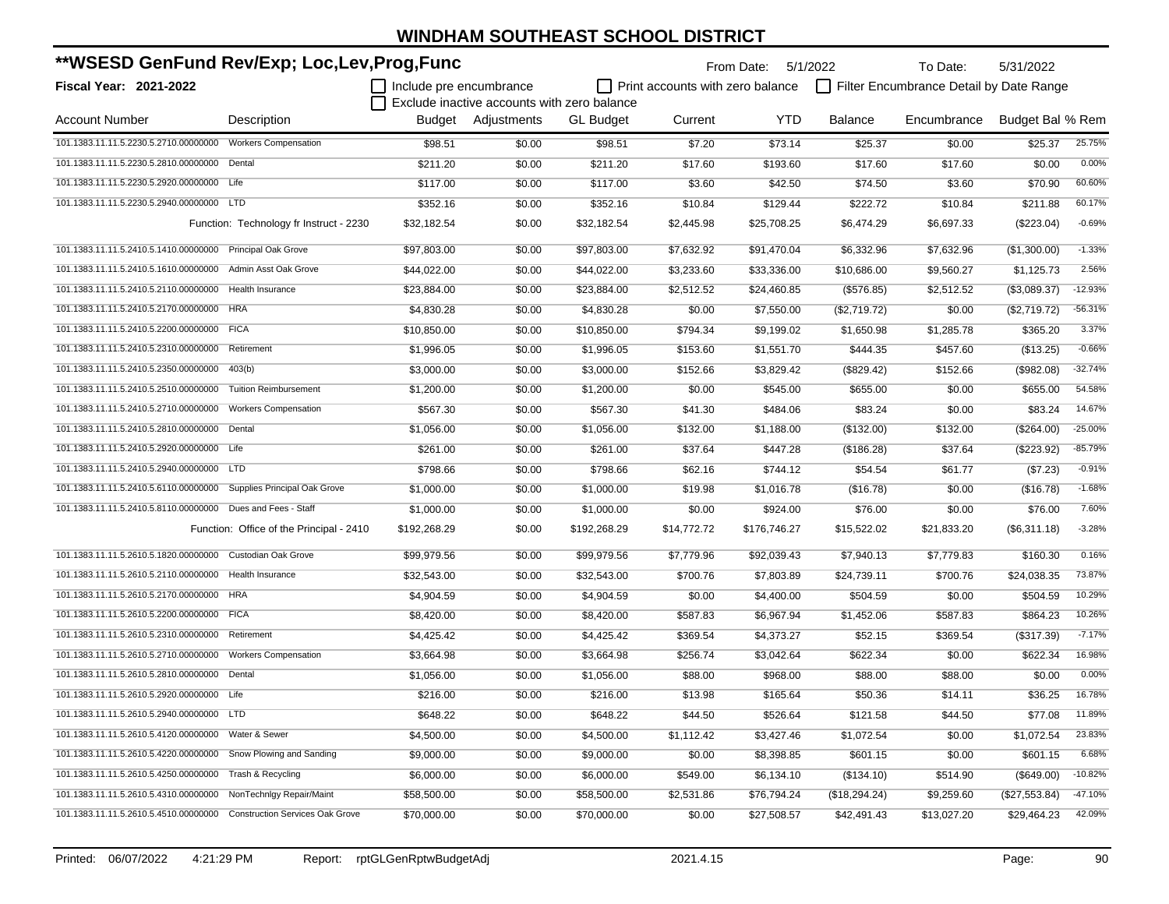| **WSESD GenFund Rev/Exp; Loc,Lev,Prog,Func                            |                                          |                         |                                                                   |                  |                                         | From Date:   | 5/1/2022       | To Date:                                | 5/31/2022        |           |
|-----------------------------------------------------------------------|------------------------------------------|-------------------------|-------------------------------------------------------------------|------------------|-----------------------------------------|--------------|----------------|-----------------------------------------|------------------|-----------|
| <b>Fiscal Year: 2021-2022</b>                                         |                                          | Include pre encumbrance |                                                                   |                  | $\Box$ Print accounts with zero balance |              |                | Filter Encumbrance Detail by Date Range |                  |           |
| <b>Account Number</b>                                                 | Description                              |                         | Exclude inactive accounts with zero balance<br>Budget Adjustments | <b>GL Budget</b> |                                         | YTD          | <b>Balance</b> | Encumbrance                             | Budget Bal % Rem |           |
|                                                                       |                                          |                         |                                                                   |                  | Current                                 |              |                |                                         |                  |           |
| 101.1383.11.11.5.2230.5.2710.00000000                                 | <b>Workers Compensation</b>              | \$98.51                 | \$0.00                                                            | \$98.51          | \$7.20                                  | \$73.14      | \$25.37        | \$0.00                                  | \$25.37          | 25.75%    |
| 101.1383.11.11.5.2230.5.2810.00000000                                 | Dental                                   | \$211.20                | \$0.00                                                            | \$211.20         | \$17.60                                 | \$193.60     | \$17.60        | \$17.60                                 | \$0.00           | 0.00%     |
| 101.1383.11.11.5.2230.5.2920.00000000                                 | Life                                     | \$117.00                | \$0.00                                                            | \$117.00         | \$3.60                                  | \$42.50      | \$74.50        | \$3.60                                  | \$70.90          | 60.60%    |
| 101.1383.11.11.5.2230.5.2940.00000000                                 | <b>LTD</b>                               | \$352.16                | \$0.00                                                            | \$352.16         | \$10.84                                 | \$129.44     | \$222.72       | \$10.84                                 | \$211.88         | 60.17%    |
|                                                                       | Function: Technology fr Instruct - 2230  | \$32,182.54             | \$0.00                                                            | \$32,182.54      | \$2,445.98                              | \$25,708.25  | \$6,474.29     | \$6,697.33                              | $(\$223.04)$     | $-0.69%$  |
| 101.1383.11.11.5.2410.5.1410.00000000                                 | <b>Principal Oak Grove</b>               | \$97,803.00             | \$0.00                                                            | \$97,803.00      | \$7,632.92                              | \$91,470.04  | \$6,332.96     | \$7,632.96                              | (\$1,300.00)     | $-1.33%$  |
| 101.1383.11.11.5.2410.5.1610.00000000                                 | Admin Asst Oak Grove                     | \$44,022.00             | \$0.00                                                            | \$44,022.00      | \$3,233.60                              | \$33,336.00  | \$10,686.00    | \$9,560.27                              | \$1,125.73       | 2.56%     |
| 101.1383.11.11.5.2410.5.2110.00000000                                 | <b>Health Insurance</b>                  | \$23,884.00             | \$0.00                                                            | \$23,884.00      | \$2,512.52                              | \$24,460.85  | (\$576.85)     | \$2,512.52                              | (\$3,089.37)     | $-12.93%$ |
| 101.1383.11.11.5.2410.5.2170.00000000                                 | HRA                                      | \$4,830.28              | \$0.00                                                            | \$4,830.28       | \$0.00                                  | \$7,550.00   | (\$2,719.72)   | \$0.00                                  | (\$2,719.72)     | $-56.31%$ |
| 101.1383.11.11.5.2410.5.2200.00000000 FICA                            |                                          | \$10,850.00             | \$0.00                                                            | \$10,850.00      | \$794.34                                | \$9,199.02   | \$1,650.98     | \$1,285.78                              | \$365.20         | 3.37%     |
| 101.1383.11.11.5.2410.5.2310.00000000                                 | Retirement                               | \$1,996.05              | \$0.00                                                            | \$1,996.05       | \$153.60                                | \$1,551.70   | \$444.35       | \$457.60                                | (\$13.25)        | $-0.66%$  |
| 101.1383.11.11.5.2410.5.2350.00000000                                 | 403(b)                                   | \$3,000.00              | \$0.00                                                            | \$3,000.00       | \$152.66                                | \$3,829.42   | (\$829.42)     | \$152.66                                | (\$982.08)       | $-32.74%$ |
| 101.1383.11.11.5.2410.5.2510.00000000                                 | <b>Tuition Reimbursement</b>             | \$1,200.00              | \$0.00                                                            | \$1,200.00       | \$0.00                                  | \$545.00     | \$655.00       | \$0.00                                  | \$655.00         | 54.58%    |
| 101.1383.11.11.5.2410.5.2710.00000000                                 | <b>Workers Compensation</b>              | \$567.30                | \$0.00                                                            | \$567.30         | \$41.30                                 | \$484.06     | \$83.24        | \$0.00                                  | \$83.24          | 14.67%    |
| 101.1383.11.11.5.2410.5.2810.00000000                                 | Dental                                   | \$1,056.00              | \$0.00                                                            | \$1,056.00       | \$132.00                                | \$1,188.00   | (\$132.00)     | \$132.00                                | (\$264.00)       | $-25.00%$ |
| 101.1383.11.11.5.2410.5.2920.00000000                                 | Life                                     | \$261.00                | \$0.00                                                            | \$261.00         | \$37.64                                 | \$447.28     | (\$186.28)     | \$37.64                                 | $(\$223.92)$     | $-85.79%$ |
| 101.1383.11.11.5.2410.5.2940.00000000                                 | <b>LTD</b>                               | \$798.66                | \$0.00                                                            | \$798.66         | \$62.16                                 | \$744.12     | \$54.54        | \$61.77                                 | (\$7.23)         | $-0.91%$  |
| 101.1383.11.11.5.2410.5.6110.00000000                                 | Supplies Principal Oak Grove             | \$1,000.00              | \$0.00                                                            | \$1,000.00       | \$19.98                                 | \$1,016.78   | (\$16.78)      | \$0.00                                  | (\$16.78)        | $-1.68%$  |
| 101.1383.11.11.5.2410.5.8110.00000000                                 | Dues and Fees - Staff                    | \$1,000.00              | \$0.00                                                            | \$1,000.00       | \$0.00                                  | \$924.00     | \$76.00        | \$0.00                                  | \$76.00          | 7.60%     |
|                                                                       | Function: Office of the Principal - 2410 | \$192,268.29            | \$0.00                                                            | \$192,268.29     | \$14,772.72                             | \$176,746.27 | \$15,522.02    | \$21,833.20                             | (\$6,311.18)     | $-3.28%$  |
| 101.1383.11.11.5.2610.5.1820.00000000                                 | Custodian Oak Grove                      | \$99,979.56             | \$0.00                                                            | \$99,979.56      | \$7,779.96                              | \$92,039.43  | \$7,940.13     | \$7,779.83                              | \$160.30         | 0.16%     |
| 101.1383.11.11.5.2610.5.2110.00000000                                 | Health Insurance                         | \$32,543.00             | \$0.00                                                            | \$32,543.00      | \$700.76                                | \$7,803.89   | \$24,739.11    | \$700.76                                | \$24,038.35      | 73.87%    |
| 101.1383.11.11.5.2610.5.2170.00000000 HRA                             |                                          | \$4,904.59              | \$0.00                                                            | \$4,904.59       | \$0.00                                  | \$4,400.00   | \$504.59       | \$0.00                                  | \$504.59         | 10.29%    |
| 101.1383.11.11.5.2610.5.2200.00000000                                 | <b>FICA</b>                              | \$8,420.00              | \$0.00                                                            | \$8,420.00       | \$587.83                                | \$6,967.94   | \$1,452.06     | \$587.83                                | \$864.23         | 10.26%    |
| 101.1383.11.11.5.2610.5.2310.00000000                                 | Retirement                               | \$4,425.42              | \$0.00                                                            | \$4,425.42       | \$369.54                                | \$4,373.27   | \$52.15        | \$369.54                                | (\$317.39)       | $-7.17%$  |
| 101.1383.11.11.5.2610.5.2710.00000000                                 | <b>Workers Compensation</b>              | \$3,664.98              | \$0.00                                                            | \$3,664.98       | \$256.74                                | \$3,042.64   | \$622.34       | \$0.00                                  | \$622.34         | 16.98%    |
| 101.1383.11.11.5.2610.5.2810.00000000                                 | Dental                                   | \$1,056.00              | \$0.00                                                            | \$1,056.00       | \$88.00                                 | \$968.00     | \$88.00        | \$88.00                                 | \$0.00           | 0.00%     |
| 101.1383.11.11.5.2610.5.2920.00000000 Life                            |                                          | \$216.00                | \$0.00                                                            | \$216.00         | \$13.98                                 | \$165.64     | \$50.36        | \$14.11                                 | \$36.25          | 16.78%    |
| 101.1383.11.11.5.2610.5.2940.00000000 LTD                             |                                          | \$648.22                | \$0.00                                                            | \$648.22         | \$44.50                                 | \$526.64     | \$121.58       | \$44.50                                 | \$77.08          | 11.89%    |
| 101.1383.11.11.5.2610.5.4120.00000000 Water & Sewer                   |                                          | \$4,500.00              | \$0.00                                                            | \$4,500.00       | \$1,112.42                              | \$3,427.46   | \$1,072.54     | \$0.00                                  | \$1,072.54       | 23.83%    |
| 101.1383.11.11.5.2610.5.4220.00000000 Snow Plowing and Sanding        |                                          | \$9,000.00              | \$0.00                                                            | \$9,000.00       | \$0.00                                  | \$8,398.85   | \$601.15       | \$0.00                                  | \$601.15         | 6.68%     |
| 101.1383.11.11.5.2610.5.4250.00000000                                 | Trash & Recycling                        | \$6,000.00              | \$0.00                                                            | \$6,000.00       | \$549.00                                | \$6,134.10   | (\$134.10)     | \$514.90                                | (\$649.00)       | $-10.82%$ |
| 101.1383.11.11.5.2610.5.4310.00000000                                 | NonTechnlgy Repair/Maint                 | \$58,500.00             | \$0.00                                                            | \$58,500.00      | \$2,531.86                              | \$76,794.24  | (\$18,294.24)  | \$9,259.60                              | (\$27,553.84)    | $-47.10%$ |
| 101.1383.11.11.5.2610.5.4510.00000000 Construction Services Oak Grove |                                          | \$70,000.00             | \$0.00                                                            | \$70,000.00      | \$0.00                                  | \$27,508.57  | \$42,491.43    | \$13,027.20                             | \$29,464.23      | 42.09%    |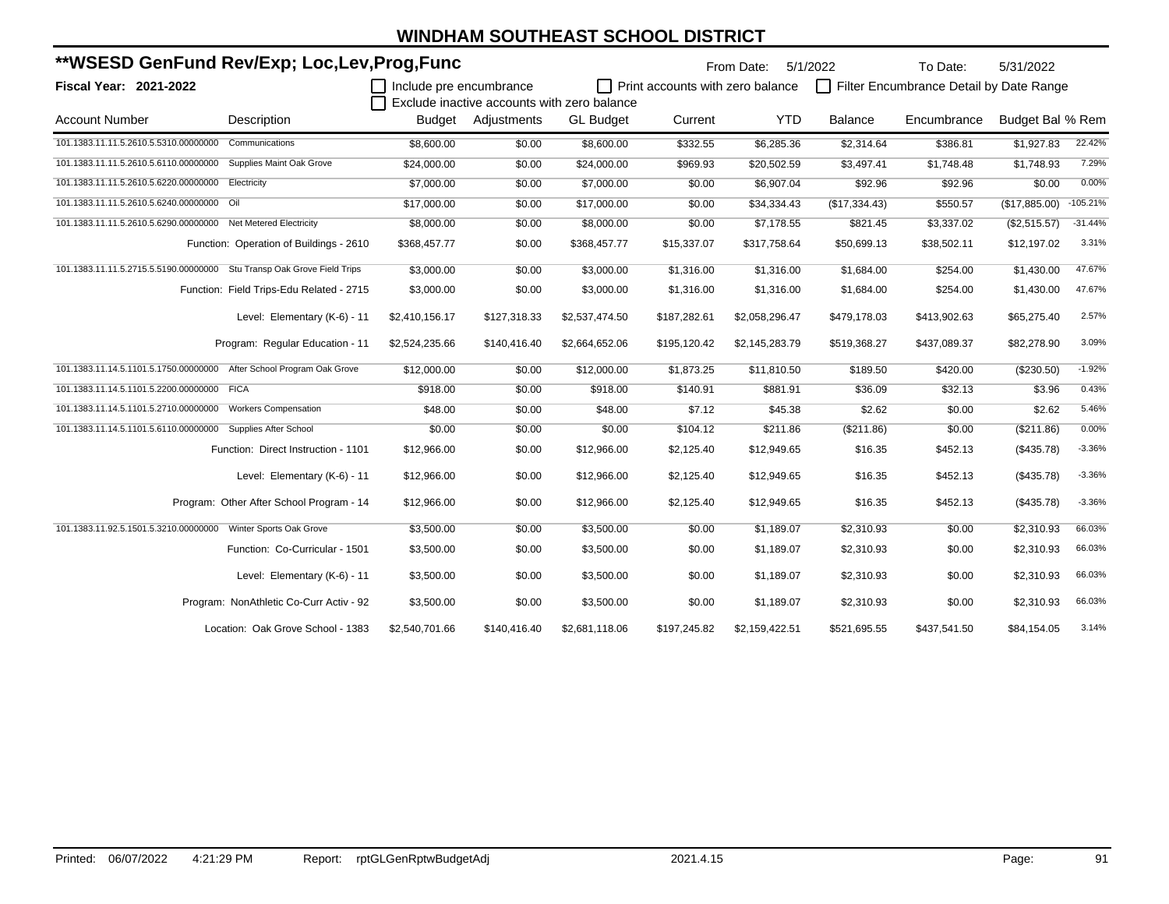| **WSESD GenFund Rev/Exp; Loc,Lev,Prog,Func                             |                                          |                         |                                             |                  | From Date:                       | 5/1/2022       | To Date:       | 5/31/2022                               |                  |            |
|------------------------------------------------------------------------|------------------------------------------|-------------------------|---------------------------------------------|------------------|----------------------------------|----------------|----------------|-----------------------------------------|------------------|------------|
| <b>Fiscal Year: 2021-2022</b>                                          |                                          | Include pre encumbrance |                                             |                  | Print accounts with zero balance |                |                | Filter Encumbrance Detail by Date Range |                  |            |
|                                                                        |                                          |                         | Exclude inactive accounts with zero balance |                  |                                  |                |                |                                         |                  |            |
| <b>Account Number</b>                                                  | Description                              | Budget                  | Adjustments                                 | <b>GL Budget</b> | Current                          | <b>YTD</b>     | <b>Balance</b> | Encumbrance                             | Budget Bal % Rem |            |
| 101.1383.11.11.5.2610.5.5310.00000000                                  | Communications                           | \$8,600.00              | \$0.00                                      | \$8,600.00       | \$332.55                         | \$6,285.36     | \$2,314.64     | \$386.81                                | \$1,927.83       | 22.42%     |
| 101.1383.11.11.5.2610.5.6110.00000000                                  | Supplies Maint Oak Grove                 | \$24,000.00             | \$0.00                                      | \$24,000.00      | \$969.93                         | \$20,502.59    | \$3,497.41     | \$1,748.48                              | \$1,748.93       | 7.29%      |
| 101.1383.11.11.5.2610.5.6220.00000000                                  | Electricity                              | \$7,000.00              | \$0.00                                      | \$7,000.00       | \$0.00                           | \$6,907.04     | \$92.96        | \$92.96                                 | \$0.00           | 0.00%      |
| 101.1383.11.11.5.2610.5.6240.00000000 Oil                              |                                          | \$17,000.00             | \$0.00                                      | \$17,000.00      | \$0.00                           | \$34,334.43    | (\$17,334.43)  | \$550.57                                | (\$17,885.00)    | $-105.21%$ |
| 101.1383.11.11.5.2610.5.6290.00000000 Net Metered Electricity          |                                          | \$8,000.00              | \$0.00                                      | \$8,000.00       | \$0.00                           | \$7,178.55     | \$821.45       | \$3,337.02                              | (\$2,515.57)     | $-31.44%$  |
|                                                                        | Function: Operation of Buildings - 2610  | \$368,457.77            | \$0.00                                      | \$368,457.77     | \$15,337.07                      | \$317,758.64   | \$50,699.13    | \$38,502.11                             | \$12,197.02      | 3.31%      |
| 101.1383.11.11.5.2715.5.5190.00000000 Stu Transp Oak Grove Field Trips |                                          | \$3,000.00              | \$0.00                                      | \$3,000.00       | \$1,316.00                       | \$1,316.00     | \$1.684.00     | \$254.00                                | \$1.430.00       | 47.67%     |
|                                                                        | Function: Field Trips-Edu Related - 2715 | \$3,000.00              | \$0.00                                      | \$3,000.00       | \$1,316.00                       | \$1,316.00     | \$1,684.00     | \$254.00                                | \$1,430.00       | 47.67%     |
|                                                                        | Level: Elementary (K-6) - 11             | \$2,410,156.17          | \$127,318.33                                | \$2,537,474.50   | \$187,282.61                     | \$2,058,296.47 | \$479,178.03   | \$413,902.63                            | \$65,275.40      | 2.57%      |
|                                                                        | Program: Regular Education - 11          | \$2,524,235.66          | \$140,416.40                                | \$2,664,652.06   | \$195,120.42                     | \$2,145,283.79 | \$519,368.27   | \$437,089.37                            | \$82,278.90      | 3.09%      |
| 101.1383.11.14.5.1101.5.1750.00000000                                  | After School Program Oak Grove           | \$12,000.00             | \$0.00                                      | \$12,000.00      | \$1,873.25                       | \$11,810.50    | \$189.50       | \$420.00                                | (\$230.50)       | $-1.92%$   |
| 101.1383.11.14.5.1101.5.2200.00000000 FICA                             |                                          | \$918.00                | \$0.00                                      | \$918.00         | \$140.91                         | \$881.91       | \$36.09        | \$32.13                                 | \$3.96           | 0.43%      |
| 101.1383.11.14.5.1101.5.2710.00000000                                  | <b>Workers Compensation</b>              | \$48.00                 | \$0.00                                      | \$48.00          | \$7.12                           | \$45.38        | \$2.62         | \$0.00                                  | \$2.62           | 5.46%      |
| 101.1383.11.14.5.1101.5.6110.00000000                                  | Supplies After School                    | \$0.00                  | \$0.00                                      | \$0.00           | \$104.12                         | \$211.86       | (\$211.86)     | \$0.00                                  | (S211.86)        | 0.00%      |
|                                                                        | Function: Direct Instruction - 1101      | \$12,966.00             | \$0.00                                      | \$12,966.00      | \$2,125.40                       | \$12,949.65    | \$16.35        | \$452.13                                | (\$435.78)       | $-3.36%$   |
|                                                                        | Level: Elementary (K-6) - 11             | \$12,966.00             | \$0.00                                      | \$12,966.00      | \$2,125.40                       | \$12,949.65    | \$16.35        | \$452.13                                | (\$435.78)       | $-3.36%$   |
|                                                                        | Program: Other After School Program - 14 | \$12,966.00             | \$0.00                                      | \$12,966.00      | \$2,125.40                       | \$12,949.65    | \$16.35        | \$452.13                                | (\$435.78)       | $-3.36%$   |
| 101.1383.11.92.5.1501.5.3210.00000000 Winter Sports Oak Grove          |                                          | \$3,500.00              | \$0.00                                      | \$3,500.00       | \$0.00                           | \$1,189.07     | \$2,310.93     | \$0.00                                  | \$2,310.93       | 66.03%     |
|                                                                        | Function: Co-Curricular - 1501           | \$3,500.00              | \$0.00                                      | \$3,500.00       | \$0.00                           | \$1,189.07     | \$2,310.93     | \$0.00                                  | \$2,310.93       | 66.03%     |
|                                                                        | Level: Elementary (K-6) - 11             | \$3,500.00              | \$0.00                                      | \$3,500.00       | \$0.00                           | \$1,189.07     | \$2,310.93     | \$0.00                                  | \$2.310.93       | 66.03%     |
|                                                                        | Program: NonAthletic Co-Curr Activ - 92  | \$3,500.00              | \$0.00                                      | \$3,500.00       | \$0.00                           | \$1,189.07     | \$2,310.93     | \$0.00                                  | \$2,310.93       | 66.03%     |
|                                                                        | Location: Oak Grove School - 1383        | \$2,540,701.66          | \$140,416.40                                | \$2,681,118.06   | \$197,245.82                     | \$2,159,422.51 | \$521,695.55   | \$437,541.50                            | \$84,154.05      | 3.14%      |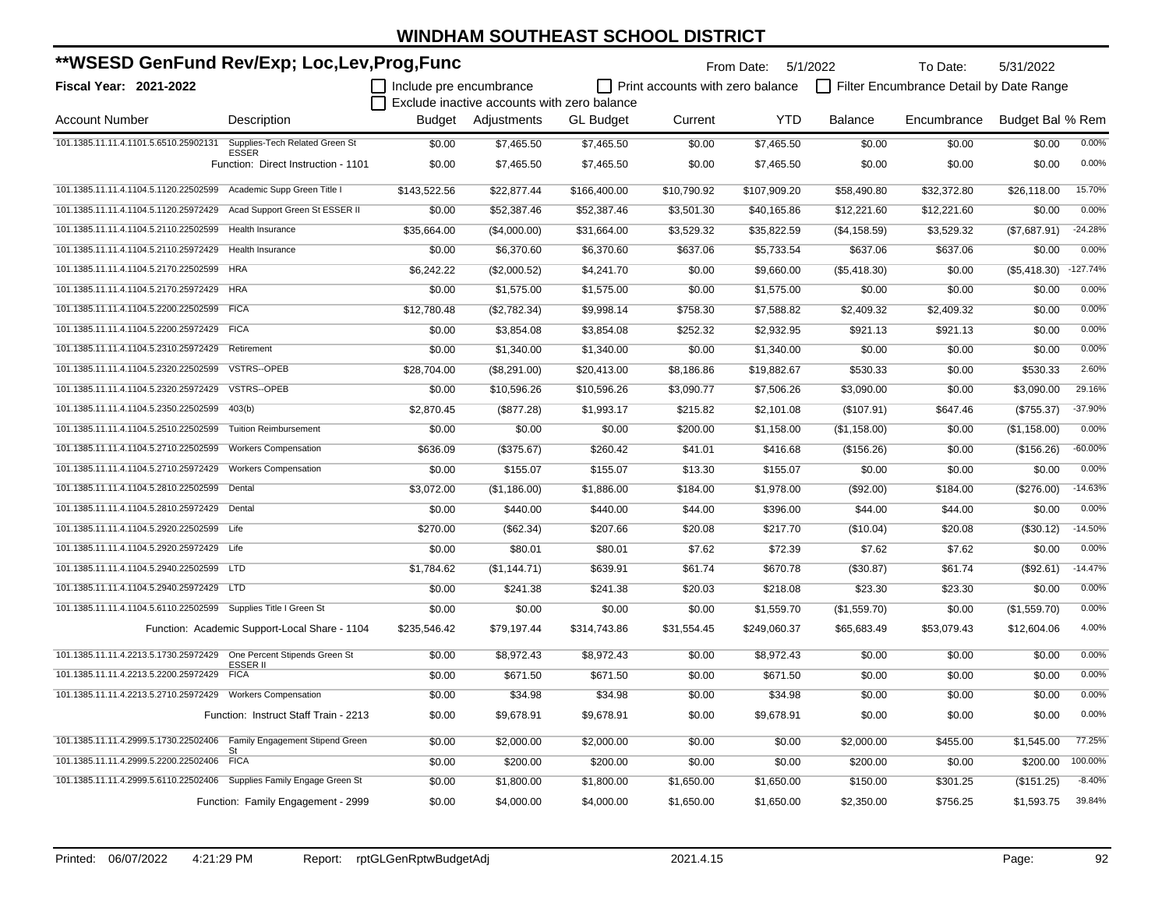| **WSESD GenFund Rev/Exp; Loc,Lev,Prog,Func                             |                                                |                         |                                             |                  |                                  | From Date: 5/1/2022 |                | To Date:                                | 5/31/2022        |            |
|------------------------------------------------------------------------|------------------------------------------------|-------------------------|---------------------------------------------|------------------|----------------------------------|---------------------|----------------|-----------------------------------------|------------------|------------|
| <b>Fiscal Year: 2021-2022</b>                                          |                                                | Include pre encumbrance |                                             |                  | Print accounts with zero balance |                     |                | Filter Encumbrance Detail by Date Range |                  |            |
|                                                                        |                                                |                         | Exclude inactive accounts with zero balance |                  |                                  |                     |                |                                         |                  |            |
| <b>Account Number</b>                                                  | Description                                    |                         | Budget Adjustments                          | <b>GL</b> Budget | Current                          | <b>YTD</b>          | <b>Balance</b> | Encumbrance                             | Budget Bal % Rem |            |
| 101.1385.11.11.4.1101.5.6510.25902131                                  | Supplies-Tech Related Green St<br><b>ESSER</b> | \$0.00                  | \$7,465.50                                  | \$7,465.50       | \$0.00                           | \$7,465.50          | \$0.00         | \$0.00                                  | \$0.00           | 0.00%      |
|                                                                        | Function: Direct Instruction - 1101            | \$0.00                  | \$7,465.50                                  | \$7,465.50       | \$0.00                           | \$7,465.50          | \$0.00         | \$0.00                                  | \$0.00           | 0.00%      |
| 101.1385.11.11.4.1104.5.1120.22502599 Academic Supp Green Title I      |                                                | \$143,522.56            | \$22,877.44                                 | \$166,400.00     | \$10,790.92                      | \$107,909.20        | \$58,490.80    | \$32,372.80                             | \$26,118.00      | 15.70%     |
| 101.1385.11.11.4.1104.5.1120.25972429 Acad Support Green St ESSER II   |                                                | \$0.00                  | \$52,387.46                                 | \$52,387.46      | \$3,501.30                       | \$40,165.86         | \$12,221.60    | \$12,221.60                             | \$0.00           | 0.00%      |
| 101.1385.11.11.4.1104.5.2110.22502599                                  | <b>Health Insurance</b>                        | \$35,664.00             | (\$4,000.00)                                | \$31,664.00      | \$3,529.32                       | \$35,822.59         | (\$4, 158.59)  | \$3,529.32                              | (\$7,687.91)     | $-24.28%$  |
| 101.1385.11.11.4.1104.5.2110.25972429                                  | Health Insurance                               | \$0.00                  | \$6,370.60                                  | \$6,370.60       | \$637.06                         | \$5,733.54          | \$637.06       | \$637.06                                | \$0.00           | 0.00%      |
| 101.1385.11.11.4.1104.5.2170.22502599                                  | <b>HRA</b>                                     | \$6,242.22              | (\$2,000.52)                                | \$4,241.70       | \$0.00                           | \$9,660.00          | (\$5,418.30)   | \$0.00                                  | $(\$5,418.30)$   | $-127.74%$ |
| 101.1385.11.11.4.1104.5.2170.25972429 HRA                              |                                                | \$0.00                  | \$1,575.00                                  | \$1,575.00       | \$0.00                           | \$1,575.00          | \$0.00         | \$0.00                                  | \$0.00           | 0.00%      |
| 101.1385.11.11.4.1104.5.2200.22502599 FICA                             |                                                | \$12,780.48             | (\$2,782.34)                                | \$9,998.14       | \$758.30                         | \$7,588.82          | \$2,409.32     | \$2,409.32                              | \$0.00           | 0.00%      |
| 101.1385.11.11.4.1104.5.2200.25972429 FICA                             |                                                | \$0.00                  | \$3,854.08                                  | \$3,854.08       | \$252.32                         | \$2,932.95          | \$921.13       | \$921.13                                | \$0.00           | 0.00%      |
| 101.1385.11.11.4.1104.5.2310.25972429                                  | Retirement                                     | \$0.00                  | \$1,340.00                                  | \$1,340.00       | \$0.00                           | \$1,340.00          | \$0.00         | \$0.00                                  | \$0.00           | 0.00%      |
| 101.1385.11.11.4.1104.5.2320.22502599                                  | <b>VSTRS--OPEB</b>                             | \$28,704.00             | (\$8,291.00)                                | \$20,413.00      | \$8,186.86                       | \$19,882.67         | \$530.33       | \$0.00                                  | \$530.33         | 2.60%      |
| 101.1385.11.11.4.1104.5.2320.25972429                                  | VSTRS--OPEB                                    | \$0.00                  | \$10,596.26                                 | \$10,596.26      | \$3,090.77                       | \$7,506.26          | \$3,090.00     | \$0.00                                  | \$3,090.00       | 29.16%     |
| 101.1385.11.11.4.1104.5.2350.22502599                                  | 403(b)                                         | \$2,870.45              | (\$877.28)                                  | \$1,993.17       | \$215.82                         | \$2,101.08          | (\$107.91)     | \$647.46                                | (\$755.37)       | $-37.90%$  |
| 101.1385.11.11.4.1104.5.2510.22502599                                  | <b>Tuition Reimbursement</b>                   | \$0.00                  | \$0.00                                      | \$0.00           | \$200.00                         | \$1,158.00          | (\$1,158.00)   | \$0.00                                  | (\$1,158.00)     | 0.00%      |
| 101.1385.11.11.4.1104.5.2710.22502599                                  | <b>Workers Compensation</b>                    | \$636.09                | (\$375.67)                                  | \$260.42         | \$41.01                          | \$416.68            | (\$156.26)     | \$0.00                                  | (\$156.26)       | $-60.00%$  |
| 101.1385.11.11.4.1104.5.2710.25972429                                  | <b>Workers Compensation</b>                    | \$0.00                  | \$155.07                                    | \$155.07         | \$13.30                          | \$155.07            | \$0.00         | \$0.00                                  | \$0.00           | 0.00%      |
| 101.1385.11.11.4.1104.5.2810.22502599 Dental                           |                                                | \$3,072.00              | (\$1,186.00)                                | \$1,886.00       | \$184.00                         | \$1,978.00          | (\$92.00)      | \$184.00                                | (\$276.00)       | $-14.63%$  |
| 101.1385.11.11.4.1104.5.2810.25972429 Dental                           |                                                | \$0.00                  | \$440.00                                    | \$440.00         | \$44.00                          | \$396.00            | \$44.00        | \$44.00                                 | \$0.00           | 0.00%      |
| 101.1385.11.11.4.1104.5.2920.22502599 Life                             |                                                | \$270.00                | (\$62.34)                                   | \$207.66         | \$20.08                          | \$217.70            | (\$10.04)      | \$20.08                                 | (\$30.12)        | $-14.50%$  |
| 101.1385.11.11.4.1104.5.2920.25972429 Life                             |                                                | \$0.00                  | \$80.01                                     | \$80.01          | \$7.62                           | \$72.39             | \$7.62         | \$7.62                                  | \$0.00           | 0.00%      |
| 101.1385.11.11.4.1104.5.2940.22502599                                  | <b>LTD</b>                                     | \$1,784.62              | (\$1,144.71)                                | \$639.91         | \$61.74                          | \$670.78            | (\$30.87)      | \$61.74                                 | (\$92.61)        | $-14.47%$  |
| 101.1385.11.11.4.1104.5.2940.25972429 LTD                              |                                                | \$0.00                  | \$241.38                                    | \$241.38         | \$20.03                          | \$218.08            | \$23.30        | \$23.30                                 | \$0.00           | 0.00%      |
| 101.1385.11.11.4.1104.5.6110.22502599                                  | Supplies Title I Green St                      | \$0.00                  | \$0.00                                      | \$0.00           | \$0.00                           | \$1,559.70          | (\$1,559.70)   | \$0.00                                  | (\$1,559.70)     | 0.00%      |
|                                                                        | Function: Academic Support-Local Share - 1104  | \$235,546.42            | \$79,197.44                                 | \$314,743.86     | \$31,554.45                      | \$249,060.37        | \$65,683.49    | \$53,079.43                             | \$12,604.06      | 4.00%      |
| 101.1385.11.11.4.2213.5.1730.25972429  One Percent Stipends Green St   |                                                | \$0.00                  | \$8,972.43                                  | \$8,972.43       | \$0.00                           | \$8,972.43          | \$0.00         | \$0.00                                  | \$0.00           | 0.00%      |
| 101.1385.11.11.4.2213.5.2200.25972429                                  | ESSER II<br><b>FICA</b>                        | \$0.00                  | \$671.50                                    | \$671.50         | \$0.00                           | \$671.50            | \$0.00         | \$0.00                                  | \$0.00           | 0.00%      |
| 101.1385.11.11.4.2213.5.2710.25972429                                  | <b>Workers Compensation</b>                    | \$0.00                  | \$34.98                                     | \$34.98          | \$0.00                           | \$34.98             | \$0.00         | \$0.00                                  | \$0.00           | 0.00%      |
|                                                                        | Function: Instruct Staff Train - 2213          | \$0.00                  | \$9,678.91                                  | \$9,678.91       | \$0.00                           | \$9,678.91          | \$0.00         | \$0.00                                  | \$0.00           | 0.00%      |
| 101.1385.11.11.4.2999.5.1730.22502406  Family Engagement Stipend Green |                                                | \$0.00                  | \$2,000.00                                  | \$2,000.00       | \$0.00                           | \$0.00              | \$2,000.00     | \$455.00                                | \$1,545.00       | 77.25%     |
| 101.1385.11.11.4.2999.5.2200.22502406                                  | <b>FICA</b>                                    | \$0.00                  | \$200.00                                    | \$200.00         | \$0.00                           | \$0.00              | \$200.00       | \$0.00                                  | \$200.00         | 100.00%    |
| 101.1385.11.11.4.2999.5.6110.22502406 Supplies Family Engage Green St  |                                                | \$0.00                  | \$1,800.00                                  | \$1,800.00       | \$1,650.00                       | \$1,650.00          | \$150.00       | \$301.25                                | (\$151.25)       | $-8.40%$   |
|                                                                        | Function: Family Engagement - 2999             | \$0.00                  | \$4,000.00                                  | \$4,000.00       | \$1,650.00                       | \$1,650.00          | \$2,350.00     | \$756.25                                | \$1,593.75       | 39.84%     |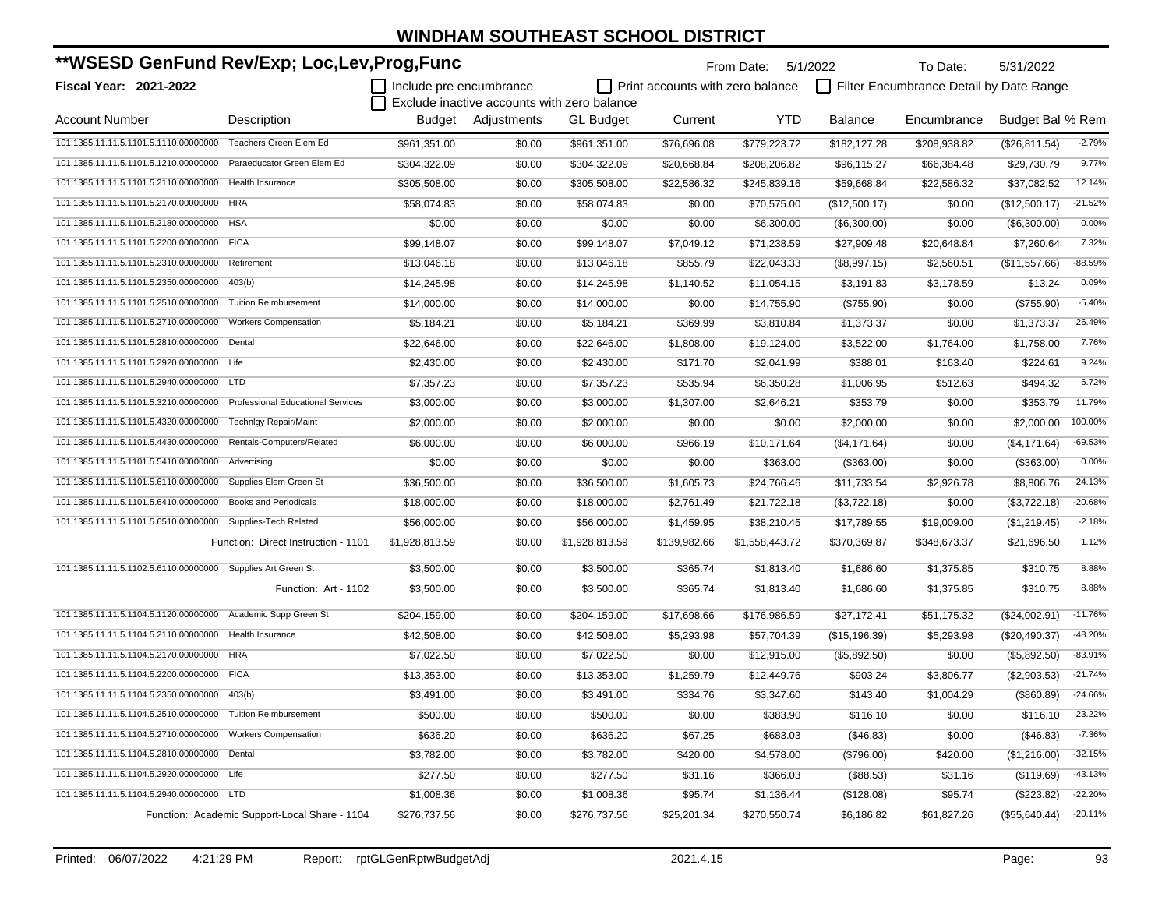| **WSESD GenFund Rev/Exp; Loc,Lev,Prog,Func                  |                                               |                         |                                             |                  |                                         | From Date: 5/1/2022 |                | To Date:                                | 5/31/2022        |           |
|-------------------------------------------------------------|-----------------------------------------------|-------------------------|---------------------------------------------|------------------|-----------------------------------------|---------------------|----------------|-----------------------------------------|------------------|-----------|
| Fiscal Year: 2021-2022                                      |                                               | Include pre encumbrance | Exclude inactive accounts with zero balance |                  | $\Box$ Print accounts with zero balance |                     |                | Filter Encumbrance Detail by Date Range |                  |           |
| <b>Account Number</b>                                       | Description                                   |                         | Budget Adjustments                          | <b>GL Budget</b> | Current                                 | YTD                 | <b>Balance</b> | Encumbrance                             | Budget Bal % Rem |           |
| 101.1385.11.11.5.1101.5.1110.00000000                       | Teachers Green Elem Ed                        | \$961,351.00            | \$0.00                                      | \$961,351.00     | \$76,696.08                             | \$779,223.72        | \$182,127.28   | \$208,938.82                            | (\$26,811.54)    | $-2.79%$  |
| 101.1385.11.11.5.1101.5.1210.00000000                       | Paraeducator Green Elem Ed                    | \$304,322.09            | \$0.00                                      | \$304,322.09     | \$20,668.84                             | \$208,206.82        | \$96,115.27    | \$66,384.48                             | \$29,730.79      | 9.77%     |
| 101.1385.11.11.5.1101.5.2110.00000000                       | <b>Health Insurance</b>                       | \$305,508.00            | \$0.00                                      | \$305,508.00     | \$22,586.32                             | \$245,839.16        | \$59,668.84    | \$22,586.32                             | \$37,082.52      | 12.14%    |
| 101.1385.11.11.5.1101.5.2170.00000000                       | <b>HRA</b>                                    | \$58,074.83             | \$0.00                                      | \$58,074.83      | \$0.00                                  | \$70,575.00         | (\$12,500.17)  | \$0.00                                  | (\$12,500.17)    | $-21.52%$ |
| 101.1385.11.11.5.1101.5.2180.00000000                       | <b>HSA</b>                                    | \$0.00                  | \$0.00                                      | \$0.00           | \$0.00                                  | \$6,300.00          | (\$6,300.00)   | \$0.00                                  | (\$6,300.00)     | 0.00%     |
| 101.1385.11.11.5.1101.5.2200.00000000 FICA                  |                                               | \$99,148.07             | \$0.00                                      | \$99,148.07      | \$7,049.12                              | \$71,238.59         | \$27,909.48    | \$20,648.84                             | \$7,260.64       | 7.32%     |
| 101.1385.11.11.5.1101.5.2310.00000000                       | Retirement                                    | \$13,046.18             | \$0.00                                      | \$13,046.18      | \$855.79                                | \$22,043.33         | (\$8,997.15)   | \$2,560.51                              | (\$11,557.66)    | $-88.59%$ |
| 101.1385.11.11.5.1101.5.2350.00000000                       | 403(b)                                        | \$14,245.98             | \$0.00                                      | \$14,245.98      | \$1,140.52                              | \$11,054.15         | \$3,191.83     | \$3,178.59                              | \$13.24          | 0.09%     |
| 101.1385.11.11.5.1101.5.2510.00000000                       | <b>Tuition Reimbursement</b>                  | \$14,000.00             | \$0.00                                      | \$14,000.00      | \$0.00                                  | \$14,755.90         | (\$755.90)     | \$0.00                                  | (\$755.90)       | $-5.40%$  |
| 101.1385.11.11.5.1101.5.2710.00000000                       | <b>Workers Compensation</b>                   | \$5,184.21              | \$0.00                                      | \$5,184.21       | \$369.99                                | \$3,810.84          | \$1,373.37     | \$0.00                                  | \$1,373.37       | 26.49%    |
| 101.1385.11.11.5.1101.5.2810.00000000                       | Dental                                        | \$22,646.00             | \$0.00                                      | \$22,646.00      | \$1,808.00                              | \$19,124.00         | \$3,522.00     | \$1,764.00                              | \$1,758.00       | 7.76%     |
| 101.1385.11.11.5.1101.5.2920.00000000 Life                  |                                               | \$2,430.00              | \$0.00                                      | \$2,430.00       | \$171.70                                | \$2,041.99          | \$388.01       | \$163.40                                | \$224.61         | 9.24%     |
| 101.1385.11.11.5.1101.5.2940.00000000                       | LTD                                           | \$7,357.23              | \$0.00                                      | \$7,357.23       | \$535.94                                | \$6,350.28          | \$1,006.95     | \$512.63                                | \$494.32         | 6.72%     |
| 101.1385.11.11.5.1101.5.3210.00000000                       | <b>Professional Educational Services</b>      | \$3,000.00              | \$0.00                                      | \$3,000.00       | \$1,307.00                              | \$2,646.21          | \$353.79       | \$0.00                                  | \$353.79         | 11.79%    |
| 101.1385.11.11.5.1101.5.4320.00000000                       | <b>Technigy Repair/Maint</b>                  | \$2,000.00              | \$0.00                                      | \$2,000.00       | \$0.00                                  | \$0.00              | \$2,000.00     | \$0.00                                  | \$2,000.00       | 100.00%   |
| 101.1385.11.11.5.1101.5.4430.00000000                       | Rentals-Computers/Related                     | \$6,000.00              | \$0.00                                      | \$6,000.00       | \$966.19                                | \$10,171.64         | (\$4,171.64)   | \$0.00                                  | (\$4,171.64)     | $-69.53%$ |
| 101.1385.11.11.5.1101.5.5410.00000000                       | Advertising                                   | \$0.00                  | \$0.00                                      | \$0.00           | \$0.00                                  | \$363.00            | (\$363.00)     | \$0.00                                  | (\$363.00)       | 0.00%     |
| 101.1385.11.11.5.1101.5.6110.00000000                       | Supplies Elem Green St                        | \$36,500.00             | \$0.00                                      | \$36,500.00      | \$1,605.73                              | \$24,766.46         | \$11,733.54    | \$2,926.78                              | \$8,806.76       | 24.13%    |
| 101.1385.11.11.5.1101.5.6410.00000000                       | Books and Periodicals                         | \$18,000.00             | \$0.00                                      | \$18,000.00      | \$2,761.49                              | \$21,722.18         | (\$3,722.18)   | \$0.00                                  | (\$3,722.18)     | $-20.68%$ |
| 101.1385.11.11.5.1101.5.6510.00000000 Supplies-Tech Related |                                               | \$56,000.00             | \$0.00                                      | \$56,000.00      | \$1,459.95                              | \$38,210.45         | \$17,789.55    | \$19,009.00                             | (\$1,219.45)     | $-2.18%$  |
|                                                             | Function: Direct Instruction - 1101           | \$1,928,813.59          | \$0.00                                      | \$1,928,813.59   | \$139,982.66                            | \$1,558,443.72      | \$370,369.87   | \$348,673.37                            | \$21,696.50      | 1.12%     |
| 101.1385.11.11.5.1102.5.6110.00000000 Supplies Art Green St |                                               | \$3,500.00              | \$0.00                                      | \$3,500.00       | \$365.74                                | \$1,813.40          | \$1,686.60     | \$1,375.85                              | \$310.75         | 8.88%     |
|                                                             | Function: Art - 1102                          | \$3,500.00              | \$0.00                                      | \$3,500.00       | \$365.74                                | \$1,813.40          | \$1,686.60     | \$1,375.85                              | \$310.75         | 8.88%     |
| 101.1385.11.11.5.1104.5.1120.00000000                       | Academic Supp Green St                        | \$204,159.00            | \$0.00                                      | \$204,159.00     | \$17,698.66                             | \$176,986.59        | \$27,172.41    | \$51,175.32                             | (\$24,002.91)    | $-11.76%$ |
| 101.1385.11.11.5.1104.5.2110.00000000                       | Health Insurance                              | \$42,508.00             | \$0.00                                      | \$42,508.00      | \$5,293.98                              | \$57,704.39         | (\$15,196.39)  | \$5,293.98                              | (\$20,490.37)    | $-48.20%$ |
| 101.1385.11.11.5.1104.5.2170.00000000 HRA                   |                                               | \$7,022.50              | \$0.00                                      | \$7,022.50       | \$0.00                                  | \$12,915.00         | (\$5,892.50)   | \$0.00                                  | (\$5,892.50)     | $-83.91%$ |
| 101.1385.11.11.5.1104.5.2200.00000000 FICA                  |                                               | \$13,353.00             | \$0.00                                      | \$13,353.00      | \$1,259.79                              | \$12,449.76         | \$903.24       | \$3,806.77                              | (\$2,903.53)     | $-21.74%$ |
| 101.1385.11.11.5.1104.5.2350.00000000 403(b)                |                                               | \$3,491.00              | \$0.00                                      | \$3,491.00       | \$334.76                                | \$3,347.60          | \$143.40       | \$1,004.29                              | (\$860.89)       | $-24.66%$ |
| 101.1385.11.11.5.1104.5.2510.00000000 Tuition Reimbursement |                                               | \$500.00                | \$0.00                                      | \$500.00         | \$0.00                                  | \$383.90            | \$116.10       | \$0.00                                  | \$116.10         | 23.22%    |
| 101.1385.11.11.5.1104.5.2710.00000000 Workers Compensation  |                                               | \$636.20                | \$0.00                                      | \$636.20         | \$67.25                                 | \$683.03            | (\$46.83)      | \$0.00                                  | (\$46.83)        | $-7.36%$  |
| 101.1385.11.11.5.1104.5.2810.00000000 Dental                |                                               | \$3,782.00              | \$0.00                                      | \$3,782.00       | \$420.00                                | \$4,578.00          | (\$796.00)     | \$420.00                                | (\$1,216.00)     | $-32.15%$ |
| 101.1385.11.11.5.1104.5.2920.00000000 Life                  |                                               | \$277.50                | \$0.00                                      | \$277.50         | \$31.16                                 | \$366.03            | (\$88.53)      | \$31.16                                 | (\$119.69)       | $-43.13%$ |
| 101.1385.11.11.5.1104.5.2940.00000000 LTD                   |                                               | \$1,008.36              | \$0.00                                      | \$1,008.36       | \$95.74                                 | \$1,136.44          | (\$128.08)     | \$95.74                                 | (\$223.82)       | $-22.20%$ |
|                                                             | Function: Academic Support-Local Share - 1104 | \$276,737.56            | \$0.00                                      | \$276,737.56     | \$25,201.34                             | \$270,550.74        | \$6,186.82     | \$61,827.26                             | (\$55,640.44)    | $-20.11%$ |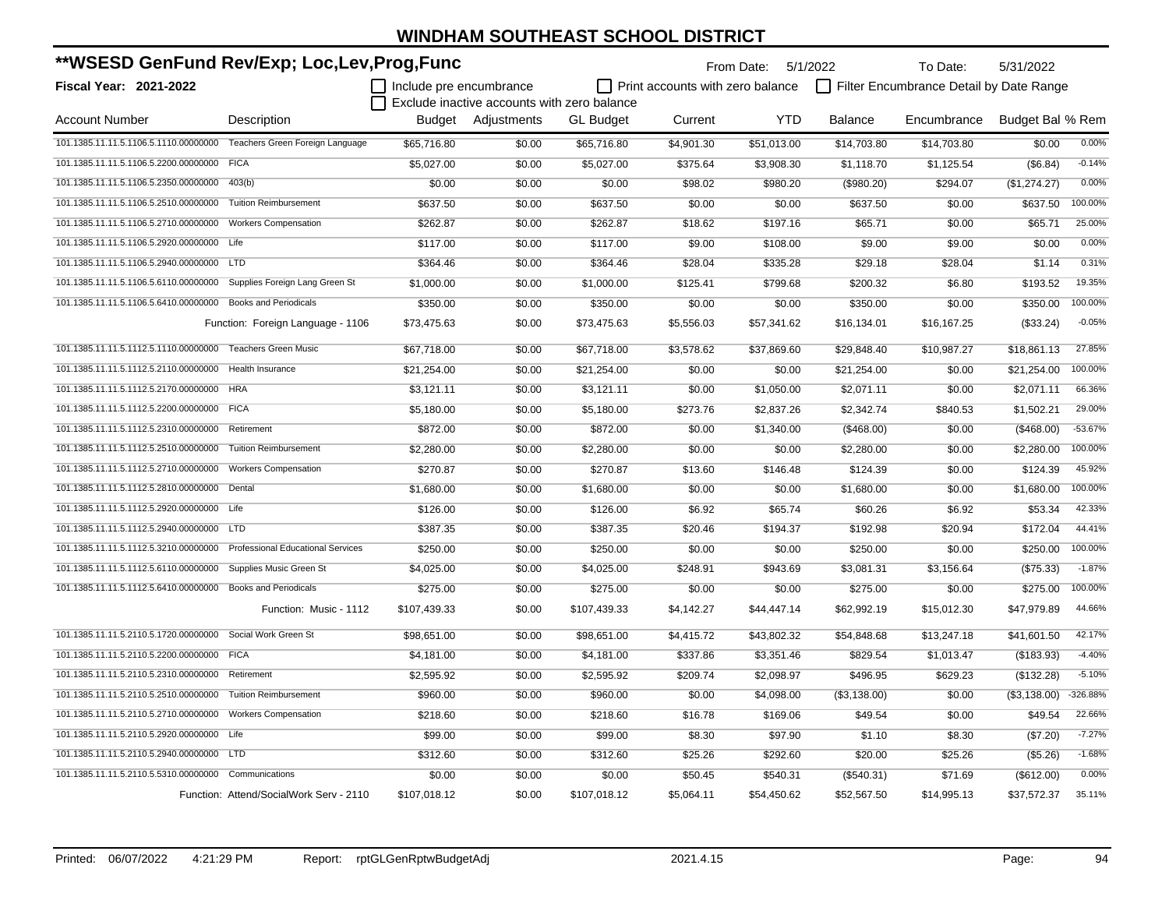| **WSESD GenFund Rev/Exp; Loc,Lev,Prog,Func                            |                                          |                         |                                             |                  |                                  | From Date: 5/1/2022 |                | To Date:                                | 5/31/2022        |           |
|-----------------------------------------------------------------------|------------------------------------------|-------------------------|---------------------------------------------|------------------|----------------------------------|---------------------|----------------|-----------------------------------------|------------------|-----------|
| Fiscal Year: 2021-2022                                                |                                          | Include pre encumbrance |                                             |                  | Print accounts with zero balance |                     |                | Filter Encumbrance Detail by Date Range |                  |           |
|                                                                       |                                          |                         | Exclude inactive accounts with zero balance |                  |                                  |                     |                |                                         |                  |           |
| <b>Account Number</b>                                                 | Description                              |                         | Budget Adjustments                          | <b>GL Budget</b> | Current                          | <b>YTD</b>          | <b>Balance</b> | Encumbrance                             | Budget Bal % Rem |           |
| 101.1385.11.11.5.1106.5.1110.00000000 Teachers Green Foreign Language |                                          | \$65,716.80             | \$0.00                                      | \$65,716.80      | \$4,901.30                       | \$51,013.00         | \$14,703.80    | \$14,703.80                             | \$0.00           | 0.00%     |
| 101.1385.11.11.5.1106.5.2200.00000000 FICA                            |                                          | \$5,027.00              | \$0.00                                      | \$5,027.00       | \$375.64                         | \$3,908.30          | \$1,118.70     | \$1,125.54                              | (\$6.84)         | $-0.14%$  |
| 101.1385.11.11.5.1106.5.2350.00000000 403(b)                          |                                          | \$0.00                  | \$0.00                                      | \$0.00           | \$98.02                          | \$980.20            | (\$980.20)     | \$294.07                                | (\$1,274.27)     | 0.00%     |
| 101.1385.11.11.5.1106.5.2510.00000000                                 | <b>Tuition Reimbursement</b>             | \$637.50                | \$0.00                                      | \$637.50         | \$0.00                           | \$0.00              | \$637.50       | \$0.00                                  | \$637.50         | 100.00%   |
| 101.1385.11.11.5.1106.5.2710.00000000 Workers Compensation            |                                          | \$262.87                | \$0.00                                      | \$262.87         | \$18.62                          | \$197.16            | \$65.71        | \$0.00                                  | \$65.71          | 25.00%    |
| 101.1385.11.11.5.1106.5.2920.00000000 Life                            |                                          | \$117.00                | \$0.00                                      | \$117.00         | \$9.00                           | \$108.00            | \$9.00         | \$9.00                                  | \$0.00           | 0.00%     |
| 101.1385.11.11.5.1106.5.2940.00000000 LTD                             |                                          | \$364.46                | \$0.00                                      | \$364.46         | \$28.04                          | \$335.28            | \$29.18        | \$28.04                                 | \$1.14           | 0.31%     |
| 101.1385.11.11.5.1106.5.6110.00000000 Supplies Foreign Lang Green St  |                                          | \$1,000.00              | \$0.00                                      | \$1,000.00       | \$125.41                         | \$799.68            | \$200.32       | \$6.80                                  | \$193.52         | 19.35%    |
| 101.1385.11.11.5.1106.5.6410.00000000 Books and Periodicals           |                                          | \$350.00                | \$0.00                                      | \$350.00         | \$0.00                           | \$0.00              | \$350.00       | \$0.00                                  | \$350.00         | 100.00%   |
|                                                                       | Function: Foreign Language - 1106        | \$73,475.63             | \$0.00                                      | \$73,475.63      | \$5,556.03                       | \$57,341.62         | \$16,134.01    | \$16,167.25                             | (\$33.24)        | $-0.05%$  |
| 101.1385.11.11.5.1112.5.1110.00000000                                 | <b>Teachers Green Music</b>              | \$67,718.00             | \$0.00                                      | \$67,718.00      | \$3,578.62                       | \$37,869.60         | \$29,848.40    | \$10,987.27                             | \$18,861.13      | 27.85%    |
| 101.1385.11.11.5.1112.5.2110.00000000                                 | Health Insurance                         | \$21,254.00             | \$0.00                                      | \$21,254.00      | \$0.00                           | \$0.00              | \$21,254.00    | \$0.00                                  | \$21,254.00      | 100.00%   |
| 101.1385.11.11.5.1112.5.2170.00000000                                 | <b>HRA</b>                               | \$3,121.11              | \$0.00                                      | \$3,121.11       | \$0.00                           | \$1,050.00          | \$2,071.11     | \$0.00                                  | \$2,071.11       | 66.36%    |
| 101.1385.11.11.5.1112.5.2200.00000000                                 | <b>FICA</b>                              | \$5,180.00              | \$0.00                                      | \$5,180.00       | \$273.76                         | \$2,837.26          | \$2,342.74     | \$840.53                                | \$1,502.21       | 29.00%    |
| 101.1385.11.11.5.1112.5.2310.00000000                                 | Retirement                               | \$872.00                | \$0.00                                      | \$872.00         | \$0.00                           | \$1,340.00          | (\$468.00)     | \$0.00                                  | (\$468.00)       | $-53.67%$ |
| 101.1385.11.11.5.1112.5.2510.00000000                                 | <b>Tuition Reimbursement</b>             | \$2,280.00              | \$0.00                                      | \$2,280.00       | \$0.00                           | \$0.00              | \$2,280.00     | \$0.00                                  | \$2,280.00       | 100.00%   |
| 101.1385.11.11.5.1112.5.2710.00000000                                 | <b>Workers Compensation</b>              | \$270.87                | \$0.00                                      | \$270.87         | \$13.60                          | \$146.48            | \$124.39       | \$0.00                                  | \$124.39         | 45.92%    |
| 101.1385.11.11.5.1112.5.2810.00000000                                 | Dental                                   | \$1,680.00              | \$0.00                                      | \$1,680.00       | \$0.00                           | \$0.00              | \$1,680.00     | \$0.00                                  | \$1,680.00       | 100.00%   |
| 101.1385.11.11.5.1112.5.2920.00000000 Life                            |                                          | \$126.00                | \$0.00                                      | \$126.00         | \$6.92                           | \$65.74             | \$60.26        | \$6.92                                  | \$53.34          | 42.33%    |
| 101.1385.11.11.5.1112.5.2940.00000000 LTD                             |                                          | \$387.35                | \$0.00                                      | \$387.35         | \$20.46                          | \$194.37            | \$192.98       | \$20.94                                 | \$172.04         | 44.41%    |
| 101.1385.11.11.5.1112.5.3210.00000000                                 | <b>Professional Educational Services</b> | \$250.00                | \$0.00                                      | \$250.00         | \$0.00                           | \$0.00              | \$250.00       | \$0.00                                  | \$250.00         | 100.00%   |
| 101.1385.11.11.5.1112.5.6110.00000000                                 | Supplies Music Green St                  | \$4,025.00              | \$0.00                                      | \$4,025.00       | \$248.91                         | \$943.69            | \$3,081.31     | \$3,156.64                              | (\$75.33)        | $-1.87%$  |
| 101.1385.11.11.5.1112.5.6410.00000000 Books and Periodicals           |                                          | \$275.00                | \$0.00                                      | \$275.00         | \$0.00                           | \$0.00              | \$275.00       | \$0.00                                  | \$275.00         | 100.00%   |
|                                                                       | Function: Music - 1112                   | \$107.439.33            | \$0.00                                      | \$107,439.33     | \$4,142.27                       | \$44,447.14         | \$62,992.19    | \$15,012.30                             | \$47,979.89      | 44.66%    |
| 101.1385.11.11.5.2110.5.1720.00000000                                 | Social Work Green St                     | \$98,651.00             | \$0.00                                      | \$98,651.00      | \$4,415.72                       | \$43,802.32         | \$54,848.68    | \$13,247.18                             | \$41,601.50      | 42.17%    |
| 101.1385.11.11.5.2110.5.2200.00000000 FICA                            |                                          | \$4,181.00              | \$0.00                                      | \$4,181.00       | \$337.86                         | \$3,351.46          | \$829.54       | \$1,013.47                              | ( \$183.93)      | $-4.40%$  |
| 101.1385.11.11.5.2110.5.2310.00000000                                 | Retirement                               | \$2,595.92              | \$0.00                                      | \$2,595.92       | \$209.74                         | \$2,098.97          | \$496.95       | \$629.23                                | (\$132.28)       | $-5.10%$  |
| 101.1385.11.11.5.2110.5.2510.00000000                                 | <b>Tuition Reimbursement</b>             | \$960.00                | \$0.00                                      | \$960.00         | \$0.00                           | \$4,098.00          | (\$3,138.00)   | \$0.00                                  | (\$3,138.00)     | -326.88%  |
| 101.1385.11.11.5.2110.5.2710.00000000 Workers Compensation            |                                          | \$218.60                | \$0.00                                      | \$218.60         | \$16.78                          | \$169.06            | \$49.54        | \$0.00                                  | \$49.54          | 22.66%    |
| 101.1385.11.11.5.2110.5.2920.00000000 Life                            |                                          | \$99.00                 | \$0.00                                      | \$99.00          | \$8.30                           | \$97.90             | \$1.10         | \$8.30                                  | (\$7.20)         | $-7.27%$  |
| 101.1385.11.11.5.2110.5.2940.00000000 LTD                             |                                          | \$312.60                | \$0.00                                      | \$312.60         | \$25.26                          | \$292.60            | \$20.00        | \$25.26                                 | (\$5.26)         | $-1.68%$  |
| 101.1385.11.11.5.2110.5.5310.00000000 Communications                  |                                          | \$0.00                  | \$0.00                                      | \$0.00           | \$50.45                          | \$540.31            | (\$540.31)     | \$71.69                                 | (\$612.00)       | 0.00%     |
|                                                                       | Function: Attend/SocialWork Serv - 2110  | \$107,018.12            | \$0.00                                      | \$107,018.12     | \$5,064.11                       | \$54,450.62         | \$52,567.50    | \$14,995.13                             | \$37,572.37      | 35.11%    |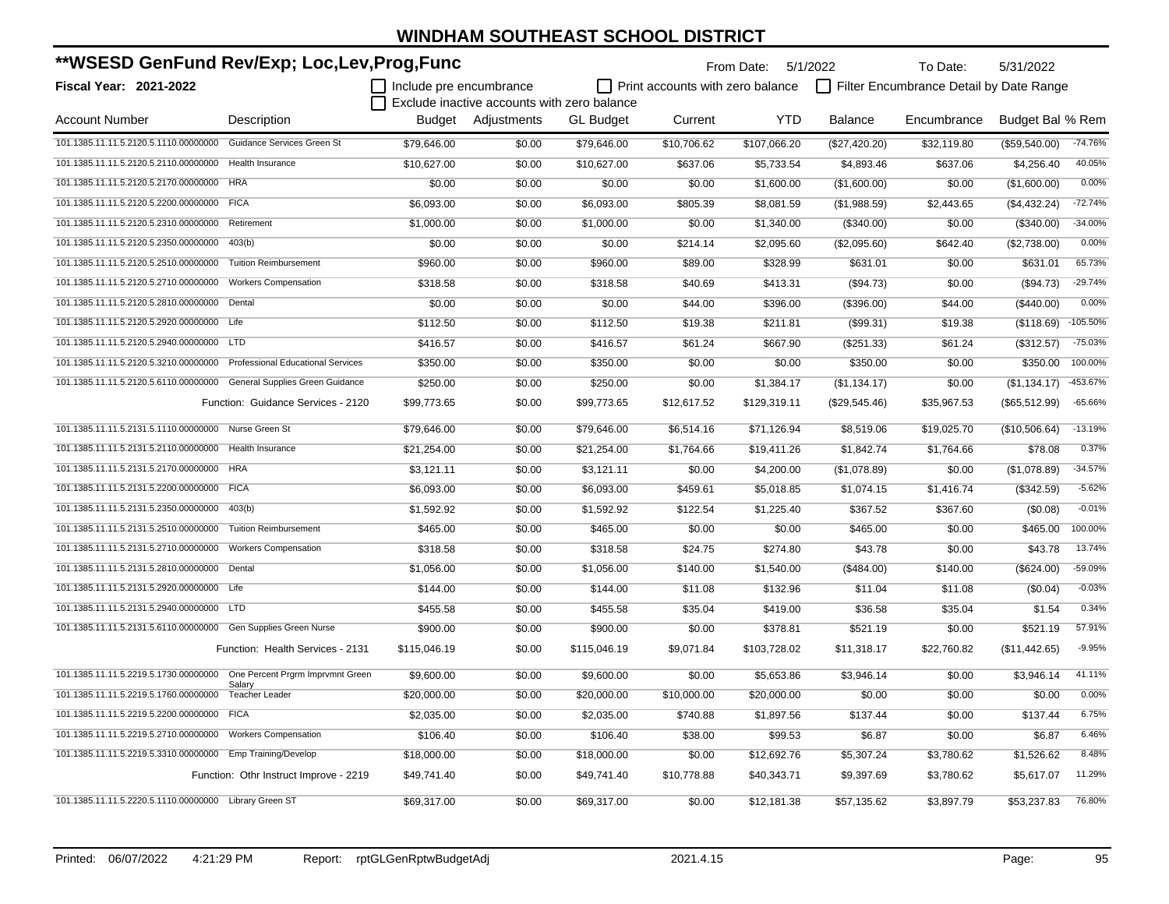| **WSESD GenFund Rev/Exp; Loc,Lev,Prog,Func                             |                                          |                         |                                             |                  | From Date: 5/1/2022                     |              | To Date:       | 5/31/2022                               |                  |            |
|------------------------------------------------------------------------|------------------------------------------|-------------------------|---------------------------------------------|------------------|-----------------------------------------|--------------|----------------|-----------------------------------------|------------------|------------|
| Fiscal Year: 2021-2022                                                 |                                          | Include pre encumbrance |                                             |                  | $\Box$ Print accounts with zero balance |              |                | Filter Encumbrance Detail by Date Range |                  |            |
|                                                                        |                                          |                         | Exclude inactive accounts with zero balance |                  |                                         |              |                |                                         |                  |            |
| <b>Account Number</b>                                                  | Description                              | Budget                  | Adjustments                                 | <b>GL Budget</b> | Current                                 | <b>YTD</b>   | <b>Balance</b> | Encumbrance                             | Budget Bal % Rem |            |
| 101.1385.11.11.5.2120.5.1110.00000000 Guidance Services Green St       |                                          | \$79.646.00             | \$0.00                                      | \$79,646.00      | \$10,706.62                             | \$107,066.20 | (\$27,420.20)  | \$32,119.80                             | (\$59,540.00)    | $-74.76%$  |
| 101.1385.11.11.5.2120.5.2110.00000000                                  | <b>Health Insurance</b>                  | \$10,627.00             | \$0.00                                      | \$10,627.00      | \$637.06                                | \$5,733.54   | \$4,893.46     | \$637.06                                | \$4,256.40       | 40.05%     |
| 101.1385.11.11.5.2120.5.2170.00000000 HRA                              |                                          | \$0.00                  | \$0.00                                      | \$0.00           | \$0.00                                  | \$1,600.00   | (\$1,600.00)   | \$0.00                                  | (\$1,600.00)     | 0.00%      |
| 101.1385.11.11.5.2120.5.2200.00000000 FICA                             |                                          | \$6,093.00              | \$0.00                                      | \$6,093.00       | \$805.39                                | \$8,081.59   | (\$1,988.59)   | \$2,443.65                              | (\$4,432.24)     | $-72.74%$  |
| 101.1385.11.11.5.2120.5.2310.00000000                                  | Retirement                               | \$1,000.00              | \$0.00                                      | \$1,000.00       | \$0.00                                  | \$1,340.00   | (\$340.00)     | \$0.00                                  | (\$340.00)       | $-34.00%$  |
| 101.1385.11.11.5.2120.5.2350.00000000                                  | 403(b)                                   | \$0.00                  | \$0.00                                      | \$0.00           | \$214.14                                | \$2,095.60   | (\$2,095.60)   | \$642.40                                | (\$2,738.00)     | 0.00%      |
| 101.1385.11.11.5.2120.5.2510.00000000                                  | <b>Tuition Reimbursement</b>             | \$960.00                | \$0.00                                      | \$960.00         | \$89.00                                 | \$328.99     | \$631.01       | \$0.00                                  | \$631.01         | 65.73%     |
| 101.1385.11.11.5.2120.5.2710.00000000                                  | <b>Workers Compensation</b>              | \$318.58                | \$0.00                                      | \$318.58         | \$40.69                                 | \$413.31     | (\$94.73)      | \$0.00                                  | (\$94.73)        | $-29.74%$  |
| 101.1385.11.11.5.2120.5.2810.00000000                                  | Dental                                   | \$0.00                  | \$0.00                                      | \$0.00           | \$44.00                                 | \$396.00     | (\$396.00)     | \$44.00                                 | (\$440.00)       | 0.00%      |
| 101.1385.11.11.5.2120.5.2920.00000000 Life                             |                                          | \$112.50                | \$0.00                                      | \$112.50         | \$19.38                                 | \$211.81     | (\$99.31)      | \$19.38                                 | (\$118.69)       | $-105.50%$ |
| 101.1385.11.11.5.2120.5.2940.00000000 LTD                              |                                          | \$416.57                | \$0.00                                      | \$416.57         | \$61.24                                 | \$667.90     | (\$251.33)     | \$61.24                                 | (\$312.57)       | $-75.03%$  |
| 101.1385.11.11.5.2120.5.3210.00000000                                  | <b>Professional Educational Services</b> | \$350.00                | \$0.00                                      | \$350.00         | \$0.00                                  | \$0.00       | \$350.00       | \$0.00                                  | \$350.00         | 100.00%    |
| 101.1385.11.11.5.2120.5.6110.00000000 General Supplies Green Guidance  |                                          | \$250.00                | \$0.00                                      | \$250.00         | \$0.00                                  | \$1,384.17   | (\$1,134.17)   | \$0.00                                  | (\$1,134.17)     | -453.67%   |
|                                                                        | Function: Guidance Services - 2120       | \$99,773.65             | \$0.00                                      | \$99,773.65      | \$12,617.52                             | \$129,319.11 | (\$29,545.46)  | \$35,967.53                             | (\$65,512.99)    | $-65.66%$  |
| 101.1385.11.11.5.2131.5.1110.00000000 Nurse Green St                   |                                          | \$79,646.00             | \$0.00                                      | \$79,646.00      | \$6,514.16                              | \$71,126.94  | \$8,519.06     | \$19,025.70                             | (\$10,506.64)    | $-13.19%$  |
| 101.1385.11.11.5.2131.5.2110.00000000 Health Insurance                 |                                          | \$21,254.00             | \$0.00                                      | \$21,254.00      | \$1,764.66                              | \$19,411.26  | \$1,842.74     | \$1,764.66                              | \$78.08          | 0.37%      |
| 101.1385.11.11.5.2131.5.2170.00000000 HRA                              |                                          | \$3,121.11              | \$0.00                                      | \$3,121.11       | \$0.00                                  | \$4,200.00   | (\$1,078.89)   | \$0.00                                  | (\$1,078.89)     | $-34.57%$  |
| 101.1385.11.11.5.2131.5.2200.00000000 FICA                             |                                          | \$6,093.00              | \$0.00                                      | \$6,093.00       | \$459.61                                | \$5,018.85   | \$1,074.15     | \$1,416.74                              | (\$342.59)       | $-5.62%$   |
| 101.1385.11.11.5.2131.5.2350.00000000 403(b)                           |                                          | \$1,592.92              | \$0.00                                      | \$1,592.92       | \$122.54                                | \$1,225.40   | \$367.52       | \$367.60                                | (\$0.08)         | $-0.01%$   |
| 101.1385.11.11.5.2131.5.2510.00000000 Tuition Reimbursement            |                                          | \$465.00                | \$0.00                                      | \$465.00         | \$0.00                                  | \$0.00       | \$465.00       | \$0.00                                  | \$465.00         | 100.00%    |
| 101.1385.11.11.5.2131.5.2710.00000000 Workers Compensation             |                                          | \$318.58                | \$0.00                                      | \$318.58         | \$24.75                                 | \$274.80     | \$43.78        | \$0.00                                  | \$43.78          | 13.74%     |
| 101.1385.11.11.5.2131.5.2810.00000000 Dental                           |                                          | \$1,056.00              | \$0.00                                      | \$1,056.00       | \$140.00                                | \$1,540.00   | (\$484.00)     | \$140.00                                | (\$624.00)       | -59.09%    |
| 101.1385.11.11.5.2131.5.2920.00000000 Life                             |                                          | \$144.00                | \$0.00                                      | \$144.00         | \$11.08                                 | \$132.96     | \$11.04        | \$11.08                                 | (\$0.04)         | $-0.03%$   |
| 101.1385.11.11.5.2131.5.2940.00000000 LTD                              |                                          | \$455.58                | \$0.00                                      | \$455.58         | \$35.04                                 | \$419.00     | \$36.58        | \$35.04                                 | \$1.54           | 0.34%      |
| 101.1385.11.11.5.2131.5.6110.00000000                                  | Gen Supplies Green Nurse                 | \$900.00                | \$0.00                                      | \$900.00         | \$0.00                                  | \$378.81     | \$521.19       | \$0.00                                  | \$521.19         | 57.91%     |
|                                                                        | Function: Health Services - 2131         | \$115,046.19            | \$0.00                                      | \$115,046.19     | \$9,071.84                              | \$103,728.02 | \$11,318.17    | \$22,760.82                             | (\$11,442.65)    | $-9.95%$   |
| 101.1385.11.11.5.2219.5.1730.00000000 One Percent Prgrm Imprvmnt Green |                                          | \$9,600.00              | \$0.00                                      | \$9,600.00       | \$0.00                                  | \$5,653.86   | \$3,946.14     | \$0.00                                  | \$3,946.14       | 41.11%     |
| 101.1385.11.11.5.2219.5.1760.00000000                                  | Salarv<br><b>Teacher Leader</b>          | \$20,000.00             | \$0.00                                      | \$20,000.00      | \$10,000.00                             | \$20,000.00  | \$0.00         | \$0.00                                  | \$0.00           | 0.00%      |
| 101.1385.11.11.5.2219.5.2200.00000000 FICA                             |                                          | \$2,035.00              | \$0.00                                      | \$2,035.00       | \$740.88                                | \$1,897.56   | \$137.44       | \$0.00                                  | \$137.44         | 6.75%      |
| 101.1385.11.11.5.2219.5.2710.00000000                                  | <b>Workers Compensation</b>              | \$106.40                | \$0.00                                      | \$106.40         | \$38.00                                 | \$99.53      | \$6.87         | \$0.00                                  | \$6.87           | 6.46%      |
| 101.1385.11.11.5.2219.5.3310.00000000 Emp Training/Develop             |                                          | \$18,000.00             | \$0.00                                      | \$18,000.00      | \$0.00                                  | \$12,692.76  | \$5,307.24     | \$3,780.62                              | \$1,526.62       | 8.48%      |
|                                                                        | Function: Othr Instruct Improve - 2219   | \$49,741.40             | \$0.00                                      | \$49,741.40      | \$10,778.88                             | \$40,343.71  | \$9,397.69     | \$3,780.62                              | \$5,617.07       | 11.29%     |
| 101.1385.11.11.5.2220.5.1110.00000000 Library Green ST                 |                                          | \$69,317.00             | \$0.00                                      | \$69.317.00      | \$0.00                                  | \$12,181.38  | \$57.135.62    | \$3.897.79                              | \$53,237.83      | 76.80%     |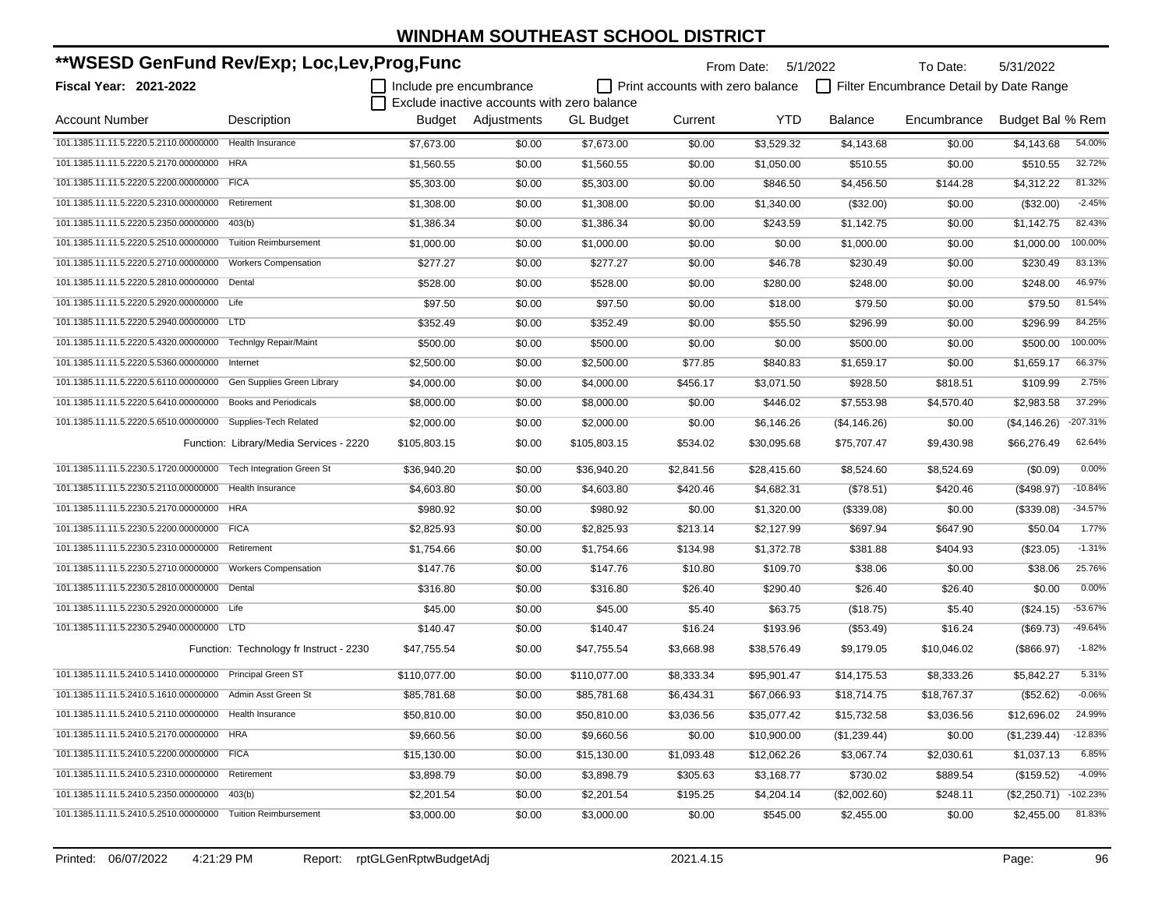| **WSESD GenFund Rev/Exp; Loc,Lev,Prog,Func                  |                                         |                         |                                             | From Date: 5/1/2022 |                                  | To Date:    | 5/31/2022      |                                         |                  |            |
|-------------------------------------------------------------|-----------------------------------------|-------------------------|---------------------------------------------|---------------------|----------------------------------|-------------|----------------|-----------------------------------------|------------------|------------|
| <b>Fiscal Year: 2021-2022</b>                               |                                         | Include pre encumbrance |                                             |                     | Print accounts with zero balance |             |                | Filter Encumbrance Detail by Date Range |                  |            |
|                                                             |                                         |                         | Exclude inactive accounts with zero balance |                     |                                  |             |                |                                         |                  |            |
| Account Number                                              | Description                             |                         | Budget Adjustments                          | <b>GL Budget</b>    | Current                          | <b>YTD</b>  | <b>Balance</b> | Encumbrance                             | Budget Bal % Rem |            |
| 101.1385.11.11.5.2220.5.2110.00000000                       | <b>Health Insurance</b>                 | \$7,673.00              | \$0.00                                      | \$7.673.00          | \$0.00                           | \$3,529.32  | \$4,143.68     | \$0.00                                  | \$4,143.68       | 54.00%     |
| 101.1385.11.11.5.2220.5.2170.00000000                       | <b>HRA</b>                              | \$1,560.55              | \$0.00                                      | \$1,560.55          | \$0.00                           | \$1,050.00  | \$510.55       | \$0.00                                  | \$510.55         | 32.72%     |
| 101.1385.11.11.5.2220.5.2200.00000000                       | <b>FICA</b>                             | \$5,303.00              | \$0.00                                      | \$5,303.00          | \$0.00                           | \$846.50    | \$4,456.50     | \$144.28                                | \$4,312.22       | 81.32%     |
| 101.1385.11.11.5.2220.5.2310.00000000                       | Retirement                              | \$1,308.00              | \$0.00                                      | \$1,308.00          | \$0.00                           | \$1,340.00  | (\$32.00)      | \$0.00                                  | (\$32.00)        | $-2.45%$   |
| 101.1385.11.11.5.2220.5.2350.00000000                       | 403(b)                                  | \$1,386.34              | \$0.00                                      | \$1,386.34          | \$0.00                           | \$243.59    | \$1,142.75     | \$0.00                                  | \$1,142.75       | 82.43%     |
| 101.1385.11.11.5.2220.5.2510.00000000                       | <b>Tuition Reimbursement</b>            | \$1,000.00              | \$0.00                                      | \$1,000.00          | \$0.00                           | \$0.00      | \$1,000.00     | \$0.00                                  | \$1,000.00       | 100.00%    |
| 101.1385.11.11.5.2220.5.2710.00000000                       | <b>Workers Compensation</b>             | \$277.27                | \$0.00                                      | \$277.27            | \$0.00                           | \$46.78     | \$230.49       | \$0.00                                  | \$230.49         | 83.13%     |
| 101.1385.11.11.5.2220.5.2810.00000000                       | Dental                                  | \$528.00                | \$0.00                                      | \$528.00            | \$0.00                           | \$280.00    | \$248.00       | \$0.00                                  | \$248.00         | 46.97%     |
| 101.1385.11.11.5.2220.5.2920.00000000 Life                  |                                         | \$97.50                 | \$0.00                                      | \$97.50             | \$0.00                           | \$18.00     | \$79.50        | \$0.00                                  | \$79.50          | 81.54%     |
| 101.1385.11.11.5.2220.5.2940.00000000 LTD                   |                                         | \$352.49                | \$0.00                                      | \$352.49            | \$0.00                           | \$55.50     | \$296.99       | \$0.00                                  | \$296.99         | 84.25%     |
| 101.1385.11.11.5.2220.5.4320.00000000                       | Technigy Repair/Maint                   | \$500.00                | \$0.00                                      | \$500.00            | \$0.00                           | \$0.00      | \$500.00       | \$0.00                                  | \$500.00         | 100.00%    |
| 101.1385.11.11.5.2220.5.5360.00000000                       | Internet                                | \$2,500.00              | \$0.00                                      | \$2,500.00          | \$77.85                          | \$840.83    | \$1,659.17     | \$0.00                                  | \$1,659.17       | 66.37%     |
| 101.1385.11.11.5.2220.5.6110.00000000                       | Gen Supplies Green Library              | \$4,000.00              | \$0.00                                      | \$4,000.00          | \$456.17                         | \$3,071.50  | \$928.50       | \$818.51                                | \$109.99         | 2.75%      |
| 101.1385.11.11.5.2220.5.6410.00000000                       | <b>Books and Periodicals</b>            | \$8,000.00              | \$0.00                                      | \$8,000.00          | \$0.00                           | \$446.02    | \$7,553.98     | \$4,570.40                              | \$2,983.58       | 37.29%     |
| 101.1385.11.11.5.2220.5.6510.00000000                       | Supplies-Tech Related                   | \$2,000.00              | \$0.00                                      | \$2,000.00          | \$0.00                           | \$6,146.26  | (\$4,146.26)   | \$0.00                                  | (\$4,146.26)     | -207.31%   |
|                                                             | Function: Library/Media Services - 2220 | \$105,803.15            | \$0.00                                      | \$105,803.15        | \$534.02                         | \$30,095.68 | \$75,707.47    | \$9,430.98                              | \$66,276.49      | 62.64%     |
| 101.1385.11.11.5.2230.5.1720.00000000                       | <b>Tech Integration Green St</b>        | \$36,940.20             | \$0.00                                      | \$36,940.20         | \$2,841.56                       | \$28,415.60 | \$8,524.60     | \$8,524.69                              | (\$0.09)         | 0.00%      |
| 101.1385.11.11.5.2230.5.2110.00000000                       | Health Insurance                        | \$4,603.80              | \$0.00                                      | \$4,603.80          | \$420.46                         | \$4,682.31  | (\$78.51)      | \$420.46                                | (\$498.97)       | $-10.84%$  |
| 101.1385.11.11.5.2230.5.2170.00000000                       | <b>HRA</b>                              | \$980.92                | \$0.00                                      | \$980.92            | \$0.00                           | \$1,320.00  | (\$339.08)     | \$0.00                                  | (\$339.08)       | $-34.57%$  |
| 101.1385.11.11.5.2230.5.2200.00000000                       | <b>FICA</b>                             | \$2,825.93              | \$0.00                                      | \$2,825.93          | \$213.14                         | \$2,127.99  | \$697.94       | \$647.90                                | \$50.04          | 1.77%      |
| 101.1385.11.11.5.2230.5.2310.00000000                       | Retirement                              | \$1,754.66              | \$0.00                                      | \$1,754.66          | \$134.98                         | \$1,372.78  | \$381.88       | \$404.93                                | (\$23.05)        | $-1.31%$   |
| 101.1385.11.11.5.2230.5.2710.00000000                       | <b>Workers Compensation</b>             | \$147.76                | \$0.00                                      | \$147.76            | \$10.80                          | \$109.70    | \$38.06        | \$0.00                                  | \$38.06          | 25.76%     |
| 101.1385.11.11.5.2230.5.2810.00000000                       | Dental                                  | \$316.80                | \$0.00                                      | \$316.80            | \$26.40                          | \$290.40    | \$26.40        | \$26.40                                 | \$0.00           | 0.00%      |
| 101.1385.11.11.5.2230.5.2920.00000000 Life                  |                                         | \$45.00                 | \$0.00                                      | \$45.00             | \$5.40                           | \$63.75     | (\$18.75)      | \$5.40                                  | (\$24.15)        | $-53.67%$  |
| 101.1385.11.11.5.2230.5.2940.00000000 LTD                   |                                         | \$140.47                | \$0.00                                      | \$140.47            | \$16.24                          | \$193.96    | (\$53.49)      | \$16.24                                 | (\$69.73)        | -49.64%    |
|                                                             | Function: Technology fr Instruct - 2230 | \$47,755.54             | \$0.00                                      | \$47,755.54         | \$3,668.98                       | \$38,576.49 | \$9,179.05     | \$10,046.02                             | (\$866.97)       | $-1.82%$   |
| 101.1385.11.11.5.2410.5.1410.00000000 Principal Green ST    |                                         | \$110,077.00            | \$0.00                                      | \$110,077.00        | \$8,333.34                       | \$95,901.47 | \$14,175.53    | \$8,333.26                              | \$5,842.27       | 5.31%      |
| 101.1385.11.11.5.2410.5.1610.00000000 Admin Asst Green St   |                                         | \$85,781.68             | \$0.00                                      | \$85.781.68         | \$6,434.31                       | \$67,066.93 | \$18,714.75    | \$18,767.37                             | (\$52.62)        | $-0.06%$   |
| 101.1385.11.11.5.2410.5.2110.00000000 Health Insurance      |                                         | \$50,810.00             | \$0.00                                      | \$50,810.00         | \$3,036.56                       | \$35,077.42 | \$15,732.58    | \$3,036.56                              | \$12,696.02      | 24.99%     |
| 101.1385.11.11.5.2410.5.2170.00000000 HRA                   |                                         | \$9,660.56              | \$0.00                                      | \$9,660.56          | \$0.00                           | \$10,900.00 | (\$1,239.44)   | \$0.00                                  | (\$1,239.44)     | $-12.83%$  |
| 101.1385.11.11.5.2410.5.2200.00000000 FICA                  |                                         | \$15,130.00             | \$0.00                                      | \$15,130.00         | \$1,093.48                       | \$12,062.26 | \$3,067.74     | \$2,030.61                              | \$1,037.13       | 6.85%      |
| 101.1385.11.11.5.2410.5.2310.00000000                       | Retirement                              | \$3,898.79              | \$0.00                                      | \$3,898.79          | \$305.63                         | \$3,168.77  | \$730.02       | \$889.54                                | (\$159.52)       | $-4.09%$   |
| 101.1385.11.11.5.2410.5.2350.00000000 403(b)                |                                         | \$2,201.54              | \$0.00                                      | \$2,201.54          | \$195.25                         | \$4,204.14  | (\$2,002.60)   | \$248.11                                | (\$2,250.71)     | $-102.23%$ |
| 101.1385.11.11.5.2410.5.2510.00000000 Tuition Reimbursement |                                         | \$3,000.00              | \$0.00                                      | \$3,000.00          | \$0.00                           | \$545.00    | \$2,455.00     | \$0.00                                  | \$2,455.00       | 81.83%     |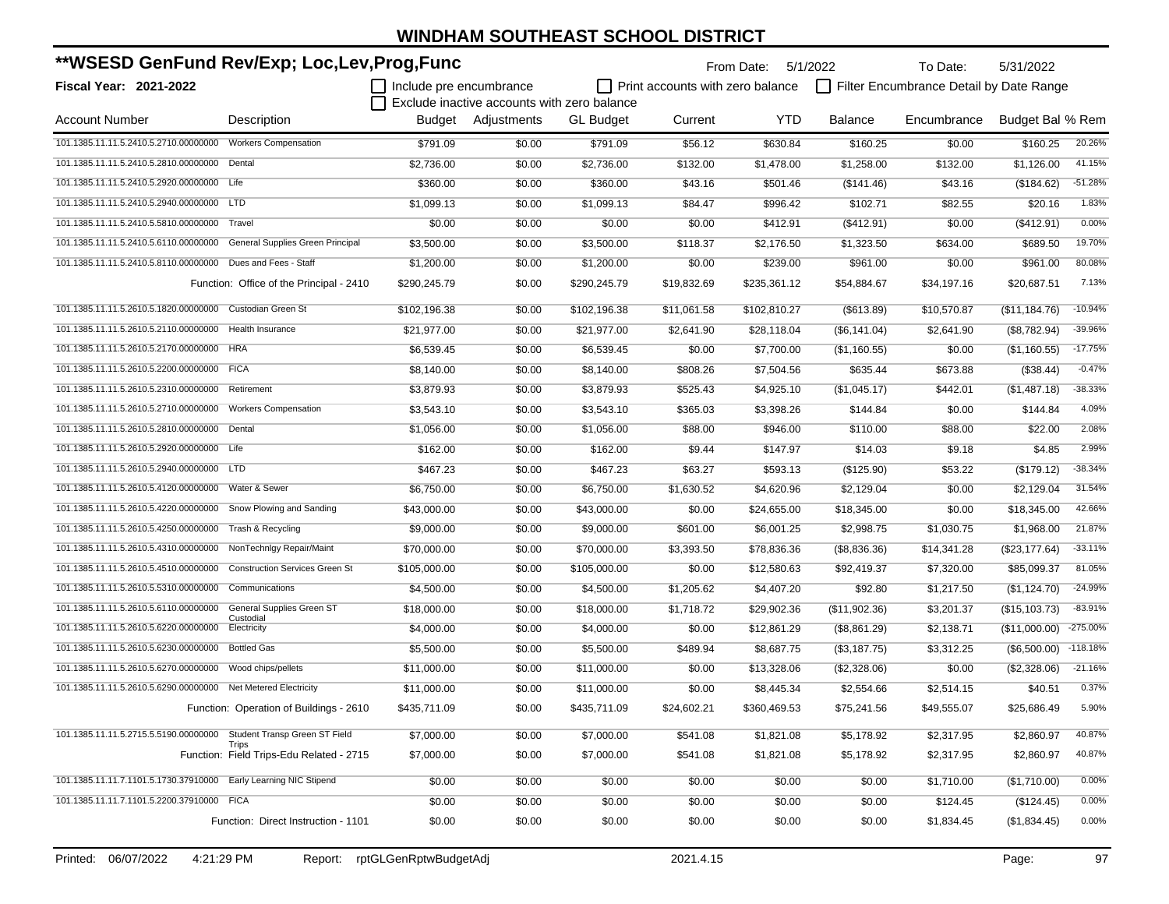| **WSESD GenFund Rev/Exp; Loc,Lev,Prog,Func                          |                                          |                           |                                             | From Date:       | 5/1/2022                                | To Date:     | 5/31/2022      |                                         |                  |            |
|---------------------------------------------------------------------|------------------------------------------|---------------------------|---------------------------------------------|------------------|-----------------------------------------|--------------|----------------|-----------------------------------------|------------------|------------|
| <b>Fiscal Year: 2021-2022</b>                                       |                                          | I Include pre encumbrance |                                             |                  | $\Box$ Print accounts with zero balance |              |                | Filter Encumbrance Detail by Date Range |                  |            |
|                                                                     |                                          |                           | Exclude inactive accounts with zero balance |                  |                                         |              |                |                                         |                  |            |
| Account Number                                                      | Description                              |                           | Budget Adjustments                          | <b>GL</b> Budget | Current                                 | <b>YTD</b>   | <b>Balance</b> | Encumbrance                             | Budget Bal % Rem |            |
| 101.1385.11.11.5.2410.5.2710.00000000                               | <b>Workers Compensation</b>              | \$791.09                  | \$0.00                                      | \$791.09         | \$56.12                                 | \$630.84     | \$160.25       | \$0.00                                  | \$160.25         | 20.26%     |
| 101.1385.11.11.5.2410.5.2810.00000000                               | Dental                                   | \$2,736.00                | \$0.00                                      | \$2,736.00       | \$132.00                                | \$1,478.00   | \$1,258.00     | \$132.00                                | \$1,126.00       | 41.15%     |
| 101.1385.11.11.5.2410.5.2920.00000000 Life                          |                                          | \$360.00                  | \$0.00                                      | \$360.00         | \$43.16                                 | \$501.46     | (\$141.46)     | \$43.16                                 | (\$184.62)       | $-51.28%$  |
| 101.1385.11.11.5.2410.5.2940.00000000                               | <b>LTD</b>                               | \$1,099.13                | \$0.00                                      | \$1,099.13       | \$84.47                                 | \$996.42     | \$102.71       | \$82.55                                 | \$20.16          | 1.83%      |
| 101.1385.11.11.5.2410.5.5810.00000000 Travel                        |                                          | \$0.00                    | \$0.00                                      | \$0.00           | \$0.00                                  | \$412.91     | (\$412.91)     | \$0.00                                  | (\$412.91)       | 0.00%      |
| 101.1385.11.11.5.2410.5.6110.00000000                               | General Supplies Green Principal         | \$3,500.00                | \$0.00                                      | \$3,500.00       | \$118.37                                | \$2,176.50   | \$1,323.50     | \$634.00                                | \$689.50         | 19.70%     |
| 101.1385.11.11.5.2410.5.8110.00000000 Dues and Fees - Staff         |                                          | \$1,200.00                | \$0.00                                      | \$1,200.00       | \$0.00                                  | \$239.00     | \$961.00       | \$0.00                                  | \$961.00         | 80.08%     |
|                                                                     | Function: Office of the Principal - 2410 | \$290,245.79              | \$0.00                                      | \$290,245.79     | \$19,832.69                             | \$235,361.12 | \$54,884.67    | \$34,197.16                             | \$20,687.51      | 7.13%      |
| 101.1385.11.11.5.2610.5.1820.00000000                               | Custodian Green St                       | \$102,196.38              | \$0.00                                      | \$102,196.38     | \$11,061.58                             | \$102,810.27 | (\$613.89)     | \$10,570.87                             | (\$11,184.76)    | $-10.94%$  |
| 101.1385.11.11.5.2610.5.2110.00000000                               | Health Insurance                         | \$21,977.00               | \$0.00                                      | \$21,977.00      | \$2,641.90                              | \$28,118.04  | (\$6,141.04)   | \$2,641.90                              | (\$8,782.94)     | $-39.96%$  |
| 101.1385.11.11.5.2610.5.2170.00000000                               | <b>HRA</b>                               | \$6,539.45                | \$0.00                                      | \$6,539.45       | \$0.00                                  | \$7,700.00   | (\$1,160.55)   | \$0.00                                  | (\$1,160.55)     | $-17.75%$  |
| 101.1385.11.11.5.2610.5.2200.00000000                               | <b>FICA</b>                              | \$8,140.00                | \$0.00                                      | \$8,140.00       | \$808.26                                | \$7,504.56   | \$635.44       | \$673.88                                | (\$38.44)        | $-0.47%$   |
| 101.1385.11.11.5.2610.5.2310.00000000                               | Retirement                               | \$3,879.93                | \$0.00                                      | \$3,879.93       | \$525.43                                | \$4,925.10   | (\$1,045.17)   | \$442.01                                | (\$1,487.18)     | -38.33%    |
| 101.1385.11.11.5.2610.5.2710.00000000                               | <b>Workers Compensation</b>              | \$3,543.10                | \$0.00                                      | \$3,543.10       | \$365.03                                | \$3,398.26   | \$144.84       | \$0.00                                  | \$144.84         | 4.09%      |
| 101.1385.11.11.5.2610.5.2810.00000000                               | Dental                                   | \$1,056.00                | \$0.00                                      | \$1,056.00       | \$88.00                                 | \$946.00     | \$110.00       | \$88.00                                 | \$22.00          | 2.08%      |
| 101.1385.11.11.5.2610.5.2920.00000000 Life                          |                                          | \$162.00                  | \$0.00                                      | \$162.00         | \$9.44                                  | \$147.97     | \$14.03        | \$9.18                                  | \$4.85           | 2.99%      |
| 101.1385.11.11.5.2610.5.2940.00000000 LTD                           |                                          | \$467.23                  | \$0.00                                      | \$467.23         | \$63.27                                 | \$593.13     | (\$125.90)     | \$53.22                                 | (\$179.12)       | -38.34%    |
| 101.1385.11.11.5.2610.5.4120.00000000                               | Water & Sewer                            | \$6,750.00                | \$0.00                                      | \$6,750.00       | \$1,630.52                              | \$4,620.96   | \$2,129.04     | \$0.00                                  | \$2,129.04       | 31.54%     |
| 101.1385.11.11.5.2610.5.4220.00000000                               | Snow Plowing and Sanding                 | \$43,000.00               | \$0.00                                      | \$43,000.00      | \$0.00                                  | \$24,655.00  | \$18,345.00    | \$0.00                                  | \$18,345.00      | 42.66%     |
| 101.1385.11.11.5.2610.5.4250.00000000                               | Trash & Recycling                        | \$9,000.00                | \$0.00                                      | \$9,000.00       | \$601.00                                | \$6,001.25   | \$2,998.75     | \$1,030.75                              | \$1,968.00       | 21.87%     |
| 101.1385.11.11.5.2610.5.4310.00000000                               | NonTechnigy Repair/Maint                 | \$70,000.00               | \$0.00                                      | \$70,000.00      | \$3,393.50                              | \$78,836.36  | (\$8,836.36)   | \$14,341.28                             | (\$23,177.64)    | $-33.11%$  |
| 101.1385.11.11.5.2610.5.4510.00000000                               | <b>Construction Services Green St</b>    | \$105,000.00              | \$0.00                                      | \$105,000.00     | \$0.00                                  | \$12,580.63  | \$92,419.37    | \$7,320.00                              | \$85,099.37      | 81.05%     |
| 101.1385.11.11.5.2610.5.5310.00000000                               | Communications                           | \$4,500.00                | \$0.00                                      | \$4,500.00       | \$1,205.62                              | \$4,407.20   | \$92.80        | \$1,217.50                              | (\$1,124.70)     | $-24.99%$  |
| 101.1385.11.11.5.2610.5.6110.00000000                               | General Supplies Green ST<br>Custodial   | \$18,000.00               | \$0.00                                      | \$18,000.00      | \$1,718.72                              | \$29,902.36  | (\$11,902.36)  | \$3,201.37                              | (\$15,103.73)    | $-83.91%$  |
| 101.1385.11.11.5.2610.5.6220.00000000                               | Electricity                              | \$4,000.00                | \$0.00                                      | \$4,000.00       | \$0.00                                  | \$12,861.29  | (\$8,861.29)   | \$2,138.71                              | (\$11,000.00)    | $-275.00%$ |
| 101.1385.11.11.5.2610.5.6230.00000000                               | <b>Bottled Gas</b>                       | \$5,500.00                | \$0.00                                      | \$5,500.00       | \$489.94                                | \$8.687.75   | (\$3,187.75)   | \$3,312.25                              | (\$6,500.00)     | $-118.18%$ |
| 101.1385.11.11.5.2610.5.6270.00000000                               | Wood chips/pellets                       | \$11,000.00               | \$0.00                                      | \$11,000.00      | \$0.00                                  | \$13,328.06  | (\$2,328.06)   | \$0.00                                  | (\$2,328.06)     | $-21.16%$  |
| 101.1385.11.11.5.2610.5.6290.00000000 Net Metered Electricity       |                                          | \$11,000.00               | \$0.00                                      | \$11,000.00      | \$0.00                                  | \$8,445.34   | \$2,554.66     | \$2,514.15                              | \$40.51          | 0.37%      |
|                                                                     | Function: Operation of Buildings - 2610  | \$435,711.09              | \$0.00                                      | \$435,711.09     | \$24,602.21                             | \$360,469.53 | \$75,241.56    | \$49,555.07                             | \$25.686.49      | 5.90%      |
| 101.1385.11.11.5.2715.5.5190.00000000 Student Transp Green ST Field | Trips                                    | \$7,000.00                | \$0.00                                      | \$7,000.00       | \$541.08                                | \$1,821.08   | \$5,178.92     | \$2,317.95                              | \$2,860.97       | 40.87%     |
|                                                                     | Function: Field Trips-Edu Related - 2715 | \$7,000.00                | \$0.00                                      | \$7,000.00       | \$541.08                                | \$1,821.08   | \$5,178.92     | \$2,317.95                              | \$2,860.97       | 40.87%     |
| 101.1385.11.11.7.1101.5.1730.37910000 Early Learning NIC Stipend    |                                          | \$0.00                    | \$0.00                                      | \$0.00           | \$0.00                                  | \$0.00       | \$0.00         | \$1,710.00                              | (\$1,710.00)     | 0.00%      |
| 101.1385.11.11.7.1101.5.2200.37910000 FICA                          |                                          | \$0.00                    | \$0.00                                      | \$0.00           | \$0.00                                  | \$0.00       | \$0.00         | \$124.45                                | (\$124.45)       | 0.00%      |
|                                                                     | Function: Direct Instruction - 1101      | \$0.00                    | \$0.00                                      | \$0.00           | \$0.00                                  | \$0.00       | \$0.00         | \$1,834.45                              | (\$1,834.45)     | 0.00%      |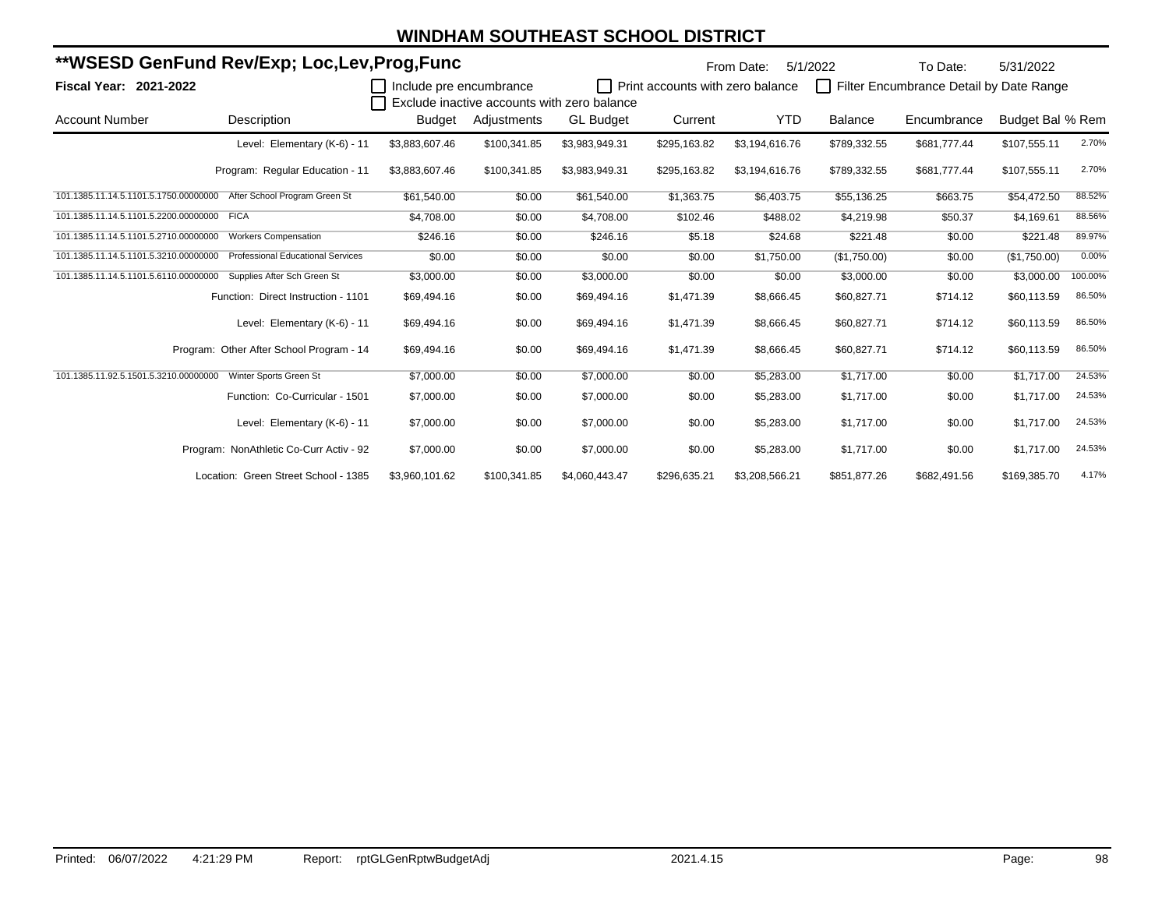|                                            | **WSESD GenFund Rev/Exp; Loc,Lev,Prog,Func |                           |              |                                             |                                  | From Date:     | 5/1/2022       | To Date:                                | 5/31/2022        |         |
|--------------------------------------------|--------------------------------------------|---------------------------|--------------|---------------------------------------------|----------------------------------|----------------|----------------|-----------------------------------------|------------------|---------|
| <b>Fiscal Year: 2021-2022</b>              |                                            | I Include pre encumbrance |              |                                             | Print accounts with zero balance |                | $\Box$         | Filter Encumbrance Detail by Date Range |                  |         |
|                                            |                                            |                           |              | Exclude inactive accounts with zero balance |                                  |                |                |                                         |                  |         |
| <b>Account Number</b>                      | Description                                | Budget                    | Adjustments  | <b>GL Budget</b>                            | Current                          | YTD            | <b>Balance</b> | Encumbrance                             | Budget Bal % Rem |         |
|                                            | Level: Elementary (K-6) - 11               | \$3,883,607.46            | \$100,341.85 | \$3,983,949.31                              | \$295,163.82                     | \$3,194,616.76 | \$789,332.55   | \$681,777.44                            | \$107,555.11     | 2.70%   |
|                                            | Program: Regular Education - 11            | \$3,883,607.46            | \$100,341.85 | \$3,983,949.31                              | \$295,163.82                     | \$3,194,616.76 | \$789,332.55   | \$681,777.44                            | \$107,555.11     | 2.70%   |
| 101.1385.11.14.5.1101.5.1750.00000000      | After School Program Green St              | \$61,540.00               | \$0.00       | \$61,540.00                                 | \$1,363.75                       | \$6,403.75     | \$55,136.25    | \$663.75                                | \$54,472.50      | 88.52%  |
| 101.1385.11.14.5.1101.5.2200.00000000 FICA |                                            | \$4,708.00                | \$0.00       | \$4,708.00                                  | \$102.46                         | \$488.02       | \$4,219.98     | \$50.37                                 | \$4,169.61       | 88.56%  |
| 101.1385.11.14.5.1101.5.2710.00000000      | <b>Workers Compensation</b>                | \$246.16                  | \$0.00       | \$246.16                                    | \$5.18                           | \$24.68        | \$221.48       | \$0.00                                  | \$221.48         | 89.97%  |
| 101.1385.11.14.5.1101.5.3210.00000000      | <b>Professional Educational Services</b>   | \$0.00                    | \$0.00       | \$0.00                                      | \$0.00                           | \$1,750.00     | (\$1,750.00)   | \$0.00                                  | (\$1,750.00)     | 0.00%   |
| 101.1385.11.14.5.1101.5.6110.00000000      | Supplies After Sch Green St                | \$3,000.00                | \$0.00       | \$3,000.00                                  | \$0.00                           | \$0.00         | \$3,000.00     | \$0.00                                  | \$3,000.00       | 100.00% |
|                                            | Function: Direct Instruction - 1101        | \$69,494.16               | \$0.00       | \$69,494.16                                 | \$1,471.39                       | \$8,666.45     | \$60,827.71    | \$714.12                                | \$60,113.59      | 86.50%  |
|                                            | Level: Elementary (K-6) - 11               | \$69,494.16               | \$0.00       | \$69,494.16                                 | \$1,471.39                       | \$8,666.45     | \$60,827.71    | \$714.12                                | \$60,113.59      | 86.50%  |
|                                            | Program: Other After School Program - 14   | \$69,494.16               | \$0.00       | \$69,494.16                                 | \$1,471.39                       | \$8,666.45     | \$60,827.71    | \$714.12                                | \$60,113.59      | 86.50%  |
| 101.1385.11.92.5.1501.5.3210.00000000      | Winter Sports Green St                     | \$7,000.00                | \$0.00       | \$7,000.00                                  | \$0.00                           | \$5,283.00     | \$1,717.00     | \$0.00                                  | \$1,717.00       | 24.53%  |
|                                            | Function: Co-Curricular - 1501             | \$7,000.00                | \$0.00       | \$7,000.00                                  | \$0.00                           | \$5,283.00     | \$1,717.00     | \$0.00                                  | \$1,717.00       | 24.53%  |
|                                            | Level: Elementary (K-6) - 11               | \$7,000.00                | \$0.00       | \$7,000.00                                  | \$0.00                           | \$5,283.00     | \$1,717.00     | \$0.00                                  | \$1,717.00       | 24.53%  |
|                                            | Program: NonAthletic Co-Curr Activ - 92    | \$7,000.00                | \$0.00       | \$7,000.00                                  | \$0.00                           | \$5,283.00     | \$1,717.00     | \$0.00                                  | \$1,717.00       | 24.53%  |
|                                            | Location: Green Street School - 1385       | \$3,960,101.62            | \$100,341.85 | \$4,060,443.47                              | \$296,635.21                     | \$3,208,566.21 | \$851,877.26   | \$682,491.56                            | \$169,385.70     | 4.17%   |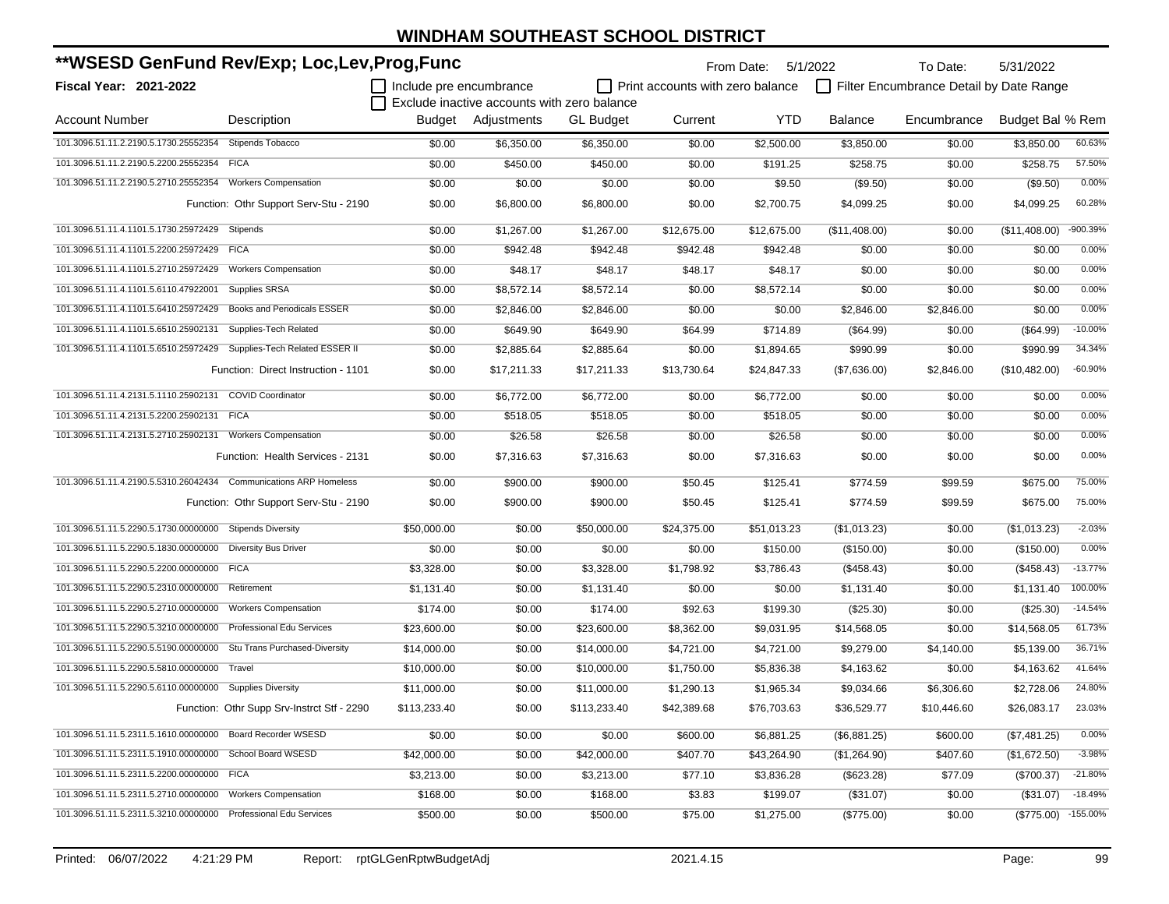| **WSESD GenFund Rev/Exp; Loc,Lev,Prog,Func                           |                                            |                         |                                             | From Date:       | 5/1/2022                         | To Date:    | 5/31/2022      |                                         |                  |            |
|----------------------------------------------------------------------|--------------------------------------------|-------------------------|---------------------------------------------|------------------|----------------------------------|-------------|----------------|-----------------------------------------|------------------|------------|
| <b>Fiscal Year: 2021-2022</b>                                        |                                            | Include pre encumbrance |                                             |                  | Print accounts with zero balance |             |                | Filter Encumbrance Detail by Date Range |                  |            |
|                                                                      |                                            |                         | Exclude inactive accounts with zero balance |                  |                                  |             |                |                                         |                  |            |
| <b>Account Number</b>                                                | Description                                |                         | Budget Adjustments                          | <b>GL Budget</b> | Current                          | <b>YTD</b>  | <b>Balance</b> | Encumbrance                             | Budget Bal % Rem |            |
| 101.3096.51.11.2.2190.5.1730.25552354                                | <b>Stipends Tobacco</b>                    | \$0.00                  | \$6,350.00                                  | \$6,350.00       | \$0.00                           | \$2,500.00  | \$3,850.00     | \$0.00                                  | \$3,850.00       | 60.63%     |
| 101.3096.51.11.2.2190.5.2200.25552354 FICA                           |                                            | \$0.00                  | \$450.00                                    | \$450.00         | \$0.00                           | \$191.25    | \$258.75       | \$0.00                                  | \$258.75         | 57.50%     |
| 101.3096.51.11.2.2190.5.2710.25552354                                | <b>Workers Compensation</b>                | \$0.00                  | \$0.00                                      | \$0.00           | \$0.00                           | \$9.50      | (\$9.50)       | \$0.00                                  | (\$9.50)         | 0.00%      |
|                                                                      | Function: Othr Support Serv-Stu - 2190     | \$0.00                  | \$6,800.00                                  | \$6,800.00       | \$0.00                           | \$2,700.75  | \$4,099.25     | \$0.00                                  | \$4,099.25       | 60.28%     |
| 101.3096.51.11.4.1101.5.1730.25972429                                | Stipends                                   | \$0.00                  | \$1,267.00                                  | \$1,267.00       | \$12,675.00                      | \$12,675.00 | (\$11,408.00)  | \$0.00                                  | (\$11,408.00)    | -900.39%   |
| 101.3096.51.11.4.1101.5.2200.25972429 FICA                           |                                            | \$0.00                  | \$942.48                                    | \$942.48         | \$942.48                         | \$942.48    | \$0.00         | \$0.00                                  | \$0.00           | 0.00%      |
| 101.3096.51.11.4.1101.5.2710.25972429                                | <b>Workers Compensation</b>                | \$0.00                  | \$48.17                                     | \$48.17          | \$48.17                          | \$48.17     | \$0.00         | \$0.00                                  | \$0.00           | 0.00%      |
| 101.3096.51.11.4.1101.5.6110.47922001                                | Supplies SRSA                              | \$0.00                  | \$8,572.14                                  | \$8,572.14       | \$0.00                           | \$8,572.14  | \$0.00         | \$0.00                                  | \$0.00           | 0.00%      |
| 101.3096.51.11.4.1101.5.6410.25972429                                | Books and Periodicals ESSER                | \$0.00                  | \$2,846.00                                  | \$2,846.00       | \$0.00                           | \$0.00      | \$2,846.00     | \$2,846.00                              | \$0.00           | 0.00%      |
| 101.3096.51.11.4.1101.5.6510.25902131                                | Supplies-Tech Related                      | \$0.00                  | \$649.90                                    | \$649.90         | \$64.99                          | \$714.89    | (\$64.99)      | \$0.00                                  | (\$64.99)        | $-10.00%$  |
| 101.3096.51.11.4.1101.5.6510.25972429                                | Supplies-Tech Related ESSER II             | \$0.00                  | \$2,885.64                                  | \$2,885.64       | \$0.00                           | \$1,894.65  | \$990.99       | \$0.00                                  | \$990.99         | 34.34%     |
|                                                                      | Function: Direct Instruction - 1101        | \$0.00                  | \$17,211.33                                 | \$17,211.33      | \$13,730.64                      | \$24,847.33 | (\$7,636.00)   | \$2,846.00                              | (\$10,482.00)    | $-60.90%$  |
| 101.3096.51.11.4.2131.5.1110.25902131                                | <b>COVID Coordinator</b>                   | \$0.00                  | \$6,772.00                                  | \$6,772.00       | \$0.00                           | \$6,772.00  | \$0.00         | \$0.00                                  | \$0.00           | 0.00%      |
| 101.3096.51.11.4.2131.5.2200.25902131                                | <b>FICA</b>                                | \$0.00                  | \$518.05                                    | \$518.05         | \$0.00                           | \$518.05    | \$0.00         | \$0.00                                  | \$0.00           | 0.00%      |
| 101.3096.51.11.4.2131.5.2710.25902131 Workers Compensation           |                                            | \$0.00                  | \$26.58                                     | \$26.58          | \$0.00                           | \$26.58     | \$0.00         | \$0.00                                  | \$0.00           | 0.00%      |
|                                                                      | Function: Health Services - 2131           | \$0.00                  | \$7,316.63                                  | \$7,316.63       | \$0.00                           | \$7,316.63  | \$0.00         | \$0.00                                  | \$0.00           | 0.00%      |
| 101.3096.51.11.4.2190.5.5310.26042434    Communications ARP Homeless |                                            | \$0.00                  | \$900.00                                    | \$900.00         | \$50.45                          | \$125.41    | \$774.59       | \$99.59                                 | \$675.00         | 75.00%     |
|                                                                      | Function: Othr Support Serv-Stu - 2190     | \$0.00                  | \$900.00                                    | \$900.00         | \$50.45                          | \$125.41    | \$774.59       | \$99.59                                 | \$675.00         | 75.00%     |
| 101.3096.51.11.5.2290.5.1730.00000000                                | <b>Stipends Diversity</b>                  | \$50,000.00             | \$0.00                                      | \$50,000.00      | \$24,375.00                      | \$51,013.23 | (\$1,013.23)   | \$0.00                                  | (\$1,013.23)     | $-2.03%$   |
| 101.3096.51.11.5.2290.5.1830.00000000                                | <b>Diversity Bus Driver</b>                | \$0.00                  | \$0.00                                      | \$0.00           | \$0.00                           | \$150.00    | (\$150.00)     | \$0.00                                  | (\$150.00)       | 0.00%      |
| 101.3096.51.11.5.2290.5.2200.00000000 FICA                           |                                            | \$3,328.00              | \$0.00                                      | \$3,328.00       | \$1,798.92                       | \$3,786.43  | (\$458.43)     | \$0.00                                  | (\$458.43)       | $-13.77%$  |
| 101.3096.51.11.5.2290.5.2310.00000000                                | Retirement                                 | \$1,131.40              | \$0.00                                      | \$1,131.40       | \$0.00                           | \$0.00      | \$1,131.40     | \$0.00                                  | \$1,131.40       | 100.00%    |
| 101.3096.51.11.5.2290.5.2710.00000000                                | <b>Workers Compensation</b>                | \$174.00                | \$0.00                                      | \$174.00         | \$92.63                          | \$199.30    | $(\$25.30)$    | \$0.00                                  | $(\$25.30)$      | $-14.54%$  |
| 101.3096.51.11.5.2290.5.3210.00000000                                | Professional Edu Services                  | \$23,600.00             | \$0.00                                      | \$23,600.00      | \$8,362.00                       | \$9,031.95  | \$14,568.05    | \$0.00                                  | \$14,568.05      | 61.73%     |
| 101.3096.51.11.5.2290.5.5190.00000000                                | Stu Trans Purchased-Diversity              | \$14.000.00             | \$0.00                                      | \$14,000.00      | \$4,721.00                       | \$4,721.00  | \$9,279.00     | \$4,140.00                              | \$5,139.00       | 36.71%     |
| 101.3096.51.11.5.2290.5.5810.00000000                                | Travel                                     | \$10,000.00             | \$0.00                                      | \$10,000.00      | \$1,750.00                       | \$5,836.38  | \$4,163.62     | \$0.00                                  | \$4,163.62       | 41.64%     |
| 101.3096.51.11.5.2290.5.6110.00000000 Supplies Diversity             |                                            | \$11,000.00             | \$0.00                                      | \$11,000.00      | \$1,290.13                       | \$1,965.34  | \$9,034.66     | \$6,306.60                              | \$2.728.06       | 24.80%     |
|                                                                      | Function: Othr Supp Srv-Instrct Stf - 2290 | \$113,233.40            | \$0.00                                      | \$113,233.40     | \$42,389.68                      | \$76,703.63 | \$36,529.77    | \$10,446.60                             | \$26,083.17      | 23.03%     |
| 101.3096.51.11.5.2311.5.1610.00000000                                | <b>Board Recorder WSESD</b>                | \$0.00                  | \$0.00                                      | \$0.00           | \$600.00                         | \$6,881.25  | (\$6,881.25)   | \$600.00                                | (\$7,481.25)     | 0.00%      |
| 101.3096.51.11.5.2311.5.1910.00000000 School Board WSESD             |                                            | \$42,000.00             | \$0.00                                      | \$42,000.00      | \$407.70                         | \$43,264.90 | (\$1,264.90)   | \$407.60                                | (\$1,672.50)     | $-3.98%$   |
| 101.3096.51.11.5.2311.5.2200.00000000 FICA                           |                                            | \$3,213.00              | \$0.00                                      | \$3,213.00       | \$77.10                          | \$3,836.28  | (\$623.28)     | \$77.09                                 | (\$700.37)       | $-21.80%$  |
| 101.3096.51.11.5.2311.5.2710.00000000                                | <b>Workers Compensation</b>                | \$168.00                | \$0.00                                      | \$168.00         | \$3.83                           | \$199.07    | (\$31.07)      | \$0.00                                  | (\$31.07)        | $-18.49%$  |
| 101.3096.51.11.5.2311.5.3210.00000000 Professional Edu Services      |                                            | \$500.00                | \$0.00                                      | \$500.00         | \$75.00                          | \$1,275.00  | (\$775.00)     | \$0.00                                  | $(\$775.00)$     | $-155.00%$ |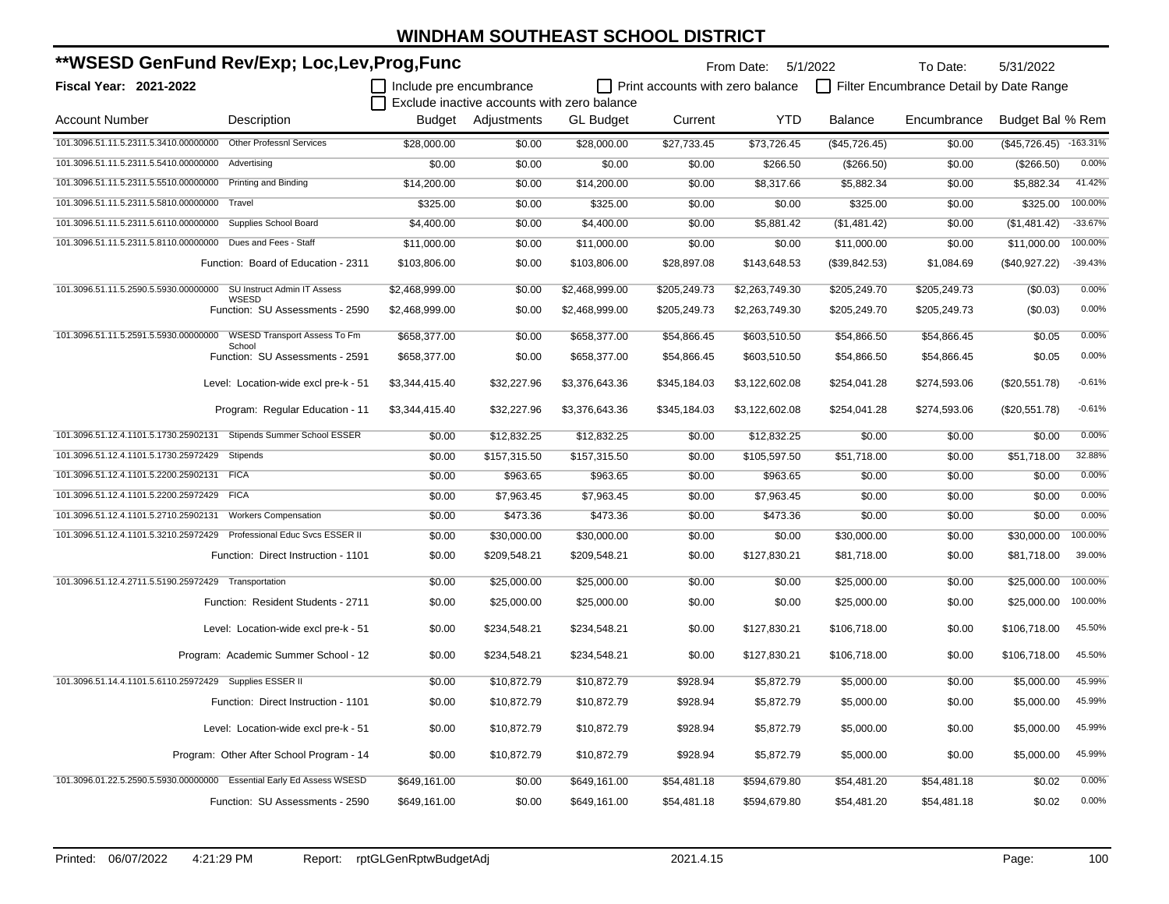| **WSESD GenFund Rev/Exp; Loc,Lev,Prog,Func                            |                                               |                         |                                             |                  | From Date: 5/1/2022              |                | To Date:      | 5/31/2022                               |                  |            |
|-----------------------------------------------------------------------|-----------------------------------------------|-------------------------|---------------------------------------------|------------------|----------------------------------|----------------|---------------|-----------------------------------------|------------------|------------|
| Fiscal Year: 2021-2022                                                |                                               | Include pre encumbrance |                                             |                  | Print accounts with zero balance |                |               | Filter Encumbrance Detail by Date Range |                  |            |
|                                                                       |                                               |                         | Exclude inactive accounts with zero balance |                  |                                  |                |               |                                         |                  |            |
| <b>Account Number</b>                                                 | Description                                   | Budget                  | Adjustments                                 | <b>GL Budget</b> | Current                          | <b>YTD</b>     | Balance       | Encumbrance                             | Budget Bal % Rem |            |
| 101.3096.51.11.5.2311.5.3410.00000000 Other Professnl Services        |                                               | \$28,000.00             | \$0.00                                      | \$28,000.00      | \$27,733.45                      | \$73,726.45    | (\$45,726.45) | \$0.00                                  | (\$45,726.45)    | $-163.31%$ |
| 101.3096.51.11.5.2311.5.5410.00000000 Advertising                     |                                               | \$0.00                  | \$0.00                                      | \$0.00           | \$0.00                           | \$266.50       | (\$266.50)    | \$0.00                                  | (\$266.50)       | 0.00%      |
| 101.3096.51.11.5.2311.5.5510.00000000 Printing and Binding            |                                               | \$14,200.00             | \$0.00                                      | \$14,200.00      | \$0.00                           | \$8,317.66     | \$5,882.34    | \$0.00                                  | \$5,882.34       | 41.42%     |
| 101.3096.51.11.5.2311.5.5810.00000000 Travel                          |                                               | \$325.00                | \$0.00                                      | \$325.00         | \$0.00                           | \$0.00         | \$325.00      | \$0.00                                  | \$325.00         | 100.00%    |
| 101.3096.51.11.5.2311.5.6110.00000000 Supplies School Board           |                                               | \$4,400.00              | \$0.00                                      | \$4,400.00       | \$0.00                           | \$5,881.42     | (\$1,481.42)  | \$0.00                                  | (\$1,481.42)     | $-33.67%$  |
| 101.3096.51.11.5.2311.5.8110.00000000 Dues and Fees - Staff           |                                               | \$11,000.00             | \$0.00                                      | \$11,000.00      | \$0.00                           | \$0.00         | \$11,000.00   | \$0.00                                  | \$11,000.00      | 100.00%    |
|                                                                       | Function: Board of Education - 2311           | \$103,806.00            | \$0.00                                      | \$103,806.00     | \$28,897.08                      | \$143,648.53   | (\$39,842.53) | \$1,084.69                              | (\$40,927.22)    | $-39.43%$  |
| 101.3096.51.11.5.2590.5.5930.00000000                                 | SU Instruct Admin IT Assess<br>WSESD          | \$2,468,999.00          | \$0.00                                      | \$2,468,999.00   | \$205,249.73                     | \$2,263,749.30 | \$205,249.70  | \$205,249.73                            | (S0.03)          | 0.00%      |
|                                                                       | Function: SU Assessments - 2590               | \$2,468,999.00          | \$0.00                                      | \$2,468,999.00   | \$205,249.73                     | \$2,263,749.30 | \$205,249.70  | \$205,249.73                            | (\$0.03)         | 0.00%      |
| 101.3096.51.11.5.2591.5.5930.00000000                                 | <b>WSESD Transport Assess To Fm</b><br>School | \$658,377.00            | \$0.00                                      | \$658,377.00     | \$54,866.45                      | \$603,510.50   | \$54,866.50   | \$54,866.45                             | \$0.05           | 0.00%      |
|                                                                       | Function: SU Assessments - 2591               | \$658,377.00            | \$0.00                                      | \$658,377.00     | \$54,866.45                      | \$603,510.50   | \$54,866.50   | \$54,866.45                             | \$0.05           | 0.00%      |
|                                                                       | Level: Location-wide excl pre-k - 51          | \$3,344,415.40          | \$32,227.96                                 | \$3,376,643.36   | \$345,184.03                     | \$3,122,602.08 | \$254,041.28  | \$274,593.06                            | (\$20,551.78)    | $-0.61%$   |
|                                                                       | Program: Regular Education - 11               | \$3,344,415.40          | \$32,227.96                                 | \$3,376,643.36   | \$345,184.03                     | \$3,122,602.08 | \$254,041.28  | \$274,593.06                            | (\$20,551.78)    | $-0.61%$   |
| 101.3096.51.12.4.1101.5.1730.25902131                                 | Stipends Summer School ESSER                  | \$0.00                  | \$12,832.25                                 | \$12,832.25      | \$0.00                           | \$12,832.25    | \$0.00        | \$0.00                                  | \$0.00           | 0.00%      |
| 101.3096.51.12.4.1101.5.1730.25972429                                 | Stipends                                      | \$0.00                  | \$157,315.50                                | \$157,315.50     | \$0.00                           | \$105,597.50   | \$51,718.00   | \$0.00                                  | \$51,718.00      | 32.88%     |
| 101.3096.51.12.4.1101.5.2200.25902131                                 | <b>FICA</b>                                   | \$0.00                  | \$963.65                                    | \$963.65         | \$0.00                           | \$963.65       | \$0.00        | \$0.00                                  | \$0.00           | 0.00%      |
| 101.3096.51.12.4.1101.5.2200.25972429                                 | <b>FICA</b>                                   | \$0.00                  | \$7,963.45                                  | \$7,963.45       | \$0.00                           | \$7,963.45     | \$0.00        | \$0.00                                  | \$0.00           | 0.00%      |
| 101.3096.51.12.4.1101.5.2710.25902131                                 | <b>Workers Compensation</b>                   | \$0.00                  | \$473.36                                    | \$473.36         | \$0.00                           | \$473.36       | \$0.00        | \$0.00                                  | \$0.00           | 0.00%      |
| 101.3096.51.12.4.1101.5.3210.25972429                                 | Professional Educ Svcs ESSER II               | \$0.00                  | \$30,000.00                                 | \$30,000.00      | \$0.00                           | \$0.00         | \$30,000.00   | \$0.00                                  | \$30,000.00      | 100.00%    |
|                                                                       | Function: Direct Instruction - 1101           | \$0.00                  | \$209,548.21                                | \$209,548.21     | \$0.00                           | \$127,830.21   | \$81,718.00   | \$0.00                                  | \$81,718.00      | 39.00%     |
| 101.3096.51.12.4.2711.5.5190.25972429 Transportation                  |                                               | \$0.00                  | \$25,000.00                                 | \$25,000.00      | \$0.00                           | \$0.00         | \$25,000.00   | \$0.00                                  | \$25,000.00      | 100.00%    |
|                                                                       | Function: Resident Students - 2711            | \$0.00                  | \$25,000.00                                 | \$25,000.00      | \$0.00                           | \$0.00         | \$25,000.00   | \$0.00                                  | \$25,000.00      | 100.00%    |
|                                                                       | Level: Location-wide excl pre-k - 51          | \$0.00                  | \$234,548.21                                | \$234,548.21     | \$0.00                           | \$127,830.21   | \$106,718.00  | \$0.00                                  | \$106,718.00     | 45.50%     |
|                                                                       | Program: Academic Summer School - 12          | \$0.00                  | \$234,548.21                                | \$234,548.21     | \$0.00                           | \$127,830.21   | \$106,718.00  | \$0.00                                  | \$106,718.00     | 45.50%     |
| 101.3096.51.14.4.1101.5.6110.25972429 Supplies ESSER II               |                                               | \$0.00                  | \$10,872.79                                 | \$10,872.79      | \$928.94                         | \$5,872.79     | \$5,000.00    | \$0.00                                  | \$5,000.00       | 45.99%     |
|                                                                       | Function: Direct Instruction - 1101           | \$0.00                  | \$10,872.79                                 | \$10,872.79      | \$928.94                         | \$5,872.79     | \$5,000.00    | \$0.00                                  | \$5,000.00       | 45.99%     |
|                                                                       | Level: Location-wide excl pre-k - 51          | \$0.00                  | \$10,872.79                                 | \$10,872.79      | \$928.94                         | \$5,872.79     | \$5,000.00    | \$0.00                                  | \$5,000.00       | 45.99%     |
|                                                                       | Program: Other After School Program - 14      | \$0.00                  | \$10,872.79                                 | \$10,872.79      | \$928.94                         | \$5,872.79     | \$5,000.00    | \$0.00                                  | \$5,000.00       | 45.99%     |
| 101.3096.01.22.5.2590.5.5930.00000000 Essential Early Ed Assess WSESD |                                               | \$649,161.00            | \$0.00                                      | \$649,161.00     | \$54,481.18                      | \$594,679.80   | \$54,481.20   | \$54,481.18                             | \$0.02           | 0.00%      |
|                                                                       | Function: SU Assessments - 2590               | \$649,161.00            | \$0.00                                      | \$649,161.00     | \$54,481.18                      | \$594,679.80   | \$54,481.20   | \$54,481.18                             | \$0.02           | 0.00%      |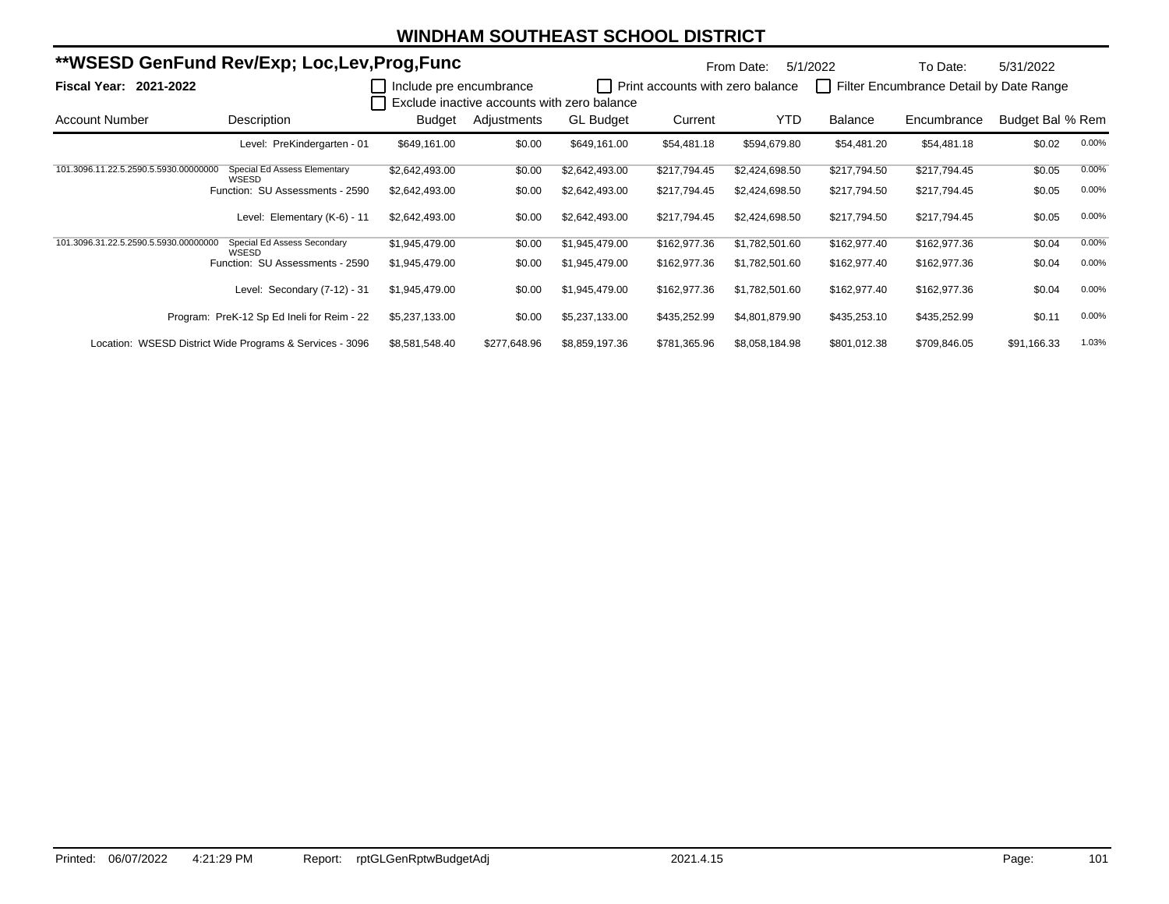| **WSESD GenFund Rev/Exp; Loc,Lev,Prog,Func |                                                          |                         |              | From Date:                                  | 5/1/2022                         | To Date:       | 5/31/2022    |                                         |                  |       |
|--------------------------------------------|----------------------------------------------------------|-------------------------|--------------|---------------------------------------------|----------------------------------|----------------|--------------|-----------------------------------------|------------------|-------|
| <b>Fiscal Year: 2021-2022</b>              |                                                          | Include pre encumbrance |              |                                             | Print accounts with zero balance |                |              | Filter Encumbrance Detail by Date Range |                  |       |
|                                            |                                                          |                         |              | Exclude inactive accounts with zero balance |                                  |                |              |                                         |                  |       |
| <b>Account Number</b>                      | Description                                              | Budget                  | Adjustments  | <b>GL Budget</b>                            | Current                          | YTD            | Balance      | Encumbrance                             | Budget Bal % Rem |       |
|                                            | Level: PreKindergarten - 01                              | \$649,161.00            | \$0.00       | \$649,161.00                                | \$54,481.18                      | \$594,679.80   | \$54,481.20  | \$54,481.18                             | \$0.02           | 0.00% |
| 101.3096.11.22.5.2590.5.5930.00000000      | Special Ed Assess Elementary<br>WSESD                    | \$2,642,493.00          | \$0.00       | \$2,642,493.00                              | \$217,794.45                     | \$2,424,698.50 | \$217,794.50 | \$217,794.45                            | \$0.05           | 0.00% |
|                                            | Function: SU Assessments - 2590                          | \$2,642,493.00          | \$0.00       | \$2,642,493.00                              | \$217,794.45                     | \$2,424,698.50 | \$217,794.50 | \$217,794.45                            | \$0.05           | 0.00% |
|                                            | Level: Elementary (K-6) - 11                             | \$2,642,493.00          | \$0.00       | \$2,642,493.00                              | \$217,794.45                     | \$2,424,698.50 | \$217,794.50 | \$217,794.45                            | \$0.05           | 0.00% |
| 101.3096.31.22.5.2590.5.5930.00000000      | Special Ed Assess Secondary<br>WSESD                     | \$1,945,479.00          | \$0.00       | \$1,945,479.00                              | \$162,977.36                     | \$1,782,501.60 | \$162,977.40 | \$162,977.36                            | \$0.04           | 0.00% |
|                                            | Function: SU Assessments - 2590                          | \$1,945,479.00          | \$0.00       | \$1,945,479.00                              | \$162,977.36                     | \$1,782,501.60 | \$162,977.40 | \$162,977.36                            | \$0.04           | 0.00% |
|                                            | Level: Secondary (7-12) - 31                             | \$1,945,479.00          | \$0.00       | \$1,945,479.00                              | \$162,977.36                     | \$1,782,501.60 | \$162,977.40 | \$162,977.36                            | \$0.04           | 0.00% |
|                                            | Program: PreK-12 Sp Ed Ineli for Reim - 22               | \$5,237,133.00          | \$0.00       | \$5,237,133.00                              | \$435,252.99                     | \$4,801,879.90 | \$435,253.10 | \$435,252.99                            | \$0.11           | 0.00% |
|                                            | Location: WSESD District Wide Programs & Services - 3096 | \$8,581,548.40          | \$277,648.96 | \$8,859,197.36                              | \$781,365.96                     | \$8,058,184.98 | \$801,012.38 | \$709,846.05                            | \$91,166.33      | 1.03% |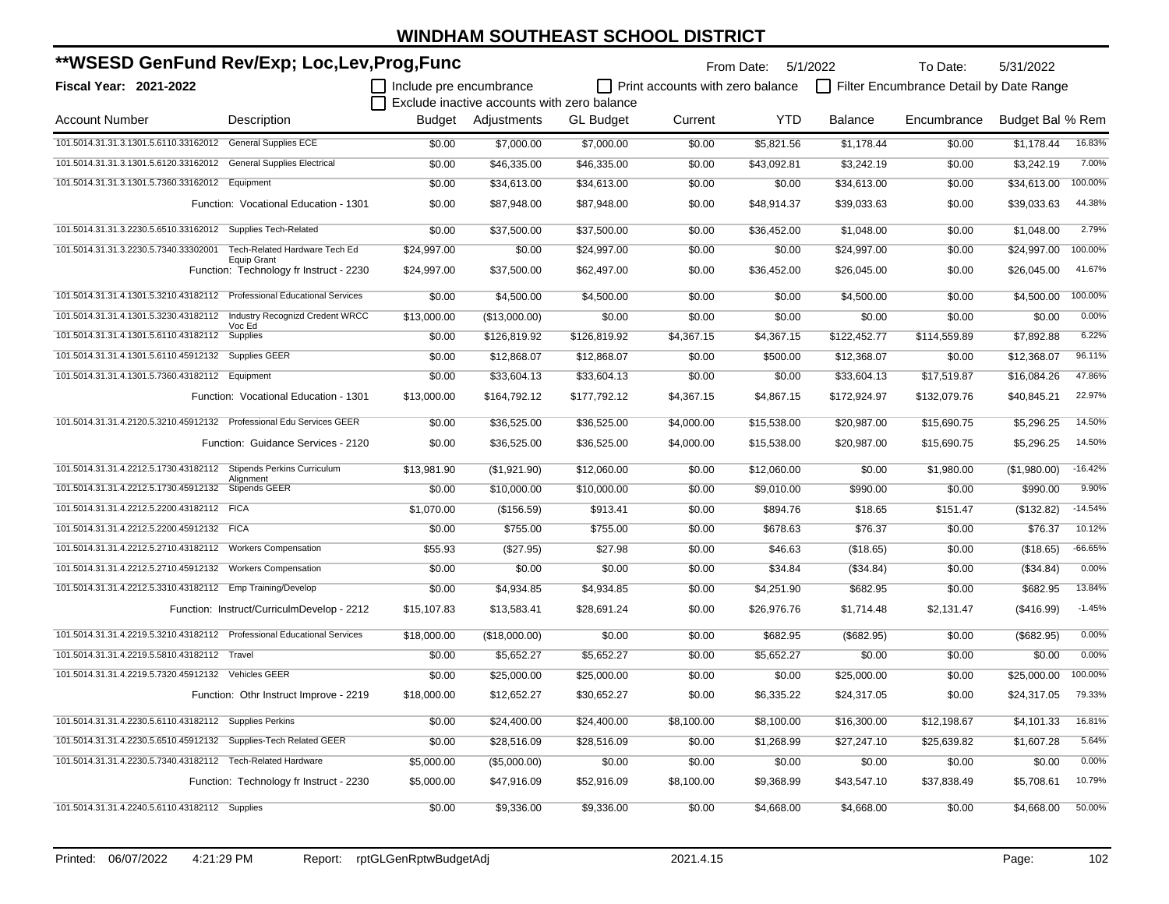| **WSESD GenFund Rev/Exp; Loc,Lev,Prog,Func                              |                                                               |                                |                                             |                  |                                         | From Date: 5/1/2022 |                | To Date:                                | 5/31/2022        |           |
|-------------------------------------------------------------------------|---------------------------------------------------------------|--------------------------------|---------------------------------------------|------------------|-----------------------------------------|---------------------|----------------|-----------------------------------------|------------------|-----------|
| Fiscal Year: 2021-2022                                                  |                                                               | $\Box$ Include pre encumbrance | Exclude inactive accounts with zero balance |                  | $\Box$ Print accounts with zero balance |                     |                | Filter Encumbrance Detail by Date Range |                  |           |
| <b>Account Number</b>                                                   | Description                                                   | Budget                         | Adjustments                                 | <b>GL Budget</b> | Current                                 | <b>YTD</b>          | <b>Balance</b> | Encumbrance                             | Budget Bal % Rem |           |
| 101.5014.31.31.3.1301.5.6110.33162012 General Supplies ECE              |                                                               | \$0.00                         | \$7,000.00                                  | \$7,000.00       | \$0.00                                  | \$5,821.56          | \$1,178.44     | \$0.00                                  | \$1,178.44       | 16.83%    |
| 101.5014.31.31.3.1301.5.6120.33162012 General Supplies Electrical       |                                                               | \$0.00                         | \$46,335.00                                 | \$46,335.00      | \$0.00                                  | \$43,092.81         | \$3,242.19     | \$0.00                                  | \$3,242.19       | 7.00%     |
| 101.5014.31.31.3.1301.5.7360.33162012 Equipment                         |                                                               | \$0.00                         | \$34,613.00                                 | \$34,613.00      | \$0.00                                  | \$0.00              | \$34,613.00    | \$0.00                                  | \$34,613.00      | 100.00%   |
|                                                                         | Function: Vocational Education - 1301                         | \$0.00                         | \$87,948.00                                 | \$87,948.00      | \$0.00                                  | \$48,914.37         | \$39,033.63    | \$0.00                                  | \$39,033.63      | 44.38%    |
| 101.5014.31.31.3.2230.5.6510.33162012 Supplies Tech-Related             |                                                               | \$0.00                         | \$37,500.00                                 | \$37,500.00      | \$0.00                                  | \$36,452.00         | \$1,048.00     | \$0.00                                  | \$1.048.00       | 2.79%     |
| 101.5014.31.31.3.2230.5.7340.33302001                                   | Tech-Related Hardware Tech Ed                                 | \$24,997.00                    | \$0.00                                      | \$24,997.00      | \$0.00                                  | \$0.00              | \$24,997.00    | \$0.00                                  | \$24,997.00      | 100.00%   |
|                                                                         | <b>Equip Grant</b><br>Function: Technology fr Instruct - 2230 | \$24,997.00                    | \$37,500.00                                 | \$62,497.00      | \$0.00                                  | \$36,452.00         | \$26,045.00    | \$0.00                                  | \$26,045.00      | 41.67%    |
| 101.5014.31.31.4.1301.5.3210.43182112 Professional Educational Services |                                                               | \$0.00                         | \$4,500.00                                  | \$4,500.00       | \$0.00                                  | \$0.00              | \$4,500.00     | \$0.00                                  | \$4,500.00       | 100.00%   |
| 101.5014.31.31.4.1301.5.3230.43182112 Industry Recognizd Credent WRCC   |                                                               | \$13,000.00                    | (\$13,000.00)                               | \$0.00           | \$0.00                                  | \$0.00              | \$0.00         | \$0.00                                  | \$0.00           | 0.00%     |
| 101.5014.31.31.4.1301.5.6110.43182112                                   | Voc Ed<br>Supplies                                            | \$0.00                         | \$126,819.92                                | \$126,819.92     | \$4,367.15                              | \$4,367.15          | \$122,452.77   | \$114,559.89                            | \$7,892.88       | 6.22%     |
| 101.5014.31.31.4.1301.5.6110.45912132 Supplies GEER                     |                                                               | \$0.00                         | \$12,868.07                                 | \$12,868.07      | \$0.00                                  | \$500.00            | \$12,368.07    | \$0.00                                  | \$12,368.07      | 96.11%    |
| 101.5014.31.31.4.1301.5.7360.43182112 Equipment                         |                                                               | \$0.00                         | \$33,604.13                                 | \$33,604.13      | \$0.00                                  | \$0.00              | \$33,604.13    | \$17,519.87                             | \$16,084.26      | 47.86%    |
|                                                                         | Function: Vocational Education - 1301                         | \$13,000.00                    | \$164,792.12                                | \$177,792.12     | \$4,367.15                              | \$4,867.15          | \$172,924.97   | \$132,079.76                            | \$40,845.21      | 22.97%    |
| 101.5014.31.31.4.2120.5.3210.45912132 Professional Edu Services GEER    |                                                               | \$0.00                         | \$36,525.00                                 | \$36,525.00      | \$4,000.00                              | \$15,538.00         | \$20,987.00    | \$15,690.75                             | \$5,296.25       | 14.50%    |
|                                                                         | Function: Guidance Services - 2120                            | \$0.00                         | \$36,525.00                                 | \$36,525.00      | \$4,000.00                              | \$15,538.00         | \$20,987.00    | \$15,690.75                             | \$5,296.25       | 14.50%    |
| 101.5014.31.31.4.2212.5.1730.43182112 Stipends Perkins Curriculum       | Alignment                                                     | \$13.981.90                    | (\$1,921.90)                                | \$12,060.00      | \$0.00                                  | \$12,060.00         | \$0.00         | \$1,980.00                              | (\$1,980.00)     | $-16.42%$ |
| 101.5014.31.31.4.2212.5.1730.45912132 Stipends GEER                     |                                                               | \$0.00                         | \$10,000.00                                 | \$10,000.00      | \$0.00                                  | \$9,010.00          | \$990.00       | \$0.00                                  | \$990.00         | 9.90%     |
| 101.5014.31.31.4.2212.5.2200.43182112 FICA                              |                                                               | \$1,070.00                     | (\$156.59)                                  | \$913.41         | \$0.00                                  | \$894.76            | \$18.65        | \$151.47                                | (\$132.82)       | $-14.54%$ |
| 101.5014.31.31.4.2212.5.2200.45912132 FICA                              |                                                               | \$0.00                         | \$755.00                                    | \$755.00         | \$0.00                                  | \$678.63            | \$76.37        | \$0.00                                  | \$76.37          | 10.12%    |
| 101.5014.31.31.4.2212.5.2710.43182112 Workers Compensation              |                                                               | \$55.93                        | (\$27.95)                                   | \$27.98          | \$0.00                                  | \$46.63             | (\$18.65)      | \$0.00                                  | (\$18.65)        | $-66.65%$ |
| 101.5014.31.31.4.2212.5.2710.45912132 Workers Compensation              |                                                               | \$0.00                         | \$0.00                                      | \$0.00           | \$0.00                                  | \$34.84             | (\$34.84)      | \$0.00                                  | (\$34.84)        | 0.00%     |
| 101.5014.31.31.4.2212.5.3310.43182112 Emp Training/Develop              |                                                               | \$0.00                         | \$4,934.85                                  | \$4,934.85       | \$0.00                                  | \$4,251.90          | \$682.95       | \$0.00                                  | \$682.95         | 13.84%    |
|                                                                         | Function: Instruct/CurriculmDevelop - 2212                    | \$15,107.83                    | \$13,583.41                                 | \$28,691.24      | \$0.00                                  | \$26,976.76         | \$1,714.48     | \$2,131.47                              | (\$416.99)       | $-1.45%$  |
| 101.5014.31.31.4.2219.5.3210.43182112 Professional Educational Services |                                                               | \$18,000.00                    | (\$18,000.00)                               | \$0.00           | \$0.00                                  | \$682.95            | (\$682.95)     | \$0.00                                  | (\$682.95)       | 0.00%     |
| 101.5014.31.31.4.2219.5.5810.43182112 Travel                            |                                                               | \$0.00                         | \$5,652.27                                  | \$5,652.27       | \$0.00                                  | \$5,652.27          | \$0.00         | \$0.00                                  | \$0.00           | 0.00%     |
| 101.5014.31.31.4.2219.5.7320.45912132 Vehicles GEER                     |                                                               | \$0.00                         | \$25,000.00                                 | \$25,000.00      | \$0.00                                  | \$0.00              | \$25,000.00    | \$0.00                                  | \$25,000.00      | 100.00%   |
|                                                                         | Function: Othr Instruct Improve - 2219                        | \$18,000.00                    | \$12,652.27                                 | \$30,652.27      | \$0.00                                  | \$6,335.22          | \$24,317.05    | \$0.00                                  | \$24,317.05      | 79.33%    |
| 101.5014.31.31.4.2230.5.6110.43182112 Supplies Perkins                  |                                                               | \$0.00                         | \$24,400.00                                 | \$24,400.00      | \$8,100.00                              | \$8,100.00          | \$16,300.00    | \$12,198.67                             | \$4,101.33       | 16.81%    |
| 101.5014.31.31.4.2230.5.6510.45912132 Supplies-Tech Related GEER        |                                                               | \$0.00                         | \$28,516.09                                 | \$28,516.09      | \$0.00                                  | \$1,268.99          | \$27,247.10    | \$25,639.82                             | \$1,607.28       | 5.64%     |
| 101.5014.31.31.4.2230.5.7340.43182112 Tech-Related Hardware             |                                                               | \$5,000.00                     | (\$5,000.00)                                | \$0.00           | \$0.00                                  | \$0.00              | \$0.00         | \$0.00                                  | \$0.00           | 0.00%     |
|                                                                         | Function: Technology fr Instruct - 2230                       | \$5,000.00                     | \$47,916.09                                 | \$52,916.09      | \$8,100.00                              | \$9,368.99          | \$43,547.10    | \$37,838.49                             | \$5,708.61       | 10.79%    |
| 101.5014.31.31.4.2240.5.6110.43182112 Supplies                          |                                                               | \$0.00                         | \$9,336.00                                  | \$9,336.00       | \$0.00                                  | \$4,668.00          | \$4,668.00     | \$0.00                                  | \$4,668.00       | 50.00%    |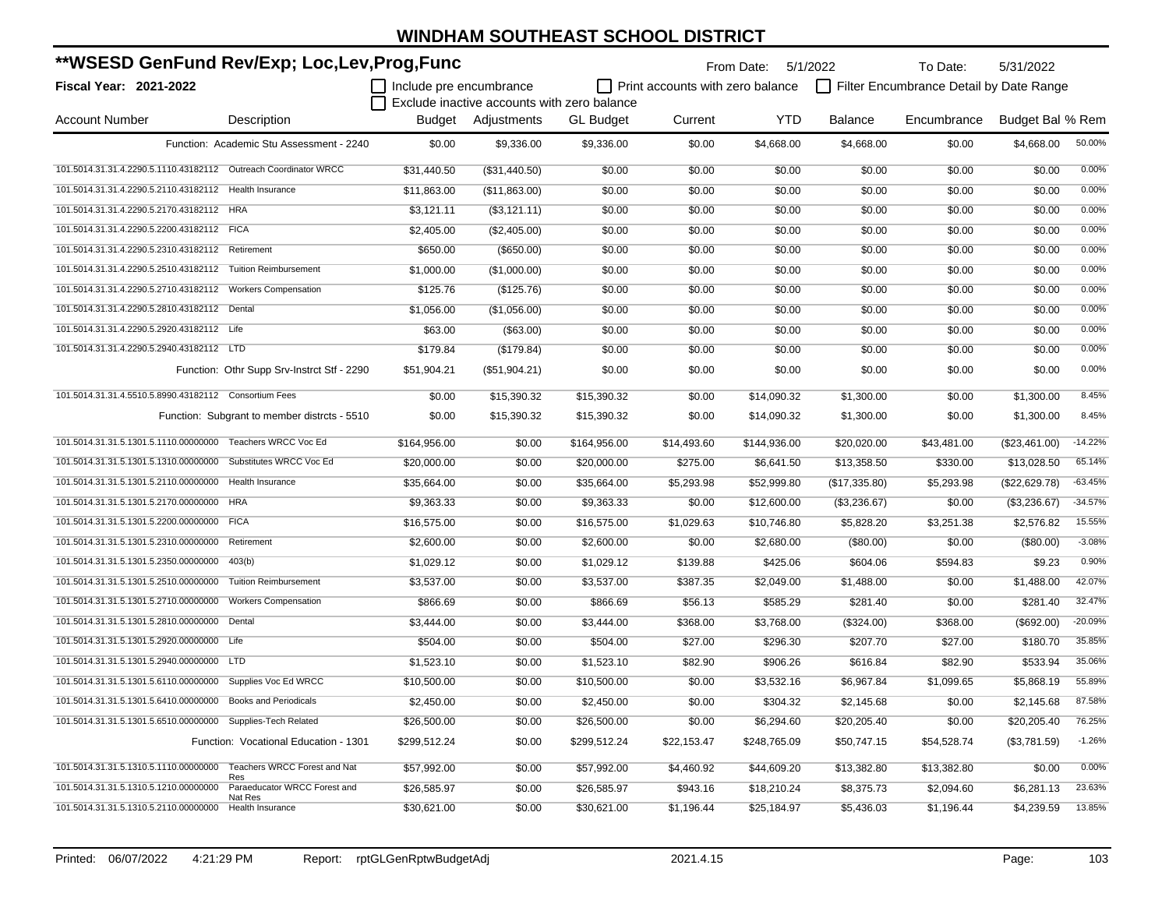| **WSESD GenFund Rev/Exp; Loc,Lev,Prog,Func                       |                                              |                         |                                             |                  |                                  | From Date: 5/1/2022 |                | To Date:                                | 5/31/2022        |           |
|------------------------------------------------------------------|----------------------------------------------|-------------------------|---------------------------------------------|------------------|----------------------------------|---------------------|----------------|-----------------------------------------|------------------|-----------|
| <b>Fiscal Year: 2021-2022</b>                                    |                                              | Include pre encumbrance | Exclude inactive accounts with zero balance |                  | Print accounts with zero balance |                     |                | Filter Encumbrance Detail by Date Range |                  |           |
| <b>Account Number</b>                                            | Description                                  |                         | <b>Budget</b> Adiustments                   | <b>GL Budget</b> | Current                          | <b>YTD</b>          | <b>Balance</b> | Encumbrance                             | Budget Bal % Rem |           |
|                                                                  | Function: Academic Stu Assessment - 2240     | \$0.00                  | \$9,336.00                                  | \$9,336.00       | \$0.00                           | \$4,668.00          | \$4,668.00     | \$0.00                                  | \$4,668.00       | 50.00%    |
| 101.5014.31.31.4.2290.5.1110.43182112  Outreach Coordinator WRCC |                                              | \$31.440.50             | (\$31,440.50)                               | \$0.00           | \$0.00                           | \$0.00              | \$0.00         | \$0.00                                  | \$0.00           | 0.00%     |
| 101.5014.31.31.4.2290.5.2110.43182112 Health Insurance           |                                              | \$11,863.00             | (\$11,863.00)                               | \$0.00           | \$0.00                           | \$0.00              | \$0.00         | \$0.00                                  | \$0.00           | 0.00%     |
| 101.5014.31.31.4.2290.5.2170.43182112 HRA                        |                                              | \$3,121.11              | (\$3,121.11)                                | \$0.00           | \$0.00                           | \$0.00              | \$0.00         | \$0.00                                  | \$0.00           | 0.00%     |
| 101.5014.31.31.4.2290.5.2200.43182112 FICA                       |                                              | \$2,405.00              | (\$2,405.00)                                | \$0.00           | \$0.00                           | \$0.00              | \$0.00         | \$0.00                                  | \$0.00           | 0.00%     |
| 101.5014.31.31.4.2290.5.2310.43182112 Retirement                 |                                              | \$650.00                | (\$650.00)                                  | \$0.00           | \$0.00                           | \$0.00              | \$0.00         | \$0.00                                  | \$0.00           | 0.00%     |
| 101.5014.31.31.4.2290.5.2510.43182112 Tuition Reimbursement      |                                              | \$1,000.00              | (\$1,000.00)                                | \$0.00           | \$0.00                           | \$0.00              | \$0.00         | \$0.00                                  | \$0.00           | 0.00%     |
| 101.5014.31.31.4.2290.5.2710.43182112 Workers Compensation       |                                              | \$125.76                | (\$125.76)                                  | \$0.00           | \$0.00                           | \$0.00              | \$0.00         | \$0.00                                  | \$0.00           | 0.00%     |
| 101.5014.31.31.4.2290.5.2810.43182112 Dental                     |                                              | \$1,056.00              | (\$1,056.00)                                | \$0.00           | \$0.00                           | \$0.00              | \$0.00         | \$0.00                                  | \$0.00           | 0.00%     |
| 101.5014.31.31.4.2290.5.2920.43182112 Life                       |                                              | \$63.00                 | (\$63.00)                                   | \$0.00           | \$0.00                           | \$0.00              | \$0.00         | \$0.00                                  | \$0.00           | 0.00%     |
| 101.5014.31.31.4.2290.5.2940.43182112 LTD                        |                                              | \$179.84                | (\$179.84)                                  | \$0.00           | \$0.00                           | \$0.00              | \$0.00         | \$0.00                                  | \$0.00           | 0.00%     |
|                                                                  | Function: Othr Supp Srv-Instrct Stf - 2290   | \$51,904.21             | (\$51,904.21)                               | \$0.00           | \$0.00                           | \$0.00              | \$0.00         | \$0.00                                  | \$0.00           | 0.00%     |
| 101.5014.31.31.4.5510.5.8990.43182112 Consortium Fees            |                                              | \$0.00                  | \$15,390.32                                 | \$15,390.32      | \$0.00                           | \$14,090.32         | \$1,300.00     | \$0.00                                  | \$1,300.00       | 8.45%     |
|                                                                  | Function: Subgrant to member distrcts - 5510 | \$0.00                  | \$15,390.32                                 | \$15,390.32      | \$0.00                           | \$14,090.32         | \$1,300.00     | \$0.00                                  | \$1,300.00       | 8.45%     |
| 101.5014.31.31.5.1301.5.1110.00000000 Teachers WRCC Voc Ed       |                                              | \$164,956.00            | \$0.00                                      | \$164,956.00     | \$14,493.60                      | \$144,936.00        | \$20,020.00    | \$43,481.00                             | (\$23,461.00)    | $-14.22%$ |
| 101.5014.31.31.5.1301.5.1310.00000000 Substitutes WRCC Voc Ed    |                                              | \$20,000.00             | \$0.00                                      | \$20,000.00      | \$275.00                         | \$6,641.50          | \$13,358.50    | \$330.00                                | \$13,028.50      | 65.14%    |
| 101.5014.31.31.5.1301.5.2110.00000000 Health Insurance           |                                              | \$35,664.00             | \$0.00                                      | \$35,664.00      | \$5,293.98                       | \$52,999.80         | (\$17,335.80)  | \$5,293.98                              | (\$22,629.78)    | $-63.45%$ |
| 101.5014.31.31.5.1301.5.2170.00000000                            | <b>HRA</b>                                   | \$9,363.33              | \$0.00                                      | \$9,363.33       | \$0.00                           | \$12,600.00         | (\$3,236.67)   | \$0.00                                  | (\$3,236.67)     | $-34.57%$ |
| 101.5014.31.31.5.1301.5.2200.00000000                            | <b>FICA</b>                                  | \$16,575.00             | \$0.00                                      | \$16,575.00      | \$1,029.63                       | \$10,746.80         | \$5,828.20     | \$3,251.38                              | \$2,576.82       | 15.55%    |
| 101.5014.31.31.5.1301.5.2310.00000000                            | Retirement                                   | \$2,600.00              | \$0.00                                      | \$2,600.00       | \$0.00                           | \$2,680.00          | (\$80.00)      | \$0.00                                  | $(\$80.00)$      | $-3.08%$  |
| 101.5014.31.31.5.1301.5.2350.00000000                            | 403(b)                                       | \$1,029.12              | \$0.00                                      | \$1,029.12       | \$139.88                         | \$425.06            | \$604.06       | \$594.83                                | \$9.23           | 0.90%     |
| 101.5014.31.31.5.1301.5.2510.00000000                            | <b>Tuition Reimbursement</b>                 | \$3,537.00              | \$0.00                                      | \$3,537.00       | \$387.35                         | \$2,049.00          | \$1,488.00     | \$0.00                                  | \$1,488.00       | 42.07%    |
| 101.5014.31.31.5.1301.5.2710.00000000                            | <b>Workers Compensation</b>                  | \$866.69                | \$0.00                                      | \$866.69         | \$56.13                          | \$585.29            | \$281.40       | \$0.00                                  | \$281.40         | 32.47%    |
| 101.5014.31.31.5.1301.5.2810.00000000 Dental                     |                                              | \$3,444.00              | \$0.00                                      | \$3,444.00       | \$368.00                         | \$3,768.00          | (\$324.00)     | \$368.00                                | (\$692.00)       | $-20.09%$ |
| 101.5014.31.31.5.1301.5.2920.00000000 Life                       |                                              | \$504.00                | \$0.00                                      | \$504.00         | \$27.00                          | \$296.30            | \$207.70       | \$27.00                                 | \$180.70         | 35.85%    |
| 101.5014.31.31.5.1301.5.2940.00000000 LTD                        |                                              | \$1,523.10              | \$0.00                                      | \$1,523.10       | \$82.90                          | \$906.26            | \$616.84       | \$82.90                                 | \$533.94         | 35.06%    |
| 101.5014.31.31.5.1301.5.6110.00000000 Supplies Voc Ed WRCC       |                                              | \$10,500.00             | \$0.00                                      | \$10,500.00      | \$0.00                           | \$3,532.16          | \$6,967.84     | \$1,099.65                              | \$5,868.19       | 55.89%    |
| 101.5014.31.31.5.1301.5.6410.00000000                            | <b>Books and Periodicals</b>                 | \$2,450.00              | \$0.00                                      | \$2,450.00       | \$0.00                           | \$304.32            | \$2,145.68     | \$0.00                                  | \$2,145.68       | 87.58%    |
| 101.5014.31.31.5.1301.5.6510.00000000                            | Supplies-Tech Related                        | \$26,500.00             | \$0.00                                      | \$26,500.00      | \$0.00                           | \$6,294.60          | \$20,205.40    | \$0.00                                  | \$20,205.40      | 76.25%    |
|                                                                  | Function: Vocational Education - 1301        | \$299,512.24            | \$0.00                                      | \$299,512.24     | \$22,153.47                      | \$248,765.09        | \$50,747.15    | \$54,528.74                             | (\$3,781.59)     | $-1.26%$  |
| 101.5014.31.31.5.1310.5.1110.00000000                            | Teachers WRCC Forest and Nat<br>Res          | \$57,992.00             | \$0.00                                      | \$57,992.00      | \$4,460.92                       | \$44,609.20         | \$13,382.80    | \$13,382.80                             | \$0.00           | 0.00%     |
| 101.5014.31.31.5.1310.5.1210.00000000                            | Paraeducator WRCC Forest and<br>Nat Res      | \$26,585.97             | \$0.00                                      | \$26,585.97      | \$943.16                         | \$18,210.24         | \$8,375.73     | \$2,094.60                              | \$6,281.13       | 23.63%    |
| 101.5014.31.31.5.1310.5.2110.00000000                            | Health Insurance                             | \$30,621.00             | \$0.00                                      | \$30,621.00      | \$1,196.44                       | \$25,184.97         | \$5,436.03     | \$1,196.44                              | \$4,239.59       | 13.85%    |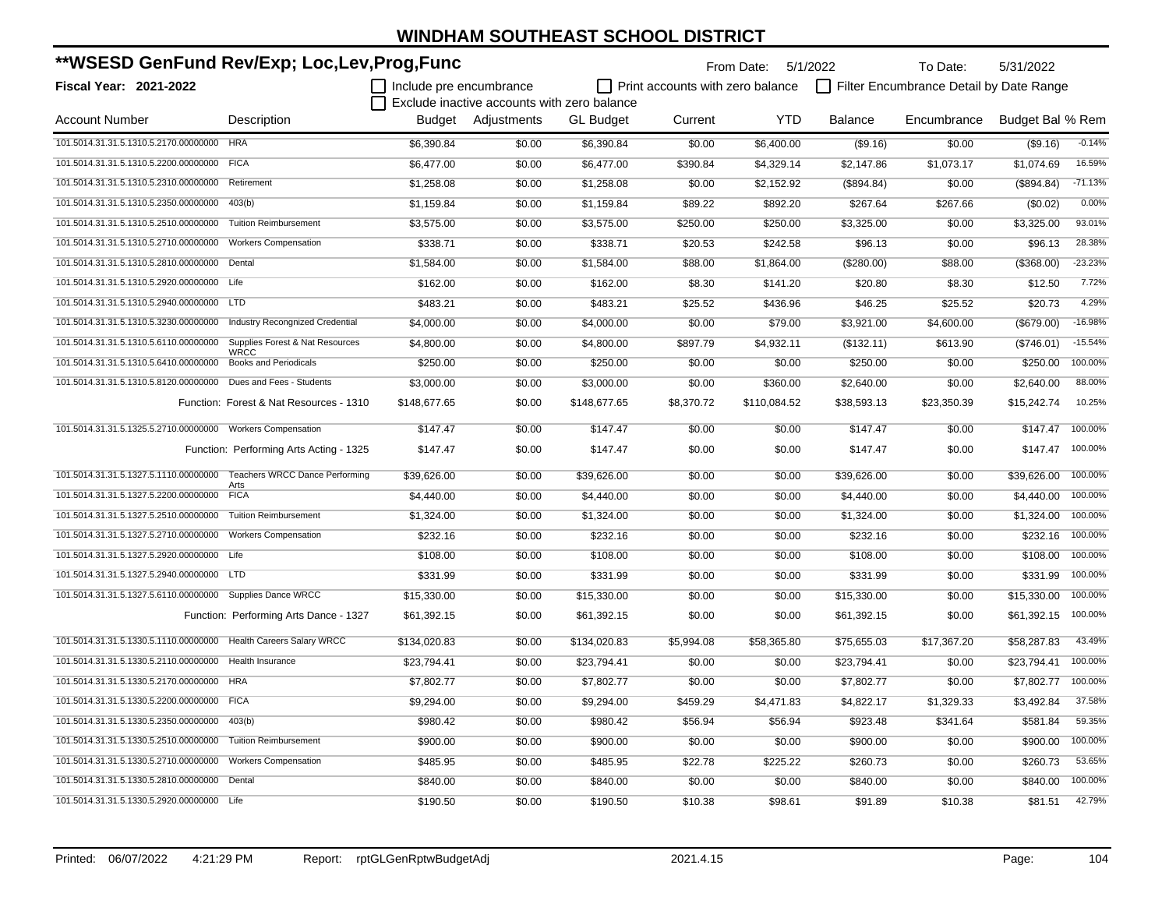| **WSESD GenFund Rev/Exp; Loc,Lev,Prog,Func                       |                                                |                         |                                             |                  | From Date: 5/1/2022                     |              | To Date:       | 5/31/2022                               |                  |           |
|------------------------------------------------------------------|------------------------------------------------|-------------------------|---------------------------------------------|------------------|-----------------------------------------|--------------|----------------|-----------------------------------------|------------------|-----------|
| <b>Fiscal Year: 2021-2022</b>                                    |                                                | Include pre encumbrance |                                             |                  | $\Box$ Print accounts with zero balance |              |                | Filter Encumbrance Detail by Date Range |                  |           |
|                                                                  |                                                |                         | Exclude inactive accounts with zero balance |                  |                                         |              |                |                                         |                  |           |
| <b>Account Number</b>                                            | Description                                    |                         | Budget Adjustments                          | <b>GL Budget</b> | Current                                 | <b>YTD</b>   | <b>Balance</b> | Encumbrance                             | Budget Bal % Rem |           |
| 101.5014.31.31.5.1310.5.2170.00000000 HRA                        |                                                | \$6,390.84              | \$0.00                                      | \$6,390.84       | \$0.00                                  | \$6,400.00   | (\$9.16)       | \$0.00                                  | (\$9.16)         | $-0.14%$  |
| 101.5014.31.31.5.1310.5.2200.00000000 FICA                       |                                                | \$6,477.00              | \$0.00                                      | \$6,477.00       | \$390.84                                | \$4,329.14   | \$2,147.86     | \$1,073.17                              | \$1,074.69       | 16.59%    |
| 101.5014.31.31.5.1310.5.2310.00000000 Retirement                 |                                                | \$1,258.08              | \$0.00                                      | \$1,258.08       | \$0.00                                  | \$2,152.92   | (\$894.84)     | \$0.00                                  | (\$894.84)       | $-71.13%$ |
| 101.5014.31.31.5.1310.5.2350.00000000                            | 403(b)                                         | \$1,159.84              | \$0.00                                      | \$1,159.84       | \$89.22                                 | \$892.20     | \$267.64       | \$267.66                                | (\$0.02)         | 0.00%     |
| 101.5014.31.31.5.1310.5.2510.00000000 Tuition Reimbursement      |                                                | \$3,575.00              | \$0.00                                      | \$3,575.00       | \$250.00                                | \$250.00     | \$3,325.00     | \$0.00                                  | \$3,325.00       | 93.01%    |
| 101.5014.31.31.5.1310.5.2710.00000000                            | <b>Workers Compensation</b>                    | \$338.71                | \$0.00                                      | \$338.71         | \$20.53                                 | \$242.58     | \$96.13        | \$0.00                                  | \$96.13          | 28.38%    |
| 101.5014.31.31.5.1310.5.2810.00000000                            | Dental                                         | \$1,584.00              | \$0.00                                      | \$1,584.00       | \$88.00                                 | \$1,864.00   | (\$280.00)     | \$88.00                                 | (\$368.00)       | $-23.23%$ |
| 101.5014.31.31.5.1310.5.2920.00000000 Life                       |                                                | \$162.00                | \$0.00                                      | \$162.00         | \$8.30                                  | \$141.20     | \$20.80        | \$8.30                                  | \$12.50          | 7.72%     |
| 101.5014.31.31.5.1310.5.2940.00000000 LTD                        |                                                | \$483.21                | \$0.00                                      | \$483.21         | \$25.52                                 | \$436.96     | \$46.25        | \$25.52                                 | \$20.73          | 4.29%     |
| 101.5014.31.31.5.1310.5.3230.00000000                            | <b>Industry Recongnized Credential</b>         | \$4,000.00              | \$0.00                                      | \$4,000.00       | \$0.00                                  | \$79.00      | \$3,921.00     | \$4,600.00                              | (\$679.00)       | $-16.98%$ |
| 101.5014.31.31.5.1310.5.6110.00000000                            | Supplies Forest & Nat Resources<br><b>WRCC</b> | \$4,800.00              | \$0.00                                      | \$4,800.00       | \$897.79                                | \$4,932.11   | (\$132.11)     | \$613.90                                | (\$746.01)       | $-15.54%$ |
| 101.5014.31.31.5.1310.5.6410.00000000                            | <b>Books and Periodicals</b>                   | \$250.00                | \$0.00                                      | \$250.00         | \$0.00                                  | \$0.00       | \$250.00       | \$0.00                                  | \$250.00         | 100.00%   |
| 101.5014.31.31.5.1310.5.8120.00000000                            | Dues and Fees - Students                       | \$3,000.00              | \$0.00                                      | \$3,000.00       | \$0.00                                  | \$360.00     | \$2,640.00     | \$0.00                                  | \$2,640.00       | 88.00%    |
|                                                                  | Function: Forest & Nat Resources - 1310        | \$148,677.65            | \$0.00                                      | \$148,677.65     | \$8,370.72                              | \$110,084.52 | \$38,593.13    | \$23,350.39                             | \$15,242.74      | 10.25%    |
| 101.5014.31.31.5.1325.5.2710.00000000 Workers Compensation       |                                                | \$147.47                | \$0.00                                      | \$147.47         | \$0.00                                  | \$0.00       | \$147.47       | \$0.00                                  | \$147.47         | 100.00%   |
|                                                                  | Function: Performing Arts Acting - 1325        | \$147.47                | \$0.00                                      | \$147.47         | \$0.00                                  | \$0.00       | \$147.47       | \$0.00                                  | \$147.47         | 100.00%   |
| 101.5014.31.31.5.1327.5.1110.00000000                            | <b>Teachers WRCC Dance Performing</b>          | \$39,626.00             | \$0.00                                      | \$39,626.00      | \$0.00                                  | \$0.00       | \$39,626.00    | \$0.00                                  | \$39,626.00      | 100.00%   |
| 101.5014.31.31.5.1327.5.2200.00000000                            | Arts<br><b>FICA</b>                            | \$4,440.00              | \$0.00                                      | \$4,440.00       | \$0.00                                  | \$0.00       | \$4,440.00     | \$0.00                                  | \$4,440.00       | 100.00%   |
| 101.5014.31.31.5.1327.5.2510.00000000                            | <b>Tuition Reimbursement</b>                   | \$1,324.00              | \$0.00                                      | \$1,324.00       | \$0.00                                  | \$0.00       | \$1,324.00     | \$0.00                                  | \$1,324.00       | 100.00%   |
| 101.5014.31.31.5.1327.5.2710.00000000                            | <b>Workers Compensation</b>                    | \$232.16                | \$0.00                                      | \$232.16         | \$0.00                                  | \$0.00       | \$232.16       | \$0.00                                  | \$232.16         | 100.00%   |
| 101.5014.31.31.5.1327.5.2920.00000000                            | Life                                           | \$108.00                | \$0.00                                      | \$108.00         | \$0.00                                  | \$0.00       | \$108.00       | \$0.00                                  | \$108.00         | 100.00%   |
| 101.5014.31.31.5.1327.5.2940.00000000                            | LTD <sub></sub>                                | \$331.99                | \$0.00                                      | \$331.99         | \$0.00                                  | \$0.00       | \$331.99       | \$0.00                                  | \$331.99         | 100.00%   |
| 101.5014.31.31.5.1327.5.6110.00000000 Supplies Dance WRCC        |                                                | \$15,330.00             | \$0.00                                      | \$15,330.00      | \$0.00                                  | \$0.00       | \$15,330.00    | \$0.00                                  | \$15,330.00      | 100.00%   |
|                                                                  | Function: Performing Arts Dance - 1327         | \$61,392.15             | \$0.00                                      | \$61,392.15      | \$0.00                                  | \$0.00       | \$61,392.15    | \$0.00                                  | \$61,392.15      | 100.00%   |
| 101.5014.31.31.5.1330.5.1110.00000000 Health Careers Salary WRCC |                                                | \$134,020.83            | \$0.00                                      | \$134,020.83     | \$5,994.08                              | \$58,365.80  | \$75,655.03    | \$17,367.20                             | \$58,287.83      | 43.49%    |
| 101.5014.31.31.5.1330.5.2110.00000000                            | Health Insurance                               | \$23,794.41             | \$0.00                                      | \$23,794.41      | \$0.00                                  | \$0.00       | \$23,794.41    | \$0.00                                  | \$23,794.41      | 100.00%   |
| 101.5014.31.31.5.1330.5.2170.00000000 HRA                        |                                                | \$7,802.77              | \$0.00                                      | \$7,802.77       | \$0.00                                  | \$0.00       | \$7,802.77     | \$0.00                                  | \$7,802.77       | 100.00%   |
| 101.5014.31.31.5.1330.5.2200.00000000 FICA                       |                                                | \$9,294.00              | \$0.00                                      | \$9,294.00       | \$459.29                                | \$4,471.83   | \$4,822.17     | \$1,329.33                              | \$3,492.84       | 37.58%    |
| 101.5014.31.31.5.1330.5.2350.00000000                            | 403(b)                                         | \$980.42                | \$0.00                                      | \$980.42         | \$56.94                                 | \$56.94      | \$923.48       | \$341.64                                | \$581.84         | 59.35%    |
| 101.5014.31.31.5.1330.5.2510.00000000 Tuition Reimbursement      |                                                | \$900.00                | \$0.00                                      | \$900.00         | \$0.00                                  | \$0.00       | \$900.00       | \$0.00                                  | \$900.00         | 100.00%   |
| 101.5014.31.31.5.1330.5.2710.00000000 Workers Compensation       |                                                | \$485.95                | \$0.00                                      | \$485.95         | \$22.78                                 | \$225.22     | \$260.73       | \$0.00                                  | \$260.73         | 53.65%    |
| 101.5014.31.31.5.1330.5.2810.00000000 Dental                     |                                                | \$840.00                | \$0.00                                      | \$840.00         | \$0.00                                  | \$0.00       | \$840.00       | \$0.00                                  | \$840.00         | 100.00%   |
| 101.5014.31.31.5.1330.5.2920.00000000 Life                       |                                                | \$190.50                | \$0.00                                      | \$190.50         | \$10.38                                 | \$98.61      | \$91.89        | \$10.38                                 | \$81.51          | 42.79%    |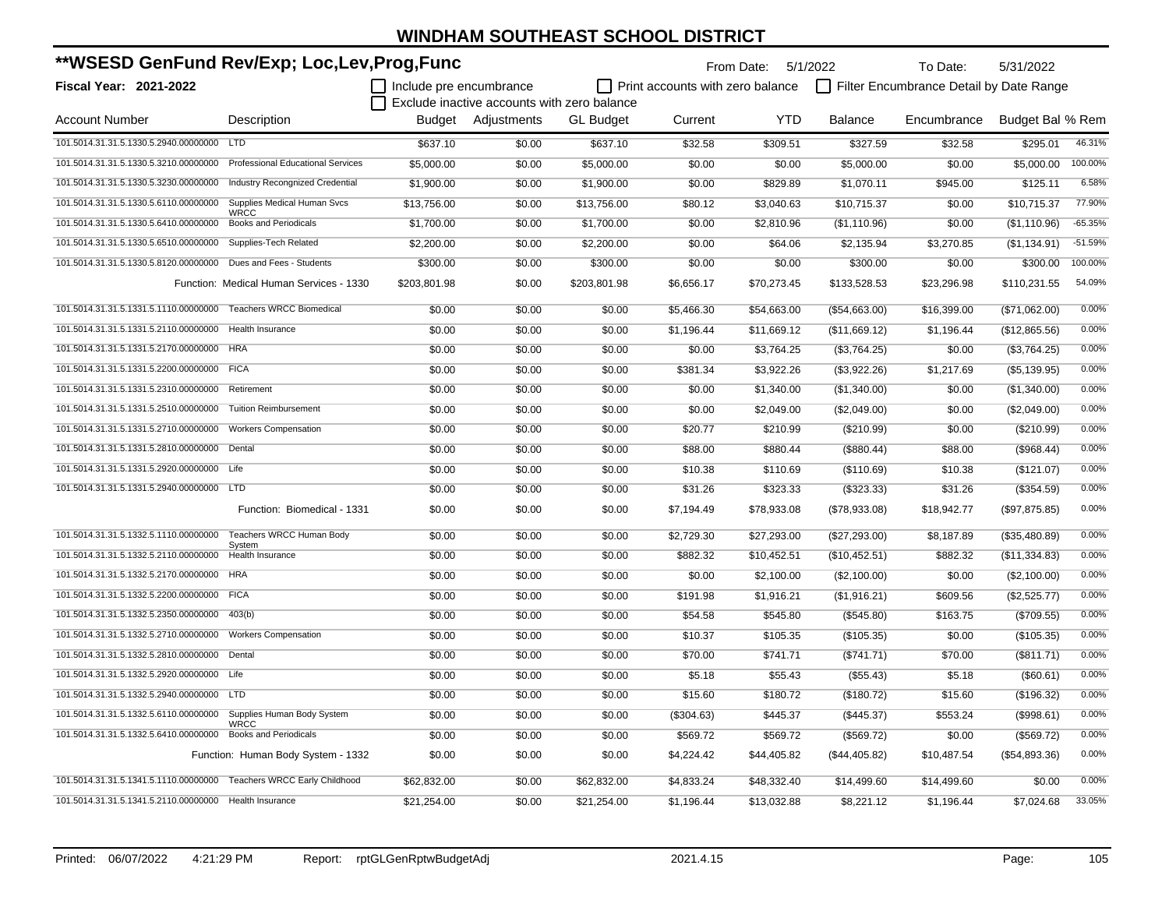| **WSESD GenFund Rev/Exp; Loc,Lev,Prog,Func                          |                                             |                         |                                             |                  |                                         | From Date: 5/1/2022 |                 | To Date:                                | 5/31/2022        |           |
|---------------------------------------------------------------------|---------------------------------------------|-------------------------|---------------------------------------------|------------------|-----------------------------------------|---------------------|-----------------|-----------------------------------------|------------------|-----------|
| <b>Fiscal Year: 2021-2022</b>                                       |                                             | Include pre encumbrance |                                             |                  | $\Box$ Print accounts with zero balance |                     |                 | Filter Encumbrance Detail by Date Range |                  |           |
|                                                                     |                                             |                         | Exclude inactive accounts with zero balance |                  |                                         |                     |                 |                                         |                  |           |
| <b>Account Number</b>                                               | Description                                 | Budget                  | Adjustments                                 | <b>GL Budget</b> | Current                                 | <b>YTD</b>          | <b>Balance</b>  | Encumbrance                             | Budget Bal % Rem |           |
| 101.5014.31.31.5.1330.5.2940.00000000 LTD                           |                                             | \$637.10                | \$0.00                                      | \$637.10         | \$32.58                                 | \$309.51            | \$327.59        | \$32.58                                 | \$295.01         | 46.31%    |
| 101.5014.31.31.5.1330.5.3210.00000000                               | <b>Professional Educational Services</b>    | \$5.000.00              | \$0.00                                      | \$5,000.00       | \$0.00                                  | \$0.00              | \$5,000.00      | \$0.00                                  | \$5,000.00       | 100.00%   |
| 101.5014.31.31.5.1330.5.3230.00000000                               | <b>Industry Recongnized Credential</b>      | \$1,900.00              | \$0.00                                      | \$1,900.00       | \$0.00                                  | \$829.89            | \$1,070.11      | \$945.00                                | \$125.11         | 6.58%     |
| 101.5014.31.31.5.1330.5.6110.00000000                               | Supplies Medical Human Svcs                 | \$13,756.00             | \$0.00                                      | \$13,756.00      | \$80.12                                 | \$3,040.63          | \$10,715.37     | \$0.00                                  | \$10,715.37      | 77.90%    |
| 101.5014.31.31.5.1330.5.6410.00000000                               | <b>WRCC</b><br><b>Books and Periodicals</b> | \$1,700.00              | \$0.00                                      | \$1,700.00       | \$0.00                                  | \$2,810.96          | (\$1,110.96)    | \$0.00                                  | (\$1,110.96)     | $-65.35%$ |
| 101.5014.31.31.5.1330.5.6510.00000000                               | Supplies-Tech Related                       | \$2,200.00              | \$0.00                                      | \$2,200.00       | \$0.00                                  | \$64.06             | \$2,135.94      | \$3,270.85                              | (\$1,134.91)     | $-51.59%$ |
| 101.5014.31.31.5.1330.5.8120.00000000                               | Dues and Fees - Students                    | \$300.00                | \$0.00                                      | \$300.00         | \$0.00                                  | \$0.00              | \$300.00        | \$0.00                                  | \$300.00         | 100.00%   |
|                                                                     | Function: Medical Human Services - 1330     | \$203,801.98            | \$0.00                                      | \$203,801.98     | \$6,656.17                              | \$70,273.45         | \$133,528.53    | \$23,296.98                             | \$110,231.55     | 54.09%    |
| 101.5014.31.31.5.1331.5.1110.00000000                               | <b>Teachers WRCC Biomedical</b>             | \$0.00                  | \$0.00                                      | \$0.00           | \$5,466.30                              | \$54,663.00         | (\$54,663.00)   | \$16,399.00                             | (\$71,062.00)    | 0.00%     |
| 101.5014.31.31.5.1331.5.2110.00000000                               | Health Insurance                            | \$0.00                  | \$0.00                                      | \$0.00           | \$1,196.44                              | \$11,669.12         | (\$11,669.12)   | \$1,196.44                              | (\$12,865.56)    | 0.00%     |
| 101.5014.31.31.5.1331.5.2170.00000000                               | <b>HRA</b>                                  | \$0.00                  | \$0.00                                      | \$0.00           | \$0.00                                  | \$3,764.25          | (\$3,764.25)    | \$0.00                                  | (\$3,764.25)     | 0.00%     |
| 101.5014.31.31.5.1331.5.2200.00000000 FICA                          |                                             | \$0.00                  | \$0.00                                      | \$0.00           | \$381.34                                | \$3,922.26          | (\$3,922.26)    | \$1,217.69                              | (\$5,139.95)     | 0.00%     |
| 101.5014.31.31.5.1331.5.2310.00000000                               | Retirement                                  | \$0.00                  | \$0.00                                      | \$0.00           | \$0.00                                  | \$1,340.00          | (\$1,340.00)    | \$0.00                                  | (\$1,340.00)     | 0.00%     |
| 101.5014.31.31.5.1331.5.2510.00000000                               | <b>Tuition Reimbursement</b>                | \$0.00                  | \$0.00                                      | \$0.00           | \$0.00                                  | \$2,049.00          | (\$2,049.00)    | \$0.00                                  | (\$2,049.00)     | 0.00%     |
| 101.5014.31.31.5.1331.5.2710.00000000                               | <b>Workers Compensation</b>                 | \$0.00                  | \$0.00                                      | \$0.00           | \$20.77                                 | \$210.99            | (\$210.99)      | \$0.00                                  | (\$210.99)       | 0.00%     |
| 101.5014.31.31.5.1331.5.2810.00000000                               | Dental                                      | \$0.00                  | \$0.00                                      | \$0.00           | \$88.00                                 | \$880.44            | (\$880.44)      | \$88.00                                 | (\$968.44)       | 0.00%     |
| 101.5014.31.31.5.1331.5.2920.00000000                               | Life                                        | \$0.00                  | \$0.00                                      | \$0.00           | \$10.38                                 | \$110.69            | (\$110.69)      | \$10.38                                 | (\$121.07)       | 0.00%     |
| 101.5014.31.31.5.1331.5.2940.00000000 LTD                           |                                             | \$0.00                  | \$0.00                                      | \$0.00           | \$31.26                                 | \$323.33            | (\$323.33)      | \$31.26                                 | (\$354.59)       | 0.00%     |
|                                                                     | Function: Biomedical - 1331                 | \$0.00                  | \$0.00                                      | \$0.00           | \$7,194.49                              | \$78,933.08         | (\$78,933.08)   | \$18,942.77                             | (\$97,875.85)    | 0.00%     |
| 101.5014.31.31.5.1332.5.1110.00000000                               | Teachers WRCC Human Body                    | \$0.00                  | \$0.00                                      | \$0.00           | \$2,729.30                              | \$27,293.00         | $(\$27,293.00)$ | \$8,187.89                              | (\$35,480.89)    | 0.00%     |
| 101.5014.31.31.5.1332.5.2110.00000000                               | System<br>Health Insurance                  | \$0.00                  | \$0.00                                      | \$0.00           | \$882.32                                | \$10,452.51         | (\$10,452.51)   | \$882.32                                | (\$11,334.83)    | 0.00%     |
| 101.5014.31.31.5.1332.5.2170.00000000                               | <b>HRA</b>                                  | \$0.00                  | \$0.00                                      | \$0.00           | \$0.00                                  | \$2,100.00          | (\$2,100.00)    | \$0.00                                  | (\$2,100.00)     | 0.00%     |
| 101.5014.31.31.5.1332.5.2200.00000000 FICA                          |                                             | \$0.00                  | \$0.00                                      | \$0.00           | \$191.98                                | \$1,916.21          | (\$1,916.21)    | \$609.56                                | (\$2,525.77)     | 0.00%     |
| 101.5014.31.31.5.1332.5.2350.00000000                               | 403(b)                                      | \$0.00                  | \$0.00                                      | \$0.00           | \$54.58                                 | \$545.80            | (\$545.80)      | \$163.75                                | (\$709.55)       | 0.00%     |
| 101.5014.31.31.5.1332.5.2710.00000000                               | <b>Workers Compensation</b>                 | \$0.00                  | \$0.00                                      | \$0.00           | \$10.37                                 | \$105.35            | (\$105.35)      | \$0.00                                  | (\$105.35)       | 0.00%     |
| 101.5014.31.31.5.1332.5.2810.00000000                               | Dental                                      | \$0.00                  | \$0.00                                      | \$0.00           | \$70.00                                 | \$741.71            | (\$741.71)      | \$70.00                                 | (\$811.71)       | 0.00%     |
| 101.5014.31.31.5.1332.5.2920.00000000 Life                          |                                             | \$0.00                  | \$0.00                                      | \$0.00           | \$5.18                                  | \$55.43             | (\$55.43)       | \$5.18                                  | (\$60.61)        | 0.00%     |
| 101.5014.31.31.5.1332.5.2940.00000000                               | <b>LTD</b>                                  | \$0.00                  | \$0.00                                      | \$0.00           | \$15.60                                 | \$180.72            | (\$180.72)      | \$15.60                                 | (\$196.32)       | 0.00%     |
| 101.5014.31.31.5.1332.5.6110.00000000                               | Supplies Human Body System                  | \$0.00                  | \$0.00                                      | \$0.00           | (\$304.63)                              | \$445.37            | $(\$445.37)$    | \$553.24                                | (\$998.61)       | 0.00%     |
| 101.5014.31.31.5.1332.5.6410.00000000                               | <b>WRCC</b><br><b>Books and Periodicals</b> | \$0.00                  | \$0.00                                      | \$0.00           | \$569.72                                | \$569.72            | (\$569.72)      | \$0.00                                  | (\$569.72)       | 0.00%     |
|                                                                     | Function: Human Body System - 1332          | \$0.00                  | \$0.00                                      | \$0.00           | \$4,224.42                              | \$44,405.82         | (\$44,405.82)   | \$10,487.54                             | (\$54,893.36)    | 0.00%     |
| 101.5014.31.31.5.1341.5.1110.00000000 Teachers WRCC Early Childhood |                                             | \$62,832.00             | \$0.00                                      | \$62,832.00      | \$4,833.24                              | \$48,332.40         | \$14,499.60     | \$14,499.60                             | \$0.00           | 0.00%     |
| 101.5014.31.31.5.1341.5.2110.00000000 Health Insurance              |                                             | \$21,254.00             | \$0.00                                      | \$21,254.00      | \$1,196.44                              | \$13,032.88         | \$8,221.12      | \$1,196.44                              | \$7,024.68       | 33.05%    |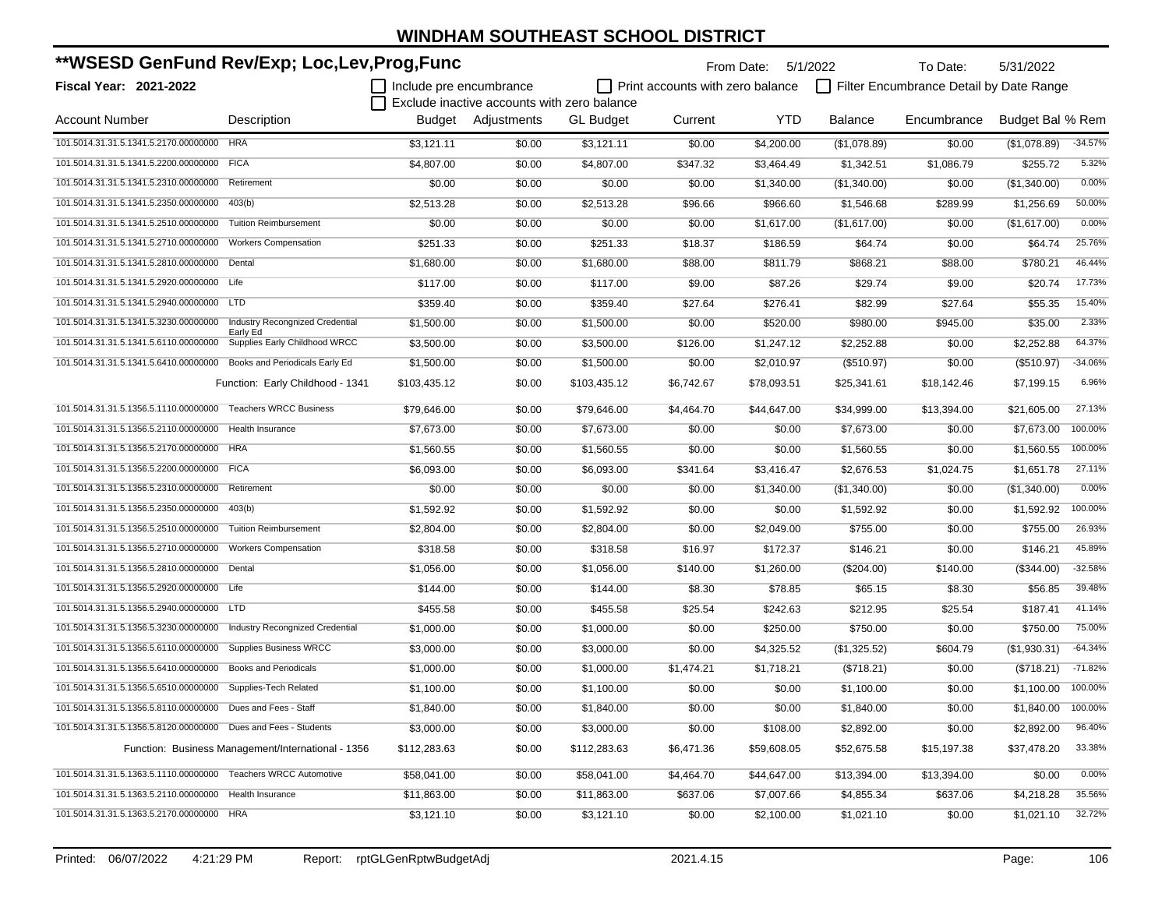| **WSESD GenFund Rev/Exp; Loc,Lev,Prog,Func                           |                                                    |                         |                                             |                  | From Date:                       | 5/1/2022    | To Date:     | 5/31/2022                               |                  |           |
|----------------------------------------------------------------------|----------------------------------------------------|-------------------------|---------------------------------------------|------------------|----------------------------------|-------------|--------------|-----------------------------------------|------------------|-----------|
| <b>Fiscal Year: 2021-2022</b>                                        |                                                    | Include pre encumbrance |                                             |                  | Print accounts with zero balance |             |              | Filter Encumbrance Detail by Date Range |                  |           |
|                                                                      |                                                    |                         | Exclude inactive accounts with zero balance |                  |                                  |             |              |                                         |                  |           |
| <b>Account Number</b>                                                | Description                                        |                         | Budget Adjustments                          | <b>GL Budget</b> | Current                          | <b>YTD</b>  | Balance      | Encumbrance                             | Budget Bal % Rem |           |
| 101.5014.31.31.5.1341.5.2170.00000000                                | <b>HRA</b>                                         | \$3,121.11              | \$0.00                                      | \$3,121.11       | \$0.00                           | \$4,200.00  | (\$1,078.89) | \$0.00                                  | (\$1,078.89)     | $-34.57%$ |
| 101.5014.31.31.5.1341.5.2200.00000000 FICA                           |                                                    | \$4,807.00              | \$0.00                                      | \$4,807.00       | \$347.32                         | \$3,464.49  | \$1,342.51   | \$1,086.79                              | \$255.72         | 5.32%     |
| 101.5014.31.31.5.1341.5.2310.00000000                                | Retirement                                         | \$0.00                  | \$0.00                                      | \$0.00           | \$0.00                           | \$1,340.00  | (\$1,340.00) | \$0.00                                  | (\$1,340.00)     | 0.00%     |
| 101.5014.31.31.5.1341.5.2350.00000000                                | 403(b)                                             | \$2,513.28              | \$0.00                                      | \$2,513.28       | \$96.66                          | \$966.60    | \$1,546.68   | \$289.99                                | \$1,256.69       | 50.00%    |
| 101.5014.31.31.5.1341.5.2510.00000000                                | <b>Tuition Reimbursement</b>                       | \$0.00                  | \$0.00                                      | \$0.00           | \$0.00                           | \$1.617.00  | (\$1,617.00) | \$0.00                                  | (\$1,617.00)     | 0.00%     |
| 101.5014.31.31.5.1341.5.2710.00000000                                | <b>Workers Compensation</b>                        | \$251.33                | \$0.00                                      | \$251.33         | \$18.37                          | \$186.59    | \$64.74      | \$0.00                                  | \$64.74          | 25.76%    |
| 101.5014.31.31.5.1341.5.2810.00000000                                | Dental                                             | \$1,680.00              | \$0.00                                      | \$1,680.00       | \$88.00                          | \$811.79    | \$868.21     | \$88.00                                 | \$780.21         | 46.44%    |
| 101.5014.31.31.5.1341.5.2920.00000000 Life                           |                                                    | \$117.00                | \$0.00                                      | \$117.00         | \$9.00                           | \$87.26     | \$29.74      | \$9.00                                  | \$20.74          | 17.73%    |
| 101.5014.31.31.5.1341.5.2940.00000000 LTD                            |                                                    | \$359.40                | \$0.00                                      | \$359.40         | \$27.64                          | \$276.41    | \$82.99      | \$27.64                                 | \$55.35          | 15.40%    |
| 101.5014.31.31.5.1341.5.3230.00000000                                | <b>Industry Recongnized Credential</b>             | \$1,500.00              | \$0.00                                      | \$1,500.00       | \$0.00                           | \$520.00    | \$980.00     | \$945.00                                | \$35.00          | 2.33%     |
| 101.5014.31.31.5.1341.5.6110.00000000                                | Early Ed<br>Supplies Early Childhood WRCC          | \$3,500.00              | \$0.00                                      | \$3,500.00       | \$126.00                         | \$1,247.12  | \$2,252.88   | \$0.00                                  | \$2,252.88       | 64.37%    |
| 101.5014.31.31.5.1341.5.6410.00000000 Books and Periodicals Early Ed |                                                    | \$1,500.00              | \$0.00                                      | \$1,500.00       | \$0.00                           | \$2,010.97  | (\$510.97)   | \$0.00                                  | (\$510.97)       | $-34.06%$ |
|                                                                      | Function: Early Childhood - 1341                   | \$103,435.12            | \$0.00                                      | \$103,435.12     | \$6,742.67                       | \$78,093.51 | \$25,341.61  | \$18.142.46                             | \$7,199.15       | 6.96%     |
| 101.5014.31.31.5.1356.5.1110.00000000                                | <b>Teachers WRCC Business</b>                      | \$79,646.00             | \$0.00                                      | \$79.646.00      | \$4,464.70                       | \$44,647.00 | \$34,999.00  | \$13,394.00                             | \$21,605.00      | 27.13%    |
| 101.5014.31.31.5.1356.5.2110.00000000                                | Health Insurance                                   | \$7,673.00              | \$0.00                                      | \$7,673.00       | \$0.00                           | \$0.00      | \$7,673.00   | \$0.00                                  | \$7,673.00       | 100.00%   |
| 101.5014.31.31.5.1356.5.2170.00000000 HRA                            |                                                    | \$1,560.55              | \$0.00                                      | \$1,560.55       | \$0.00                           | \$0.00      | \$1,560.55   | \$0.00                                  | \$1,560.55       | 100.00%   |
| 101.5014.31.31.5.1356.5.2200.00000000 FICA                           |                                                    | \$6,093.00              | \$0.00                                      | \$6,093.00       | \$341.64                         | \$3,416.47  | \$2,676.53   | \$1,024.75                              | \$1,651.78       | 27.11%    |
| 101.5014.31.31.5.1356.5.2310.00000000 Retirement                     |                                                    | \$0.00                  | \$0.00                                      | \$0.00           | \$0.00                           | \$1,340.00  | (\$1,340.00) | \$0.00                                  | (\$1,340.00)     | 0.00%     |
| 101.5014.31.31.5.1356.5.2350.00000000                                | 403(b)                                             | \$1,592.92              | \$0.00                                      | \$1,592.92       | \$0.00                           | \$0.00      | \$1,592.92   | \$0.00                                  | \$1,592.92       | 100.00%   |
| 101.5014.31.31.5.1356.5.2510.00000000                                | <b>Tuition Reimbursement</b>                       | \$2,804.00              | \$0.00                                      | \$2,804.00       | \$0.00                           | \$2,049.00  | \$755.00     | \$0.00                                  | \$755.00         | 26.93%    |
| 101.5014.31.31.5.1356.5.2710.00000000                                | <b>Workers Compensation</b>                        | \$318.58                | \$0.00                                      | \$318.58         | \$16.97                          | \$172.37    | \$146.21     | \$0.00                                  | \$146.21         | 45.89%    |
| 101.5014.31.31.5.1356.5.2810.00000000 Dental                         |                                                    | \$1,056.00              | \$0.00                                      | \$1,056.00       | \$140.00                         | \$1,260.00  | (\$204.00)   | \$140.00                                | (\$344.00)       | $-32.58%$ |
| 101.5014.31.31.5.1356.5.2920.00000000 Life                           |                                                    | \$144.00                | \$0.00                                      | \$144.00         | \$8.30                           | \$78.85     | \$65.15      | \$8.30                                  | \$56.85          | 39.48%    |
| 101.5014.31.31.5.1356.5.2940.00000000                                | <b>LTD</b>                                         | \$455.58                | \$0.00                                      | \$455.58         | \$25.54                          | \$242.63    | \$212.95     | \$25.54                                 | \$187.41         | 41.14%    |
| 101.5014.31.31.5.1356.5.3230.00000000                                | <b>Industry Recongnized Credential</b>             | \$1,000.00              | \$0.00                                      | \$1,000.00       | \$0.00                           | \$250.00    | \$750.00     | \$0.00                                  | \$750.00         | 75.00%    |
| 101.5014.31.31.5.1356.5.6110.00000000                                | <b>Supplies Business WRCC</b>                      | \$3,000.00              | \$0.00                                      | \$3,000.00       | \$0.00                           | \$4,325.52  | (\$1,325.52) | \$604.79                                | (\$1,930.31)     | $-64.34%$ |
| 101.5014.31.31.5.1356.5.6410.00000000                                | <b>Books and Periodicals</b>                       | \$1,000.00              | \$0.00                                      | \$1,000.00       | \$1,474.21                       | \$1,718.21  | (\$718.21)   | \$0.00                                  | (\$718.21)       | $-71.82%$ |
| 101.5014.31.31.5.1356.5.6510.00000000                                | Supplies-Tech Related                              | \$1,100.00              | \$0.00                                      | \$1,100.00       | \$0.00                           | \$0.00      | \$1,100.00   | \$0.00                                  | \$1.100.00       | 100.00%   |
| 101.5014.31.31.5.1356.5.8110.00000000 Dues and Fees - Staff          |                                                    | \$1,840.00              | \$0.00                                      | \$1,840.00       | \$0.00                           | \$0.00      | \$1,840.00   | \$0.00                                  | \$1,840.00       | 100.00%   |
| 101.5014.31.31.5.1356.5.8120.00000000 Dues and Fees - Students       |                                                    | \$3,000.00              | \$0.00                                      | \$3,000.00       | \$0.00                           | \$108.00    | \$2,892.00   | \$0.00                                  | \$2,892.00       | 96.40%    |
|                                                                      | Function: Business Management/International - 1356 | \$112,283.63            | \$0.00                                      | \$112,283.63     | \$6,471.36                       | \$59,608.05 | \$52,675.58  | \$15,197.38                             | \$37,478.20      | 33.38%    |
| 101.5014.31.31.5.1363.5.1110.00000000 Teachers WRCC Automotive       |                                                    | \$58,041.00             | \$0.00                                      | \$58,041.00      | \$4,464.70                       | \$44,647.00 | \$13,394.00  | \$13,394.00                             | \$0.00           | 0.00%     |
| 101.5014.31.31.5.1363.5.2110.00000000 Health Insurance               |                                                    | \$11,863.00             | \$0.00                                      | \$11,863.00      | \$637.06                         | \$7,007.66  | \$4,855.34   | \$637.06                                | \$4,218.28       | 35.56%    |
| 101.5014.31.31.5.1363.5.2170.00000000 HRA                            |                                                    | \$3,121.10              | \$0.00                                      | \$3,121.10       | \$0.00                           | \$2,100.00  | \$1,021.10   | \$0.00                                  | \$1,021.10       | 32.72%    |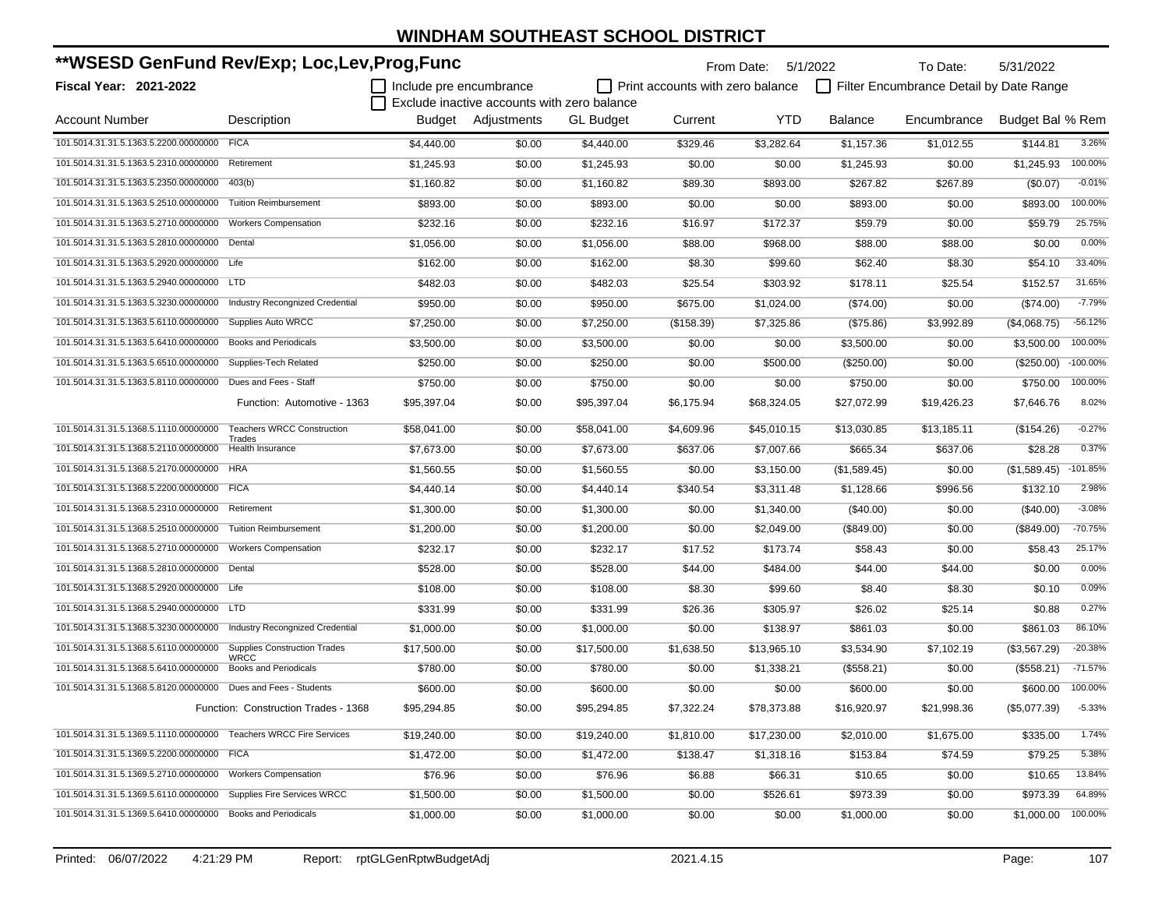| **WSESD GenFund Rev/Exp; Loc,Lev,Prog,Func                        |                                                    |                         |                                             |                  |                                         | From Date:  | 5/1/2022       | To Date:                                | 5/31/2022        |             |
|-------------------------------------------------------------------|----------------------------------------------------|-------------------------|---------------------------------------------|------------------|-----------------------------------------|-------------|----------------|-----------------------------------------|------------------|-------------|
| <b>Fiscal Year: 2021-2022</b>                                     |                                                    | Include pre encumbrance |                                             |                  | $\Box$ Print accounts with zero balance |             |                | Filter Encumbrance Detail by Date Range |                  |             |
|                                                                   |                                                    |                         | Exclude inactive accounts with zero balance |                  |                                         |             |                |                                         |                  |             |
| <b>Account Number</b>                                             | Description                                        |                         | Budget Adjustments                          | <b>GL Budget</b> | Current                                 | YTD         | <b>Balance</b> | Encumbrance                             | Budget Bal % Rem |             |
| 101.5014.31.31.5.1363.5.2200.00000000                             | <b>FICA</b>                                        | \$4,440.00              | \$0.00                                      | \$4.440.00       | \$329.46                                | \$3,282.64  | \$1,157.36     | \$1,012.55                              | \$144.81         | 3.26%       |
| 101.5014.31.31.5.1363.5.2310.00000000                             | Retirement                                         | \$1,245.93              | \$0.00                                      | \$1,245.93       | \$0.00                                  | \$0.00      | \$1,245.93     | \$0.00                                  | \$1,245.93       | 100.00%     |
| 101.5014.31.31.5.1363.5.2350.00000000                             | 403(b)                                             | \$1,160.82              | \$0.00                                      | \$1,160.82       | \$89.30                                 | \$893.00    | \$267.82       | \$267.89                                | (\$0.07)         | $-0.01%$    |
| 101.5014.31.31.5.1363.5.2510.00000000                             | <b>Tuition Reimbursement</b>                       | \$893.00                | \$0.00                                      | \$893.00         | \$0.00                                  | \$0.00      | \$893.00       | \$0.00                                  | \$893.00         | 100.00%     |
| 101.5014.31.31.5.1363.5.2710.00000000                             | <b>Workers Compensation</b>                        | \$232.16                | \$0.00                                      | \$232.16         | \$16.97                                 | \$172.37    | \$59.79        | \$0.00                                  | \$59.79          | 25.75%      |
| 101.5014.31.31.5.1363.5.2810.00000000                             | Dental                                             | \$1,056.00              | \$0.00                                      | \$1,056.00       | \$88.00                                 | \$968.00    | \$88.00        | \$88.00                                 | \$0.00           | 0.00%       |
| 101.5014.31.31.5.1363.5.2920.00000000 Life                        |                                                    | \$162.00                | \$0.00                                      | \$162.00         | \$8.30                                  | \$99.60     | \$62.40        | \$8.30                                  | \$54.10          | 33.40%      |
| 101.5014.31.31.5.1363.5.2940.00000000 LTD                         |                                                    | \$482.03                | \$0.00                                      | \$482.03         | \$25.54                                 | \$303.92    | \$178.11       | \$25.54                                 | \$152.57         | 31.65%      |
| 101.5014.31.31.5.1363.5.3230.00000000                             | <b>Industry Recongnized Credential</b>             | \$950.00                | \$0.00                                      | \$950.00         | \$675.00                                | \$1,024.00  | (\$74.00)      | \$0.00                                  | (\$74.00)        | $-7.79%$    |
| 101.5014.31.31.5.1363.5.6110.00000000                             | <b>Supplies Auto WRCC</b>                          | \$7,250.00              | \$0.00                                      | \$7,250.00       | (\$158.39)                              | \$7,325.86  | (\$75.86)      | \$3,992.89                              | (\$4,068.75)     | $-56.12%$   |
| 101.5014.31.31.5.1363.5.6410.00000000                             | <b>Books and Periodicals</b>                       | \$3,500.00              | \$0.00                                      | \$3,500.00       | \$0.00                                  | \$0.00      | \$3.500.00     | \$0.00                                  | \$3.500.00       | 100.00%     |
| 101.5014.31.31.5.1363.5.6510.00000000                             | Supplies-Tech Related                              | \$250.00                | \$0.00                                      | \$250.00         | \$0.00                                  | \$500.00    | (\$250.00)     | \$0.00                                  | (\$250.00)       | $-100.00\%$ |
| 101.5014.31.31.5.1363.5.8110.00000000                             | Dues and Fees - Staff                              | \$750.00                | \$0.00                                      | \$750.00         | \$0.00                                  | \$0.00      | \$750.00       | \$0.00                                  | \$750.00         | 100.00%     |
|                                                                   | Function: Automotive - 1363                        | \$95,397.04             | \$0.00                                      | \$95,397.04      | \$6,175.94                              | \$68,324.05 | \$27,072.99    | \$19,426.23                             | \$7,646.76       | 8.02%       |
| 101.5014.31.31.5.1368.5.1110.00000000                             | <b>Teachers WRCC Construction</b>                  | \$58,041.00             | \$0.00                                      | \$58,041.00      | \$4,609.96                              | \$45,010.15 | \$13,030.85    | \$13,185.11                             | (\$154.26)       | $-0.27%$    |
| 101.5014.31.31.5.1368.5.2110.00000000                             | Trades<br>Health Insurance                         | \$7,673.00              | \$0.00                                      | \$7,673.00       | \$637.06                                | \$7,007.66  | \$665.34       | \$637.06                                | \$28.28          | 0.37%       |
| 101.5014.31.31.5.1368.5.2170.00000000                             | <b>HRA</b>                                         | \$1,560.55              | \$0.00                                      | \$1,560.55       | \$0.00                                  | \$3,150.00  | (\$1,589.45)   | \$0.00                                  | (\$1,589.45)     | $-101.85%$  |
| 101.5014.31.31.5.1368.5.2200.00000000 FICA                        |                                                    | \$4,440.14              | \$0.00                                      | \$4,440.14       | \$340.54                                | \$3,311.48  | \$1,128.66     | \$996.56                                | \$132.10         | 2.98%       |
| 101.5014.31.31.5.1368.5.2310.00000000                             | Retirement                                         | \$1,300.00              | \$0.00                                      | \$1,300.00       | \$0.00                                  | \$1,340.00  | $(\$40.00)$    | \$0.00                                  | $(\$40.00)$      | $-3.08%$    |
| 101.5014.31.31.5.1368.5.2510.00000000                             | <b>Tuition Reimbursement</b>                       | \$1,200.00              | \$0.00                                      | \$1,200.00       | \$0.00                                  | \$2,049.00  | (\$849.00)     | \$0.00                                  | (\$849.00)       | $-70.75%$   |
| 101.5014.31.31.5.1368.5.2710.00000000                             | <b>Workers Compensation</b>                        | \$232.17                | \$0.00                                      | \$232.17         | \$17.52                                 | \$173.74    | \$58.43        | \$0.00                                  | \$58.43          | 25.17%      |
| 101.5014.31.31.5.1368.5.2810.00000000 Dental                      |                                                    | \$528.00                | \$0.00                                      | \$528.00         | \$44.00                                 | \$484.00    | \$44.00        | \$44.00                                 | \$0.00           | 0.00%       |
| 101.5014.31.31.5.1368.5.2920.00000000                             | Life                                               | \$108.00                | \$0.00                                      | \$108.00         | \$8.30                                  | \$99.60     | \$8.40         | \$8.30                                  | \$0.10           | 0.09%       |
| 101.5014.31.31.5.1368.5.2940.00000000 LTD                         |                                                    | \$331.99                | \$0.00                                      | \$331.99         | \$26.36                                 | \$305.97    | \$26.02        | \$25.14                                 | \$0.88           | 0.27%       |
| 101.5014.31.31.5.1368.5.3230.00000000                             | <b>Industry Recongnized Credential</b>             | \$1,000.00              | \$0.00                                      | \$1,000.00       | \$0.00                                  | \$138.97    | \$861.03       | \$0.00                                  | \$861.03         | 86.10%      |
| 101.5014.31.31.5.1368.5.6110.00000000                             | <b>Supplies Construction Trades</b><br><b>WRCC</b> | \$17.500.00             | \$0.00                                      | \$17,500.00      | \$1,638.50                              | \$13,965.10 | \$3.534.90     | \$7,102.19                              | (\$3,567.29)     | $-20.38%$   |
| 101.5014.31.31.5.1368.5.6410.00000000                             | <b>Books and Periodicals</b>                       | \$780.00                | \$0.00                                      | \$780.00         | \$0.00                                  | \$1,338.21  | (\$558.21)     | \$0.00                                  | (\$558.21)       | $-71.57%$   |
| 101.5014.31.31.5.1368.5.8120.00000000 Dues and Fees - Students    |                                                    | \$600.00                | \$0.00                                      | \$600.00         | \$0.00                                  | \$0.00      | \$600.00       | \$0.00                                  | \$600.00         | 100.00%     |
|                                                                   | Function: Construction Trades - 1368               | \$95,294.85             | \$0.00                                      | \$95,294.85      | \$7,322.24                              | \$78,373.88 | \$16,920.97    | \$21,998.36                             | (\$5,077.39)     | $-5.33%$    |
| 101.5014.31.31.5.1369.5.1110.00000000 Teachers WRCC Fire Services |                                                    | \$19,240.00             | \$0.00                                      | \$19,240.00      | \$1,810.00                              | \$17,230.00 | \$2,010.00     | \$1,675.00                              | \$335.00         | 1.74%       |
| 101.5014.31.31.5.1369.5.2200.00000000 FICA                        |                                                    | \$1,472.00              | \$0.00                                      | \$1,472.00       | \$138.47                                | \$1,318.16  | \$153.84       | \$74.59                                 | \$79.25          | 5.38%       |
| 101.5014.31.31.5.1369.5.2710.00000000                             | <b>Workers Compensation</b>                        | \$76.96                 | \$0.00                                      | \$76.96          | \$6.88                                  | \$66.31     | \$10.65        | \$0.00                                  | \$10.65          | 13.84%      |
| 101.5014.31.31.5.1369.5.6110.00000000                             | Supplies Fire Services WRCC                        | \$1,500.00              | \$0.00                                      | \$1,500.00       | \$0.00                                  | \$526.61    | \$973.39       | \$0.00                                  | \$973.39         | 64.89%      |
| 101.5014.31.31.5.1369.5.6410.00000000 Books and Periodicals       |                                                    | \$1,000.00              | \$0.00                                      | \$1,000.00       | \$0.00                                  | \$0.00      | \$1,000.00     | \$0.00                                  | \$1,000.00       | 100.00%     |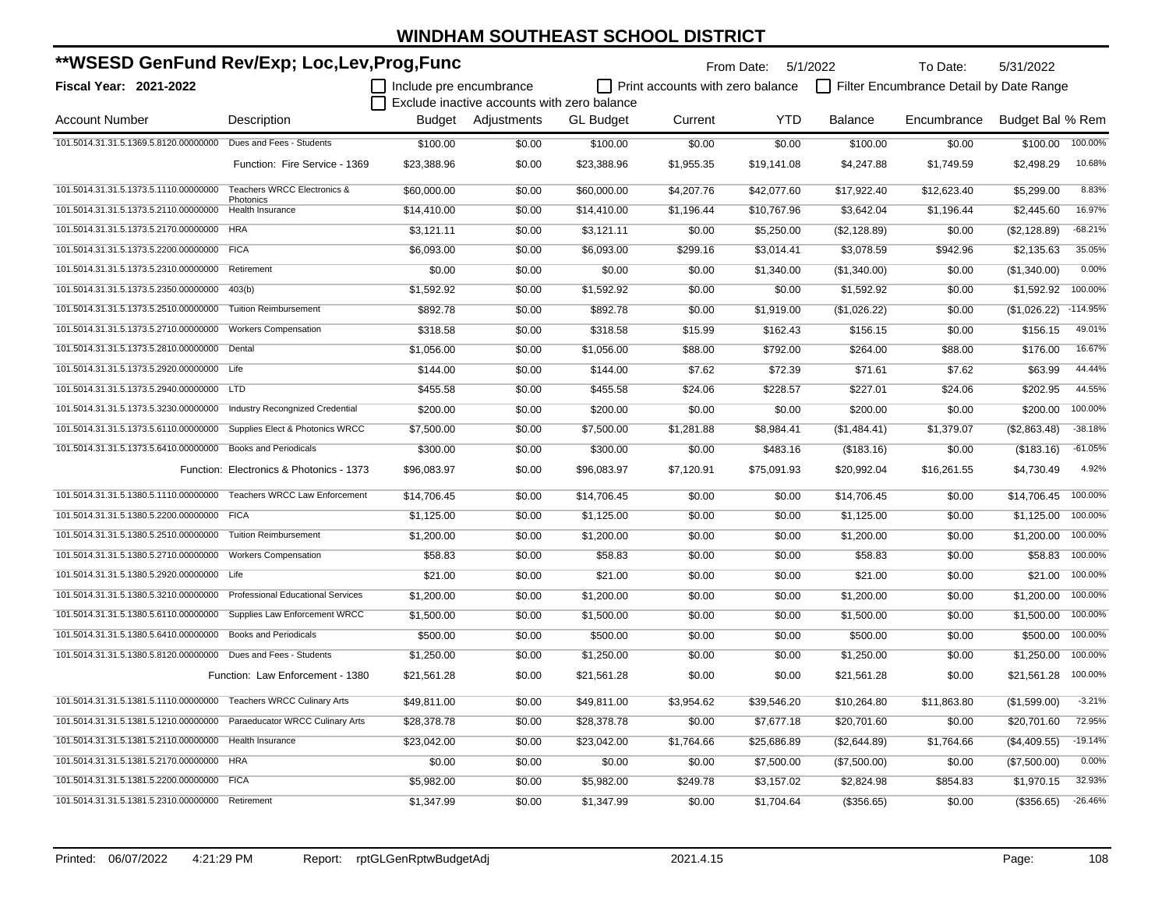| **WSESD GenFund Rev/Exp; Loc,Lev,Prog,Func                              |                                          |                         |                                             |                  | From Date: 5/1/2022              |             | To Date:       | 5/31/2022                               |                  |            |
|-------------------------------------------------------------------------|------------------------------------------|-------------------------|---------------------------------------------|------------------|----------------------------------|-------------|----------------|-----------------------------------------|------------------|------------|
| Fiscal Year: 2021-2022                                                  |                                          | Include pre encumbrance |                                             |                  | Print accounts with zero balance |             |                | Filter Encumbrance Detail by Date Range |                  |            |
|                                                                         |                                          |                         | Exclude inactive accounts with zero balance |                  |                                  |             |                |                                         |                  |            |
| <b>Account Number</b>                                                   | Description                              |                         | Budget Adjustments                          | <b>GL Budget</b> | Current                          | <b>YTD</b>  | <b>Balance</b> | Encumbrance                             | Budget Bal % Rem |            |
| 101.5014.31.31.5.1369.5.8120.00000000 Dues and Fees - Students          |                                          | \$100.00                | \$0.00                                      | \$100.00         | \$0.00                           | \$0.00      | \$100.00       | \$0.00                                  | \$100.00         | 100.00%    |
|                                                                         | Function: Fire Service - 1369            | \$23,388.96             | \$0.00                                      | \$23,388.96      | \$1,955.35                       | \$19,141.08 | \$4,247.88     | \$1,749.59                              | \$2,498.29       | 10.68%     |
| 101.5014.31.31.5.1373.5.1110.00000000                                   | Teachers WRCC Electronics &<br>Photonics | \$60,000.00             | \$0.00                                      | \$60,000.00      | \$4,207.76                       | \$42,077.60 | \$17,922.40    | \$12,623.40                             | \$5.299.00       | 8.83%      |
| 101.5014.31.31.5.1373.5.2110.00000000                                   | <b>Health Insurance</b>                  | \$14,410.00             | \$0.00                                      | \$14,410.00      | \$1,196.44                       | \$10,767.96 | \$3,642.04     | \$1,196.44                              | \$2,445.60       | 16.97%     |
| 101.5014.31.31.5.1373.5.2170.00000000 HRA                               |                                          | \$3,121.11              | \$0.00                                      | \$3,121.11       | \$0.00                           | \$5,250.00  | (\$2,128.89)   | \$0.00                                  | (\$2,128.89)     | $-68.21%$  |
| 101.5014.31.31.5.1373.5.2200.00000000 FICA                              |                                          | \$6,093.00              | \$0.00                                      | \$6,093.00       | \$299.16                         | \$3,014.41  | \$3,078.59     | \$942.96                                | \$2,135.63       | 35.05%     |
| 101.5014.31.31.5.1373.5.2310.00000000 Retirement                        |                                          | \$0.00                  | \$0.00                                      | \$0.00           | \$0.00                           | \$1,340.00  | (\$1,340.00)   | \$0.00                                  | (\$1,340.00)     | 0.00%      |
| 101.5014.31.31.5.1373.5.2350.00000000                                   | 403(b)                                   | \$1,592.92              | \$0.00                                      | \$1,592.92       | \$0.00                           | \$0.00      | \$1,592.92     | \$0.00                                  | \$1,592.92       | 100.00%    |
| 101.5014.31.31.5.1373.5.2510.00000000                                   | <b>Tuition Reimbursement</b>             | \$892.78                | \$0.00                                      | \$892.78         | \$0.00                           | \$1,919.00  | (\$1,026.22)   | \$0.00                                  | (\$1,026.22)     | $-114.95%$ |
| 101.5014.31.31.5.1373.5.2710.00000000                                   | <b>Workers Compensation</b>              | \$318.58                | \$0.00                                      | \$318.58         | \$15.99                          | \$162.43    | \$156.15       | \$0.00                                  | \$156.15         | 49.01%     |
| 101.5014.31.31.5.1373.5.2810.00000000 Dental                            |                                          | \$1,056.00              | \$0.00                                      | \$1,056.00       | \$88.00                          | \$792.00    | \$264.00       | \$88.00                                 | \$176.00         | 16.67%     |
| 101.5014.31.31.5.1373.5.2920.00000000 Life                              |                                          | \$144.00                | \$0.00                                      | \$144.00         | \$7.62                           | \$72.39     | \$71.61        | \$7.62                                  | \$63.99          | 44.44%     |
| 101.5014.31.31.5.1373.5.2940.00000000 LTD                               |                                          | \$455.58                | \$0.00                                      | \$455.58         | \$24.06                          | \$228.57    | \$227.01       | \$24.06                                 | \$202.95         | 44.55%     |
| 101.5014.31.31.5.1373.5.3230.00000000 Industry Recongnized Credential   |                                          | \$200.00                | \$0.00                                      | \$200.00         | \$0.00                           | \$0.00      | \$200.00       | \$0.00                                  | \$200.00         | 100.00%    |
| 101.5014.31.31.5.1373.5.6110.00000000 Supplies Elect & Photonics WRCC   |                                          | \$7,500.00              | \$0.00                                      | \$7,500.00       | \$1,281.88                       | \$8,984.41  | (\$1,484.41)   | \$1,379.07                              | (\$2,863.48)     | $-38.18%$  |
| 101.5014.31.31.5.1373.5.6410.00000000 Books and Periodicals             |                                          | \$300.00                | \$0.00                                      | \$300.00         | \$0.00                           | \$483.16    | (\$183.16)     | \$0.00                                  | (\$183.16)       | $-61.05%$  |
|                                                                         | Function: Electronics & Photonics - 1373 | \$96,083.97             | \$0.00                                      | \$96,083.97      | \$7,120.91                       | \$75,091.93 | \$20,992.04    | \$16,261.55                             | \$4,730.49       | 4.92%      |
| 101.5014.31.31.5.1380.5.1110.00000000                                   | <b>Teachers WRCC Law Enforcement</b>     | \$14,706.45             | \$0.00                                      | \$14,706.45      | \$0.00                           | \$0.00      | \$14,706.45    | \$0.00                                  | \$14,706.45      | 100.00%    |
| 101.5014.31.31.5.1380.5.2200.00000000 FICA                              |                                          | \$1,125.00              | \$0.00                                      | \$1,125.00       | \$0.00                           | \$0.00      | \$1,125.00     | \$0.00                                  | \$1,125.00       | 100.00%    |
| 101.5014.31.31.5.1380.5.2510.00000000                                   | <b>Tuition Reimbursement</b>             | \$1,200.00              | \$0.00                                      | \$1,200.00       | \$0.00                           | \$0.00      | \$1,200.00     | \$0.00                                  | \$1,200.00       | 100.00%    |
| 101.5014.31.31.5.1380.5.2710.00000000                                   | <b>Workers Compensation</b>              | \$58.83                 | \$0.00                                      | \$58.83          | \$0.00                           | \$0.00      | \$58.83        | \$0.00                                  | \$58.83          | 100.00%    |
| 101.5014.31.31.5.1380.5.2920.00000000 Life                              |                                          | \$21.00                 | \$0.00                                      | \$21.00          | \$0.00                           | \$0.00      | \$21.00        | \$0.00                                  | \$21.00          | 100.00%    |
| 101.5014.31.31.5.1380.5.3210.00000000 Professional Educational Services |                                          | \$1.200.00              | \$0.00                                      | \$1,200.00       | \$0.00                           | \$0.00      | \$1,200.00     | \$0.00                                  | \$1,200.00       | 100.00%    |
| 101.5014.31.31.5.1380.5.6110.00000000 Supplies Law Enforcement WRCC     |                                          | \$1,500.00              | \$0.00                                      | \$1,500.00       | \$0.00                           | \$0.00      | \$1,500.00     | \$0.00                                  | \$1,500.00       | 100.00%    |
| 101.5014.31.31.5.1380.5.6410.00000000 Books and Periodicals             |                                          | \$500.00                | \$0.00                                      | \$500.00         | \$0.00                           | \$0.00      | \$500.00       | \$0.00                                  | \$500.00         | 100.00%    |
| 101.5014.31.31.5.1380.5.8120.00000000 Dues and Fees - Students          |                                          | \$1,250.00              | \$0.00                                      | \$1,250.00       | \$0.00                           | \$0.00      | \$1,250.00     | \$0.00                                  | \$1,250.00       | 100.00%    |
|                                                                         | Function: Law Enforcement - 1380         | \$21,561.28             | \$0.00                                      | \$21,561.28      | \$0.00                           | \$0.00      | \$21,561.28    | \$0.00                                  | \$21,561.28      | 100.00%    |
| 101.5014.31.31.5.1381.5.1110.00000000 Teachers WRCC Culinary Arts       |                                          | \$49,811.00             | \$0.00                                      | \$49,811.00      | \$3,954.62                       | \$39,546.20 | \$10,264.80    | \$11,863.80                             | (\$1,599.00)     | $-3.21%$   |
| 101.5014.31.31.5.1381.5.1210.00000000 Paraeducator WRCC Culinary Arts   |                                          | \$28,378.78             | \$0.00                                      | \$28,378.78      | \$0.00                           | \$7,677.18  | \$20,701.60    | \$0.00                                  | \$20,701.60      | 72.95%     |
| 101.5014.31.31.5.1381.5.2110.00000000 Health Insurance                  |                                          | \$23,042.00             | \$0.00                                      | \$23,042.00      | \$1,764.66                       | \$25,686.89 | (\$2,644.89)   | \$1,764.66                              | (\$4,409.55)     | $-19.14%$  |
| 101.5014.31.31.5.1381.5.2170.00000000 HRA                               |                                          | \$0.00                  | \$0.00                                      | \$0.00           | \$0.00                           | \$7,500.00  | (\$7,500.00)   | \$0.00                                  | (\$7,500.00)     | 0.00%      |
| 101.5014.31.31.5.1381.5.2200.00000000 FICA                              |                                          | \$5,982.00              | \$0.00                                      | \$5,982.00       | \$249.78                         | \$3,157.02  | \$2,824.98     | \$854.83                                | \$1,970.15       | 32.93%     |
| 101.5014.31.31.5.1381.5.2310.00000000 Retirement                        |                                          | \$1,347.99              | \$0.00                                      | \$1,347.99       | \$0.00                           | \$1,704.64  | (\$356.65)     | \$0.00                                  | (\$356.65)       | $-26.46%$  |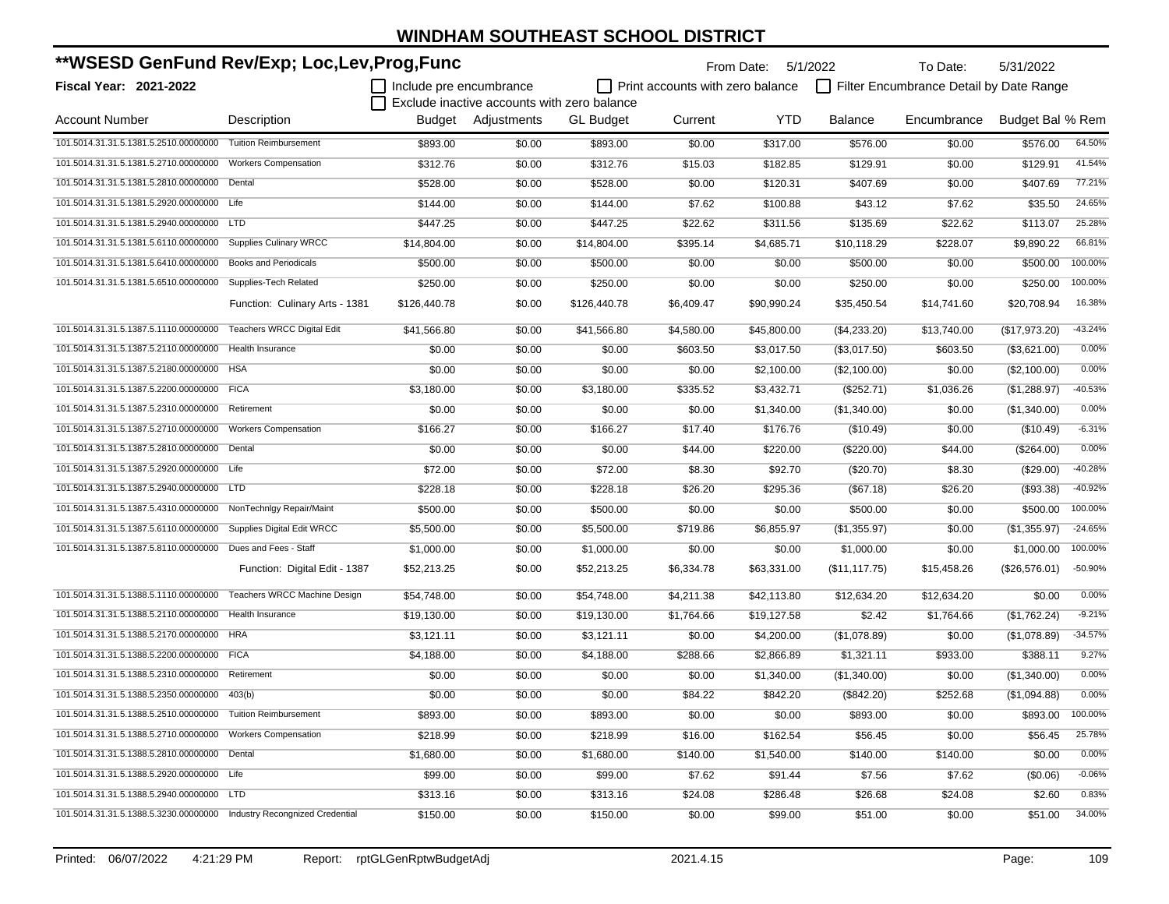| **WSESD GenFund Rev/Exp; Loc,Lev,Prog,Func                            |                                   |                         |                                             | From Date:       | 5/1/2022                         | To Date:    | 5/31/2022      |                                         |                  |           |
|-----------------------------------------------------------------------|-----------------------------------|-------------------------|---------------------------------------------|------------------|----------------------------------|-------------|----------------|-----------------------------------------|------------------|-----------|
| Fiscal Year: 2021-2022                                                |                                   | Include pre encumbrance |                                             |                  | Print accounts with zero balance |             |                | Filter Encumbrance Detail by Date Range |                  |           |
|                                                                       |                                   |                         | Exclude inactive accounts with zero balance |                  |                                  |             |                |                                         |                  |           |
| Account Number                                                        | Description                       |                         | Budget Adjustments                          | <b>GL</b> Budget | Current                          | <b>YTD</b>  | <b>Balance</b> | Encumbrance                             | Budget Bal % Rem |           |
| 101.5014.31.31.5.1381.5.2510.00000000                                 | <b>Tuition Reimbursement</b>      | \$893.00                | \$0.00                                      | \$893.00         | \$0.00                           | \$317.00    | \$576.00       | \$0.00                                  | \$576.00         | 64.50%    |
| 101.5014.31.31.5.1381.5.2710.00000000                                 | <b>Workers Compensation</b>       | \$312.76                | \$0.00                                      | \$312.76         | \$15.03                          | \$182.85    | \$129.91       | \$0.00                                  | \$129.91         | 41.54%    |
| 101.5014.31.31.5.1381.5.2810.00000000 Dental                          |                                   | \$528.00                | \$0.00                                      | \$528.00         | \$0.00                           | \$120.31    | \$407.69       | \$0.00                                  | \$407.69         | 77.21%    |
| 101.5014.31.31.5.1381.5.2920.00000000 Life                            |                                   | \$144.00                | \$0.00                                      | \$144.00         | \$7.62                           | \$100.88    | \$43.12        | \$7.62                                  | \$35.50          | 24.65%    |
| 101.5014.31.31.5.1381.5.2940.00000000 LTD                             |                                   | \$447.25                | \$0.00                                      | \$447.25         | \$22.62                          | \$311.56    | \$135.69       | \$22.62                                 | \$113.07         | 25.28%    |
| 101.5014.31.31.5.1381.5.6110.00000000                                 | <b>Supplies Culinary WRCC</b>     | \$14,804.00             | \$0.00                                      | \$14,804.00      | \$395.14                         | \$4,685.71  | \$10,118.29    | \$228.07                                | \$9.890.22       | 66.81%    |
| 101.5014.31.31.5.1381.5.6410.00000000                                 | <b>Books and Periodicals</b>      | \$500.00                | \$0.00                                      | \$500.00         | \$0.00                           | \$0.00      | \$500.00       | \$0.00                                  | \$500.00         | 100.00%   |
| 101.5014.31.31.5.1381.5.6510.00000000                                 | Supplies-Tech Related             | \$250.00                | \$0.00                                      | \$250.00         | \$0.00                           | \$0.00      | \$250.00       | \$0.00                                  | \$250.00         | 100.00%   |
|                                                                       | Function: Culinary Arts - 1381    | \$126,440.78            | \$0.00                                      | \$126,440.78     | \$6,409.47                       | \$90,990.24 | \$35,450.54    | \$14,741.60                             | \$20,708.94      | 16.38%    |
| 101.5014.31.31.5.1387.5.1110.00000000                                 | <b>Teachers WRCC Digital Edit</b> | \$41,566.80             | \$0.00                                      | \$41,566.80      | \$4,580.00                       | \$45,800.00 | (\$4,233.20)   | \$13,740.00                             | (\$17,973.20)    | $-43.24%$ |
| 101.5014.31.31.5.1387.5.2110.00000000                                 | <b>Health Insurance</b>           | \$0.00                  | \$0.00                                      | \$0.00           | \$603.50                         | \$3,017.50  | (\$3,017.50)   | \$603.50                                | (\$3,621.00)     | 0.00%     |
| 101.5014.31.31.5.1387.5.2180.00000000 HSA                             |                                   | \$0.00                  | \$0.00                                      | \$0.00           | \$0.00                           | \$2,100.00  | (\$2,100.00)   | \$0.00                                  | (\$2,100.00)     | 0.00%     |
| 101.5014.31.31.5.1387.5.2200.00000000 FICA                            |                                   | \$3,180.00              | \$0.00                                      | \$3,180.00       | \$335.52                         | \$3,432.71  | (\$252.71)     | \$1,036.26                              | (\$1,288.97)     | $-40.53%$ |
| 101.5014.31.31.5.1387.5.2310.00000000 Retirement                      |                                   | \$0.00                  | \$0.00                                      | \$0.00           | \$0.00                           | \$1,340.00  | (\$1,340.00)   | \$0.00                                  | (\$1,340.00)     | 0.00%     |
| 101.5014.31.31.5.1387.5.2710.00000000                                 | <b>Workers Compensation</b>       | \$166.27                | \$0.00                                      | \$166.27         | \$17.40                          | \$176.76    | (\$10.49)      | \$0.00                                  | (\$10.49)        | $-6.31%$  |
| 101.5014.31.31.5.1387.5.2810.00000000 Dental                          |                                   | \$0.00                  | \$0.00                                      | \$0.00           | \$44.00                          | \$220.00    | $(\$220.00)$   | \$44.00                                 | (\$264.00)       | 0.00%     |
| 101.5014.31.31.5.1387.5.2920.00000000 Life                            |                                   | \$72.00                 | \$0.00                                      | \$72.00          | \$8.30                           | \$92.70     | (\$20.70)      | \$8.30                                  | $(\$29.00)$      | $-40.28%$ |
| 101.5014.31.31.5.1387.5.2940.00000000 LTD                             |                                   | \$228.18                | \$0.00                                      | \$228.18         | \$26.20                          | \$295.36    | (\$67.18)      | \$26.20                                 | (\$93.38)        | $-40.92%$ |
| 101.5014.31.31.5.1387.5.4310.00000000                                 | NonTechnigy Repair/Maint          | \$500.00                | \$0.00                                      | \$500.00         | \$0.00                           | \$0.00      | \$500.00       | \$0.00                                  | \$500.00         | 100.00%   |
| 101.5014.31.31.5.1387.5.6110.00000000                                 | Supplies Digital Edit WRCC        | \$5,500.00              | \$0.00                                      | \$5,500.00       | \$719.86                         | \$6,855.97  | (\$1,355.97)   | \$0.00                                  | (\$1,355.97)     | $-24.65%$ |
| 101.5014.31.31.5.1387.5.8110.00000000                                 | Dues and Fees - Staff             | \$1,000.00              | \$0.00                                      | \$1,000.00       | \$0.00                           | \$0.00      | \$1,000.00     | \$0.00                                  | \$1,000.00       | 100.00%   |
|                                                                       | Function: Digital Edit - 1387     | \$52,213.25             | \$0.00                                      | \$52,213.25      | \$6,334.78                       | \$63,331.00 | (\$11, 117.75) | \$15,458.26                             | $(\$26,576.01)$  | -50.90%   |
| 101.5014.31.31.5.1388.5.1110.00000000                                 | Teachers WRCC Machine Design      | \$54,748.00             | \$0.00                                      | \$54,748.00      | \$4,211.38                       | \$42,113.80 | \$12,634.20    | \$12,634.20                             | \$0.00           | 0.00%     |
| 101.5014.31.31.5.1388.5.2110.00000000                                 | Health Insurance                  | \$19,130.00             | \$0.00                                      | \$19,130.00      | \$1,764.66                       | \$19,127.58 | \$2.42         | \$1,764.66                              | (\$1,762.24)     | $-9.21%$  |
| 101.5014.31.31.5.1388.5.2170.00000000 HRA                             |                                   | \$3,121.11              | \$0.00                                      | \$3,121.11       | \$0.00                           | \$4,200.00  | (\$1,078.89)   | \$0.00                                  | (\$1,078.89)     | $-34.57%$ |
| 101.5014.31.31.5.1388.5.2200.00000000 FICA                            |                                   | \$4,188.00              | \$0.00                                      | \$4,188.00       | \$288.66                         | \$2,866.89  | \$1,321.11     | \$933.00                                | \$388.11         | 9.27%     |
| 101.5014.31.31.5.1388.5.2310.00000000                                 | Retirement                        | \$0.00                  | \$0.00                                      | \$0.00           | \$0.00                           | \$1,340.00  | (\$1,340.00)   | \$0.00                                  | (\$1,340.00)     | 0.00%     |
| 101.5014.31.31.5.1388.5.2350.00000000 403(b)                          |                                   | \$0.00                  | \$0.00                                      | \$0.00           | \$84.22                          | \$842.20    | (\$842.20)     | \$252.68                                | (\$1,094.88)     | 0.00%     |
| 101.5014.31.31.5.1388.5.2510.00000000 Tuition Reimbursement           |                                   | \$893.00                | \$0.00                                      | \$893.00         | \$0.00                           | \$0.00      | \$893.00       | \$0.00                                  | \$893.00         | 100.00%   |
| 101.5014.31.31.5.1388.5.2710.00000000 Workers Compensation            |                                   | \$218.99                | \$0.00                                      | \$218.99         | \$16.00                          | \$162.54    | \$56.45        | \$0.00                                  | \$56.45          | 25.78%    |
| 101.5014.31.31.5.1388.5.2810.00000000 Dental                          |                                   | \$1,680.00              | \$0.00                                      | \$1,680.00       | \$140.00                         | \$1,540.00  | \$140.00       | \$140.00                                | \$0.00           | 0.00%     |
| 101.5014.31.31.5.1388.5.2920.00000000 Life                            |                                   | \$99.00                 | \$0.00                                      | \$99.00          | \$7.62                           | \$91.44     | \$7.56         | \$7.62                                  | (\$0.06)         | $-0.06%$  |
| 101.5014.31.31.5.1388.5.2940.00000000 LTD                             |                                   | \$313.16                | \$0.00                                      | \$313.16         | \$24.08                          | \$286.48    | \$26.68        | \$24.08                                 | \$2.60           | 0.83%     |
| 101.5014.31.31.5.1388.5.3230.00000000 Industry Recongnized Credential |                                   | \$150.00                | \$0.00                                      | \$150.00         | \$0.00                           | \$99.00     | \$51.00        | \$0.00                                  | \$51.00          | 34.00%    |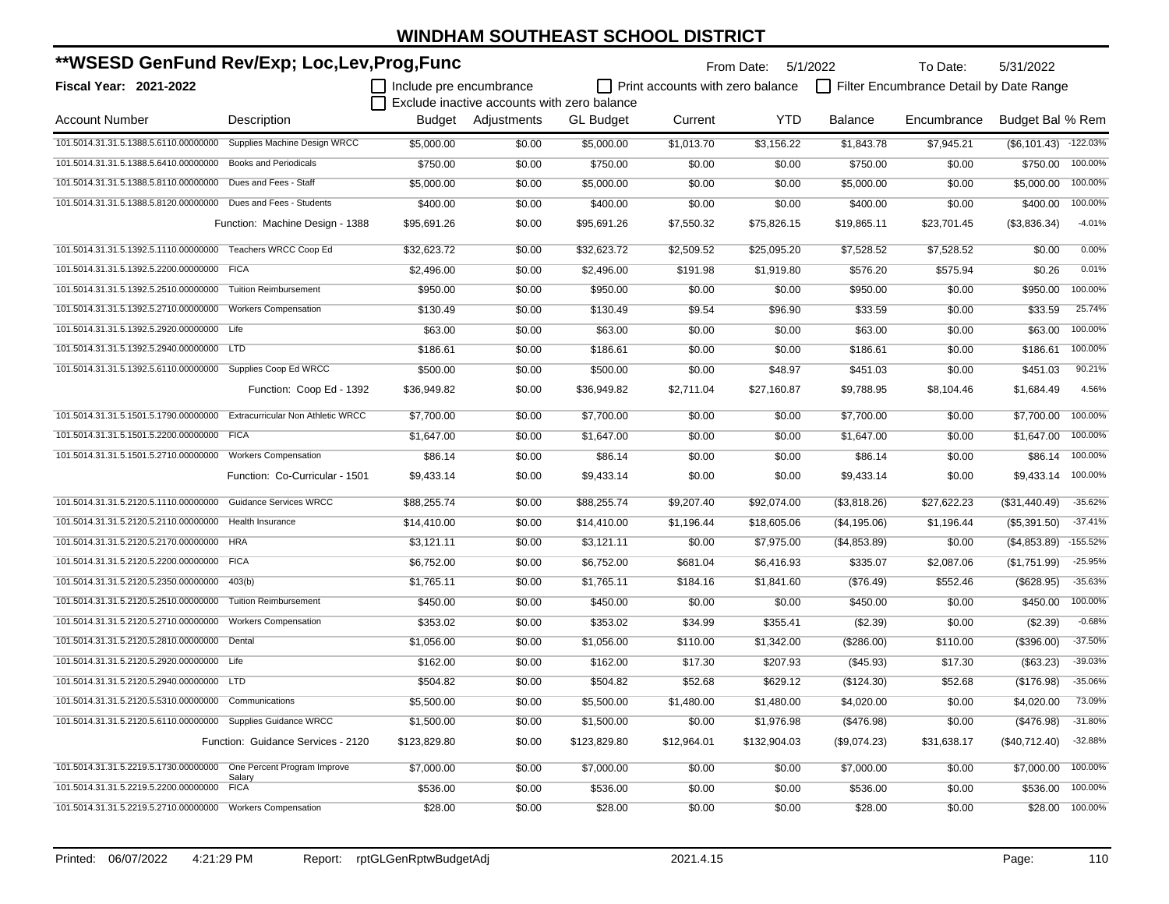| **WSESD GenFund Rev/Exp; Loc,Lev,Prog,Func                              |                                    |                         |                                             | From Date: 5/1/2022<br>To Date:<br>5/31/2022 |                                  |              |                |                                         |                          |            |
|-------------------------------------------------------------------------|------------------------------------|-------------------------|---------------------------------------------|----------------------------------------------|----------------------------------|--------------|----------------|-----------------------------------------|--------------------------|------------|
| Fiscal Year: 2021-2022                                                  |                                    | Include pre encumbrance |                                             |                                              | Print accounts with zero balance |              |                | Filter Encumbrance Detail by Date Range |                          |            |
|                                                                         |                                    |                         | Exclude inactive accounts with zero balance |                                              |                                  |              |                |                                         |                          |            |
| <b>Account Number</b>                                                   | Description                        |                         | Budget Adjustments                          | <b>GL Budget</b>                             | Current                          | <b>YTD</b>   | <b>Balance</b> | Encumbrance                             | Budget Bal % Rem         |            |
| 101.5014.31.31.5.1388.5.6110.00000000                                   | Supplies Machine Design WRCC       | \$5,000.00              | \$0.00                                      | \$5,000.00                                   | \$1,013.70                       | \$3,156.22   | \$1,843.78     | \$7,945.21                              | $($ \$6,101.43) -122.03% |            |
| 101.5014.31.31.5.1388.5.6410.00000000                                   | <b>Books and Periodicals</b>       | \$750.00                | \$0.00                                      | \$750.00                                     | \$0.00                           | \$0.00       | \$750.00       | \$0.00                                  | \$750.00                 | 100.00%    |
| 101.5014.31.31.5.1388.5.8110.00000000                                   | Dues and Fees - Staff              | \$5,000.00              | \$0.00                                      | \$5,000.00                                   | \$0.00                           | \$0.00       | \$5,000.00     | \$0.00                                  | \$5,000.00               | 100.00%    |
| 101.5014.31.31.5.1388.5.8120.00000000                                   | Dues and Fees - Students           | \$400.00                | \$0.00                                      | \$400.00                                     | \$0.00                           | \$0.00       | \$400.00       | \$0.00                                  | \$400.00                 | 100.00%    |
|                                                                         | Function: Machine Design - 1388    | \$95,691.26             | \$0.00                                      | \$95,691.26                                  | \$7,550.32                       | \$75,826.15  | \$19,865.11    | \$23,701.45                             | (\$3,836.34)             | $-4.01%$   |
| 101.5014.31.31.5.1392.5.1110.00000000 Teachers WRCC Coop Ed             |                                    | \$32,623.72             | \$0.00                                      | \$32,623.72                                  | \$2,509.52                       | \$25,095.20  | \$7,528.52     | \$7,528.52                              | \$0.00                   | 0.00%      |
| 101.5014.31.31.5.1392.5.2200.00000000                                   | <b>FICA</b>                        | \$2,496.00              | \$0.00                                      | \$2,496.00                                   | \$191.98                         | \$1,919.80   | \$576.20       | \$575.94                                | \$0.26                   | 0.01%      |
| 101.5014.31.31.5.1392.5.2510.00000000 Tuition Reimbursement             |                                    | \$950.00                | \$0.00                                      | \$950.00                                     | \$0.00                           | \$0.00       | \$950.00       | \$0.00                                  | \$950.00                 | 100.00%    |
| 101.5014.31.31.5.1392.5.2710.00000000 Workers Compensation              |                                    | \$130.49                | \$0.00                                      | \$130.49                                     | \$9.54                           | \$96.90      | \$33.59        | \$0.00                                  | \$33.59                  | 25.74%     |
| 101.5014.31.31.5.1392.5.2920.00000000 Life                              |                                    | \$63.00                 | \$0.00                                      | \$63.00                                      | \$0.00                           | \$0.00       | \$63.00        | \$0.00                                  | \$63.00                  | 100.00%    |
| 101.5014.31.31.5.1392.5.2940.00000000 LTD                               |                                    | \$186.61                | \$0.00                                      | \$186.61                                     | \$0.00                           | \$0.00       | \$186.61       | \$0.00                                  | \$186.61                 | 100.00%    |
| 101.5014.31.31.5.1392.5.6110.00000000 Supplies Coop Ed WRCC             |                                    | \$500.00                | \$0.00                                      | \$500.00                                     | \$0.00                           | \$48.97      | \$451.03       | \$0.00                                  | \$451.03                 | 90.21%     |
|                                                                         | Function: Coop Ed - 1392           | \$36,949.82             | \$0.00                                      | \$36,949.82                                  | \$2,711.04                       | \$27,160.87  | \$9,788.95     | \$8,104.46                              | \$1,684.49               | 4.56%      |
| 101.5014.31.31.5.1501.5.1790.00000000 Extracurricular Non Athletic WRCC |                                    | \$7,700.00              | \$0.00                                      | \$7,700.00                                   | \$0.00                           | \$0.00       | \$7,700.00     | \$0.00                                  | \$7.700.00               | 100.00%    |
| 101.5014.31.31.5.1501.5.2200.00000000                                   | <b>FICA</b>                        | \$1,647.00              | \$0.00                                      | \$1,647.00                                   | \$0.00                           | \$0.00       | \$1,647.00     | \$0.00                                  | \$1,647.00               | 100.00%    |
| 101.5014.31.31.5.1501.5.2710.00000000 Workers Compensation              |                                    | \$86.14                 | \$0.00                                      | \$86.14                                      | \$0.00                           | \$0.00       | \$86.14        | \$0.00                                  | \$86.14                  | 100.00%    |
|                                                                         | Function: Co-Curricular - 1501     | \$9,433.14              | \$0.00                                      | \$9,433.14                                   | \$0.00                           | \$0.00       | \$9,433.14     | \$0.00                                  | \$9,433.14               | 100.00%    |
| 101.5014.31.31.5.2120.5.1110.00000000                                   | <b>Guidance Services WRCC</b>      | \$88,255.74             | \$0.00                                      | \$88,255.74                                  | \$9,207.40                       | \$92,074.00  | (\$3,818.26)   | \$27,622.23                             | (\$31,440.49)            | $-35.62%$  |
| 101.5014.31.31.5.2120.5.2110.00000000                                   | Health Insurance                   | \$14,410.00             | \$0.00                                      | \$14,410.00                                  | \$1,196.44                       | \$18,605.06  | (\$4,195.06)   | \$1,196.44                              | (\$5,391.50)             | $-37.41%$  |
| 101.5014.31.31.5.2120.5.2170.00000000                                   | <b>HRA</b>                         | \$3,121.11              | \$0.00                                      | \$3,121.11                                   | \$0.00                           | \$7,975.00   | (\$4,853.89)   | \$0.00                                  | (\$4,853.89)             | $-155.52%$ |
| 101.5014.31.31.5.2120.5.2200.00000000                                   | <b>FICA</b>                        | \$6,752.00              | \$0.00                                      | \$6,752.00                                   | \$681.04                         | \$6,416.93   | \$335.07       | \$2,087.06                              | (\$1,751.99)             | $-25.95%$  |
| 101.5014.31.31.5.2120.5.2350.00000000                                   | 403(b)                             | \$1,765.11              | \$0.00                                      | \$1,765.11                                   | \$184.16                         | \$1,841.60   | (\$76.49)      | \$552.46                                | (\$628.95)               | $-35.63%$  |
| 101.5014.31.31.5.2120.5.2510.00000000                                   | <b>Tuition Reimbursement</b>       | \$450.00                | \$0.00                                      | \$450.00                                     | \$0.00                           | \$0.00       | \$450.00       | \$0.00                                  | \$450.00                 | 100.00%    |
| 101.5014.31.31.5.2120.5.2710.00000000                                   | <b>Workers Compensation</b>        | \$353.02                | \$0.00                                      | \$353.02                                     | \$34.99                          | \$355.41     | (\$2.39)       | \$0.00                                  | (\$2.39)                 | $-0.68%$   |
| 101.5014.31.31.5.2120.5.2810.00000000 Dental                            |                                    | \$1,056.00              | \$0.00                                      | \$1,056.00                                   | \$110.00                         | \$1,342.00   | (\$286.00)     | \$110.00                                | (\$396.00)               | $-37.50%$  |
| 101.5014.31.31.5.2120.5.2920.00000000 Life                              |                                    | \$162.00                | \$0.00                                      | \$162.00                                     | \$17.30                          | \$207.93     | (\$45.93)      | \$17.30                                 | (\$63.23)                | -39.03%    |
| 101.5014.31.31.5.2120.5.2940.00000000 LTD                               |                                    | \$504.82                | \$0.00                                      | \$504.82                                     | \$52.68                          | \$629.12     | (\$124.30)     | \$52.68                                 | (\$176.98)               | $-35.06%$  |
| 101.5014.31.31.5.2120.5.5310.00000000 Communications                    |                                    | \$5,500.00              | \$0.00                                      | \$5,500.00                                   | \$1,480.00                       | \$1,480.00   | \$4,020.00     | \$0.00                                  | \$4,020.00               | 73.09%     |
| 101.5014.31.31.5.2120.5.6110.00000000 Supplies Guidance WRCC            |                                    | \$1,500.00              | \$0.00                                      | \$1,500.00                                   | \$0.00                           | \$1,976.98   | (\$476.98)     | \$0.00                                  | (\$476.98)               | $-31.80%$  |
|                                                                         | Function: Guidance Services - 2120 | \$123,829.80            | \$0.00                                      | \$123,829.80                                 | \$12,964.01                      | \$132,904.03 | (\$9,074.23)   | \$31,638.17                             | (\$40,712.40)            | $-32.88%$  |
| 101.5014.31.31.5.2219.5.1730.00000000                                   | One Percent Program Improve        | \$7,000.00              | \$0.00                                      | \$7,000.00                                   | \$0.00                           | \$0.00       | \$7,000.00     | \$0.00                                  | \$7,000.00               | 100.00%    |
| 101.5014.31.31.5.2219.5.2200.00000000                                   | Salary<br><b>FICA</b>              | \$536.00                | \$0.00                                      | \$536.00                                     | \$0.00                           | \$0.00       | \$536.00       | \$0.00                                  | \$536.00                 | 100.00%    |
| 101.5014.31.31.5.2219.5.2710.00000000 Workers Compensation              |                                    | \$28.00                 | \$0.00                                      | \$28.00                                      | \$0.00                           | \$0.00       | \$28.00        | \$0.00                                  | \$28.00                  | 100.00%    |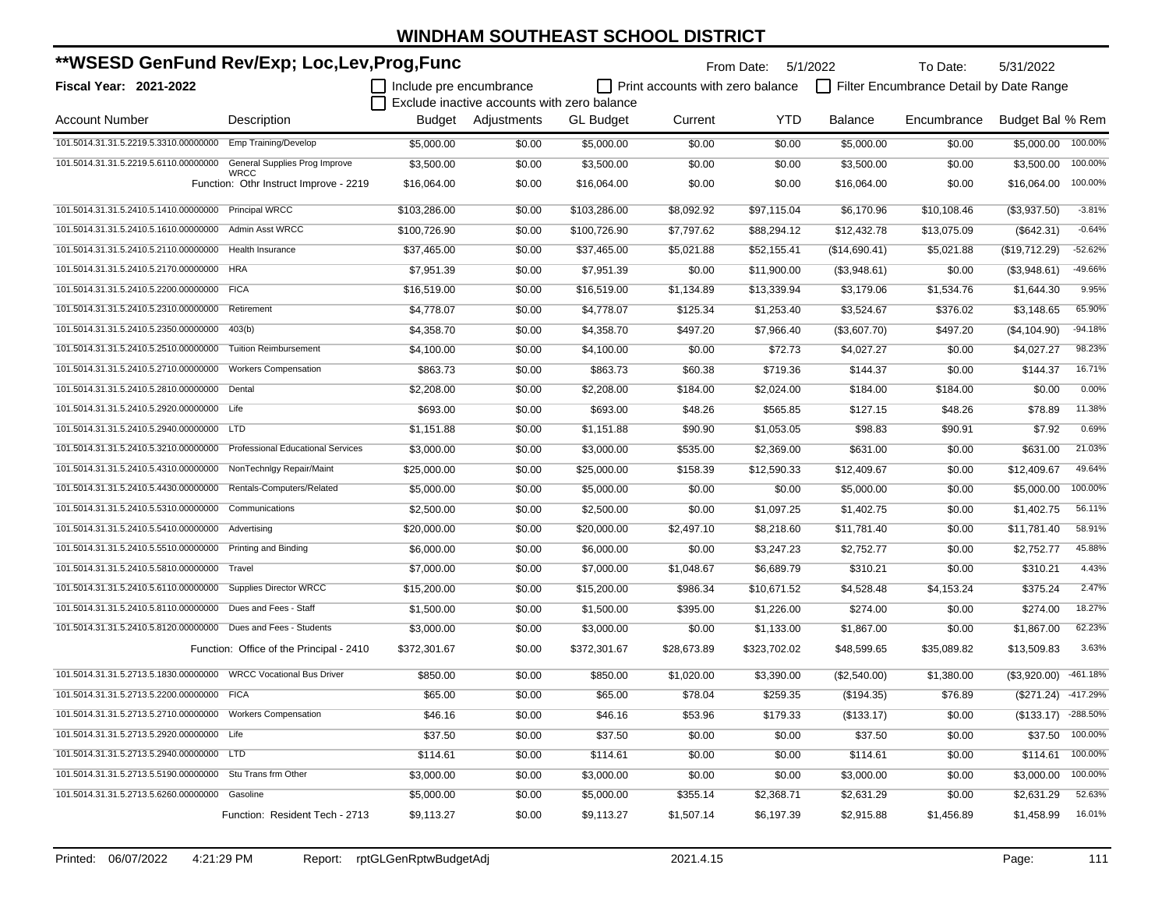| **WSESD GenFund Rev/Exp; Loc,Lev,Prog,Func                   |                                                |                                             |                    |                                  | 5/31/2022   |                                         |               |             |                      |           |
|--------------------------------------------------------------|------------------------------------------------|---------------------------------------------|--------------------|----------------------------------|-------------|-----------------------------------------|---------------|-------------|----------------------|-----------|
| Fiscal Year: 2021-2022                                       | Include pre encumbrance                        | Exclude inactive accounts with zero balance |                    | Print accounts with zero balance |             | Filter Encumbrance Detail by Date Range |               |             |                      |           |
| <b>Account Number</b>                                        | Description                                    |                                             | Budget Adjustments | <b>GL Budget</b>                 | Current     | <b>YTD</b>                              | Balance       | Encumbrance | Budget Bal % Rem     |           |
| 101.5014.31.31.5.2219.5.3310.00000000                        | Emp Training/Develop                           | \$5,000.00                                  | \$0.00             | \$5,000.00                       | \$0.00      | \$0.00                                  | \$5,000.00    | \$0.00      | \$5,000.00           | 100.00%   |
| 101.5014.31.31.5.2219.5.6110.00000000                        | General Supplies Prog Improve                  | \$3,500.00                                  | \$0.00             | \$3,500.00                       | \$0.00      | \$0.00                                  | \$3,500.00    | \$0.00      | \$3,500.00           | 100.00%   |
|                                                              | WRCC<br>Function: Othr Instruct Improve - 2219 | \$16,064.00                                 | \$0.00             | \$16,064.00                      | \$0.00      | \$0.00                                  | \$16,064.00   | \$0.00      | \$16,064.00          | 100.00%   |
| 101.5014.31.31.5.2410.5.1410.00000000                        | <b>Principal WRCC</b>                          | \$103,286.00                                | \$0.00             | \$103,286.00                     | \$8,092.92  | \$97,115.04                             | \$6,170.96    | \$10,108.46 | (\$3,937.50)         | $-3.81%$  |
| 101.5014.31.31.5.2410.5.1610.00000000                        | <b>Admin Asst WRCC</b>                         | \$100,726.90                                | \$0.00             | \$100,726.90                     | \$7,797.62  | \$88,294.12                             | \$12,432.78   | \$13,075.09 | (\$642.31)           | $-0.64%$  |
| 101.5014.31.31.5.2410.5.2110.00000000                        | Health Insurance                               | \$37,465.00                                 | \$0.00             | \$37,465.00                      | \$5,021.88  | \$52,155.41                             | (\$14,690.41) | \$5,021.88  | (\$19,712.29)        | $-52.62%$ |
| 101.5014.31.31.5.2410.5.2170.00000000                        | <b>HRA</b>                                     | \$7,951.39                                  | \$0.00             | \$7,951.39                       | \$0.00      | \$11,900.00                             | (\$3,948.61)  | \$0.00      | (\$3,948.61)         | -49.66%   |
| 101.5014.31.31.5.2410.5.2200.00000000                        | <b>FICA</b>                                    | \$16,519.00                                 | \$0.00             | \$16,519.00                      | \$1,134.89  | \$13,339.94                             | \$3,179.06    | \$1,534.76  | \$1,644.30           | 9.95%     |
| 101.5014.31.31.5.2410.5.2310.00000000                        | Retirement                                     | \$4,778.07                                  | \$0.00             | \$4,778.07                       | \$125.34    | \$1,253.40                              | \$3,524.67    | \$376.02    | \$3,148.65           | 65.90%    |
| 101.5014.31.31.5.2410.5.2350.00000000                        | 403(b)                                         | \$4,358.70                                  | \$0.00             | \$4,358.70                       | \$497.20    | \$7,966.40                              | (\$3,607.70)  | \$497.20    | (\$4,104.90)         | $-94.18%$ |
| 101.5014.31.31.5.2410.5.2510.00000000                        | <b>Tuition Reimbursement</b>                   | \$4,100.00                                  | \$0.00             | \$4,100.00                       | \$0.00      | \$72.73                                 | \$4,027.27    | \$0.00      | \$4,027.27           | 98.23%    |
| 101.5014.31.31.5.2410.5.2710.00000000                        | <b>Workers Compensation</b>                    | \$863.73                                    | \$0.00             | \$863.73                         | \$60.38     | \$719.36                                | \$144.37      | \$0.00      | \$144.37             | 16.71%    |
| 101.5014.31.31.5.2410.5.2810.00000000                        | Dental                                         | \$2,208.00                                  | \$0.00             | \$2,208.00                       | \$184.00    | \$2,024.00                              | \$184.00      | \$184.00    | \$0.00               | 0.00%     |
| 101.5014.31.31.5.2410.5.2920.00000000 Life                   |                                                | \$693.00                                    | \$0.00             | \$693.00                         | \$48.26     | \$565.85                                | \$127.15      | \$48.26     | \$78.89              | 11.38%    |
| 101.5014.31.31.5.2410.5.2940.00000000 LTD                    |                                                | \$1,151.88                                  | \$0.00             | \$1,151.88                       | \$90.90     | \$1,053.05                              | \$98.83       | \$90.91     | \$7.92               | 0.69%     |
| 101.5014.31.31.5.2410.5.3210.00000000                        | <b>Professional Educational Services</b>       | \$3,000.00                                  | \$0.00             | \$3,000.00                       | \$535.00    | \$2,369.00                              | \$631.00      | \$0.00      | \$631.00             | 21.03%    |
| 101.5014.31.31.5.2410.5.4310.00000000                        | NonTechnlgy Repair/Maint                       | \$25,000.00                                 | \$0.00             | \$25,000.00                      | \$158.39    | \$12,590.33                             | \$12,409.67   | \$0.00      | \$12,409.67          | 49.64%    |
| 101.5014.31.31.5.2410.5.4430.00000000                        | Rentals-Computers/Related                      | \$5,000.00                                  | \$0.00             | \$5,000.00                       | \$0.00      | \$0.00                                  | \$5,000.00    | \$0.00      | \$5,000.00           | 100.00%   |
| 101.5014.31.31.5.2410.5.5310.00000000                        | Communications                                 | \$2,500.00                                  | \$0.00             | \$2,500.00                       | \$0.00      | \$1,097.25                              | \$1,402.75    | \$0.00      | \$1,402.75           | 56.11%    |
| 101.5014.31.31.5.2410.5.5410.00000000                        | Advertising                                    | \$20,000.00                                 | \$0.00             | \$20,000.00                      | \$2,497.10  | \$8,218.60                              | \$11,781.40   | \$0.00      | \$11,781.40          | 58.91%    |
| 101.5014.31.31.5.2410.5.5510.00000000                        | Printing and Binding                           | \$6,000.00                                  | \$0.00             | \$6,000.00                       | \$0.00      | \$3,247.23                              | \$2,752.77    | \$0.00      | \$2,752.77           | 45.88%    |
| 101.5014.31.31.5.2410.5.5810.00000000                        | Travel                                         | \$7,000.00                                  | \$0.00             | \$7,000.00                       | \$1,048.67  | \$6,689.79                              | \$310.21      | \$0.00      | \$310.21             | 4.43%     |
| 101.5014.31.31.5.2410.5.6110.00000000 Supplies Director WRCC |                                                | \$15,200.00                                 | \$0.00             | \$15,200.00                      | \$986.34    | \$10,671.52                             | \$4,528.48    | \$4,153.24  | \$375.24             | 2.47%     |
| 101.5014.31.31.5.2410.5.8110.00000000                        | Dues and Fees - Staff                          | \$1,500.00                                  | \$0.00             | \$1,500.00                       | \$395.00    | \$1,226.00                              | \$274.00      | \$0.00      | \$274.00             | 18.27%    |
| 101.5014.31.31.5.2410.5.8120.00000000                        | Dues and Fees - Students                       | \$3,000.00                                  | \$0.00             | \$3,000.00                       | \$0.00      | \$1,133.00                              | \$1,867.00    | \$0.00      | \$1,867.00           | 62.23%    |
|                                                              | Function: Office of the Principal - 2410       | \$372,301.67                                | \$0.00             | \$372,301.67                     | \$28,673.89 | \$323,702.02                            | \$48,599.65   | \$35,089.82 | \$13,509.83          | 3.63%     |
|                                                              |                                                | \$850.00                                    | \$0.00             | \$850.00                         | \$1,020.00  | \$3,390.00                              | (\$2,540.00)  | \$1,380.00  | (\$3,920.00)         | -461.18%  |
| 101.5014.31.31.5.2713.5.2200.00000000 FICA                   |                                                | \$65.00                                     | \$0.00             | \$65.00                          | \$78.04     | \$259.35                                | (\$194.35)    | \$76.89     | $($271.24)$ -417.29% |           |
| 101.5014.31.31.5.2713.5.2710.00000000 Workers Compensation   |                                                | \$46.16                                     | \$0.00             | \$46.16                          | \$53.96     | \$179.33                                | (\$133.17)    | \$0.00      | $($133.17)$ -288.50% |           |
| 101.5014.31.31.5.2713.5.2920.00000000 Life                   |                                                | \$37.50                                     | \$0.00             | \$37.50                          | \$0.00      | \$0.00                                  | \$37.50       | \$0.00      | \$37.50              | 100.00%   |
| 101.5014.31.31.5.2713.5.2940.00000000 LTD                    |                                                | \$114.61                                    | \$0.00             | \$114.61                         | \$0.00      | \$0.00                                  | \$114.61      | \$0.00      | \$114.61             | 100.00%   |
| 101.5014.31.31.5.2713.5.5190.00000000 Stu Trans frm Other    |                                                | \$3,000.00                                  | \$0.00             | \$3,000.00                       | \$0.00      | \$0.00                                  | \$3,000.00    | \$0.00      | \$3,000.00           | 100.00%   |
| 101.5014.31.31.5.2713.5.6260.00000000                        | Gasoline                                       | \$5,000.00                                  | \$0.00             | \$5,000.00                       | \$355.14    | \$2,368.71                              | \$2,631.29    | \$0.00      | \$2,631.29           | 52.63%    |
|                                                              | Function: Resident Tech - 2713                 | \$9,113.27                                  | \$0.00             | \$9,113.27                       | \$1,507.14  | \$6,197.39                              | \$2,915.88    | \$1,456.89  | \$1,458.99           | 16.01%    |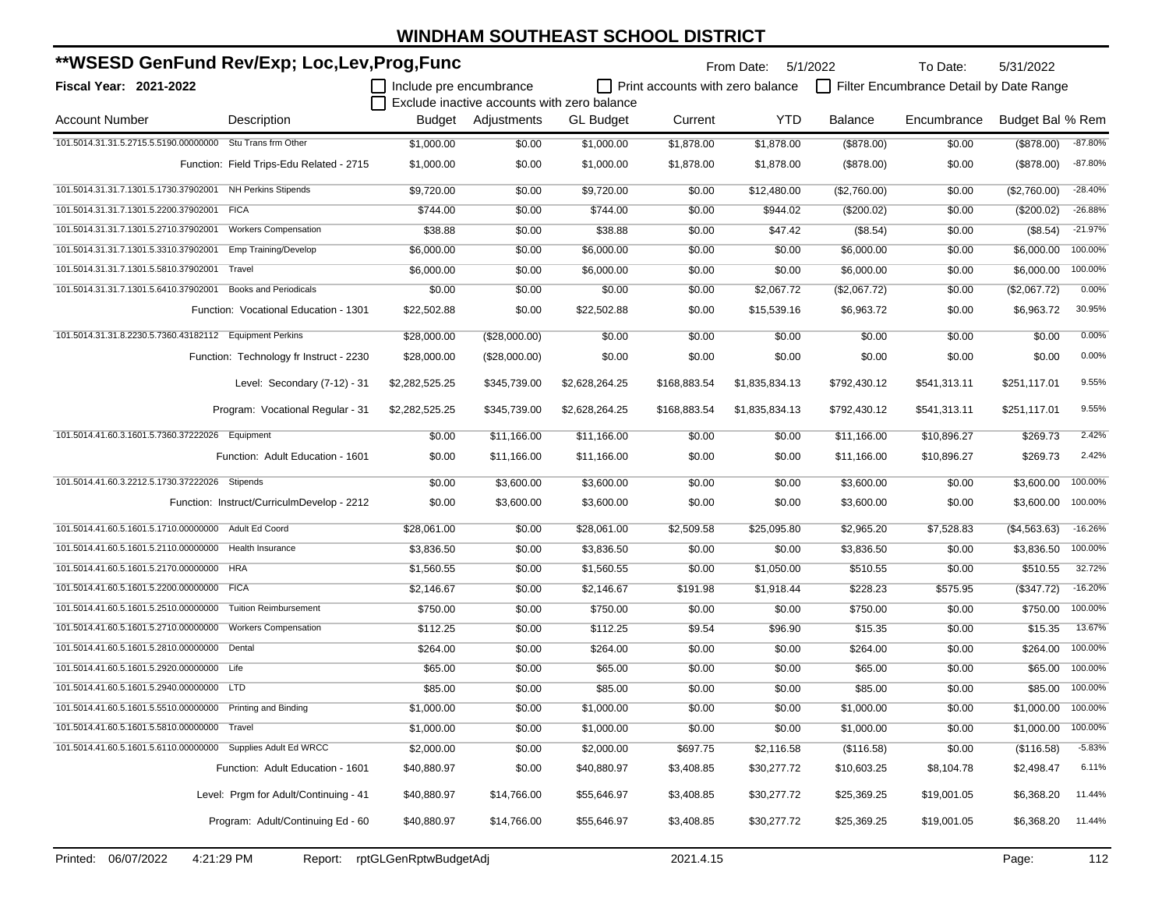| **WSESD GenFund Rev/Exp; Loc,Lev,Prog,Func                            |                         |                    |                                                                 | 5/31/2022<br>From Date:<br>5/1/2022<br>To Date: |                                         |                |              |                  |           |  |
|-----------------------------------------------------------------------|-------------------------|--------------------|-----------------------------------------------------------------|-------------------------------------------------|-----------------------------------------|----------------|--------------|------------------|-----------|--|
| Fiscal Year: 2021-2022                                                | Include pre encumbrance |                    |                                                                 | Print accounts with zero balance                | Filter Encumbrance Detail by Date Range |                |              |                  |           |  |
| <b>Account Number</b><br>Description                                  |                         | Budget Adjustments | Exclude inactive accounts with zero balance<br><b>GL Budget</b> | Current                                         | <b>YTD</b>                              | <b>Balance</b> | Encumbrance  | Budget Bal % Rem |           |  |
| 101.5014.31.31.5.2715.5.5190.00000000 Stu Trans frm Other             | \$1,000.00              | \$0.00             | \$1,000.00                                                      | \$1,878.00                                      | \$1,878.00                              | (\$878.00)     | \$0.00       | (\$878.00)       | $-87.80%$ |  |
| Function: Field Trips-Edu Related - 2715                              | \$1,000.00              | \$0.00             | \$1,000.00                                                      | \$1,878.00                                      | \$1,878.00                              | (\$878.00)     | \$0.00       | (\$878.00)       | $-87.80%$ |  |
| 101.5014.31.31.7.1301.5.1730.37902001 NH Perkins Stipends             | \$9,720.00              | \$0.00             | \$9,720.00                                                      | \$0.00                                          | \$12,480.00                             | (\$2,760.00)   | \$0.00       | (\$2,760.00)     | $-28.40%$ |  |
| 101.5014.31.31.7.1301.5.2200.37902001<br><b>FICA</b>                  | \$744.00                | \$0.00             | \$744.00                                                        | \$0.00                                          | \$944.02                                | $(\$200.02)$   | \$0.00       | (\$200.02)       | $-26.88%$ |  |
| 101.5014.31.31.7.1301.5.2710.37902001<br><b>Workers Compensation</b>  | \$38.88                 | \$0.00             | \$38.88                                                         | \$0.00                                          | \$47.42                                 | (\$8.54)       | \$0.00       | (\$8.54)         | $-21.97%$ |  |
| 101.5014.31.31.7.1301.5.3310.37902001<br>Emp Training/Develop         | \$6,000.00              | \$0.00             | \$6,000.00                                                      | \$0.00                                          | \$0.00                                  | \$6,000.00     | \$0.00       | \$6,000.00       | 100.00%   |  |
| 101.5014.31.31.7.1301.5.5810.37902001<br>Travel                       | \$6,000.00              | \$0.00             | \$6,000.00                                                      | \$0.00                                          | \$0.00                                  | \$6,000.00     | \$0.00       | \$6,000.00       | 100.00%   |  |
| 101.5014.31.31.7.1301.5.6410.37902001<br><b>Books and Periodicals</b> | \$0.00                  | \$0.00             | \$0.00                                                          | \$0.00                                          | \$2,067.72                              | (\$2,067.72)   | \$0.00       | (\$2,067.72)     | 0.00%     |  |
| Function: Vocational Education - 1301                                 | \$22,502.88             | \$0.00             | \$22,502.88                                                     | \$0.00                                          | \$15,539.16                             | \$6,963.72     | \$0.00       | \$6,963.72       | 30.95%    |  |
| 101.5014.31.31.8.2230.5.7360.43182112   Equipment Perkins             | \$28,000.00             | (\$28,000.00)      | \$0.00                                                          | \$0.00                                          | \$0.00                                  | \$0.00         | \$0.00       | \$0.00           | 0.00%     |  |
| Function: Technology fr Instruct - 2230                               | \$28,000.00             | (\$28,000.00)      | \$0.00                                                          | \$0.00                                          | \$0.00                                  | \$0.00         | \$0.00       | \$0.00           | 0.00%     |  |
| Level: Secondary (7-12) - 31                                          | \$2,282,525.25          | \$345,739.00       | \$2,628,264.25                                                  | \$168,883.54                                    | \$1,835,834.13                          | \$792,430.12   | \$541,313.11 | \$251,117.01     | 9.55%     |  |
| Program: Vocational Regular - 31                                      | \$2,282,525.25          | \$345,739.00       | \$2,628,264.25                                                  | \$168,883.54                                    | \$1,835,834.13                          | \$792,430.12   | \$541,313.11 | \$251,117.01     | 9.55%     |  |
| 101.5014.41.60.3.1601.5.7360.37222026 Equipment                       | \$0.00                  | \$11,166.00        | \$11,166.00                                                     | \$0.00                                          | \$0.00                                  | \$11,166.00    | \$10,896.27  | \$269.73         | 2.42%     |  |
| Function: Adult Education - 1601                                      | \$0.00                  | \$11,166.00        | \$11,166.00                                                     | \$0.00                                          | \$0.00                                  | \$11,166.00    | \$10,896.27  | \$269.73         | 2.42%     |  |
| 101.5014.41.60.3.2212.5.1730.37222026 Stipends                        | \$0.00                  | \$3,600.00         | \$3,600.00                                                      | \$0.00                                          | \$0.00                                  | \$3,600.00     | \$0.00       | \$3,600.00       | 100.00%   |  |
| Function: Instruct/CurriculmDevelop - 2212                            | \$0.00                  | \$3,600.00         | \$3,600.00                                                      | \$0.00                                          | \$0.00                                  | \$3,600.00     | \$0.00       | \$3,600.00       | 100.00%   |  |
| 101.5014.41.60.5.1601.5.1710.00000000 Adult Ed Coord                  | \$28,061.00             | \$0.00             | \$28,061.00                                                     | \$2,509.58                                      | \$25,095.80                             | \$2,965.20     | \$7,528.83   | (\$4,563.63)     | $-16.26%$ |  |
| 101.5014.41.60.5.1601.5.2110.00000000 Health Insurance                | \$3,836.50              | \$0.00             | \$3,836.50                                                      | \$0.00                                          | \$0.00                                  | \$3,836.50     | \$0.00       | \$3,836.50       | 100.00%   |  |
| 101.5014.41.60.5.1601.5.2170.00000000 HRA                             | \$1,560.55              | \$0.00             | \$1,560.55                                                      | \$0.00                                          | \$1,050.00                              | \$510.55       | \$0.00       | \$510.55         | 32.72%    |  |
| 101.5014.41.60.5.1601.5.2200.00000000 FICA                            | \$2,146.67              | \$0.00             | \$2,146.67                                                      | \$191.98                                        | \$1,918.44                              | \$228.23       | \$575.95     | (\$347.72)       | $-16.20%$ |  |
| 101.5014.41.60.5.1601.5.2510.00000000<br><b>Tuition Reimbursement</b> | \$750.00                | \$0.00             | \$750.00                                                        | \$0.00                                          | \$0.00                                  | \$750.00       | \$0.00       | \$750.00         | 100.00%   |  |
| 101.5014.41.60.5.1601.5.2710.00000000<br><b>Workers Compensation</b>  | \$112.25                | \$0.00             | \$112.25                                                        | \$9.54                                          | \$96.90                                 | \$15.35        | \$0.00       | \$15.35          | 13.67%    |  |
| 101.5014.41.60.5.1601.5.2810.00000000 Dental                          | \$264.00                | \$0.00             | \$264.00                                                        | \$0.00                                          | \$0.00                                  | \$264.00       | \$0.00       | \$264.00         | 100.00%   |  |
| 101.5014.41.60.5.1601.5.2920.00000000 Life                            | \$65.00                 | \$0.00             | \$65.00                                                         | \$0.00                                          | \$0.00                                  | \$65.00        | \$0.00       | \$65.00          | 100.00%   |  |
| 101.5014.41.60.5.1601.5.2940.00000000 LTD                             | \$85.00                 | \$0.00             | \$85.00                                                         | \$0.00                                          | \$0.00                                  | \$85.00        | \$0.00       | \$85.00          | 100.00%   |  |
| 101.5014.41.60.5.1601.5.5510.00000000 Printing and Binding            | \$1,000.00              | \$0.00             | \$1,000.00                                                      | \$0.00                                          | \$0.00                                  | \$1,000.00     | \$0.00       | \$1,000.00       | 100.00%   |  |
| 101.5014.41.60.5.1601.5.5810.00000000 Travel                          | \$1,000.00              | \$0.00             | \$1,000.00                                                      | \$0.00                                          | \$0.00                                  | \$1,000.00     | \$0.00       | \$1,000.00       | 100.00%   |  |
| 101.5014.41.60.5.1601.5.6110.00000000 Supplies Adult Ed WRCC          | \$2,000.00              | \$0.00             | \$2,000.00                                                      | \$697.75                                        | \$2,116.58                              | (\$116.58)     | \$0.00       | (\$116.58)       | $-5.83%$  |  |
| Function: Adult Education - 1601                                      | \$40,880.97             | \$0.00             | \$40,880.97                                                     | \$3,408.85                                      | \$30,277.72                             | \$10,603.25    | \$8,104.78   | \$2,498.47       | 6.11%     |  |
| Level: Prgm for Adult/Continuing - 41                                 | \$40,880.97             | \$14,766.00        | \$55,646.97                                                     | \$3,408.85                                      | \$30,277.72                             | \$25,369.25    | \$19,001.05  | \$6,368.20       | 11.44%    |  |
| Program: Adult/Continuing Ed - 60                                     | \$40,880.97             | \$14,766.00        | \$55,646.97                                                     | \$3,408.85                                      | \$30,277.72                             | \$25,369.25    | \$19,001.05  | \$6,368.20       | 11.44%    |  |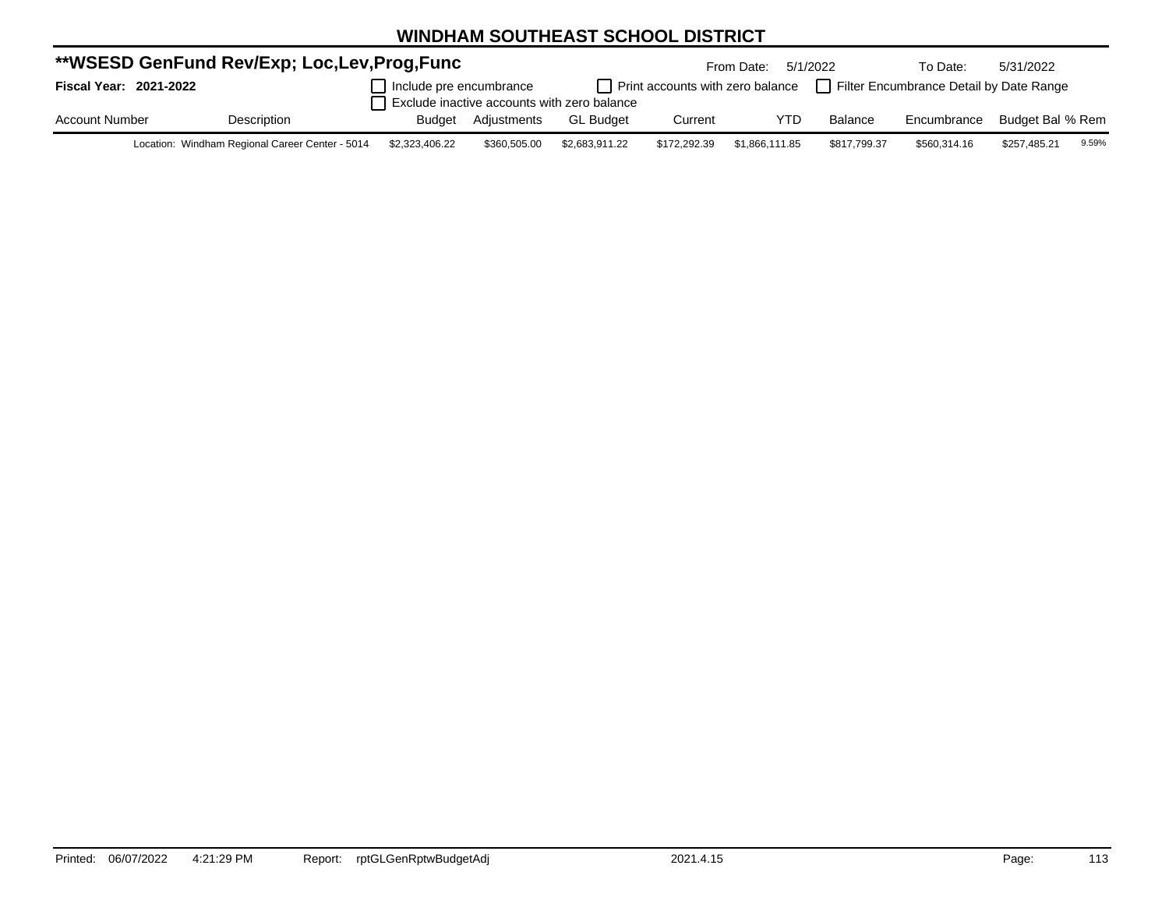| **WSESD GenFund Rev/Exp; Loc,Lev,Prog,Func |  |                                                 |                                                                        |              |                  |              | From Date:     | 5/1/2022                                                                               | To Date:     | 5/31/2022        |       |
|--------------------------------------------|--|-------------------------------------------------|------------------------------------------------------------------------|--------------|------------------|--------------|----------------|----------------------------------------------------------------------------------------|--------------|------------------|-------|
| Fiscal Year: 2021-2022                     |  |                                                 | Include pre encumbrance<br>Exclude inactive accounts with zero balance |              |                  |              |                | $\Box$ Print accounts with zero balance $\Box$ Filter Encumbrance Detail by Date Range |              |                  |       |
|                                            |  |                                                 |                                                                        |              |                  |              |                |                                                                                        |              |                  |       |
| <b>Account Number</b>                      |  | Description                                     | <b>Budget</b>                                                          | Adiustments  | <b>GL Budget</b> | Current      | YTD            | Balance                                                                                | Encumbrance  | Budget Bal % Rem |       |
|                                            |  | Location: Windham Regional Career Center - 5014 | \$2,323,406,22                                                         | \$360,505,00 | \$2 683 911 22   | \$172 292 39 | \$1 866 111 85 | \$817 799 37                                                                           | \$560 314 16 | \$257 485 21     | 9.59% |